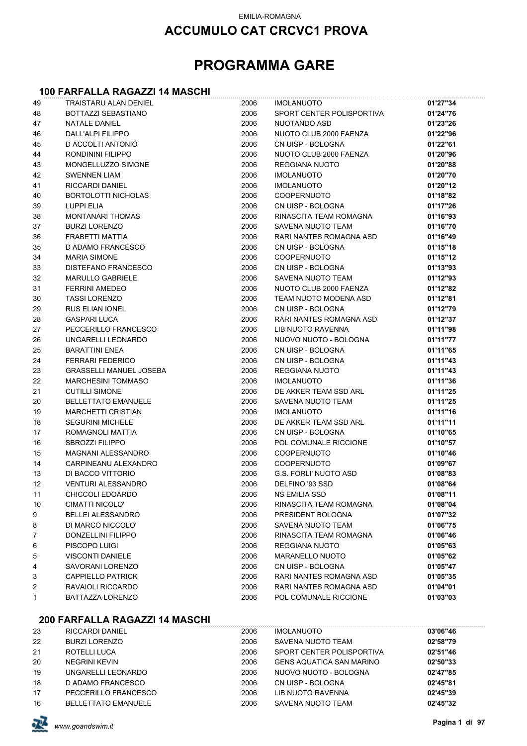#### EMILIA-ROMAGNA

### **ACCUMULO CAT CRCVC1 PROVA**

## **PROGRAMMA GARE**

#### **100 FARFALLA RAGAZZI 14 MASCHI**

| 49 | TRAISTARU ALAN DENIEL          | 2006 | <b>IMOLANUOTO</b>         | 01'27"34 |
|----|--------------------------------|------|---------------------------|----------|
| 48 | BOTTAZZI SEBASTIANO            | 2006 | SPORT CENTER POLISPORTIVA | 01'24"76 |
| 47 | <b>NATALE DANIEL</b>           | 2006 | NUOTANDO ASD              | 01'23"26 |
| 46 | <b>DALL'ALPI FILIPPO</b>       | 2006 | NUOTO CLUB 2000 FAENZA    | 01'22"96 |
| 45 | D ACCOLTI ANTONIO              | 2006 | CN UISP - BOLOGNA         | 01'22"61 |
| 44 | RONDININI FILIPPO              | 2006 | NUOTO CLUB 2000 FAENZA    | 01'20"96 |
| 43 | MONGELLUZZO SIMONE             | 2006 | <b>REGGIANA NUOTO</b>     | 01'20"88 |
| 42 | <b>SWENNEN LIAM</b>            | 2006 | <b>IMOLANUOTO</b>         | 01'20"70 |
| 41 | <b>RICCARDI DANIEL</b>         | 2006 | <b>IMOLANUOTO</b>         | 01'20"12 |
| 40 | <b>BORTOLOTTI NICHOLAS</b>     | 2006 | <b>COOPERNUOTO</b>        | 01'18"82 |
| 39 | <b>LUPPI ELIA</b>              | 2006 | CN UISP - BOLOGNA         | 01'17"26 |
| 38 | <b>MONTANARI THOMAS</b>        | 2006 | RINASCITA TEAM ROMAGNA    | 01'16"93 |
| 37 | <b>BURZI LORENZO</b>           | 2006 | SAVENA NUOTO TEAM         | 01'16"70 |
| 36 | FRABETTI MATTIA                | 2006 | RARI NANTES ROMAGNA ASD   | 01'16"49 |
| 35 | D ADAMO FRANCESCO              | 2006 | CN UISP - BOLOGNA         | 01'15"18 |
| 34 | <b>MARIA SIMONE</b>            | 2006 | COOPERNUOTO               | 01'15"12 |
| 33 | <b>DISTEFANO FRANCESCO</b>     | 2006 | CN UISP - BOLOGNA         | 01'13"93 |
| 32 | <b>MARULLO GABRIELE</b>        | 2006 | SAVENA NUOTO TEAM         | 01'12"93 |
| 31 | <b>FERRINI AMEDEO</b>          | 2006 | NUOTO CLUB 2000 FAENZA    | 01'12"82 |
| 30 | <b>TASSI LORENZO</b>           | 2006 | TEAM NUOTO MODENA ASD     | 01'12"81 |
| 29 | <b>RUS ELIAN IONEL</b>         | 2006 | CN UISP - BOLOGNA         | 01'12"79 |
| 28 | <b>GASPARI LUCA</b>            | 2006 | RARI NANTES ROMAGNA ASD   | 01'12"37 |
| 27 | PECCERILLO FRANCESCO           | 2006 | LIB NUOTO RAVENNA         | 01'11"98 |
| 26 | UNGARELLI LEONARDO             | 2006 | NUOVO NUOTO - BOLOGNA     | 01'11"77 |
| 25 | <b>BARATTINI ENEA</b>          | 2006 | CN UISP - BOLOGNA         | 01'11"65 |
| 24 | <b>FERRARI FEDERICO</b>        | 2006 | CN UISP - BOLOGNA         | 01'11"43 |
| 23 | <b>GRASSELLI MANUEL JOSEBA</b> | 2006 | REGGIANA NUOTO            | 01'11"43 |
| 22 | <b>MARCHESINI TOMMASO</b>      | 2006 | <b>IMOLANUOTO</b>         | 01'11"36 |
| 21 | <b>CUTILLI SIMONE</b>          | 2006 | DE AKKER TEAM SSD ARL     | 01'11"25 |
| 20 | <b>BELLETTATO EMANUELE</b>     | 2006 | SAVENA NUOTO TEAM         | 01'11"25 |
| 19 | <b>MARCHETTI CRISTIAN</b>      | 2006 | <b>IMOLANUOTO</b>         | 01'11"16 |
| 18 | <b>SEGURINI MICHELE</b>        | 2006 | DE AKKER TEAM SSD ARL     | 01'11"11 |
| 17 | ROMAGNOLI MATTIA               | 2006 | CN UISP - BOLOGNA         | 01'10"65 |
| 16 | <b>SBROZZI FILIPPO</b>         | 2006 | POL COMUNALE RICCIONE     | 01'10"57 |
| 15 | <b>MAGNANI ALESSANDRO</b>      | 2006 | COOPERNUOTO               | 01'10"46 |
| 14 | CARPINEANU ALEXANDRO           | 2006 | COOPERNUOTO               | 01'09"67 |
| 13 | DI BACCO VITTORIO              | 2006 | G.S. FORLI' NUOTO ASD     | 01'08"83 |
| 12 | <b>VENTURI ALESSANDRO</b>      | 2006 | DELFINO '93 SSD           | 01'08"64 |
| 11 | CHICCOLI EDOARDO               | 2006 | NS EMILIA SSD             | 01'08"11 |
| 10 | CIMATTI NICOLO'                | 2006 | RINASCITA TEAM ROMAGNA    | 01'08"04 |
| 9  | <b>BELLEI ALESSANDRO</b>       | 2006 | PRESIDENT BOLOGNA         | 01'07"32 |
| 8  | DI MARCO NICCOLO'              | 2006 | SAVENA NUOTO TEAM         | 01'06"75 |
| 7  | DONZELLINI FILIPPO             | 2006 | RINASCITA TEAM ROMAGNA    | 01'06"46 |
| 6  | PISCOPO LUIGI                  | 2006 | REGGIANA NUOTO            | 01'05"63 |
| 5  | <b>VISCONTI DANIELE</b>        | 2006 | <b>MARANELLO NUOTO</b>    | 01'05"62 |
| 4  | SAVORANI LORENZO               | 2006 | CN UISP - BOLOGNA         | 01'05"47 |
| 3  | <b>CAPPIELLO PATRICK</b>       | 2006 | RARI NANTES ROMAGNA ASD   | 01'05"35 |
| 2  | RAVAIOLI RICCARDO              | 2006 | RARI NANTES ROMAGNA ASD   | 01'04"01 |
| 1  | <b>BATTAZZA LORENZO</b>        | 2006 | POL COMUNALE RICCIONE     | 01'03"03 |
|    |                                |      |                           |          |

#### **200 FARFALLA RAGAZZI 14 MASCHI**

| 23 | <b>RICCARDI DANIEL</b>     | 2006 | <b>IMOLANUOTO</b>               | 03'06"46 |
|----|----------------------------|------|---------------------------------|----------|
| 22 | <b>BURZI LORENZO</b>       | 2006 | SAVENA NUOTO TEAM               | 02'58"79 |
| 21 | ROTELLI LUCA               | 2006 | SPORT CENTER POLISPORTIVA       | 02'51"46 |
| 20 | <b>NEGRINI KEVIN</b>       | 2006 | <b>GENS AQUATICA SAN MARINO</b> | 02'50"33 |
| 19 | UNGARELLI LEONARDO         | 2006 | NUOVO NUOTO - BOLOGNA           | 02'47"85 |
| 18 | D ADAMO FRANCESCO          | 2006 | CN UISP - BOLOGNA               | 02'45"81 |
| 17 | PECCERILLO FRANCESCO       | 2006 | LIB NUOTO RAVENNA               | 02'45"39 |
| 16 | <b>BELLETTATO EMANUELE</b> | 2006 | SAVENA NUOTO TEAM               | 02'45"32 |

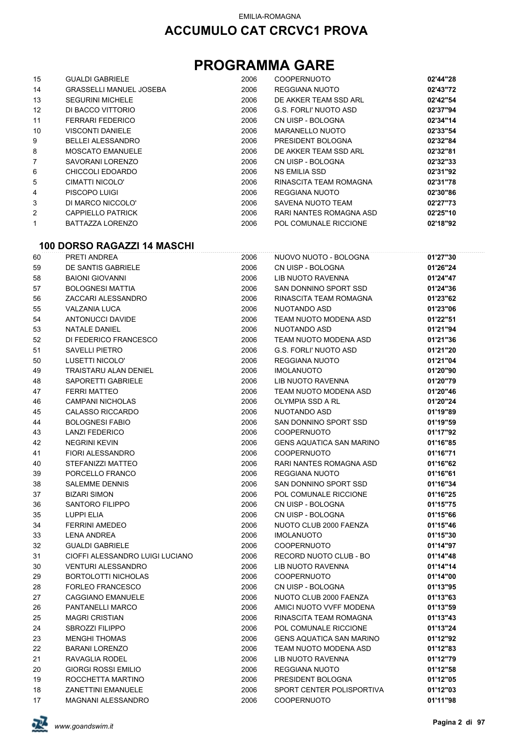## **PROGRAMMA GARE**

| 15                | <b>GUALDI GABRIELE</b>         | 2006 | <b>COOPERNUOTO</b>      | 02'44"28 |
|-------------------|--------------------------------|------|-------------------------|----------|
| 14                | <b>GRASSELLI MANUEL JOSEBA</b> | 2006 | REGGIANA NUOTO          | 02'43"72 |
| 13                | <b>SEGURINI MICHELE</b>        | 2006 | DE AKKER TEAM SSD ARL   | 02'42"54 |
| $12 \overline{ }$ | DI BACCO VITTORIO              | 2006 | G.S. FORLI' NUOTO ASD   | 02'37"94 |
| 11                | <b>FERRARI FEDERICO</b>        | 2006 | CN UISP - BOLOGNA       | 02'34"14 |
| 10                | <b>VISCONTI DANIELE</b>        | 2006 | MARANELLO NUOTO         | 02'33"54 |
| 9                 | BELLEI ALESSANDRO              | 2006 | PRESIDENT BOLOGNA       | 02'32"84 |
| 8                 | <b>MOSCATO EMANUELE</b>        | 2006 | DE AKKER TEAM SSD ARL   | 02'32"81 |
| 7                 | SAVORANI LORENZO               | 2006 | CN UISP - BOLOGNA       | 02'32"33 |
| 6                 | CHICCOLI EDOARDO               | 2006 | <b>NS EMILIA SSD</b>    | 02'31"92 |
| 5                 | CIMATTI NICOLO'                | 2006 | RINASCITA TEAM ROMAGNA  | 02'31"78 |
| 4                 | PISCOPO LUIGI                  | 2006 | REGGIANA NUOTO          | 02'30"86 |
| 3                 | DI MARCO NICCOLO'              | 2006 | SAVENA NUOTO TEAM       | 02'27"73 |
| 2                 | <b>CAPPIELLO PATRICK</b>       | 2006 | RARI NANTES ROMAGNA ASD | 02'25"10 |
| 1                 | BATTAZZA LORENZO               | 2006 | POL COMUNALE RICCIONE   | 02'18"92 |

#### **100 DORSO RAGAZZI 14 MASCHI**

| 60 | PRETI ANDREA                    | 2006 | NUOVO NUOTO - BOLOGNA           | 01'27"30 |
|----|---------------------------------|------|---------------------------------|----------|
| 59 | DE SANTIS GABRIELE              | 2006 | CN UISP - BOLOGNA               | 01'26"24 |
| 58 | <b>BAIONI GIOVANNI</b>          | 2006 | <b>LIB NUOTO RAVENNA</b>        | 01'24"47 |
| 57 | <b>BOLOGNESI MATTIA</b>         | 2006 | SAN DONNINO SPORT SSD           | 01'24"36 |
| 56 | ZACCARI ALESSANDRO              | 2006 | RINASCITA TEAM ROMAGNA          | 01'23"62 |
| 55 | <b>VALZANIA LUCA</b>            | 2006 | <b>NUOTANDO ASD</b>             | 01'23"06 |
| 54 | <b>ANTONUCCI DAVIDE</b>         | 2006 | TEAM NUOTO MODENA ASD           | 01'22"51 |
| 53 | <b>NATALE DANIEL</b>            | 2006 | <b>NUOTANDO ASD</b>             | 01'21"94 |
| 52 | DI FEDERICO FRANCESCO           | 2006 | TEAM NUOTO MODENA ASD           | 01'21"36 |
| 51 | <b>SAVELLI PIETRO</b>           | 2006 | <b>G.S. FORLI' NUOTO ASD</b>    | 01'21"20 |
| 50 | LUSETTI NICOLO'                 | 2006 | <b>REGGIANA NUOTO</b>           | 01'21"04 |
| 49 | <b>TRAISTARU ALAN DENIEL</b>    | 2006 | <b>IMOLANUOTO</b>               | 01'20"90 |
| 48 | SAPORETTI GABRIELE              | 2006 | <b>LIB NUOTO RAVENNA</b>        | 01'20"79 |
| 47 | <b>FERRI MATTEO</b>             | 2006 | TEAM NUOTO MODENA ASD           | 01'20"46 |
| 46 | <b>CAMPANI NICHOLAS</b>         | 2006 | <b>OLYMPIA SSD A RL</b>         | 01'20"24 |
| 45 | <b>CALASSO RICCARDO</b>         | 2006 | <b>NUOTANDO ASD</b>             | 01'19"89 |
| 44 | <b>BOLOGNESI FABIO</b>          | 2006 | SAN DONNINO SPORT SSD           | 01'19"59 |
| 43 | <b>LANZI FEDERICO</b>           | 2006 | <b>COOPERNUOTO</b>              | 01'17"92 |
| 42 | <b>NEGRINI KEVIN</b>            | 2006 | <b>GENS AQUATICA SAN MARINO</b> | 01'16"85 |
| 41 | <b>FIORI ALESSANDRO</b>         | 2006 | <b>COOPERNUOTO</b>              | 01'16"71 |
| 40 | STEFANIZZI MATTEO               | 2006 | RARI NANTES ROMAGNA ASD         | 01'16"62 |
| 39 | PORCELLO FRANCO                 | 2006 | <b>REGGIANA NUOTO</b>           | 01'16"61 |
| 38 | <b>SALEMME DENNIS</b>           | 2006 | SAN DONNINO SPORT SSD           | 01'16"34 |
| 37 | <b>BIZARI SIMON</b>             | 2006 | POL COMUNALE RICCIONE           | 01'16"25 |
| 36 | <b>SANTORO FILIPPO</b>          | 2006 | CN UISP - BOLOGNA               | 01'15"75 |
| 35 | LUPPI ELIA                      | 2006 | CN UISP - BOLOGNA               | 01'15"66 |
| 34 | <b>FERRINI AMEDEO</b>           | 2006 | NUOTO CLUB 2000 FAENZA          | 01'15"46 |
| 33 | <b>LENA ANDREA</b>              | 2006 | <b>IMOLANUOTO</b>               | 01'15"30 |
| 32 | <b>GUALDI GABRIELE</b>          | 2006 | <b>COOPERNUOTO</b>              | 01'14"97 |
| 31 | CIOFFI ALESSANDRO LUIGI LUCIANO | 2006 | RECORD NUOTO CLUB - BO          | 01'14"48 |
| 30 | <b>VENTURI ALESSANDRO</b>       | 2006 | <b>LIB NUOTO RAVENNA</b>        | 01'14"14 |
| 29 | <b>BORTOLOTTI NICHOLAS</b>      | 2006 | <b>COOPERNUOTO</b>              | 01'14"00 |
| 28 | <b>FORLEO FRANCESCO</b>         | 2006 | CN UISP - BOLOGNA               | 01'13"95 |
| 27 | CAGGIANO EMANUELE               | 2006 | NUOTO CLUB 2000 FAENZA          | 01'13"63 |
| 26 | PANTANELLI MARCO                | 2006 | AMICI NUOTO VVFF MODENA         | 01'13"59 |
| 25 | <b>MAGRI CRISTIAN</b>           | 2006 | RINASCITA TEAM ROMAGNA          | 01'13"43 |
| 24 | <b>SBROZZI FILIPPO</b>          | 2006 | POL COMUNALE RICCIONE           | 01'13"24 |
| 23 | <b>MENGHI THOMAS</b>            | 2006 | <b>GENS AQUATICA SAN MARINO</b> | 01'12"92 |
| 22 | <b>BARANI LORENZO</b>           | 2006 | TEAM NUOTO MODENA ASD           | 01'12"83 |
| 21 | RAVAGLIA RODEL                  | 2006 | <b>LIB NUOTO RAVENNA</b>        | 01'12"79 |
| 20 | <b>GIORGI ROSSI EMILIO</b>      | 2006 | <b>REGGIANA NUOTO</b>           | 01'12"58 |
| 19 | ROCCHETTA MARTINO               | 2006 | PRESIDENT BOLOGNA               | 01'12"05 |
| 18 | <b>ZANETTINI EMANUELE</b>       | 2006 | SPORT CENTER POLISPORTIVA       | 01'12"03 |
| 17 | <b>MAGNANI ALESSANDRO</b>       | 2006 | <b>COOPERNUOTO</b>              | 01'11"98 |

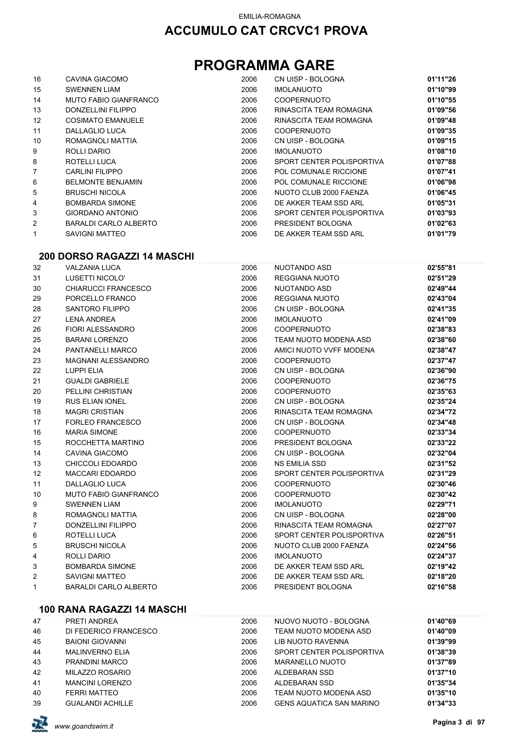## **PROGRAMMA GARE**

| 16 | CAVINA GIACOMO           | 2006 | CN UISP - BOLOGNA         | 01'11"26 |
|----|--------------------------|------|---------------------------|----------|
| 15 | <b>SWENNEN LIAM</b>      | 2006 | <b>IMOLANUOTO</b>         | 01'10"99 |
| 14 | MUTO FABIO GIANFRANCO    | 2006 | <b>COOPERNUOTO</b>        | 01'10"55 |
| 13 | DONZELLINI FILIPPO       | 2006 | RINASCITA TEAM ROMAGNA    | 01'09"56 |
| 12 | <b>COSIMATO EMANUELE</b> | 2006 | RINASCITA TEAM ROMAGNA    | 01'09"48 |
| 11 | DALLAGLIO LUCA           | 2006 | <b>COOPERNUOTO</b>        | 01'09"35 |
| 10 | ROMAGNOLI MATTIA         | 2006 | CN UISP - BOLOGNA         | 01'09"15 |
| 9  | ROLLI DARIO              | 2006 | <b>IMOLANUOTO</b>         | 01'08"10 |
| 8  | ROTELLI LUCA             | 2006 | SPORT CENTER POLISPORTIVA | 01'07"88 |
| 7  | CARLINI FILIPPO          | 2006 | POL COMUNALE RICCIONE     | 01'07"41 |
| 6  | <b>BELMONTE BENJAMIN</b> | 2006 | POL COMUNALE RICCIONE     | 01'06"98 |
| 5  | <b>BRUSCHI NICOLA</b>    | 2006 | NUOTO CLUB 2000 FAENZA    | 01'06"45 |
| 4  | <b>BOMBARDA SIMONE</b>   | 2006 | DE AKKER TEAM SSD ARL     | 01'05"31 |
| 3  | <b>GIORDANO ANTONIO</b>  | 2006 | SPORT CENTER POLISPORTIVA | 01'03"93 |
| 2  | BARALDI CARLO ALBERTO    | 2006 | PRESIDENT BOLOGNA         | 01'02"63 |
| 1  | SAVIGNI MATTEO           | 2006 | DE AKKER TEAM SSD ARL     | 01'01"79 |

#### **200 DORSO RAGAZZI 14 MASCHI**

| 32             | <b>VALZANIA LUCA</b>         | 2006 | <b>NUOTANDO ASD</b>       | 02'55"81 |
|----------------|------------------------------|------|---------------------------|----------|
| 31             | LUSETTI NICOLO'              | 2006 | REGGIANA NUOTO            | 02'51"29 |
| 30             | <b>CHIARUCCI FRANCESCO</b>   | 2006 | NUOTANDO ASD              | 02'49"44 |
| 29             | PORCELLO FRANCO              | 2006 | REGGIANA NUOTO            | 02'43"04 |
| 28             | <b>SANTORO FILIPPO</b>       | 2006 | CN UISP - BOLOGNA         | 02'41"35 |
| 27             | <b>LENA ANDREA</b>           | 2006 | <b>IMOLANUOTO</b>         | 02'41"09 |
| 26             | FIORI ALESSANDRO             | 2006 | <b>COOPERNUOTO</b>        | 02'38"83 |
| 25             | <b>BARANI LORENZO</b>        | 2006 | TEAM NUOTO MODENA ASD     | 02'38"60 |
| 24             | PANTANELLI MARCO             | 2006 | AMICI NUOTO VVFF MODENA   | 02'38"47 |
| 23             | <b>MAGNANI ALESSANDRO</b>    | 2006 | <b>COOPERNUOTO</b>        | 02'37"47 |
| 22             | <b>LUPPI ELIA</b>            | 2006 | CN UISP - BOLOGNA         | 02'36"90 |
| 21             | <b>GUALDI GABRIELE</b>       | 2006 | <b>COOPERNUOTO</b>        | 02'36"75 |
| 20             | PELLINI CHRISTIAN            | 2006 | <b>COOPERNUOTO</b>        | 02'35"63 |
| 19             | <b>RUS ELIAN IONEL</b>       | 2006 | CN UISP - BOLOGNA         | 02'35"24 |
| 18             | <b>MAGRI CRISTIAN</b>        | 2006 | RINASCITA TEAM ROMAGNA    | 02'34"72 |
| 17             | FORLEO FRANCESCO             | 2006 | CN UISP - BOLOGNA         | 02'34"48 |
| 16             | <b>MARIA SIMONE</b>          | 2006 | <b>COOPERNUOTO</b>        | 02'33"34 |
| 15             | ROCCHETTA MARTINO            | 2006 | PRESIDENT BOLOGNA         | 02'33"22 |
| 14             | CAVINA GIACOMO               | 2006 | CN UISP - BOLOGNA         | 02'32"04 |
| 13             | CHICCOLI EDOARDO             | 2006 | <b>NS EMILIA SSD</b>      | 02'31"52 |
| 12             | <b>MACCARI EDOARDO</b>       | 2006 | SPORT CENTER POLISPORTIVA | 02'31"29 |
| 11             | <b>DALLAGLIO LUCA</b>        | 2006 | <b>COOPERNUOTO</b>        | 02'30"46 |
| 10             | <b>MUTO FABIO GIANFRANCO</b> | 2006 | <b>COOPERNUOTO</b>        | 02'30"42 |
| 9              | <b>SWENNEN LIAM</b>          | 2006 | <b>IMOLANUOTO</b>         | 02'29"71 |
| 8              | ROMAGNOLI MATTIA             | 2006 | CN UISP - BOLOGNA         | 02'28"00 |
| $\overline{7}$ | DONZELLINI FILIPPO           | 2006 | RINASCITA TEAM ROMAGNA    | 02'27"07 |
| 6              | ROTELLI LUCA                 | 2006 | SPORT CENTER POLISPORTIVA | 02'26"51 |
| 5              | <b>BRUSCHI NICOLA</b>        | 2006 | NUOTO CLUB 2000 FAENZA    | 02'24"56 |
| 4              | ROLLI DARIO                  | 2006 | <b>IMOLANUOTO</b>         | 02'24"37 |
| 3              | <b>BOMBARDA SIMONE</b>       | 2006 | DE AKKER TEAM SSD ARL     | 02'19"42 |
| 2              | <b>SAVIGNI MATTEO</b>        | 2006 | DE AKKER TEAM SSD ARL     | 02'18"20 |
| 1              | <b>BARALDI CARLO ALBERTO</b> | 2006 | PRESIDENT BOLOGNA         | 02'16"58 |
|                | 100 RANA RAGAZZI 14 MASCHI   |      |                           |          |

| 47 | PRETI ANDREA            | 2006 | NUOVO NUOTO - BOLOGNA           | 01'40"69 |
|----|-------------------------|------|---------------------------------|----------|
| 46 | DI FEDERICO FRANCESCO   | 2006 | TEAM NUOTO MODENA ASD           | 01'40"09 |
| 45 | <b>BAIONI GIOVANNI</b>  | 2006 | LIB NUOTO RAVENNA               | 01'39"99 |
| 44 | <b>MALINVERNO ELIA</b>  | 2006 | SPORT CENTER POLISPORTIVA       | 01'38"39 |
| 43 | PRANDINI MARCO          | 2006 | <b>MARANELLO NUOTO</b>          | 01'37"89 |
| 42 | MILAZZO ROSARIO         | 2006 | ALDEBARAN SSD                   | 01'37"10 |
| 41 | <b>MANCINI LORENZO</b>  | 2006 | ALDEBARAN SSD                   | 01'35"34 |
| 40 | <b>FERRI MATTEO</b>     | 2006 | TEAM NUOTO MODENA ASD           | 01'35"10 |
| 39 | <b>GUALANDI ACHILLE</b> | 2006 | <b>GENS AQUATICA SAN MARINO</b> | 01'34"33 |

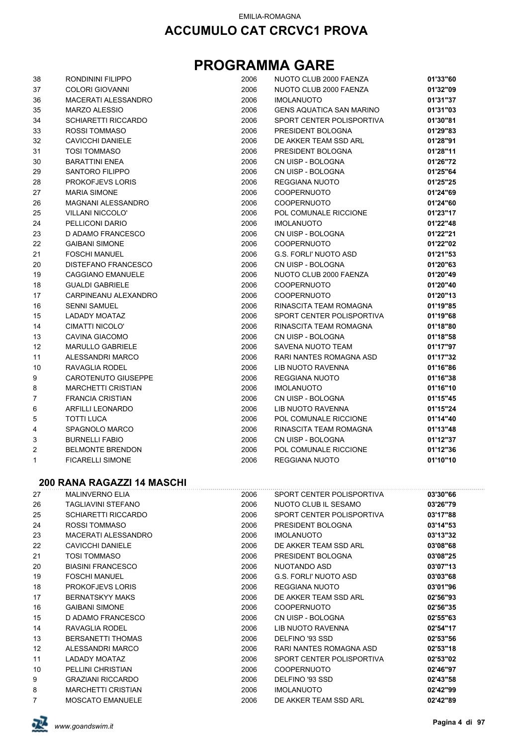| 38 | RONDININI FILIPPO          | 2006 | NUOTO CLUB 2000 FAENZA          | 01'33"60 |
|----|----------------------------|------|---------------------------------|----------|
| 37 | <b>COLORI GIOVANNI</b>     | 2006 | NUOTO CLUB 2000 FAENZA          | 01'32"09 |
| 36 | MACERATI ALESSANDRO        | 2006 | <b>IMOLANUOTO</b>               | 01'31"37 |
| 35 | MARZO ALESSIO              | 2006 | <b>GENS AQUATICA SAN MARINO</b> | 01'31"03 |
| 34 | <b>SCHIARETTI RICCARDO</b> | 2006 | SPORT CENTER POLISPORTIVA       | 01'30"81 |
| 33 | ROSSI TOMMASO              | 2006 | PRESIDENT BOLOGNA               | 01'29"83 |
| 32 | <b>CAVICCHI DANIELE</b>    | 2006 | DE AKKER TEAM SSD ARL           | 01'28"91 |
| 31 | <b>TOSI TOMMASO</b>        | 2006 | PRESIDENT BOLOGNA               | 01'28"11 |
| 30 | <b>BARATTINI ENEA</b>      | 2006 | CN UISP - BOLOGNA               | 01'26"72 |
| 29 | SANTORO FILIPPO            | 2006 | CN UISP - BOLOGNA               | 01'25"64 |
|    |                            |      |                                 |          |
| 28 | <b>PROKOFJEVS LORIS</b>    | 2006 | REGGIANA NUOTO                  | 01'25"25 |
| 27 | <b>MARIA SIMONE</b>        | 2006 | <b>COOPERNUOTO</b>              | 01'24"69 |
| 26 | <b>MAGNANI ALESSANDRO</b>  | 2006 | <b>COOPERNUOTO</b>              | 01'24"60 |
| 25 | <b>VILLANI NICCOLO'</b>    | 2006 | POL COMUNALE RICCIONE           | 01'23"17 |
| 24 | PELLICONI DARIO            | 2006 | <b>IMOLANUOTO</b>               | 01'22"48 |
| 23 | D ADAMO FRANCESCO          | 2006 | CN UISP - BOLOGNA               | 01'22"21 |
| 22 | <b>GAIBANI SIMONE</b>      | 2006 | <b>COOPERNUOTO</b>              | 01'22"02 |
| 21 | <b>FOSCHI MANUEL</b>       | 2006 | G.S. FORLI' NUOTO ASD           | 01'21"53 |
| 20 | DISTEFANO FRANCESCO        | 2006 | CN UISP - BOLOGNA               | 01'20"63 |
| 19 | <b>CAGGIANO EMANUELE</b>   | 2006 | NUOTO CLUB 2000 FAENZA          | 01'20"49 |
| 18 | <b>GUALDI GABRIELE</b>     | 2006 | <b>COOPERNUOTO</b>              | 01'20"40 |
| 17 | CARPINEANU ALEXANDRO       | 2006 | <b>COOPERNUOTO</b>              | 01'20"13 |
| 16 | <b>SENNI SAMUEL</b>        | 2006 | RINASCITA TEAM ROMAGNA          | 01'19"85 |
| 15 | LADADY MOATAZ              | 2006 | SPORT CENTER POLISPORTIVA       | 01'19"68 |
| 14 | CIMATTI NICOLO'            | 2006 | RINASCITA TEAM ROMAGNA          | 01'18"80 |
| 13 | CAVINA GIACOMO             | 2006 | CN UISP - BOLOGNA               | 01'18"58 |
| 12 | MARULLO GABRIELE           | 2006 | SAVENA NUOTO TEAM               | 01'17"97 |
| 11 | ALESSANDRI MARCO           | 2006 | RARI NANTES ROMAGNA ASD         | 01'17"32 |
| 10 | RAVAGLIA RODEL             | 2006 | LIB NUOTO RAVENNA               | 01'16"86 |
| 9  | CAROTENUTO GIUSEPPE        | 2006 | REGGIANA NUOTO                  | 01'16"38 |
|    |                            |      |                                 | 01'16"10 |
| 8  | <b>MARCHETTI CRISTIAN</b>  | 2006 | <b>IMOLANUOTO</b>               |          |
| 7  | <b>FRANCIA CRISTIAN</b>    | 2006 | CN UISP - BOLOGNA               | 01'15"45 |
| 6  | <b>ARFILLI LEONARDO</b>    | 2006 | LIB NUOTO RAVENNA               | 01'15"24 |
| 5  | TOTTI LUCA                 | 2006 | POL COMUNALE RICCIONE           | 01'14"40 |
| 4  | SPAGNOLO MARCO             | 2006 | RINASCITA TEAM ROMAGNA          | 01'13"48 |
| 3  | <b>BURNELLI FABIO</b>      | 2006 | CN UISP - BOLOGNA               | 01'12"37 |
| 2  | <b>BELMONTE BRENDON</b>    | 2006 | POL COMUNALE RICCIONE           | 01'12"36 |
| 1  | <b>FICARELLI SIMONE</b>    | 2006 | REGGIANA NUOTO                  | 01'10"10 |
|    | 200 RANA RAGAZZI 14 MASCHI |      |                                 |          |
| 27 | <b>MALINVERNO ELIA</b>     | 2006 | SPORT CENTER POLISPORTIVA       | 03'30"66 |
| 26 | TAGLIAVINI STEFANO         | 2006 | NUOTO CLUB IL SESAMO            | 03'26"79 |
| 25 | <b>SCHIARETTI RICCARDO</b> | 2006 | SPORT CENTER POLISPORTIVA       | 03'17"88 |
| 24 | <b>ROSSI TOMMASO</b>       | 2006 | PRESIDENT BOLOGNA               | 03'14"53 |
| 23 | MACERATI ALESSANDRO        | 2006 | <b>IMOLANUOTO</b>               | 03'13"32 |
| 22 | <b>CAVICCHI DANIELE</b>    | 2006 | DE AKKER TEAM SSD ARL           | 03'08"68 |
| 21 | <b>TOSI TOMMASO</b>        | 2006 | PRESIDENT BOLOGNA               | 03'08"25 |
| 20 | <b>BIASINI FRANCESCO</b>   | 2006 | NUOTANDO ASD                    | 03'07"13 |
| 19 | <b>FOSCHI MANUEL</b>       | 2006 | <b>G.S. FORLI' NUOTO ASD</b>    | 03'03"68 |
| 18 | <b>PROKOFJEVS LORIS</b>    | 2006 | <b>REGGIANA NUOTO</b>           | 03'01"96 |
| 17 | <b>BERNATSKYY MAKS</b>     | 2006 | DE AKKER TEAM SSD ARL           | 02'56"93 |
| 16 | <b>GAIBANI SIMONE</b>      | 2006 | <b>COOPERNUOTO</b>              | 02'56"35 |
| 15 | D ADAMO FRANCESCO          | 2006 | CN UISP - BOLOGNA               | 02'55"63 |
| 14 | RAVAGLIA RODEL             | 2006 | LIB NUOTO RAVENNA               | 02'54"17 |
|    |                            |      |                                 |          |
| 13 | <b>BERSANETTI THOMAS</b>   | 2006 | DELFINO '93 SSD                 | 02'53"56 |
| 12 | ALESSANDRI MARCO           | 2006 | RARI NANTES ROMAGNA ASD         | 02'53"18 |
| 11 | <b>LADADY MOATAZ</b>       | 2006 | SPORT CENTER POLISPORTIVA       | 02'53"02 |
| 10 | PELLINI CHRISTIAN          | 2006 | <b>COOPERNUOTO</b>              | 02'46"97 |
| 9  | <b>GRAZIANI RICCARDO</b>   | 2006 | DELFINO '93 SSD                 | 02'43"58 |
| 8  | <b>MARCHETTI CRISTIAN</b>  | 2006 | <b>IMOLANUOTO</b>               | 02'42"99 |
| 7  | <b>MOSCATO EMANUELE</b>    | 2006 | DE AKKER TEAM SSD ARL           | 02'42"89 |

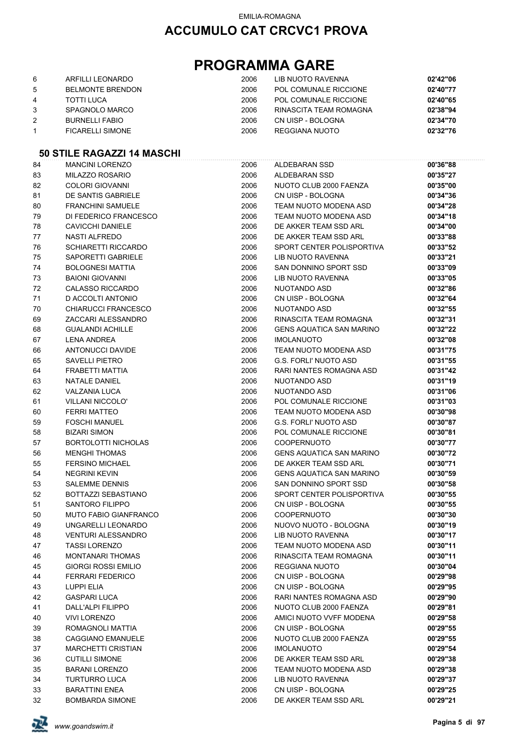## **PROGRAMMA GARE**

| 6 | ARFILLI LEONARDO        | 2006 | LIB NUOTO RAVENNA      | 02'42"06 |
|---|-------------------------|------|------------------------|----------|
| 5 | <b>BELMONTE BRENDON</b> | 2006 | POL COMUNALE RICCIONE  | 02'40"77 |
| 4 | TOTTI LUCA              | 2006 | POL COMUNALE RICCIONE  | 02'40"65 |
|   | SPAGNOLO MARCO          | 2006 | RINASCITA TEAM ROMAGNA | 02'38"94 |
| 2 | <b>BURNELLI FABIO</b>   | 2006 | CN UISP - BOLOGNA      | 02'34"70 |
|   | <b>FICARELLI SIMONE</b> | 2006 | REGGIANA NUOTO         | 02'32"76 |

### **50 STILE RAGAZZI 14 MASCHI**

| 84 | <b>MANCINI LORENZO</b>       | 2006 | ALDEBARAN SSD                   | 00'36"88 |
|----|------------------------------|------|---------------------------------|----------|
| 83 | MILAZZO ROSARIO              | 2006 | ALDEBARAN SSD                   | 00'35"27 |
| 82 | <b>COLORI GIOVANNI</b>       | 2006 | NUOTO CLUB 2000 FAENZA          | 00'35"00 |
| 81 | DE SANTIS GABRIELE           | 2006 | CN UISP - BOLOGNA               | 00'34"36 |
| 80 | <b>FRANCHINI SAMUELE</b>     | 2006 | TEAM NUOTO MODENA ASD           | 00'34"28 |
| 79 | DI FEDERICO FRANCESCO        | 2006 | TEAM NUOTO MODENA ASD           | 00'34"18 |
| 78 | CAVICCHI DANIELE             | 2006 | DE AKKER TEAM SSD ARL           | 00'34"00 |
| 77 | <b>NASTI ALFREDO</b>         | 2006 | DE AKKER TEAM SSD ARL           | 00'33"88 |
| 76 | <b>SCHIARETTI RICCARDO</b>   | 2006 | SPORT CENTER POLISPORTIVA       | 00'33"52 |
| 75 | SAPORETTI GABRIELE           | 2006 | LIB NUOTO RAVENNA               | 00'33"21 |
| 74 | <b>BOLOGNESI MATTIA</b>      | 2006 | SAN DONNINO SPORT SSD           | 00'33"09 |
| 73 | <b>BAIONI GIOVANNI</b>       | 2006 | LIB NUOTO RAVENNA               | 00'33"05 |
| 72 | <b>CALASSO RICCARDO</b>      | 2006 | NUOTANDO ASD                    | 00'32"86 |
| 71 | D ACCOLTI ANTONIO            | 2006 | CN UISP - BOLOGNA               | 00'32"64 |
| 70 | <b>CHIARUCCI FRANCESCO</b>   | 2006 | NUOTANDO ASD                    | 00'32"55 |
| 69 | ZACCARI ALESSANDRO           | 2006 | RINASCITA TEAM ROMAGNA          | 00'32"31 |
| 68 | <b>GUALANDI ACHILLE</b>      | 2006 | <b>GENS AQUATICA SAN MARINO</b> | 00'32"22 |
| 67 | <b>LENA ANDREA</b>           | 2006 | <b>IMOLANUOTO</b>               | 00'32"08 |
| 66 | ANTONUCCI DAVIDE             | 2006 | TEAM NUOTO MODENA ASD           | 00'31"75 |
| 65 | <b>SAVELLI PIETRO</b>        | 2006 | G.S. FORLI' NUOTO ASD           | 00'31"55 |
| 64 | FRABETTI MATTIA              | 2006 | RARI NANTES ROMAGNA ASD         | 00'31"42 |
| 63 | NATALE DANIEL                | 2006 | NUOTANDO ASD                    | 00'31"19 |
| 62 | <b>VALZANIA LUCA</b>         | 2006 | NUOTANDO ASD                    | 00'31"06 |
| 61 | <b>VILLANI NICCOLO'</b>      | 2006 | POL COMUNALE RICCIONE           | 00'31"03 |
| 60 | <b>FERRI MATTEO</b>          | 2006 | TEAM NUOTO MODENA ASD           | 00'30"98 |
| 59 | <b>FOSCHI MANUEL</b>         | 2006 | G.S. FORLI' NUOTO ASD           | 00'30"87 |
| 58 | <b>BIZARI SIMON</b>          | 2006 | POL COMUNALE RICCIONE           | 00'30"81 |
| 57 | <b>BORTOLOTTI NICHOLAS</b>   | 2006 | <b>COOPERNUOTO</b>              | 00'30"77 |
| 56 | <b>MENGHI THOMAS</b>         | 2006 | <b>GENS AQUATICA SAN MARINO</b> | 00'30"72 |
| 55 | <b>FERSINO MICHAEL</b>       | 2006 | DE AKKER TEAM SSD ARL           | 00'30"71 |
| 54 | <b>NEGRINI KEVIN</b>         | 2006 | <b>GENS AQUATICA SAN MARINO</b> | 00'30"59 |
| 53 | <b>SALEMME DENNIS</b>        | 2006 | SAN DONNINO SPORT SSD           | 00'30"58 |
| 52 | BOTTAZZI SEBASTIANO          | 2006 | SPORT CENTER POLISPORTIVA       | 00'30"55 |
| 51 | SANTORO FILIPPO              | 2006 | CN UISP - BOLOGNA               | 00'30"55 |
| 50 | <b>MUTO FABIO GIANFRANCO</b> | 2006 | <b>COOPERNUOTO</b>              | 00'30"30 |
| 49 | UNGARELLI LEONARDO           | 2006 | NUOVO NUOTO - BOLOGNA           | 00'30"19 |
| 48 | <b>VENTURI ALESSANDRO</b>    | 2006 | LIB NUOTO RAVENNA               | 00'30"17 |
| 47 | <b>TASSI LORENZO</b>         | 2006 | TEAM NUOTO MODENA ASD           | 00'30"11 |
| 46 | MONTANARI THOMAS             | 2006 | RINASCITA TEAM ROMAGNA          | 00'30"11 |
| 45 | GIORGI ROSSI EMILIO          | 2006 | <b>REGGIANA NUOTO</b>           | 00'30"04 |
| 44 | <b>FERRARI FEDERICO</b>      | 2006 | CN UISP - BOLOGNA               | 00'29"98 |
| 43 | <b>LUPPI ELIA</b>            | 2006 | CN UISP - BOLOGNA               | 00'29"95 |
| 42 | <b>GASPARI LUCA</b>          | 2006 | RARI NANTES ROMAGNA ASD         | 00'29"90 |
| 41 | DALL'ALPI FILIPPO            | 2006 | NUOTO CLUB 2000 FAENZA          | 00'29"81 |
| 40 | <b>VIVI LORENZO</b>          | 2006 | AMICI NUOTO VVFF MODENA         | 00'29"58 |
| 39 | ROMAGNOLI MATTIA             | 2006 | CN UISP - BOLOGNA               | 00'29"55 |
| 38 | <b>CAGGIANO EMANUELE</b>     | 2006 | NUOTO CLUB 2000 FAENZA          | 00'29"55 |
| 37 | <b>MARCHETTI CRISTIAN</b>    | 2006 | <b>IMOLANUOTO</b>               | 00'29"54 |
| 36 | <b>CUTILLI SIMONE</b>        | 2006 | DE AKKER TEAM SSD ARL           | 00'29"38 |
| 35 | <b>BARANI LORENZO</b>        | 2006 | TEAM NUOTO MODENA ASD           | 00'29"38 |
| 34 | <b>TURTURRO LUCA</b>         | 2006 | LIB NUOTO RAVENNA               | 00'29"37 |
| 33 | <b>BARATTINI ENEA</b>        | 2006 | CN UISP - BOLOGNA               | 00'29"25 |
| 32 | <b>BOMBARDA SIMONE</b>       | 2006 | DE AKKER TEAM SSD ARL           | 00'29"21 |

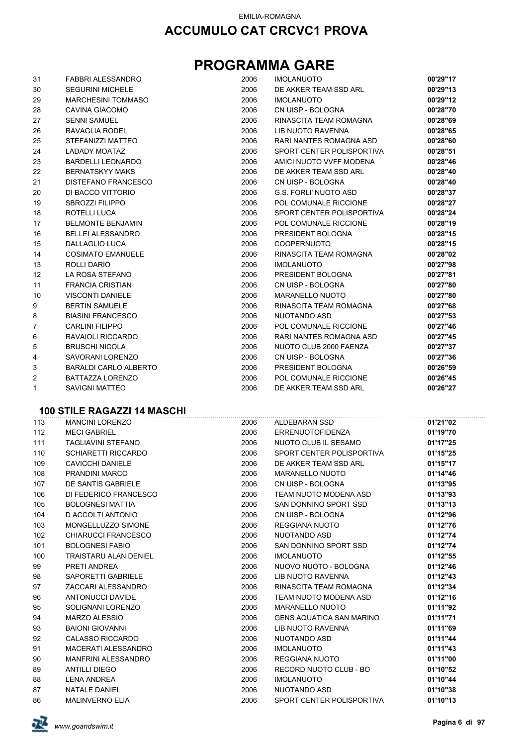## **PROGRAMMA GARE**

| 31             | <b>FABBRI ALESSANDRO</b>   | 2006 | <b>IMOLANUOTO</b>            | 00'29"17 |
|----------------|----------------------------|------|------------------------------|----------|
| 30             | <b>SEGURINI MICHELE</b>    | 2006 | DE AKKER TEAM SSD ARL        | 00'29"13 |
| 29             | <b>MARCHESINI TOMMASO</b>  | 2006 | <b>IMOLANUOTO</b>            | 00'29"12 |
| 28             | CAVINA GIACOMO             | 2006 | CN UISP - BOLOGNA            | 00'28"70 |
| 27             | <b>SENNI SAMUEL</b>        | 2006 | RINASCITA TEAM ROMAGNA       | 00'28"69 |
| 26             | RAVAGLIA RODEL             | 2006 | LIB NUOTO RAVENNA            | 00'28"65 |
| 25             | STEFANIZZI MATTEO          | 2006 | RARI NANTES ROMAGNA ASD      | 00'28"60 |
| 24             | <b>LADADY MOATAZ</b>       | 2006 | SPORT CENTER POLISPORTIVA    | 00'28"51 |
| 23             | <b>BARDELLI LEONARDO</b>   | 2006 | AMICI NUOTO VVFF MODENA      | 00'28"46 |
| 22             | <b>BERNATSKYY MAKS</b>     | 2006 | DE AKKER TEAM SSD ARL        | 00'28"40 |
| 21             | <b>DISTEFANO FRANCESCO</b> | 2006 | CN UISP - BOLOGNA            | 00'28"40 |
| 20             | DI BACCO VITTORIO          | 2006 | <b>G.S. FORLI' NUOTO ASD</b> | 00'28"37 |
| 19             | <b>SBROZZI FILIPPO</b>     | 2006 | POL COMUNALE RICCIONE        | 00'28"27 |
| 18             | ROTELLI LUCA               | 2006 | SPORT CENTER POLISPORTIVA    | 00'28"24 |
| 17             | <b>BELMONTE BENJAMIN</b>   | 2006 | POL COMUNALE RICCIONE        | 00'28"19 |
| 16             | <b>BELLEI ALESSANDRO</b>   | 2006 | PRESIDENT BOLOGNA            | 00'28"15 |
| 15             | <b>DALLAGLIO LUCA</b>      | 2006 | <b>COOPERNUOTO</b>           | 00'28"15 |
| 14             | <b>COSIMATO EMANUELE</b>   | 2006 | RINASCITA TEAM ROMAGNA       | 00'28"02 |
| 13             | ROLLI DARIO                | 2006 | <b>IMOLANUOTO</b>            | 00'27"98 |
| 12             | LA ROSA STEFANO            | 2006 | PRESIDENT BOLOGNA            | 00'27"81 |
| 11             | <b>FRANCIA CRISTIAN</b>    | 2006 | CN UISP - BOLOGNA            | 00'27"80 |
| 10             | <b>VISCONTI DANIELE</b>    | 2006 | <b>MARANELLO NUOTO</b>       | 00'27"80 |
| 9              | <b>BERTIN SAMUELE</b>      | 2006 | RINASCITA TEAM ROMAGNA       | 00'27"68 |
| 8              | <b>BIASINI FRANCESCO</b>   | 2006 | NUOTANDO ASD                 | 00'27"53 |
| $\overline{7}$ | <b>CARLINI FILIPPO</b>     | 2006 | POL COMUNALE RICCIONE        | 00'27"46 |
| 6              | RAVAIOLI RICCARDO          | 2006 | RARI NANTES ROMAGNA ASD      | 00'27"45 |
| 5              | <b>BRUSCHI NICOLA</b>      | 2006 | NUOTO CLUB 2000 FAENZA       | 00'27"37 |
| 4              | SAVORANI LORENZO           | 2006 | CN UISP - BOLOGNA            | 00'27"36 |
| 3              | BARALDI CARLO ALBERTO      | 2006 | PRESIDENT BOLOGNA            | 00'26"59 |
| $\overline{2}$ | <b>BATTAZZA LORENZO</b>    | 2006 | POL COMUNALE RICCIONE        | 00'26"45 |
| $\mathbf{1}$   | <b>SAVIGNI MATTEO</b>      | 2006 | DE AKKER TEAM SSD ARL        | 00'26"27 |

### **100 STILE RAGAZZI 14 MASCHI**

| 113 | <b>MANCINI LORENZO</b>       | 2006 | ALDEBARAN SSD                   | 01'21"02 |
|-----|------------------------------|------|---------------------------------|----------|
| 112 | <b>MECI GABRIEL</b>          | 2006 | ERRENUOTOFIDENZA                | 01'19"70 |
| 111 | <b>TAGLIAVINI STEFANO</b>    | 2006 | NUOTO CLUB IL SESAMO            | 01'17"25 |
| 110 | <b>SCHIARETTI RICCARDO</b>   | 2006 | SPORT CENTER POLISPORTIVA       | 01'15"25 |
| 109 | <b>CAVICCHI DANIELE</b>      | 2006 | DE AKKER TEAM SSD ARL           | 01'15"17 |
| 108 | PRANDINI MARCO               | 2006 | <b>MARANELLO NUOTO</b>          | 01'14"46 |
| 107 | DE SANTIS GABRIELE           | 2006 | CN UISP - BOLOGNA               | 01'13"95 |
| 106 | DI FEDERICO FRANCESCO        | 2006 | TEAM NUOTO MODENA ASD           | 01'13"93 |
| 105 | <b>BOLOGNESI MATTIA</b>      | 2006 | SAN DONNINO SPORT SSD           | 01'13"13 |
| 104 | D ACCOLTI ANTONIO            | 2006 | CN UISP - BOLOGNA               | 01'12"96 |
| 103 | MONGELLUZZO SIMONE           | 2006 | <b>REGGIANA NUOTO</b>           | 01'12"76 |
| 102 | <b>CHIARUCCI FRANCESCO</b>   | 2006 | NUOTANDO ASD                    | 01'12"74 |
| 101 | <b>BOLOGNESI FABIO</b>       | 2006 | SAN DONNINO SPORT SSD           | 01'12"74 |
| 100 | <b>TRAISTARU ALAN DENIEL</b> | 2006 | <b>IMOLANUOTO</b>               | 01'12"55 |
| 99  | PRETI ANDREA                 | 2006 | NUOVO NUOTO - BOLOGNA           | 01'12"46 |
| 98  | SAPORETTI GABRIELE           | 2006 | LIB NUOTO RAVENNA               | 01'12"43 |
| 97  | ZACCARI ALESSANDRO           | 2006 | RINASCITA TEAM ROMAGNA          | 01'12"34 |
| 96  | ANTONUCCI DAVIDE             | 2006 | TEAM NUOTO MODENA ASD           | 01'12"16 |
| 95  | SOLIGNANI LORENZO            | 2006 | <b>MARANELLO NUOTO</b>          | 01'11"92 |
| 94  | MARZO ALESSIO                | 2006 | <b>GENS AQUATICA SAN MARINO</b> | 01'11"71 |
| 93  | <b>BAIONI GIOVANNI</b>       | 2006 | LIB NUOTO RAVENNA               | 01'11"69 |
| 92  | CALASSO RICCARDO             | 2006 | NUOTANDO ASD                    | 01'11"44 |
| 91  | <b>MACERATI ALESSANDRO</b>   | 2006 | <b>IMOLANUOTO</b>               | 01'11"43 |
| 90  | <b>MANFRINI ALESSANDRO</b>   | 2006 | REGGIANA NUOTO                  | 01'11"00 |
| 89  | <b>ANTILLI DIEGO</b>         | 2006 | RECORD NUOTO CLUB - BO          | 01'10"52 |
| 88  | <b>LENA ANDREA</b>           | 2006 | <b>IMOLANUOTO</b>               | 01'10"44 |
| 87  | <b>NATALE DANIEL</b>         | 2006 | NUOTANDO ASD                    | 01'10"38 |
| 86  | <b>MALINVERNO ELIA</b>       | 2006 | SPORT CENTER POLISPORTIVA       | 01'10"13 |

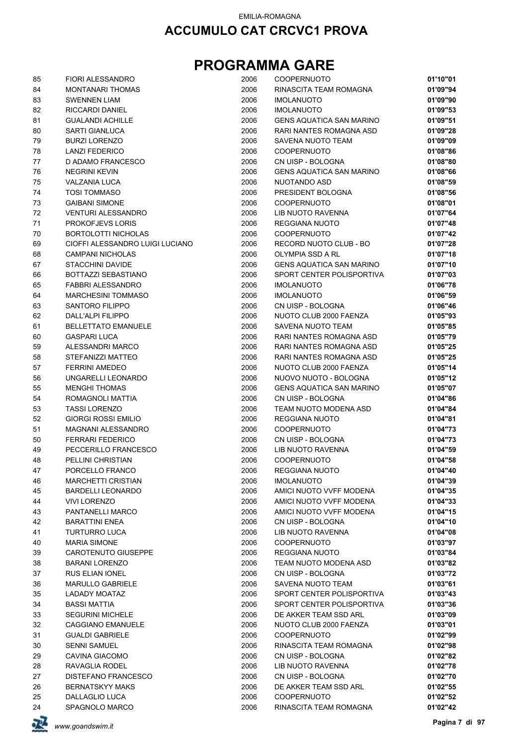| 85       | <b>FIORI ALESSANDRO</b>               | 2006         | <b>COOPERNUOTO</b>                          | 01'10"01             |
|----------|---------------------------------------|--------------|---------------------------------------------|----------------------|
| 84       | <b>MONTANARI THOMAS</b>               | 2006         | RINASCITA TEAM ROMAGNA                      | 01'09"94             |
| 83       | <b>SWENNEN LIAM</b>                   | 2006         | <b>IMOLANUOTO</b>                           | 01'09"90             |
| 82       | <b>RICCARDI DANIEL</b>                | 2006         | <b>IMOLANUOTO</b>                           | 01'09"53             |
| 81       | <b>GUALANDI ACHILLE</b>               | 2006         | <b>GENS AQUATICA SAN MARINO</b>             | 01'09"51             |
| 80       | <b>SARTI GIANLUCA</b>                 | 2006         | RARI NANTES ROMAGNA ASD                     | 01'09"28             |
| 79       | <b>BURZI LORENZO</b>                  | 2006         | SAVENA NUOTO TEAM                           | 01'09"09             |
| 78       | <b>LANZI FEDERICO</b>                 | 2006         | COOPERNUOTO                                 | 01'08"86             |
| 77       | D ADAMO FRANCESCO                     | 2006         | CN UISP - BOLOGNA                           | 01'08"80             |
| 76       | <b>NEGRINI KEVIN</b>                  | 2006         | <b>GENS AQUATICA SAN MARINO</b>             | 01'08"66             |
| 75       | <b>VALZANIA LUCA</b>                  | 2006         | NUOTANDO ASD                                | 01'08"59             |
| 74       | <b>TOSI TOMMASO</b>                   | 2006         | PRESIDENT BOLOGNA                           | 01'08"56             |
| 73       | <b>GAIBANI SIMONE</b>                 | 2006         | <b>COOPERNUOTO</b>                          | 01'08"01             |
| 72       | <b>VENTURI ALESSANDRO</b>             | 2006         | LIB NUOTO RAVENNA                           | 01'07"64             |
| 71       | <b>PROKOFJEVS LORIS</b>               | 2006         | <b>REGGIANA NUOTO</b>                       | 01'07"48             |
| 70       | <b>BORTOLOTTI NICHOLAS</b>            | 2006         | <b>COOPERNUOTO</b>                          | 01'07"42             |
| 69       | CIOFFI ALESSANDRO LUIGI LUCIANO       | 2006         | RECORD NUOTO CLUB - BO                      | 01'07"28             |
| 68       | <b>CAMPANI NICHOLAS</b>               | 2006         | OLYMPIA SSD A RL                            | 01'07"18             |
| 67       | <b>STACCHINI DAVIDE</b>               | 2006         | <b>GENS AQUATICA SAN MARINO</b>             | 01'07"10             |
| 66       | BOTTAZZI SEBASTIANO                   | 2006         | SPORT CENTER POLISPORTIVA                   | 01'07"03             |
| 65       | <b>FABBRI ALESSANDRO</b>              | 2006<br>2006 | <b>IMOLANUOTO</b>                           | 01'06"78             |
| 64       | <b>MARCHESINI TOMMASO</b>             |              | <b>IMOLANUOTO</b>                           | 01'06"59             |
| 63<br>62 | SANTORO FILIPPO<br>DALL'ALPI FILIPPO  | 2006<br>2006 | CN UISP - BOLOGNA<br>NUOTO CLUB 2000 FAENZA | 01'06"46<br>01'05"93 |
| 61       | <b>BELLETTATO EMANUELE</b>            | 2006         | SAVENA NUOTO TEAM                           | 01'05"85             |
| 60       | <b>GASPARI LUCA</b>                   | 2006         | RARI NANTES ROMAGNA ASD                     | 01'05"79             |
| 59       | ALESSANDRI MARCO                      | 2006         | RARI NANTES ROMAGNA ASD                     | 01'05"25             |
| 58       | STEFANIZZI MATTEO                     | 2006         | RARI NANTES ROMAGNA ASD                     | 01'05"25             |
| 57       | <b>FERRINI AMEDEO</b>                 | 2006         | NUOTO CLUB 2000 FAENZA                      | 01'05"14             |
| 56       | UNGARELLI LEONARDO                    | 2006         | NUOVO NUOTO - BOLOGNA                       | 01'05"12             |
| 55       | <b>MENGHI THOMAS</b>                  | 2006         | <b>GENS AQUATICA SAN MARINO</b>             | 01'05"07             |
| 54       | ROMAGNOLI MATTIA                      | 2006         | CN UISP - BOLOGNA                           | 01'04"86             |
| 53       | <b>TASSI LORENZO</b>                  | 2006         | TEAM NUOTO MODENA ASD                       | 01'04"84             |
| 52       | <b>GIORGI ROSSI EMILIO</b>            | 2006         | <b>REGGIANA NUOTO</b>                       | 01'04"81             |
| 51       | <b>MAGNANI ALESSANDRO</b>             | 2006         | <b>COOPERNUOTO</b>                          | 01'04"73             |
| 50       | <b>FERRARI FEDERICO</b>               | 2006         | CN UISP - BOLOGNA                           | 01'04"73             |
| 49       | PECCERILLO FRANCESCO                  | 2006         | LIB NUOTO RAVENNA                           | 01'04"59             |
| 48       | PELLINI CHRISTIAN                     | 2006         | COOPERNUOTO                                 | 01'04"58             |
| 47       | PORCELLO FRANCO                       | 2006         | <b>REGGIANA NUOTO</b>                       | 01'04"40             |
| 46       | <b>MARCHETTI CRISTIAN</b>             | 2006         | <b>IMOLANUOTO</b>                           | 01'04"39             |
| 45       | <b>BARDELLI LEONARDO</b>              | 2006         | AMICI NUOTO VVFF MODENA                     | 01'04"35             |
| 44       | <b>VIVI LORENZO</b>                   | 2006         | AMICI NUOTO VVFF MODENA                     | 01'04"33             |
| 43       | PANTANELLI MARCO                      | 2006         | AMICI NUOTO VVFF MODENA                     | 01'04"15             |
| 42       | <b>BARATTINI ENEA</b>                 | 2006         | CN UISP - BOLOGNA                           | 01'04"10             |
| 41       | <b>TURTURRO LUCA</b>                  | 2006         | <b>LIB NUOTO RAVENNA</b>                    | 01'04"08             |
| 40       | <b>MARIA SIMONE</b>                   | 2006         | <b>COOPERNUOTO</b>                          | 01'03"97             |
| 39       | CAROTENUTO GIUSEPPE                   | 2006         | <b>REGGIANA NUOTO</b>                       | 01'03"84             |
| 38       | <b>BARANI LORENZO</b>                 | 2006         | TEAM NUOTO MODENA ASD                       | 01'03"82             |
| 37       | RUS ELIAN IONEL                       | 2006         | CN UISP - BOLOGNA                           | 01'03"72             |
| 36       | <b>MARULLO GABRIELE</b>               | 2006         | SAVENA NUOTO TEAM                           | 01'03"61             |
| 35       | LADADY MOATAZ                         | 2006         | SPORT CENTER POLISPORTIVA                   | 01'03"43             |
| 34       | <b>BASSI MATTIA</b>                   | 2006         | SPORT CENTER POLISPORTIVA                   | 01'03"36             |
| 33       | <b>SEGURINI MICHELE</b>               | 2006         | DE AKKER TEAM SSD ARL                       | 01'03"09             |
| 32       | <b>CAGGIANO EMANUELE</b>              | 2006         | NUOTO CLUB 2000 FAENZA                      | 01'03"01             |
| 31       | <b>GUALDI GABRIELE</b>                | 2006         | <b>COOPERNUOTO</b>                          | 01'02"99             |
| 30       | <b>SENNI SAMUEL</b><br>CAVINA GIACOMO | 2006<br>2006 | RINASCITA TEAM ROMAGNA<br>CN UISP - BOLOGNA | 01'02"98<br>01'02"82 |
| 29<br>28 | RAVAGLIA RODEL                        | 2006         | LIB NUOTO RAVENNA                           | 01'02"78             |
| 27       | DISTEFANO FRANCESCO                   | 2006         | CN UISP - BOLOGNA                           | 01'02"70             |
| 26       | <b>BERNATSKYY MAKS</b>                | 2006         | DE AKKER TEAM SSD ARL                       | 01'02"55             |
| 25       | DALLAGLIO LUCA                        | 2006         | COOPERNUOTO                                 | 01'02"52             |
| 24       | SPAGNOLO MARCO                        | 2006         | RINASCITA TEAM ROMAGNA                      | 01'02"42             |
|          |                                       |              |                                             |                      |

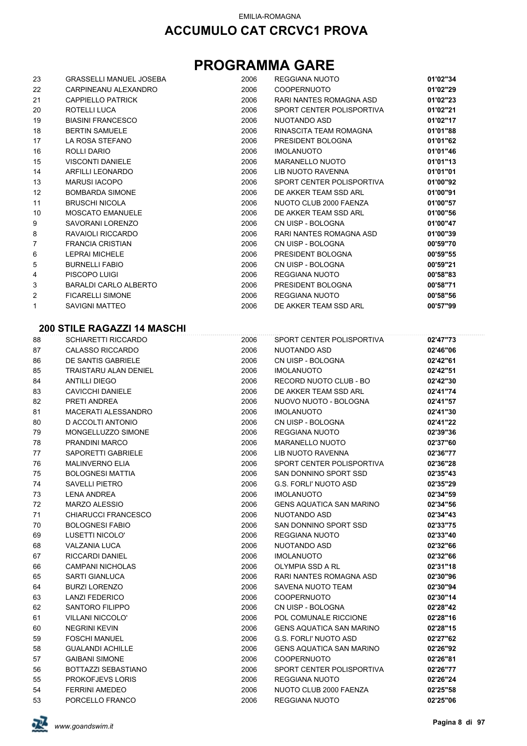## **PROGRAMMA GARE**

| 23             | <b>GRASSELLI MANUEL JOSEBA</b> | 2006 | REGGIANA NUOTO            | 01'02"34 |
|----------------|--------------------------------|------|---------------------------|----------|
| 22             | CARPINEANU ALEXANDRO           | 2006 | <b>COOPERNUOTO</b>        | 01'02"29 |
| 21             | <b>CAPPIELLO PATRICK</b>       | 2006 | RARI NANTES ROMAGNA ASD   | 01'02"23 |
| 20             | ROTELLI LUCA                   | 2006 | SPORT CENTER POLISPORTIVA | 01'02"21 |
| 19             | <b>BIASINI FRANCESCO</b>       | 2006 | NUOTANDO ASD              | 01'02"17 |
| 18             | <b>BERTIN SAMUELE</b>          | 2006 | RINASCITA TEAM ROMAGNA    | 01'01"88 |
| 17             | LA ROSA STEFANO                | 2006 | PRESIDENT BOLOGNA         | 01'01"62 |
| 16             | ROLLI DARIO                    | 2006 | <b>IMOLANUOTO</b>         | 01'01"46 |
| 15             | <b>VISCONTI DANIELE</b>        | 2006 | MARANELLO NUOTO           | 01'01"13 |
| 14             | <b>ARFILLI LEONARDO</b>        | 2006 | LIB NUOTO RAVENNA         | 01'01"01 |
| 13             | <b>MARUSI IACOPO</b>           | 2006 | SPORT CENTER POLISPORTIVA | 01'00"92 |
| 12             | <b>BOMBARDA SIMONE</b>         | 2006 | DE AKKER TEAM SSD ARL     | 01'00"91 |
| 11             | <b>BRUSCHI NICOLA</b>          | 2006 | NUOTO CLUB 2000 FAENZA    | 01'00"57 |
| 10             | <b>MOSCATO EMANUELE</b>        | 2006 | DE AKKER TEAM SSD ARL     | 01'00"56 |
| 9              | SAVORANI LORENZO               | 2006 | CN UISP - BOLOGNA         | 01'00"47 |
| 8              | RAVAIOLI RICCARDO              | 2006 | RARI NANTES ROMAGNA ASD   | 01'00"39 |
| 7              | <b>FRANCIA CRISTIAN</b>        | 2006 | CN UISP - BOLOGNA         | 00'59"70 |
| 6              | <b>LEPRAI MICHELE</b>          | 2006 | PRESIDENT BOLOGNA         | 00'59"55 |
| 5              | <b>BURNELLI FABIO</b>          | 2006 | CN UISP - BOLOGNA         | 00'59"21 |
| 4              | PISCOPO LUIGI                  | 2006 | <b>REGGIANA NUOTO</b>     | 00'58"83 |
| 3              | BARALDI CARLO ALBERTO          | 2006 | PRESIDENT BOLOGNA         | 00'58"71 |
| $\overline{2}$ | <b>FICARELLI SIMONE</b>        | 2006 | <b>REGGIANA NUOTO</b>     | 00'58"56 |
| 1              | <b>SAVIGNI MATTEO</b>          | 2006 | DE AKKER TEAM SSD ARL     | 00'57"99 |
|                |                                |      |                           |          |

## **200 STILE RAGAZZI 14 MASCHI**<br>88 SCHIARETTI RICCARDO

|    | ZUU ƏTILE RAUAZZI 14 MAƏLINI |      |                                 |          |
|----|------------------------------|------|---------------------------------|----------|
| 88 | SCHIARETTI RICCARDO          | 2006 | SPORT CENTER POLISPORTIVA       | 02'47"73 |
| 87 | <b>CALASSO RICCARDO</b>      | 2006 | NUOTANDO ASD                    | 02'46"06 |
| 86 | DE SANTIS GABRIELE           | 2006 | CN UISP - BOLOGNA               | 02'42"61 |
| 85 | <b>TRAISTARU ALAN DENIEL</b> | 2006 | <b>IMOLANUOTO</b>               | 02'42"51 |
| 84 | <b>ANTILLI DIEGO</b>         | 2006 | RECORD NUOTO CLUB - BO          | 02'42"30 |
| 83 | <b>CAVICCHI DANIELE</b>      | 2006 | DE AKKER TEAM SSD ARL           | 02'41"74 |
| 82 | PRETI ANDREA                 | 2006 | NUOVO NUOTO - BOLOGNA           | 02'41"57 |
| 81 | MACERATI ALESSANDRO          | 2006 | <b>IMOLANUOTO</b>               | 02'41"30 |
| 80 | D ACCOLTI ANTONIO            | 2006 | CN UISP - BOLOGNA               | 02'41"22 |
| 79 | MONGELLUZZO SIMONE           | 2006 | REGGIANA NUOTO                  | 02'39"36 |
| 78 | PRANDINI MARCO               | 2006 | <b>MARANELLO NUOTO</b>          | 02'37"60 |
| 77 | SAPORETTI GABRIELE           | 2006 | LIB NUOTO RAVENNA               | 02'36"77 |
| 76 | <b>MALINVERNO ELIA</b>       | 2006 | SPORT CENTER POLISPORTIVA       | 02'36"28 |
| 75 | <b>BOLOGNESI MATTIA</b>      | 2006 | SAN DONNINO SPORT SSD           | 02'35"43 |
| 74 | SAVELLI PIETRO               | 2006 | <b>G.S. FORLI' NUOTO ASD</b>    | 02'35"29 |
| 73 | <b>LENA ANDREA</b>           | 2006 | <b>IMOLANUOTO</b>               | 02'34"59 |
| 72 | <b>MARZO ALESSIO</b>         | 2006 | <b>GENS AQUATICA SAN MARINO</b> | 02'34"56 |
| 71 | CHIARUCCI FRANCESCO          | 2006 | NUOTANDO ASD                    | 02'34"43 |
| 70 | <b>BOLOGNESI FABIO</b>       | 2006 | SAN DONNINO SPORT SSD           | 02'33"75 |
| 69 | <b>LUSETTI NICOLO'</b>       | 2006 | REGGIANA NUOTO                  | 02'33"40 |
| 68 | <b>VALZANIA LUCA</b>         | 2006 | NUOTANDO ASD                    | 02'32"66 |
| 67 | <b>RICCARDI DANIEL</b>       | 2006 | <b>IMOLANUOTO</b>               | 02'32"66 |
| 66 | <b>CAMPANI NICHOLAS</b>      | 2006 | OLYMPIA SSD A RL                | 02'31"18 |
| 65 | <b>SARTI GIANLUCA</b>        | 2006 | RARI NANTES ROMAGNA ASD         | 02'30"96 |
| 64 | <b>BURZI LORENZO</b>         | 2006 | SAVENA NUOTO TEAM               | 02'30"94 |
| 63 | <b>LANZI FEDERICO</b>        | 2006 | <b>COOPERNUOTO</b>              | 02'30"14 |
| 62 | SANTORO FILIPPO              | 2006 | CN UISP - BOLOGNA               | 02'28"42 |
| 61 | <b>VILLANI NICCOLO'</b>      | 2006 | POL COMUNALE RICCIONE           | 02'28"16 |
| 60 | <b>NEGRINI KEVIN</b>         | 2006 | <b>GENS AQUATICA SAN MARINO</b> | 02'28"15 |
| 59 | <b>FOSCHI MANUEL</b>         | 2006 | <b>G.S. FORLI' NUOTO ASD</b>    | 02'27"62 |
| 58 | <b>GUALANDI ACHILLE</b>      | 2006 | <b>GENS AQUATICA SAN MARINO</b> | 02'26"92 |
| 57 | <b>GAIBANI SIMONE</b>        | 2006 | <b>COOPERNUOTO</b>              | 02'26"81 |
| 56 | BOTTAZZI SEBASTIANO          | 2006 | SPORT CENTER POLISPORTIVA       | 02'26"77 |
| 55 | <b>PROKOFJEVS LORIS</b>      | 2006 | REGGIANA NUOTO                  | 02'26"24 |
| 54 | <b>FERRINI AMEDEO</b>        | 2006 | NUOTO CLUB 2000 FAENZA          | 02'25"58 |
| 53 | PORCELLO FRANCO              | 2006 | REGGIANA NUOTO                  | 02'25"06 |
|    |                              |      |                                 |          |

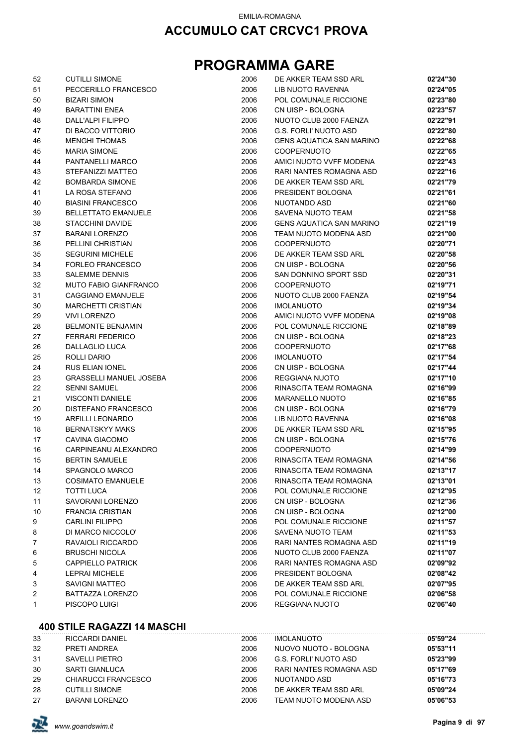## **PROGRAMMA GARE**

| 52 | <b>CUTILLI SIMONE</b>          | 2006 | DE AKKER TEAM SSD ARL           | 02'24"30 |
|----|--------------------------------|------|---------------------------------|----------|
| 51 | PECCERILLO FRANCESCO           | 2006 | LIB NUOTO RAVENNA               | 02'24"05 |
| 50 | <b>BIZARI SIMON</b>            | 2006 | POL COMUNALE RICCIONE           | 02'23"80 |
| 49 | <b>BARATTINI ENEA</b>          | 2006 | CN UISP - BOLOGNA               | 02'23"57 |
| 48 | DALL'ALPI FILIPPO              | 2006 | NUOTO CLUB 2000 FAENZA          | 02'22"91 |
| 47 | DI BACCO VITTORIO              | 2006 | <b>G.S. FORLI' NUOTO ASD</b>    | 02'22"80 |
| 46 | <b>MENGHI THOMAS</b>           | 2006 | <b>GENS AQUATICA SAN MARINO</b> | 02'22"68 |
| 45 | <b>MARIA SIMONE</b>            | 2006 | <b>COOPERNUOTO</b>              | 02'22"65 |
| 44 | PANTANELLI MARCO               | 2006 | AMICI NUOTO VVFF MODENA         | 02'22"43 |
| 43 | STEFANIZZI MATTEO              | 2006 | RARI NANTES ROMAGNA ASD         | 02'22"16 |
| 42 | <b>BOMBARDA SIMONE</b>         | 2006 | DE AKKER TEAM SSD ARL           | 02'21"79 |
| 41 | LA ROSA STEFANO                | 2006 | PRESIDENT BOLOGNA               | 02'21"61 |
| 40 | <b>BIASINI FRANCESCO</b>       | 2006 | NUOTANDO ASD                    | 02'21"60 |
| 39 | <b>BELLETTATO EMANUELE</b>     | 2006 | SAVENA NUOTO TEAM               | 02'21"58 |
| 38 | <b>STACCHINI DAVIDE</b>        | 2006 | <b>GENS AQUATICA SAN MARINO</b> | 02'21"19 |
| 37 | <b>BARANI LORENZO</b>          | 2006 | TEAM NUOTO MODENA ASD           | 02'21"00 |
| 36 | PELLINI CHRISTIAN              | 2006 | <b>COOPERNUOTO</b>              | 02'20"71 |
| 35 | <b>SEGURINI MICHELE</b>        | 2006 | DE AKKER TEAM SSD ARL           | 02'20"58 |
| 34 | <b>FORLEO FRANCESCO</b>        | 2006 | CN UISP - BOLOGNA               | 02'20"56 |
| 33 | <b>SALEMME DENNIS</b>          | 2006 | SAN DONNINO SPORT SSD           | 02'20"31 |
| 32 | <b>MUTO FABIO GIANFRANCO</b>   | 2006 | <b>COOPERNUOTO</b>              | 02'19"71 |
| 31 | <b>CAGGIANO EMANUELE</b>       | 2006 | NUOTO CLUB 2000 FAENZA          | 02'19"54 |
| 30 | <b>MARCHETTI CRISTIAN</b>      | 2006 | <b>IMOLANUOTO</b>               | 02'19"34 |
| 29 | <b>VIVI LORENZO</b>            | 2006 | AMICI NUOTO VVFF MODENA         | 02'19"08 |
| 28 | <b>BELMONTE BENJAMIN</b>       | 2006 | POL COMUNALE RICCIONE           | 02'18"89 |
| 27 | <b>FERRARI FEDERICO</b>        | 2006 | CN UISP - BOLOGNA               | 02'18"23 |
| 26 | DALLAGLIO LUCA                 | 2006 | <b>COOPERNUOTO</b>              | 02'17"68 |
| 25 | ROLLI DARIO                    | 2006 | <b>IMOLANUOTO</b>               | 02'17"54 |
| 24 | RUS ELIAN IONEL                | 2006 | CN UISP - BOLOGNA               | 02'17"44 |
| 23 | <b>GRASSELLI MANUEL JOSEBA</b> | 2006 | REGGIANA NUOTO                  | 02'17"10 |
| 22 | <b>SENNI SAMUEL</b>            | 2006 | RINASCITA TEAM ROMAGNA          | 02'16"99 |
| 21 | <b>VISCONTI DANIELE</b>        | 2006 | <b>MARANELLO NUOTO</b>          | 02'16"85 |
| 20 | DISTEFANO FRANCESCO            | 2006 | CN UISP - BOLOGNA               | 02'16"79 |
| 19 | <b>ARFILLI LEONARDO</b>        | 2006 | LIB NUOTO RAVENNA               | 02'16"08 |
| 18 | <b>BERNATSKYY MAKS</b>         | 2006 | DE AKKER TEAM SSD ARL           | 02'15"95 |
| 17 | CAVINA GIACOMO                 | 2006 | CN UISP - BOLOGNA               | 02'15"76 |
| 16 | CARPINEANU ALEXANDRO           | 2006 | <b>COOPERNUOTO</b>              | 02'14"99 |
| 15 | <b>BERTIN SAMUELE</b>          | 2006 | RINASCITA TEAM ROMAGNA          | 02'14"56 |
| 14 | SPAGNOLO MARCO                 | 2006 | RINASCITA TEAM ROMAGNA          | 02'13"17 |
| 13 | <b>COSIMATO EMANUELE</b>       | 2006 | RINASCITA TEAM ROMAGNA          | 02'13"01 |
| 12 | TOTTI LUCA                     | 2006 | POL COMUNALE RICCIONE           | 02'12"95 |
| 11 | SAVORANI LORENZO               | 2006 | CN UISP - BOLOGNA               | 02'12"36 |
| 10 | <b>FRANCIA CRISTIAN</b>        | 2006 | CN UISP - BOLOGNA               | 02'12"00 |
| 9  | <b>CARLINI FILIPPO</b>         | 2006 | POL COMUNALE RICCIONE           | 02'11"57 |
| 8  | DI MARCO NICCOLO'              | 2006 | SAVENA NUOTO TEAM               | 02'11"53 |
| 7  | RAVAIOLI RICCARDO              | 2006 | RARI NANTES ROMAGNA ASD         | 02'11"19 |
| 6  | <b>BRUSCHI NICOLA</b>          | 2006 | NUOTO CLUB 2000 FAENZA          | 02'11"07 |
| 5  | <b>CAPPIELLO PATRICK</b>       | 2006 | RARI NANTES ROMAGNA ASD         | 02'09"92 |
| 4  | <b>LEPRAI MICHELE</b>          | 2006 | PRESIDENT BOLOGNA               | 02'08"42 |
| 3  | <b>SAVIGNI MATTEO</b>          | 2006 | DE AKKER TEAM SSD ARL           | 02'07"95 |
| 2  | BATTAZZA LORENZO               | 2006 | POL COMUNALE RICCIONE           | 02'06"58 |
| 1  | PISCOPO LUIGI                  | 2006 | <b>REGGIANA NUOTO</b>           | 02'06"40 |

### **400 STILE RAGAZZI 14 MASCHI**

| 33 | <b>RICCARDI DANIEL</b> | 2006 | <b>IMOLANUOTO</b>       | 05'59"24 |
|----|------------------------|------|-------------------------|----------|
| 32 | PRETI ANDREA           | 2006 | NUOVO NUOTO - BOLOGNA   | 05'53"11 |
| 31 | SAVELLI PIETRO         | 2006 | G.S. FORLI' NUOTO ASD   | 05'23"99 |
| 30 | SARTI GIANLUCA         | 2006 | RARI NANTES ROMAGNA ASD | 05'17"69 |
| 29 | CHIARUCCI FRANCESCO    | 2006 | NUOTANDO ASD            | 05'16"73 |
| 28 | <b>CUTILLI SIMONE</b>  | 2006 | DE AKKER TEAM SSD ARL   | 05'09"24 |
| 27 | BARANI LORENZO         | 2006 | TEAM NUOTO MODENA ASD   | 05'06"53 |

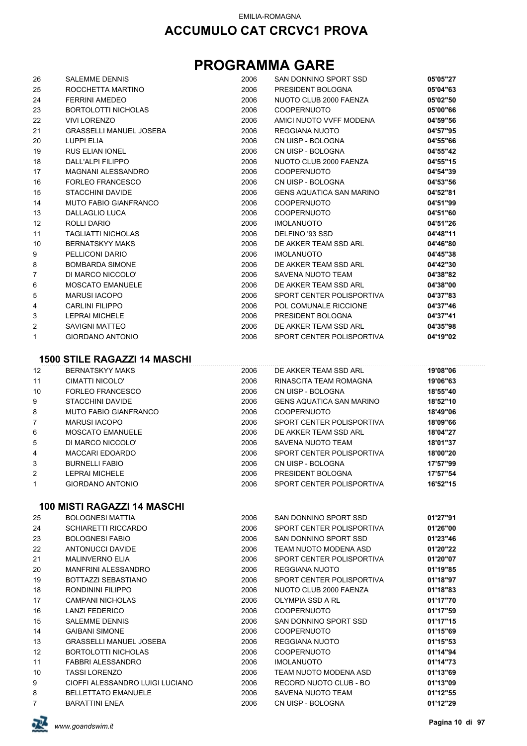## **PROGRAMMA GARE**

| 26                | <b>SALEMME DENNIS</b>               | 2006 | SAN DONNINO SPORT SSD           | 05'05"27 |
|-------------------|-------------------------------------|------|---------------------------------|----------|
| 25                | ROCCHETTA MARTINO                   | 2006 | PRESIDENT BOLOGNA               | 05'04"63 |
| 24                | <b>FERRINI AMEDEO</b>               | 2006 | NUOTO CLUB 2000 FAENZA          | 05'02"50 |
| 23                | <b>BORTOLOTTI NICHOLAS</b>          | 2006 | <b>COOPERNUOTO</b>              | 05'00"66 |
| 22                | <b>VIVI LORENZO</b>                 | 2006 | AMICI NUOTO VVFF MODENA         | 04'59"56 |
| 21                | <b>GRASSELLI MANUEL JOSEBA</b>      | 2006 | <b>REGGIANA NUOTO</b>           | 04'57"95 |
| 20                | <b>LUPPI ELIA</b>                   | 2006 | CN UISP - BOLOGNA               | 04'55"66 |
| 19                | <b>RUS ELIAN IONEL</b>              | 2006 | CN UISP - BOLOGNA               | 04'55"42 |
| 18                | DALL'ALPI FILIPPO                   | 2006 | NUOTO CLUB 2000 FAENZA          | 04'55"15 |
| 17                | <b>MAGNANI ALESSANDRO</b>           | 2006 | <b>COOPERNUOTO</b>              | 04'54"39 |
| 16                | <b>FORLEO FRANCESCO</b>             | 2006 | CN UISP - BOLOGNA               | 04'53"56 |
| 15                | <b>STACCHINI DAVIDE</b>             | 2006 | <b>GENS AQUATICA SAN MARINO</b> | 04'52"81 |
| 14                | <b>MUTO FABIO GIANFRANCO</b>        | 2006 | <b>COOPERNUOTO</b>              | 04'51"99 |
| 13                | <b>DALLAGLIO LUCA</b>               | 2006 | <b>COOPERNUOTO</b>              | 04'51"60 |
| 12                | ROLLI DARIO                         | 2006 | <b>IMOLANUOTO</b>               | 04'51"26 |
| 11                | <b>TAGLIATTI NICHOLAS</b>           | 2006 | DELFINO '93 SSD                 | 04'48"11 |
| 10                | <b>BERNATSKYY MAKS</b>              | 2006 | DE AKKER TEAM SSD ARL           | 04'46"80 |
| 9                 | PELLICONI DARIO                     | 2006 | <b>IMOLANUOTO</b>               | 04'45"38 |
| 8                 | <b>BOMBARDA SIMONE</b>              | 2006 | DE AKKER TEAM SSD ARL           | 04'42"30 |
| $\overline{7}$    | DI MARCO NICCOLO'                   | 2006 | SAVENA NUOTO TEAM               | 04'38"82 |
| 6                 | <b>MOSCATO EMANUELE</b>             | 2006 | DE AKKER TEAM SSD ARL           | 04'38"00 |
| 5                 | <b>MARUSI IACOPO</b>                | 2006 | SPORT CENTER POLISPORTIVA       | 04'37"83 |
| 4                 | <b>CARLINI FILIPPO</b>              | 2006 | POL COMUNALE RICCIONE           | 04'37"46 |
| 3                 | <b>LEPRAI MICHELE</b>               | 2006 | PRESIDENT BOLOGNA               | 04'37"41 |
| 2                 | <b>SAVIGNI MATTEO</b>               | 2006 | DE AKKER TEAM SSD ARL           | 04'35"98 |
| 1                 | <b>GIORDANO ANTONIO</b>             | 2006 | SPORT CENTER POLISPORTIVA       | 04'19"02 |
|                   |                                     |      |                                 |          |
|                   | <b>1500 STILE RAGAZZI 14 MASCHI</b> |      |                                 |          |
| $12 \overline{ }$ | <b>BERNATSKYY MAKS</b>              | 2006 | DE AKKER TEAM SSD ARL           | 19'08"06 |
| 11                | CIMATTI NICOLO'                     | 2006 | RINASCITA TEAM ROMAGNA          | 19'06"63 |
| 10                | <b>FORLEO FRANCESCO</b>             | 2006 | CN UISP - BOLOGNA               | 18'55"40 |
| $\Omega$          | STACCHINI DAVIDE                    | 2006 | GENS AOHATICA SAN MARINO        | 18'52"10 |

| 9              | STACCHINI DAVIDE             | 2006 | <b>GENS AQUATICA SAN MARINO</b> | 18'52"10 |
|----------------|------------------------------|------|---------------------------------|----------|
| 8              | <b>MUTO FABIO GIANFRANCO</b> | 2006 | <b>COOPERNUOTO</b>              | 18'49"06 |
|                | <b>MARUSI IACOPO</b>         | 2006 | SPORT CENTER POLISPORTIVA       | 18'09"66 |
| 6              | <b>MOSCATO EMANUELE</b>      | 2006 | DE AKKER TEAM SSD ARL           | 18'04"27 |
| 5              | DI MARCO NICCOLO'            | 2006 | SAVENA NUOTO TEAM               | 18'01"37 |
| 4              | MACCARI EDOARDO              | 2006 | SPORT CENTER POLISPORTIVA       | 18'00"20 |
| 3              | <b>BURNELLI FABIO</b>        | 2006 | CN UISP - BOLOGNA               | 17'57"99 |
| $\overline{2}$ | LEPRAI MICHELE               | 2006 | PRESIDENT BOLOGNA               | 17'57"54 |
|                | <b>GIORDANO ANTONIO</b>      | 2006 | SPORT CENTER POLISPORTIVA       | 16'52"15 |
|                |                              |      |                                 |          |

#### **100 MISTI RAGAZZI 14 MASCHI**

|                |                                 |      |                           | 01'27"91 |
|----------------|---------------------------------|------|---------------------------|----------|
| 25             | <b>BOLOGNESI MATTIA</b>         | 2006 | SAN DONNINO SPORT SSD     |          |
| 24             | <b>SCHIARETTI RICCARDO</b>      | 2006 | SPORT CENTER POLISPORTIVA | 01'26"00 |
| 23             | <b>BOLOGNESI FABIO</b>          | 2006 | SAN DONNINO SPORT SSD     | 01'23"46 |
| 22             | ANTONUCCI DAVIDE                | 2006 | TEAM NUOTO MODENA ASD     | 01'20"22 |
| 21             | <b>MALINVERNO ELIA</b>          | 2006 | SPORT CENTER POLISPORTIVA | 01'20"07 |
| 20             | MANFRINI ALESSANDRO             | 2006 | REGGIANA NUOTO            | 01'19"85 |
| 19             | BOTTAZZI SEBASTIANO             | 2006 | SPORT CENTER POLISPORTIVA | 01'18"97 |
| 18             | RONDININI FILIPPO               | 2006 | NUOTO CLUB 2000 FAENZA    | 01'18"83 |
| 17             | CAMPANI NICHOLAS                | 2006 | OLYMPIA SSD A RL          | 01'17"70 |
| 16             | LANZI FEDERICO                  | 2006 | <b>COOPERNUOTO</b>        | 01'17"59 |
| 15             | <b>SALEMME DENNIS</b>           | 2006 | SAN DONNINO SPORT SSD     | 01'17"15 |
| 14             | <b>GAIBANI SIMONE</b>           | 2006 | <b>COOPERNUOTO</b>        | 01'15"69 |
| 13             | <b>GRASSELLI MANUEL JOSEBA</b>  | 2006 | REGGIANA NUOTO            | 01'15"53 |
| 12             | <b>BORTOLOTTI NICHOLAS</b>      | 2006 | <b>COOPERNUOTO</b>        | 01'14"94 |
| 11             | FABBRI ALESSANDRO               | 2006 | <b>IMOLANUOTO</b>         | 01'14"73 |
| 10             | <b>TASSI LORENZO</b>            | 2006 | TEAM NUOTO MODENA ASD     | 01'13"69 |
| 9              | CIOFFI ALESSANDRO LUIGI LUCIANO | 2006 | RECORD NUOTO CLUB - BO    | 01'13"09 |
| 8              | <b>BELLETTATO EMANUELE</b>      | 2006 | SAVENA NUOTO TEAM         | 01'12"55 |
| $\overline{7}$ | <b>BARATTINI ENEA</b>           | 2006 | CN UISP - BOLOGNA         | 01'12"29 |
|                |                                 |      |                           |          |

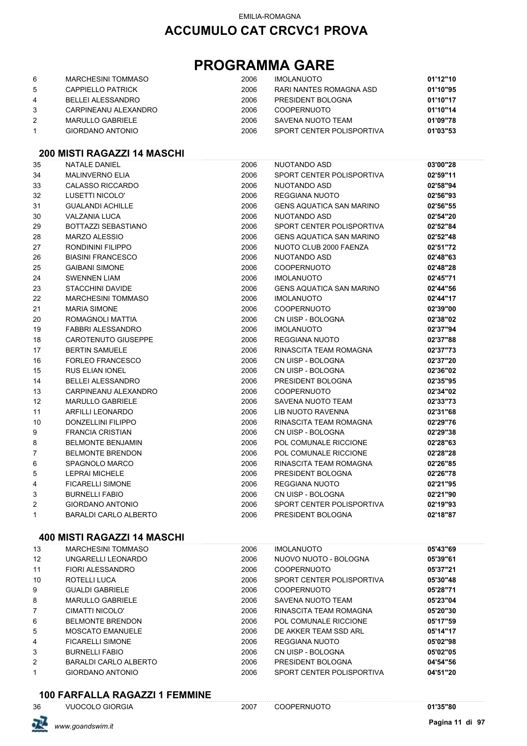#### EMILIA-ROMAGNA

### **ACCUMULO CAT CRCVC1 PROVA**

## **PROGRAMMA GARE**

| 6 | MARCHESINI TOMMASO   | 2006 | <b>IMOLANUOTO</b>         | 01'12"10 |
|---|----------------------|------|---------------------------|----------|
| 5 | CAPPIELLO PATRICK    | 2006 | RARI NANTES ROMAGNA ASD   | 01'10"95 |
| 4 | BELLEI ALESSANDRO    | 2006 | PRESIDENT BOLOGNA         | 01'10"17 |
| 3 | CARPINEANU ALEXANDRO | 2006 | <b>COOPERNUOTO</b>        | 01'10"14 |
|   | MARULLO GABRIELE     | 2006 | SAVENA NUOTO TEAM         | 01'09"78 |
|   | GIORDANO ANTONIO     | 2006 | SPORT CENTER POLISPORTIVA | 01'03"53 |

### **200 MISTI RAGAZZI 14 MASCHI**

| 35             | <b>NATALE DANIEL</b>         | 2006 | NUOTANDO ASD                    | 03'00"28 |
|----------------|------------------------------|------|---------------------------------|----------|
| 34             | <b>MALINVERNO ELIA</b>       | 2006 | SPORT CENTER POLISPORTIVA       | 02'59"11 |
| 33             | <b>CALASSO RICCARDO</b>      | 2006 | NUOTANDO ASD                    | 02'58"94 |
| 32             | LUSETTI NICOLO'              | 2006 | <b>REGGIANA NUOTO</b>           | 02'56"93 |
| 31             | <b>GUALANDI ACHILLE</b>      | 2006 | <b>GENS AQUATICA SAN MARINO</b> | 02'56"55 |
| 30             | <b>VALZANIA LUCA</b>         | 2006 | NUOTANDO ASD                    | 02'54"20 |
| 29             | BOTTAZZI SEBASTIANO          | 2006 | SPORT CENTER POLISPORTIVA       | 02'52"84 |
| 28             | <b>MARZO ALESSIO</b>         | 2006 | <b>GENS AQUATICA SAN MARINO</b> | 02'52"48 |
| 27             | RONDININI FILIPPO            | 2006 | NUOTO CLUB 2000 FAENZA          | 02'51"72 |
| 26             | <b>BIASINI FRANCESCO</b>     | 2006 | NUOTANDO ASD                    | 02'48"63 |
| 25             | <b>GAIBANI SIMONE</b>        | 2006 | <b>COOPERNUOTO</b>              | 02'48"28 |
| 24             | <b>SWENNEN LIAM</b>          | 2006 | <b>IMOLANUOTO</b>               | 02'45"71 |
| 23             | STACCHINI DAVIDE             | 2006 | <b>GENS AQUATICA SAN MARINO</b> | 02'44"56 |
| 22             | <b>MARCHESINI TOMMASO</b>    | 2006 | <b>IMOLANUOTO</b>               | 02'44"17 |
| 21             | <b>MARIA SIMONE</b>          | 2006 | <b>COOPERNUOTO</b>              | 02'39"00 |
| 20             | ROMAGNOLI MATTIA             | 2006 | CN UISP - BOLOGNA               | 02'38"02 |
| 19             | FABBRI ALESSANDRO            | 2006 | <b>IMOLANUOTO</b>               | 02'37"94 |
| 18             | CAROTENUTO GIUSEPPE          | 2006 | <b>REGGIANA NUOTO</b>           | 02'37"88 |
| 17             | <b>BERTIN SAMUELE</b>        | 2006 | RINASCITA TEAM ROMAGNA          | 02'37"73 |
| 16             | FORLEO FRANCESCO             | 2006 | CN UISP - BOLOGNA               | 02'37"20 |
| 15             | <b>RUS ELIAN IONEL</b>       | 2006 | CN UISP - BOLOGNA               | 02'36"02 |
| 14             | <b>BELLEI ALESSANDRO</b>     | 2006 | PRESIDENT BOLOGNA               | 02'35"95 |
| 13             | CARPINEANU ALEXANDRO         | 2006 | <b>COOPERNUOTO</b>              | 02'34"02 |
| 12             | <b>MARULLO GABRIELE</b>      | 2006 | SAVENA NUOTO TEAM               | 02'33"73 |
| 11             | <b>ARFILLI LEONARDO</b>      | 2006 | <b>LIB NUOTO RAVENNA</b>        | 02'31"68 |
| 10             | <b>DONZELLINI FILIPPO</b>    | 2006 | RINASCITA TEAM ROMAGNA          | 02'29"76 |
| 9              | <b>FRANCIA CRISTIAN</b>      | 2006 | CN UISP - BOLOGNA               | 02'29"38 |
| 8              | <b>BELMONTE BENJAMIN</b>     | 2006 | POL COMUNALE RICCIONE           | 02'28"63 |
| $\overline{7}$ | <b>BELMONTE BRENDON</b>      | 2006 | POL COMUNALE RICCIONE           | 02'28"28 |
| 6              | SPAGNOLO MARCO               | 2006 | RINASCITA TEAM ROMAGNA          | 02'26"85 |
| 5              | LEPRAI MICHELE               | 2006 | PRESIDENT BOLOGNA               | 02'26"78 |
| 4              | <b>FICARELLI SIMONE</b>      | 2006 | <b>REGGIANA NUOTO</b>           | 02'21"95 |
| 3              | <b>BURNELLI FABIO</b>        | 2006 | CN UISP - BOLOGNA               | 02'21"90 |
| 2              | <b>GIORDANO ANTONIO</b>      | 2006 | SPORT CENTER POLISPORTIVA       | 02'19"93 |
| $\mathbf{1}$   | <b>BARALDI CARLO ALBERTO</b> | 2006 | PRESIDENT BOLOGNA               | 02'18"87 |

#### **400 MISTI RAGAZZI 14 MASCHI**

| 13             | <b>MARCHESINI TOMMASO</b> | 2006 | <b>IMOLANUOTO</b>         | 05'43"69 |
|----------------|---------------------------|------|---------------------------|----------|
| 12             | UNGARELLI LEONARDO        | 2006 | NUOVO NUOTO - BOLOGNA     | 05'39"61 |
| 11             | FIORI ALESSANDRO          | 2006 | <b>COOPERNUOTO</b>        | 05'37"21 |
| 10             | ROTELLI LUCA              | 2006 | SPORT CENTER POLISPORTIVA | 05'30"48 |
| 9              | <b>GUALDI GABRIELE</b>    | 2006 | <b>COOPERNUOTO</b>        | 05'28"71 |
| 8              | <b>MARULLO GABRIELE</b>   | 2006 | SAVENA NUOTO TEAM         | 05'23"04 |
| $\overline{7}$ | CIMATTI NICOLO'           | 2006 | RINASCITA TEAM ROMAGNA    | 05'20"30 |
| 6              | <b>BELMONTE BRENDON</b>   | 2006 | POL COMUNALE RICCIONE     | 05'17"59 |
| 5              | <b>MOSCATO EMANUELE</b>   | 2006 | DE AKKER TEAM SSD ARL     | 05'14"17 |
| 4              | <b>FICARELLI SIMONE</b>   | 2006 | REGGIANA NUOTO            | 05'02"98 |
| 3              | <b>BURNELLI FABIO</b>     | 2006 | CN UISP - BOLOGNA         | 05'02"05 |
| 2              | BARALDI CARLO ALBERTO     | 2006 | PRESIDENT BOLOGNA         | 04'54"56 |
| 1              | <b>GIORDANO ANTONIO</b>   | 2006 | SPORT CENTER POLISPORTIVA | 04'51"20 |

#### **100 FARFALLA RAGAZZI 1 FEMMINE** VUOCOLO GIORGIA 2007 COOPERNUOTO **01'35"80**

|  | VUOCOLO GIOI |  |
|--|--------------|--|
|  |              |  |

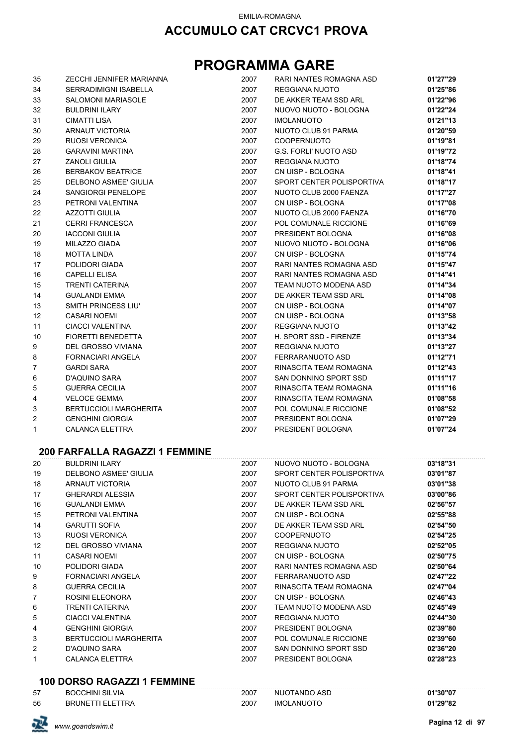## **PROGRAMMA GARE**

| 35             | ZECCHI JENNIFER MARIANNA      | 2007 | RARI NANTES ROMAGNA ASD      | 01'27"29 |
|----------------|-------------------------------|------|------------------------------|----------|
| 34             | <b>SERRADIMIGNI ISABELLA</b>  | 2007 | REGGIANA NUOTO               | 01'25"86 |
| 33             | <b>SALOMONI MARIASOLE</b>     | 2007 | DE AKKER TEAM SSD ARL        | 01'22"96 |
| 32             | <b>BULDRINI ILARY</b>         | 2007 | NUOVO NUOTO - BOLOGNA        | 01'22"24 |
| 31             | <b>CIMATTI LISA</b>           | 2007 | <b>IMOLANUOTO</b>            | 01'21"13 |
| 30             | <b>ARNAUT VICTORIA</b>        | 2007 | NUOTO CLUB 91 PARMA          | 01'20"59 |
| 29             | <b>RUOSI VERONICA</b>         | 2007 | <b>COOPERNUOTO</b>           | 01'19"81 |
| 28             | <b>GARAVINI MARTINA</b>       | 2007 | <b>G.S. FORLI' NUOTO ASD</b> | 01'19"72 |
| 27             | <b>ZANOLI GIULIA</b>          | 2007 | REGGIANA NUOTO               | 01'18"74 |
| 26             | <b>BERBAKOV BEATRICE</b>      | 2007 | CN UISP - BOLOGNA            | 01'18"41 |
| 25             | DELBONO ASMEE' GIULIA         | 2007 | SPORT CENTER POLISPORTIVA    | 01'18"17 |
| 24             | SANGIORGI PENELOPE            | 2007 | NUOTO CLUB 2000 FAENZA       | 01'17"27 |
| 23             | PETRONI VALENTINA             | 2007 | CN UISP - BOLOGNA            | 01'17"08 |
| 22             | <b>AZZOTTI GIULIA</b>         | 2007 | NUOTO CLUB 2000 FAENZA       | 01'16"70 |
| 21             | <b>CERRI FRANCESCA</b>        | 2007 | POL COMUNALE RICCIONE        | 01'16"69 |
| 20             | <b>IACCONI GIULIA</b>         | 2007 | PRESIDENT BOLOGNA            | 01'16"08 |
| 19             | MILAZZO GIADA                 | 2007 | NUOVO NUOTO - BOLOGNA        | 01'16"06 |
| 18             | <b>MOTTA LINDA</b>            | 2007 | CN UISP - BOLOGNA            | 01'15"74 |
| 17             | POLIDORI GIADA                | 2007 | RARI NANTES ROMAGNA ASD      | 01'15"47 |
| 16             | <b>CAPELLI ELISA</b>          | 2007 | RARI NANTES ROMAGNA ASD      | 01'14"41 |
| 15             | <b>TRENTI CATERINA</b>        | 2007 | TEAM NUOTO MODENA ASD        | 01'14"34 |
| 14             | <b>GUALANDI EMMA</b>          | 2007 | DE AKKER TEAM SSD ARL        | 01'14"08 |
| 13             | SMITH PRINCESS LIU'           | 2007 | CN UISP - BOLOGNA            | 01'14"07 |
| 12             | <b>CASARI NOEMI</b>           | 2007 | CN UISP - BOLOGNA            | 01'13"58 |
| 11             | <b>CIACCI VALENTINA</b>       | 2007 | <b>REGGIANA NUOTO</b>        | 01'13"42 |
| 10             | FIORETTI BENEDETTA            | 2007 | H. SPORT SSD - FIRENZE       | 01'13"34 |
| 9              | <b>DEL GROSSO VIVIANA</b>     | 2007 | <b>REGGIANA NUOTO</b>        | 01'13"27 |
| 8              | <b>FORNACIARI ANGELA</b>      | 2007 | FERRARANUOTO ASD             | 01'12"71 |
| $\overline{7}$ | <b>GARDI SARA</b>             | 2007 | RINASCITA TEAM ROMAGNA       | 01'12"43 |
| 6              | <b>D'AQUINO SARA</b>          | 2007 | SAN DONNINO SPORT SSD        | 01'11"17 |
| 5              | <b>GUERRA CECILIA</b>         | 2007 | RINASCITA TEAM ROMAGNA       | 01'11"16 |
| 4              | <b>VELOCE GEMMA</b>           | 2007 | RINASCITA TEAM ROMAGNA       | 01'08"58 |
| 3              | <b>BERTUCCIOLI MARGHERITA</b> | 2007 | POL COMUNALE RICCIONE        | 01'08"52 |
| 2              | <b>GENGHINI GIORGIA</b>       | 2007 | PRESIDENT BOLOGNA            | 01'07"29 |
| $\mathbf{1}$   | <b>CALANCA ELETTRA</b>        | 2007 | PRESIDENT BOLOGNA            | 01'07"24 |

#### **200 FARFALLA RAGAZZI 1 FEMMINE**

| 20             | <b>BULDRINI ILARY</b>         | 2007 | NUOVO NUOTO - BOLOGNA     | 03'18"31 |
|----------------|-------------------------------|------|---------------------------|----------|
| 19             | DELBONO ASMEE' GIULIA         | 2007 | SPORT CENTER POLISPORTIVA | 03'01"87 |
| 18             | ARNAUT VICTORIA               | 2007 | NUOTO CLUB 91 PARMA       | 03'01"38 |
| 17             | <b>GHERARDI ALESSIA</b>       | 2007 | SPORT CENTER POLISPORTIVA | 03'00"86 |
| 16             | <b>GUALANDI EMMA</b>          | 2007 | DE AKKER TEAM SSD ARL     | 02'56"57 |
| 15             | PETRONI VALENTINA             | 2007 | CN UISP - BOLOGNA         | 02'55"88 |
| 14             | <b>GARUTTI SOFIA</b>          | 2007 | DE AKKER TEAM SSD ARL     | 02'54"50 |
| 13             | <b>RUOSI VERONICA</b>         | 2007 | <b>COOPERNUOTO</b>        | 02'54"25 |
| 12             | DEL GROSSO VIVIANA            | 2007 | REGGIANA NUOTO            | 02'52"05 |
| 11             | CASARI NOEMI                  | 2007 | CN UISP - BOLOGNA         | 02'50"75 |
| 10             | POLIDORI GIADA                | 2007 | RARI NANTES ROMAGNA ASD   | 02'50"64 |
| 9              | <b>FORNACIARI ANGELA</b>      | 2007 | FERRARANUOTO ASD          | 02'47"22 |
| 8              | <b>GUERRA CECILIA</b>         | 2007 | RINASCITA TEAM ROMAGNA    | 02'47"04 |
| $\overline{7}$ | ROSINI ELEONORA               | 2007 | CN UISP - BOLOGNA         | 02'46"43 |
| 6              | TRENTI CATERINA               | 2007 | TEAM NUOTO MODENA ASD     | 02'45"49 |
| 5              | CIACCI VALENTINA              | 2007 | REGGIANA NUOTO            | 02'44"30 |
| 4              | <b>GENGHINI GIORGIA</b>       | 2007 | PRESIDENT BOLOGNA         | 02'39"80 |
| 3              | <b>BERTUCCIOLI MARGHERITA</b> | 2007 | POL COMUNALE RICCIONE     | 02'39"60 |
| 2              | D'AQUINO SARA                 | 2007 | SAN DONNINO SPORT SSD     | 02'36"20 |
|                | CALANCA ELETTRA               | 2007 | PRESIDENT BOLOGNA         | 02'28"23 |
|                |                               |      |                           |          |

#### **100 DORSO RAGAZZI 1 FEMMINE**

| 57 | <b>BOCCHINI SILVIA</b>  | 2007 | NUOTANDO ASD      | 01'30"07 |
|----|-------------------------|------|-------------------|----------|
| 56 | <b>BRUNETTI ELETTRA</b> | 2007 | <b>IMOLANUOTO</b> | 01'29"82 |

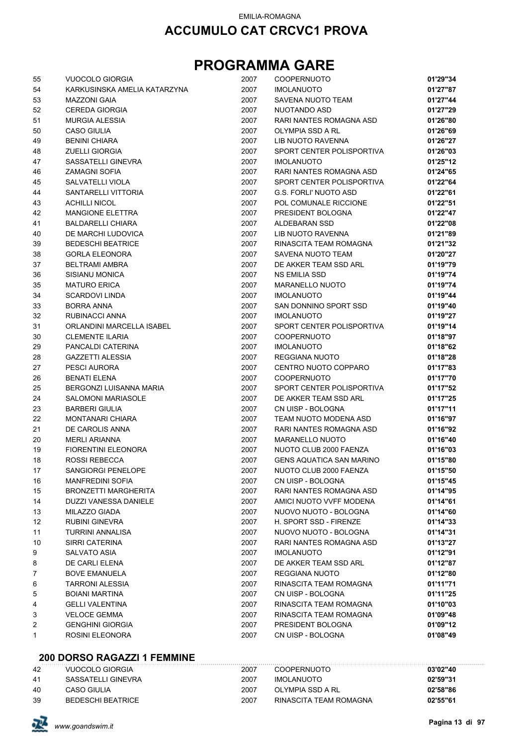## **PROGRAMMA GARE**

| 55 | VUOCOLO GIORGIA              | 2007 | <b>COOPERNUOTO</b>              | 01'29"34 |
|----|------------------------------|------|---------------------------------|----------|
| 54 | KARKUSINSKA AMELIA KATARZYNA | 2007 | <b>IMOLANUOTO</b>               | 01'27"87 |
| 53 | <b>MAZZONI GAIA</b>          | 2007 | SAVENA NUOTO TEAM               | 01'27"44 |
| 52 | <b>CEREDA GIORGIA</b>        | 2007 | NUOTANDO ASD                    | 01'27"29 |
| 51 | <b>MURGIA ALESSIA</b>        | 2007 | RARI NANTES ROMAGNA ASD         | 01'26"80 |
| 50 | <b>CASO GIULIA</b>           | 2007 | OLYMPIA SSD A RL                | 01'26"69 |
| 49 | <b>BENINI CHIARA</b>         | 2007 | LIB NUOTO RAVENNA               | 01'26"27 |
| 48 | <b>ZUELLI GIORGIA</b>        | 2007 | SPORT CENTER POLISPORTIVA       | 01'26"03 |
| 47 | SASSATELLI GINEVRA           | 2007 | <b>IMOLANUOTO</b>               | 01'25"12 |
| 46 | <b>ZAMAGNI SOFIA</b>         | 2007 | RARI NANTES ROMAGNA ASD         | 01'24"65 |
| 45 | <b>SALVATELLI VIOLA</b>      | 2007 | SPORT CENTER POLISPORTIVA       | 01'22"64 |
| 44 | SANTARELLI VITTORIA          | 2007 | <b>G.S. FORLI' NUOTO ASD</b>    | 01'22"61 |
| 43 | <b>ACHILLI NICOL</b>         | 2007 | POL COMUNALE RICCIONE           | 01'22"51 |
| 42 | <b>MANGIONE ELETTRA</b>      | 2007 | PRESIDENT BOLOGNA               | 01'22"47 |
| 41 | <b>BALDARELLI CHIARA</b>     | 2007 | ALDEBARAN SSD                   | 01'22"08 |
| 40 | DE MARCHI LUDOVICA           | 2007 | LIB NUOTO RAVENNA               | 01'21"89 |
| 39 | <b>BEDESCHI BEATRICE</b>     | 2007 | RINASCITA TEAM ROMAGNA          | 01'21"32 |
| 38 | <b>GORLA ELEONORA</b>        | 2007 | SAVENA NUOTO TEAM               | 01'20"27 |
| 37 | <b>BELTRAMI AMBRA</b>        | 2007 | DE AKKER TEAM SSD ARL           | 01'19"79 |
| 36 | <b>SISIANU MONICA</b>        | 2007 | <b>NS EMILIA SSD</b>            | 01'19"74 |
| 35 | <b>MATURO ERICA</b>          | 2007 | <b>MARANELLO NUOTO</b>          | 01'19"74 |
| 34 | <b>SCARDOVI LINDA</b>        | 2007 | <b>IMOLANUOTO</b>               | 01'19"44 |
| 33 | <b>BORRA ANNA</b>            | 2007 | SAN DONNINO SPORT SSD           | 01'19"40 |
| 32 | RUBINACCI ANNA               | 2007 | <b>IMOLANUOTO</b>               | 01'19"27 |
| 31 | ORLANDINI MARCELLA ISABEL    | 2007 | SPORT CENTER POLISPORTIVA       | 01'19"14 |
| 30 | <b>CLEMENTE ILARIA</b>       | 2007 | <b>COOPERNUOTO</b>              | 01'18"97 |
| 29 | PANCALDI CATERINA            | 2007 | <b>IMOLANUOTO</b>               | 01'18"62 |
| 28 | <b>GAZZETTI ALESSIA</b>      | 2007 | REGGIANA NUOTO                  | 01'18"28 |
| 27 | PESCI AURORA                 | 2007 | CENTRO NUOTO COPPARO            | 01'17"83 |
| 26 | <b>BENATI ELENA</b>          | 2007 | <b>COOPERNUOTO</b>              | 01'17"70 |
| 25 | BERGONZI LUISANNA MARIA      | 2007 | SPORT CENTER POLISPORTIVA       | 01'17"52 |
| 24 | <b>SALOMONI MARIASOLE</b>    | 2007 | DE AKKER TEAM SSD ARL           | 01'17"25 |
| 23 | <b>BARBERI GIULIA</b>        | 2007 | CN UISP - BOLOGNA               | 01'17"11 |
| 22 | <b>MONTANARI CHIARA</b>      | 2007 | TEAM NUOTO MODENA ASD           | 01'16"97 |
| 21 | DE CAROLIS ANNA              | 2007 | RARI NANTES ROMAGNA ASD         | 01'16"92 |
| 20 | <b>MERLI ARIANNA</b>         | 2007 | <b>MARANELLO NUOTO</b>          | 01'16"40 |
| 19 | <b>FIORENTINI ELEONORA</b>   | 2007 | NUOTO CLUB 2000 FAENZA          | 01'16"03 |
| 18 | <b>ROSSI REBECCA</b>         | 2007 | <b>GENS AQUATICA SAN MARINO</b> | 01'15"80 |
| 17 | SANGIORGI PENEI OPE          | 2007 | NUOTO CLUB 2000 FAENZA          | 01'15"50 |
| 16 | MANFREDINI SOFIA             | 2007 | CN UISP - BOLOGNA               | 01'15"45 |
| 15 | <b>BRONZETTI MARGHERITA</b>  | 2007 | RARI NANTES ROMAGNA ASD         | 01'14"95 |
| 14 | <b>DUZZI VANESSA DANIELE</b> | 2007 | AMICI NUOTO VVFF MODENA         | 01'14"61 |
| 13 | <b>MILAZZO GIADA</b>         | 2007 | NUOVO NUOTO - BOLOGNA           | 01'14"60 |
| 12 | RUBINI GINEVRA               | 2007 | H. SPORT SSD - FIRENZE          | 01'14"33 |
| 11 | TURRINI ANNALISA             | 2007 | NUOVO NUOTO - BOLOGNA           | 01'14"31 |
| 10 | SIRRI CATERINA               | 2007 | RARI NANTES ROMAGNA ASD         | 01'13"27 |
| 9  | SALVATO ASIA                 | 2007 | <b>IMOLANUOTO</b>               | 01'12"91 |
| 8  | DE CARLI ELENA               | 2007 | DE AKKER TEAM SSD ARL           | 01'12"87 |
| 7  | <b>BOVE EMANUELA</b>         | 2007 | REGGIANA NUOTO                  | 01'12"80 |
| 6  | <b>TARRONI ALESSIA</b>       | 2007 | RINASCITA TEAM ROMAGNA          | 01'11"71 |
| 5  | <b>BOIANI MARTINA</b>        | 2007 | CN UISP - BOLOGNA               | 01'11"25 |
| 4  | <b>GELLI VALENTINA</b>       | 2007 | RINASCITA TEAM ROMAGNA          | 01'10"03 |
| 3  | <b>VELOCE GEMMA</b>          | 2007 | RINASCITA TEAM ROMAGNA          | 01'09"48 |
| 2  | <b>GENGHINI GIORGIA</b>      | 2007 | PRESIDENT BOLOGNA               | 01'09"12 |
| 1  | ROSINI ELEONORA              | 2007 | CN UISP - BOLOGNA               | 01'08"49 |
|    |                              |      |                                 |          |

#### **200 DORSO RAGAZZI 1 FEMMINE**

| 42 | VUOCOLO GIORGIA    | 2007 | <b>COOPERNUOTO</b>     | 03'02"40 |
|----|--------------------|------|------------------------|----------|
| 41 | SASSATELLI GINEVRA | 2007 | IMOLANUOTO             | 02'59"31 |
| 40 | CASO GIULIA        | 2007 | OLYMPIA SSD A RL       | 02'58"86 |
| 39 | BEDESCHI BEATRICE  | 2007 | RINASCITA TEAM ROMAGNA | 02'55"61 |

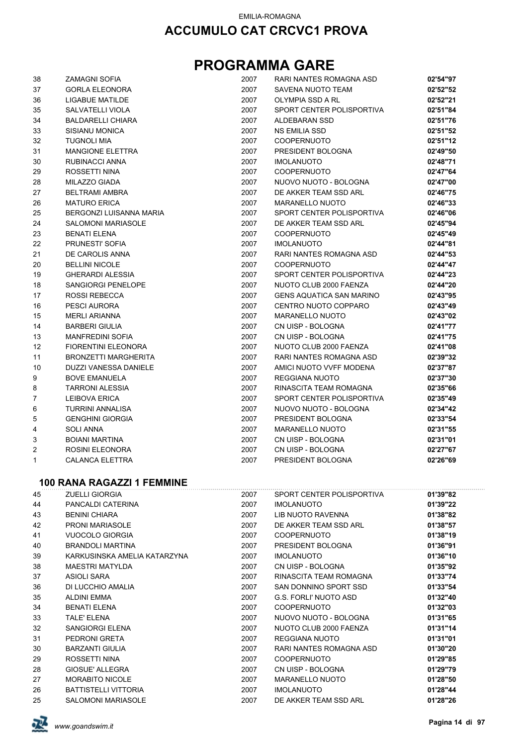| 38 | <b>ZAMAGNI SOFIA</b>              | 2007 | RARI NANTES ROMAGNA ASD         | 02'54"97 |
|----|-----------------------------------|------|---------------------------------|----------|
| 37 | <b>GORLA ELEONORA</b>             | 2007 | SAVENA NUOTO TEAM               | 02'52"52 |
| 36 | LIGABUE MATILDE                   | 2007 | OLYMPIA SSD A RL                | 02'52"21 |
| 35 | SALVATELLI VIOLA                  | 2007 | SPORT CENTER POLISPORTIVA       | 02'51"84 |
| 34 | <b>BALDARELLI CHIARA</b>          | 2007 | ALDEBARAN SSD                   | 02'51"76 |
| 33 | <b>SISIANU MONICA</b>             | 2007 | NS EMILIA SSD                   | 02'51"52 |
| 32 | <b>TUGNOLI MIA</b>                | 2007 | <b>COOPERNUOTO</b>              | 02'51"12 |
| 31 | <b>MANGIONE ELETTRA</b>           | 2007 | PRESIDENT BOLOGNA               | 02'49"50 |
| 30 | RUBINACCI ANNA                    | 2007 | <b>IMOLANUOTO</b>               | 02'48"71 |
| 29 | ROSSETTI NINA                     | 2007 | <b>COOPERNUOTO</b>              | 02'47"64 |
| 28 | <b>MILAZZO GIADA</b>              | 2007 | NUOVO NUOTO - BOLOGNA           | 02'47"00 |
| 27 | <b>BELTRAMI AMBRA</b>             | 2007 | DE AKKER TEAM SSD ARL           | 02'46"75 |
| 26 | <b>MATURO ERICA</b>               | 2007 | <b>MARANELLO NUOTO</b>          | 02'46"33 |
| 25 | BERGONZI LUISANNA MARIA           | 2007 | SPORT CENTER POLISPORTIVA       | 02'46"06 |
| 24 | <b>SALOMONI MARIASOLE</b>         | 2007 | DE AKKER TEAM SSD ARL           | 02'45"94 |
| 23 | <b>BENATI ELENA</b>               | 2007 | <b>COOPERNUOTO</b>              | 02'45"49 |
| 22 | PRUNESTI' SOFIA                   | 2007 | <b>IMOLANUOTO</b>               | 02'44"81 |
| 21 | DE CAROLIS ANNA                   | 2007 | RARI NANTES ROMAGNA ASD         | 02'44"53 |
| 20 | <b>BELLINI NICOLE</b>             | 2007 | <b>COOPERNUOTO</b>              | 02'44"47 |
| 19 | <b>GHERARDI ALESSIA</b>           | 2007 | SPORT CENTER POLISPORTIVA       | 02'44"23 |
| 18 | SANGIORGI PENELOPE                | 2007 | NUOTO CLUB 2000 FAENZA          | 02'44"20 |
| 17 | <b>ROSSI REBECCA</b>              | 2007 | <b>GENS AQUATICA SAN MARINO</b> | 02'43"95 |
| 16 | PESCI AURORA                      | 2007 | CENTRO NUOTO COPPARO            | 02'43"49 |
| 15 | <b>MERLI ARIANNA</b>              | 2007 | <b>MARANELLO NUOTO</b>          | 02'43"02 |
| 14 | <b>BARBERI GIULIA</b>             | 2007 | CN UISP - BOLOGNA               | 02'41"77 |
| 13 | <b>MANFREDINI SOFIA</b>           | 2007 | CN UISP - BOLOGNA               | 02'41"75 |
| 12 | <b>FIORENTINI ELEONORA</b>        | 2007 | NUOTO CLUB 2000 FAENZA          | 02'41"08 |
| 11 | BRONZETTI MARGHERITA              | 2007 | RARI NANTES ROMAGNA ASD         | 02'39"32 |
| 10 | DUZZI VANESSA DANIELE             | 2007 | AMICI NUOTO VVFF MODENA         | 02'37"87 |
| 9  | <b>BOVE EMANUELA</b>              | 2007 | REGGIANA NUOTO                  | 02'37"30 |
| 8  | <b>TARRONI ALESSIA</b>            | 2007 | RINASCITA TEAM ROMAGNA          | 02'35"66 |
| 7  | <b>LEIBOVA ERICA</b>              | 2007 | SPORT CENTER POLISPORTIVA       | 02'35"49 |
| 6  | <b>TURRINI ANNALISA</b>           | 2007 | NUOVO NUOTO - BOLOGNA           | 02'34"42 |
| 5  | <b>GENGHINI GIORGIA</b>           | 2007 | PRESIDENT BOLOGNA               | 02'33"54 |
| 4  | <b>SOLI ANNA</b>                  | 2007 | <b>MARANELLO NUOTO</b>          | 02'31"55 |
| 3  | <b>BOIANI MARTINA</b>             | 2007 | CN UISP - BOLOGNA               | 02'31"01 |
| 2  | ROSINI ELEONORA                   | 2007 | CN UISP - BOLOGNA               | 02'27"67 |
| 1  | CALANCA ELETTRA                   | 2007 | PRESIDENT BOLOGNA               | 02'26"69 |
|    | <b>100 RANA RAGAZZI 1 FEMMINE</b> |      |                                 |          |
| 45 | <b>ZUELLI GIORGIA</b>             | 2007 | SPORT CENTER POLISPORTIVA       | 01'39"82 |
| 44 | PANCALDI CATERINA                 | 2007 | <b>IMOLANUOTO</b>               | 01'39"22 |
| 43 | <b>BENINI CHIARA</b>              | 2007 | LIB NUOTO RAVENNA               | 01'38"82 |
| 42 | <b>PRONI MARIASOLE</b>            | 2007 | DE AKKER TEAM SSD ARL           | 01'38"57 |
| 41 | VUOCOLO GIORGIA                   | 2007 | <b>COOPERNUOTO</b>              | 01'38"19 |
| 40 | <b>BRANDOLI MARTINA</b>           | 2007 | PRESIDENT BOLOGNA               | 01'36"91 |
| 39 | KARKUSINSKA AMELIA KATARZYNA      | 2007 | <b>IMOLANUOTO</b>               | 01'36"10 |
| 38 | <b>MAESTRI MATYLDA</b>            | 2007 | CN UISP - BOLOGNA               | 01'35"92 |
| 37 | <b>ASIOLI SARA</b>                | 2007 | RINASCITA TEAM ROMAGNA          | 01'33"74 |
| 36 | DI LUCCHIO AMALIA                 | 2007 | SAN DONNINO SPORT SSD           | 01'33"54 |
| 35 | <b>ALDINI EMMA</b>                | 2007 | <b>G.S. FORLI' NUOTO ASD</b>    | 01'32"40 |
| 34 | <b>BENATI ELENA</b>               | 2007 | <b>COOPERNUOTO</b>              | 01'32"03 |
| 33 | TALE' ELENA                       | 2007 | NUOVO NUOTO - BOLOGNA           | 01'31"65 |
| 32 | SANGIORGI ELENA                   | 2007 | NUOTO CLUB 2000 FAENZA          | 01'31"14 |
| 31 | PEDRONI GRETA                     | 2007 | <b>REGGIANA NUOTO</b>           | 01'31"01 |
| 30 | <b>BARZANTI GIULIA</b>            | 2007 | RARI NANTES ROMAGNA ASD         | 01'30"20 |
| 29 | ROSSETTI NINA                     | 2007 | <b>COOPERNUOTO</b>              | 01'29"85 |
| 28 | GIOSUE' ALLEGRA                   | 2007 | CN UISP - BOLOGNA               | 01'29"79 |
| 27 | <b>MORABITO NICOLE</b>            | 2007 | <b>MARANELLO NUOTO</b>          | 01'28"50 |
| 26 | <b>BATTISTELLI VITTORIA</b>       | 2007 | <b>IMOLANUOTO</b>               | 01'28"44 |
| 25 | SALOMONI MARIASOLE                | 2007 | DE AKKER TEAM SSD ARL           | 01'28"26 |

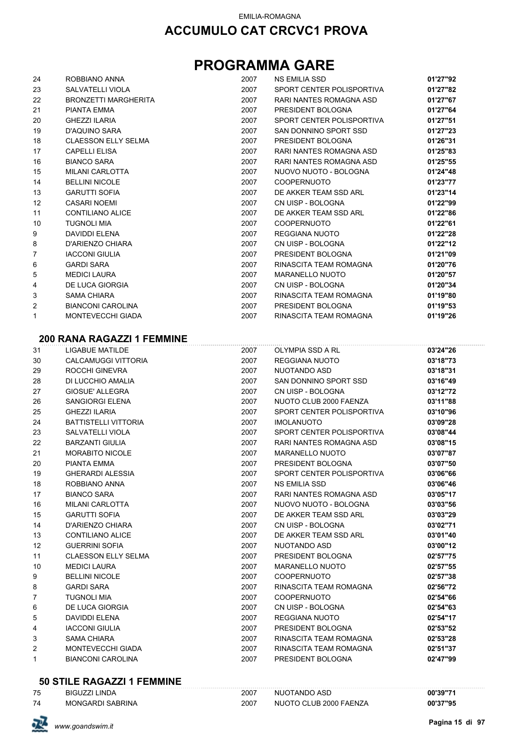## **PROGRAMMA GARE**

| 24             | ROBBIANO ANNA               | 2007 | <b>NS EMILIA SSD</b>      | 01'27"92 |
|----------------|-----------------------------|------|---------------------------|----------|
| 23             | <b>SALVATELLI VIOLA</b>     | 2007 | SPORT CENTER POLISPORTIVA | 01'27"82 |
| 22             | <b>BRONZETTI MARGHERITA</b> | 2007 | RARI NANTES ROMAGNA ASD   | 01'27"67 |
| 21             | PIANTA EMMA                 | 2007 | PRESIDENT BOLOGNA         | 01'27"64 |
| 20             | <b>GHEZZI ILARIA</b>        | 2007 | SPORT CENTER POLISPORTIVA | 01'27"51 |
| 19             | D'AQUINO SARA               | 2007 | SAN DONNINO SPORT SSD     | 01'27"23 |
| 18             | <b>CLAESSON ELLY SELMA</b>  | 2007 | PRESIDENT BOLOGNA         | 01'26"31 |
| 17             | <b>CAPELLI ELISA</b>        | 2007 | RARI NANTES ROMAGNA ASD   | 01'25"83 |
| 16             | <b>BIANCO SARA</b>          | 2007 | RARI NANTES ROMAGNA ASD   | 01'25"55 |
| 15             | <b>MILANI CARLOTTA</b>      | 2007 | NUOVO NUOTO - BOLOGNA     | 01'24"48 |
| 14             | <b>BELLINI NICOLE</b>       | 2007 | <b>COOPERNUOTO</b>        | 01'23"77 |
| 13             | <b>GARUTTI SOFIA</b>        | 2007 | DE AKKER TEAM SSD ARL     | 01'23"14 |
| 12             | <b>CASARI NOEMI</b>         | 2007 | CN UISP - BOLOGNA         | 01'22"99 |
| 11             | <b>CONTILIANO ALICE</b>     | 2007 | DE AKKER TEAM SSD ARL     | 01'22"86 |
| 10             | <b>TUGNOLI MIA</b>          | 2007 | <b>COOPERNUOTO</b>        | 01'22"61 |
| 9              | <b>DAVIDDI ELENA</b>        | 2007 | REGGIANA NUOTO            | 01'22"28 |
| 8              | D'ARIENZO CHIARA            | 2007 | CN UISP - BOLOGNA         | 01'22"12 |
| $\overline{7}$ | <b>IACCONI GIULIA</b>       | 2007 | PRESIDENT BOLOGNA         | 01'21"09 |
| 6              | <b>GARDI SARA</b>           | 2007 | RINASCITA TEAM ROMAGNA    | 01'20"76 |
| 5              | <b>MEDICI LAURA</b>         | 2007 | <b>MARANELLO NUOTO</b>    | 01'20"57 |
| 4              | <b>DE LUCA GIORGIA</b>      | 2007 | CN UISP - BOLOGNA         | 01'20"34 |
| 3              | <b>SAMA CHIARA</b>          | 2007 | RINASCITA TEAM ROMAGNA    | 01'19"80 |
| 2              | <b>BIANCONI CAROLINA</b>    | 2007 | PRESIDENT BOLOGNA         | 01'19"53 |
| 1              | <b>MONTEVECCHI GIADA</b>    | 2007 | RINASCITA TEAM ROMAGNA    | 01'19"26 |

#### **200 RANA RAGAZZI 1 FEMMINE**

| 31             | <b>LIGABUE MATILDE</b>      | 2007 | OLYMPIA SSD A RL          | 03'24"26 |
|----------------|-----------------------------|------|---------------------------|----------|
| 30             | <b>CALCAMUGGI VITTORIA</b>  | 2007 | <b>REGGIANA NUOTO</b>     | 03'18"73 |
| 29             | <b>ROCCHI GINEVRA</b>       | 2007 | NUOTANDO ASD              | 03'18"31 |
| 28             | DI LUCCHIO AMALIA           | 2007 | SAN DONNINO SPORT SSD     | 03'16"49 |
| 27             | <b>GIOSUE' ALLEGRA</b>      | 2007 | CN UISP - BOLOGNA         | 03'12"72 |
| 26             | <b>SANGIORGI ELENA</b>      | 2007 | NUOTO CLUB 2000 FAENZA    | 03'11"88 |
| 25             | <b>GHEZZI ILARIA</b>        | 2007 | SPORT CENTER POLISPORTIVA | 03'10"96 |
| 24             | <b>BATTISTELLI VITTORIA</b> | 2007 | <b>IMOLANUOTO</b>         | 03'09"28 |
| 23             | SALVATELLI VIOLA            | 2007 | SPORT CENTER POLISPORTIVA | 03'08"44 |
| 22             | <b>BARZANTI GIULIA</b>      | 2007 | RARI NANTES ROMAGNA ASD   | 03'08"15 |
| 21             | <b>MORABITO NICOLE</b>      | 2007 | <b>MARANELLO NUOTO</b>    | 03'07"87 |
| 20             | PIANTA EMMA                 | 2007 | PRESIDENT BOLOGNA         | 03'07"50 |
| 19             | <b>GHERARDI ALESSIA</b>     | 2007 | SPORT CENTER POLISPORTIVA | 03'06"66 |
| 18             | ROBBIANO ANNA               | 2007 | <b>NS EMILIA SSD</b>      | 03'06"46 |
| 17             | <b>BIANCO SARA</b>          | 2007 | RARI NANTES ROMAGNA ASD   | 03'05"17 |
| 16             | MILANI CARLOTTA             | 2007 | NUOVO NUOTO - BOLOGNA     | 03'03"56 |
| 15             | <b>GARUTTI SOFIA</b>        | 2007 | DE AKKER TEAM SSD ARL     | 03'03"29 |
| 14             | D'ARIENZO CHIARA            | 2007 | CN UISP - BOLOGNA         | 03'02"71 |
| 13             | <b>CONTILIANO ALICE</b>     | 2007 | DE AKKER TEAM SSD ARL     | 03'01"40 |
| 12             | <b>GUERRINI SOFIA</b>       | 2007 | NUOTANDO ASD              | 03'00"12 |
| 11             | <b>CLAESSON ELLY SELMA</b>  | 2007 | PRESIDENT BOLOGNA         | 02'57"75 |
| 10             | <b>MEDICI LAURA</b>         | 2007 | <b>MARANELLO NUOTO</b>    | 02'57"55 |
| 9              | <b>BELLINI NICOLE</b>       | 2007 | <b>COOPERNUOTO</b>        | 02'57"38 |
| 8              | <b>GARDI SARA</b>           | 2007 | RINASCITA TEAM ROMAGNA    | 02'56"72 |
| $\overline{7}$ | <b>TUGNOLI MIA</b>          | 2007 | <b>COOPERNUOTO</b>        | 02'54"66 |
| 6              | <b>DE LUCA GIORGIA</b>      | 2007 | CN UISP - BOLOGNA         | 02'54"63 |
| 5              | <b>DAVIDDI ELENA</b>        | 2007 | REGGIANA NUOTO            | 02'54"17 |
| 4              | <b>IACCONI GIULIA</b>       | 2007 | PRESIDENT BOLOGNA         | 02'53"52 |
| 3              | <b>SAMA CHIARA</b>          | 2007 | RINASCITA TEAM ROMAGNA    | 02'53"28 |
| 2              | MONTEVECCHI GIADA           | 2007 | RINASCITA TEAM ROMAGNA    | 02'51"37 |
| $\mathbf{1}$   | <b>BIANCONI CAROLINA</b>    | 2007 | PRESIDENT BOLOGNA         | 02'47"99 |
|                |                             |      |                           |          |

### **50 STILE RAGAZZI 1 FEMMINE**

| 75 | <b>BIGUZZI LINDA</b>    | 2007 | NUOTANDO ASD           | 00'39"71 |
|----|-------------------------|------|------------------------|----------|
| 74 | <b>MONGARDI SABRINA</b> | 2007 | NUOTO CLUB 2000 FAENZA | 00'37"95 |

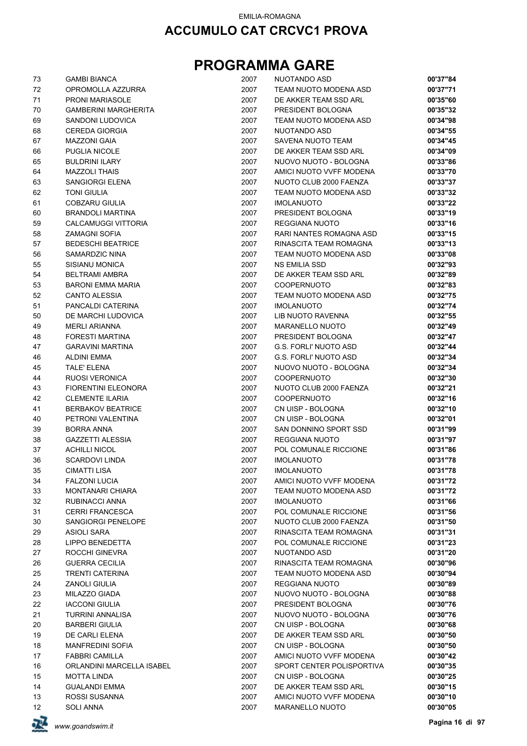| 73 | <b>GAMBI BIANCA</b>         | 2007 | NUOTANDO ASD                 | 00'37"84 |
|----|-----------------------------|------|------------------------------|----------|
| 72 | OPROMOLLA AZZURRA           | 2007 | TEAM NUOTO MODENA ASD        | 00'37"71 |
| 71 | <b>PRONI MARIASOLE</b>      | 2007 | DE AKKER TEAM SSD ARL        | 00'35"60 |
| 70 | <b>GAMBERINI MARGHERITA</b> | 2007 | PRESIDENT BOLOGNA            | 00'35"32 |
| 69 | SANDONI LUDOVICA            | 2007 | TEAM NUOTO MODENA ASD        | 00'34"98 |
| 68 | <b>CEREDA GIORGIA</b>       | 2007 | NUOTANDO ASD                 | 00'34"55 |
| 67 | <b>MAZZONI GAIA</b>         | 2007 | SAVENA NUOTO TEAM            | 00'34"45 |
| 66 | <b>PUGLIA NICOLE</b>        | 2007 | DE AKKER TEAM SSD ARL        | 00'34"09 |
| 65 | <b>BULDRINI ILARY</b>       | 2007 | NUOVO NUOTO - BOLOGNA        | 00'33"86 |
| 64 | <b>MAZZOLI THAIS</b>        | 2007 | AMICI NUOTO VVFF MODENA      | 00'33"70 |
| 63 | <b>SANGIORGI ELENA</b>      | 2007 | NUOTO CLUB 2000 FAENZA       | 00'33"37 |
| 62 | <b>TONI GIULIA</b>          | 2007 | TEAM NUOTO MODENA ASD        | 00'33"32 |
| 61 | COBZARU GIULIA              | 2007 | <b>IMOLANUOTO</b>            | 00'33"22 |
| 60 | <b>BRANDOLI MARTINA</b>     | 2007 | PRESIDENT BOLOGNA            | 00'33"19 |
| 59 | CALCAMUGGI VITTORIA         | 2007 | REGGIANA NUOTO               | 00'33"16 |
| 58 | <b>ZAMAGNI SOFIA</b>        | 2007 | RARI NANTES ROMAGNA ASD      | 00'33"15 |
| 57 | <b>BEDESCHI BEATRICE</b>    | 2007 | RINASCITA TEAM ROMAGNA       | 00'33"13 |
| 56 | SAMARDZIC NINA              | 2007 | TEAM NUOTO MODENA ASD        | 00'33"08 |
| 55 | <b>SISIANU MONICA</b>       | 2007 | <b>NS EMILIA SSD</b>         | 00'32"93 |
| 54 | <b>BELTRAMI AMBRA</b>       | 2007 | DE AKKER TEAM SSD ARL        | 00'32"89 |
| 53 | <b>BARONI EMMA MARIA</b>    | 2007 | <b>COOPERNUOTO</b>           | 00'32"83 |
| 52 | <b>CANTO ALESSIA</b>        | 2007 | TEAM NUOTO MODENA ASD        | 00'32"75 |
| 51 | PANCALDI CATERINA           | 2007 | <b>IMOLANUOTO</b>            | 00'32"74 |
| 50 | DE MARCHI LUDOVICA          | 2007 | LIB NUOTO RAVENNA            | 00'32"55 |
| 49 | <b>MERLI ARIANNA</b>        | 2007 | MARANELLO NUOTO              | 00'32"49 |
| 48 | <b>FORESTI MARTINA</b>      | 2007 | PRESIDENT BOLOGNA            | 00'32"47 |
| 47 | <b>GARAVINI MARTINA</b>     | 2007 | <b>G.S. FORLI' NUOTO ASD</b> | 00'32"44 |
| 46 | <b>ALDINI EMMA</b>          | 2007 | <b>G.S. FORLI' NUOTO ASD</b> | 00'32"34 |
| 45 | <b>TALE' ELENA</b>          | 2007 | NUOVO NUOTO - BOLOGNA        | 00'32"34 |
| 44 | <b>RUOSI VERONICA</b>       | 2007 | COOPERNUOTO                  | 00'32"30 |
| 43 | <b>FIORENTINI ELEONORA</b>  | 2007 | NUOTO CLUB 2000 FAENZA       | 00'32"21 |
| 42 | <b>CLEMENTE ILARIA</b>      | 2007 | COOPERNUOTO                  | 00'32"16 |
| 41 | <b>BERBAKOV BEATRICE</b>    | 2007 | CN UISP - BOLOGNA            | 00'32"10 |
| 40 | PETRONI VALENTINA           | 2007 | CN UISP - BOLOGNA            | 00'32"01 |
| 39 | <b>BORRA ANNA</b>           | 2007 | SAN DONNINO SPORT SSD        | 00'31"99 |
| 38 | <b>GAZZETTI ALESSIA</b>     | 2007 | REGGIANA NUOTO               | 00'31"97 |
|    |                             |      | POL COMUNALE RICCIONE        | 00'31"86 |
| 37 | <b>ACHILLI NICOL</b>        | 2007 |                              |          |
| 36 | <b>SCARDOVI LINDA</b>       | 2007 | <b>IMOLANUOTO</b>            | 00'31"78 |
| 35 | <b>CIMATTI LISA</b>         | 2007 | <b>IMOLANUOTO</b>            | 00'31"78 |
| 34 | <b>FALZONI LUCIA</b>        | 2007 | AMICI NUOTO VVFF MODENA      | 00'31"72 |
| 33 | <b>MONTANARI CHIARA</b>     | 2007 | TEAM NUOTO MODENA ASD        | 00'31"72 |
| 32 | RUBINACCI ANNA              | 2007 | <b>IMOLANUOTO</b>            | 00'31"66 |
| 31 | <b>CERRI FRANCESCA</b>      | 2007 | POL COMUNALE RICCIONE        | 00'31"56 |
| 30 | SANGIORGI PENELOPE          | 2007 | NUOTO CLUB 2000 FAENZA       | 00'31"50 |
| 29 | <b>ASIOLI SARA</b>          | 2007 | RINASCITA TEAM ROMAGNA       | 00'31"31 |
| 28 | <b>LIPPO BENEDETTA</b>      | 2007 | POL COMUNALE RICCIONE        | 00'31"23 |
| 27 | ROCCHI GINEVRA              | 2007 | NUOTANDO ASD                 | 00'31"20 |
| 26 | <b>GUERRA CECILIA</b>       | 2007 | RINASCITA TEAM ROMAGNA       | 00'30"96 |
| 25 | <b>TRENTI CATERINA</b>      | 2007 | TEAM NUOTO MODENA ASD        | 00'30"94 |
| 24 | <b>ZANOLI GIULIA</b>        | 2007 | REGGIANA NUOTO               | 00'30"89 |
| 23 | MILAZZO GIADA               | 2007 | NUOVO NUOTO - BOLOGNA        | 00'30"88 |
| 22 | <b>IACCONI GIULIA</b>       | 2007 | PRESIDENT BOLOGNA            | 00'30"76 |
| 21 | <b>TURRINI ANNALISA</b>     | 2007 | NUOVO NUOTO - BOLOGNA        | 00'30"76 |
| 20 | <b>BARBERI GIULIA</b>       | 2007 | CN UISP - BOLOGNA            | 00'30"68 |
| 19 | DE CARLI ELENA              | 2007 | DE AKKER TEAM SSD ARL        | 00'30"50 |
| 18 | <b>MANFREDINI SOFIA</b>     | 2007 | CN UISP - BOLOGNA            | 00'30"50 |
| 17 | <b>FABBRI CAMILLA</b>       | 2007 | AMICI NUOTO VVFF MODENA      | 00'30"42 |
| 16 | ORLANDINI MARCELLA ISABEL   | 2007 | SPORT CENTER POLISPORTIVA    | 00'30"35 |
| 15 | MOTTA LINDA                 | 2007 | CN UISP - BOLOGNA            | 00'30"25 |
| 14 | <b>GUALANDI EMMA</b>        | 2007 | DE AKKER TEAM SSD ARL        | 00'30"15 |
| 13 | ROSSI SUSANNA               | 2007 | AMICI NUOTO VVFF MODENA      | 00'30"10 |
| 12 | <b>SOLI ANNA</b>            | 2007 | MARANELLO NUOTO              | 00'30"05 |

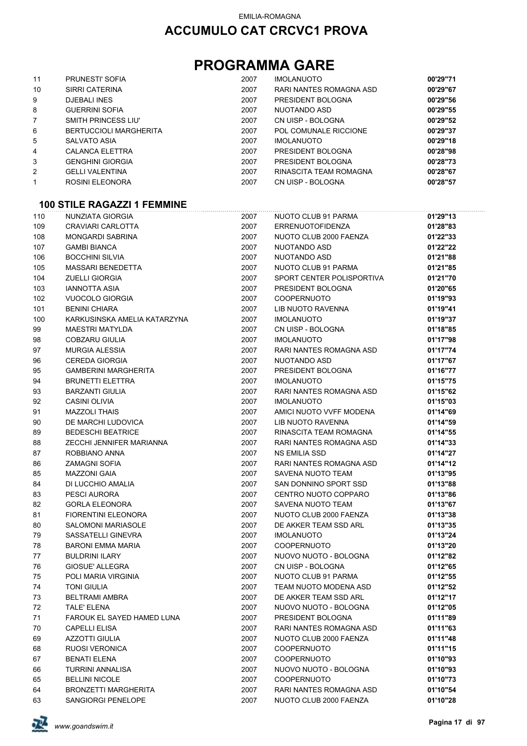## **PROGRAMMA GARE**

| 11             | <b>PRUNESTI' SOFIA</b>        | 2007 | <b>IMOLANUOTO</b>       | 00'29"71 |
|----------------|-------------------------------|------|-------------------------|----------|
| 10             | SIRRI CATERINA                | 2007 | RARI NANTES ROMAGNA ASD | 00'29"67 |
| 9              | <b>DJEBALI INES</b>           | 2007 | PRESIDENT BOLOGNA       | 00'29"56 |
| 8              | <b>GUERRINI SOFIA</b>         | 2007 | NUOTANDO ASD            | 00'29"55 |
| $\overline{7}$ | SMITH PRINCESS LIU'           | 2007 | CN UISP - BOLOGNA       | 00'29"52 |
| 6              | <b>BERTUCCIOLI MARGHERITA</b> | 2007 | POL COMUNALE RICCIONE   | 00'29"37 |
| 5              | SALVATO ASIA                  | 2007 | <b>IMOLANUOTO</b>       | 00'29"18 |
| 4              | CALANCA ELETTRA               | 2007 | PRESIDENT BOLOGNA       | 00'28"98 |
| 3              | <b>GENGHINI GIORGIA</b>       | 2007 | PRESIDENT BOLOGNA       | 00'28"73 |
| 2              | <b>GELLI VALENTINA</b>        | 2007 | RINASCITA TEAM ROMAGNA  | 00'28"67 |
| 1              | ROSINI ELEONORA               | 2007 | CN UISP - BOLOGNA       | 00'28"57 |

#### **100 STILE RAGAZZI 1 FEMMINE**

| 110 | NUNZIATA GIORGIA                  | 2007 | NUOTO CLUB 91 PARMA       | 01'29"13 |
|-----|-----------------------------------|------|---------------------------|----------|
| 109 | CRAVIARI CARLOTTA                 | 2007 | <b>ERRENUOTOFIDENZA</b>   | 01'28"83 |
| 108 | <b>MONGARDI SABRINA</b>           | 2007 | NUOTO CLUB 2000 FAENZA    | 01'22"33 |
| 107 | <b>GAMBI BIANCA</b>               | 2007 | NUOTANDO ASD              | 01'22"22 |
| 106 | <b>BOCCHINI SILVIA</b>            | 2007 | NUOTANDO ASD              | 01'21"88 |
| 105 | <b>MASSARI BENEDETTA</b>          | 2007 | NUOTO CLUB 91 PARMA       | 01'21"85 |
| 104 | <b>ZUELLI GIORGIA</b>             | 2007 | SPORT CENTER POLISPORTIVA | 01'21"70 |
| 103 | <b>IANNOTTA ASIA</b>              | 2007 | PRESIDENT BOLOGNA         | 01'20"65 |
| 102 | <b>VUOCOLO GIORGIA</b>            | 2007 | <b>COOPERNUOTO</b>        | 01'19"93 |
| 101 | <b>BENINI CHIARA</b>              | 2007 | LIB NUOTO RAVENNA         | 01'19"41 |
| 100 | KARKUSINSKA AMELIA KATARZYNA      | 2007 | <b>IMOLANUOTO</b>         | 01'19"37 |
| 99  | <b>MAESTRI MATYLDA</b>            | 2007 | CN UISP - BOLOGNA         | 01'18"85 |
| 98  | <b>COBZARU GIULIA</b>             | 2007 | <b>IMOLANUOTO</b>         | 01'17"98 |
| 97  | <b>MURGIA ALESSIA</b>             | 2007 | RARI NANTES ROMAGNA ASD   | 01'17"74 |
| 96  | <b>CEREDA GIORGIA</b>             | 2007 | NUOTANDO ASD              | 01'17"67 |
| 95  | <b>GAMBERINI MARGHERITA</b>       | 2007 | PRESIDENT BOLOGNA         | 01'16"77 |
| 94  | <b>BRUNETTI ELETTRA</b>           | 2007 | <b>IMOLANUOTO</b>         | 01'15"75 |
| 93  | <b>BARZANTI GIULIA</b>            | 2007 | RARI NANTES ROMAGNA ASD   | 01'15"62 |
| 92  | <b>CASINI OLIVIA</b>              | 2007 | <b>IMOLANUOTO</b>         | 01'15"03 |
| 91  | <b>MAZZOLI THAIS</b>              | 2007 | AMICI NUOTO VVFF MODENA   | 01'14"69 |
| 90  | DE MARCHI LUDOVICA                | 2007 | <b>LIB NUOTO RAVENNA</b>  | 01'14"59 |
| 89  | <b>BEDESCHI BEATRICE</b>          | 2007 | RINASCITA TEAM ROMAGNA    | 01'14"55 |
| 88  | ZECCHI JENNIFER MARIANNA          | 2007 | RARI NANTES ROMAGNA ASD   | 01'14"33 |
| 87  | ROBBIANO ANNA                     | 2007 | <b>NS EMILIA SSD</b>      | 01'14"27 |
| 86  | <b>ZAMAGNI SOFIA</b>              | 2007 | RARI NANTES ROMAGNA ASD   | 01'14"12 |
| 85  | <b>MAZZONI GAIA</b>               | 2007 | SAVENA NUOTO TEAM         | 01'13"95 |
| 84  | DI LUCCHIO AMALIA                 | 2007 | SAN DONNINO SPORT SSD     | 01'13"88 |
| 83  | PESCI AURORA                      | 2007 | CENTRO NUOTO COPPARO      | 01'13"86 |
| 82  | <b>GORLA ELEONORA</b>             | 2007 | SAVENA NUOTO TEAM         | 01'13"67 |
| 81  | <b>FIORENTINI ELEONORA</b>        | 2007 | NUOTO CLUB 2000 FAENZA    | 01'13"38 |
| 80  | <b>SALOMONI MARIASOLE</b>         | 2007 | DE AKKER TEAM SSD ARL     | 01'13"35 |
| 79  | SASSATELLI GINEVRA                | 2007 | <b>IMOLANUOTO</b>         | 01'13"24 |
| 78  | <b>BARONI EMMA MARIA</b>          | 2007 | <b>COOPERNUOTO</b>        | 01'13"20 |
| 77  | <b>BULDRINI ILARY</b>             | 2007 | NUOVO NUOTO - BOLOGNA     | 01'12"82 |
| 76  | <b>GIOSUE' ALLEGRA</b>            | 2007 | CN UISP - BOLOGNA         | 01'12"65 |
| 75  | POLI MARIA VIRGINIA               | 2007 | NUOTO CLUB 91 PARMA       | 01'12"55 |
| 74  | <b>TONI GIULIA</b>                | 2007 | TEAM NUOTO MODENA ASD     | 01'12"52 |
| 73  | <b>BELTRAMI AMBRA</b>             | 2007 | DE AKKER TEAM SSD ARL     | 01'12"17 |
| 72  | <b>TALE' ELENA</b>                | 2007 | NUOVO NUOTO - BOLOGNA     | 01'12"05 |
| 71  | <b>FAROUK EL SAYED HAMED LUNA</b> | 2007 | PRESIDENT BOLOGNA         | 01'11"89 |
| 70  | <b>CAPELLI ELISA</b>              | 2007 | RARI NANTES ROMAGNA ASD   | 01'11"63 |
| 69  | <b>AZZOTTI GIULIA</b>             | 2007 | NUOTO CLUB 2000 FAENZA    | 01'11"48 |
| 68  | <b>RUOSI VERONICA</b>             | 2007 | <b>COOPERNUOTO</b>        | 01'11"15 |
| 67  | <b>BENATI ELENA</b>               | 2007 | <b>COOPERNUOTO</b>        | 01'10"93 |
| 66  | <b>TURRINI ANNALISA</b>           | 2007 | NUOVO NUOTO - BOLOGNA     | 01'10"93 |
| 65  | <b>BELLINI NICOLE</b>             | 2007 | COOPERNUOTO               | 01'10"73 |
| 64  | <b>BRONZETTI MARGHERITA</b>       | 2007 | RARI NANTES ROMAGNA ASD   | 01'10"54 |
| 63  | SANGIORGI PENELOPE                | 2007 | NUOTO CLUB 2000 FAENZA    | 01'10"28 |

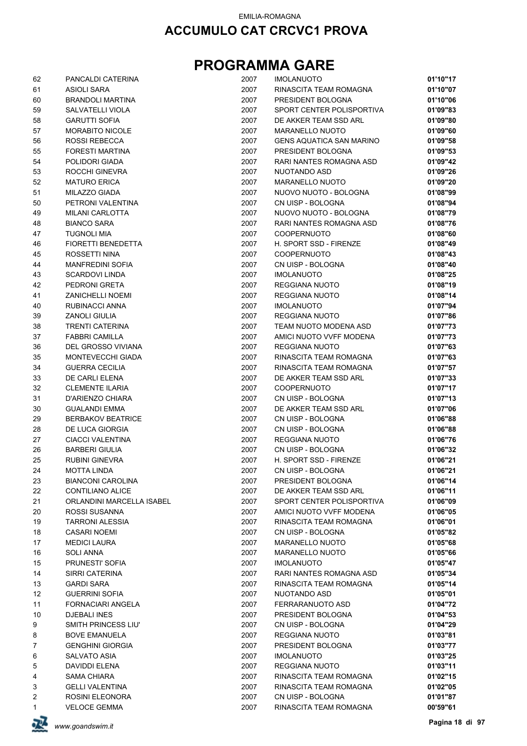| 62 | PANCALDI CATERINA         | 2007 | <b>IMOLANUOTO</b>               | 01'10"17 |
|----|---------------------------|------|---------------------------------|----------|
| 61 | <b>ASIOLI SARA</b>        | 2007 | RINASCITA TEAM ROMAGNA          | 01'10"07 |
| 60 | <b>BRANDOLI MARTINA</b>   | 2007 | PRESIDENT BOLOGNA               | 01'10"06 |
| 59 | SALVATELLI VIOLA          | 2007 | SPORT CENTER POLISPORTIVA       | 01'09"83 |
| 58 | <b>GARUTTI SOFIA</b>      | 2007 | DE AKKER TEAM SSD ARL           | 01'09"80 |
| 57 | <b>MORABITO NICOLE</b>    | 2007 | MARANELLO NUOTO                 | 01'09"60 |
| 56 | <b>ROSSI REBECCA</b>      | 2007 | <b>GENS AQUATICA SAN MARINO</b> | 01'09"58 |
| 55 | <b>FORESTI MARTINA</b>    | 2007 | PRESIDENT BOLOGNA               | 01'09"53 |
| 54 | POLIDORI GIADA            | 2007 | RARI NANTES ROMAGNA ASD         | 01'09"42 |
| 53 | ROCCHI GINEVRA            | 2007 | NUOTANDO ASD                    | 01'09"26 |
| 52 | <b>MATURO ERICA</b>       | 2007 | <b>MARANELLO NUOTO</b>          | 01'09"20 |
| 51 | MILAZZO GIADA             | 2007 | NUOVO NUOTO - BOLOGNA           | 01'08"99 |
| 50 | PETRONI VALENTINA         | 2007 | CN UISP - BOLOGNA               | 01'08"94 |
| 49 | MILANI CARLOTTA           | 2007 | NUOVO NUOTO - BOLOGNA           | 01'08"79 |
| 48 | <b>BIANCO SARA</b>        | 2007 | RARI NANTES ROMAGNA ASD         | 01'08"76 |
| 47 | <b>TUGNOLI MIA</b>        | 2007 | <b>COOPERNUOTO</b>              | 01'08"60 |
| 46 | FIORETTI BENEDETTA        | 2007 | H. SPORT SSD - FIRENZE          | 01'08"49 |
| 45 | ROSSETTI NINA             | 2007 | <b>COOPERNUOTO</b>              | 01'08"43 |
| 44 | <b>MANFREDINI SOFIA</b>   | 2007 | CN UISP - BOLOGNA               | 01'08"40 |
| 43 | <b>SCARDOVI LINDA</b>     | 2007 | <b>IMOLANUOTO</b>               | 01'08"25 |
| 42 | PEDRONI GRETA             | 2007 | <b>REGGIANA NUOTO</b>           | 01'08"19 |
| 41 | <b>ZANICHELLI NOEMI</b>   | 2007 | REGGIANA NUOTO                  | 01'08"14 |
| 40 | RUBINACCI ANNA            | 2007 | <b>IMOLANUOTO</b>               | 01'07"94 |
| 39 | <b>ZANOLI GIULIA</b>      | 2007 | REGGIANA NUOTO                  | 01'07"86 |
| 38 | <b>TRENTI CATERINA</b>    | 2007 | TEAM NUOTO MODENA ASD           | 01'07"73 |
| 37 | <b>FABBRI CAMILLA</b>     | 2007 | AMICI NUOTO VVFF MODENA         | 01'07"73 |
| 36 | DEL GROSSO VIVIANA        | 2007 | REGGIANA NUOTO                  | 01'07"63 |
| 35 | MONTEVECCHI GIADA         | 2007 | RINASCITA TEAM ROMAGNA          | 01'07"63 |
| 34 | <b>GUERRA CECILIA</b>     | 2007 | RINASCITA TEAM ROMAGNA          | 01'07"57 |
| 33 | DE CARLI ELENA            | 2007 | DE AKKER TEAM SSD ARL           | 01'07"33 |
| 32 | <b>CLEMENTE ILARIA</b>    | 2007 | <b>COOPERNUOTO</b>              | 01'07"17 |
| 31 | D'ARIENZO CHIARA          | 2007 | CN UISP - BOLOGNA               | 01'07"13 |
| 30 | <b>GUALANDI EMMA</b>      | 2007 | DE AKKER TEAM SSD ARL           | 01'07"06 |
| 29 | <b>BERBAKOV BEATRICE</b>  | 2007 | CN UISP - BOLOGNA               | 01'06"88 |
| 28 | DE LUCA GIORGIA           | 2007 | CN UISP - BOLOGNA               | 01'06"88 |
| 27 | <b>CIACCI VALENTINA</b>   | 2007 | REGGIANA NUOTO                  | 01'06"76 |
| 26 | <b>BARBERI GIULIA</b>     | 2007 | CN UISP - BOLOGNA               | 01'06"32 |
| 25 | <b>RUBINI GINEVRA</b>     | 2007 | H. SPORT SSD - FIRENZE          | 01'06"21 |
| 24 | <b>MOTTA LINDA</b>        | 2007 | CN UISP - BOLOGNA               | 01'06"21 |
| 23 | <b>BIANCONI CAROLINA</b>  | 2007 | PRESIDENT BOLOGNA               | 01'06"14 |
| 22 | CONTILIANO ALICE          | 2007 | DE AKKER TEAM SSD ARL           | 01'06"11 |
| 21 | ORLANDINI MARCELLA ISABEL | 2007 | SPORT CENTER POLISPORTIVA       | 01'06"09 |
| 20 | ROSSI SUSANNA             | 2007 | AMICI NUOTO VVFF MODENA         | 01'06"05 |
| 19 | <b>TARRONI ALESSIA</b>    | 2007 | RINASCITA TEAM ROMAGNA          | 01'06"01 |
| 18 | <b>CASARI NOEMI</b>       | 2007 | CN UISP - BOLOGNA               | 01'05"82 |
| 17 | <b>MEDICI LAURA</b>       | 2007 | <b>MARANELLO NUOTO</b>          | 01'05"68 |
| 16 | <b>SOLI ANNA</b>          | 2007 | <b>MARANELLO NUOTO</b>          | 01'05"66 |
| 15 | PRUNESTI' SOFIA           | 2007 | <b>IMOLANUOTO</b>               | 01'05"47 |
| 14 | SIRRI CATERINA            | 2007 | RARI NANTES ROMAGNA ASD         | 01'05"34 |
| 13 | <b>GARDI SARA</b>         | 2007 | RINASCITA TEAM ROMAGNA          | 01'05"14 |
| 12 | <b>GUERRINI SOFIA</b>     | 2007 | NUOTANDO ASD                    | 01'05"01 |
| 11 | FORNACIARI ANGELA         | 2007 | FERRARANUOTO ASD                | 01'04"72 |
| 10 | DJEBALI INES              | 2007 | PRESIDENT BOLOGNA               | 01'04"53 |
| 9  | SMITH PRINCESS LIU'       | 2007 | CN UISP - BOLOGNA               | 01'04"29 |
| 8  | <b>BOVE EMANUELA</b>      | 2007 | REGGIANA NUOTO                  | 01'03"81 |
| 7  | <b>GENGHINI GIORGIA</b>   | 2007 | PRESIDENT BOLOGNA               | 01'03"77 |
| 6  | SALVATO ASIA              | 2007 | <b>IMOLANUOTO</b>               | 01'03"25 |
| 5  | DAVIDDI ELENA             | 2007 | REGGIANA NUOTO                  | 01'03"11 |
| 4  | <b>SAMA CHIARA</b>        | 2007 | RINASCITA TEAM ROMAGNA          | 01'02"15 |
| 3  | <b>GELLI VALENTINA</b>    | 2007 | RINASCITA TEAM ROMAGNA          | 01'02"05 |
| 2  | ROSINI ELEONORA           | 2007 | CN UISP - BOLOGNA               | 01'01"87 |
| 1  | <b>VELOCE GEMMA</b>       | 2007 | RINASCITA TEAM ROMAGNA          | 00'59"61 |

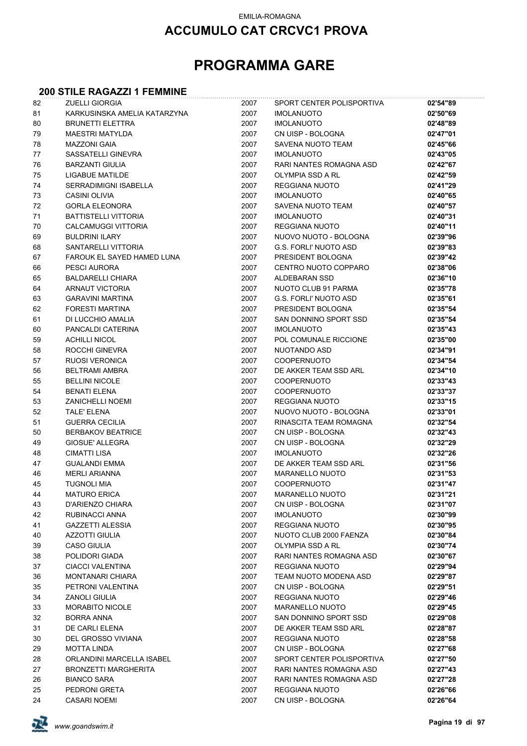#### EMILIA-ROMAGNA

### **ACCUMULO CAT CRCVC1 PROVA**

## **PROGRAMMA GARE**

### **200 STILE RAGAZZI 1 FEMMINE**

| 82 | <b>ZUELLI GIORGIA</b>        | 2007 | SPORT CENTER POLISPORTIVA    | 02'54"89 |
|----|------------------------------|------|------------------------------|----------|
| 81 | KARKUSINSKA AMELIA KATARZYNA | 2007 | <b>IMOLANUOTO</b>            | 02'50"69 |
| 80 | <b>BRUNETTI ELETTRA</b>      | 2007 | <b>IMOLANUOTO</b>            | 02'48"89 |
| 79 | <b>MAESTRI MATYLDA</b>       | 2007 | CN UISP - BOLOGNA            | 02'47"01 |
| 78 | <b>MAZZONI GAIA</b>          | 2007 | SAVENA NUOTO TEAM            | 02'45"66 |
| 77 | SASSATELLI GINEVRA           | 2007 | <b>IMOLANUOTO</b>            | 02'43"05 |
| 76 | <b>BARZANTI GIULIA</b>       | 2007 | RARI NANTES ROMAGNA ASD      | 02'42"67 |
| 75 | LIGABUE MATILDE              | 2007 | OLYMPIA SSD A RL             | 02'42"59 |
| 74 | SERRADIMIGNI ISABELLA        | 2007 | REGGIANA NUOTO               | 02'41"29 |
| 73 | <b>CASINI OLIVIA</b>         | 2007 | <b>IMOLANUOTO</b>            | 02'40"65 |
| 72 | <b>GORLA ELEONORA</b>        | 2007 | SAVENA NUOTO TEAM            | 02'40"57 |
| 71 | <b>BATTISTELLI VITTORIA</b>  | 2007 | <b>IMOLANUOTO</b>            | 02'40"31 |
| 70 | <b>CALCAMUGGI VITTORIA</b>   | 2007 | <b>REGGIANA NUOTO</b>        | 02'40"11 |
| 69 | <b>BULDRINI ILARY</b>        | 2007 | NUOVO NUOTO - BOLOGNA        | 02'39"96 |
| 68 | SANTARELLI VITTORIA          | 2007 | <b>G.S. FORLI' NUOTO ASD</b> | 02'39"83 |
| 67 | FAROUK EL SAYED HAMED LUNA   | 2007 | PRESIDENT BOLOGNA            | 02'39"42 |
| 66 | PESCI AURORA                 | 2007 | CENTRO NUOTO COPPARO         | 02'38"06 |
| 65 | <b>BALDARELLI CHIARA</b>     | 2007 | ALDEBARAN SSD                | 02'36"10 |
| 64 | ARNAUT VICTORIA              | 2007 | NUOTO CLUB 91 PARMA          | 02'35"78 |
| 63 | <b>GARAVINI MARTINA</b>      | 2007 | <b>G.S. FORLI' NUOTO ASD</b> | 02'35"61 |
| 62 | <b>FORESTI MARTINA</b>       | 2007 | PRESIDENT BOLOGNA            | 02'35"54 |
| 61 | DI LUCCHIO AMALIA            | 2007 | SAN DONNINO SPORT SSD        | 02'35"54 |
| 60 | PANCALDI CATERINA            | 2007 | <b>IMOLANUOTO</b>            | 02'35"43 |
| 59 | <b>ACHILLI NICOL</b>         | 2007 | POL COMUNALE RICCIONE        | 02'35"00 |
| 58 | ROCCHI GINEVRA               | 2007 | NUOTANDO ASD                 | 02'34"91 |
| 57 | RUOSI VERONICA               | 2007 | <b>COOPERNUOTO</b>           | 02'34"54 |
| 56 | <b>BELTRAMI AMBRA</b>        | 2007 | DE AKKER TEAM SSD ARL        | 02'34"10 |
| 55 | <b>BELLINI NICOLE</b>        | 2007 | COOPERNUOTO                  | 02'33"43 |
| 54 | <b>BENATI ELENA</b>          | 2007 | COOPERNUOTO                  | 02'33"37 |
| 53 | <b>ZANICHELLI NOEMI</b>      | 2007 | <b>REGGIANA NUOTO</b>        | 02'33"15 |
| 52 | TALE' ELENA                  | 2007 | NUOVO NUOTO - BOLOGNA        | 02'33"01 |
| 51 | <b>GUERRA CECILIA</b>        | 2007 | RINASCITA TEAM ROMAGNA       | 02'32"54 |
| 50 | <b>BERBAKOV BEATRICE</b>     | 2007 | CN UISP - BOLOGNA            | 02'32"43 |
| 49 | <b>GIOSUE' ALLEGRA</b>       | 2007 | CN UISP - BOLOGNA            | 02'32"29 |
| 48 | <b>CIMATTI LISA</b>          | 2007 | <b>IMOLANUOTO</b>            | 02'32"26 |
| 47 | <b>GUALANDI EMMA</b>         | 2007 | DE AKKER TEAM SSD ARL        | 02'31"56 |
| 46 | <b>MERLI ARIANNA</b>         | 2007 | <b>MARANELLO NUOTO</b>       | 02'31"53 |
| 45 | <b>TUGNOLI MIA</b>           | 2007 | <b>COOPERNUOTO</b>           | 02'31"47 |
| 44 | <b>MATURO ERICA</b>          | 2007 | MARANELLO NUOTO              | 02'31"21 |
| 43 | D'ARIENZO CHIARA             | 2007 | CN UISP - BOLOGNA            | 02'31"07 |
| 42 | RUBINACCI ANNA               | 2007 | <b>IMOLANUOTO</b>            | 02'30"99 |
| 41 | <b>GAZZETTI ALESSIA</b>      | 2007 | REGGIANA NUOTO               | 02'30"95 |
| 40 | <b>AZZOTTI GIULIA</b>        | 2007 | NUOTO CLUB 2000 FAENZA       | 02'30"84 |
| 39 | <b>CASO GIULIA</b>           | 2007 | OLYMPIA SSD A RL             | 02'30"74 |
| 38 | POLIDORI GIADA               | 2007 | RARI NANTES ROMAGNA ASD      | 02'30"67 |
| 37 | <b>CIACCI VALENTINA</b>      | 2007 | REGGIANA NUOTO               | 02'29"94 |
| 36 | <b>MONTANARI CHIARA</b>      | 2007 | TEAM NUOTO MODENA ASD        | 02'29"87 |
| 35 | PETRONI VALENTINA            | 2007 | CN UISP - BOLOGNA            | 02'29"51 |
| 34 | <b>ZANOLI GIULIA</b>         | 2007 | <b>REGGIANA NUOTO</b>        | 02'29"46 |
| 33 | <b>MORABITO NICOLE</b>       | 2007 | <b>MARANELLO NUOTO</b>       | 02'29"45 |
| 32 | <b>BORRA ANNA</b>            | 2007 | SAN DONNINO SPORT SSD        | 02'29"08 |
| 31 | DE CARLI ELENA               | 2007 | DE AKKER TEAM SSD ARL        | 02'28"87 |
| 30 | DEL GROSSO VIVIANA           | 2007 | REGGIANA NUOTO               | 02'28"58 |
| 29 | <b>MOTTA LINDA</b>           | 2007 | CN UISP - BOLOGNA            | 02'27"68 |
| 28 | ORLANDINI MARCELLA ISABEL    | 2007 | SPORT CENTER POLISPORTIVA    | 02'27"50 |
| 27 | <b>BRONZETTI MARGHERITA</b>  | 2007 | RARI NANTES ROMAGNA ASD      | 02'27"43 |
| 26 | <b>BIANCO SARA</b>           | 2007 | RARI NANTES ROMAGNA ASD      | 02'27"28 |
| 25 | PEDRONI GRETA                | 2007 | REGGIANA NUOTO               | 02'26"66 |
| 24 | <b>CASARI NOEMI</b>          | 2007 | CN UISP - BOLOGNA            | 02'26"64 |

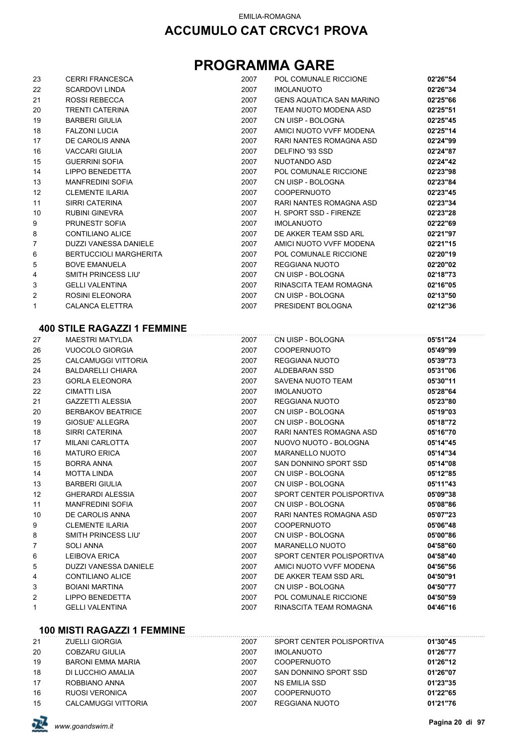## **PROGRAMMA GARE**

| 23             | <b>CERRI FRANCESCA</b>                                               | 2007 | POL COMUNALE RICCIONE           | 02'26"54      |
|----------------|----------------------------------------------------------------------|------|---------------------------------|---------------|
| 22             | <b>SCARDOVI LINDA</b>                                                | 2007 | <b>IMOLANUOTO</b>               | 02'26"34      |
| 21             | <b>ROSSI REBECCA</b>                                                 | 2007 | <b>GENS AQUATICA SAN MARINO</b> | 02'25"66      |
| 20             | <b>TRENTI CATERINA</b>                                               | 2007 | TEAM NUOTO MODENA ASD           | 02'25"51      |
| 19             | <b>BARBERI GIULIA</b>                                                | 2007 | CN UISP - BOLOGNA               | 02'25"45      |
| 18             | <b>FALZONI LUCIA</b>                                                 | 2007 | AMICI NUOTO VVFF MODENA         | 02'25"14      |
| 17             | DE CAROLIS ANNA                                                      | 2007 | <b>RARI NANTES ROMAGNA ASD</b>  | 02'24"99      |
| 16             | <b>VACCARI GIULIA</b>                                                | 2007 | DELFINO '93 SSD                 | 02'24"87      |
| 15             | <b>GUERRINI SOFIA</b>                                                | 2007 | NUOTANDO ASD                    | 02'24"42      |
| 14             | <b>LIPPO BENEDETTA</b>                                               | 2007 | POL COMUNALE RICCIONE           | 02'23"98      |
| 13             | <b>MANFREDINI SOFIA</b>                                              | 2007 | CN UISP - BOLOGNA               | 02'23"84      |
| 12             | <b>CLEMENTE ILARIA</b>                                               | 2007 | <b>COOPERNUOTO</b>              | 02'23"45      |
| 11             | <b>SIRRI CATERINA</b>                                                | 2007 | RARI NANTES ROMAGNA ASD         | 02'23"34      |
| 10             | <b>RUBINI GINEVRA</b>                                                | 2007 | H. SPORT SSD - FIRENZE          | 02'23"28      |
| 9              | PRUNESTI' SOFIA                                                      | 2007 | <b>IMOLANUOTO</b>               | 02'22"69      |
| 8              | <b>CONTILIANO ALICE</b>                                              | 2007 | DE AKKER TEAM SSD ARL           | 02'21"97      |
| $\overline{7}$ | <b>DUZZI VANESSA DANIELE</b>                                         | 2007 | AMICI NUOTO VVFF MODENA         | 02'21"15      |
| 6              | <b>BERTUCCIOLI MARGHERITA</b>                                        | 2007 | POL COMUNALE RICCIONE           | 02'20"19      |
| 5              | <b>BOVE EMANUELA</b>                                                 | 2007 | REGGIANA NUOTO                  | 02'20"02      |
| 4              | SMITH PRINCESS LIU'                                                  | 2007 | CN UISP - BOLOGNA               | 02'18"73      |
| 3              | <b>GELLI VALENTINA</b>                                               | 2007 | RINASCITA TEAM ROMAGNA          | 02'16"05      |
| $\overline{c}$ | <b>ROSINI ELEONORA</b>                                               | 2007 | CN UISP - BOLOGNA               | 02'13"50      |
| 1              | <b>CALANCA ELETTRA</b>                                               | 2007 | PRESIDENT BOLOGNA               | 02'12"36      |
|                | <b>400 STILE RAGAZZI 1 FEMMINE</b>                                   |      |                                 |               |
| 27             | <b>MAESTRI MATYLDA</b>                                               | 2007 | CN UISP - BOLOGNA               | 05'51"24      |
| 26             | <b>VUOCOLO GIORGIA</b>                                               | 2007 | <b>COOPERNUOTO</b>              | 05'49"99      |
| 25             | <b>CALCAMUGGI VITTORIA</b>                                           | 2007 | <b>REGGIANA NUOTO</b>           | 05'39"73      |
| 24             | <b>BALDARELLI CHIARA</b>                                             | 2007 | <b>ALDEBARAN SSD</b>            | 05'31"06      |
| 23             | <b>GORLA ELEONORA</b>                                                | 2007 | SAVENA NUOTO TEAM               | 05'30"11      |
| $\sim$         | $Q$ $\mathbf{A}$ $\mathbf{A}$ $\mathbf{A}$ $\mathbf{A}$ $\mathbf{A}$ | 0007 | 111011111070                    | $A = 1000004$ |

| 23 | GURLA ELEUNURA             | ZUU7 | SAVENA NUOTO TEAM         | <b>U5 3U 11</b> |
|----|----------------------------|------|---------------------------|-----------------|
| 22 | <b>CIMATTI LISA</b>        | 2007 | <b>IMOLANUOTO</b>         | 05'28"64        |
| 21 | <b>GAZZETTI ALESSIA</b>    | 2007 | REGGIANA NUOTO            | 05'23"80        |
| 20 | <b>BERBAKOV BEATRICE</b>   | 2007 | CN UISP - BOLOGNA         | 05'19"03        |
| 19 | GIOSUE' ALLEGRA            | 2007 | CN UISP - BOLOGNA         | 05'18"72        |
| 18 | SIRRI CATERINA             | 2007 | RARI NANTES ROMAGNA ASD   | 05'16"70        |
| 17 | <b>MILANI CARLOTTA</b>     | 2007 | NUOVO NUOTO - BOLOGNA     | 05'14"45        |
| 16 | <b>MATURO ERICA</b>        | 2007 | <b>MARANELLO NUOTO</b>    | 05'14"34        |
| 15 | <b>BORRA ANNA</b>          | 2007 | SAN DONNINO SPORT SSD     | 05'14"08        |
| 14 | <b>MOTTA LINDA</b>         | 2007 | CN UISP - BOLOGNA         | 05'12"85        |
| 13 | <b>BARBERI GIULIA</b>      | 2007 | CN UISP - BOLOGNA         | 05'11"43        |
| 12 | <b>GHERARDI ALESSIA</b>    | 2007 | SPORT CENTER POLISPORTIVA | 05'09"38        |
| 11 | <b>MANFREDINI SOFIA</b>    | 2007 | CN UISP - BOLOGNA         | 05'08"86        |
| 10 | DE CAROLIS ANNA            | 2007 | RARI NANTES ROMAGNA ASD   | 05'07"23        |
| 9  | <b>CLEMENTE ILARIA</b>     | 2007 | <b>COOPERNUOTO</b>        | 05'06"48        |
| 8  | <b>SMITH PRINCESS LIU'</b> | 2007 | CN UISP - BOLOGNA         | 05'00"86        |
| 7  | SOLI ANNA                  | 2007 | <b>MARANELLO NUOTO</b>    | 04'58"60        |
| 6  | LEIBOVA ERICA              | 2007 | SPORT CENTER POLISPORTIVA | 04'58"40        |
| 5  | DUZZI VANESSA DANIELE      | 2007 | AMICI NUOTO VVFF MODENA   | 04'56"56        |
| 4  | <b>CONTILIANO ALICE</b>    | 2007 | DE AKKER TEAM SSD ARL     | 04'50"91        |
| 3  | <b>BOIANI MARTINA</b>      | 2007 | CN UISP - BOLOGNA         | 04'50"77        |
| 2  | <b>LIPPO BENEDETTA</b>     | 2007 | POL COMUNALE RICCIONE     | 04'50"59        |
| 1  | <b>GELLI VALENTINA</b>     | 2007 | RINASCITA TEAM ROMAGNA    | 04'46"16        |

#### **100 MISTI RAGAZZI 1 FEMMINE**

| 21 | <b>ZUELLI GIORGIA</b>    | 2007 | SPORT CENTER POLISPORTIVA | 01'30"45 |
|----|--------------------------|------|---------------------------|----------|
| 20 | COBZARU GIULIA           | 2007 | <b>IMOLANUOTO</b>         | 01'26"77 |
| 19 | <b>BARONI EMMA MARIA</b> | 2007 | <b>COOPERNUOTO</b>        | 01'26"12 |
| 18 | DI LUCCHIO AMALIA        | 2007 | SAN DONNINO SPORT SSD     | 01'26"07 |
| 17 | ROBBIANO ANNA            | 2007 | NS EMILIA SSD             | 01'23"35 |
| 16 | <b>RUOSI VERONICA</b>    | 2007 | <b>COOPERNUOTO</b>        | 01'22"65 |
| 15 | CALCAMUGGI VITTORIA      | 2007 | REGGIANA NUOTO            | 01'21"76 |

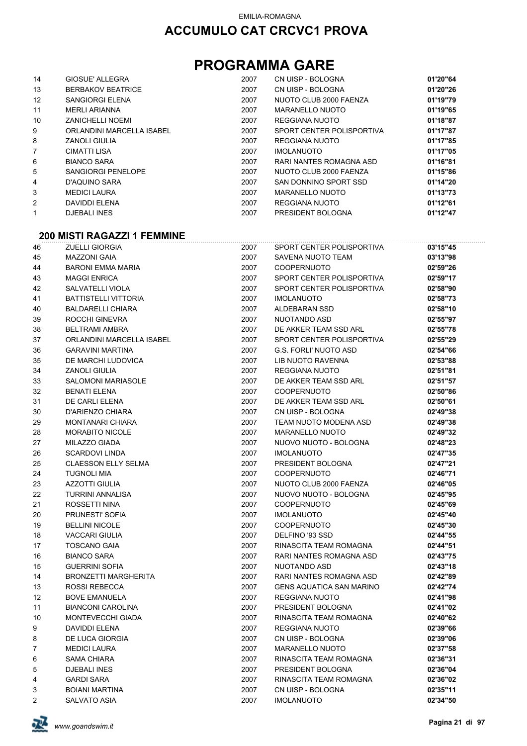## **PROGRAMMA GARE**

| 14                | GIOSUE' ALLEGRA           | 2007 | CN UISP - BOLOGNA         | 01'20"64 |
|-------------------|---------------------------|------|---------------------------|----------|
| 13                | <b>BERBAKOV BEATRICE</b>  | 2007 | CN UISP - BOLOGNA         | 01'20"26 |
| $12 \overline{ }$ | SANGIORGI ELENA           | 2007 | NUOTO CLUB 2000 FAENZA    | 01'19"79 |
| 11                | <b>MERLI ARIANNA</b>      | 2007 | MARANELLO NUOTO           | 01'19"65 |
| 10                | <b>ZANICHELLI NOEMI</b>   | 2007 | REGGIANA NUOTO            | 01'18"87 |
| 9                 | ORLANDINI MARCELLA ISABEL | 2007 | SPORT CENTER POLISPORTIVA | 01'17"87 |
| 8                 | <b>ZANOLI GIULIA</b>      | 2007 | REGGIANA NUOTO            | 01'17"85 |
| $\overline{7}$    | CIMATTI LISA              | 2007 | <b>IMOLANUOTO</b>         | 01'17"05 |
| 6                 | <b>BIANCO SARA</b>        | 2007 | RARI NANTES ROMAGNA ASD   | 01'16"81 |
| 5                 | <b>SANGIORGI PENELOPE</b> | 2007 | NUOTO CLUB 2000 FAENZA    | 01'15"86 |
| 4                 | D'AQUINO SARA             | 2007 | SAN DONNINO SPORT SSD     | 01'14"20 |
| 3                 | <b>MEDICI LAURA</b>       | 2007 | MARANELLO NUOTO           | 01'13"73 |
| 2                 | DAVIDDI ELENA             | 2007 | REGGIANA NUOTO            | 01'12"61 |
| 1                 | <b>DJEBALI INES</b>       | 2007 | PRESIDENT BOLOGNA         | 01'12"47 |

#### **200 MISTI RAGAZZI 1 FEMMINE**

| 46             | <b>ZUELLI GIORGIA</b>       | 2007 | SPORT CENTER POLISPORTIVA       | 03'15"45 |
|----------------|-----------------------------|------|---------------------------------|----------|
| 45             | <b>MAZZONI GAIA</b>         | 2007 | SAVENA NUOTO TEAM               | 03'13"98 |
| 44             | <b>BARONI EMMA MARIA</b>    | 2007 | <b>COOPERNUOTO</b>              | 02'59"26 |
| 43             | <b>MAGGI ENRICA</b>         | 2007 | SPORT CENTER POLISPORTIVA       | 02'59"17 |
| 42             | SALVATELLI VIOLA            | 2007 | SPORT CENTER POLISPORTIVA       | 02'58"90 |
| 41             | <b>BATTISTELLI VITTORIA</b> | 2007 | <b>IMOLANUOTO</b>               | 02'58"73 |
| 40             | <b>BALDARELLI CHIARA</b>    | 2007 | ALDEBARAN SSD                   | 02'58"10 |
| 39             | ROCCHI GINEVRA              | 2007 | NUOTANDO ASD                    | 02'55"97 |
| 38             | <b>BELTRAMI AMBRA</b>       | 2007 | DE AKKER TEAM SSD ARL           | 02'55"78 |
| 37             | ORLANDINI MARCELLA ISABEL   | 2007 | SPORT CENTER POLISPORTIVA       | 02'55"29 |
| 36             | <b>GARAVINI MARTINA</b>     | 2007 | <b>G.S. FORLI' NUOTO ASD</b>    | 02'54"66 |
| 35             | DE MARCHI LUDOVICA          | 2007 | <b>LIB NUOTO RAVENNA</b>        | 02'53"88 |
| 34             | <b>ZANOLI GIULIA</b>        | 2007 | <b>REGGIANA NUOTO</b>           | 02'51"81 |
| 33             | <b>SALOMONI MARIASOLE</b>   | 2007 | DE AKKER TEAM SSD ARL           | 02'51"57 |
| 32             | <b>BENATI ELENA</b>         | 2007 | <b>COOPERNUOTO</b>              | 02'50"86 |
| 31             | DE CARLI ELENA              | 2007 | DE AKKER TEAM SSD ARL           | 02'50"61 |
| 30             | D'ARIENZO CHIARA            | 2007 | CN UISP - BOLOGNA               | 02'49"38 |
| 29             | <b>MONTANARI CHIARA</b>     | 2007 | TEAM NUOTO MODENA ASD           | 02'49"38 |
| 28             | <b>MORABITO NICOLE</b>      | 2007 | MARANELLO NUOTO                 | 02'49"32 |
| 27             | MILAZZO GIADA               | 2007 | NUOVO NUOTO - BOLOGNA           | 02'48"23 |
| 26             | <b>SCARDOVI LINDA</b>       | 2007 | <b>IMOLANUOTO</b>               | 02'47"35 |
| 25             | <b>CLAESSON ELLY SELMA</b>  | 2007 | PRESIDENT BOLOGNA               | 02'47"21 |
| 24             | <b>TUGNOLI MIA</b>          | 2007 | <b>COOPERNUOTO</b>              | 02'46"71 |
| 23             | <b>AZZOTTI GIULIA</b>       | 2007 | NUOTO CLUB 2000 FAENZA          | 02'46"05 |
| 22             | <b>TURRINI ANNALISA</b>     | 2007 | NUOVO NUOTO - BOLOGNA           | 02'45"95 |
| 21             | ROSSETTI NINA               | 2007 | COOPERNUOTO                     | 02'45"69 |
| 20             | PRUNESTI' SOFIA             | 2007 | <b>IMOLANUOTO</b>               | 02'45"40 |
| 19             | <b>BELLINI NICOLE</b>       | 2007 | <b>COOPERNUOTO</b>              | 02'45"30 |
| 18             | <b>VACCARI GIULIA</b>       | 2007 | DELFINO '93 SSD                 | 02'44"55 |
| 17             | <b>TOSCANO GAIA</b>         | 2007 | RINASCITA TEAM ROMAGNA          | 02'44"51 |
| 16             | <b>BIANCO SARA</b>          | 2007 | RARI NANTES ROMAGNA ASD         | 02'43"75 |
| 15             | <b>GUERRINI SOFIA</b>       | 2007 | NUOTANDO ASD                    | 02'43"18 |
| 14             | <b>BRONZETTI MARGHERITA</b> | 2007 | RARI NANTES ROMAGNA ASD         | 02'42"89 |
| 13             | <b>ROSSI REBECCA</b>        | 2007 | <b>GENS AQUATICA SAN MARINO</b> | 02'42"74 |
| 12             | <b>BOVE EMANUELA</b>        | 2007 | <b>REGGIANA NUOTO</b>           | 02'41"98 |
| 11             | <b>BIANCONI CAROLINA</b>    | 2007 | PRESIDENT BOLOGNA               | 02'41"02 |
| 10             | MONTEVECCHI GIADA           | 2007 | RINASCITA TEAM ROMAGNA          | 02'40"62 |
| 9              | <b>DAVIDDI ELENA</b>        | 2007 | <b>REGGIANA NUOTO</b>           | 02'39"66 |
| 8              | DE LUCA GIORGIA             | 2007 | CN UISP - BOLOGNA               | 02'39"06 |
| $\overline{7}$ | <b>MEDICI LAURA</b>         | 2007 | <b>MARANELLO NUOTO</b>          | 02'37"58 |
| 6              | <b>SAMA CHIARA</b>          | 2007 | RINASCITA TEAM ROMAGNA          | 02'36"31 |
| 5              | <b>DJEBALI INES</b>         | 2007 | PRESIDENT BOLOGNA               | 02'36"04 |
| 4              | <b>GARDI SARA</b>           | 2007 | RINASCITA TEAM ROMAGNA          | 02'36"02 |
| 3              | <b>BOIANI MARTINA</b>       | 2007 | CN UISP - BOLOGNA               | 02'35"11 |
| $\overline{2}$ | SALVATO ASIA                | 2007 | <b>IMOLANUOTO</b>               | 02'34"50 |

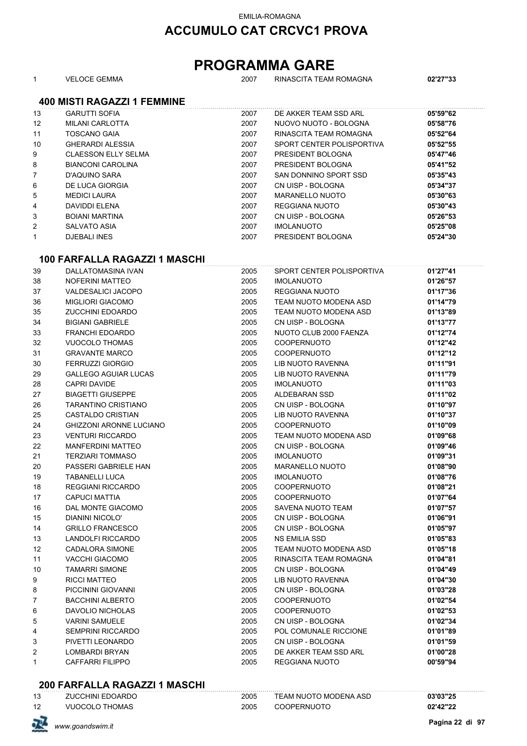#### EMILIA-ROMAGNA

### **ACCUMULO CAT CRCVC1 PROVA**

### **PROGRAMMA GARE**

|  | <b>VELOCE GEMMA</b> |  |
|--|---------------------|--|
|--|---------------------|--|

# 2007 RINASCITA TEAM ROMAGNA **02'27"33**

**400 MISTI RAGAZZI 1 FEMMINE**

| 13 | <b>GARUTTI SOFIA</b>       | 2007 | DE AKKER TEAM SSD ARL     | 05'59"62 |
|----|----------------------------|------|---------------------------|----------|
| 12 | MILANI CARLOTTA            | 2007 | NUOVO NUOTO - BOLOGNA     | 05'58"76 |
| 11 | <b>TOSCANO GAIA</b>        | 2007 | RINASCITA TEAM ROMAGNA    | 05'52"64 |
| 10 | <b>GHERARDI ALESSIA</b>    | 2007 | SPORT CENTER POLISPORTIVA | 05'52"55 |
| 9  | <b>CLAESSON ELLY SELMA</b> | 2007 | PRESIDENT BOLOGNA         | 05'47"46 |
| 8  | <b>BIANCONI CAROLINA</b>   | 2007 | PRESIDENT BOLOGNA         | 05'41"52 |
| 7  | D'AQUINO SARA              | 2007 | SAN DONNINO SPORT SSD     | 05'35"43 |
| 6  | DE LUCA GIORGIA            | 2007 | CN UISP - BOLOGNA         | 05'34"37 |
| 5  | <b>MEDICI LAURA</b>        | 2007 | MARANELLO NUOTO           | 05'30"63 |
| 4  | DAVIDDI ELENA              | 2007 | REGGIANA NUOTO            | 05'30"43 |
| 3  | <b>BOIANI MARTINA</b>      | 2007 | CN UISP - BOLOGNA         | 05'26"53 |
| 2  | SALVATO ASIA               | 2007 | <b>IMOLANUOTO</b>         | 05'25"08 |
|    | <b>DJEBALI INES</b>        | 2007 | PRESIDENT BOLOGNA         | 05'24"30 |

#### **100 FARFALLA RAGAZZI 1 MASCHI**

| 39 | DALLATOMASINA IVAN             | 2005 | SPORT CENTER POLISPORTIVA | 01'27"41 |
|----|--------------------------------|------|---------------------------|----------|
| 38 | <b>NOFERINI MATTEO</b>         | 2005 | <b>IMOLANUOTO</b>         | 01'26"57 |
| 37 | <b>VALDESALICI JACOPO</b>      | 2005 | REGGIANA NUOTO            | 01'17"36 |
| 36 | <b>MIGLIORI GIACOMO</b>        | 2005 | TEAM NUOTO MODENA ASD     | 01'14"79 |
| 35 | <b>ZUCCHINI EDOARDO</b>        | 2005 | TEAM NUOTO MODENA ASD     | 01'13"89 |
| 34 | <b>BIGIANI GABRIELE</b>        | 2005 | CN UISP - BOLOGNA         | 01'13"77 |
| 33 | <b>FRANCHI EDOARDO</b>         | 2005 | NUOTO CLUB 2000 FAENZA    | 01'12"74 |
| 32 | <b>VUOCOLO THOMAS</b>          | 2005 | <b>COOPERNUOTO</b>        | 01'12"42 |
| 31 | <b>GRAVANTE MARCO</b>          | 2005 | <b>COOPERNUOTO</b>        | 01'12"12 |
| 30 | <b>FERRUZZI GIORGIO</b>        | 2005 | LIB NUOTO RAVENNA         | 01'11"91 |
| 29 | <b>GALLEGO AGUIAR LUCAS</b>    | 2005 | LIB NUOTO RAVENNA         | 01'11"79 |
| 28 | <b>CAPRI DAVIDE</b>            | 2005 | <b>IMOLANUOTO</b>         | 01'11"03 |
| 27 | <b>BIAGETTI GIUSEPPE</b>       | 2005 | ALDEBARAN SSD             | 01'11"02 |
| 26 | <b>TARANTINO CRISTIANO</b>     | 2005 | CN UISP - BOLOGNA         | 01'10"97 |
| 25 | <b>CASTALDO CRISTIAN</b>       | 2005 | LIB NUOTO RAVENNA         | 01'10"37 |
| 24 | <b>GHIZZONI ARONNE LUCIANO</b> | 2005 | COOPERNUOTO               | 01'10"09 |
| 23 | <b>VENTURI RICCARDO</b>        | 2005 | TEAM NUOTO MODENA ASD     | 01'09"68 |
| 22 | <b>MANFERDINI MATTEO</b>       | 2005 | CN UISP - BOLOGNA         | 01'09"46 |
| 21 | <b>TERZIARI TOMMASO</b>        | 2005 | <b>IMOLANUOTO</b>         | 01'09"31 |
| 20 | PASSERI GABRIELE HAN           | 2005 | <b>MARANELLO NUOTO</b>    | 01'08"90 |
| 19 | <b>TABANELLI LUCA</b>          | 2005 | <b>IMOLANUOTO</b>         | 01'08"76 |
| 18 | <b>REGGIANI RICCARDO</b>       | 2005 | <b>COOPERNUOTO</b>        | 01'08"21 |
| 17 | <b>CAPUCI MATTIA</b>           | 2005 | <b>COOPERNUOTO</b>        | 01'07"64 |
| 16 | DAL MONTE GIACOMO              | 2005 | SAVENA NUOTO TEAM         | 01'07"57 |
| 15 | <b>DIANINI NICOLO'</b>         | 2005 | CN UISP - BOLOGNA         | 01'06"91 |
| 14 | <b>GRILLO FRANCESCO</b>        | 2005 | CN UISP - BOLOGNA         | 01'05"97 |
| 13 | <b>LANDOLFI RICCARDO</b>       | 2005 | <b>NS EMILIA SSD</b>      | 01'05"83 |
| 12 | <b>CADALORA SIMONE</b>         | 2005 | TEAM NUOTO MODENA ASD     | 01'05"18 |
| 11 | <b>VACCHI GIACOMO</b>          | 2005 | RINASCITA TEAM ROMAGNA    | 01'04"81 |
| 10 | <b>TAMARRI SIMONE</b>          | 2005 | CN UISP - BOLOGNA         | 01'04"49 |
| 9  | <b>RICCI MATTEO</b>            | 2005 | LIB NUOTO RAVENNA         | 01'04"30 |
| 8  | PICCININI GIOVANNI             | 2005 | CN UISP - BOLOGNA         | 01'03"28 |
| 7  | <b>BACCHINI ALBERTO</b>        | 2005 | <b>COOPERNUOTO</b>        | 01'02"54 |
| 6  | <b>DAVOLIO NICHOLAS</b>        | 2005 | <b>COOPERNUOTO</b>        | 01'02"53 |
| 5  | <b>VARINI SAMUELE</b>          | 2005 | CN UISP - BOLOGNA         | 01'02"34 |
| 4  | <b>SEMPRINI RICCARDO</b>       | 2005 | POL COMUNALE RICCIONE     | 01'01"89 |
| 3  | PIVETTI LEONARDO               | 2005 | CN UISP - BOLOGNA         | 01'01"59 |
| 2  | <b>LOMBARDI BRYAN</b>          | 2005 | DE AKKER TEAM SSD ARL     | 01'00"28 |
| 1  | <b>CAFFARRI FILIPPO</b>        | 2005 | <b>REGGIANA NUOTO</b>     | 00'59"94 |

#### **200 FARFALLA RAGAZZI 1 MASCHI**

| 13 | <b>ZUCCHINI EDOARDO</b> | 2005 | TEAM NUOTO MODENA ASD | ነ3'03"25 |
|----|-------------------------|------|-----------------------|----------|
| 12 | VIJOCOLO THOMAS         | 2005 | OOPERNIJOTC           | በ2'42"2^ |

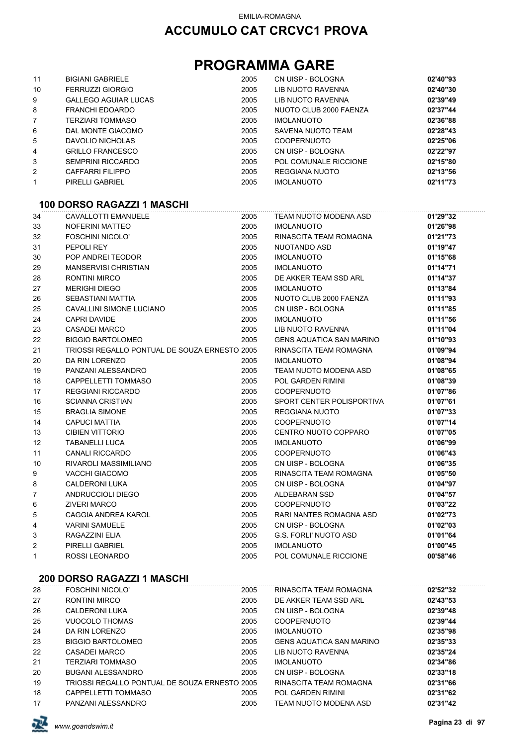| 11           | <b>BIGIANI GABRIELE</b>                       | 2005         | CN UISP - BOLOGNA               | 02'40"93             |
|--------------|-----------------------------------------------|--------------|---------------------------------|----------------------|
| 10           | <b>FERRUZZI GIORGIO</b>                       | 2005         | <b>LIB NUOTO RAVENNA</b>        | 02'40"30             |
|              | <b>GALLEGO AGUIAR LUCAS</b>                   |              | LIB NUOTO RAVENNA               |                      |
| 9<br>8       | <b>FRANCHI EDOARDO</b>                        | 2005<br>2005 | NUOTO CLUB 2000 FAENZA          | 02'39"49<br>02'37"44 |
| 7            | <b>TERZIARI TOMMASO</b>                       | 2005         | <b>IMOLANUOTO</b>               | 02'36"88             |
| 6            | DAL MONTE GIACOMO                             | 2005         | <b>SAVENA NUOTO TEAM</b>        | 02'28"43             |
|              | DAVOLIO NICHOLAS                              | 2005         | <b>COOPERNUOTO</b>              | 02'25"06             |
| 5<br>4       | <b>GRILLO FRANCESCO</b>                       | 2005         | CN UISP - BOLOGNA               | 02'22"97             |
| 3            | <b>SEMPRINI RICCARDO</b>                      | 2005         | POL COMUNALE RICCIONE           | 02'15"80             |
| 2            | CAFFARRI FILIPPO                              | 2005         | REGGIANA NUOTO                  | 02'13"56             |
| 1            | PIRELLI GABRIEL                               | 2005         | <b>IMOLANUOTO</b>               | 02'11"73             |
|              |                                               |              |                                 |                      |
|              | 100 DORSO RAGAZZI 1 MASCHI                    |              |                                 |                      |
| 34           | <b>CAVALLOTTI EMANUELE</b>                    | 2005         | TEAM NUOTO MODENA ASD           | 01'29"32             |
| 33           | NOFERINI MATTEO                               | 2005         | <b>IMOLANUOTO</b>               | 01'26"98             |
| 32           | <b>FOSCHINI NICOLO'</b>                       | 2005         | RINASCITA TEAM ROMAGNA          | 01'21"73             |
| 31           | PEPOLI REY                                    | 2005         | NUOTANDO ASD                    | 01'19"47             |
| 30           | POP ANDREI TEODOR                             | 2005         | <b>IMOLANUOTO</b>               | 01'15"68             |
| 29           | MANSERVISI CHRISTIAN                          | 2005         | <b>IMOLANUOTO</b>               | 01'14"71             |
| 28           | <b>RONTINI MIRCO</b>                          | 2005         | DE AKKER TEAM SSD ARL           | 01'14"37             |
| 27           | <b>MERIGHI DIEGO</b>                          | 2005         | <b>IMOLANUOTO</b>               | 01'13"84             |
| 26           | SEBASTIANI MATTIA                             | 2005         | NUOTO CLUB 2000 FAENZA          | 01'11"93             |
| 25           | CAVALLINI SIMONE LUCIANO                      | 2005         | CN UISP - BOLOGNA               | 01'11"85             |
| 24           | CAPRI DAVIDE                                  | 2005         | <b>IMOLANUOTO</b>               | 01'11"56             |
| 23           | <b>CASADEI MARCO</b>                          | 2005         | <b>LIB NUOTO RAVENNA</b>        | 01'11"04             |
| 22           | <b>BIGGIO BARTOLOMEO</b>                      | 2005         | <b>GENS AQUATICA SAN MARINO</b> | 01'10"93             |
| 21           | TRIOSSI REGALLO PONTUAL DE SOUZA ERNESTO 2005 |              | RINASCITA TEAM ROMAGNA          | 01'09"94             |
| 20           | DA RIN LORENZO                                | 2005         | <b>IMOLANUOTO</b>               | 01'08"94             |
| 19           | PANZANI ALESSANDRO                            | 2005         | TEAM NUOTO MODENA ASD           | 01'08"65             |
| 18           | CAPPELLETTI TOMMASO                           | 2005         | <b>POL GARDEN RIMINI</b>        | 01'08"39             |
| 17           | <b>REGGIANI RICCARDO</b>                      | 2005         | <b>COOPERNUOTO</b>              | 01'07"86             |
| 16           | <b>SCIANNA CRISTIAN</b>                       | 2005         | SPORT CENTER POLISPORTIVA       | 01'07"61             |
| 15           | <b>BRAGLIA SIMONE</b>                         | 2005         | REGGIANA NUOTO                  | 01'07"33             |
| 14           | <b>CAPUCI MATTIA</b>                          | 2005         | <b>COOPERNUOTO</b>              | 01'07"14             |
| 13           | <b>CIBIEN VITTORIO</b>                        | 2005         | CENTRO NUOTO COPPARO            | 01'07"05             |
| 12           | <b>TABANELLI LUCA</b>                         | 2005         | <b>IMOLANUOTO</b>               | 01'06"99             |
| 11           | <b>CANALI RICCARDO</b>                        | 2005         | <b>COOPERNUOTO</b>              | 01'06"43             |
| 10           | RIVAROLI MASSIMILIANO                         | 2005         | CN UISP - BOLOGNA               | 01'06"35             |
| 9            | <b>VACCHI GIACOMO</b>                         | 2005         | RINASCITA TEAM ROMAGNA          | 01'05"50             |
| 8            | <b>CALDERONI LUKA</b>                         | 2005         | CN UISP - BOLOGNA               | 01'04"97             |
| 7            | ANDRUCCIOLI DIEGO                             | 2005         | ALDEBARAN SSD                   | 01'04"57             |
| 6            | <b>ZIVERI MARCO</b>                           | 2005         | <b>COOPERNUOTO</b>              | 01'03"22             |
| 5            | CAGGIA ANDREA KAROL                           | 2005         | RARI NANTES ROMAGNA ASD         | 01'02"73             |
| 4            | <b>VARINI SAMUELE</b>                         | 2005         | CN UISP - BOLOGNA               | 01'02"03             |
| 3            | RAGAZZINI ELIA                                | 2005         | <b>G.S. FORLI' NUOTO ASD</b>    | 01'01"64             |
| 2            | PIRELLI GABRIEL                               | 2005         | <b>IMOLANUOTO</b>               | 01'00"45             |
| $\mathbf{1}$ | ROSSI LEONARDO                                | 2005         | POL COMUNALE RICCIONE           | 00'58"46             |
|              |                                               |              |                                 |                      |
|              | <b>200 DORSO RAGAZZI 1 MASCHI</b>             |              |                                 |                      |
| 28           | <b>FOSCHINI NICOLO'</b>                       | 2005         | RINASCITA TEAM ROMAGNA          | 02'52"32             |
| 27           | <b>RONTINI MIRCO</b>                          | 2005         | DE AKKER TEAM SSD ARL           | 02'43"53             |
| 26           | <b>CALDERONI LUKA</b>                         | 2005         | CN UISP - BOLOGNA               | 02'39"48             |

| z i | RUNTINI MIRUU                                 | ZUUJ. | UE ANNER TEAM SOU ARL           | UZ 43.33 |
|-----|-----------------------------------------------|-------|---------------------------------|----------|
| 26  | CALDERONI LUKA                                | 2005  | CN UISP - BOLOGNA               | 02'39"48 |
| 25  | VUOCOLO THOMAS                                | 2005  | <b>COOPERNUOTO</b>              | 02'39"44 |
| 24  | DA RIN LORENZO                                | 2005  | <b>IMOLANUOTO</b>               | 02'35"98 |
| 23  | <b>BIGGIO BARTOLOMEO</b>                      | 2005  | <b>GENS AQUATICA SAN MARINO</b> | 02'35"33 |
| 22  | CASADEI MARCO                                 | 2005  | LIB NUOTO RAVENNA               | 02'35"24 |
| 21  | <b>TERZIARI TOMMASO</b>                       | 2005  | <b>IMOLANUOTO</b>               | 02'34"86 |
| 20  | <b>BUGANI ALESSANDRO</b>                      | 2005  | CN UISP - BOLOGNA               | 02'33"18 |
| 19  | TRIOSSI REGALLO PONTUAL DE SOUZA ERNESTO 2005 |       | RINASCITA TEAM ROMAGNA          | 02'31"66 |
| 18  | CAPPELLETTI TOMMASO                           | 2005  | POL GARDEN RIMINI               | 02'31"62 |
| 17  | PANZANI ALESSANDRO                            | 2005  | TEAM NUOTO MODENA ASD           | 02'31"42 |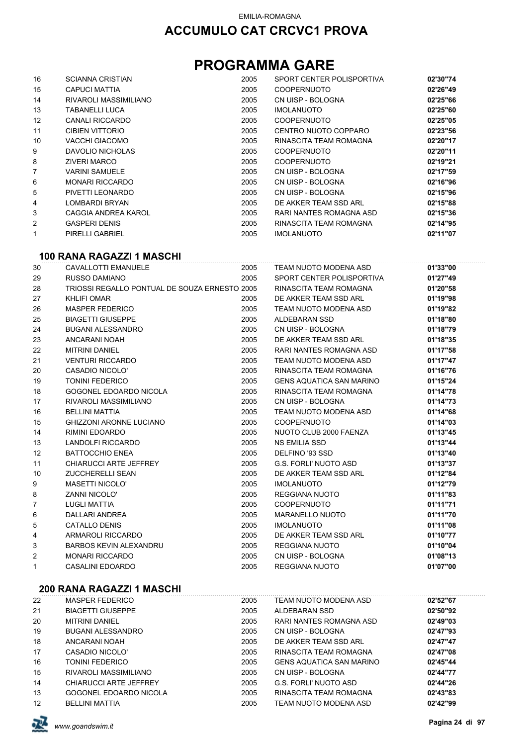## **PROGRAMMA GARE**

| 16                | <b>SCIANNA CRISTIAN</b> | 2005 | SPORT CENTER POLISPORTIVA | 02'30"74 |
|-------------------|-------------------------|------|---------------------------|----------|
| 15                | CAPUCI MATTIA           | 2005 | <b>COOPERNUOTO</b>        | 02'26"49 |
| 14                | RIVAROLI MASSIMILIANO   | 2005 | CN UISP - BOLOGNA         | 02'25"66 |
| 13                | TABANELLI LUCA          | 2005 | <b>IMOLANUOTO</b>         | 02'25"60 |
| $12 \overline{ }$ | <b>CANALI RICCARDO</b>  | 2005 | <b>COOPERNUOTO</b>        | 02'25"05 |
| 11                | <b>CIBIEN VITTORIO</b>  | 2005 | CENTRO NUOTO COPPARO      | 02'23"56 |
| 10                | VACCHI GIACOMO          | 2005 | RINASCITA TEAM ROMAGNA    | 02'20"17 |
| 9                 | DAVOLIO NICHOLAS        | 2005 | <b>COOPERNUOTO</b>        | 02'20"11 |
| 8                 | <b>ZIVERI MARCO</b>     | 2005 | <b>COOPERNUOTO</b>        | 02'19"21 |
| 7                 | <b>VARINI SAMUELE</b>   | 2005 | CN UISP - BOLOGNA         | 02'17"59 |
| 6                 | <b>MONARI RICCARDO</b>  | 2005 | CN UISP - BOLOGNA         | 02'16"96 |
| 5                 | PIVETTI LEONARDO        | 2005 | CN UISP - BOLOGNA         | 02'15"96 |
| 4                 | LOMBARDI BRYAN          | 2005 | DE AKKER TEAM SSD ARL     | 02'15"88 |
| 3                 | CAGGIA ANDREA KAROL     | 2005 | RARI NANTES ROMAGNA ASD   | 02'15"36 |
| 2                 | <b>GASPERI DENIS</b>    | 2005 | RINASCITA TEAM ROMAGNA    | 02'14"95 |
| 1                 | PIRELLI GABRIEL         | 2005 | <b>IMOLANUOTO</b>         | 02'11"07 |

#### **100 RANA RAGAZZI 1 MASCHI**

| 30             | CAVALLOTTI EMANUELE                           | 2005 | TEAM NUOTO MODENA ASD           | 01'33"00 |
|----------------|-----------------------------------------------|------|---------------------------------|----------|
| 29             | RUSSO DAMIANO                                 | 2005 | SPORT CENTER POLISPORTIVA       | 01'27"49 |
| 28             | TRIOSSI REGALLO PONTUAL DE SOUZA ERNESTO 2005 |      | RINASCITA TEAM ROMAGNA          | 01'20"58 |
| 27             | <b>KHLIFI OMAR</b>                            | 2005 | DE AKKER TEAM SSD ARL           | 01'19"98 |
| 26             | <b>MASPER FEDERICO</b>                        | 2005 | TEAM NUOTO MODENA ASD           | 01'19"82 |
| 25             | <b>BIAGETTI GIUSEPPE</b>                      | 2005 | ALDEBARAN SSD                   | 01'18"80 |
| 24             | <b>BUGANI ALESSANDRO</b>                      | 2005 | CN UISP - BOLOGNA               | 01'18"79 |
| 23             | ANCARANI NOAH                                 | 2005 | DE AKKER TEAM SSD ARL           | 01'18"35 |
| 22             | <b>MITRINI DANIEL</b>                         | 2005 | RARI NANTES ROMAGNA ASD         | 01'17"58 |
| 21             | <b>VENTURI RICCARDO</b>                       | 2005 | TEAM NUOTO MODENA ASD           | 01'17"47 |
| 20             | <b>CASADIO NICOLO'</b>                        | 2005 | RINASCITA TEAM ROMAGNA          | 01'16"76 |
| 19             | <b>TONINI FEDERICO</b>                        | 2005 | <b>GENS AQUATICA SAN MARINO</b> | 01'15"24 |
| 18             | GOGONEL EDOARDO NICOLA                        | 2005 | RINASCITA TEAM ROMAGNA          | 01'14"78 |
| 17             | RIVAROLI MASSIMILIANO                         | 2005 | CN UISP - BOLOGNA               | 01'14"73 |
| 16             | <b>BELLINI MATTIA</b>                         | 2005 | TEAM NUOTO MODENA ASD           | 01'14"68 |
| 15             | <b>GHIZZONI ARONNE LUCIANO</b>                | 2005 | <b>COOPERNUOTO</b>              | 01'14"03 |
| 14             | RIMINI EDOARDO                                | 2005 | NUOTO CLUB 2000 FAENZA          | 01'13"45 |
| 13             | LANDOLFI RICCARDO                             | 2005 | NS EMILIA SSD                   | 01'13"44 |
| 12             | <b>BATTOCCHIO ENEA</b>                        | 2005 | DELFINO '93 SSD                 | 01'13"40 |
| 11             | CHIARUCCI ARTE JEFFREY                        | 2005 | G.S. FORLI' NUOTO ASD           | 01'13"37 |
| 10             | <b>ZUCCHERELLI SEAN</b>                       | 2005 | DE AKKER TEAM SSD ARL           | 01'12"84 |
| 9              | <b>MASETTI NICOLO'</b>                        | 2005 | <b>IMOLANUOTO</b>               | 01'12"79 |
| 8              | <b>ZANNI NICOLO'</b>                          | 2005 | REGGIANA NUOTO                  | 01'11"83 |
| $\overline{7}$ | <b>LUGLI MATTIA</b>                           | 2005 | <b>COOPERNUOTO</b>              | 01'11"71 |
| 6              | DALLARI ANDREA                                | 2005 | <b>MARANELLO NUOTO</b>          | 01'11"70 |
| 5              | <b>CATALLO DENIS</b>                          | 2005 | <b>IMOLANUOTO</b>               | 01'11"08 |
| 4              | ARMAROLI RICCARDO                             | 2005 | DE AKKER TEAM SSD ARL           | 01'10"77 |
| 3              | BARBOS KEVIN ALEXANDRU                        | 2005 | <b>REGGIANA NUOTO</b>           | 01'10"04 |
| $\overline{c}$ | <b>MONARI RICCARDO</b>                        | 2005 | CN UISP - BOLOGNA               | 01'08"13 |
| $\mathbf{1}$   | <b>CASALINI EDOARDO</b>                       | 2005 | <b>REGGIANA NUOTO</b>           | 01'07"00 |

### **200 RANA RAGAZZI 1 MASCHI**

| 22                | MASPER FEDERICO          | 2005 | TEAM NUOTO MODENA ASD           | 02'52"67 |
|-------------------|--------------------------|------|---------------------------------|----------|
| 21                | <b>BIAGETTI GIUSEPPE</b> | 2005 | ALDEBARAN SSD                   | 02'50"92 |
| 20                | <b>MITRINI DANIEL</b>    | 2005 | RARI NANTES ROMAGNA ASD         | 02'49"03 |
| 19                | BUGANI ALESSANDRO        | 2005 | CN UISP - BOLOGNA               | 02'47"93 |
| 18                | ANCARANI NOAH            | 2005 | DE AKKER TEAM SSD ARL           | 02'47"47 |
| 17                | CASADIO NICOLO'          | 2005 | RINASCITA TEAM ROMAGNA          | 02'47"08 |
| 16                | TONINI FEDERICO          | 2005 | <b>GENS AQUATICA SAN MARINO</b> | 02'45"44 |
| 15                | RIVAROLI MASSIMILIANO    | 2005 | CN UISP - BOLOGNA               | 02'44"77 |
| 14                | CHIARUCCI ARTE JEFFREY   | 2005 | G.S. FORLI' NUOTO ASD           | 02'44"26 |
| 13                | GOGONEL EDOARDO NICOLA   | 2005 | RINASCITA TEAM ROMAGNA          | 02'43"83 |
| $12 \overline{ }$ | <b>BELLINI MATTIA</b>    | 2005 | TEAM NUOTO MODENA ASD           | 02'42"99 |

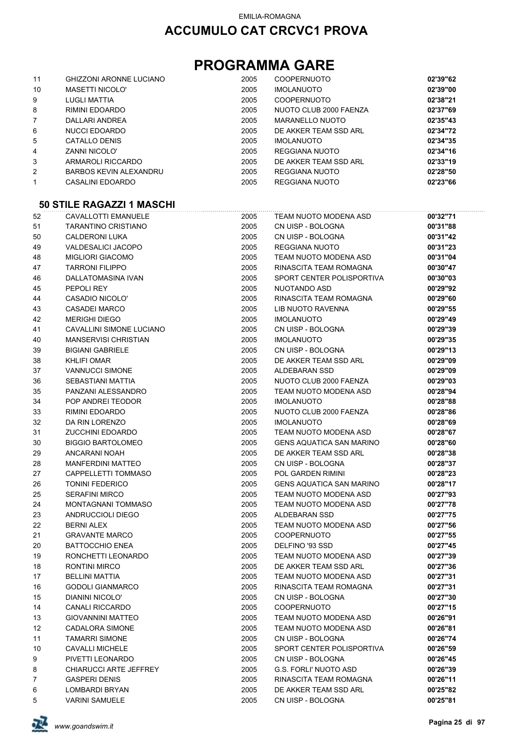## **PROGRAMMA GARE**

| 11             | <b>GHIZZONI ARONNE LUCIANO</b> | 2005 | <b>COOPERNUOTO</b>     | 02'39"62 |
|----------------|--------------------------------|------|------------------------|----------|
| 10             | <b>MASETTI NICOLO'</b>         | 2005 | <b>IMOLANUOTO</b>      | 02'39"00 |
| 9              | LUGLI MATTIA                   | 2005 | <b>COOPERNUOTO</b>     | 02'38"21 |
| 8              | RIMINI EDOARDO                 | 2005 | NUOTO CLUB 2000 FAENZA | 02'37"69 |
| $\overline{7}$ | DALLARI ANDREA                 | 2005 | MARANELLO NUOTO        | 02'35"43 |
| 6              | NUCCI EDOARDO                  | 2005 | DE AKKER TEAM SSD ARL  | 02'34"72 |
| 5              | CATALLO DENIS                  | 2005 | <b>IMOLANUOTO</b>      | 02'34"35 |
| 4              | <b>ZANNI NICOLO'</b>           | 2005 | REGGIANA NUOTO         | 02'34"16 |
| 3              | ARMAROLI RICCARDO              | 2005 | DE AKKER TEAM SSD ARL  | 02'33"19 |
| $\overline{2}$ | <b>BARBOS KEVIN ALEXANDRU</b>  | 2005 | REGGIANA NUOTO         | 02'28"50 |
|                | CASALINI EDOARDO               | 2005 | REGGIANA NUOTO         | 02'23"66 |

#### **50 STILE RAGAZZI 1 MASCHI**

| 52 | CAVALLOTTI EMANUELE             | 2005 | TEAM NUOTO MODENA ASD           | 00'32"71 |
|----|---------------------------------|------|---------------------------------|----------|
| 51 | TARANTINO CRISTIANO             | 2005 | CN UISP - BOLOGNA               | 00'31"88 |
| 50 | <b>CALDERONI LUKA</b>           | 2005 | CN UISP - BOLOGNA               | 00'31"42 |
| 49 | <b>VALDESALICI JACOPO</b>       | 2005 | REGGIANA NUOTO                  | 00'31"23 |
| 48 | <b>MIGLIORI GIACOMO</b>         | 2005 | TEAM NUOTO MODENA ASD           | 00'31"04 |
| 47 | <b>TARRONI FILIPPO</b>          | 2005 | RINASCITA TEAM ROMAGNA          | 00'30"47 |
| 46 | DALLATOMASINA IVAN              | 2005 | SPORT CENTER POLISPORTIVA       | 00'30"03 |
| 45 | PEPOLI REY                      | 2005 | NUOTANDO ASD                    | 00'29"92 |
| 44 | <b>CASADIO NICOLO'</b>          | 2005 | RINASCITA TEAM ROMAGNA          | 00'29"60 |
| 43 | <b>CASADEI MARCO</b>            | 2005 | LIB NUOTO RAVENNA               | 00'29"55 |
| 42 | <b>MERIGHI DIEGO</b>            | 2005 | <b>IMOLANUOTO</b>               | 00'29"49 |
| 41 | <b>CAVALLINI SIMONE LUCIANO</b> | 2005 | CN UISP - BOLOGNA               | 00'29"39 |
| 40 | <b>MANSERVISI CHRISTIAN</b>     | 2005 | <b>IMOLANUOTO</b>               | 00'29"35 |
| 39 | <b>BIGIANI GABRIELE</b>         | 2005 | CN UISP - BOLOGNA               | 00'29"13 |
| 38 | <b>KHLIFI OMAR</b>              | 2005 | DE AKKER TEAM SSD ARL           | 00'29"09 |
| 37 | <b>VANNUCCI SIMONE</b>          | 2005 | ALDEBARAN SSD                   | 00'29"09 |
| 36 | SEBASTIANI MATTIA               | 2005 | NUOTO CLUB 2000 FAENZA          | 00'29"03 |
| 35 | PANZANI ALESSANDRO              | 2005 | TEAM NUOTO MODENA ASD           | 00'28"94 |
| 34 | POP ANDREI TEODOR               | 2005 | <b>IMOLANUOTO</b>               | 00'28"88 |
| 33 | RIMINI EDOARDO                  | 2005 | NUOTO CLUB 2000 FAENZA          | 00'28"86 |
| 32 | DA RIN LORENZO                  | 2005 | <b>IMOLANUOTO</b>               | 00'28"69 |
| 31 | ZUCCHINI EDOARDO                | 2005 | TEAM NUOTO MODENA ASD           | 00'28"67 |
| 30 | <b>BIGGIO BARTOLOMEO</b>        | 2005 | <b>GENS AQUATICA SAN MARINO</b> | 00'28"60 |
| 29 | ANCARANI NOAH                   | 2005 | DE AKKER TEAM SSD ARL           | 00'28"38 |
| 28 | <b>MANFERDINI MATTEO</b>        | 2005 | CN UISP - BOLOGNA               | 00'28"37 |
| 27 | CAPPELLETTI TOMMASO             | 2005 | POL GARDEN RIMINI               | 00'28"23 |
| 26 | <b>TONINI FEDERICO</b>          | 2005 | <b>GENS AQUATICA SAN MARINO</b> | 00'28"17 |
| 25 | <b>SERAFINI MIRCO</b>           | 2005 | TEAM NUOTO MODENA ASD           | 00'27"93 |
| 24 | MONTAGNANI TOMMASO              | 2005 | TEAM NUOTO MODENA ASD           | 00'27"78 |
| 23 | ANDRUCCIOLI DIEGO               | 2005 | ALDEBARAN SSD                   | 00'27"75 |
| 22 | <b>BERNI ALEX</b>               | 2005 | TEAM NUOTO MODENA ASD           | 00'27"56 |
| 21 | <b>GRAVANTE MARCO</b>           | 2005 | <b>COOPERNUOTO</b>              | 00'27"55 |
| 20 | <b>BATTOCCHIO ENEA</b>          | 2005 | DELFINO '93 SSD                 | 00'27"45 |
| 19 | RONCHETTI LEONARDO              | 2005 | TEAM NUOTO MODENA ASD           | 00'27"39 |
| 18 | <b>RONTINI MIRCO</b>            | 2005 | DE AKKER TEAM SSD ARL           | 00'27"36 |
| 17 | <b>BELLINI MATTIA</b>           | 2005 | TEAM NUOTO MODENA ASD           | 00'27"31 |
| 16 | <b>GODOLI GIANMARCO</b>         | 2005 | RINASCITA TEAM ROMAGNA          | 00'27"31 |
| 15 | <b>DIANINI NICOLO'</b>          | 2005 | CN UISP - BOLOGNA               | 00'27"30 |
| 14 | <b>CANALI RICCARDO</b>          | 2005 | COOPERNUOTO                     | 00'27"15 |
| 13 | <b>GIOVANNINI MATTEO</b>        | 2005 | TEAM NUOTO MODENA ASD           | 00'26"91 |
| 12 | CADALORA SIMONE                 | 2005 | TEAM NUOTO MODENA ASD           | 00'26"81 |
| 11 | <b>TAMARRI SIMONE</b>           | 2005 | CN UISP - BOLOGNA               | 00'26"74 |
| 10 | <b>CAVALLI MICHELE</b>          | 2005 | SPORT CENTER POLISPORTIVA       | 00'26"59 |
| 9  | PIVETTI LEONARDO                | 2005 | CN UISP - BOLOGNA               | 00'26"45 |
| 8  | <b>CHIARUCCI ARTE JEFFREY</b>   | 2005 | <b>G.S. FORLI' NUOTO ASD</b>    | 00'26"39 |
| 7  | <b>GASPERI DENIS</b>            | 2005 | RINASCITA TEAM ROMAGNA          | 00'26"11 |
| 6  | LOMBARDI BRYAN                  | 2005 | DE AKKER TEAM SSD ARL           | 00'25"82 |
| 5  | <b>VARINI SAMUELE</b>           | 2005 | CN UISP - BOLOGNA               | 00'25"81 |

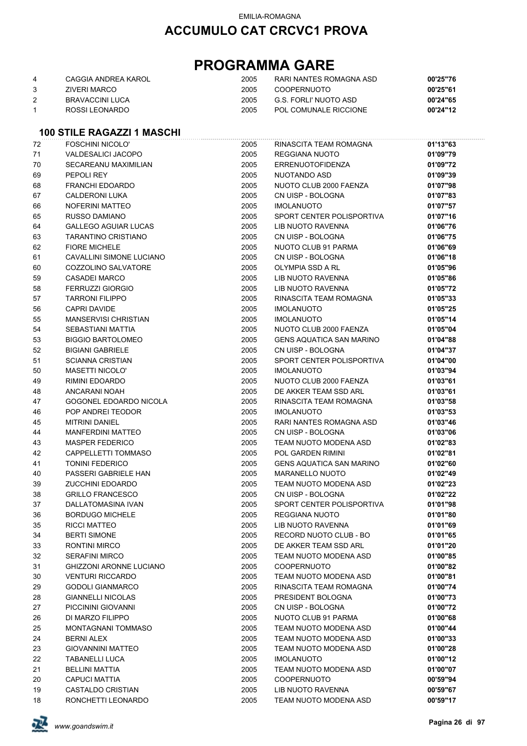## **PROGRAMMA GARE**

| 4 | CAGGIA ANDREA KAROL | 2005 | RARI NANTES ROMAGNA ASD | 00'25"76 |
|---|---------------------|------|-------------------------|----------|
|   | ZIVERI MARCO        | 2005 | COOPERNUOTO             | 00'25"61 |
|   | BRAVACCINI LUCA     | 2005 | G.S. FORLI' NUOTO ASD   | 00'24"65 |
|   | ROSSLI FONARDO      | 2005 | POL COMUNALE RICCIONE   | 00'24"12 |

### **100 STILE RAGAZZI 1 MASCHI**

| 72 | <b>FOSCHINI NICOLO'</b>        | 2005 | RINASCITA TEAM ROMAGNA          | 01'13"63 |
|----|--------------------------------|------|---------------------------------|----------|
| 71 | VALDESALICI JACOPO             | 2005 | <b>REGGIANA NUOTO</b>           | 01'09"79 |
| 70 | SECAREANU MAXIMILIAN           | 2005 | <b>ERRENUOTOFIDENZA</b>         | 01'09"72 |
| 69 | PEPOLI REY                     | 2005 | NUOTANDO ASD                    | 01'09"39 |
| 68 | FRANCHI EDOARDO                | 2005 | NUOTO CLUB 2000 FAENZA          | 01'07"98 |
| 67 | <b>CALDERONI LUKA</b>          | 2005 | CN UISP - BOLOGNA               | 01'07"83 |
| 66 | NOFERINI MATTEO                | 2005 | <b>IMOLANUOTO</b>               | 01'07"57 |
| 65 | RUSSO DAMIANO                  | 2005 | SPORT CENTER POLISPORTIVA       | 01'07"16 |
| 64 | <b>GALLEGO AGUIAR LUCAS</b>    | 2005 | LIB NUOTO RAVENNA               | 01'06"76 |
| 63 | <b>TARANTINO CRISTIANO</b>     | 2005 | CN UISP - BOLOGNA               | 01'06"75 |
| 62 | <b>FIORE MICHELE</b>           | 2005 | NUOTO CLUB 91 PARMA             | 01'06"69 |
| 61 | CAVALLINI SIMONE LUCIANO       | 2005 | CN UISP - BOLOGNA               | 01'06"18 |
| 60 | COZZOLINO SALVATORE            | 2005 | OLYMPIA SSD A RL                | 01'05"96 |
| 59 | <b>CASADEI MARCO</b>           | 2005 | LIB NUOTO RAVENNA               | 01'05"86 |
| 58 | <b>FERRUZZI GIORGIO</b>        | 2005 | LIB NUOTO RAVENNA               | 01'05"72 |
| 57 | <b>TARRONI FILIPPO</b>         | 2005 | RINASCITA TEAM ROMAGNA          | 01'05"33 |
| 56 | <b>CAPRI DAVIDE</b>            | 2005 | <b>IMOLANUOTO</b>               | 01'05"25 |
| 55 | MANSERVISI CHRISTIAN           | 2005 | <b>IMOLANUOTO</b>               | 01'05"14 |
| 54 | SEBASTIANI MATTIA              | 2005 | NUOTO CLUB 2000 FAENZA          | 01'05"04 |
| 53 | <b>BIGGIO BARTOLOMEO</b>       | 2005 | <b>GENS AQUATICA SAN MARINO</b> | 01'04"88 |
| 52 | <b>BIGIANI GABRIELE</b>        | 2005 | CN UISP - BOLOGNA               | 01'04"37 |
| 51 | <b>SCIANNA CRISTIAN</b>        | 2005 | SPORT CENTER POLISPORTIVA       | 01'04"00 |
| 50 | <b>MASETTI NICOLO'</b>         | 2005 | <b>IMOLANUOTO</b>               | 01'03"94 |
| 49 | <b>RIMINI EDOARDO</b>          | 2005 | NUOTO CLUB 2000 FAENZA          | 01'03"61 |
| 48 | ANCARANI NOAH                  | 2005 | DE AKKER TEAM SSD ARL           | 01'03"61 |
| 47 | GOGONEL EDOARDO NICOLA         | 2005 | RINASCITA TEAM ROMAGNA          | 01'03"58 |
| 46 | POP ANDREI TEODOR              | 2005 | <b>IMOLANUOTO</b>               | 01'03"53 |
| 45 | <b>MITRINI DANIEL</b>          | 2005 | RARI NANTES ROMAGNA ASD         | 01'03"46 |
| 44 | <b>MANFERDINI MATTEO</b>       | 2005 | CN UISP - BOLOGNA               | 01'03"06 |
| 43 | <b>MASPER FEDERICO</b>         | 2005 | TEAM NUOTO MODENA ASD           | 01'02"83 |
| 42 | CAPPELLETTI TOMMASO            | 2005 | POL GARDEN RIMINI               | 01'02"81 |
| 41 | <b>TONINI FEDERICO</b>         | 2005 | <b>GENS AQUATICA SAN MARINO</b> | 01'02"60 |
| 40 | PASSERI GABRIELE HAN           | 2005 | <b>MARANELLO NUOTO</b>          | 01'02"49 |
| 39 | <b>ZUCCHINI EDOARDO</b>        | 2005 | TEAM NUOTO MODENA ASD           | 01'02"23 |
| 38 | <b>GRILLO FRANCESCO</b>        | 2005 | CN UISP - BOLOGNA               | 01'02"22 |
| 37 | DALLATOMASINA IVAN             | 2005 | SPORT CENTER POLISPORTIVA       | 01'01"98 |
| 36 | <b>BORDUGO MICHELE</b>         | 2005 | <b>REGGIANA NUOTO</b>           | 01'01"80 |
| 35 | RICCI MATTEO                   | 2005 | LIB NUOTO RAVENNA               | 01'01"69 |
| 34 | <b>BERTI SIMONE</b>            | 2005 | RECORD NUOTO CLUB - BO          | 01'01"65 |
| 33 | RONTINI MIRCO                  | 2005 | DE AKKER TEAM SSD ARL           | 01'01"20 |
| 32 | <b>SERAFINI MIRCO</b>          | 2005 | TEAM NUOTO MODENA ASD           | 01'00"85 |
| 31 | <b>GHIZZONI ARONNE LUCIANO</b> | 2005 | <b>COOPERNUOTO</b>              | 01'00"82 |
| 30 | <b>VENTURI RICCARDO</b>        | 2005 | TEAM NUOTO MODENA ASD           | 01'00"81 |
| 29 | <b>GODOLI GIANMARCO</b>        | 2005 | RINASCITA TEAM ROMAGNA          | 01'00"74 |
| 28 | <b>GIANNELLI NICOLAS</b>       | 2005 | PRESIDENT BOLOGNA               | 01'00"73 |
| 27 | PICCININI GIOVANNI             | 2005 | CN UISP - BOLOGNA               | 01'00"72 |
| 26 | DI MARZO FILIPPO               | 2005 | NUOTO CLUB 91 PARMA             | 01'00"68 |
| 25 | <b>MONTAGNANI TOMMASO</b>      | 2005 | TEAM NUOTO MODENA ASD           | 01'00"44 |
| 24 | <b>BERNI ALEX</b>              | 2005 | TEAM NUOTO MODENA ASD           | 01'00"33 |
| 23 | <b>GIOVANNINI MATTEO</b>       | 2005 | TEAM NUOTO MODENA ASD           | 01'00"28 |
| 22 | <b>TABANELLI LUCA</b>          | 2005 | <b>IMOLANUOTO</b>               | 01'00"12 |
| 21 | <b>BELLINI MATTIA</b>          | 2005 | TEAM NUOTO MODENA ASD           | 01'00"07 |
| 20 | <b>CAPUCI MATTIA</b>           | 2005 | <b>COOPERNUOTO</b>              | 00'59"94 |
| 19 | CASTALDO CRISTIAN              | 2005 | LIB NUOTO RAVENNA               | 00'59"67 |
| 18 | RONCHETTI LEONARDO             | 2005 | TEAM NUOTO MODENA ASD           | 00'59"17 |

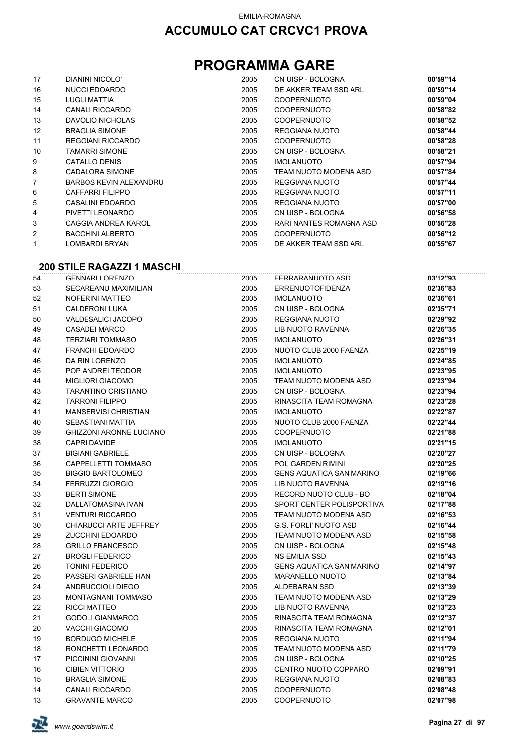## **PROGRAMMA GARE**

| 17 | DIANINI NICOLO'               | 2005 | CN UISP - BOLOGNA       | 00'59"14 |
|----|-------------------------------|------|-------------------------|----------|
| 16 | <b>NUCCI EDOARDO</b>          | 2005 | DE AKKER TEAM SSD ARL   | 00'59"14 |
| 15 | LUGLI MATTIA                  | 2005 | <b>COOPERNUOTO</b>      | 00'59"04 |
| 14 | <b>CANALI RICCARDO</b>        | 2005 | <b>COOPERNUOTO</b>      | 00'58"82 |
| 13 | DAVOLIO NICHOLAS              | 2005 | <b>COOPERNUOTO</b>      | 00'58"52 |
| 12 | <b>BRAGLIA SIMONE</b>         | 2005 | REGGIANA NUOTO          | 00'58"44 |
| 11 | <b>REGGIANI RICCARDO</b>      | 2005 | <b>COOPERNUOTO</b>      | 00'58"28 |
| 10 | <b>TAMARRI SIMONE</b>         | 2005 | CN UISP - BOLOGNA       | 00'58"21 |
| 9  | CATALLO DENIS                 | 2005 | <b>IMOLANUOTO</b>       | 00'57"94 |
| 8  | CADALORA SIMONE               | 2005 | TEAM NUOTO MODENA ASD   | 00'57"84 |
| 7  | <b>BARBOS KEVIN ALEXANDRU</b> | 2005 | REGGIANA NUOTO          | 00'57"44 |
| 6  | CAFFARRI FILIPPO              | 2005 | REGGIANA NUOTO          | 00'57"11 |
| 5  | CASALINI EDOARDO              | 2005 | REGGIANA NUOTO          | 00'57"00 |
| 4  | PIVETTI LEONARDO              | 2005 | CN UISP - BOLOGNA       | 00'56"58 |
| 3  | CAGGIA ANDREA KAROL           | 2005 | RARI NANTES ROMAGNA ASD | 00'56"28 |
| 2  | <b>BACCHINI ALBERTO</b>       | 2005 | <b>COOPERNUOTO</b>      | 00'56"12 |
| 1  | LOMBARDI BRYAN                | 2005 | DE AKKER TEAM SSD ARL   | 00'55"67 |

#### **200 STILE RAGAZZI 1 MASCHI**

| 54 | <b>GENNARI LORENZO</b>         | 2005 | FERRARANUOTO ASD                | 03'12"93 |
|----|--------------------------------|------|---------------------------------|----------|
| 53 | <b>SECAREANU MAXIMILIAN</b>    | 2005 | <b>ERRENUOTOFIDENZA</b>         | 02'36"83 |
| 52 | <b>NOFERINI MATTEO</b>         | 2005 | <b>IMOLANUOTO</b>               | 02'36"61 |
| 51 | <b>CALDERONI LUKA</b>          | 2005 | CN UISP - BOLOGNA               | 02'35"71 |
| 50 | VALDESALICI JACOPO             | 2005 | REGGIANA NUOTO                  | 02'29"92 |
| 49 | <b>CASADEI MARCO</b>           | 2005 | LIB NUOTO RAVENNA               | 02'26"35 |
| 48 | <b>TERZIARI TOMMASO</b>        | 2005 | <b>IMOLANUOTO</b>               | 02'26"31 |
| 47 | <b>FRANCHI EDOARDO</b>         | 2005 | NUOTO CLUB 2000 FAENZA          | 02'25"19 |
| 46 | DA RIN LORENZO                 | 2005 | <b>IMOLANUOTO</b>               | 02'24"85 |
| 45 | POP ANDREI TEODOR              | 2005 | <b>IMOLANUOTO</b>               | 02'23"95 |
| 44 | <b>MIGLIORI GIACOMO</b>        | 2005 | TEAM NUOTO MODENA ASD           | 02'23"94 |
| 43 | <b>TARANTINO CRISTIANO</b>     | 2005 | CN UISP - BOLOGNA               | 02'23"94 |
| 42 | <b>TARRONI FILIPPO</b>         | 2005 | RINASCITA TEAM ROMAGNA          | 02'23"28 |
| 41 | <b>MANSERVISI CHRISTIAN</b>    | 2005 | <b>IMOLANUOTO</b>               | 02'22"87 |
| 40 | <b>SEBASTIANI MATTIA</b>       | 2005 | NUOTO CLUB 2000 FAENZA          | 02'22"44 |
| 39 | <b>GHIZZONI ARONNE LUCIANO</b> | 2005 | <b>COOPERNUOTO</b>              | 02'21"88 |
| 38 | <b>CAPRI DAVIDE</b>            | 2005 | <b>IMOLANUOTO</b>               | 02'21"15 |
| 37 | <b>BIGIANI GABRIELE</b>        | 2005 | CN UISP - BOLOGNA               | 02'20"27 |
| 36 | CAPPELLETTI TOMMASO            | 2005 | POL GARDEN RIMINI               | 02'20"25 |
| 35 | <b>BIGGIO BARTOLOMEO</b>       | 2005 | <b>GENS AQUATICA SAN MARINO</b> | 02'19"66 |
| 34 | <b>FERRUZZI GIORGIO</b>        | 2005 | <b>LIB NUOTO RAVENNA</b>        | 02'19"16 |
| 33 | <b>BERTI SIMONE</b>            | 2005 | RECORD NUOTO CLUB - BO          | 02'18"04 |
| 32 | <b>DALLATOMASINA IVAN</b>      | 2005 | SPORT CENTER POLISPORTIVA       | 02'17"88 |
| 31 | <b>VENTURI RICCARDO</b>        | 2005 | TEAM NUOTO MODENA ASD           | 02'16"53 |
| 30 | CHIARUCCI ARTE JEFFREY         | 2005 | <b>G.S. FORLI' NUOTO ASD</b>    | 02'16"44 |
| 29 | <b>ZUCCHINI EDOARDO</b>        | 2005 | TEAM NUOTO MODENA ASD           | 02'15"58 |
| 28 | <b>GRILLO FRANCESCO</b>        | 2005 | CN UISP - BOLOGNA               | 02'15"48 |
| 27 | <b>BROGLI FEDERICO</b>         | 2005 | <b>NS EMILIA SSD</b>            | 02'15"43 |
| 26 | <b>TONINI FEDERICO</b>         | 2005 | <b>GENS AQUATICA SAN MARINO</b> | 02'14"97 |
| 25 | PASSERI GABRIELE HAN           | 2005 | <b>MARANELLO NUOTO</b>          | 02'13"84 |
| 24 | ANDRUCCIOLI DIEGO              | 2005 | <b>ALDEBARAN SSD</b>            | 02'13"39 |
| 23 | <b>MONTAGNANI TOMMASO</b>      | 2005 | TEAM NUOTO MODENA ASD           | 02'13"29 |
| 22 | RICCI MATTEO                   | 2005 | LIB NUOTO RAVENNA               | 02'13"23 |
| 21 | <b>GODOLI GIANMARCO</b>        | 2005 | RINASCITA TEAM ROMAGNA          | 02'12"37 |
| 20 | <b>VACCHI GIACOMO</b>          | 2005 | RINASCITA TEAM ROMAGNA          | 02'12"01 |
| 19 | <b>BORDUGO MICHELE</b>         | 2005 | REGGIANA NUOTO                  | 02'11"94 |
| 18 | RONCHETTI LEONARDO             | 2005 | TEAM NUOTO MODENA ASD           | 02'11"79 |
| 17 | PICCININI GIOVANNI             | 2005 | CN UISP - BOLOGNA               | 02'10"25 |
| 16 | <b>CIBIEN VITTORIO</b>         | 2005 | CENTRO NUOTO COPPARO            | 02'09"91 |
| 15 | <b>BRAGLIA SIMONE</b>          | 2005 | <b>REGGIANA NUOTO</b>           | 02'08"83 |
| 14 | <b>CANALI RICCARDO</b>         | 2005 | <b>COOPERNUOTO</b>              | 02'08"48 |
| 13 | <b>GRAVANTE MARCO</b>          | 2005 | <b>COOPERNUOTO</b>              | 02'07"98 |

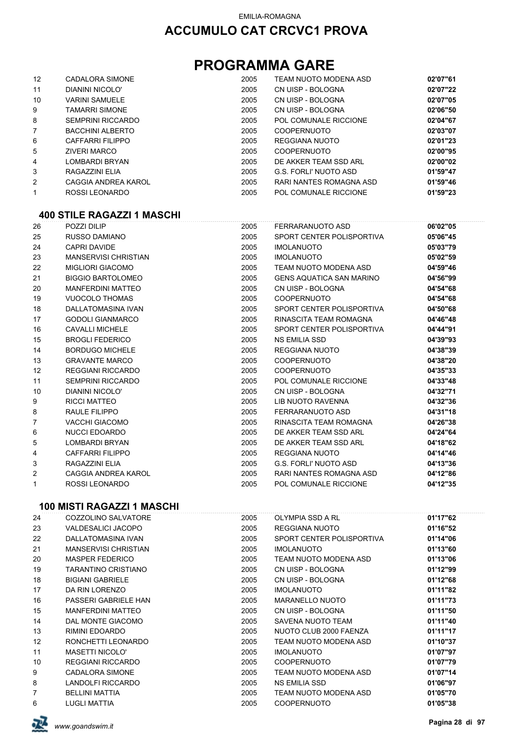## **PROGRAMMA GARE**

| $12 \overline{ }$ | CADALORA SIMONE          | 2005 | TEAM NUOTO MODENA ASD   | 02'07"61 |
|-------------------|--------------------------|------|-------------------------|----------|
| 11                | DIANINI NICOLO'          | 2005 | CN UISP - BOLOGNA       | 02'07"22 |
| 10                | <b>VARINI SAMUELE</b>    | 2005 | CN UISP - BOLOGNA       | 02'07"05 |
| 9                 | TAMARRI SIMONE           | 2005 | CN UISP - BOLOGNA       | 02'06"50 |
| 8                 | <b>SEMPRINI RICCARDO</b> | 2005 | POL COMUNALE RICCIONE   | 02'04"67 |
| $\overline{7}$    | <b>BACCHINI ALBERTO</b>  | 2005 | <b>COOPERNUOTO</b>      | 02'03"07 |
| 6                 | CAFFARRI FILIPPO         | 2005 | REGGIANA NUOTO          | 02'01"23 |
| 5                 | <b>ZIVERI MARCO</b>      | 2005 | <b>COOPERNUOTO</b>      | 02'00"95 |
| 4                 | LOMBARDI BRYAN           | 2005 | DE AKKER TEAM SSD ARL   | 02'00"02 |
| 3                 | RAGAZZINI ELIA           | 2005 | G.S. FORLI' NUOTO ASD   | 01'59"47 |
| 2                 | CAGGIA ANDREA KAROL      | 2005 | RARI NANTES ROMAGNA ASD | 01'59"46 |
| 1                 | ROSSI LEONARDO           | 2005 | POL COMUNALE RICCIONE   | 01'59"23 |

#### **400 STILE RAGAZZI 1 MASCHI**

| 26 | POZZI DILIP                 | 2005 | FERRARANUOTO ASD                | 06'02"05 |
|----|-----------------------------|------|---------------------------------|----------|
| 25 | <b>RUSSO DAMIANO</b>        | 2005 | SPORT CENTER POLISPORTIVA       | 05'06"45 |
| 24 | <b>CAPRI DAVIDE</b>         | 2005 | <b>IMOLANUOTO</b>               | 05'03"79 |
| 23 | <b>MANSERVISI CHRISTIAN</b> | 2005 | <b>IMOLANUOTO</b>               | 05'02"59 |
| 22 | <b>MIGLIORI GIACOMO</b>     | 2005 | TEAM NUOTO MODENA ASD           | 04'59"46 |
| 21 | <b>BIGGIO BARTOLOMEO</b>    | 2005 | <b>GENS AQUATICA SAN MARINO</b> | 04'56"99 |
| 20 | <b>MANFERDINI MATTEO</b>    | 2005 | CN UISP - BOLOGNA               | 04'54"68 |
| 19 | <b>VUOCOLO THOMAS</b>       | 2005 | <b>COOPERNUOTO</b>              | 04'54"68 |
| 18 | <b>DALLATOMASINA IVAN</b>   | 2005 | SPORT CENTER POLISPORTIVA       | 04'50"68 |
| 17 | <b>GODOLI GIANMARCO</b>     | 2005 | RINASCITA TEAM ROMAGNA          | 04'46"48 |
| 16 | <b>CAVALLI MICHELE</b>      | 2005 | SPORT CENTER POLISPORTIVA       | 04'44"91 |
| 15 | <b>BROGLI FEDERICO</b>      | 2005 | <b>NS EMILIA SSD</b>            | 04'39"93 |
| 14 | <b>BORDUGO MICHELE</b>      | 2005 | REGGIANA NUOTO                  | 04'38"39 |
| 13 | <b>GRAVANTE MARCO</b>       | 2005 | <b>COOPERNUOTO</b>              | 04'38"20 |
| 12 | <b>REGGIANI RICCARDO</b>    | 2005 | <b>COOPERNUOTO</b>              | 04'35"33 |
| 11 | <b>SEMPRINI RICCARDO</b>    | 2005 | POL COMUNALE RICCIONE           | 04'33"48 |
| 10 | <b>DIANINI NICOLO'</b>      | 2005 | CN UISP - BOLOGNA               | 04'32"71 |
| 9  | <b>RICCI MATTEO</b>         | 2005 | LIB NUOTO RAVENNA               | 04'32"36 |
| 8  | <b>RAULE FILIPPO</b>        | 2005 | FERRARANUOTO ASD                | 04'31"18 |
| 7  | <b>VACCHI GIACOMO</b>       | 2005 | RINASCITA TEAM ROMAGNA          | 04'26"38 |
| 6  | <b>NUCCI EDOARDO</b>        | 2005 | DE AKKER TEAM SSD ARL           | 04'24"64 |
| 5  | <b>LOMBARDI BRYAN</b>       | 2005 | DE AKKER TEAM SSD ARL           | 04'18"62 |
| 4  | <b>CAFFARRI FILIPPO</b>     | 2005 | <b>REGGIANA NUOTO</b>           | 04'14"46 |
| 3  | RAGAZZINI ELIA              | 2005 | G.S. FORLI' NUOTO ASD           | 04'13"36 |
| 2  | CAGGIA ANDREA KAROL         | 2005 | RARI NANTES ROMAGNA ASD         | 04'12"86 |
| 1  | ROSSI LEONARDO              | 2005 | POL COMUNALE RICCIONE           | 04'12"35 |
|    |                             |      |                                 |          |

#### **100 MISTI RAGAZZI 1 MASCHI**

| 24 | COZZOLINO SALVATORE         | 2005 | OLYMPIA SSD A RL          | 01'17"62 |
|----|-----------------------------|------|---------------------------|----------|
| 23 | VALDESALICI JACOPO          | 2005 | REGGIANA NUOTO            | 01'16"52 |
| 22 | DALLATOMASINA IVAN          | 2005 | SPORT CENTER POLISPORTIVA | 01'14"06 |
| 21 | <b>MANSERVISI CHRISTIAN</b> | 2005 | <b>IMOLANUOTO</b>         | 01'13"60 |
| 20 | <b>MASPER FEDERICO</b>      | 2005 | TEAM NUOTO MODENA ASD     | 01'13"06 |
| 19 | TARANTINO CRISTIANO         | 2005 | CN UISP - BOLOGNA         | 01'12"99 |
| 18 | <b>BIGIANI GABRIELE</b>     | 2005 | CN UISP - BOLOGNA         | 01'12"68 |
| 17 | DA RIN LORENZO              | 2005 | <b>IMOLANUOTO</b>         | 01'11"82 |
| 16 | PASSERI GABRIELE HAN        | 2005 | <b>MARANELLO NUOTO</b>    | 01'11"73 |
| 15 | <b>MANFERDINI MATTEO</b>    | 2005 | CN UISP - BOLOGNA         | 01'11"50 |
| 14 | DAL MONTE GIACOMO           | 2005 | SAVENA NUOTO TEAM         | 01'11"40 |
| 13 | RIMINI EDOARDO              | 2005 | NUOTO CLUB 2000 FAENZA    | 01'11"17 |
| 12 | RONCHETTI LEONARDO          | 2005 | TEAM NUOTO MODENA ASD     | 01'10"37 |
| 11 | <b>MASETTI NICOLO'</b>      | 2005 | <b>IMOLANUOTO</b>         | 01'07"97 |
| 10 | <b>REGGIANI RICCARDO</b>    | 2005 | <b>COOPERNUOTO</b>        | 01'07"79 |
| 9  | CADALORA SIMONE             | 2005 | TEAM NUOTO MODENA ASD     | 01'07"14 |
| 8  | LANDOLFI RICCARDO           | 2005 | <b>NS EMILIA SSD</b>      | 01'06"97 |
| 7  | <b>BELLINI MATTIA</b>       | 2005 | TEAM NUOTO MODENA ASD     | 01'05"70 |
| 6  | <b>LUGLI MATTIA</b>         | 2005 | <b>COOPERNUOTO</b>        | 01'05"38 |

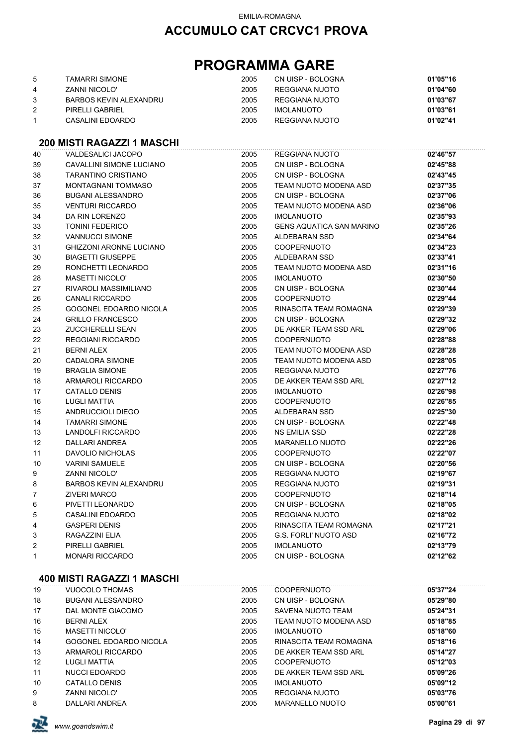## **PROGRAMMA GARE**

|   | TAMARRI SIMONE         | 2005 | CN UISP - BOLOGNA | 01'05"16 |
|---|------------------------|------|-------------------|----------|
| 4 | ZANNI NICOLO'          | 2005 | REGGIANA NUOTO    | 01'04"60 |
|   | BARBOS KEVIN ALEXANDRU | 2005 | REGGIANA NUOTO    | 01'03"67 |
| 2 | PIRELLI GABRIEL        | 2005 | <b>IMOLANUOTO</b> | 01'03"61 |
|   | CASALINI EDOARDO       | 2005 | REGGIANA NUOTO    | 01'02"41 |

#### **200 MISTI RAGAZZI 1 MASCHI**

| 40             | VALDESALICI JACOPO             | 2005 | REGGIANA NUOTO                  | 02'46"57 |
|----------------|--------------------------------|------|---------------------------------|----------|
| 39             | CAVALLINI SIMONE LUCIANO       | 2005 | CN UISP - BOLOGNA               | 02'45"88 |
| 38             | <b>TARANTINO CRISTIANO</b>     | 2005 | CN UISP - BOLOGNA               | 02'43"45 |
| 37             | <b>MONTAGNANI TOMMASO</b>      | 2005 | TEAM NUOTO MODENA ASD           | 02'37"35 |
| 36             | <b>BUGANI ALESSANDRO</b>       | 2005 | CN UISP - BOLOGNA               | 02'37"06 |
| 35             | <b>VENTURI RICCARDO</b>        | 2005 | <b>TEAM NUOTO MODENA ASD</b>    | 02'36"06 |
| 34             | DA RIN LORENZO                 | 2005 | <b>IMOLANUOTO</b>               | 02'35"93 |
| 33             | <b>TONINI FEDERICO</b>         | 2005 | <b>GENS AQUATICA SAN MARINO</b> | 02'35"26 |
| 32             | <b>VANNUCCI SIMONE</b>         | 2005 | ALDEBARAN SSD                   | 02'34"64 |
| 31             | <b>GHIZZONI ARONNE LUCIANO</b> | 2005 | COOPERNUOTO                     | 02'34"23 |
| 30             | <b>BIAGETTI GIUSEPPE</b>       | 2005 | ALDEBARAN SSD                   | 02'33"41 |
| 29             | RONCHETTI LEONARDO             | 2005 | TEAM NUOTO MODENA ASD           | 02'31"16 |
| 28             | <b>MASETTI NICOLO'</b>         | 2005 | <b>IMOLANUOTO</b>               | 02'30"50 |
| 27             | RIVAROLI MASSIMILIANO          | 2005 | CN UISP - BOLOGNA               | 02'30"44 |
| 26             | <b>CANALI RICCARDO</b>         | 2005 | <b>COOPERNUOTO</b>              | 02'29"44 |
| 25             | GOGONEL EDOARDO NICOLA         | 2005 | RINASCITA TEAM ROMAGNA          | 02'29"39 |
| 24             | <b>GRILLO FRANCESCO</b>        | 2005 | CN UISP - BOLOGNA               | 02'29"32 |
| 23             | <b>ZUCCHERELLI SEAN</b>        | 2005 | DE AKKER TEAM SSD ARL           | 02'29"06 |
| 22             | <b>REGGIANI RICCARDO</b>       | 2005 | <b>COOPERNUOTO</b>              | 02'28"88 |
| 21             | <b>BERNI ALEX</b>              | 2005 | <b>TEAM NUOTO MODENA ASD</b>    | 02'28"28 |
| 20             | <b>CADALORA SIMONE</b>         | 2005 | TEAM NUOTO MODENA ASD           | 02'28"05 |
| 19             | <b>BRAGLIA SIMONE</b>          | 2005 | REGGIANA NUOTO                  | 02'27"76 |
| 18             | ARMAROLI RICCARDO              | 2005 | DE AKKER TEAM SSD ARL           | 02'27"12 |
| 17             | <b>CATALLO DENIS</b>           | 2005 | <b>IMOLANUOTO</b>               | 02'26"98 |
| 16             | <b>LUGLI MATTIA</b>            | 2005 | COOPERNUOTO                     | 02'26"85 |
| 15             | ANDRUCCIOLI DIEGO              | 2005 | ALDEBARAN SSD                   | 02'25"30 |
| 14             | <b>TAMARRI SIMONE</b>          | 2005 | CN UISP - BOLOGNA               | 02'22"48 |
| 13             | LANDOLFI RICCARDO              | 2005 | <b>NS EMILIA SSD</b>            | 02'22"28 |
| 12             | DALLARI ANDREA                 | 2005 | <b>MARANELLO NUOTO</b>          | 02'22"26 |
| 11             | DAVOLIO NICHOLAS               | 2005 | <b>COOPERNUOTO</b>              | 02'22"07 |
| $10$           | <b>VARINI SAMUELE</b>          | 2005 | CN UISP - BOLOGNA               | 02'20"56 |
| 9              | ZANNI NICOLO'                  | 2005 | REGGIANA NUOTO                  | 02'19"67 |
| 8              | BARBOS KEVIN ALEXANDRU         | 2005 | REGGIANA NUOTO                  | 02'19"31 |
| $\overline{7}$ | <b>ZIVERI MARCO</b>            | 2005 | <b>COOPERNUOTO</b>              | 02'18"14 |
| 6              | PIVETTI LEONARDO               | 2005 | CN UISP - BOLOGNA               | 02'18"05 |
| 5              | CASALINI EDOARDO               | 2005 | REGGIANA NUOTO                  | 02'18"02 |
| 4              | <b>GASPERI DENIS</b>           | 2005 | RINASCITA TEAM ROMAGNA          | 02'17"21 |
| 3              | RAGAZZINI ELIA                 | 2005 | G.S. FORLI' NUOTO ASD           | 02'16"72 |
| 2              | PIRELLI GABRIEL                | 2005 | <b>IMOLANUOTO</b>               | 02'13"79 |
| 1              | <b>MONARI RICCARDO</b>         | 2005 | CN UISP - BOLOGNA               | 02'12"62 |

#### **400 MISTI RAGAZZI 1 MASCHI**

| 19 | VUOCOLO THOMAS         | 2005 | <b>COOPERNUOTO</b>     | 05'37"24 |
|----|------------------------|------|------------------------|----------|
| 18 | BUGANI ALESSANDRO      | 2005 | CN UISP - BOLOGNA      | 05'29"80 |
| 17 | DAL MONTE GIACOMO      | 2005 | SAVENA NUOTO TEAM      | 05'24"31 |
| 16 | <b>BERNI ALEX</b>      | 2005 | TEAM NUOTO MODENA ASD  | 05'18"85 |
| 15 | MASETTI NICOLO'        | 2005 | <b>IMOLANUOTO</b>      | 05'18"60 |
| 14 | GOGONEL EDOARDO NICOLA | 2005 | RINASCITA TEAM ROMAGNA | 05'18"16 |
| 13 | ARMAROLI RICCARDO      | 2005 | DE AKKER TEAM SSD ARL  | 05'14"27 |
| 12 | LUGLI MATTIA           | 2005 | <b>COOPERNUOTO</b>     | 05'12"03 |
| 11 | NUCCLEDOARDO           | 2005 | DE AKKER TEAM SSD ARI  | 05'09"26 |
| 10 | CATALLO DENIS          | 2005 | <b>IMOLANUOTO</b>      | 05'09"12 |
| 9  | <b>ZANNI NICOLO'</b>   | 2005 | REGGIANA NUOTO         | 05'03"76 |
| 8  | DALLARI ANDREA         | 2005 | MARANELLO NUOTO        | 05'00"61 |

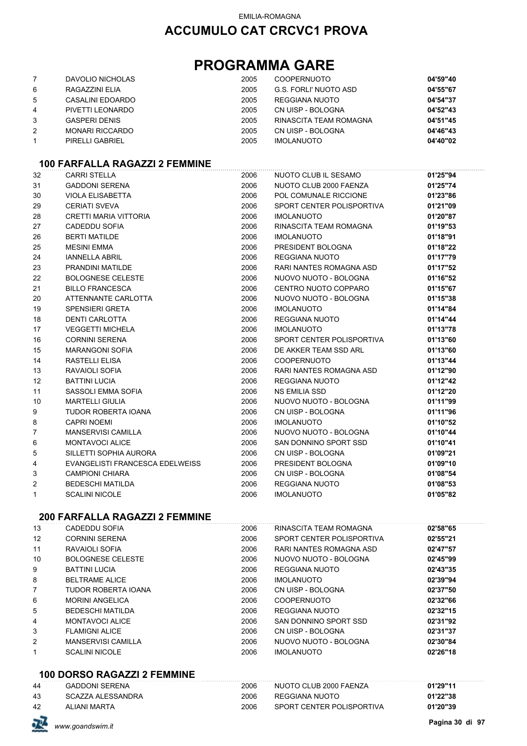## **PROGRAMMA GARE**

|                | DAVOLIO NICHOLAS       | 2005 | <b>COOPERNUOTO</b>     | 04'59"40 |
|----------------|------------------------|------|------------------------|----------|
| 6              | RAGAZZINI ELIA         | 2005 | G.S. FORLI' NUOTO ASD  | 04'55"67 |
| 5              | CASALINI EDOARDO       | 2005 | REGGIANA NUOTO         | 04'54"37 |
| 4              | PIVETTI LEONARDO       | 2005 | CN UISP - BOLOGNA      | 04'52"43 |
| 3              | <b>GASPERI DENIS</b>   | 2005 | RINASCITA TEAM ROMAGNA | 04'51"45 |
| $\overline{2}$ | <b>MONARI RICCARDO</b> | 2005 | CN UISP - BOLOGNA      | 04'46"43 |
|                | PIRELLI GABRIEL        | 2005 | <b>IMOLANUOTO</b>      | 04'40"02 |

### **100 FARFALLA RAGAZZI 2 FEMMINE**

|                | 199 LAIN ALLA 1939              |      |                           |          |
|----------------|---------------------------------|------|---------------------------|----------|
| 32             | <b>CARRI STELLA</b>             | 2006 | NUOTO CLUB IL SESAMO      | 01'25"94 |
| 31             | <b>GADDONI SERENA</b>           | 2006 | NUOTO CLUB 2000 FAENZA    | 01'25"74 |
| 30             | <b>VIOLA ELISABETTA</b>         | 2006 | POL COMUNALE RICCIONE     | 01'23"86 |
| 29             | <b>CERIATI SVEVA</b>            | 2006 | SPORT CENTER POLISPORTIVA | 01'21"09 |
| 28             | <b>CRETTI MARIA VITTORIA</b>    | 2006 | <b>IMOLANUOTO</b>         | 01'20"87 |
| 27             | <b>CADEDDU SOFIA</b>            | 2006 | RINASCITA TEAM ROMAGNA    | 01'19"53 |
| 26             | <b>BERTI MATILDE</b>            | 2006 | <b>IMOLANUOTO</b>         | 01'18"91 |
| 25             | <b>MESINI EMMA</b>              | 2006 | PRESIDENT BOLOGNA         | 01'18"22 |
| 24             | <b>IANNELLA ABRIL</b>           | 2006 | <b>REGGIANA NUOTO</b>     | 01'17"79 |
| 23             | PRANDINI MATILDE                | 2006 | RARI NANTES ROMAGNA ASD   | 01'17"52 |
| 22             | <b>BOLOGNESE CELESTE</b>        | 2006 | NUOVO NUOTO - BOLOGNA     | 01'16"52 |
| 21             | <b>BILLO FRANCESCA</b>          | 2006 | CENTRO NUOTO COPPARO      | 01'15"67 |
| 20             | ATTENNANTE CARLOTTA             | 2006 | NUOVO NUOTO - BOLOGNA     | 01'15"38 |
| 19             | <b>SPENSIERI GRETA</b>          | 2006 | <b>IMOLANUOTO</b>         | 01'14"84 |
| 18             | <b>DENTI CARLOTTA</b>           | 2006 | <b>REGGIANA NUOTO</b>     | 01'14"44 |
| 17             | <b>VEGGETTI MICHELA</b>         | 2006 | <b>IMOLANUOTO</b>         | 01'13"78 |
| 16             | <b>CORNINI SERENA</b>           | 2006 | SPORT CENTER POLISPORTIVA | 01'13"60 |
| 15             | <b>MARANGONI SOFIA</b>          | 2006 | DE AKKER TEAM SSD ARL     | 01'13"60 |
| 14             | <b>RASTELLI ELISA</b>           | 2006 | <b>COOPERNUOTO</b>        | 01'13"44 |
| 13             | RAVAIOLI SOFIA                  | 2006 | RARI NANTES ROMAGNA ASD   | 01'12"90 |
| 12             | <b>BATTINI LUCIA</b>            | 2006 | <b>REGGIANA NUOTO</b>     | 01'12"42 |
| 11             | SASSOLI EMMA SOFIA              | 2006 | NS EMILIA SSD             | 01'12"20 |
| 10             | <b>MARTELLI GIULIA</b>          | 2006 | NUOVO NUOTO - BOLOGNA     | 01'11"99 |
| 9              | TUDOR ROBERTA IOANA             | 2006 | CN UISP - BOLOGNA         | 01'11"96 |
| 8              | <b>CAPRI NOEMI</b>              | 2006 | <b>IMOLANUOTO</b>         | 01'10"52 |
| $\overline{7}$ | <b>MANSERVISI CAMILLA</b>       | 2006 | NUOVO NUOTO - BOLOGNA     | 01'10"44 |
| 6              | <b>MONTAVOCI ALICE</b>          | 2006 | SAN DONNINO SPORT SSD     | 01'10"41 |
| 5              | SILLETTI SOPHIA AURORA          | 2006 | CN UISP - BOLOGNA         | 01'09"21 |
| 4              | EVANGELISTI FRANCESCA EDELWEISS | 2006 | PRESIDENT BOLOGNA         | 01'09"10 |
| 3              | <b>CAMPIONI CHIARA</b>          | 2006 | CN UISP - BOLOGNA         | 01'08"54 |
| $\overline{2}$ | <b>BEDESCHI MATILDA</b>         | 2006 | <b>REGGIANA NUOTO</b>     | 01'08"53 |
| 1              | <b>SCALINI NICOLE</b>           | 2006 | <b>IMOLANUOTO</b>         | 01'05"82 |
|                |                                 |      |                           |          |

### **200 FARFALLA RAGAZZI 2 FEMMINE**

| 13             | CADEDDU SOFIA             | 2006 | RINASCITA TEAM ROMAGNA    | 02'58"65 |
|----------------|---------------------------|------|---------------------------|----------|
| 12             | <b>CORNINI SERENA</b>     | 2006 | SPORT CENTER POLISPORTIVA | 02'55"21 |
| 11             | RAVAIOLI SOFIA            | 2006 | RARI NANTES ROMAGNA ASD   | 02'47"57 |
| 10             | <b>BOLOGNESE CELESTE</b>  | 2006 | NUOVO NUOTO - BOLOGNA     | 02'45"99 |
| 9              | <b>BATTINI LUCIA</b>      | 2006 | REGGIANA NUOTO            | 02'43"35 |
| 8              | <b>BELTRAME ALICE</b>     | 2006 | <b>IMOLANUOTO</b>         | 02'39"94 |
| $\overline{7}$ | TUDOR ROBERTA IOANA       | 2006 | CN UISP - BOLOGNA         | 02'37"50 |
| 6              | <b>MORINI ANGELICA</b>    | 2006 | <b>COOPERNUOTO</b>        | 02'32"66 |
| 5              | <b>BEDESCHI MATILDA</b>   | 2006 | REGGIANA NUOTO            | 02'32"15 |
| 4              | MONTAVOCI ALICE           | 2006 | SAN DONNINO SPORT SSD     | 02'31"92 |
| 3              | <b>FLAMIGNI ALICE</b>     | 2006 | CN UISP - BOLOGNA         | 02'31"37 |
| 2              | <b>MANSERVISI CAMILLA</b> | 2006 | NUOVO NUOTO - BOLOGNA     | 02'30"84 |
| 1              | <b>SCALINI NICOLE</b>     | 2006 | <b>IMOLANUOTO</b>         | 02'26"18 |

#### **100 DORSO RAGAZZI 2 FEMMINE**

| 44 | <b>GADDONI SERENA</b> | 2006 | NUOTO CLUB 2000 FAENZA    | 01'29"11 |
|----|-----------------------|------|---------------------------|----------|
| 43 | SCAZZA ALESSANDRA     | 2006 | REGGIANA NUOTO            | 01'22"38 |
| 42 | ALIANI MARTA          | 2006 | SPORT CENTER POLISPORTIVA | 01'20"39 |

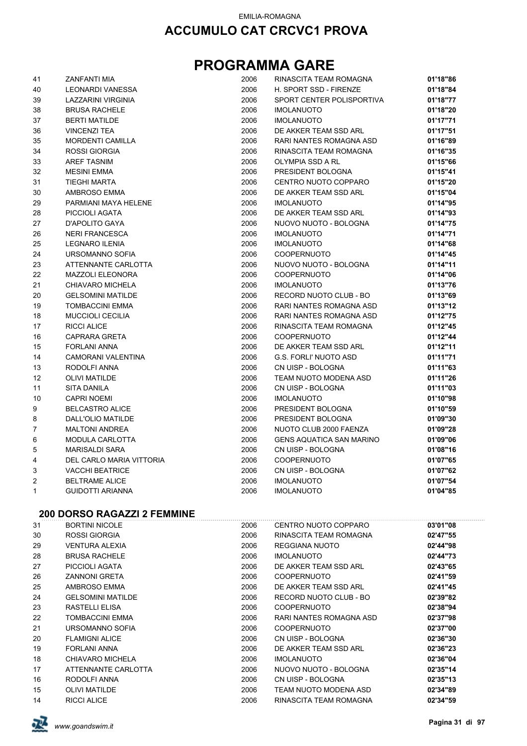| 41 | ZANFANTI MIA                       | 2006 | RINASCITA TEAM ROMAGNA    | 01'18"86 |
|----|------------------------------------|------|---------------------------|----------|
| 40 | <b>LEONARDI VANESSA</b>            | 2006 | H. SPORT SSD - FIRENZE    | 01'18"84 |
| 39 | LAZZARINI VIRGINIA                 | 2006 | SPORT CENTER POLISPORTIVA | 01'18"77 |
| 38 | <b>BRUSA RACHELE</b>               | 2006 | <b>IMOLANUOTO</b>         | 01'18"20 |
| 37 | <b>BERTI MATILDE</b>               | 2006 | <b>IMOLANUOTO</b>         | 01'17"71 |
| 36 | <b>VINCENZI TEA</b>                | 2006 | DE AKKER TEAM SSD ARL     | 01'17"51 |
| 35 | <b>MORDENTI CAMILLA</b>            | 2006 | RARI NANTES ROMAGNA ASD   | 01'16"89 |
| 34 | <b>ROSSI GIORGIA</b>               | 2006 | RINASCITA TEAM ROMAGNA    | 01'16"35 |
| 33 | <b>AREF TASNIM</b>                 | 2006 | OLYMPIA SSD A RL          | 01'15"66 |
| 32 | <b>MESINI EMMA</b>                 | 2006 | PRESIDENT BOLOGNA         | 01'15"41 |
| 31 | <b>TIEGHI MARTA</b>                | 2006 | CENTRO NUOTO COPPARO      | 01'15"20 |
| 30 | AMBROSO EMMA                       | 2006 | DE AKKER TEAM SSD ARL     | 01'15"04 |
| 29 | PARMIANI MAYA HELENE               | 2006 | <b>IMOLANUOTO</b>         | 01'14"95 |
| 28 | PICCIOLI AGATA                     | 2006 | DE AKKER TEAM SSD ARL     | 01'14"93 |
| 27 | D'APOLITO GAYA                     | 2006 | NUOVO NUOTO - BOLOGNA     | 01'14"75 |
| 26 | <b>NERI FRANCESCA</b>              | 2006 | <b>IMOLANUOTO</b>         | 01'14"71 |
| 25 | <b>LEGNARO ILENIA</b>              | 2006 | <b>IMOLANUOTO</b>         | 01'14"68 |
| 24 | URSOMANNO SOFIA                    | 2006 | <b>COOPERNUOTO</b>        | 01'14"45 |
| 23 | ATTENNANTE CARLOTTA                | 2006 | NUOVO NUOTO - BOLOGNA     | 01'14"11 |
| 22 | <b>MAZZOLI ELEONORA</b>            | 2006 | <b>COOPERNUOTO</b>        | 01'14"06 |
| 21 | CHIAVARO MICHELA                   | 2006 | <b>IMOLANUOTO</b>         | 01'13"76 |
| 20 | <b>GELSOMINI MATILDE</b>           | 2006 | RECORD NUOTO CLUB - BO    | 01'13"69 |
| 19 | <b>TOMBACCINI EMMA</b>             | 2006 | RARI NANTES ROMAGNA ASD   | 01'13"12 |
| 18 | <b>MUCCIOLI CECILIA</b>            | 2006 | RARI NANTES ROMAGNA ASD   | 01'12"75 |
| 17 | <b>RICCI ALICE</b>                 | 2006 | RINASCITA TEAM ROMAGNA    | 01'12"45 |
| 16 | CAPRARA GRETA                      | 2006 | <b>COOPERNUOTO</b>        | 01'12"44 |
| 15 | <b>FORLANI ANNA</b>                | 2006 | DE AKKER TEAM SSD ARL     | 01'12"11 |
| 14 | CAMORANI VALENTINA                 | 2006 | G.S. FORLI' NUOTO ASD     | 01'11"71 |
| 13 | RODOLFI ANNA                       | 2006 | CN UISP - BOLOGNA         | 01'11"63 |
| 12 | <b>OLIVI MATILDE</b>               | 2006 | TEAM NUOTO MODENA ASD     | 01'11"26 |
| 11 | <b>SITA DANILA</b>                 | 2006 | CN UISP - BOLOGNA         | 01'11"03 |
| 10 | <b>CAPRI NOEMI</b>                 | 2006 | <b>IMOLANUOTO</b>         | 01'10"98 |
| 9  | <b>BELCASTRO ALICE</b>             | 2006 | PRESIDENT BOLOGNA         | 01'10"59 |
| 8  | DALL'OLIO MATILDE                  | 2006 | PRESIDENT BOLOGNA         | 01'09"30 |
| 7  | <b>MALTONI ANDREA</b>              | 2006 | NUOTO CLUB 2000 FAENZA    | 01'09"28 |
| 6  | MODULA CARLOTTA                    | 2006 | GENS AQUATICA SAN MARINO  | 01'09"06 |
| 5  | <b>MARISALDI SARA</b>              | 2006 | CN UISP - BOLOGNA         | 01'08"16 |
| 4  | DEL CARLO MARIA VITTORIA           | 2006 | COOPERNUOTO               | 01'07"65 |
| 3  | <b>VACCHI BEATRICE</b>             | 2006 | CN UISP - BOLOGNA         | 01'07"62 |
| 2  | <b>BELTRAME ALICE</b>              | 2006 | <b>IMOLANUOTO</b>         | 01'07"54 |
| 1  | <b>GUIDOTTI ARIANNA</b>            | 2006 | <b>IMOLANUOTO</b>         | 01'04"85 |
|    |                                    |      |                           |          |
|    | <b>200 DORSO RAGAZZI 2 FEMMINE</b> |      |                           |          |
| 31 | <b>BORTINI NICOLE</b>              | 2006 | CENTRO NUOTO COPPARO      | 03'01"08 |
| 30 | <b>ROSSI GIORGIA</b>               | 2006 | RINASCITA TEAM ROMAGNA    | 02'47"55 |
| 29 | <b>VENTURA ALEXIA</b>              | 2006 | REGGIANA NUOTO            | 02'44"98 |
| 28 | <b>BRUSA RACHELE</b>               | 2006 | <b>IMOLANUOTO</b>         | 02'44"73 |
| 27 | PICCIOLI AGATA                     | 2006 | DE AKKER TEAM SSD ARL     | 02'43"65 |
| 26 | <b>ZANNONI GRETA</b>               | 2006 | <b>COOPERNUOTO</b>        | 02'41"59 |
| 25 | <b>AMBROSO EMMA</b>                | 2006 | DE AKKER TEAM SSD ARL     | 02'41"45 |
| 24 | <b>GELSOMINI MATILDE</b>           | 2006 | RECORD NUOTO CLUB - BO    | 02'39"82 |
| 23 | RASTELLI ELISA                     | 2006 | <b>COOPERNUOTO</b>        | 02'38"94 |
| 22 | <b>TOMBACCINI EMMA</b>             | 2006 | RARI NANTES ROMAGNA ASD   | 02'37"98 |
| 21 | URSOMANNO SOFIA                    | 2006 | <b>COOPERNUOTO</b>        | 02'37"00 |
| 20 | <b>FLAMIGNI ALICE</b>              | 2006 | CN UISP - BOLOGNA         | 02'36"30 |
| 19 | <b>FORLANI ANNA</b>                | 2006 | DE AKKER TEAM SSD ARL     | 02'36"23 |
| 18 | CHIAVARO MICHELA                   | 2006 | <b>IMOLANUOTO</b>         | 02'36"04 |
| 17 | ATTENNANTE CARLOTTA                | 2006 | NUOVO NUOTO - BOLOGNA     | 02'35"14 |
| 16 | RODOLFI ANNA                       | 2006 | CN UISP - BOLOGNA         | 02'35"13 |
| 15 | <b>OLIVI MATILDE</b>               | 2006 | TEAM NUOTO MODENA ASD     | 02'34"89 |
| 14 | <b>RICCI ALICE</b>                 | 2006 | RINASCITA TEAM ROMAGNA    | 02'34"59 |

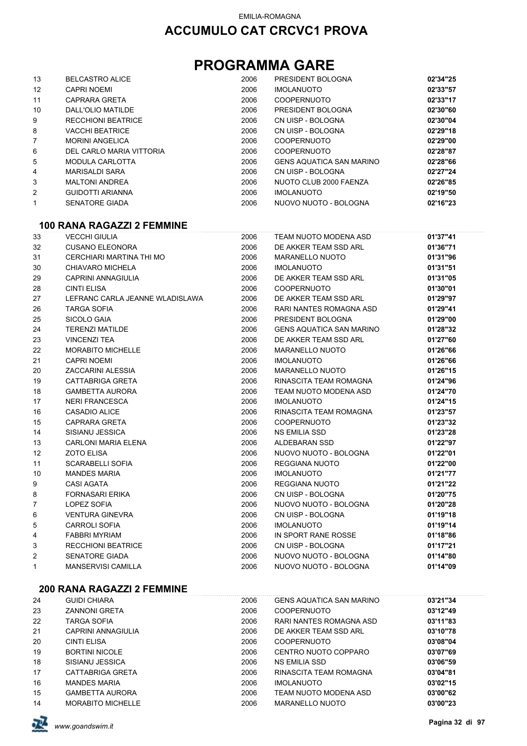## **PROGRAMMA GARE**

| 13                | <b>BELCASTRO ALICE</b>    | 2006 | PRESIDENT BOLOGNA               | 02'34"25 |
|-------------------|---------------------------|------|---------------------------------|----------|
| $12 \overline{ }$ | <b>CAPRI NOEMI</b>        | 2006 | <b>IMOLANUOTO</b>               | 02'33"57 |
| 11                | CAPRARA GRETA             | 2006 | <b>COOPERNUOTO</b>              | 02'33"17 |
| 10                | DALL'OLIO MATILDE         | 2006 | PRESIDENT BOLOGNA               | 02'30"60 |
| 9                 | <b>RECCHIONI BEATRICE</b> | 2006 | CN UISP - BOLOGNA               | 02'30"04 |
| 8                 | <b>VACCHI BEATRICE</b>    | 2006 | CN UISP - BOLOGNA               | 02'29"18 |
| $\overline{7}$    | <b>MORINI ANGELICA</b>    | 2006 | <b>COOPERNUOTO</b>              | 02'29"00 |
| 6                 | DEL CARLO MARIA VITTORIA  | 2006 | <b>COOPERNUOTO</b>              | 02'28"87 |
| 5                 | MODULA CARLOTTA           | 2006 | <b>GENS AQUATICA SAN MARINO</b> | 02'28"66 |
| 4                 | MARISALDI SARA            | 2006 | CN UISP - BOLOGNA               | 02'27"24 |
| 3                 | <b>MALTONI ANDREA</b>     | 2006 | NUOTO CLUB 2000 FAENZA          | 02'26"85 |
| 2                 | <b>GUIDOTTI ARIANNA</b>   | 2006 | <b>IMOLANUOTO</b>               | 02'19"50 |
| 1                 | <b>SENATORE GIADA</b>     | 2006 | NUOVO NUOTO - BOLOGNA           | 02'16"23 |

#### **100 RANA RAGAZZI 2 FEMMINE**

| 33             | <b>VECCHI GIULIA</b>            | 2006 | TEAM NUOTO MODENA ASD           | 01'37"41 |
|----------------|---------------------------------|------|---------------------------------|----------|
| 32             | <b>CUSANO ELEONORA</b>          | 2006 | DE AKKER TEAM SSD ARL           | 01'36"71 |
| 31             | CERCHIARI MARTINA THI MO        | 2006 | <b>MARANELLO NUOTO</b>          | 01'31"96 |
| 30             | CHIAVARO MICHELA                | 2006 | <b>IMOLANUOTO</b>               | 01'31"51 |
| 29             | <b>CAPRINI ANNAGIULIA</b>       | 2006 | DE AKKER TEAM SSD ARL           | 01'31"05 |
| 28             | <b>CINTI ELISA</b>              | 2006 | <b>COOPERNUOTO</b>              | 01'30"01 |
| 27             | LEFRANC CARLA JEANNE WLADISLAWA | 2006 | DE AKKER TEAM SSD ARL           | 01'29"97 |
| 26             | <b>TARGA SOFIA</b>              | 2006 | RARI NANTES ROMAGNA ASD         | 01'29"41 |
| 25             | <b>SICOLO GAIA</b>              | 2006 | PRESIDENT BOLOGNA               | 01'29"00 |
| 24             | <b>TERENZI MATILDE</b>          | 2006 | <b>GENS AQUATICA SAN MARINO</b> | 01'28"32 |
| 23             | <b>VINCENZI TEA</b>             | 2006 | DE AKKER TEAM SSD ARL           | 01'27"60 |
| 22             | <b>MORABITO MICHELLE</b>        | 2006 | <b>MARANELLO NUOTO</b>          | 01'26"66 |
| 21             | <b>CAPRI NOEMI</b>              | 2006 | <b>IMOLANUOTO</b>               | 01'26"66 |
| 20             | <b>ZACCARINI ALESSIA</b>        | 2006 | <b>MARANELLO NUOTO</b>          | 01'26"15 |
| 19             | <b>CATTABRIGA GRETA</b>         | 2006 | RINASCITA TEAM ROMAGNA          | 01'24"96 |
| 18             | <b>GAMBETTA AURORA</b>          | 2006 | TEAM NUOTO MODENA ASD           | 01'24"70 |
| 17             | <b>NERI FRANCESCA</b>           | 2006 | <b>IMOLANUOTO</b>               | 01'24"15 |
| 16             | CASADIO ALICE                   | 2006 | RINASCITA TEAM ROMAGNA          | 01'23"57 |
| 15             | <b>CAPRARA GRETA</b>            | 2006 | <b>COOPERNUOTO</b>              | 01'23"32 |
| 14             | SISIANU JESSICA                 | 2006 | <b>NS EMILIA SSD</b>            | 01'23"28 |
| 13             | <b>CARLONI MARIA ELENA</b>      | 2006 | ALDEBARAN SSD                   | 01'22"97 |
| 12             | <b>ZOTO ELISA</b>               | 2006 | NUOVO NUOTO - BOLOGNA           | 01'22"01 |
| 11             | <b>SCARABELLI SOFIA</b>         | 2006 | <b>REGGIANA NUOTO</b>           | 01'22"00 |
| 10             | <b>MANDES MARIA</b>             | 2006 | <b>IMOLANUOTO</b>               | 01'21"77 |
| 9              | <b>CASI AGATA</b>               | 2006 | <b>REGGIANA NUOTO</b>           | 01'21"22 |
| 8              | <b>FORNASARI ERIKA</b>          | 2006 | CN UISP - BOLOGNA               | 01'20"75 |
| $\overline{7}$ | <b>LOPEZ SOFIA</b>              | 2006 | NUOVO NUOTO - BOLOGNA           | 01'20"28 |
| 6              | <b>VENTURA GINEVRA</b>          | 2006 | CN UISP - BOLOGNA               | 01'19"18 |
| 5              | <b>CARROLI SOFIA</b>            | 2006 | <b>IMOLANUOTO</b>               | 01'19"14 |
| 4              | <b>FABBRI MYRIAM</b>            | 2006 | IN SPORT RANE ROSSE             | 01'18"86 |
| 3              | <b>RECCHIONI BEATRICE</b>       | 2006 | CN UISP - BOLOGNA               | 01'17"21 |
| 2              | <b>SENATORE GIADA</b>           | 2006 | NUOVO NUOTO - BOLOGNA           | 01'14"80 |
| $\mathbf{1}$   | <b>MANSERVISI CAMILLA</b>       | 2006 | NUOVO NUOTO - BOLOGNA           | 01'14"09 |

#### **200 RANA RAGAZZI 2 FEMMINE**

| 24 | <b>GUIDI CHIARA</b>      | 2006 | <b>GENS AQUATICA SAN MARINO</b> | 03'21"34 |
|----|--------------------------|------|---------------------------------|----------|
| 23 | <b>ZANNONI GRETA</b>     | 2006 | <b>COOPERNUOTO</b>              | 03'12"49 |
| 22 | <b>TARGA SOFIA</b>       | 2006 | RARI NANTES ROMAGNA ASD         | 03'11"83 |
| 21 | CAPRINI ANNAGIULIA       | 2006 | DE AKKER TEAM SSD ARL           | 03'10"78 |
| 20 | CINTI ELISA              | 2006 | <b>COOPERNUOTO</b>              | 03'08"04 |
| 19 | <b>BORTINI NICOLE</b>    | 2006 | CENTRO NUOTO COPPARO            | 03'07"69 |
| 18 | SISIANU JESSICA          | 2006 | <b>NS EMILIA SSD</b>            | 03'06"59 |
| 17 | CATTABRIGA GRETA         | 2006 | RINASCITA TEAM ROMAGNA          | 03'04"81 |
| 16 | <b>MANDES MARIA</b>      | 2006 | <b>IMOLANUOTO</b>               | 03'02"15 |
| 15 | <b>GAMBETTA AURORA</b>   | 2006 | TEAM NUOTO MODENA ASD           | 03'00"62 |
| 14 | <b>MORABITO MICHELLE</b> | 2006 | <b>MARANELLO NUOTO</b>          | 03'00"23 |

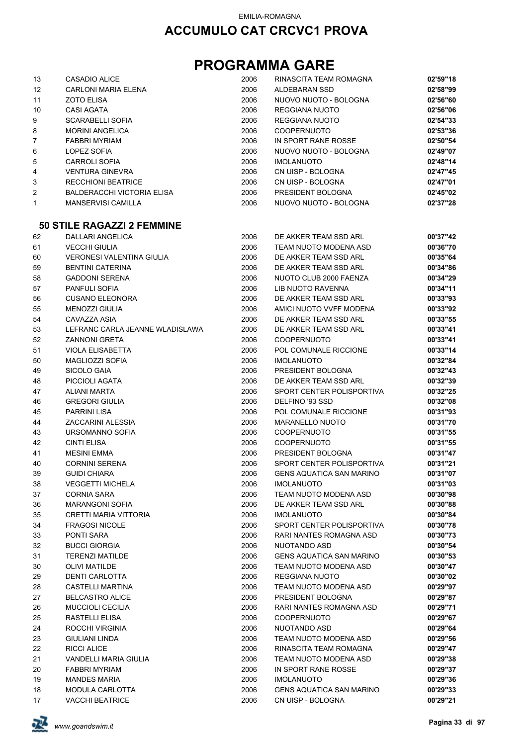## **PROGRAMMA GARE**

| 13                | CASADIO ALICE                     | 2006 | RINASCITA TEAM ROMAGNA | 02'59"18 |
|-------------------|-----------------------------------|------|------------------------|----------|
| $12 \overline{ }$ | <b>CARLONI MARIA ELENA</b>        | 2006 | ALDEBARAN SSD          | 02'58"99 |
| 11                | <b>ZOTO ELISA</b>                 | 2006 | NUOVO NUOTO - BOLOGNA  | 02'56"60 |
| 10                | <b>CASI AGATA</b>                 | 2006 | REGGIANA NUOTO         | 02'56"06 |
| 9                 | <b>SCARABELLI SOFIA</b>           | 2006 | REGGIANA NUOTO         | 02'54"33 |
| 8                 | <b>MORINI ANGELICA</b>            | 2006 | <b>COOPERNUOTO</b>     | 02'53"36 |
| $\overline{7}$    | <b>FABBRI MYRIAM</b>              | 2006 | IN SPORT RANE ROSSE    | 02'50"54 |
| 6                 | LOPEZ SOFIA                       | 2006 | NUOVO NUOTO - BOLOGNA  | 02'49"07 |
| 5                 | <b>CARROLI SOFIA</b>              | 2006 | <b>IMOLANUOTO</b>      | 02'48"14 |
| 4                 | <b>VENTURA GINEVRA</b>            | 2006 | CN UISP - BOLOGNA      | 02'47"45 |
| 3                 | <b>RECCHIONI BEATRICE</b>         | 2006 | CN UISP - BOLOGNA      | 02'47"01 |
| 2                 | <b>BALDERACCHI VICTORIA ELISA</b> | 2006 | PRESIDENT BOLOGNA      | 02'45"02 |
| 1                 | <b>MANSERVISI CAMILLA</b>         | 2006 | NUOVO NUOTO - BOLOGNA  | 02'37"28 |

#### **50 STILE RAGAZZI 2 FEMMINE**

| 62 | DALLARI ANGELICA                 | 2006 | DE AKKER TEAM SSD ARL           | 00'37"42 |
|----|----------------------------------|------|---------------------------------|----------|
| 61 | <b>VECCHI GIULIA</b>             | 2006 | TEAM NUOTO MODENA ASD           | 00'36"70 |
| 60 | <b>VERONESI VALENTINA GIULIA</b> | 2006 | DE AKKER TEAM SSD ARL           | 00'35"64 |
| 59 | <b>BENTINI CATERINA</b>          | 2006 | DE AKKER TEAM SSD ARL           | 00'34"86 |
| 58 | <b>GADDONI SERENA</b>            | 2006 | NUOTO CLUB 2000 FAENZA          | 00'34"29 |
| 57 | <b>PANFULI SOFIA</b>             | 2006 | <b>LIB NUOTO RAVENNA</b>        | 00'34"11 |
| 56 | <b>CUSANO ELEONORA</b>           | 2006 | DE AKKER TEAM SSD ARL           | 00'33"93 |
| 55 | <b>MENOZZI GIULIA</b>            | 2006 | AMICI NUOTO VVFF MODENA         | 00'33"92 |
| 54 | CAVAZZA ASIA                     | 2006 | DE AKKER TEAM SSD ARL           | 00'33"55 |
| 53 | LEFRANC CARLA JEANNE WLADISLAWA  | 2006 | DE AKKER TEAM SSD ARL           | 00'33"41 |
| 52 | <b>ZANNONI GRETA</b>             | 2006 | <b>COOPERNUOTO</b>              | 00'33"41 |
| 51 | <b>VIOLA ELISABETTA</b>          | 2006 | POL COMUNALE RICCIONE           | 00'33"14 |
| 50 | <b>MAGLIOZZI SOFIA</b>           | 2006 | <b>IMOLANUOTO</b>               | 00'32"84 |
| 49 | SICOLO GAIA                      | 2006 | PRESIDENT BOLOGNA               | 00'32"43 |
| 48 | PICCIOLI AGATA                   | 2006 | DE AKKER TEAM SSD ARL           | 00'32"39 |
| 47 | <b>ALIANI MARTA</b>              | 2006 | SPORT CENTER POLISPORTIVA       | 00'32"25 |
| 46 | <b>GREGORI GIULIA</b>            | 2006 | DELFINO '93 SSD                 | 00'32"08 |
| 45 | <b>PARRINI LISA</b>              | 2006 | POL COMUNALE RICCIONE           | 00'31"93 |
| 44 | ZACCARINI ALESSIA                | 2006 | <b>MARANELLO NUOTO</b>          | 00'31"70 |
| 43 | URSOMANNO SOFIA                  | 2006 | <b>COOPERNUOTO</b>              | 00'31"55 |
| 42 | <b>CINTI ELISA</b>               | 2006 | <b>COOPERNUOTO</b>              | 00'31"55 |
| 41 | <b>MESINI EMMA</b>               | 2006 | PRESIDENT BOLOGNA               | 00'31"47 |
| 40 | <b>CORNINI SERENA</b>            | 2006 | SPORT CENTER POLISPORTIVA       | 00'31"21 |
| 39 | <b>GUIDI CHIARA</b>              | 2006 | <b>GENS AQUATICA SAN MARINO</b> | 00'31"07 |
| 38 | <b>VEGGETTI MICHELA</b>          | 2006 | <b>IMOLANUOTO</b>               | 00'31"03 |
| 37 | <b>CORNIA SARA</b>               | 2006 | TEAM NUOTO MODENA ASD           | 00'30"98 |
| 36 | <b>MARANGONI SOFIA</b>           | 2006 | DE AKKER TEAM SSD ARL           | 00'30"88 |
| 35 | <b>CRETTI MARIA VITTORIA</b>     | 2006 | <b>IMOLANUOTO</b>               | 00'30"84 |
| 34 | <b>FRAGOSI NICOLE</b>            | 2006 | SPORT CENTER POLISPORTIVA       | 00'30"78 |
| 33 | PONTI SARA                       | 2006 | RARI NANTES ROMAGNA ASD         | 00'30"73 |
| 32 | <b>BUCCI GIORGIA</b>             | 2006 | NUOTANDO ASD                    | 00'30"54 |
| 31 | <b>TERENZI MATILDE</b>           | 2006 | <b>GENS AQUATICA SAN MARINO</b> | 00'30"53 |
| 30 | <b>OLIVI MATILDE</b>             | 2006 | TEAM NUOTO MODENA ASD           | 00'30"47 |
| 29 | DENTI CARLOTTA                   | 2006 | <b>REGGIANA NUOTO</b>           | 00'30"02 |
| 28 | <b>CASTELLI MARTINA</b>          | 2006 | TEAM NUOTO MODENA ASD           | 00'29"97 |
| 27 | <b>BELCASTRO ALICE</b>           | 2006 | PRESIDENT BOLOGNA               | 00'29"87 |
| 26 | <b>MUCCIOLI CECILIA</b>          | 2006 | RARI NANTES ROMAGNA ASD         | 00'29"71 |
| 25 | <b>RASTELLI ELISA</b>            | 2006 | COOPERNUOTO                     | 00'29"67 |
| 24 | ROCCHI VIRGINIA                  | 2006 | NUOTANDO ASD                    | 00'29"64 |
| 23 | <b>GIULIANI LINDA</b>            | 2006 | TEAM NUOTO MODENA ASD           | 00'29"56 |
| 22 | RICCI ALICE                      | 2006 | RINASCITA TEAM ROMAGNA          | 00'29"47 |
| 21 | VANDELLI MARIA GIULIA            | 2006 | TEAM NUOTO MODENA ASD           | 00'29"38 |
| 20 | <b>FABBRI MYRIAM</b>             | 2006 | IN SPORT RANE ROSSE             | 00'29"37 |
| 19 | <b>MANDES MARIA</b>              | 2006 | <b>IMOLANUOTO</b>               | 00'29"36 |
| 18 | MODULA CARLOTTA                  | 2006 | <b>GENS AQUATICA SAN MARINO</b> | 00'29"33 |
| 17 | <b>VACCHI BEATRICE</b>           | 2006 | CN UISP - BOLOGNA               | 00'29"21 |

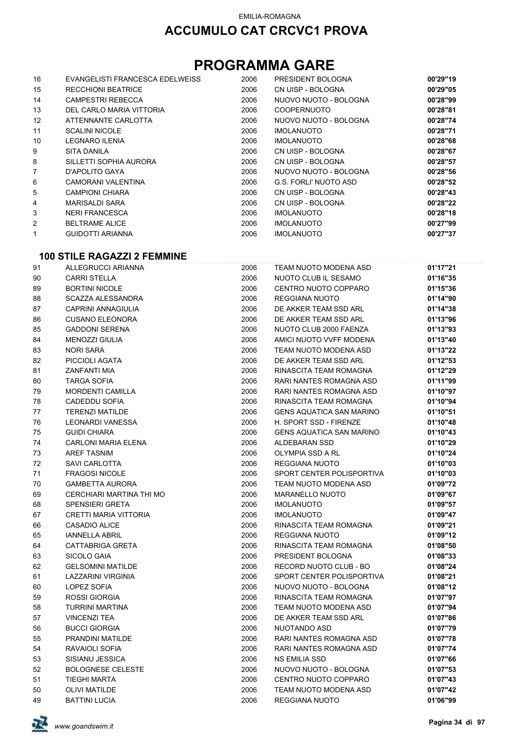## **PROGRAMMA GARE**

| 16                | EVANGELISTI FRANCESCA EDELWEISS | 2006 | PRESIDENT BOLOGNA     | 00'29"19 |
|-------------------|---------------------------------|------|-----------------------|----------|
| 15                | <b>RECCHIONI BEATRICE</b>       | 2006 | CN UISP - BOLOGNA     | 00'29"05 |
| 14                | <b>CAMPESTRI REBECCA</b>        | 2006 | NUOVO NUOTO - BOLOGNA | 00'28"99 |
| 13                | DEL CARLO MARIA VITTORIA        | 2006 | <b>COOPERNUOTO</b>    | 00'28"81 |
| $12 \overline{ }$ | ATTENNANTE CARLOTTA             | 2006 | NUOVO NUOTO - BOLOGNA | 00'28"74 |
| 11                | <b>SCALINI NICOLE</b>           | 2006 | <b>IMOLANUOTO</b>     | 00'28"71 |
| 10                | LEGNARO ILENIA                  | 2006 | <b>IMOLANUOTO</b>     | 00'28"68 |
| 9                 | SITA DANILA                     | 2006 | CN UISP - BOLOGNA     | 00'28"67 |
| 8                 | SILLETTI SOPHIA AURORA          | 2006 | CN UISP - BOLOGNA     | 00'28"57 |
| 7                 | D'APOLITO GAYA                  | 2006 | NUOVO NUOTO - BOLOGNA | 00'28"56 |
| 6                 | CAMORANI VALENTINA              | 2006 | G.S. FORLI' NUOTO ASD | 00'28"52 |
| 5                 | <b>CAMPIONI CHIARA</b>          | 2006 | CN UISP - BOLOGNA     | 00'28"43 |
| 4                 | MARISALDI SARA                  | 2006 | CN UISP - BOLOGNA     | 00'28"22 |
| 3                 | <b>NERI FRANCESCA</b>           | 2006 | <b>IMOLANUOTO</b>     | 00'28"18 |
| 2                 | <b>BELTRAME ALICE</b>           | 2006 | <b>IMOLANUOTO</b>     | 00'27"99 |
| 1                 | <b>GUIDOTTI ARIANNA</b>         | 2006 | <b>IMOLANUOTO</b>     | 00'27"37 |

#### **100 STILE RAGAZZI 2 FEMMINE**

| 91 | ALLEGRUCCI ARIANNA           | 2006 | TEAM NUOTO MODENA ASD           | 01'17"21 |
|----|------------------------------|------|---------------------------------|----------|
| 90 | <b>CARRI STELLA</b>          | 2006 | NUOTO CLUB IL SESAMO            | 01'16"35 |
| 89 | <b>BORTINI NICOLE</b>        | 2006 | CENTRO NUOTO COPPARO            | 01'15"36 |
| 88 | <b>SCAZZA ALESSANDRA</b>     | 2006 | REGGIANA NUOTO                  | 01'14"90 |
| 87 | CAPRINI ANNAGIULIA           | 2006 | DE AKKER TEAM SSD ARL           | 01'14"38 |
| 86 | <b>CUSANO ELEONORA</b>       | 2006 | DE AKKER TEAM SSD ARL           | 01'13"96 |
| 85 | <b>GADDONI SERENA</b>        | 2006 | NUOTO CLUB 2000 FAENZA          | 01'13"93 |
| 84 | <b>MENOZZI GIULIA</b>        | 2006 | AMICI NUOTO VVFF MODENA         | 01'13"40 |
| 83 | <b>NORI SARA</b>             | 2006 | TEAM NUOTO MODENA ASD           | 01'13"22 |
| 82 | PICCIOLI AGATA               | 2006 | DE AKKER TEAM SSD ARL           | 01'12"53 |
| 81 | ZANFANTI MIA                 | 2006 | RINASCITA TEAM ROMAGNA          | 01'12"29 |
| 80 | <b>TARGA SOFIA</b>           | 2006 | RARI NANTES ROMAGNA ASD         | 01'11"99 |
| 79 | <b>MORDENTI CAMILLA</b>      | 2006 | RARI NANTES ROMAGNA ASD         | 01'10"97 |
| 78 | CADEDDU SOFIA                | 2006 | RINASCITA TEAM ROMAGNA          | 01'10"94 |
| 77 | <b>TERENZI MATILDE</b>       | 2006 | <b>GENS AQUATICA SAN MARINO</b> | 01'10"51 |
| 76 | LEONARDI VANESSA             | 2006 | H. SPORT SSD - FIRENZE          | 01'10"48 |
| 75 | <b>GUIDI CHIARA</b>          | 2006 | <b>GENS AQUATICA SAN MARINO</b> | 01'10"43 |
| 74 | <b>CARLONI MARIA ELENA</b>   | 2006 | ALDEBARAN SSD                   | 01'10"29 |
| 73 | <b>AREF TASNIM</b>           | 2006 | OLYMPIA SSD A RL                | 01'10"24 |
| 72 | SAVI CARLOTTA                | 2006 | REGGIANA NUOTO                  | 01'10"03 |
| 71 | <b>FRAGOSI NICOLE</b>        | 2006 | SPORT CENTER POLISPORTIVA       | 01'10"03 |
| 70 | <b>GAMBETTA AURORA</b>       | 2006 | TEAM NUOTO MODENA ASD           | 01'09"72 |
| 69 | CERCHIARI MARTINA THI MO     | 2006 | <b>MARANELLO NUOTO</b>          | 01'09"67 |
| 68 | <b>SPENSIERI GRETA</b>       | 2006 | <b>IMOLANUOTO</b>               | 01'09"57 |
| 67 | <b>CRETTI MARIA VITTORIA</b> | 2006 | <b>IMOLANUOTO</b>               | 01'09"47 |
| 66 | <b>CASADIO ALICE</b>         | 2006 | RINASCITA TEAM ROMAGNA          | 01'09"21 |
| 65 | <b>IANNELLA ABRIL</b>        | 2006 | <b>REGGIANA NUOTO</b>           | 01'09"12 |
| 64 | <b>CATTABRIGA GRETA</b>      | 2006 | RINASCITA TEAM ROMAGNA          | 01'08"50 |
| 63 | SICOLO GAIA                  | 2006 | PRESIDENT BOLOGNA               | 01'08"33 |
| 62 | <b>GELSOMINI MATILDE</b>     | 2006 | RECORD NUOTO CLUB - BO          | 01'08"24 |
| 61 | <b>LAZZARINI VIRGINIA</b>    | 2006 | SPORT CENTER POLISPORTIVA       | 01'08"21 |
| 60 | LOPEZ SOFIA                  | 2006 | NUOVO NUOTO - BOLOGNA           | 01'08"12 |
| 59 | <b>ROSSI GIORGIA</b>         | 2006 | RINASCITA TEAM ROMAGNA          | 01'07"97 |
| 58 | <b>TURRINI MARTINA</b>       | 2006 | TEAM NUOTO MODENA ASD           | 01'07"94 |
| 57 | <b>VINCENZI TEA</b>          | 2006 | DE AKKER TEAM SSD ARL           | 01'07"86 |
| 56 | <b>BUCCI GIORGIA</b>         | 2006 | NUOTANDO ASD                    | 01'07"79 |
| 55 | PRANDINI MATILDE             | 2006 | RARI NANTES ROMAGNA ASD         | 01'07"78 |
| 54 | RAVAIOLI SOFIA               | 2006 | RARI NANTES ROMAGNA ASD         | 01'07"74 |
| 53 | SISIANU JESSICA              | 2006 | <b>NS EMILIA SSD</b>            | 01'07"66 |
| 52 | <b>BOLOGNESE CELESTE</b>     | 2006 | NUOVO NUOTO - BOLOGNA           | 01'07"53 |
| 51 | <b>TIEGHI MARTA</b>          | 2006 | CENTRO NUOTO COPPARO            | 01'07"43 |
| 50 | <b>OLIVI MATILDE</b>         | 2006 | TEAM NUOTO MODENA ASD           | 01'07"42 |
| 49 | <b>BATTINI LUCIA</b>         | 2006 | REGGIANA NUOTO                  | 01'06"99 |

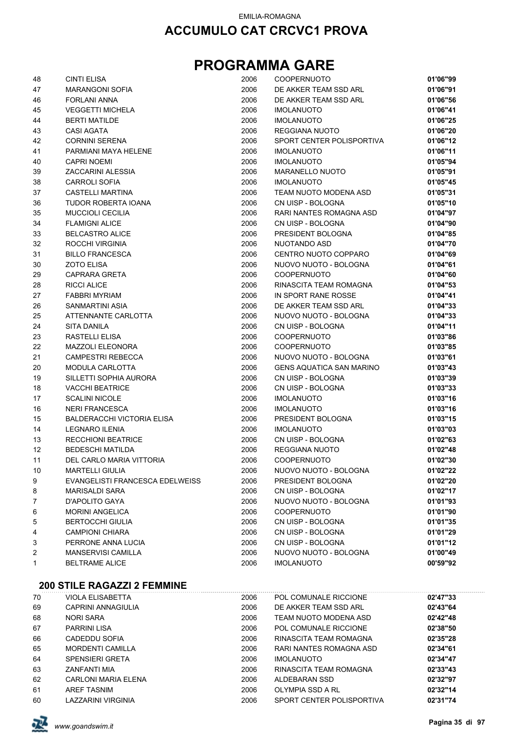## **PROGRAMMA GARE**

| 48 | <b>CINTI ELISA</b>                | 2006 | <b>COOPERNUOTO</b>              | 01'06"99 |
|----|-----------------------------------|------|---------------------------------|----------|
| 47 | <b>MARANGONI SOFIA</b>            | 2006 | DE AKKER TEAM SSD ARL           | 01'06"91 |
| 46 | <b>FORLANI ANNA</b>               | 2006 | DE AKKER TEAM SSD ARL           | 01'06"56 |
| 45 | <b>VEGGETTI MICHELA</b>           | 2006 | <b>IMOLANUOTO</b>               | 01'06"41 |
| 44 | <b>BERTI MATILDE</b>              | 2006 | <b>IMOLANUOTO</b>               | 01'06"25 |
| 43 | <b>CASI AGATA</b>                 | 2006 | REGGIANA NUOTO                  | 01'06"20 |
| 42 | <b>CORNINI SERENA</b>             | 2006 | SPORT CENTER POLISPORTIVA       | 01'06"12 |
| 41 | PARMIANI MAYA HELENE              | 2006 | <b>IMOLANUOTO</b>               | 01'06"11 |
| 40 | <b>CAPRI NOEMI</b>                | 2006 | <b>IMOLANUOTO</b>               | 01'05"94 |
| 39 | ZACCARINI ALESSIA                 | 2006 | <b>MARANELLO NUOTO</b>          | 01'05"91 |
| 38 | <b>CARROLI SOFIA</b>              | 2006 | <b>IMOLANUOTO</b>               | 01'05"45 |
| 37 | CASTELLI MARTINA                  | 2006 | TEAM NUOTO MODENA ASD           | 01'05"31 |
| 36 | TUDOR ROBERTA IOANA               | 2006 | CN UISP - BOLOGNA               | 01'05"10 |
| 35 | <b>MUCCIOLI CECILIA</b>           | 2006 | RARI NANTES ROMAGNA ASD         | 01'04"97 |
| 34 | <b>FLAMIGNI ALICE</b>             | 2006 | CN UISP - BOLOGNA               | 01'04"90 |
| 33 | <b>BELCASTRO ALICE</b>            | 2006 | PRESIDENT BOLOGNA               | 01'04"85 |
| 32 | ROCCHI VIRGINIA                   | 2006 | NUOTANDO ASD                    | 01'04"70 |
| 31 | <b>BILLO FRANCESCA</b>            | 2006 | CENTRO NUOTO COPPARO            | 01'04"69 |
| 30 | <b>ZOTO ELISA</b>                 | 2006 | NUOVO NUOTO - BOLOGNA           | 01'04"61 |
| 29 | <b>CAPRARA GRETA</b>              | 2006 | COOPERNUOTO                     | 01'04"60 |
| 28 | <b>RICCI ALICE</b>                | 2006 | RINASCITA TEAM ROMAGNA          | 01'04"53 |
| 27 | <b>FABBRI MYRIAM</b>              | 2006 | IN SPORT RANE ROSSE             | 01'04"41 |
| 26 | SANMARTINI ASIA                   | 2006 | DE AKKER TEAM SSD ARL           | 01'04"33 |
| 25 | ATTENNANTE CARLOTTA               | 2006 | NUOVO NUOTO - BOLOGNA           | 01'04"33 |
| 24 | SITA DANILA                       | 2006 | CN UISP - BOLOGNA               | 01'04"11 |
| 23 | RASTELLI ELISA                    | 2006 | <b>COOPERNUOTO</b>              | 01'03"86 |
| 22 | <b>MAZZOLI ELEONORA</b>           | 2006 | COOPERNUOTO                     | 01'03"85 |
| 21 | CAMPESTRI REBECCA                 | 2006 | NUOVO NUOTO - BOLOGNA           | 01'03"61 |
| 20 | <b>MODULA CARLOTTA</b>            | 2006 | <b>GENS AQUATICA SAN MARINO</b> | 01'03"43 |
| 19 | SILLETTI SOPHIA AURORA            | 2006 | CN UISP - BOLOGNA               | 01'03"39 |
| 18 | <b>VACCHI BEATRICE</b>            | 2006 | CN UISP - BOLOGNA               | 01'03"33 |
| 17 | <b>SCALINI NICOLE</b>             | 2006 | <b>IMOLANUOTO</b>               | 01'03"16 |
| 16 | <b>NERI FRANCESCA</b>             | 2006 | <b>IMOLANUOTO</b>               | 01'03"16 |
| 15 | <b>BALDERACCHI VICTORIA ELISA</b> | 2006 | PRESIDENT BOLOGNA               | 01'03"15 |
| 14 | <b>LEGNARO ILENIA</b>             | 2006 | <b>IMOLANUOTO</b>               | 01'03"03 |
| 13 | <b>RECCHIONI BEATRICE</b>         | 2006 | CN UISP - BOLOGNA               | 01'02"63 |
| 12 | <b>BEDESCHI MATILDA</b>           | 2006 | REGGIANA NUOTO                  | 01'02"48 |
| 11 | DEL CARLO MARIA VITTORIA          | 2006 | COOPERNUOTO                     | 01'02"30 |
| 10 | <b>MARTELLI GIULIA</b>            | 2006 | NUOVO NUOTO - BOLOGNA           | 01'02"22 |
| 9  | EVANGELISTI FRANCESCA EDELWEISS   | 2006 | PRESIDENT BOLOGNA               | 01'02"20 |
| 8  | <b>MARISALDI SARA</b>             | 2006 | CN UISP - BOLOGNA               | 01'02"17 |
| 7  | D'APOLITO GAYA                    | 2006 | NUOVO NUOTO - BOLOGNA           | 01'01"93 |
| 6  | <b>MORINI ANGELICA</b>            | 2006 | <b>COOPERNUOTO</b>              | 01'01"90 |
| 5  | <b>BERTOCCHI GIULIA</b>           | 2006 | CN UISP - BOLOGNA               | 01'01"35 |
| 4  | <b>CAMPIONI CHIARA</b>            | 2006 | CN UISP - BOLOGNA               | 01'01"29 |
| 3  | PERRONE ANNA LUCIA                | 2006 | CN UISP - BOLOGNA               | 01'01"12 |
| 2  | <b>MANSERVISI CAMILLA</b>         | 2006 | NUOVO NUOTO - BOLOGNA           | 01'00"49 |
| 1  | <b>BELTRAME ALICE</b>             | 2006 | <b>IMOLANUOTO</b>               | 00'59"92 |
|    |                                   |      |                                 |          |

#### **200 STILE RAGAZZI 2 FEMMINE**

| 70 | VIOLA ELISABETTA        | 2006 | POL COMUNALE RICCIONE     | 02'47"33 |  |
|----|-------------------------|------|---------------------------|----------|--|
| 69 | CAPRINI ANNAGIULIA      | 2006 | DE AKKER TEAM SSD ARL     | 02'43"64 |  |
| 68 | <b>NORI SARA</b>        | 2006 | TEAM NUOTO MODENA ASD     | 02'42"48 |  |
| 67 | <b>PARRINI LISA</b>     | 2006 | POL COMUNALE RICCIONE     | 02'38"50 |  |
| 66 | CADEDDU SOFIA           | 2006 | RINASCITA TEAM ROMAGNA    | 02'35"28 |  |
| 65 | <b>MORDENTI CAMILLA</b> | 2006 | RARI NANTES ROMAGNA ASD   | 02'34"61 |  |
| 64 | <b>SPENSIERI GRETA</b>  | 2006 | <b>IMOLANUOTO</b>         | 02'34"47 |  |
| 63 | ZANFANTI MIA            | 2006 | RINASCITA TEAM ROMAGNA    | 02'33"43 |  |
| 62 | CARLONI MARIA ELENA     | 2006 | ALDEBARAN SSD             | 02'32"97 |  |
| 61 | <b>AREF TASNIM</b>      | 2006 | OLYMPIA SSD A RL          | 02'32"14 |  |
| 60 | LAZZARINI VIRGINIA      | 2006 | SPORT CENTER POLISPORTIVA | 02'31"74 |  |

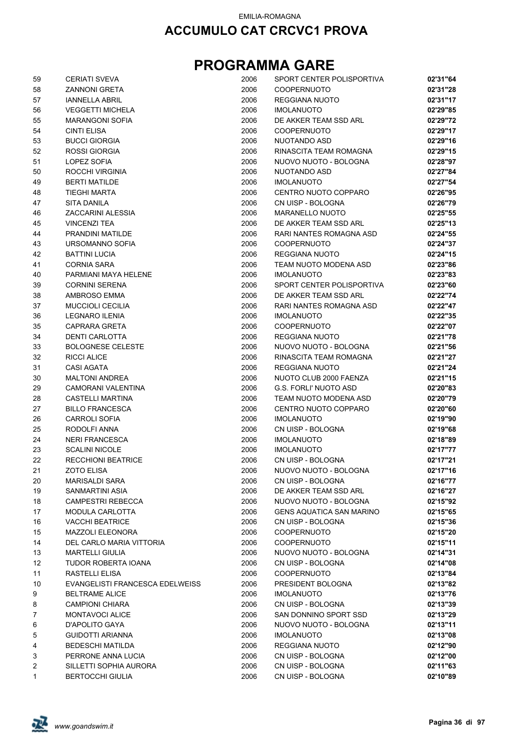| 59 | <b>CERIATI SVEVA</b>            | 2006 | SPORT CENTER POLISPORTIVA       | 02'31"64 |
|----|---------------------------------|------|---------------------------------|----------|
| 58 | <b>ZANNONI GRETA</b>            | 2006 | <b>COOPERNUOTO</b>              | 02'31"28 |
| 57 | <b>IANNELLA ABRIL</b>           | 2006 | <b>REGGIANA NUOTO</b>           | 02'31"17 |
| 56 | <b>VEGGETTI MICHELA</b>         | 2006 | <b>IMOLANUOTO</b>               | 02'29"85 |
| 55 | <b>MARANGONI SOFIA</b>          | 2006 | DE AKKER TEAM SSD ARL           | 02'29"72 |
| 54 | <b>CINTI ELISA</b>              | 2006 | <b>COOPERNUOTO</b>              | 02'29"17 |
| 53 | <b>BUCCI GIORGIA</b>            | 2006 | NUOTANDO ASD                    | 02'29"16 |
| 52 | <b>ROSSI GIORGIA</b>            | 2006 | RINASCITA TEAM ROMAGNA          | 02'29"15 |
| 51 | LOPEZ SOFIA                     | 2006 | NUOVO NUOTO - BOLOGNA           | 02'28"97 |
| 50 | ROCCHI VIRGINIA                 | 2006 | <b>NUOTANDO ASD</b>             | 02'27"84 |
| 49 | <b>BERTI MATILDE</b>            | 2006 | <b>IMOLANUOTO</b>               | 02'27"54 |
| 48 | <b>TIEGHI MARTA</b>             | 2006 | CENTRO NUOTO COPPARO            | 02'26"95 |
| 47 | <b>SITA DANILA</b>              | 2006 | CN UISP - BOLOGNA               | 02'26"79 |
| 46 | ZACCARINI ALESSIA               | 2006 | <b>MARANELLO NUOTO</b>          | 02'25"55 |
| 45 | <b>VINCENZI TEA</b>             | 2006 | DE AKKER TEAM SSD ARL           | 02'25"13 |
| 44 | PRANDINI MATILDE                | 2006 | RARI NANTES ROMAGNA ASD         | 02'24"55 |
| 43 | URSOMANNO SOFIA                 | 2006 | <b>COOPERNUOTO</b>              | 02'24"37 |
| 42 | <b>BATTINI LUCIA</b>            | 2006 | REGGIANA NUOTO                  | 02'24"15 |
| 41 | <b>CORNIA SARA</b>              | 2006 | TEAM NUOTO MODENA ASD           | 02'23"86 |
| 40 | PARMIANI MAYA HELENE            | 2006 | <b>IMOLANUOTO</b>               | 02'23"83 |
| 39 | <b>CORNINI SERENA</b>           | 2006 | SPORT CENTER POLISPORTIVA       | 02'23"60 |
| 38 | AMBROSO EMMA                    | 2006 | DE AKKER TEAM SSD ARL           | 02'22"74 |
| 37 | <b>MUCCIOLI CECILIA</b>         | 2006 | RARI NANTES ROMAGNA ASD         | 02'22"47 |
| 36 | <b>LEGNARO ILENIA</b>           | 2006 | <b>IMOLANUOTO</b>               | 02'22"35 |
| 35 | CAPRARA GRETA                   | 2006 | <b>COOPERNUOTO</b>              | 02'22"07 |
| 34 | DENTI CARLOTTA                  | 2006 | REGGIANA NUOTO                  | 02'21"78 |
| 33 | <b>BOLOGNESE CELESTE</b>        | 2006 | NUOVO NUOTO - BOLOGNA           | 02'21"56 |
| 32 | <b>RICCI ALICE</b>              | 2006 | RINASCITA TEAM ROMAGNA          | 02'21"27 |
| 31 | <b>CASI AGATA</b>               | 2006 | REGGIANA NUOTO                  | 02'21"24 |
| 30 | <b>MALTONI ANDREA</b>           | 2006 | NUOTO CLUB 2000 FAENZA          | 02'21"15 |
| 29 | CAMORANI VALENTINA              | 2006 | <b>G.S. FORLI' NUOTO ASD</b>    | 02'20"83 |
| 28 | CASTELLI MARTINA                | 2006 | TEAM NUOTO MODENA ASD           | 02'20"79 |
| 27 | <b>BILLO FRANCESCA</b>          | 2006 | CENTRO NUOTO COPPARO            | 02'20"60 |
| 26 | <b>CARROLI SOFIA</b>            | 2006 | <b>IMOLANUOTO</b>               | 02'19"90 |
|    |                                 |      |                                 | 02'19"68 |
| 25 | RODOLFI ANNA                    | 2006 | CN UISP - BOLOGNA               |          |
| 24 | <b>NERI FRANCESCA</b>           | 2006 | <b>IMOLANUOTO</b>               | 02'18"89 |
| 23 | <b>SCALINI NICOLE</b>           | 2006 | <b>IMOLANUOTO</b>               | 02'17"77 |
| 22 | <b>RECCHIONI BEATRICE</b>       | 2006 | CN UISP - BOLOGNA               | 02'17"21 |
| 21 | ZOTO ELISA                      | 2006 | NUOVO NUOTO - BOLOGNA           | 02'17"16 |
| 20 | <b>MARISALDI SARA</b>           | 2006 | CN UISP - BOLOGNA               | 02'16"77 |
| 19 | SANMARTINI ASIA                 | 2006 | DE AKKER TEAM SSD ARL           | 02'16"27 |
| 18 | <b>CAMPESTRI REBECCA</b>        | 2006 | NUOVO NUOTO - BOLOGNA           | 02'15"92 |
| 17 | <b>MODULA CARLOTTA</b>          | 2006 | <b>GENS AQUATICA SAN MARINO</b> | 02'15"65 |
| 16 | <b>VACCHI BEATRICE</b>          | 2006 | CN UISP - BOLOGNA               | 02'15"36 |
| 15 | <b>MAZZOLI ELEONORA</b>         | 2006 | <b>COOPERNUOTO</b>              | 02'15"20 |
| 14 | DEL CARLO MARIA VITTORIA        | 2006 | <b>COOPERNUOTO</b>              | 02'15"11 |
| 13 | <b>MARTELLI GIULIA</b>          | 2006 | NUOVO NUOTO - BOLOGNA           | 02'14"31 |
| 12 | TUDOR ROBERTA IOANA             | 2006 | CN UISP - BOLOGNA               | 02'14"08 |
| 11 | <b>RASTELLI ELISA</b>           | 2006 | <b>COOPERNUOTO</b>              | 02'13"84 |
| 10 | EVANGELISTI FRANCESCA EDELWEISS | 2006 | PRESIDENT BOLOGNA               | 02'13"82 |
| 9  | <b>BELTRAME ALICE</b>           | 2006 | <b>IMOLANUOTO</b>               | 02'13"76 |
| 8  | <b>CAMPIONI CHIARA</b>          | 2006 | CN UISP - BOLOGNA               | 02'13"39 |
| 7  | <b>MONTAVOCI ALICE</b>          | 2006 | SAN DONNINO SPORT SSD           | 02'13"29 |
| 6  | D'APOLITO GAYA                  | 2006 | NUOVO NUOTO - BOLOGNA           | 02'13"11 |
| 5  | <b>GUIDOTTI ARIANNA</b>         | 2006 | <b>IMOLANUOTO</b>               | 02'13"08 |
| 4  | <b>BEDESCHI MATILDA</b>         | 2006 | REGGIANA NUOTO                  | 02'12"90 |
| 3  | PERRONE ANNA LUCIA              | 2006 | CN UISP - BOLOGNA               | 02'12"00 |
| 2  | SILLETTI SOPHIA AURORA          | 2006 | CN UISP - BOLOGNA               | 02'11"63 |
| 1  | <b>BERTOCCHI GIULIA</b>         | 2006 | CN UISP - BOLOGNA               | 02'10"89 |

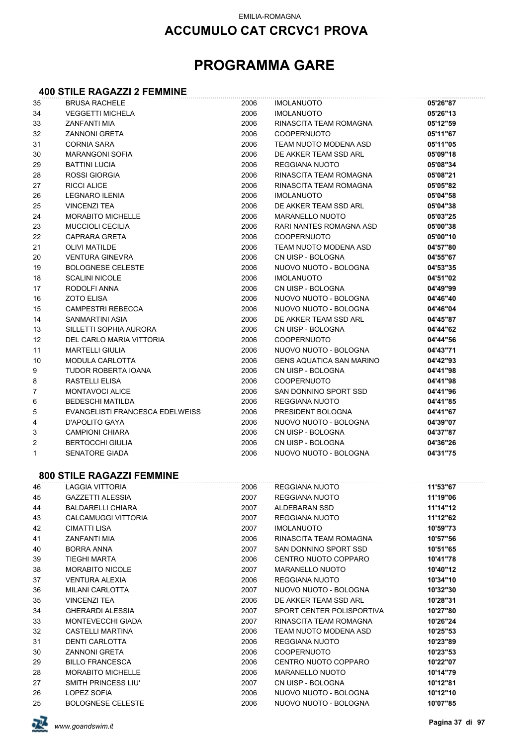## **ACCUMULO CAT CRCVC1 PROVA**

## **PROGRAMMA GARE**

# **400 STILE RAGAZZI 2 FEMMINE**

| 35           | <b>BRUSA RACHELE</b>             | 2006 | <b>IMOLANUOTO</b>               | 05'26"87 |
|--------------|----------------------------------|------|---------------------------------|----------|
| 34           | <b>VEGGETTI MICHELA</b>          | 2006 | <b>IMOLANUOTO</b>               | 05'26"13 |
| 33           | ZANFANTI MIA                     | 2006 | RINASCITA TEAM ROMAGNA          | 05'12"59 |
| 32           | <b>ZANNONI GRETA</b>             | 2006 | <b>COOPERNUOTO</b>              | 05'11"67 |
| 31           | <b>CORNIA SARA</b>               | 2006 | TEAM NUOTO MODENA ASD           | 05'11"05 |
| 30           | <b>MARANGONI SOFIA</b>           | 2006 | DE AKKER TEAM SSD ARL           | 05'09"18 |
| 29           | <b>BATTINI LUCIA</b>             | 2006 | <b>REGGIANA NUOTO</b>           | 05'08"34 |
| 28           | ROSSI GIORGIA                    | 2006 | RINASCITA TEAM ROMAGNA          | 05'08"21 |
| 27           | RICCI ALICE                      | 2006 | RINASCITA TEAM ROMAGNA          | 05'05"82 |
| 26           | <b>LEGNARO ILENIA</b>            | 2006 | <b>IMOLANUOTO</b>               | 05'04"58 |
| 25           | <b>VINCENZI TEA</b>              | 2006 | DE AKKER TEAM SSD ARL           | 05'04"38 |
| 24           | <b>MORABITO MICHELLE</b>         | 2006 | MARANELLO NUOTO                 | 05'03"25 |
| 23           | <b>MUCCIOLI CECILIA</b>          | 2006 | RARI NANTES ROMAGNA ASD         | 05'00"38 |
| 22           | CAPRARA GRETA                    | 2006 | <b>COOPERNUOTO</b>              | 05'00"10 |
| 21           | <b>OLIVI MATILDE</b>             | 2006 | TEAM NUOTO MODENA ASD           | 04'57"80 |
| 20           | <b>VENTURA GINEVRA</b>           | 2006 | CN UISP - BOLOGNA               | 04'55"67 |
| 19           | <b>BOLOGNESE CELESTE</b>         | 2006 | NUOVO NUOTO - BOLOGNA           | 04'53"35 |
| 18           | <b>SCALINI NICOLE</b>            | 2006 | <b>IMOLANUOTO</b>               | 04'51"02 |
| 17           | RODOLFI ANNA                     | 2006 | CN UISP - BOLOGNA               | 04'49"99 |
| 16           | <b>ZOTO ELISA</b>                | 2006 | NUOVO NUOTO - BOLOGNA           | 04'46"40 |
| 15           | <b>CAMPESTRI REBECCA</b>         | 2006 | NUOVO NUOTO - BOLOGNA           | 04'46"04 |
| 14           | SANMARTINI ASIA                  | 2006 | DE AKKER TEAM SSD ARL           | 04'45"87 |
| 13           | SILLETTI SOPHIA AURORA           | 2006 | CN UISP - BOLOGNA               | 04'44"62 |
| 12           | DEL CARLO MARIA VITTORIA         | 2006 | <b>COOPERNUOTO</b>              | 04'44"56 |
| 11           | <b>MARTELLI GIULIA</b>           | 2006 | NUOVO NUOTO - BOLOGNA           | 04'43"71 |
| 10           | <b>MODULA CARLOTTA</b>           | 2006 | <b>GENS AQUATICA SAN MARINO</b> | 04'42"93 |
| 9            | TUDOR ROBERTA IOANA              | 2006 | CN UISP - BOLOGNA               | 04'41"98 |
| 8            | RASTELLI ELISA                   | 2006 | <b>COOPERNUOTO</b>              | 04'41"98 |
| 7            | MONTAVOCI ALICE                  | 2006 | SAN DONNINO SPORT SSD           | 04'41"96 |
| 6            | <b>BEDESCHI MATILDA</b>          | 2006 | REGGIANA NUOTO                  | 04'41"85 |
| 5            | EVANGELISTI FRANCESCA EDELWEISS  | 2006 | PRESIDENT BOLOGNA               | 04'41"67 |
| 4            | D'APOLITO GAYA                   | 2006 | NUOVO NUOTO - BOLOGNA           | 04'39"07 |
| 3            | <b>CAMPIONI CHIARA</b>           | 2006 | CN UISP - BOLOGNA               | 04'37"87 |
| 2            | <b>BERTOCCHI GIULIA</b>          | 2006 | CN UISP - BOLOGNA               | 04'36"26 |
| $\mathbf{1}$ | <b>SENATORE GIADA</b>            | 2006 | NUOVO NUOTO - BOLOGNA           | 04'31"75 |
|              |                                  |      |                                 |          |
|              | <b>800 STILE RAGAZZI FEMMINE</b> |      |                                 |          |
| 46           | LAGGIA VITTORIA                  | 2006 | REGGIANA NUOTO                  | 11'53"67 |
| 45           | <b>GAZZETTI ALESSIA</b>          | 2007 | REGGIANA NUOTO                  | 11'19"06 |
| 44           | <b>BALDARELLI CHIARA</b>         | 2007 | ALDEBARAN SSD                   | 11'14"12 |
| 43           | <b>CALCAMUGGI VITTORIA</b>       | 2007 | REGGIANA NUOTO                  | 11'12"62 |
| 42           | <b>CIMATTI LISA</b>              | 2007 | <b>IMOLANUOTO</b>               | 10'59"73 |
| 41           | ZANFANTI MIA                     | 2006 | RINASCITA TEAM ROMAGNA          | 10'57"56 |
| 40           | <b>BORRA ANNA</b>                | 2007 | SAN DONNINO SPORT SSD           | 10'51"65 |
| 39           | <b>TIEGHI MARTA</b>              | 2006 | CENTRO NUOTO COPPARO            | 10'41"78 |
| 38           | <b>MORABITO NICOLE</b>           | 2007 | MARANELLO NUOTO                 | 10'40"12 |
| 37           | <b>VENTURA ALEXIA</b>            | 2006 | REGGIANA NUOTO                  | 10'34"10 |
| 36           | <b>MILANI CARLOTTA</b>           | 2007 | NUOVO NUOTO - BOLOGNA           | 10'32"30 |
| 35           | <b>VINCENZI TEA</b>              | 2006 | DE AKKER TEAM SSD ARL           | 10'28"31 |
| 34           | <b>GHERARDI ALESSIA</b>          | 2007 | SPORT CENTER POLISPORTIVA       | 10'27"80 |
| 33           | MONTEVECCHI GIADA                | 2007 | RINASCITA TEAM ROMAGNA          | 10'26"24 |
| 32           | <b>CASTELLI MARTINA</b>          | 2006 | TEAM NUOTO MODENA ASD           | 10'25"53 |
| 31           | <b>DENTI CARLOTTA</b>            | 2006 | REGGIANA NUOTO                  | 10'23"89 |
| 30           | <b>ZANNONI GRETA</b>             | 2006 | COOPERNUOTO                     | 10'23"53 |
| 29           | <b>BILLO FRANCESCA</b>           | 2006 | CENTRO NUOTO COPPARO            | 10'22"07 |
| 28           | <b>MORABITO MICHELLE</b>         | 2006 | MARANELLO NUOTO                 | 10'14"79 |
| 27           | SMITH PRINCESS LIU'              | 2007 | CN UISP - BOLOGNA               | 10'12"81 |
| 26           | LOPEZ SOFIA                      | 2006 | NUOVO NUOTO - BOLOGNA           | 10'12"10 |

BOLOGNESE CELESTE 2006 NUOVO NUOTO - BOLOGNA **10'07"85**

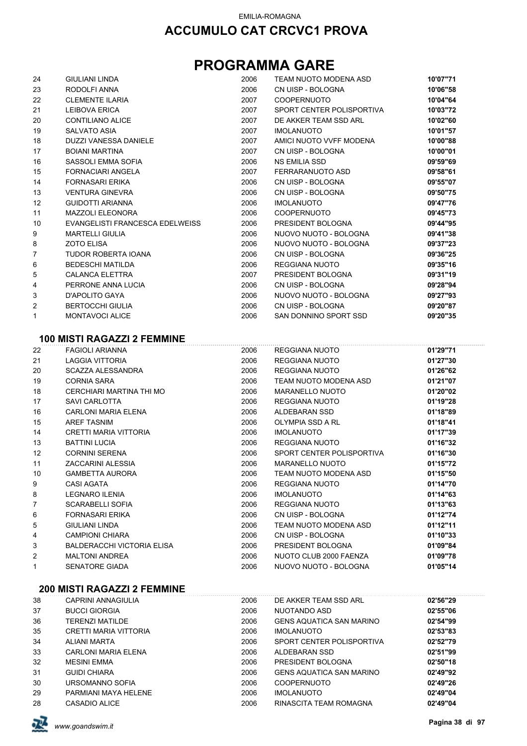# **PROGRAMMA GARE**

| 24             | <b>GIULIANI LINDA</b>           | 2006 | TEAM NUOTO MODENA ASD     | 10'07"71 |
|----------------|---------------------------------|------|---------------------------|----------|
| 23             | RODOLFI ANNA                    | 2006 | CN UISP - BOLOGNA         | 10'06"58 |
| 22             | <b>CLEMENTE ILARIA</b>          | 2007 | <b>COOPERNUOTO</b>        | 10'04"64 |
| 21             | <b>LEIBOVA ERICA</b>            | 2007 | SPORT CENTER POLISPORTIVA | 10'03"72 |
| 20             | <b>CONTILIANO ALICE</b>         | 2007 | DE AKKER TEAM SSD ARL     | 10'02"60 |
| 19             | <b>SALVATO ASIA</b>             | 2007 | <b>IMOLANUOTO</b>         | 10'01"57 |
| 18             | DUZZI VANESSA DANIELE           | 2007 | AMICI NUOTO VVFF MODENA   | 10'00"88 |
| 17             | <b>BOIANI MARTINA</b>           | 2007 | CN UISP - BOLOGNA         | 10'00"01 |
| 16             | SASSOLI EMMA SOFIA              | 2006 | <b>NS EMILIA SSD</b>      | 09'59"69 |
| 15             | <b>FORNACIARI ANGELA</b>        | 2007 | FERRARANUOTO ASD          | 09'58"61 |
| 14             | <b>FORNASARI ERIKA</b>          | 2006 | CN UISP - BOLOGNA         | 09'55"07 |
| 13             | <b>VENTURA GINEVRA</b>          | 2006 | CN UISP - BOLOGNA         | 09'50"75 |
| 12             | <b>GUIDOTTI ARIANNA</b>         | 2006 | <b>IMOLANUOTO</b>         | 09'47"76 |
| 11             | <b>MAZZOLI ELEONORA</b>         | 2006 | <b>COOPERNUOTO</b>        | 09'45"73 |
| 10             | EVANGELISTI FRANCESCA EDELWEISS | 2006 | PRESIDENT BOLOGNA         | 09'44"95 |
| 9              | <b>MARTELLI GIULIA</b>          | 2006 | NUOVO NUOTO - BOLOGNA     | 09'41"38 |
| 8              | <b>ZOTO ELISA</b>               | 2006 | NUOVO NUOTO - BOLOGNA     | 09'37"23 |
| $\overline{7}$ | <b>TUDOR ROBERTA IOANA</b>      | 2006 | CN UISP - BOLOGNA         | 09'36"25 |
| 6              | <b>BEDESCHI MATILDA</b>         | 2006 | REGGIANA NUOTO            | 09'35"16 |
| 5              | <b>CALANCA ELETTRA</b>          | 2007 | PRESIDENT BOLOGNA         | 09'31"19 |
| 4              | PERRONE ANNA LUCIA              | 2006 | CN UISP - BOLOGNA         | 09'28"94 |
| 3              | D'APOLITO GAYA                  | 2006 | NUOVO NUOTO - BOLOGNA     | 09'27"93 |
| $\overline{2}$ | <b>BERTOCCHI GIULIA</b>         | 2006 | CN UISP - BOLOGNA         | 09'20"87 |
| 1              | <b>MONTAVOCI ALICE</b>          | 2006 | SAN DONNINO SPORT SSD     | 09'20"35 |
|                |                                 |      |                           |          |
|                |                                 |      |                           |          |

#### **100 MISTI RAGAZZI 2 FEMMINE**

| 22 | FAGIOLI ARIANNA                   | 2006 | REGGIANA NUOTO            | 01'29"71 |  |
|----|-----------------------------------|------|---------------------------|----------|--|
| 21 | LAGGIA VITTORIA                   | 2006 | REGGIANA NUOTO            | 01'27"30 |  |
| 20 | SCAZZA ALESSANDRA                 | 2006 | REGGIANA NUOTO            | 01'26"62 |  |
| 19 | <b>CORNIA SARA</b>                | 2006 | TEAM NUOTO MODENA ASD     | 01'21"07 |  |
| 18 | CERCHIARI MARTINA THI MO          | 2006 | MARANELLO NUOTO           | 01'20"02 |  |
| 17 | SAVI CARLOTTA                     | 2006 | REGGIANA NUOTO            | 01'19"28 |  |
| 16 | <b>CARLONI MARIA ELENA</b>        | 2006 | ALDEBARAN SSD             | 01'18"89 |  |
| 15 | AREF TASNIM                       | 2006 | OLYMPIA SSD A RL          | 01'18"41 |  |
| 14 | CRETTI MARIA VITTORIA             | 2006 | <b>IMOLANUOTO</b>         | 01'17"39 |  |
| 13 | <b>BATTINI LUCIA</b>              | 2006 | REGGIANA NUOTO            | 01'16"32 |  |
| 12 | <b>CORNINI SERENA</b>             | 2006 | SPORT CENTER POLISPORTIVA | 01'16"30 |  |
| 11 | ZACCARINI ALESSIA                 | 2006 | <b>MARANELLO NUOTO</b>    | 01'15"72 |  |
| 10 | <b>GAMBETTA AURORA</b>            | 2006 | TEAM NUOTO MODENA ASD     | 01'15"50 |  |
| 9  | <b>CASI AGATA</b>                 | 2006 | REGGIANA NUOTO            | 01'14"70 |  |
| 8  | <b>LEGNARO ILENIA</b>             | 2006 | <b>IMOLANUOTO</b>         | 01'14"63 |  |
| 7  | <b>SCARABELLI SOFIA</b>           | 2006 | REGGIANA NUOTO            | 01'13"63 |  |
| 6  | <b>FORNASARI ERIKA</b>            | 2006 | CN UISP - BOLOGNA         | 01'12"74 |  |
| 5  | <b>GIULIANI LINDA</b>             | 2006 | TEAM NUOTO MODENA ASD     | 01'12"11 |  |
| 4  | <b>CAMPIONI CHIARA</b>            | 2006 | CN UISP - BOLOGNA         | 01'10"33 |  |
| 3  | <b>BALDERACCHI VICTORIA ELISA</b> | 2006 | PRESIDENT BOLOGNA         | 01'09"84 |  |
| 2  | <b>MALTONI ANDREA</b>             | 2006 | NUOTO CLUB 2000 FAENZA    | 01'09"78 |  |
| 1  | <b>SENATORE GIADA</b>             | 2006 | NUOVO NUOTO - BOLOGNA     | 01'05"14 |  |
|    |                                   |      |                           |          |  |

#### **200 MISTI RAGAZZI 2 FEMMINE**

| 38 | <b>CAPRINI ANNAGIULIA</b>  | 2006 | DE AKKER TEAM SSD ARL           | 02'56"29 |
|----|----------------------------|------|---------------------------------|----------|
| 37 | <b>BUCCI GIORGIA</b>       | 2006 | NUOTANDO ASD                    | 02'55"06 |
| 36 | <b>TERENZI MATILDE</b>     | 2006 | <b>GENS AQUATICA SAN MARINO</b> | 02'54"99 |
| 35 | CRETTI MARIA VITTORIA      | 2006 | <b>IMOLANUOTO</b>               | 02'53"83 |
| 34 | ALIANI MARTA               | 2006 | SPORT CENTER POLISPORTIVA       | 02'52"79 |
| 33 | <b>CARLONI MARIA ELENA</b> | 2006 | ALDEBARAN SSD                   | 02'51"99 |
| 32 | <b>MESINI EMMA</b>         | 2006 | PRESIDENT BOLOGNA               | 02'50"18 |
| 31 | <b>GUIDI CHIARA</b>        | 2006 | <b>GENS AQUATICA SAN MARINO</b> | 02'49"92 |
| 30 | URSOMANNO SOFIA            | 2006 | <b>COOPERNUOTO</b>              | 02'49"26 |
| 29 | PARMIANI MAYA HELENE       | 2006 | <b>IMOLANUOTO</b>               | 02'49"04 |
| 28 | CASADIO ALICE              | 2006 | RINASCITA TEAM ROMAGNA          | 02'49"04 |

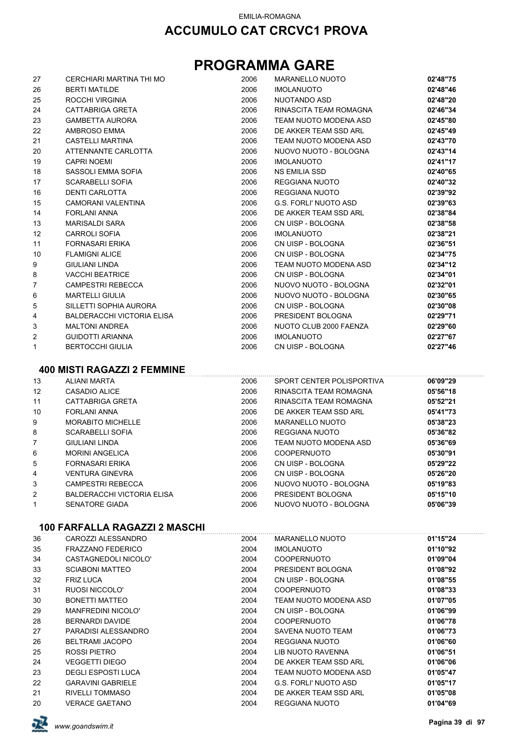## **PROGRAMMA GARE**

| 27             | CERCHIARI MARTINA THI MO          | 2006 | <b>MARANELLO NUOTO</b> | 02'48"75 |
|----------------|-----------------------------------|------|------------------------|----------|
| 26             | <b>BERTI MATILDE</b>              | 2006 | <b>IMOLANUOTO</b>      | 02'48"46 |
| 25             | ROCCHI VIRGINIA                   | 2006 | NUOTANDO ASD           | 02'48"20 |
| 24             | <b>CATTABRIGA GRETA</b>           | 2006 | RINASCITA TEAM ROMAGNA | 02'46"34 |
| 23             | <b>GAMBETTA AURORA</b>            | 2006 | TEAM NUOTO MODENA ASD  | 02'45"80 |
| 22             | AMBROSO EMMA                      | 2006 | DE AKKER TEAM SSD ARL  | 02'45"49 |
| 21             | CASTELLI MARTINA                  | 2006 | TEAM NUOTO MODENA ASD  | 02'43"70 |
| 20             | ATTENNANTE CARLOTTA               | 2006 | NUOVO NUOTO - BOLOGNA  | 02'43"14 |
| 19             | <b>CAPRI NOEMI</b>                | 2006 | <b>IMOLANUOTO</b>      | 02'41"17 |
| 18             | SASSOLI EMMA SOFIA                | 2006 | NS EMILIA SSD          | 02'40"65 |
| 17             | <b>SCARABELLI SOFIA</b>           | 2006 | <b>REGGIANA NUOTO</b>  | 02'40"32 |
| 16             | <b>DENTI CARLOTTA</b>             | 2006 | <b>REGGIANA NUOTO</b>  | 02'39"92 |
| 15             | CAMORANI VALENTINA                | 2006 | G.S. FORLI' NUOTO ASD  | 02'39"63 |
| 14             | <b>FORLANI ANNA</b>               | 2006 | DE AKKER TEAM SSD ARL  | 02'38"84 |
| 13             | MARISALDI SARA                    | 2006 | CN UISP - BOLOGNA      | 02'38"58 |
| 12             | <b>CARROLI SOFIA</b>              | 2006 | <b>IMOLANUOTO</b>      | 02'38"21 |
| 11             | <b>FORNASARI ERIKA</b>            | 2006 | CN UISP - BOLOGNA      | 02'36"51 |
| 10             | <b>FLAMIGNI ALICE</b>             | 2006 | CN UISP - BOLOGNA      | 02'34"75 |
| 9              | <b>GIULIANI LINDA</b>             | 2006 | TEAM NUOTO MODENA ASD  | 02'34"12 |
| 8              | <b>VACCHI BEATRICE</b>            | 2006 | CN UISP - BOLOGNA      | 02'34"01 |
| 7              | <b>CAMPESTRI REBECCA</b>          | 2006 | NUOVO NUOTO - BOLOGNA  | 02'32"01 |
| 6              | <b>MARTELLI GIULIA</b>            | 2006 | NUOVO NUOTO - BOLOGNA  | 02'30"65 |
| 5              | SILLETTI SOPHIA AURORA            | 2006 | CN UISP - BOLOGNA      | 02'30"08 |
| 4              | <b>BALDERACCHI VICTORIA ELISA</b> | 2006 | PRESIDENT BOLOGNA      | 02'29"71 |
| 3              | <b>MALTONI ANDREA</b>             | 2006 | NUOTO CLUB 2000 FAENZA | 02'29"60 |
| $\overline{2}$ | <b>GUIDOTTI ARIANNA</b>           | 2006 | <b>IMOLANUOTO</b>      | 02'27"67 |
| 1              | <b>BERTOCCHI GIULIA</b>           | 2006 | CN UISP - BOLOGNA      | 02'27"46 |

#### **400 MISTI RAGAZZI 2 FEMMINE**

| 13 | <b>ALIANI MARTA</b>        | 2006 | SPORT CENTER POLISPORTIVA | 06'09"29 |
|----|----------------------------|------|---------------------------|----------|
| 12 | CASADIO ALICE              | 2006 | RINASCITA TEAM ROMAGNA    | 05'56"18 |
| 11 | CATTABRIGA GRETA           | 2006 | RINASCITA TEAM ROMAGNA    | 05'52"21 |
| 10 | <b>FORLANI ANNA</b>        | 2006 | DE AKKER TEAM SSD ARI     | 05'41"73 |
| 9  | <b>MORABITO MICHELLE</b>   | 2006 | MARANELLO NUOTO           | 05'38"23 |
| 8  | <b>SCARABELLI SOFIA</b>    | 2006 | REGGIANA NUOTO            | 05'36"82 |
| 7  | GIULIANI LINDA             | 2006 | TEAM NUOTO MODENA ASD     | 05'36"69 |
| 6  | <b>MORINI ANGELICA</b>     | 2006 | <b>COOPERNUOTO</b>        | 05'30"91 |
| 5  | <b>FORNASARI ERIKA</b>     | 2006 | CN UISP - BOLOGNA         | 05'29"22 |
| 4  | <b>VENTURA GINEVRA</b>     | 2006 | CN UISP - BOLOGNA         | 05'26"20 |
| 3  | <b>CAMPESTRI REBECCA</b>   | 2006 | NUOVO NUOTO - BOLOGNA     | 05'19"83 |
| 2  | BALDERACCHI VICTORIA ELISA | 2006 | PRESIDENT BOLOGNA         | 05'15"10 |
|    | <b>SENATORE GIADA</b>      | 2006 | NUOVO NUOTO - BOLOGNA     | 05'06"39 |

#### **100 FARFALLA RAGAZZI 2 MASCHI**

| 36 | CAROZZI ALESSANDRO        | 2004 | MARANELLO NUOTO       | 01'15"24 |
|----|---------------------------|------|-----------------------|----------|
| 35 | <b>FRAZZANO FEDERICO</b>  | 2004 | <b>IMOLANUOTO</b>     | 01'10"92 |
| 34 | CASTAGNEDOLI NICOLO'      | 2004 | <b>COOPERNUOTO</b>    | 01'09"04 |
| 33 | <b>SCIABONI MATTEO</b>    | 2004 | PRESIDENT BOLOGNA     | 01'08"92 |
| 32 | <b>FRIZ LUCA</b>          | 2004 | CN UISP - BOLOGNA     | 01'08"55 |
| 31 | RUOSI NICCOLO'            | 2004 | <b>COOPERNUOTO</b>    | 01'08"33 |
| 30 | <b>BONETTI MATTEO</b>     | 2004 | TEAM NUOTO MODENA ASD | 01'07"05 |
| 29 | <b>MANFREDINI NICOLO'</b> | 2004 | CN UISP - BOLOGNA     | 01'06"99 |
| 28 | <b>BERNARDI DAVIDE</b>    | 2004 | <b>COOPERNUOTO</b>    | 01'06"78 |
| 27 | PARADISI ALESSANDRO       | 2004 | SAVENA NUOTO TEAM     | 01'06"73 |
| 26 | <b>BELTRAMI JACOPO</b>    | 2004 | REGGIANA NUOTO        | 01'06"60 |
| 25 | ROSSI PIETRO              | 2004 | LIB NUOTO RAVENNA     | 01'06"51 |
| 24 | VEGGETTI DIEGO            | 2004 | DE AKKER TEAM SSD ARL | 01'06"06 |
| 23 | <b>DEGLI ESPOSTI LUCA</b> | 2004 | TEAM NUOTO MODENA ASD | 01'05"47 |
| 22 | <b>GARAVINI GABRIELE</b>  | 2004 | G.S. FORLI' NUOTO ASD | 01'05"17 |
| 21 | RIVELLI TOMMASO           | 2004 | DE AKKER TEAM SSD ARL | 01'05"08 |
| 20 | <b>VERACE GAETANO</b>     | 2004 | REGGIANA NUOTO        | 01'04"69 |

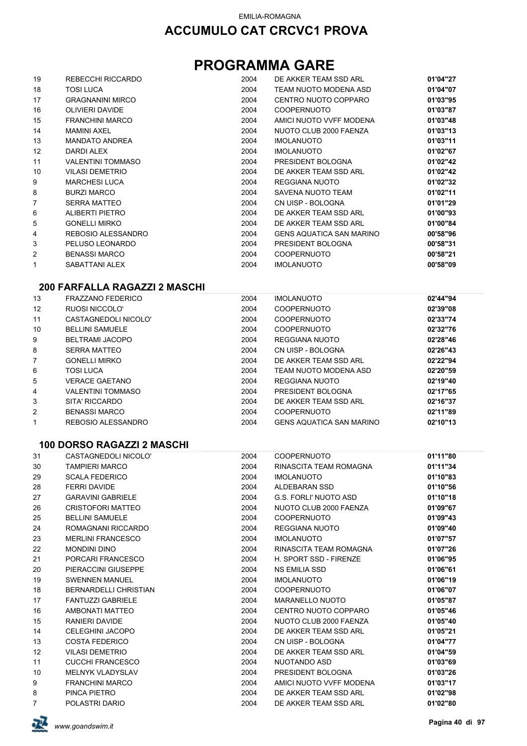## **PROGRAMMA GARE**

| 19 | REBECCHI RICCARDO        | 2004 | DE AKKER TEAM SSD ARL           | 01'04"27 |
|----|--------------------------|------|---------------------------------|----------|
| 18 | <b>TOSI LUCA</b>         | 2004 | TEAM NUOTO MODENA ASD           | 01'04"07 |
| 17 | <b>GRAGNANINI MIRCO</b>  | 2004 | CENTRO NUOTO COPPARO            | 01'03"95 |
| 16 | <b>OLIVIERI DAVIDE</b>   | 2004 | <b>COOPERNUOTO</b>              | 01'03"87 |
| 15 | <b>FRANCHINI MARCO</b>   | 2004 | AMICI NUOTO VVFF MODENA         | 01'03"48 |
| 14 | <b>MAMINI AXEL</b>       | 2004 | NUOTO CLUB 2000 FAENZA          | 01'03"13 |
| 13 | <b>MANDATO ANDREA</b>    | 2004 | <b>IMOLANUOTO</b>               | 01'03"11 |
| 12 | DARDI ALEX               | 2004 | <b>IMOLANUOTO</b>               | 01'02"67 |
| 11 | <b>VALENTINI TOMMASO</b> | 2004 | PRESIDENT BOLOGNA               | 01'02"42 |
| 10 | <b>VILASI DEMETRIO</b>   | 2004 | DE AKKER TEAM SSD ARL           | 01'02"42 |
| 9  | <b>MARCHESI LUCA</b>     | 2004 | REGGIANA NUOTO                  | 01'02"32 |
| 8  | <b>BURZI MARCO</b>       | 2004 | SAVENA NUOTO TEAM               | 01'02"11 |
| 7  | <b>SERRA MATTEO</b>      | 2004 | CN UISP - BOLOGNA               | 01'01"29 |
| 6  | ALIBERTI PIETRO          | 2004 | DE AKKER TEAM SSD ARL           | 01'00"93 |
| 5  | <b>GONELLI MIRKO</b>     | 2004 | DE AKKER TEAM SSD ARL           | 01'00"84 |
| 4  | REBOSIO ALESSANDRO       | 2004 | <b>GENS AQUATICA SAN MARINO</b> | 00'58"96 |
| 3  | PELUSO LEONARDO          | 2004 | PRESIDENT BOLOGNA               | 00'58"31 |
| 2  | <b>BENASSI MARCO</b>     | 2004 | <b>COOPERNUOTO</b>              | 00'58"21 |
| 1  | SABATTANI ALEX           | 2004 | <b>IMOLANUOTO</b>               | 00'58"09 |

#### **200 FARFALLA RAGAZZI 2 MASCHI**

| 13                | <b>FRAZZANO FEDERICO</b> | 2004 | <b>IMOLANUOTO</b>               | 02'44"94 |
|-------------------|--------------------------|------|---------------------------------|----------|
| $12 \overline{ }$ | RUOSI NICCOLO'           | 2004 | <b>COOPERNUOTO</b>              | 02'39"08 |
| 11                | CASTAGNEDOLI NICOLO'     | 2004 | <b>COOPERNUOTO</b>              | 02'33"74 |
| 10                | <b>BELLINI SAMUELE</b>   | 2004 | <b>COOPERNUOTO</b>              | 02'32"76 |
| 9                 | BELTRAMI JACOPO          | 2004 | REGGIANA NUOTO                  | 02'28"46 |
| 8                 | SERRA MATTEO             | 2004 | CN UISP - BOLOGNA               | 02'26"43 |
| $\overline{7}$    | <b>GONELLI MIRKO</b>     | 2004 | DE AKKER TEAM SSD ARL           | 02'22"94 |
| 6                 | <b>TOSI LUCA</b>         | 2004 | TEAM NUOTO MODENA ASD           | 02'20"59 |
| 5                 | <b>VERACE GAETANO</b>    | 2004 | REGGIANA NUOTO                  | 02'19"40 |
| 4                 | <b>VALENTINI TOMMASO</b> | 2004 | PRESIDENT BOLOGNA               | 02'17"65 |
| 3                 | SITA' RICCARDO           | 2004 | DE AKKER TEAM SSD ARL           | 02'16"37 |
| $\overline{2}$    | <b>BENASSI MARCO</b>     | 2004 | <b>COOPERNUOTO</b>              | 02'11"89 |
| 1                 | REBOSIO ALESSANDRO       | 2004 | <b>GENS AQUATICA SAN MARINO</b> | 02'10"13 |

#### **100 DORSO RAGAZZI 2 MASCHI**

| 31                | CASTAGNEDOLI NICOLO'         | 2004 | COOPERNUOTO             | 01'11"80 |
|-------------------|------------------------------|------|-------------------------|----------|
| 30                | <b>TAMPIERI MARCO</b>        | 2004 | RINASCITA TEAM ROMAGNA  | 01'11"34 |
| 29                | <b>SCALA FEDERICO</b>        | 2004 | IMOLANUOTO              | 01'10"83 |
| 28                | <b>FERRI DAVIDE</b>          | 2004 | ALDEBARAN SSD           | 01'10"56 |
| 27                | <b>GARAVINI GABRIELE</b>     | 2004 | G.S. FORLI' NUOTO ASD   | 01'10"18 |
| 26                | <b>CRISTOFORI MATTEO</b>     | 2004 | NUOTO CLUB 2000 FAENZA  | 01'09"67 |
| 25                | <b>BELLINI SAMUELE</b>       | 2004 | <b>COOPERNUOTO</b>      | 01'09"43 |
| 24                | ROMAGNANI RICCARDO           | 2004 | REGGIANA NUOTO          | 01'09"40 |
| 23                | <b>MERLINI FRANCESCO</b>     | 2004 | <b>IMOLANUOTO</b>       | 01'07"57 |
| 22                | <b>MONDINI DINO</b>          | 2004 | RINASCITA TEAM ROMAGNA  | 01'07"26 |
| 21                | PORCARI FRANCESCO            | 2004 | H. SPORT SSD - FIRENZE  | 01'06"95 |
| 20                | PIERACCINI GIUSEPPE          | 2004 | NS EMILIA SSD           | 01'06"61 |
| 19                | <b>SWENNEN MANUEL</b>        | 2004 | <b>IMOLANUOTO</b>       | 01'06"19 |
| 18                | <b>BERNARDELLI CHRISTIAN</b> | 2004 | <b>COOPERNUOTO</b>      | 01'06"07 |
| 17                | <b>FANTUZZI GABRIELE</b>     | 2004 | <b>MARANELLO NUOTO</b>  | 01'05"87 |
| 16                | AMBONATI MATTEO              | 2004 | CENTRO NUOTO COPPARO    | 01'05"46 |
| 15                | RANIERI DAVIDE               | 2004 | NUOTO CLUB 2000 FAENZA  | 01'05"40 |
| 14                | <b>CELEGHINI JACOPO</b>      | 2004 | DE AKKER TEAM SSD ARL   | 01'05"21 |
| 13                | <b>COSTA FEDERICO</b>        | 2004 | CN UISP - BOLOGNA       | 01'04"77 |
| $12 \overline{ }$ | <b>VILASI DEMETRIO</b>       | 2004 | DE AKKER TEAM SSD ARL   | 01'04"59 |
| 11                | <b>CUCCHI FRANCESCO</b>      | 2004 | NUOTANDO ASD            | 01'03"69 |
| 10                | <b>MELNYK VLADYSLAV</b>      | 2004 | PRESIDENT BOLOGNA       | 01'03"26 |
| 9                 | <b>FRANCHINI MARCO</b>       | 2004 | AMICI NUOTO VVFF MODENA | 01'03"17 |
| 8                 | PINCA PIETRO                 | 2004 | DE AKKER TEAM SSD ARL   | 01'02"98 |
| $7^{\circ}$       | POLASTRI DARIO               | 2004 | DE AKKER TEAM SSD ARL   | 01'02"80 |
|                   |                              |      |                         |          |

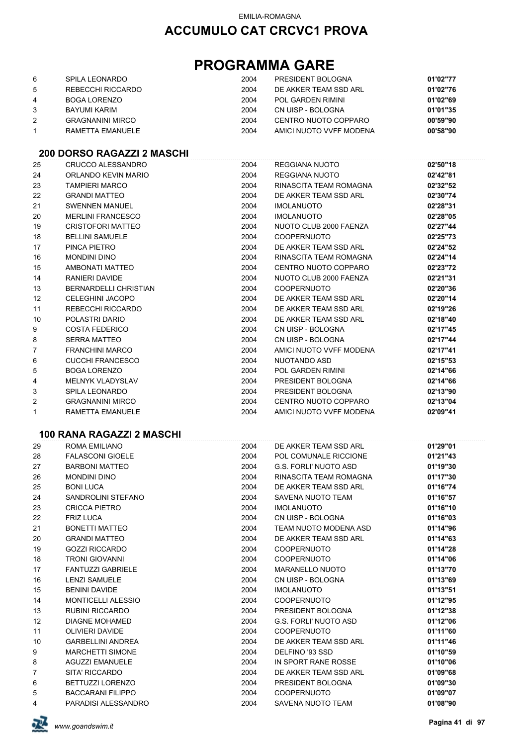## **PROGRAMMA GARE**

| 6 | SPILA LEONARDO          | 2004 | PRESIDENT BOLOGNA       | 01'02"77 |
|---|-------------------------|------|-------------------------|----------|
| 5 | REBECCHI RICCARDO       | 2004 | DE AKKER TEAM SSD ARL   | 01'02"76 |
| 4 | BOGA LORENZO            | 2004 | POL GARDEN RIMINI       | 01'02"69 |
|   | BAYUMI KARIM            | 2004 | CN UISP - BOLOGNA       | 01'01"35 |
|   | <b>GRAGNANINI MIRCO</b> | 2004 | CENTRO NUOTO COPPARO    | 00'59"90 |
|   | RAMETTA EMANUELE        | 2004 | AMICI NUOTO VVFF MODENA | 00'58"90 |

### **200 DORSO RAGAZZI 2 MASCHI**

| 25             | CRUCCO ALESSANDRO        | 2004 | REGGIANA NUOTO          | 02'50"18 |
|----------------|--------------------------|------|-------------------------|----------|
| 24             | ORLANDO KEVIN MARIO      | 2004 | REGGIANA NUOTO          | 02'42"81 |
| 23             | <b>TAMPIERI MARCO</b>    | 2004 | RINASCITA TEAM ROMAGNA  | 02'32"52 |
| 22             | <b>GRANDI MATTEO</b>     | 2004 | DE AKKER TEAM SSD ARL   | 02'30"74 |
| 21             | <b>SWENNEN MANUEL</b>    | 2004 | <b>IMOLANUOTO</b>       | 02'28"31 |
| 20             | <b>MERLINI FRANCESCO</b> | 2004 | <b>IMOLANUOTO</b>       | 02'28"05 |
| 19             | <b>CRISTOFORI MATTEO</b> | 2004 | NUOTO CLUB 2000 FAENZA  | 02'27"44 |
| 18             | <b>BELLINI SAMUELE</b>   | 2004 | <b>COOPERNUOTO</b>      | 02'25"73 |
| 17             | PINCA PIETRO             | 2004 | DE AKKER TEAM SSD ARL   | 02'24"52 |
| 16             | MONDINI DINO             | 2004 | RINASCITA TEAM ROMAGNA  | 02'24"14 |
| 15             | AMBONATI MATTEO          | 2004 | CENTRO NUOTO COPPARO    | 02'23"72 |
| 14             | <b>RANIERI DAVIDE</b>    | 2004 | NUOTO CLUB 2000 FAENZA  | 02'21"31 |
| 13             | BERNARDELLI CHRISTIAN    | 2004 | <b>COOPERNUOTO</b>      | 02'20"36 |
| 12             | <b>CELEGHINI JACOPO</b>  | 2004 | DE AKKER TEAM SSD ARL   | 02'20"14 |
| 11             | REBECCHI RICCARDO        | 2004 | DE AKKER TEAM SSD ARL   | 02'19"26 |
| 10             | POLASTRI DARIO           | 2004 | DE AKKER TEAM SSD ARL   | 02'18"40 |
| 9              | <b>COSTA FEDERICO</b>    | 2004 | CN UISP - BOLOGNA       | 02'17"45 |
| 8              | <b>SERRA MATTEO</b>      | 2004 | CN UISP - BOLOGNA       | 02'17"44 |
| $\overline{7}$ | <b>FRANCHINI MARCO</b>   | 2004 | AMICI NUOTO VVFF MODENA | 02'17"41 |
| 6              | <b>CUCCHI FRANCESCO</b>  | 2004 | NUOTANDO ASD            | 02'15"53 |
| 5              | <b>BOGA LORENZO</b>      | 2004 | POL GARDEN RIMINI       | 02'14"66 |
| 4              | <b>MELNYK VLADYSLAV</b>  | 2004 | PRESIDENT BOLOGNA       | 02'14"66 |
| 3              | SPILA LEONARDO           | 2004 | PRESIDENT BOLOGNA       | 02'13"90 |
| 2              | <b>GRAGNANINI MIRCO</b>  | 2004 | CENTRO NUOTO COPPARO    | 02'13"04 |
| $\mathbf{1}$   | RAMETTA EMANUELE         | 2004 | AMICI NUOTO VVFF MODENA | 02'09"41 |
|                |                          |      |                         |          |

#### **100 RANA RAGAZZI 2 MASCHI**

| 29             | ROMA EMILIANO             | 2004 | DE AKKER TEAM SSD ARL  | 01'29"01 |
|----------------|---------------------------|------|------------------------|----------|
| 28             | <b>FALASCONI GIOELE</b>   | 2004 | POL COMUNALE RICCIONE  | 01'21"43 |
| 27             | <b>BARBONI MATTEO</b>     | 2004 | G.S. FORLI' NUOTO ASD  | 01'19"30 |
| 26             | <b>MONDINI DINO</b>       | 2004 | RINASCITA TEAM ROMAGNA | 01'17"30 |
| 25             | <b>BONI LUCA</b>          | 2004 | DE AKKER TEAM SSD ARL  | 01'16"74 |
| 24             | SANDROLINI STEFANO        | 2004 | SAVENA NUOTO TEAM      | 01'16"57 |
| 23             | <b>CRICCA PIETRO</b>      | 2004 | <b>IMOLANUOTO</b>      | 01'16"10 |
| 22             | <b>FRIZ LUCA</b>          | 2004 | CN UISP - BOLOGNA      | 01'16"03 |
| 21             | <b>BONETTI MATTEO</b>     | 2004 | TEAM NUOTO MODENA ASD  | 01'14"96 |
| 20             | <b>GRANDI MATTEO</b>      | 2004 | DE AKKER TEAM SSD ARL  | 01'14"63 |
| 19             | <b>GOZZI RICCARDO</b>     | 2004 | <b>COOPERNUOTO</b>     | 01'14"28 |
| 18             | <b>TRONI GIOVANNI</b>     | 2004 | <b>COOPERNUOTO</b>     | 01'14"06 |
| 17             | <b>FANTUZZI GABRIELE</b>  | 2004 | MARANELLO NUOTO        | 01'13"70 |
| 16             | <b>LENZI SAMUELE</b>      | 2004 | CN UISP - BOLOGNA      | 01'13"69 |
| 15             | <b>BENINI DAVIDE</b>      | 2004 | <b>IMOLANUOTO</b>      | 01'13"51 |
| 14             | <b>MONTICELLI ALESSIO</b> | 2004 | <b>COOPERNUOTO</b>     | 01'12"95 |
| 13             | <b>RUBINI RICCARDO</b>    | 2004 | PRESIDENT BOLOGNA      | 01'12"38 |
| 12             | <b>DIAGNE MOHAMED</b>     | 2004 | G.S. FORLI' NUOTO ASD  | 01'12"06 |
| 11             | <b>OLIVIERI DAVIDE</b>    | 2004 | <b>COOPERNUOTO</b>     | 01'11"60 |
| 10             | <b>GARBELLINI ANDREA</b>  | 2004 | DE AKKER TEAM SSD ARL  | 01'11"46 |
| 9              | <b>MARCHETTI SIMONE</b>   | 2004 | DELFINO '93 SSD        | 01'10"59 |
| 8              | <b>AGUZZI EMANUELE</b>    | 2004 | IN SPORT RANE ROSSE    | 01'10"06 |
| $\overline{7}$ | SITA' RICCARDO            | 2004 | DE AKKER TEAM SSD ARL  | 01'09"68 |
| 6              | BETTUZZI LORENZO          | 2004 | PRESIDENT BOLOGNA      | 01'09"30 |
| 5              | <b>BACCARANI FILIPPO</b>  | 2004 | <b>COOPERNUOTO</b>     | 01'09"07 |
| 4              | PARADISI ALESSANDRO       | 2004 | SAVENA NUOTO TEAM      | 01'08"90 |

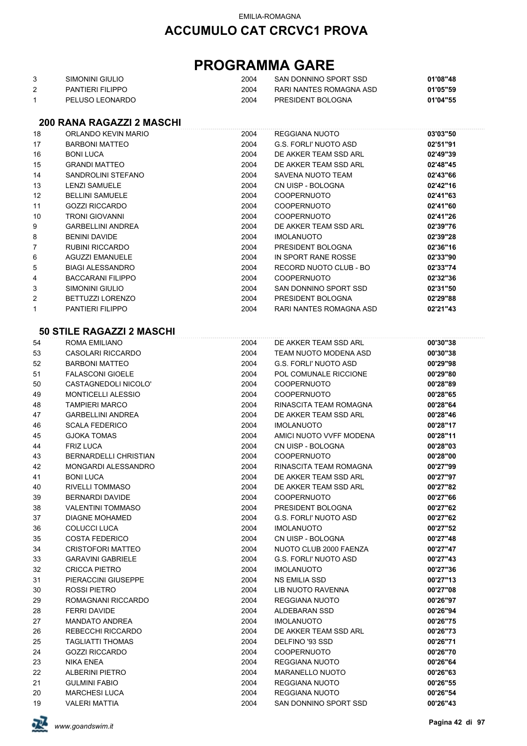## **PROGRAMMA GARE**

| SIMONINI GIULIO   | 2004 | SAN DONNINO SPORT SSD   | 01'08"48 |
|-------------------|------|-------------------------|----------|
| PANTIFRI FII IPPO | 2004 | RARI NANTES ROMAGNA ASD | 01'05"59 |
| PELUSO LEONARDO   | 2004 | PRESIDENT BOLOGNA       | 01'04"55 |

#### **200 RANA RAGAZZI 2 MASCHI**

| 18             | ORLANDO KEVIN MARIO              | 2004 | <b>REGGIANA NUOTO</b>        | 03'03"50 |
|----------------|----------------------------------|------|------------------------------|----------|
| 17             | <b>BARBONI MATTEO</b>            | 2004 | G.S. FORLI' NUOTO ASD        | 02'51"91 |
| 16             | <b>BONI LUCA</b>                 | 2004 | DE AKKER TEAM SSD ARL        | 02'49"39 |
| 15             | <b>GRANDI MATTEO</b>             | 2004 | DE AKKER TEAM SSD ARL        | 02'48"45 |
| 14             | SANDROLINI STEFANO               | 2004 | SAVENA NUOTO TEAM            | 02'43"66 |
| 13             | <b>LENZI SAMUELE</b>             | 2004 | CN UISP - BOLOGNA            | 02'42"16 |
| 12             | <b>BELLINI SAMUELE</b>           | 2004 | <b>COOPERNUOTO</b>           | 02'41"63 |
| 11             | <b>GOZZI RICCARDO</b>            | 2004 | <b>COOPERNUOTO</b>           | 02'41"60 |
| 10             | <b>TRONI GIOVANNI</b>            | 2004 | <b>COOPERNUOTO</b>           | 02'41"26 |
| 9              | <b>GARBELLINI ANDREA</b>         | 2004 | DE AKKER TEAM SSD ARL        | 02'39"76 |
| 8              | <b>BENINI DAVIDE</b>             | 2004 | <b>IMOLANUOTO</b>            | 02'39"28 |
| 7              | <b>RUBINI RICCARDO</b>           | 2004 | PRESIDENT BOLOGNA            | 02'36"16 |
| 6              | <b>AGUZZI EMANUELE</b>           | 2004 | IN SPORT RANE ROSSE          | 02'33"90 |
| 5              | <b>BIAGI ALESSANDRO</b>          | 2004 | RECORD NUOTO CLUB - BO       | 02'33"74 |
| 4              | <b>BACCARANI FILIPPO</b>         | 2004 | <b>COOPERNUOTO</b>           | 02'32"36 |
| 3              | SIMONINI GIULIO                  | 2004 | SAN DONNINO SPORT SSD        | 02'31"50 |
| $\overline{2}$ | BETTUZZI LORENZO                 | 2004 | PRESIDENT BOLOGNA            | 02'29"88 |
| 1              | <b>PANTIERI FILIPPO</b>          | 2004 | RARI NANTES ROMAGNA ASD      | 02'21"43 |
|                |                                  |      |                              |          |
|                | <b>50 STILE RAGAZZI 2 MASCHI</b> |      |                              |          |
| 54             | ROMA EMILIANO                    | 2004 | DE AKKER TEAM SSD ARL        | 00'30"38 |
| 53             | CASOLARI RICCARDO                | 2004 | TEAM NUOTO MODENA ASD        | 00'30"38 |
| 52             | <b>BARBONI MATTEO</b>            | 2004 | G.S. FORLI' NUOTO ASD        | 00'29"98 |
| 51             | <b>FALASCONI GIOELE</b>          | 2004 | POL COMUNALE RICCIONE        | 00'29"80 |
| 50             | CASTAGNEDOLI NICOLO'             | 2004 | <b>COOPERNUOTO</b>           | 00'28"89 |
| 49             | <b>MONTICELLI ALESSIO</b>        | 2004 | <b>COOPERNUOTO</b>           | 00'28"65 |
| 48             | <b>TAMPIERI MARCO</b>            | 2004 | RINASCITA TEAM ROMAGNA       | 00'28"64 |
| 47             | <b>GARBELLINI ANDREA</b>         | 2004 | DE AKKER TEAM SSD ARL        | 00'28"46 |
| 46             | <b>SCALA FEDERICO</b>            | 2004 | <b>IMOLANUOTO</b>            | 00'28"17 |
| 45             | <b>GJOKA TOMAS</b>               | 2004 | AMICI NUOTO VVFF MODENA      | 00'28"11 |
| 44             | <b>FRIZ LUCA</b>                 | 2004 | CN UISP - BOLOGNA            | 00'28"03 |
| 43             | <b>BERNARDELLI CHRISTIAN</b>     | 2004 | <b>COOPERNUOTO</b>           | 00'28"00 |
| 42             | MONGARDI ALESSANDRO              | 2004 | RINASCITA TEAM ROMAGNA       | 00'27"99 |
| 41             | <b>BONI LUCA</b>                 | 2004 | DE AKKER TEAM SSD ARL        | 00'27"97 |
| 40             | RIVELLI TOMMASO                  | 2004 | DE AKKER TEAM SSD ARL        | 00'27"82 |
| 39             | <b>BERNARDI DAVIDE</b>           | 2004 | <b>COOPERNUOTO</b>           | 00'27"66 |
| 38             | <b>VALENTINI TOMMASO</b>         | 2004 | PRESIDENT BOLOGNA            | 00'27"62 |
| 37             | <b>DIAGNE MOHAMED</b>            | 2004 | <b>G.S. FORLI' NUOTO ASD</b> | 00'27"62 |
| 36             | COLUCCI LUCA                     | 2004 | IMOLANUOTO                   | 00'27"52 |
| 35             | <b>COSTA FEDERICO</b>            | 2004 | CN UISP - BOLOGNA            | 00'27"48 |
| 34             | <b>CRISTOFORI MATTEO</b>         | 2004 | NUOTO CLUB 2000 FAENZA       | 00'27"47 |
| 33             | <b>GARAVINI GABRIELE</b>         | 2004 | G.S. FORLI' NUOTO ASD        | 00'27"43 |
| 32             | <b>CRICCA PIETRO</b>             | 2004 | <b>IMOLANUOTO</b>            | 00'27"36 |
| 31             | PIERACCINI GIUSEPPE              | 2004 | <b>NS EMILIA SSD</b>         | 00'27"13 |
| 30             | ROSSI PIETRO                     | 2004 | LIB NUOTO RAVENNA            | 00'27"08 |
| 29             | ROMAGNANI RICCARDO               | 2004 | <b>REGGIANA NUOTO</b>        | 00'26"97 |
| 28             | <b>FERRI DAVIDE</b>              | 2004 | ALDEBARAN SSD                | 00'26"94 |
| 27             | <b>MANDATO ANDREA</b>            | 2004 | <b>IMOLANUOTO</b>            | 00'26"75 |
| 26             | REBECCHI RICCARDO                | 2004 | DE AKKER TEAM SSD ARL        | 00'26"73 |
| 25             | <b>TAGLIATTI THOMAS</b>          | 2004 | DELFINO '93 SSD              | 00'26"71 |
| 24             | <b>GOZZI RICCARDO</b>            | 2004 | <b>COOPERNUOTO</b>           | 00'26"70 |
| 23             | NIKA ENEA                        | 2004 | REGGIANA NUOTO               | 00'26"64 |
| 22             | <b>ALBERINI PIETRO</b>           | 2004 | <b>MARANELLO NUOTO</b>       | 00'26"63 |
| 21             | <b>GULMINI FABIO</b>             | 2004 | REGGIANA NUOTO               | 00'26"55 |
| 20             | <b>MARCHESI LUCA</b>             | 2004 | REGGIANA NUOTO               | 00'26"54 |
| 19             | <b>VALERI MATTIA</b>             | 2004 | SAN DONNINO SPORT SSD        | 00'26"43 |

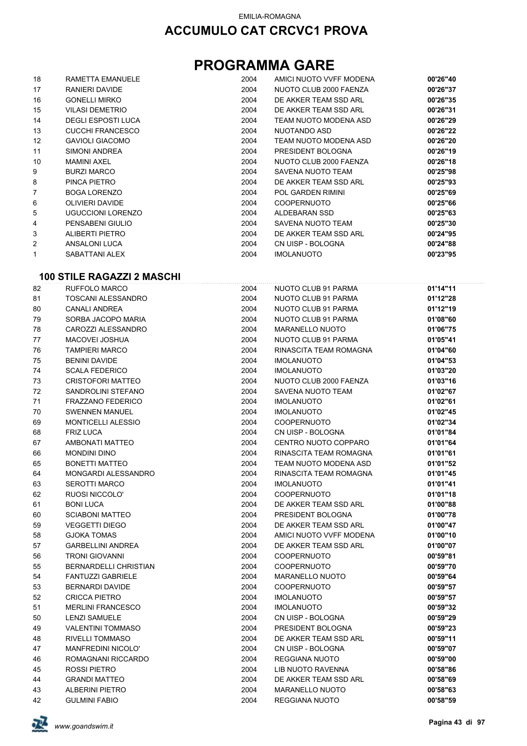## **PROGRAMMA GARE**

| 18                | RAMETTA EMANUELE          | 2004 | AMICI NUOTO VVFF MODENA  | 00'26"40 |
|-------------------|---------------------------|------|--------------------------|----------|
| 17                | RANIERI DAVIDE            | 2004 | NUOTO CLUB 2000 FAENZA   | 00'26"37 |
| 16                | <b>GONELLI MIRKO</b>      | 2004 | DE AKKER TEAM SSD ARL    | 00'26"35 |
| 15                | <b>VILASI DEMETRIO</b>    | 2004 | DE AKKER TEAM SSD ARL    | 00'26"31 |
| 14                | <b>DEGLI ESPOSTI LUCA</b> | 2004 | TEAM NUOTO MODENA ASD    | 00'26"29 |
| 13                | <b>CUCCHI FRANCESCO</b>   | 2004 | NUOTANDO ASD             | 00'26"22 |
| $12 \overline{ }$ | <b>GAVIOLI GIACOMO</b>    | 2004 | TEAM NUOTO MODENA ASD    | 00'26"20 |
| 11                | SIMONI ANDREA             | 2004 | PRESIDENT BOLOGNA        | 00'26"19 |
| 10                | <b>MAMINI AXEL</b>        | 2004 | NUOTO CLUB 2000 FAENZA   | 00'26"18 |
| 9                 | <b>BURZI MARCO</b>        | 2004 | SAVENA NUOTO TEAM        | 00'25"98 |
| 8                 | PINCA PIETRO              | 2004 | DE AKKER TEAM SSD ARL    | 00'25"93 |
| 7                 | <b>BOGA LORENZO</b>       | 2004 | <b>POL GARDEN RIMINI</b> | 00'25"69 |
| 6                 | <b>OLIVIERI DAVIDE</b>    | 2004 | <b>COOPERNUOTO</b>       | 00'25"66 |
| 5                 | <b>UGUCCIONI LORENZO</b>  | 2004 | ALDEBARAN SSD            | 00'25"63 |
| 4                 | PENSABENI GIULIO          | 2004 | SAVENA NUOTO TEAM        | 00'25"30 |
| 3                 | ALIBERTI PIETRO           | 2004 | DE AKKER TEAM SSD ARL    | 00'24"95 |
| 2                 | ANSALONI LUCA             | 2004 | CN UISP - BOLOGNA        | 00'24"88 |
| 1                 | SABATTANI ALEX            | 2004 | <b>IMOLANUOTO</b>        | 00'23"95 |

### **100 STILE RAGAZZI 2 MASCHI**

| 82 | RUFFOLO MARCO                | 2004 | NUOTO CLUB 91 PARMA      | 01'14"11 |
|----|------------------------------|------|--------------------------|----------|
| 81 | <b>TOSCANI ALESSANDRO</b>    | 2004 | NUOTO CLUB 91 PARMA      | 01'12"28 |
| 80 | <b>CANALI ANDREA</b>         | 2004 | NUOTO CLUB 91 PARMA      | 01'12"19 |
| 79 | SORBA JACOPO MARIA           | 2004 | NUOTO CLUB 91 PARMA      | 01'08"60 |
| 78 | CAROZZI ALESSANDRO           | 2004 | <b>MARANELLO NUOTO</b>   | 01'06"75 |
| 77 | <b>MACOVEI JOSHUA</b>        | 2004 | NUOTO CLUB 91 PARMA      | 01'05"41 |
| 76 | <b>TAMPIERI MARCO</b>        | 2004 | RINASCITA TEAM ROMAGNA   | 01'04"60 |
| 75 | <b>BENINI DAVIDE</b>         | 2004 | <b>IMOLANUOTO</b>        | 01'04"53 |
| 74 | <b>SCALA FEDERICO</b>        | 2004 | <b>IMOLANUOTO</b>        | 01'03"20 |
| 73 | <b>CRISTOFORI MATTEO</b>     | 2004 | NUOTO CLUB 2000 FAENZA   | 01'03"16 |
| 72 | SANDROLINI STEFANO           | 2004 | <b>SAVENA NUOTO TEAM</b> | 01'02"67 |
| 71 | <b>FRAZZANO FEDERICO</b>     | 2004 | <b>IMOLANUOTO</b>        | 01'02"61 |
| 70 | <b>SWENNEN MANUEL</b>        | 2004 | <b>IMOLANUOTO</b>        | 01'02"45 |
| 69 | MONTICELLI ALESSIO           | 2004 | <b>COOPERNUOTO</b>       | 01'02"34 |
| 68 | <b>FRIZ LUCA</b>             | 2004 | CN UISP - BOLOGNA        | 01'01"84 |
| 67 | AMBONATI MATTEO              | 2004 | CENTRO NUOTO COPPARO     | 01'01"64 |
| 66 | <b>MONDINI DINO</b>          | 2004 | RINASCITA TEAM ROMAGNA   | 01'01"61 |
| 65 | <b>BONETTI MATTEO</b>        | 2004 | TEAM NUOTO MODENA ASD    | 01'01"52 |
| 64 | MONGARDI ALESSANDRO          | 2004 | RINASCITA TEAM ROMAGNA   | 01'01"45 |
| 63 | <b>SEROTTI MARCO</b>         | 2004 | <b>IMOLANUOTO</b>        | 01'01"41 |
| 62 | RUOSI NICCOLO'               | 2004 | <b>COOPERNUOTO</b>       | 01'01"18 |
| 61 | <b>BONI LUCA</b>             | 2004 | DE AKKER TEAM SSD ARL    | 01'00"88 |
| 60 | <b>SCIABONI MATTEO</b>       | 2004 | PRESIDENT BOLOGNA        | 01'00"78 |
| 59 | <b>VEGGETTI DIEGO</b>        | 2004 | DE AKKER TEAM SSD ARL    | 01'00"47 |
| 58 | <b>GJOKA TOMAS</b>           | 2004 | AMICI NUOTO VVFF MODENA  | 01'00"10 |
| 57 | <b>GARBELLINI ANDREA</b>     | 2004 | DE AKKER TEAM SSD ARL    | 01'00"07 |
| 56 | <b>TRONI GIOVANNI</b>        | 2004 | <b>COOPERNUOTO</b>       | 00'59"81 |
| 55 | <b>BERNARDELLI CHRISTIAN</b> | 2004 | <b>COOPERNUOTO</b>       | 00'59"70 |
| 54 | <b>FANTUZZI GABRIELE</b>     | 2004 | <b>MARANELLO NUOTO</b>   | 00'59"64 |
| 53 | <b>BERNARDI DAVIDE</b>       | 2004 | <b>COOPERNUOTO</b>       | 00'59"57 |
| 52 | <b>CRICCA PIETRO</b>         | 2004 | <b>IMOLANUOTO</b>        | 00'59"57 |
| 51 | <b>MERLINI FRANCESCO</b>     | 2004 | <b>IMOLANUOTO</b>        | 00'59"32 |
| 50 | <b>LENZI SAMUELE</b>         | 2004 | CN UISP - BOLOGNA        | 00'59"29 |
| 49 | <b>VALENTINI TOMMASO</b>     | 2004 | PRESIDENT BOLOGNA        | 00'59"23 |
| 48 | <b>RIVELLI TOMMASO</b>       | 2004 | DE AKKER TEAM SSD ARL    | 00'59"11 |
| 47 | <b>MANFREDINI NICOLO'</b>    | 2004 | CN UISP - BOLOGNA        | 00'59"07 |
| 46 | ROMAGNANI RICCARDO           | 2004 | <b>REGGIANA NUOTO</b>    | 00'59"00 |
| 45 | ROSSI PIETRO                 | 2004 | LIB NUOTO RAVENNA        | 00'58"86 |
| 44 | <b>GRANDI MATTEO</b>         | 2004 | DE AKKER TEAM SSD ARL    | 00'58"69 |
| 43 | <b>ALBERINI PIETRO</b>       | 2004 | <b>MARANELLO NUOTO</b>   | 00'58"63 |
| 42 | <b>GULMINI FABIO</b>         | 2004 | REGGIANA NUOTO           | 00'58"59 |

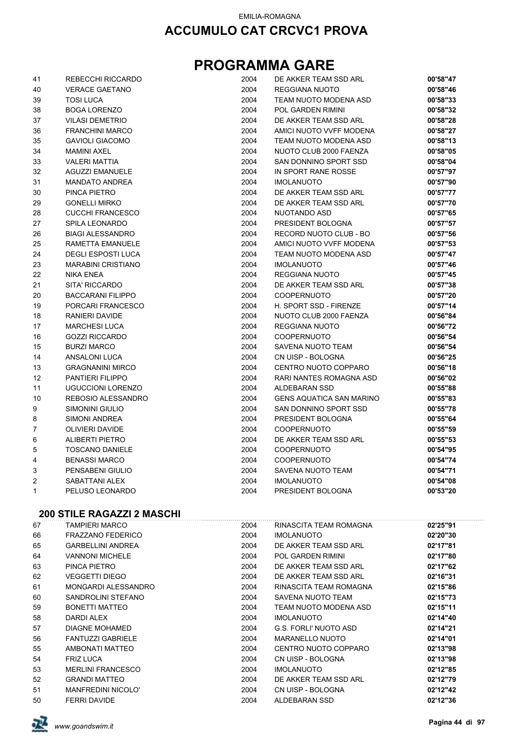## **PROGRAMMA GARE**

| 41           | REBECCHI RICCARDO         | 2004 | DE AKKER TEAM SSD ARL           | 00'58"47 |
|--------------|---------------------------|------|---------------------------------|----------|
| 40           | <b>VERACE GAETANO</b>     | 2004 | REGGIANA NUOTO                  | 00'58"46 |
| 39           | <b>TOSI LUCA</b>          | 2004 | TEAM NUOTO MODENA ASD           | 00'58"33 |
| 38           | <b>BOGA LORENZO</b>       | 2004 | <b>POL GARDEN RIMINI</b>        | 00'58"32 |
| 37           | <b>VILASI DEMETRIO</b>    | 2004 | DE AKKER TEAM SSD ARL           | 00'58"28 |
| 36           | <b>FRANCHINI MARCO</b>    | 2004 | AMICI NUOTO VVFF MODENA         | 00'58"27 |
| 35           | <b>GAVIOLI GIACOMO</b>    | 2004 | TEAM NUOTO MODENA ASD           | 00'58"13 |
| 34           | <b>MAMINI AXEL</b>        | 2004 | NUOTO CLUB 2000 FAENZA          | 00'58"05 |
| 33           | <b>VALERI MATTIA</b>      | 2004 | SAN DONNINO SPORT SSD           | 00'58"04 |
| 32           | <b>AGUZZI EMANUELE</b>    | 2004 | IN SPORT RANE ROSSE             | 00'57"97 |
| 31           | <b>MANDATO ANDREA</b>     | 2004 | <b>IMOLANUOTO</b>               | 00'57"90 |
| 30           | PINCA PIETRO              | 2004 | DE AKKER TEAM SSD ARL           | 00'57"77 |
| 29           | <b>GONELLI MIRKO</b>      | 2004 | DE AKKER TEAM SSD ARL           | 00'57"70 |
| 28           | <b>CUCCHI FRANCESCO</b>   | 2004 | NUOTANDO ASD                    | 00'57"65 |
| 27           | SPILA LEONARDO            | 2004 | PRESIDENT BOLOGNA               | 00'57"57 |
| 26           | <b>BIAGI ALESSANDRO</b>   | 2004 | RECORD NUOTO CLUB - BO          | 00'57"56 |
| 25           | RAMETTA EMANUELE          | 2004 | AMICI NUOTO VVFF MODENA         | 00'57"53 |
| 24           | <b>DEGLI ESPOSTI LUCA</b> | 2004 | TEAM NUOTO MODENA ASD           | 00'57"47 |
| 23           | <b>MARABINI CRISTIANO</b> | 2004 | <b>IMOLANUOTO</b>               | 00'57"46 |
| 22           | <b>NIKA ENEA</b>          | 2004 | REGGIANA NUOTO                  | 00'57"45 |
| 21           | SITA' RICCARDO            | 2004 | DE AKKER TEAM SSD ARL           | 00'57"38 |
| 20           | <b>BACCARANI FILIPPO</b>  | 2004 | <b>COOPERNUOTO</b>              | 00'57"20 |
| 19           | PORCARI FRANCESCO         | 2004 | H. SPORT SSD - FIRENZE          | 00'57"14 |
| 18           | RANIERI DAVIDE            | 2004 | NUOTO CLUB 2000 FAENZA          | 00'56"84 |
| 17           | <b>MARCHESI LUCA</b>      | 2004 | REGGIANA NUOTO                  | 00'56"72 |
| 16           | <b>GOZZI RICCARDO</b>     | 2004 | <b>COOPERNUOTO</b>              | 00'56"54 |
| 15           | <b>BURZI MARCO</b>        | 2004 | SAVENA NUOTO TEAM               | 00'56"54 |
| 14           | ANSALONI LUCA             | 2004 | CN UISP - BOLOGNA               | 00'56"25 |
| 13           | <b>GRAGNANINI MIRCO</b>   | 2004 | CENTRO NUOTO COPPARO            | 00'56"18 |
| 12           | <b>PANTIERI FILIPPO</b>   | 2004 | RARI NANTES ROMAGNA ASD         | 00'56"02 |
| 11           | <b>UGUCCIONI LORENZO</b>  | 2004 | ALDEBARAN SSD                   | 00'55"88 |
| 10           | REBOSIO ALESSANDRO        | 2004 | <b>GENS AQUATICA SAN MARINO</b> | 00'55"83 |
| 9            | SIMONINI GIULIO           | 2004 | SAN DONNINO SPORT SSD           | 00'55"78 |
| 8            | SIMONI ANDREA             | 2004 | PRESIDENT BOLOGNA               | 00'55"64 |
| 7            | OLIVIERI DAVIDE           | 2004 | <b>COOPERNUOTO</b>              | 00'55"59 |
| 6            | <b>ALIBERTI PIETRO</b>    | 2004 | DE AKKER TEAM SSD ARL           | 00'55"53 |
| 5            | <b>TOSCANO DANIELE</b>    | 2004 | <b>COOPERNUOTO</b>              | 00'54"95 |
| 4            | <b>BENASSI MARCO</b>      | 2004 | <b>COOPERNUOTO</b>              | 00'54"74 |
| 3            | PENSABENI GIULIO          | 2004 | SAVENA NUOTO TEAM               | 00'54"71 |
| 2            | SABATTANI ALEX            | 2004 | <b>IMOLANUOTO</b>               | 00'54"08 |
| $\mathbf{1}$ | PELUSO LEONARDO           | 2004 | PRESIDENT BOLOGNA               | 00'53"20 |

#### **200 STILE RAGAZZI 2 MASCHI**

| 67 | TAMPIERI MARCO            | 2004 | RINASCITA TEAM ROMAGNA | 02'25"91 |
|----|---------------------------|------|------------------------|----------|
| 66 | <b>FRAZZANO FEDERICO</b>  | 2004 | <b>IMOLANUOTO</b>      | 02'20"30 |
| 65 | <b>GARBELLINI ANDREA</b>  | 2004 | DE AKKER TEAM SSD ARL  | 02'17"81 |
| 64 | <b>VANNONI MICHELE</b>    | 2004 | POL GARDEN RIMINI      | 02'17"80 |
| 63 | PINCA PIETRO              | 2004 | DE AKKER TEAM SSD ARL  | 02'17"62 |
| 62 | VEGGETTI DIEGO            | 2004 | DE AKKER TEAM SSD ARL  | 02'16"31 |
| 61 | MONGARDI ALESSANDRO       | 2004 | RINASCITA TEAM ROMAGNA | 02'15"86 |
| 60 | SANDROLINI STEFANO        | 2004 | SAVENA NUOTO TEAM      | 02'15"73 |
| 59 | <b>BONETTI MATTEO</b>     | 2004 | TEAM NUOTO MODENA ASD  | 02'15"11 |
| 58 | DARDI ALEX                | 2004 | <b>IMOLANUOTO</b>      | 02'14"40 |
| 57 | DIAGNE MOHAMED            | 2004 | G.S. FORLI' NUOTO ASD  | 02'14"21 |
| 56 | <b>FANTUZZI GABRIELE</b>  | 2004 | <b>MARANELLO NUOTO</b> | 02'14"01 |
| 55 | AMBONATI MATTEO           | 2004 | CENTRO NUOTO COPPARO   | 02'13"98 |
| 54 | <b>FRIZ LUCA</b>          | 2004 | CN UISP - BOLOGNA      | 02'13"98 |
| 53 | <b>MERLINI FRANCESCO</b>  | 2004 | <b>IMOLANUOTO</b>      | 02'12"85 |
| 52 | <b>GRANDI MATTEO</b>      | 2004 | DE AKKER TEAM SSD ARL  | 02'12"79 |
| 51 | <b>MANFREDINI NICOLO'</b> | 2004 | CN UISP - BOLOGNA      | 02'12"42 |
| 50 | <b>FERRI DAVIDE</b>       | 2004 | ALDEBARAN SSD          | 02'12"36 |

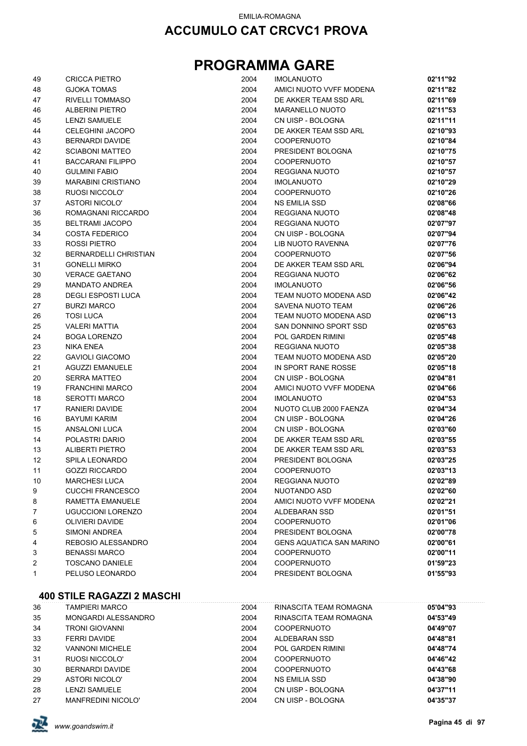## **PROGRAMMA GARE**

| 49 | <b>CRICCA PIETRO</b>      | 2004 | <b>IMOLANUOTO</b>               | 02'11"92 |
|----|---------------------------|------|---------------------------------|----------|
| 48 | <b>GJOKA TOMAS</b>        | 2004 | AMICI NUOTO VVFF MODENA         | 02'11"82 |
| 47 | RIVELLI TOMMASO           | 2004 | DE AKKER TEAM SSD ARL           | 02'11"69 |
| 46 | ALBERINI PIETRO           | 2004 | <b>MARANELLO NUOTO</b>          | 02'11"53 |
| 45 | <b>LENZI SAMUELE</b>      | 2004 | CN UISP - BOLOGNA               | 02'11"11 |
| 44 | CELEGHINI JACOPO          | 2004 | DE AKKER TEAM SSD ARL           | 02'10"93 |
| 43 | <b>BERNARDI DAVIDE</b>    | 2004 | <b>COOPERNUOTO</b>              | 02'10"84 |
| 42 | <b>SCIABONI MATTEO</b>    | 2004 | PRESIDENT BOLOGNA               | 02'10"75 |
| 41 | <b>BACCARANI FILIPPO</b>  | 2004 | <b>COOPERNUOTO</b>              | 02'10"57 |
| 40 | <b>GULMINI FABIO</b>      | 2004 | <b>REGGIANA NUOTO</b>           | 02'10"57 |
| 39 | <b>MARABINI CRISTIANO</b> | 2004 | <b>IMOLANUOTO</b>               | 02'10"29 |
| 38 | RUOSI NICCOLO'            | 2004 | <b>COOPERNUOTO</b>              | 02'10"26 |
| 37 | <b>ASTORI NICOLO'</b>     | 2004 | NS EMILIA SSD                   | 02'08"66 |
| 36 | ROMAGNANI RICCARDO        | 2004 | REGGIANA NUOTO                  | 02'08"48 |
| 35 | <b>BELTRAMI JACOPO</b>    | 2004 | REGGIANA NUOTO                  | 02'07"97 |
| 34 | <b>COSTA FEDERICO</b>     | 2004 | CN UISP - BOLOGNA               | 02'07"94 |
| 33 | ROSSI PIETRO              | 2004 | LIB NUOTO RAVENNA               | 02'07"76 |
| 32 | BERNARDELLI CHRISTIAN     | 2004 | <b>COOPERNUOTO</b>              | 02'07"56 |
| 31 | <b>GONELLI MIRKO</b>      | 2004 | DE AKKER TEAM SSD ARL           | 02'06"94 |
| 30 | <b>VERACE GAETANO</b>     | 2004 | REGGIANA NUOTO                  | 02'06"62 |
| 29 | <b>MANDATO ANDREA</b>     | 2004 | <b>IMOLANUOTO</b>               | 02'06"56 |
| 28 | <b>DEGLI ESPOSTI LUCA</b> | 2004 | TEAM NUOTO MODENA ASD           | 02'06"42 |
| 27 | <b>BURZI MARCO</b>        | 2004 | <b>SAVENA NUOTO TEAM</b>        | 02'06"26 |
| 26 | <b>TOSI LUCA</b>          | 2004 | TEAM NUOTO MODENA ASD           | 02'06"13 |
| 25 | <b>VALERI MATTIA</b>      | 2004 | SAN DONNINO SPORT SSD           | 02'05"63 |
|    |                           | 2004 |                                 | 02'05"48 |
| 24 | <b>BOGA LORENZO</b>       |      | POL GARDEN RIMINI               |          |
| 23 | <b>NIKA ENEA</b>          | 2004 | REGGIANA NUOTO                  | 02'05"38 |
| 22 | <b>GAVIOLI GIACOMO</b>    | 2004 | TEAM NUOTO MODENA ASD           | 02'05"20 |
| 21 | <b>AGUZZI EMANUELE</b>    | 2004 | IN SPORT RANE ROSSE             | 02'05"18 |
| 20 | <b>SERRA MATTEO</b>       | 2004 | CN UISP - BOLOGNA               | 02'04"81 |
| 19 | <b>FRANCHINI MARCO</b>    | 2004 | AMICI NUOTO VVFF MODENA         | 02'04"66 |
| 18 | <b>SEROTTI MARCO</b>      | 2004 | <b>IMOLANUOTO</b>               | 02'04"53 |
| 17 | RANIERI DAVIDE            | 2004 | NUOTO CLUB 2000 FAENZA          | 02'04"34 |
| 16 | <b>BAYUMI KARIM</b>       | 2004 | CN UISP - BOLOGNA               | 02'04"26 |
| 15 | ANSALONI LUCA             | 2004 | CN UISP - BOLOGNA               | 02'03"60 |
| 14 | POLASTRI DARIO            | 2004 | DE AKKER TEAM SSD ARL           | 02'03"55 |
| 13 | <b>ALIBERTI PIETRO</b>    | 2004 | DE AKKER TEAM SSD ARL           | 02'03"53 |
| 12 | SPILA LEONARDO            | 2004 | PRESIDENT BOLOGNA               | 02'03"25 |
| 11 | <b>GOZZI RICCARDO</b>     | 2004 | <b>COOPERNUOTO</b>              | 02'03"13 |
| 10 | <b>MARCHESI LUCA</b>      | 2004 | REGGIANA NUOTO                  | 02'02"89 |
| 9  | <b>CUCCHI FRANCESCO</b>   | 2004 | NUOTANDO ASD                    | 02'02"60 |
| 8  | RAMETTA EMANUELE          | 2004 | AMICI NUOTO VVFF MODENA         | 02'02"21 |
| 7  | <b>UGUCCIONI LORENZO</b>  | 2004 | ALDEBARAN SSD                   | 02'01"51 |
| 6  | <b>OLIVIERI DAVIDE</b>    | 2004 | <b>COOPERNUOTO</b>              | 02'01"06 |
| 5  | SIMONI ANDREA             | 2004 | PRESIDENT BOLOGNA               | 02'00"78 |
| 4  | REBOSIO ALESSANDRO        | 2004 | <b>GENS AQUATICA SAN MARINO</b> | 02'00"61 |
| 3  | <b>BENASSI MARCO</b>      | 2004 | <b>COOPERNUOTO</b>              | 02'00"11 |
| 2  | <b>TOSCANO DANIELE</b>    | 2004 | <b>COOPERNUOTO</b>              | 01'59"23 |
| 1  | PELUSO LEONARDO           | 2004 | PRESIDENT BOLOGNA               | 01'55"93 |

| 36 | TAMPIERI MARCO            | 2004 | RINASCITA TEAM ROMAGNA | 05'04"93 |
|----|---------------------------|------|------------------------|----------|
| 35 | MONGARDI ALESSANDRO       | 2004 | RINASCITA TEAM ROMAGNA | 04'53"49 |
| 34 | TRONI GIOVANNI            | 2004 | <b>COOPERNUOTO</b>     | 04'49"07 |
| 33 | FERRI DAVIDE              | 2004 | ALDEBARAN SSD          | 04'48"81 |
| 32 | <b>VANNONI MICHELE</b>    | 2004 | POL GARDEN RIMINI      | 04'48"74 |
| 31 | RUOSI NICCOLO'            | 2004 | <b>COOPERNUOTO</b>     | 04'46"42 |
| 30 | BERNARDI DAVIDE           | 2004 | <b>COOPERNUOTO</b>     | 04'43"68 |
| 29 | <b>ASTORI NICOLO'</b>     | 2004 | <b>NS EMILIA SSD</b>   | 04'38"90 |
| 28 | <b>LENZI SAMUELE</b>      | 2004 | CN UISP - BOLOGNA      | 04'37"11 |
| 27 | <b>MANFREDINI NICOLO'</b> | 2004 | CN UISP - BOLOGNA      | 04'35"37 |

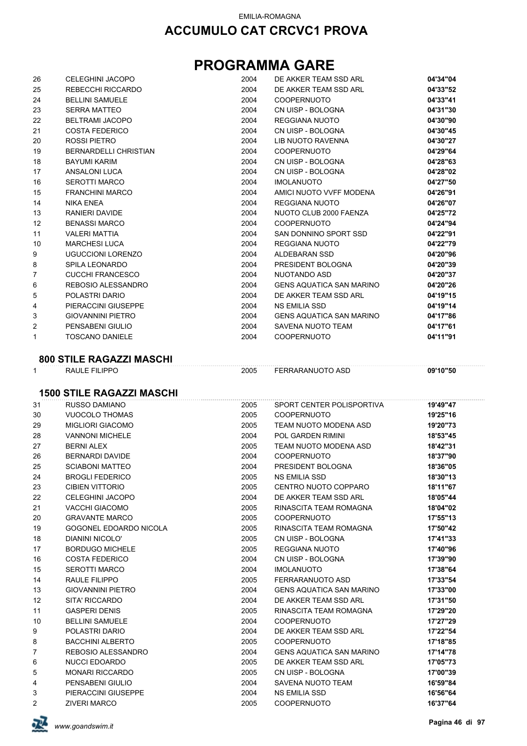## **PROGRAMMA GARE**

|                | <b>CELEGHINI JACOPO</b>                | 2004         | DE AKKER TEAM SSD ARL                           | 04'34"04             |
|----------------|----------------------------------------|--------------|-------------------------------------------------|----------------------|
| 25             | REBECCHI RICCARDO                      | 2004         | DE AKKER TEAM SSD ARL                           | 04'33"52             |
| 24             | <b>BELLINI SAMUELE</b>                 | 2004         | <b>COOPERNUOTO</b>                              | 04'33"41             |
| 23             | <b>SERRA MATTEO</b>                    | 2004         | CN UISP - BOLOGNA                               | 04'31"30             |
| 22             | <b>BELTRAMI JACOPO</b>                 | 2004         | REGGIANA NUOTO                                  | 04'30"90             |
| 21             | <b>COSTA FEDERICO</b>                  | 2004         | CN UISP - BOLOGNA                               | 04'30"45             |
| 20             | ROSSI PIETRO                           | 2004         | LIB NUOTO RAVENNA                               | 04'30"27             |
| 19             | <b>BERNARDELLI CHRISTIAN</b>           | 2004         | <b>COOPERNUOTO</b>                              | 04'29"64             |
| 18             | <b>BAYUMI KARIM</b>                    | 2004         | CN UISP - BOLOGNA                               | 04'28"63             |
| 17             | ANSALONI LUCA                          | 2004         | CN UISP - BOLOGNA                               | 04'28"02             |
| 16             | <b>SEROTTI MARCO</b>                   | 2004         | <b>IMOLANUOTO</b>                               | 04'27"50             |
| 15             | <b>FRANCHINI MARCO</b>                 | 2004         | AMICI NUOTO VVFF MODENA                         | 04'26"91             |
| 14             | <b>NIKA ENEA</b>                       | 2004         | REGGIANA NUOTO                                  | 04'26"07             |
| 13             | RANIERI DAVIDE                         | 2004         | NUOTO CLUB 2000 FAENZA                          | 04'25"72             |
| 12             | <b>BENASSI MARCO</b>                   | 2004         | <b>COOPERNUOTO</b>                              | 04'24"94             |
| 11             | <b>VALERI MATTIA</b>                   | 2004         | SAN DONNINO SPORT SSD                           | 04'22"91             |
| 10             | <b>MARCHESI LUCA</b>                   | 2004         | REGGIANA NUOTO                                  | 04'22"79             |
| 9              | <b>UGUCCIONI LORENZO</b>               | 2004         | ALDEBARAN SSD                                   | 04'20"96             |
| 8              | <b>SPILA LEONARDO</b>                  | 2004         | PRESIDENT BOLOGNA                               | 04'20"39             |
| $\overline{7}$ | CUCCHI FRANCESCO                       | 2004         | NUOTANDO ASD                                    | 04'20"37             |
| 6              | REBOSIO ALESSANDRO                     | 2004         | GENS AQUATICA SAN MARINO                        | 04'20"26             |
| 5              | POLASTRI DARIO                         | 2004         | DE AKKER TEAM SSD ARL                           | 04'19"15             |
| 4              | PIERACCINI GIUSEPPE                    | 2004         | <b>NS EMILIA SSD</b>                            | 04'19"14             |
| 3              | <b>GIOVANNINI PIETRO</b>               | 2004         | <b>GENS AQUATICA SAN MARINO</b>                 | 04'17"86             |
| 2              | PENSABENI GIULIO                       | 2004         | SAVENA NUOTO TEAM                               | 04'17"61             |
| $\mathbf{1}$   | <b>TOSCANO DANIELE</b>                 | 2004         | <b>COOPERNUOTO</b>                              | 04'11"91             |
|                |                                        |              |                                                 |                      |
|                | <b>800 STILE RAGAZZI MASCHI</b>        |              |                                                 |                      |
| $\mathbf{1}$   | RAULE FILIPPO                          | 2005         | FERRARANUOTO ASD                                | 09'10"50             |
|                |                                        |              |                                                 |                      |
|                | <b>1500 STILE RAGAZZI MASCHI</b>       |              |                                                 |                      |
| 31<br>30       | RUSSO DAMIANO                          | 2005         | SPORT CENTER POLISPORTIVA                       | 19'49"47             |
|                |                                        |              |                                                 |                      |
|                | <b>VUOCOLO THOMAS</b>                  | 2005         | <b>COOPERNUOTO</b>                              | 19'25"16             |
| 29             | <b>MIGLIORI GIACOMO</b>                | 2005         | TEAM NUOTO MODENA ASD                           | 19'20"73             |
| 28             | <b>VANNONI MICHELE</b>                 | 2004         | POL GARDEN RIMINI                               | 18'53"45             |
| 27             | <b>BERNI ALEX</b>                      | 2005         | TEAM NUOTO MODENA ASD                           | 18'42"31             |
| 26             | <b>BERNARDI DAVIDE</b>                 | 2004         | COOPERNUOTO                                     | 18'37"90             |
| 25             | <b>SCIABONI MATTEO</b>                 | 2004         | PRESIDENT BOLOGNA                               | 18'36"05             |
| 24             | <b>BROGLI FEDERICO</b>                 | 2005         | <b>NS EMILIA SSD</b>                            | 18'30"13             |
| 23             | <b>CIBIEN VITTORIO</b>                 | 2005         | CENTRO NUOTO COPPARO                            | 18'11"67             |
| 22             | <b>CELEGHINI JACOPO</b>                | 2004         | DE AKKER TEAM SSD ARL                           | 18'05"44             |
| 21             | <b>VACCHI GIACOMO</b>                  | 2005         | RINASCITA TEAM ROMAGNA                          | 18'04"02             |
| 20             | <b>GRAVANTE MARCO</b>                  | 2005         | <b>COOPERNUOTO</b>                              | 17'55"13             |
| 19             | GOGONEL EDOARDO NICOLA                 | 2005         | RINASCITA TEAM ROMAGNA                          | 17'50"42             |
| 18             | DIANINI NICOLO'                        | 2005         | CN UISP - BOLOGNA                               | 17'41"33             |
| 17             | <b>BORDUGO MICHELE</b>                 | 2005         | REGGIANA NUOTO                                  | 17'40"96             |
| 16             | <b>COSTA FEDERICO</b>                  | 2004         | CN UISP - BOLOGNA                               | 17'39"90             |
| 15             | <b>SEROTTI MARCO</b>                   | 2004         | <b>IMOLANUOTO</b>                               | 17'38"64             |
| 14             | RAULE FILIPPO                          | 2005         | FERRARANUOTO ASD                                | 17'33"54             |
| 13             | <b>GIOVANNINI PIETRO</b>               | 2004         | <b>GENS AQUATICA SAN MARINO</b>                 | 17'33"00             |
| 12<br>11       | SITA' RICCARDO<br><b>GASPERI DENIS</b> | 2004<br>2005 | DE AKKER TEAM SSD ARL<br>RINASCITA TEAM ROMAGNA | 17'31"50<br>17'29"20 |
| 10             | <b>BELLINI SAMUELE</b>                 | 2004         | <b>COOPERNUOTO</b>                              | 17'27"29             |
| 9              | POLASTRI DARIO                         | 2004         | DE AKKER TEAM SSD ARL                           | 17'22"54             |
| 8              | <b>BACCHINI ALBERTO</b>                | 2005         | <b>COOPERNUOTO</b>                              | 17'18"85             |
| $\overline{7}$ | REBOSIO ALESSANDRO                     | 2004         | <b>GENS AQUATICA SAN MARINO</b>                 | 17'14"78             |
| 6              | <b>NUCCI EDOARDO</b>                   | 2005         | DE AKKER TEAM SSD ARL                           | 17'05"73             |
| 5              | <b>MONARI RICCARDO</b>                 | 2005         | CN UISP - BOLOGNA                               | 17'00"39             |
| 4              | PENSABENI GIULIO                       | 2004         | SAVENA NUOTO TEAM                               | 16'59"84             |
| 3              | PIERACCINI GIUSEPPE                    | 2004         | NS EMILIA SSD                                   | 16'56"64             |
| $\overline{c}$ | <b>ZIVERI MARCO</b>                    | 2005         | <b>COOPERNUOTO</b>                              | 16'37"64             |

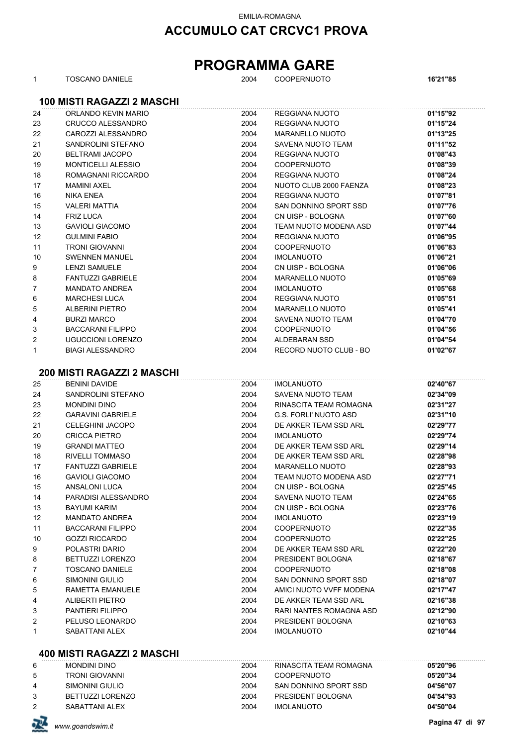**ACCUMULO CAT CRCVC1 PROVA**

## **PROGRAMMA GARE**

| 1  | TOSCANO DANIELE                   | 2004 | <b>COOPERNUOTO</b>           | 16'21"85 |
|----|-----------------------------------|------|------------------------------|----------|
|    | <b>100 MISTI RAGAZZI 2 MASCHI</b> |      |                              |          |
| 24 | ORLANDO KEVIN MARIO               | 2004 | <b>REGGIANA NUOTO</b>        | 01'15"92 |
| 23 | CRUCCO ALESSANDRO                 | 2004 | <b>REGGIANA NUOTO</b>        | 01'15"24 |
| 22 | CAROZZI ALESSANDRO                | 2004 | <b>MARANELLO NUOTO</b>       | 01'13"25 |
| 21 | SANDROLINI STEFANO                | 2004 | SAVENA NUOTO TEAM            | 01'11"52 |
| 20 | <b>BELTRAMI JACOPO</b>            | 2004 | <b>REGGIANA NUOTO</b>        | 01'08"43 |
| 19 | <b>MONTICELLI ALESSIO</b>         | 2004 | <b>COOPERNUOTO</b>           | 01'08"39 |
| 18 | ROMAGNANI RICCARDO                | 2004 | <b>REGGIANA NUOTO</b>        | 01'08"24 |
| 17 | <b>MAMINI AXEL</b>                | 2004 | NUOTO CLUB 2000 FAENZA       | 01'08"23 |
| 16 | <b>NIKA ENEA</b>                  | 2004 | <b>REGGIANA NUOTO</b>        | 01'07"81 |
| 15 | <b>VALERI MATTIA</b>              | 2004 | SAN DONNINO SPORT SSD        | 01'07"76 |
| 14 | <b>FRIZ LUCA</b>                  | 2004 | CN UISP - BOLOGNA            | 01'07"60 |
| 13 | <b>GAVIOLI GIACOMO</b>            | 2004 | TEAM NUOTO MODENA ASD        | 01'07"44 |
| 12 | <b>GULMINI FABIO</b>              | 2004 | <b>REGGIANA NUOTO</b>        | 01'06"95 |
| 11 | <b>TRONI GIOVANNI</b>             | 2004 | <b>COOPERNUOTO</b>           | 01'06"83 |
| 10 | <b>SWENNEN MANUEL</b>             | 2004 | <b>IMOLANUOTO</b>            | 01'06"21 |
| 9  | <b>LENZI SAMUELE</b>              | 2004 | CN UISP - BOLOGNA            | 01'06"06 |
| 8  | <b>FANTUZZI GABRIELE</b>          | 2004 | <b>MARANELLO NUOTO</b>       | 01'05"69 |
| 7  | <b>MANDATO ANDREA</b>             | 2004 | <b>IMOLANUOTO</b>            | 01'05"68 |
| 6  | <b>MARCHESI LUCA</b>              | 2004 | REGGIANA NUOTO               | 01'05"51 |
| 5  | <b>ALBERINI PIETRO</b>            | 2004 | <b>MARANELLO NUOTO</b>       | 01'05"41 |
| 4  | <b>BURZI MARCO</b>                | 2004 | SAVENA NUOTO TEAM            | 01'04"70 |
| 3  | <b>BACCARANI FILIPPO</b>          | 2004 | <b>COOPERNUOTO</b>           | 01'04"56 |
| 2  | <b>UGUCCIONI LORENZO</b>          | 2004 | ALDEBARAN SSD                | 01'04"54 |
| 1  | <b>BIAGI ALESSANDRO</b>           | 2004 | RECORD NUOTO CLUB - BO       | 01'02"67 |
|    | <b>200 MISTI RAGAZZI 2 MASCHI</b> |      |                              |          |
| 25 | <b>BENINI DAVIDE</b>              | 2004 | <b>IMOLANUOTO</b>            | 02'40"67 |
| 24 | SANDROLINI STEFANO                | 2004 | SAVENA NUOTO TEAM            | 02'34"09 |
| 23 | <b>MONDINI DINO</b>               | 2004 | RINASCITA TEAM ROMAGNA       | 02'31"27 |
| 22 | <b>GARAVINI GABRIELE</b>          | 2004 | <b>G.S. FORLI' NUOTO ASD</b> | 02'31"10 |
| 21 | <b>CELEGHINI JACOPO</b>           | 2004 | DE AKKER TEAM SSD ARL        | 02'29"77 |
| 20 | <b>CRICCA PIETRO</b>              | 2004 | <b>IMOLANUOTO</b>            | 02'29"74 |
| 19 | <b>GRANDI MATTEO</b>              | 2004 | DE AKKER TEAM SSD ARL        | 02'29"14 |
| 18 | <b>RIVELLI TOMMASO</b>            | 2004 | DE AKKER TEAM SSD ARL        | 02'28"98 |
| 17 | <b>FANTUZZI GABRIELE</b>          | 2004 | <b>MARANELLO NUOTO</b>       | 02'28"93 |
| 16 | <b>GAVIOLI GIACOMO</b>            | 2004 | TEAM NUOTO MODENA ASD        | 02'27"71 |
| 15 | ANSALONI LUCA                     | 2004 | CN UISP - BOLOGNA            | 02'25"45 |
| 14 | PARADISI ALESSANDRO               | 2004 | SAVENA NUOTO TEAM            | 02'24"65 |
| 13 | <b>BAYUMI KARIM</b>               | 2004 | CN UISP - BOLOGNA            | 02'23"76 |
| 12 | <b>MANDATO ANDREA</b>             | 2004 | <b>IMOLANUOTO</b>            | 02'23"19 |
| 11 | <b>BACCARANI FILIPPO</b>          | 2004 | <b>COOPERNUOTO</b>           | 02'22"35 |
| 10 | <b>GOZZI RICCARDO</b>             | 2004 | <b>COOPERNUOTO</b>           | 02'22"25 |
| 9  | POLASTRI DARIO                    | 2004 | DE AKKER TEAM SSD ARL        | 02'22"20 |
| 8  | BETTUZZI LORENZO                  | 2004 | PRESIDENT BOLOGNA            | 02'18"67 |
| 7  | <b>TOSCANO DANIELE</b>            | 2004 | <b>COOPERNUOTO</b>           | 02'18"08 |
| 6  | SIMONINI GIULIO                   | 2004 | SAN DONNINO SPORT SSD        | 02'18"07 |
| 5  | RAMETTA EMANUELE                  | 2004 | AMICI NUOTO VVFF MODENA      | 02'17"47 |
| 4  | <b>ALIBERTI PIETRO</b>            | 2004 | DE AKKER TEAM SSD ARL        | 02'16"38 |
| 3  | PANTIERI FILIPPO                  | 2004 | RARI NANTES ROMAGNA ASD      | 02'12"90 |
| 2  | PELUSO LEONARDO                   | 2004 | PRESIDENT BOLOGNA            | 02'10"63 |
| 1  | SABATTANI ALEX                    | 2004 | <b>IMOLANUOTO</b>            | 02'10"44 |

#### **400 MISTI RAGAZZI 2 MASCHI**

| 6 | <b>MONDINI DINO</b> | 2004 | RINASCITA TEAM ROMAGNA | 05'20"96 |
|---|---------------------|------|------------------------|----------|
| 5 | TRONI GIOVANNI      | 2004 | <b>COOPERNUOTO</b>     | 05'20"34 |
| 4 | SIMONINI GIULIO     | 2004 | SAN DONNINO SPORT SSD  | 04'56"07 |
|   | BETTUZZI LORENZO    | 2004 | PRESIDENT BOLOGNA      | 04'54"93 |
|   | SABATTANI ALEX      | 2004 | IMOLANUOTO             | 04'50"04 |
|   |                     |      |                        |          |

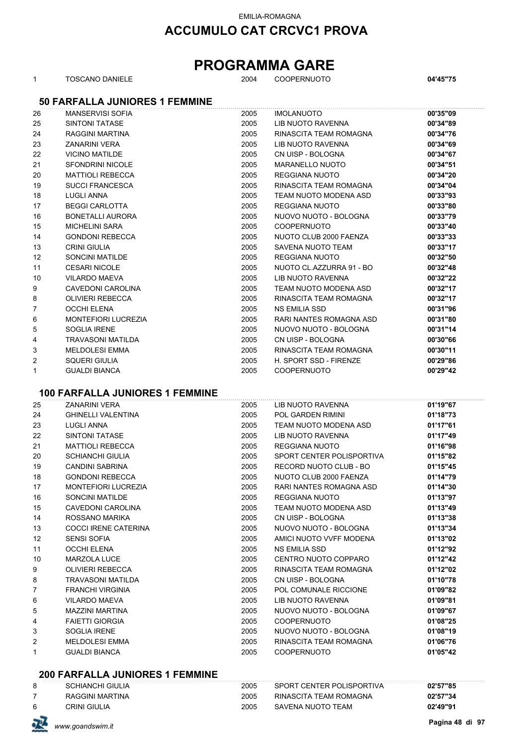## **ACCUMULO CAT CRCVC1 PROVA**

## **PROGRAMMA GARE**

| 1  | <b>TOSCANO DANIELE</b>                 | 2004 | <b>COOPERNUOTO</b>             | 04'45"75 |
|----|----------------------------------------|------|--------------------------------|----------|
|    | <b>50 FARFALLA JUNIORES 1 FEMMINE</b>  |      |                                |          |
| 26 | <b>MANSERVISI SOFIA</b>                | 2005 | <b>IMOLANUOTO</b>              | 00'35"09 |
| 25 | <b>SINTONI TATASE</b>                  | 2005 | LIB NUOTO RAVENNA              | 00'34"89 |
| 24 | RAGGINI MARTINA                        | 2005 | RINASCITA TEAM ROMAGNA         | 00'34"76 |
| 23 | <b>ZANARINI VERA</b>                   | 2005 | LIB NUOTO RAVENNA              | 00'34"69 |
| 22 | <b>VICINO MATILDE</b>                  | 2005 | CN UISP - BOLOGNA              | 00'34"67 |
| 21 | <b>SFONDRINI NICOLE</b>                | 2005 | <b>MARANELLO NUOTO</b>         | 00'34"51 |
| 20 | <b>MATTIOLI REBECCA</b>                | 2005 | <b>REGGIANA NUOTO</b>          | 00'34"20 |
| 19 | <b>SUCCI FRANCESCA</b>                 | 2005 | RINASCITA TEAM ROMAGNA         | 00'34"04 |
| 18 | <b>LUGLI ANNA</b>                      | 2005 | TEAM NUOTO MODENA ASD          | 00'33"93 |
| 17 | <b>BEGGI CARLOTTA</b>                  | 2005 | REGGIANA NUOTO                 | 00'33"80 |
| 16 | <b>BONETALLI AURORA</b>                | 2005 | NUOVO NUOTO - BOLOGNA          | 00'33"79 |
| 15 | <b>MICHELINI SARA</b>                  | 2005 | COOPERNUOTO                    | 00'33"40 |
| 14 | <b>GONDONI REBECCA</b>                 | 2005 | NUOTO CLUB 2000 FAENZA         | 00'33"33 |
| 13 | <b>CRINI GIULIA</b>                    | 2005 | <b>SAVENA NUOTO TEAM</b>       | 00'33"17 |
| 12 | <b>SONCINI MATILDE</b>                 | 2005 | <b>REGGIANA NUOTO</b>          | 00'32"50 |
| 11 | <b>CESARI NICOLE</b>                   | 2005 | NUOTO CL.AZZURRA 91 - BO       | 00'32"48 |
| 10 | <b>VILARDO MAEVA</b>                   | 2005 | <b>LIB NUOTO RAVENNA</b>       | 00'32"22 |
| 9  | CAVEDONI CAROLINA                      | 2005 | TEAM NUOTO MODENA ASD          | 00'32"17 |
| 8  | <b>OLIVIERI REBECCA</b>                | 2005 | RINASCITA TEAM ROMAGNA         | 00'32"17 |
| 7  | <b>OCCHI ELENA</b>                     | 2005 | <b>NS EMILIA SSD</b>           | 00'31"96 |
| 6  | <b>MONTEFIORI LUCREZIA</b>             | 2005 | <b>RARI NANTES ROMAGNA ASD</b> | 00'31"80 |
| 5  | <b>SOGLIA IRENE</b>                    | 2005 | NUOVO NUOTO - BOLOGNA          | 00'31"14 |
| 4  | <b>TRAVASONI MATILDA</b>               | 2005 | CN UISP - BOLOGNA              | 00'30"66 |
| 3  | <b>MELDOLESI EMMA</b>                  | 2005 | RINASCITA TEAM ROMAGNA         | 00'30"11 |
| 2  | <b>SQUERI GIULIA</b>                   | 2005 | H. SPORT SSD - FIRENZE         | 00'29"86 |
| 1  | <b>GUALDI BIANCA</b>                   | 2005 | <b>COOPERNUOTO</b>             | 00'29"42 |
|    |                                        |      |                                |          |
|    | <b>100 FARFALLA JUNIORES 1 FEMMINE</b> |      |                                |          |
| 25 | <b>ZANARINI VERA</b>                   | 2005 | LIB NUOTO RAVENNA              | 01'19"67 |
| 24 | <b>GHINELLI VALENTINA</b>              | 2005 | POL GARDEN RIMINI              | 01'18"73 |
| 23 | <b>LUGLI ANNA</b>                      | 2005 | TEAM NUOTO MODENA ASD          | 01'17"61 |
| 22 | <b>SINTONI TATASE</b>                  | 2005 | LIB NUOTO RAVENNA              | 01'17"49 |
| 21 | <b>MATTIOLI REBECCA</b>                | 2005 | REGGIANA NUOTO                 | 01'16"98 |
| 20 | <b>SCHIANCHI GIULIA</b>                | 2005 | SPORT CENTER POLISPORTIVA      | 01'15"82 |
| 19 | <b>CANDINI SABRINA</b>                 | 2005 | RECORD NUOTO CLUB - BO         | 01'15"45 |
| 18 | <b>GONDONI REBECCA</b>                 | 2005 | NUOTO CLUB 2000 FAENZA         | 01'14"79 |
| 17 | <b>MONTEFIORI LUCREZIA</b>             | 2005 | RARI NANTES ROMAGNA ASD        | 01'14"30 |
| 16 | <b>SONCINI MATILDE</b>                 | 2005 | REGGIANA NUOTO                 | 01'13"97 |
| 15 | <b>CAVEDONI CAROLINA</b>               | 2005 | TEAM NUOTO MODENA ASD          | 01'13"49 |
| 14 | ROSSANO MARIKA                         | 2005 | CN UISP - BOLOGNA              | 01'13"38 |
| 13 | COCCI IRENE CATERINA                   | 2005 | NUOVO NUOTO - BOLOGNA          | 01'13"34 |
| 12 | <b>SENSI SOFIA</b>                     | 2005 | AMICI NUOTO VVFF MODENA        | 01'13"02 |
| 11 | <b>OCCHI ELENA</b>                     | 2005 | NS EMILIA SSD                  | 01'12"92 |
| 10 | MARZOLA LUCE                           | 2005 | CENTRO NUOTO COPPARO           | 01'12"42 |
| 9  | <b>OLIVIERI REBECCA</b>                | 2005 | RINASCITA TEAM ROMAGNA         | 01'12"02 |
| 8  | TRAVASONI MATILDA                      | 2005 | CN UISP - BOLOGNA              | 01'10"78 |
| 7  | <b>FRANCHI VIRGINIA</b>                | 2005 | POL COMUNALE RICCIONE          | 01'09"82 |
| 6  | <b>VILARDO MAEVA</b>                   | 2005 | LIB NUOTO RAVENNA              | 01'09"81 |
| 5  | <b>MAZZINI MARTINA</b>                 | 2005 | NUOVO NUOTO - BOLOGNA          | 01'09"67 |
| 4  | <b>FAIETTI GIORGIA</b>                 | 2005 | <b>COOPERNUOTO</b>             | 01'08"25 |
| 3  | <b>SOGLIA IRENE</b>                    | 2005 | NUOVO NUOTO - BOLOGNA          | 01'08"19 |
| 2  | <b>MELDOLESI EMMA</b>                  | 2005 | RINASCITA TEAM ROMAGNA         | 01'06"76 |
| 1  | <b>GUALDI BIANCA</b>                   | 2005 | <b>COOPERNUOTO</b>             | 01'05"42 |
|    |                                        |      |                                |          |

#### **200 FARFALLA JUNIORES 1 FEMMINE**

| 巫 | www.goandswim.it        |      |                           | Pagina 48 di 97 |
|---|-------------------------|------|---------------------------|-----------------|
| 6 | <b>CRINI GIULIA</b>     | 2005 | SAVENA NUOTO TEAM         | 02'49"91        |
|   | RAGGINI MARTINA         | 2005 | RINASCITA TEAM ROMAGNA    | 02'57"34        |
| 8 | <b>SCHIANCHI GIULIA</b> | 2005 | SPORT CENTER POLISPORTIVA | 02'57"85        |

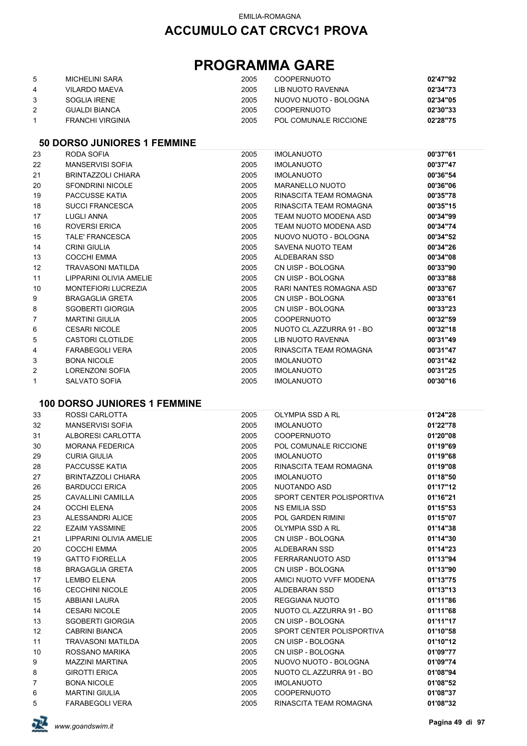## **ACCUMULO CAT CRCVC1 PROVA**

## **PROGRAMMA GARE**

| 5. | MICHELINI SARA   | 2005 | <b>COOPERNUOTO</b>    | 02'47"92 |
|----|------------------|------|-----------------------|----------|
| 4  | VILARDO MAEVA    | 2005 | LIB NUOTO RAVENNA     | 02'34"73 |
|    | SOGLIA IRENE     | 2005 | NUOVO NUOTO - BOLOGNA | 02'34"05 |
|    | GUALDI BIANCA    | 2005 | <b>COOPERNUOTO</b>    | 02'30"33 |
|    | FRANCHI VIRGINIA | 2005 | POL COMUNALE RICCIONE | 02'28"75 |

#### **50 DORSO JUNIORES 1 FEMMINE**

| 23             | RODA SOFIA                 | 2005 | <b>IMOLANUOTO</b>        | 00'37"61 |
|----------------|----------------------------|------|--------------------------|----------|
| 22             | <b>MANSERVISI SOFIA</b>    | 2005 | <b>IMOLANUOTO</b>        | 00'37"47 |
| 21             | BRINTAZZOLI CHIARA         | 2005 | <b>IMOLANUOTO</b>        | 00'36"54 |
| 20             | <b>SFONDRINI NICOLE</b>    | 2005 | MARANELLO NUOTO          | 00'36"06 |
| 19             | PACCUSSE KATIA             | 2005 | RINASCITA TEAM ROMAGNA   | 00'35"78 |
| 18             | <b>SUCCI FRANCESCA</b>     | 2005 | RINASCITA TEAM ROMAGNA   | 00'35"15 |
| 17             | LUGLI ANNA                 | 2005 | TEAM NUOTO MODENA ASD    | 00'34"99 |
| 16             | ROVERSI ERICA              | 2005 | TEAM NUOTO MODENA ASD    | 00'34"74 |
| 15             | <b>TALE' FRANCESCA</b>     | 2005 | NUOVO NUOTO - BOLOGNA    | 00'34"52 |
| 14             | <b>CRINI GIULIA</b>        | 2005 | SAVENA NUOTO TEAM        | 00'34"26 |
| 13             | <b>COCCHI EMMA</b>         | 2005 | ALDEBARAN SSD            | 00'34"08 |
| 12             | TRAVASONI MATILDA          | 2005 | CN UISP - BOLOGNA        | 00'33"90 |
| 11             | LIPPARINI OLIVIA AMELIE    | 2005 | CN UISP - BOLOGNA        | 00'33"88 |
| 10             | <b>MONTEFIORI LUCREZIA</b> | 2005 | RARI NANTES ROMAGNA ASD  | 00'33"67 |
| 9              | <b>BRAGAGLIA GRETA</b>     | 2005 | CN UISP - BOLOGNA        | 00'33"61 |
| 8              | <b>SGOBERTI GIORGIA</b>    | 2005 | CN UISP - BOLOGNA        | 00'33"23 |
| $\overline{7}$ | <b>MARTINI GIULIA</b>      | 2005 | <b>COOPERNUOTO</b>       | 00'32"59 |
| 6              | <b>CESARI NICOLE</b>       | 2005 | NUOTO CL.AZZURRA 91 - BO | 00'32"18 |
| 5              | <b>CASTORI CLOTILDE</b>    | 2005 | LIB NUOTO RAVENNA        | 00'31"49 |
| 4              | <b>FARABEGOLI VERA</b>     | 2005 | RINASCITA TEAM ROMAGNA   | 00'31"47 |
| 3              | <b>BONA NICOLE</b>         | 2005 | <b>IMOLANUOTO</b>        | 00'31"42 |
| $\overline{2}$ | <b>LORENZONI SOFIA</b>     | 2005 | <b>IMOLANUOTO</b>        | 00'31"25 |
| $\mathbf{1}$   | SALVATO SOFIA              | 2005 | <b>IMOLANUOTO</b>        | 00'30"16 |

#### **100 DORSO JUNIORES 1 FEMMINE**

| 33             | ROSSI CARLOTTA            | 2005 | <b>OLYMPIA SSD A RL</b>   | 01'24"28 |
|----------------|---------------------------|------|---------------------------|----------|
| 32             | MANSERVISI SOFIA          | 2005 | <b>IMOLANUOTO</b>         | 01'22"78 |
| 31             | ALBORESI CARLOTTA         | 2005 | <b>COOPERNUOTO</b>        | 01'20"08 |
| 30             | <b>MORANA FEDERICA</b>    | 2005 | POL COMUNALE RICCIONE     | 01'19"69 |
| 29             | <b>CURIA GIULIA</b>       | 2005 | <b>IMOLANUOTO</b>         | 01'19"68 |
| 28             | PACCUSSE KATIA            | 2005 | RINASCITA TEAM ROMAGNA    | 01'19"08 |
| 27             | <b>BRINTAZZOLI CHIARA</b> | 2005 | <b>IMOLANUOTO</b>         | 01'18"50 |
| 26             | <b>BARDUCCI ERICA</b>     | 2005 | NUOTANDO ASD              | 01'17"12 |
| 25             | CAVALLINI CAMILLA         | 2005 | SPORT CENTER POLISPORTIVA | 01'16"21 |
| 24             | <b>OCCHI ELENA</b>        | 2005 | <b>NS EMILIA SSD</b>      | 01'15"53 |
| 23             | ALESSANDRI ALICE          | 2005 | POL GARDEN RIMINI         | 01'15"07 |
| 22             | <b>EZAIM YASSMINE</b>     | 2005 | OLYMPIA SSD A RL          | 01'14"38 |
| 21             | LIPPARINI OLIVIA AMELIE   | 2005 | CN UISP - BOLOGNA         | 01'14"30 |
| 20             | <b>COCCHI EMMA</b>        | 2005 | ALDEBARAN SSD             | 01'14"23 |
| 19             | <b>GATTO FIORELLA</b>     | 2005 | FERRARANUOTO ASD          | 01'13"94 |
| 18             | <b>BRAGAGLIA GRETA</b>    | 2005 | CN UISP - BOLOGNA         | 01'13"90 |
| 17             | <b>LEMBO ELENA</b>        | 2005 | AMICI NUOTO VVFF MODENA   | 01'13"75 |
| 16             | <b>CECCHINI NICOLE</b>    | 2005 | ALDEBARAN SSD             | 01'13"13 |
| 15             | ABBIANI LAURA             | 2005 | REGGIANA NUOTO            | 01'11"86 |
| 14             | <b>CESARI NICOLE</b>      | 2005 | NUOTO CL.AZZURRA 91 - BO  | 01'11"68 |
| 13             | SGOBERTI GIORGIA          | 2005 | CN UISP - BOLOGNA         | 01'11"17 |
| 12             | CABRINI BIANCA            | 2005 | SPORT CENTER POLISPORTIVA | 01'10"58 |
| 11             | <b>TRAVASONI MATILDA</b>  | 2005 | CN UISP - BOLOGNA         | 01'10"12 |
| 10             | ROSSANO MARIKA            | 2005 | CN UISP - BOLOGNA         | 01'09"77 |
| 9              | <b>MAZZINI MARTINA</b>    | 2005 | NUOVO NUOTO - BOLOGNA     | 01'09"74 |
| 8              | <b>GIROTTI ERICA</b>      | 2005 | NUOTO CL.AZZURRA 91 - BO  | 01'08"94 |
| $\overline{7}$ | <b>BONA NICOLE</b>        | 2005 | <b>IMOLANUOTO</b>         | 01'08"52 |
| 6              | <b>MARTINI GIULIA</b>     | 2005 | <b>COOPERNUOTO</b>        | 01'08"37 |
| 5              | <b>FARABEGOLI VERA</b>    | 2005 | RINASCITA TEAM ROMAGNA    | 01'08"32 |

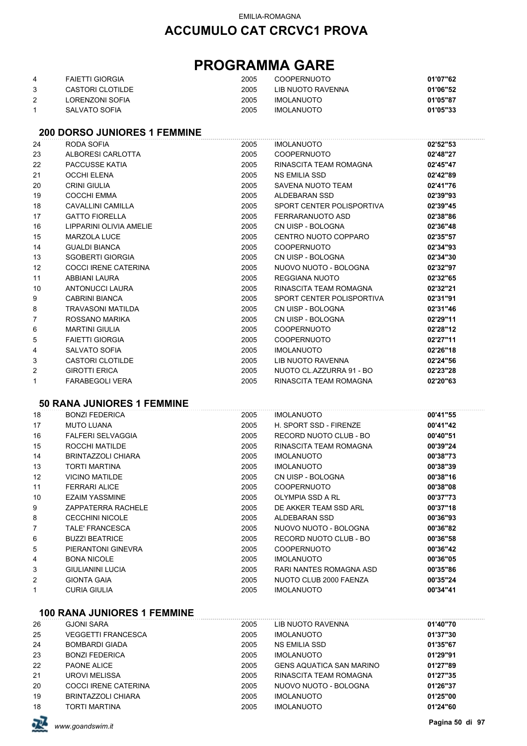## **PROGRAMMA GARE**

| 4 | <b>FAIETTI GIORGIA</b> | 2005 | <b>COOPERNUOTO</b> | 01'07"62 |
|---|------------------------|------|--------------------|----------|
|   | CASTORI CLOTILDE       | 2005 | LIB NUOTO RAVENNA  | 01'06"52 |
|   | LORENZONI SOFIA        | 2005 | <b>IMOLANUOTO</b>  | 01'05"87 |
|   | SALVATO SOFIA          | 2005 | <b>IMOLANUOTO</b>  | 01'05"33 |

#### **200 DORSO JUNIORES 1 FEMMINE**

| 24           | RODA SOFIA                  | 2005 | <b>IMOLANUOTO</b>         | 02'52"53 |
|--------------|-----------------------------|------|---------------------------|----------|
| 23           | ALBORESI CARLOTTA           | 2005 | COOPERNUOTO               | 02'48"27 |
| 22           | PACCUSSE KATIA              | 2005 | RINASCITA TEAM ROMAGNA    | 02'45"47 |
| 21           | OCCHI ELENA                 | 2005 | NS EMILIA SSD             | 02'42"89 |
| 20           | <b>CRINI GIULIA</b>         | 2005 | SAVENA NUOTO TEAM         | 02'41"76 |
| 19           | <b>COCCHI EMMA</b>          | 2005 | ALDEBARAN SSD             | 02'39"93 |
| 18           | CAVALLINI CAMILLA           | 2005 | SPORT CENTER POLISPORTIVA | 02'39"45 |
| 17           | <b>GATTO FIORELLA</b>       | 2005 | FERRARANUOTO ASD          | 02'38"86 |
| 16           | LIPPARINI OLIVIA AMELIE     | 2005 | CN UISP - BOLOGNA         | 02'36"48 |
| 15           | <b>MARZOLA LUCE</b>         | 2005 | CENTRO NUOTO COPPARO      | 02'35"57 |
| 14           | <b>GUALDI BIANCA</b>        | 2005 | COOPERNUOTO               | 02'34"93 |
| 13           | <b>SGOBERTI GIORGIA</b>     | 2005 | CN UISP - BOLOGNA         | 02'34"30 |
| 12           | <b>COCCI IRENE CATERINA</b> | 2005 | NUOVO NUOTO - BOLOGNA     | 02'32"97 |
| 11           | ABBIANI LAURA               | 2005 | REGGIANA NUOTO            | 02'32"65 |
| 10           | ANTONUCCI LAURA             | 2005 | RINASCITA TEAM ROMAGNA    | 02'32"21 |
| 9            | <b>CABRINI BIANCA</b>       | 2005 | SPORT CENTER POLISPORTIVA | 02'31"91 |
| 8            | TRAVASONI MATILDA           | 2005 | CN UISP - BOLOGNA         | 02'31"46 |
| 7            | ROSSANO MARIKA              | 2005 | CN UISP - BOLOGNA         | 02'29"11 |
| 6            | <b>MARTINI GIULIA</b>       | 2005 | <b>COOPERNUOTO</b>        | 02'28"12 |
| 5            | <b>FAIETTI GIORGIA</b>      | 2005 | COOPERNUOTO               | 02'27"11 |
| 4            | SALVATO SOFIA               | 2005 | IMOLANUOTO                | 02'26"18 |
| 3            | CASTORI CLOTILDE            | 2005 | LIB NUOTO RAVENNA         | 02'24"56 |
| 2            | <b>GIROTTI ERICA</b>        | 2005 | NUOTO CL.AZZURRA 91 - BO  | 02'23"28 |
| $\mathbf{1}$ | <b>FARABEGOLI VERA</b>      | 2005 | RINASCITA TEAM ROMAGNA    | 02'20"63 |
|              |                             |      |                           |          |

#### **50 RANA JUNIORES 1 FEMMINE**

| <b>BONZI FEDERICA</b>    | 2005 | <b>IMOLANUOTO</b>       | 00'41"55 |
|--------------------------|------|-------------------------|----------|
| <b>MUTO LUANA</b>        | 2005 | H. SPORT SSD - FIRENZE  | 00'41"42 |
| <b>FALFERI SELVAGGIA</b> | 2005 | RECORD NUOTO CLUB - BO  | 00'40"51 |
| ROCCHI MATILDE           | 2005 | RINASCITA TEAM ROMAGNA  | 00'39"24 |
| BRINTAZZOLI CHIARA       | 2005 | <b>IMOLANUOTO</b>       | 00'38"73 |
| TORTI MARTINA            | 2005 | <b>IMOLANUOTO</b>       | 00'38"39 |
| <b>VICINO MATILDE</b>    | 2005 | CN UISP - BOLOGNA       | 00'38"16 |
| <b>FERRARI ALICE</b>     | 2005 | <b>COOPERNUOTO</b>      | 00'38"08 |
| <b>EZAIM YASSMINE</b>    | 2005 | OLYMPIA SSD A RL        | 00'37"73 |
| ZAPPATERRA RACHELE       | 2005 | DE AKKER TEAM SSD ARL   | 00'37"18 |
| <b>CECCHINI NICOLE</b>   | 2005 | ALDEBARAN SSD           | 00'36"93 |
| TALE' FRANCESCA          | 2005 | NUOVO NUOTO - BOLOGNA   | 00'36"82 |
| <b>BUZZI BEATRICE</b>    | 2005 | RECORD NUOTO CLUB - BO  | 00'36"58 |
| PIERANTONI GINEVRA       | 2005 | <b>COOPERNUOTO</b>      | 00'36"42 |
| <b>BONA NICOLE</b>       | 2005 | <b>IMOLANUOTO</b>       | 00'36"05 |
| <b>GIULIANINI LUCIA</b>  | 2005 | RARI NANTES ROMAGNA ASD | 00'35"86 |
| <b>GIONTA GAIA</b>       | 2005 | NUOTO CLUB 2000 FAENZA  | 00'35"24 |
| <b>CURIA GIULIA</b>      | 2005 | <b>IMOLANUOTO</b>       | 00'34"41 |
|                          |      |                         |          |

#### **100 RANA JUNIORES 1 FEMMINE**

| 26 | <b>GJONI SARA</b>           | 2005 | LIB NUOTO RAVENNA               | 01'40"70 |
|----|-----------------------------|------|---------------------------------|----------|
| 25 | <b>VEGGETTI FRANCESCA</b>   | 2005 | <b>IMOLANUOTO</b>               | 01'37"30 |
| 24 | <b>BOMBARDI GIADA</b>       | 2005 | NS EMILIA SSD                   | 01'35"67 |
| 23 | <b>BONZI FEDERICA</b>       | 2005 | <b>IMOLANUOTO</b>               | 01'29"91 |
| 22 | PAONE ALICE                 | 2005 | <b>GENS AQUATICA SAN MARINO</b> | 01'27"89 |
| 21 | <b>UROVI MELISSA</b>        | 2005 | RINASCITA TEAM ROMAGNA          | 01'27"35 |
| 20 | <b>COCCI IRENE CATERINA</b> | 2005 | NUOVO NUOTO - BOLOGNA           | 01'26"37 |
| 19 | BRINTAZZOLI CHIARA          | 2005 | <b>IMOLANUOTO</b>               | 01'25"00 |
| 18 | TORTI MARTINA               | 2005 | <b>IMOLANUOTO</b>               | 01'24"60 |

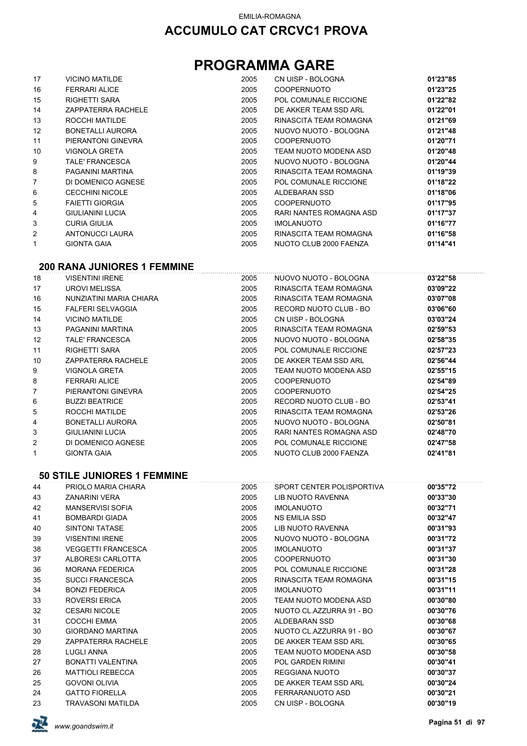# **PROGRAMMA GARE**

| 17 | <b>VICINO MATILDE</b>                      | 2005 | CN UISP - BOLOGNA       | 01'23"85 |
|----|--------------------------------------------|------|-------------------------|----------|
| 16 | <b>FERRARI ALICE</b>                       | 2005 | <b>COOPERNUOTO</b>      | 01'23"25 |
| 15 | <b>RIGHETTI SARA</b>                       | 2005 | POL COMUNALE RICCIONE   | 01'22"82 |
| 14 | <b>ZAPPATERRA RACHELE</b>                  | 2005 | DE AKKER TEAM SSD ARL   | 01'22"01 |
| 13 | ROCCHI MATILDE                             | 2005 | RINASCITA TEAM ROMAGNA  | 01'21"69 |
| 12 | <b>BONETALLI AURORA</b>                    | 2005 | NUOVO NUOTO - BOLOGNA   | 01'21"48 |
| 11 | PIERANTONI GINEVRA                         | 2005 | <b>COOPERNUOTO</b>      | 01'20"71 |
| 10 | VIGNOLA GRETA                              | 2005 | TEAM NUOTO MODENA ASD   | 01'20"48 |
| 9  | TALE' FRANCESCA                            | 2005 | NUOVO NUOTO - BOLOGNA   | 01'20"44 |
| 8  | PAGANINI MARTINA                           | 2005 | RINASCITA TEAM ROMAGNA  | 01'19"39 |
| 7  | DI DOMENICO AGNESE                         | 2005 | POL COMUNALE RICCIONE   | 01'18"22 |
| 6  | <b>CECCHINI NICOLE</b>                     | 2005 | ALDEBARAN SSD           | 01'18"06 |
| 5  | <b>FAIETTI GIORGIA</b>                     | 2005 | <b>COOPERNUOTO</b>      | 01'17"95 |
| 4  | <b>GIULIANINI LUCIA</b>                    | 2005 | RARI NANTES ROMAGNA ASD | 01'17"37 |
| 3  | <b>CURIA GIULIA</b>                        | 2005 | <b>IMOLANUOTO</b>       | 01'16"77 |
| 2  | ANTONUCCI LAURA                            | 2005 | RINASCITA TEAM ROMAGNA  | 01'16"58 |
| 1  | <b>GIONTA GAIA</b>                         | 2005 | NUOTO CLUB 2000 FAENZA  | 01'14"41 |
|    |                                            |      |                         |          |
|    | --- - ---- ----- <del>---</del> - -------- |      |                         |          |

# **200 RANA JUNIORES 1 FEMMINE**

| 18 | <b>VISENTINI IRENE</b>   | 2005 | NUOVO NUOTO - BOLOGNA   | 03'22"58 |
|----|--------------------------|------|-------------------------|----------|
| 17 | <b>UROVI MELISSA</b>     | 2005 | RINASCITA TEAM ROMAGNA  | 03'09"22 |
| 16 | NUNZIATINI MARIA CHIARA  | 2005 | RINASCITA TEAM ROMAGNA  | 03'07"08 |
| 15 | <b>FALFERI SELVAGGIA</b> | 2005 | RECORD NUOTO CLUB - BO  | 03'06"60 |
| 14 | <b>VICINO MATILDE</b>    | 2005 | CN UISP - BOLOGNA       | 03'03"24 |
| 13 | PAGANINI MARTINA         | 2005 | RINASCITA TEAM ROMAGNA  | 02'59"53 |
| 12 | TALE' FRANCESCA          | 2005 | NUOVO NUOTO - BOLOGNA   | 02'58"35 |
| 11 | <b>RIGHETTI SARA</b>     | 2005 | POL COMUNALE RICCIONE   | 02'57"23 |
| 10 | ZAPPATERRA RACHELE       | 2005 | DE AKKER TEAM SSD ARL   | 02'56"44 |
| 9  | VIGNOLA GRETA            | 2005 | TEAM NUOTO MODENA ASD   | 02'55"15 |
| 8  | <b>FERRARI ALICE</b>     | 2005 | <b>COOPERNUOTO</b>      | 02'54"89 |
| 7  | PIERANTONI GINEVRA       | 2005 | <b>COOPERNUOTO</b>      | 02'54"25 |
| 6  | <b>BUZZI BEATRICE</b>    | 2005 | RECORD NUOTO CLUB - BO  | 02'53"41 |
| 5  | ROCCHI MATILDE           | 2005 | RINASCITA TEAM ROMAGNA  | 02'53"26 |
| 4  | BONETALLI AURORA         | 2005 | NUOVO NUOTO - BOLOGNA   | 02'50"81 |
| 3  | GIULIANINI LUCIA         | 2005 | RARI NANTES ROMAGNA ASD | 02'48"70 |
| 2  | DI DOMENICO AGNESE       | 2005 | POL COMUNALE RICCIONE   | 02'47"58 |
| 1  | <b>GIONTA GAIA</b>       | 2005 | NUOTO CLUB 2000 FAENZA  | 02'41"81 |
|    |                          |      |                         |          |

#### **50 STILE JUNIORES 1 FEMMINE**

| 44 | PRIOLO MARIA CHIARA       | 2005 | SPORT CENTER POLISPORTIVA | 00'35"72 |
|----|---------------------------|------|---------------------------|----------|
| 43 | <b>ZANARINI VERA</b>      | 2005 | LIB NUOTO RAVENNA         | 00'33"30 |
| 42 | <b>MANSERVISI SOFIA</b>   | 2005 | <b>IMOLANUOTO</b>         | 00'32"71 |
| 41 | <b>BOMBARDI GIADA</b>     | 2005 | NS EMILIA SSD             | 00'32"47 |
| 40 | <b>SINTONI TATASE</b>     | 2005 | LIB NUOTO RAVENNA         | 00'31"93 |
| 39 | <b>VISENTINI IRENE</b>    | 2005 | NUOVO NUOTO - BOLOGNA     | 00'31"72 |
| 38 | <b>VEGGETTI FRANCESCA</b> | 2005 | <b>IMOLANUOTO</b>         | 00'31"37 |
| 37 | ALBORESI CARLOTTA         | 2005 | <b>COOPERNUOTO</b>        | 00'31"30 |
| 36 | <b>MORANA FEDERICA</b>    | 2005 | POL COMUNALE RICCIONE     | 00'31"28 |
| 35 | <b>SUCCI FRANCESCA</b>    | 2005 | RINASCITA TEAM ROMAGNA    | 00'31"15 |
| 34 | <b>BONZI FEDERICA</b>     | 2005 | <b>IMOLANUOTO</b>         | 00'31"11 |
| 33 | ROVERSI ERICA             | 2005 | TEAM NUOTO MODENA ASD     | 00'30"80 |
| 32 | <b>CESARI NICOLE</b>      | 2005 | NUOTO CL.AZZURRA 91 - BO  | 00'30"76 |
| 31 | COCCHI EMMA               | 2005 | ALDEBARAN SSD             | 00'30"68 |
| 30 | <b>GIORDANO MARTINA</b>   | 2005 | NUOTO CL.AZZURRA 91 - BO  | 00'30"67 |
| 29 | ZAPPATERRA RACHELE        | 2005 | DE AKKER TEAM SSD ARL     | 00'30"65 |
| 28 | LUGLI ANNA                | 2005 | TEAM NUOTO MODENA ASD     | 00'30"58 |
| 27 | BONATTI VALENTINA         | 2005 | POL GARDEN RIMINI         | 00'30"41 |
| 26 | <b>MATTIOLI REBECCA</b>   | 2005 | REGGIANA NUOTO            | 00'30"37 |
| 25 | <b>GOVONI OLIVIA</b>      | 2005 | DE AKKER TEAM SSD ARL     | 00'30"24 |
| 24 | <b>GATTO FIORELLA</b>     | 2005 | FERRARANUOTO ASD          | 00'30"21 |
| 23 | <b>TRAVASONI MATILDA</b>  | 2005 | CN UISP - BOLOGNA         | 00'30"19 |
|    |                           |      |                           |          |

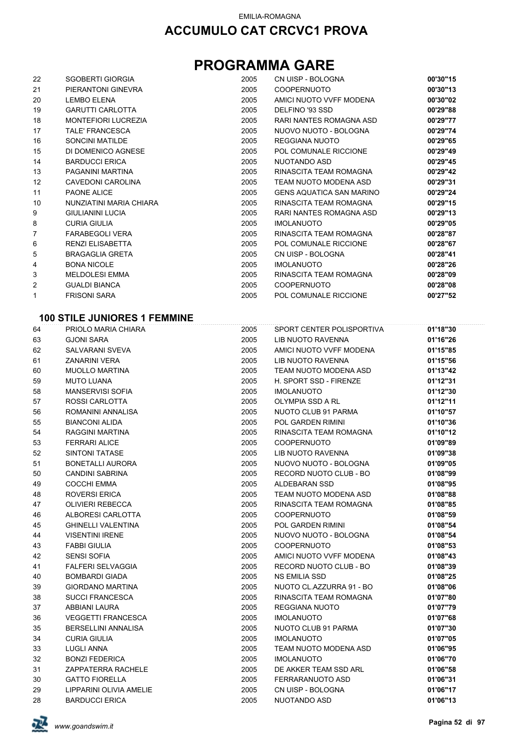## **PROGRAMMA GARE**

| 22             | <b>SGOBERTI GIORGIA</b> | 2005 | CN UISP - BOLOGNA               | 00'30"15 |
|----------------|-------------------------|------|---------------------------------|----------|
| 21             | PIERANTONI GINEVRA      | 2005 | <b>COOPERNUOTO</b>              | 00'30"13 |
| 20             | <b>LEMBO ELENA</b>      | 2005 | AMICI NUOTO VVFF MODENA         | 00'30"02 |
| 19             | <b>GARUTTI CARLOTTA</b> | 2005 | DELFINO '93 SSD                 | 00'29"88 |
| 18             | MONTEFIORI LUCREZIA     | 2005 | RARI NANTES ROMAGNA ASD         | 00'29"77 |
| 17             | TALE' FRANCESCA         | 2005 | NUOVO NUOTO - BOLOGNA           | 00'29"74 |
| 16             | <b>SONCINI MATILDE</b>  | 2005 | <b>REGGIANA NUOTO</b>           | 00'29"65 |
| 15             | DI DOMENICO AGNESE      | 2005 | POL COMUNALE RICCIONE           | 00'29"49 |
| 14             | <b>BARDUCCI ERICA</b>   | 2005 | NUOTANDO ASD                    | 00'29"45 |
| 13             | PAGANINI MARTINA        | 2005 | RINASCITA TEAM ROMAGNA          | 00'29"42 |
| 12             | CAVEDONI CAROLINA       | 2005 | TEAM NUOTO MODENA ASD           | 00'29"31 |
| 11             | <b>PAONE ALICE</b>      | 2005 | <b>GENS AQUATICA SAN MARINO</b> | 00'29"24 |
| 10             | NUNZIATINI MARIA CHIARA | 2005 | RINASCITA TEAM ROMAGNA          | 00'29"15 |
| 9              | <b>GIULIANINI LUCIA</b> | 2005 | RARI NANTES ROMAGNA ASD         | 00'29"13 |
| 8              | <b>CURIA GIULIA</b>     | 2005 | <b>IMOLANUOTO</b>               | 00'29"05 |
| $\overline{7}$ | <b>FARABEGOLI VERA</b>  | 2005 | RINASCITA TEAM ROMAGNA          | 00'28"87 |
| 6              | <b>RENZI ELISABETTA</b> | 2005 | POL COMUNALE RICCIONE           | 00'28"67 |
| 5              | <b>BRAGAGLIA GRETA</b>  | 2005 | CN UISP - BOLOGNA               | 00'28"41 |
| 4              | <b>BONA NICOLE</b>      | 2005 | <b>IMOLANUOTO</b>               | 00'28"26 |
| 3              | <b>MELDOLESI EMMA</b>   | 2005 | RINASCITA TEAM ROMAGNA          | 00'28"09 |
| 2              | <b>GUALDI BIANCA</b>    | 2005 | <b>COOPERNUOTO</b>              | 00'28"08 |
| 1              | <b>FRISONI SARA</b>     | 2005 | POL COMUNALE RICCIONE           | 00'27"52 |

### **100 STILE JUNIORES 1 FEMMINE**

| 64 | PRIOLO MARIA CHIARA        | 2005 | SPORT CENTER POLISPORTIVA | 01'18"30 |
|----|----------------------------|------|---------------------------|----------|
| 63 | <b>GJONI SARA</b>          | 2005 | LIB NUOTO RAVENNA         | 01'16"26 |
| 62 | <b>SALVARANI SVEVA</b>     | 2005 | AMICI NUOTO VVFF MODENA   | 01'15"85 |
| 61 | <b>ZANARINI VERA</b>       | 2005 | LIB NUOTO RAVENNA         | 01'15"56 |
| 60 | <b>MUOLLO MARTINA</b>      | 2005 | TEAM NUOTO MODENA ASD     | 01'13"42 |
| 59 | <b>MUTO LUANA</b>          | 2005 | H. SPORT SSD - FIRENZE    | 01'12"31 |
| 58 | <b>MANSERVISI SOFIA</b>    | 2005 | <b>IMOLANUOTO</b>         | 01'12"30 |
| 57 | ROSSI CARLOTTA             | 2005 | OLYMPIA SSD A RL          | 01'12"11 |
| 56 | ROMANINI ANNALISA          | 2005 | NUOTO CLUB 91 PARMA       | 01'10"57 |
| 55 | <b>BIANCONI ALIDA</b>      | 2005 | <b>POL GARDEN RIMINI</b>  | 01'10"36 |
| 54 | RAGGINI MARTINA            | 2005 | RINASCITA TEAM ROMAGNA    | 01'10"12 |
| 53 | <b>FERRARI ALICE</b>       | 2005 | <b>COOPERNUOTO</b>        | 01'09"89 |
| 52 | <b>SINTONI TATASE</b>      | 2005 | LIB NUOTO RAVENNA         | 01'09"38 |
| 51 | <b>BONETALLI AURORA</b>    | 2005 | NUOVO NUOTO - BOLOGNA     | 01'09"05 |
| 50 | <b>CANDINI SABRINA</b>     | 2005 | RECORD NUOTO CLUB - BO    | 01'08"99 |
| 49 | <b>COCCHI EMMA</b>         | 2005 | <b>ALDEBARAN SSD</b>      | 01'08"95 |
| 48 | <b>ROVERSI ERICA</b>       | 2005 | TEAM NUOTO MODENA ASD     | 01'08"88 |
| 47 | <b>OLIVIERI REBECCA</b>    | 2005 | RINASCITA TEAM ROMAGNA    | 01'08"85 |
| 46 | ALBORESI CARLOTTA          | 2005 | <b>COOPERNUOTO</b>        | 01'08"59 |
| 45 | <b>GHINELLI VALENTINA</b>  | 2005 | <b>POL GARDEN RIMINI</b>  | 01'08"54 |
| 44 | <b>VISENTINI IRENE</b>     | 2005 | NUOVO NUOTO - BOLOGNA     | 01'08"54 |
| 43 | <b>FABBI GIULIA</b>        | 2005 | <b>COOPERNUOTO</b>        | 01'08"53 |
| 42 | <b>SENSI SOFIA</b>         | 2005 | AMICI NUOTO VVFF MODENA   | 01'08"43 |
| 41 | <b>FALFERI SELVAGGIA</b>   | 2005 | RECORD NUOTO CLUB - BO    | 01'08"39 |
| 40 | <b>BOMBARDI GIADA</b>      | 2005 | <b>NS EMILIA SSD</b>      | 01'08"25 |
| 39 | <b>GIORDANO MARTINA</b>    | 2005 | NUOTO CL.AZZURRA 91 - BO  | 01'08"06 |
| 38 | <b>SUCCI FRANCESCA</b>     | 2005 | RINASCITA TEAM ROMAGNA    | 01'07"80 |
| 37 | ABBIANI LAURA              | 2005 | <b>REGGIANA NUOTO</b>     | 01'07"79 |
| 36 | <b>VEGGETTI FRANCESCA</b>  | 2005 | <b>IMOLANUOTO</b>         | 01'07"68 |
| 35 | <b>BERSELLINI ANNALISA</b> | 2005 | NUOTO CLUB 91 PARMA       | 01'07"30 |
| 34 | <b>CURIA GIULIA</b>        | 2005 | <b>IMOLANUOTO</b>         | 01'07"05 |
| 33 | <b>LUGLI ANNA</b>          | 2005 | TEAM NUOTO MODENA ASD     | 01'06"95 |
| 32 | <b>BONZI FEDERICA</b>      | 2005 | <b>IMOLANUOTO</b>         | 01'06"70 |
| 31 | ZAPPATERRA RACHELE         | 2005 | DE AKKER TEAM SSD ARL     | 01'06"58 |
| 30 | <b>GATTO FIORELLA</b>      | 2005 | FERRARANUOTO ASD          | 01'06"31 |
| 29 | LIPPARINI OLIVIA AMELIE    | 2005 | CN UISP - BOLOGNA         | 01'06"17 |
| 28 | <b>BARDUCCI ERICA</b>      | 2005 | NUOTANDO ASD              | 01'06"13 |

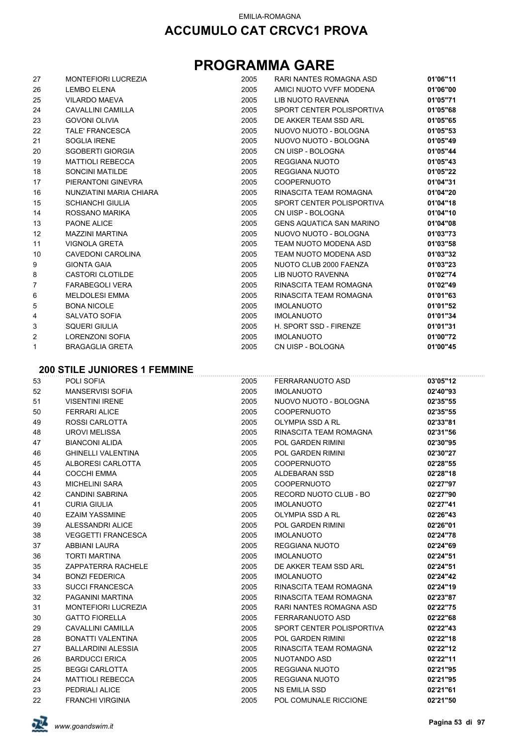## **PROGRAMMA GARE**

| 27             | <b>MONTEFIORI LUCREZIA</b> | 2005 | RARI NANTES ROMAGNA ASD         | 01'06"11 |
|----------------|----------------------------|------|---------------------------------|----------|
| 26             | <b>LEMBO ELENA</b>         | 2005 | AMICI NUOTO VVFF MODENA         | 01'06"00 |
| 25             | <b>VILARDO MAEVA</b>       | 2005 | LIB NUOTO RAVENNA               | 01'05"71 |
| 24             | CAVALLINI CAMILLA          | 2005 | SPORT CENTER POLISPORTIVA       | 01'05"68 |
| 23             | <b>GOVONI OLIVIA</b>       | 2005 | DE AKKER TEAM SSD ARL           | 01'05"65 |
| 22             | TALE' FRANCESCA            | 2005 | NUOVO NUOTO - BOLOGNA           | 01'05"53 |
| 21             | <b>SOGLIA IRENE</b>        | 2005 | NUOVO NUOTO - BOLOGNA           | 01'05"49 |
| 20             | <b>SGOBERTI GIORGIA</b>    | 2005 | CN UISP - BOLOGNA               | 01'05"44 |
| 19             | <b>MATTIOLI REBECCA</b>    | 2005 | REGGIANA NUOTO                  | 01'05"43 |
| 18             | SONCINI MATILDE            | 2005 | <b>REGGIANA NUOTO</b>           | 01'05"22 |
| 17             | PIERANTONI GINEVRA         | 2005 | <b>COOPERNUOTO</b>              | 01'04"31 |
| 16             | NUNZIATINI MARIA CHIARA    | 2005 | RINASCITA TEAM ROMAGNA          | 01'04"20 |
| 15             | <b>SCHIANCHI GIULIA</b>    | 2005 | SPORT CENTER POLISPORTIVA       | 01'04"18 |
| 14             | ROSSANO MARIKA             | 2005 | CN UISP - BOLOGNA               | 01'04"10 |
| 13             | <b>PAONE ALICE</b>         | 2005 | <b>GENS AQUATICA SAN MARINO</b> | 01'04"08 |
| 12             | MAZZINI MARTINA            | 2005 | NUOVO NUOTO - BOLOGNA           | 01'03"73 |
| 11             | VIGNOLA GRETA              | 2005 | TEAM NUOTO MODENA ASD           | 01'03"58 |
| 10             | <b>CAVEDONI CAROLINA</b>   | 2005 | TEAM NUOTO MODENA ASD           | 01'03"32 |
| 9              | <b>GIONTA GAIA</b>         | 2005 | NUOTO CLUB 2000 FAENZA          | 01'03"23 |
| 8              | <b>CASTORI CLOTILDE</b>    | 2005 | LIB NUOTO RAVENNA               | 01'02"74 |
| $\overline{7}$ | <b>FARABEGOLI VERA</b>     | 2005 | RINASCITA TEAM ROMAGNA          | 01'02"49 |
| 6              | <b>MELDOLESI EMMA</b>      | 2005 | RINASCITA TEAM ROMAGNA          | 01'01"63 |
| 5              | <b>BONA NICOLE</b>         | 2005 | <b>IMOLANUOTO</b>               | 01'01"52 |
| 4              | SALVATO SOFIA              | 2005 | <b>IMOLANUOTO</b>               | 01'01"34 |
| 3              | <b>SQUERI GIULIA</b>       | 2005 | H. SPORT SSD - FIRENZE          | 01'01"31 |
| $\overline{2}$ | LORENZONI SOFIA            | 2005 | <b>IMOLANUOTO</b>               | 01'00"72 |
| 1              | <b>BRAGAGLIA GRETA</b>     | 2005 | CN UISP - BOLOGNA               | 01'00"45 |

#### **200 STILE JUNIORES 1 FEMMINE**

| 53 | POLI SOFIA                 | 2005 | FERRARANUOTO ASD          | 03'05"12 |
|----|----------------------------|------|---------------------------|----------|
| 52 | <b>MANSERVISI SOFIA</b>    | 2005 | <b>IMOLANUOTO</b>         | 02'40"93 |
| 51 | <b>VISENTINI IRENE</b>     | 2005 | NUOVO NUOTO - BOLOGNA     | 02'35"55 |
| 50 | <b>FERRARI ALICE</b>       | 2005 | <b>COOPERNUOTO</b>        | 02'35"55 |
| 49 | <b>ROSSI CARLOTTA</b>      | 2005 | OLYMPIA SSD A RL          | 02'33"81 |
| 48 | <b>UROVI MELISSA</b>       | 2005 | RINASCITA TEAM ROMAGNA    | 02'31"56 |
| 47 | <b>BIANCONI ALIDA</b>      | 2005 | <b>POL GARDEN RIMINI</b>  | 02'30"95 |
| 46 | <b>GHINELLI VALENTINA</b>  | 2005 | <b>POL GARDEN RIMINI</b>  | 02'30"27 |
| 45 | ALBORESI CARLOTTA          | 2005 | <b>COOPERNUOTO</b>        | 02'28"55 |
| 44 | <b>COCCHI EMMA</b>         | 2005 | ALDEBARAN SSD             | 02'28"18 |
| 43 | <b>MICHELINI SARA</b>      | 2005 | <b>COOPERNUOTO</b>        | 02'27"97 |
| 42 | <b>CANDINI SABRINA</b>     | 2005 | RECORD NUOTO CLUB - BO    | 02'27"90 |
| 41 | <b>CURIA GIULIA</b>        | 2005 | <b>IMOLANUOTO</b>         | 02'27"41 |
| 40 | <b>EZAIM YASSMINE</b>      | 2005 | OLYMPIA SSD A RL          | 02'26"43 |
| 39 | ALESSANDRI ALICE           | 2005 | POL GARDEN RIMINI         | 02'26"01 |
| 38 | <b>VEGGETTI FRANCESCA</b>  | 2005 | <b>IMOLANUOTO</b>         | 02'24"78 |
| 37 | ABBIANI LAURA              | 2005 | <b>REGGIANA NUOTO</b>     | 02'24"69 |
| 36 | <b>TORTI MARTINA</b>       | 2005 | <b>IMOLANUOTO</b>         | 02'24"51 |
| 35 | ZAPPATERRA RACHELE         | 2005 | DE AKKER TEAM SSD ARL     | 02'24"51 |
| 34 | <b>BONZI FEDERICA</b>      | 2005 | <b>IMOLANUOTO</b>         | 02'24"42 |
| 33 | <b>SUCCI FRANCESCA</b>     | 2005 | RINASCITA TEAM ROMAGNA    | 02'24"19 |
| 32 | PAGANINI MARTINA           | 2005 | RINASCITA TEAM ROMAGNA    | 02'23"87 |
| 31 | <b>MONTEFIORI LUCREZIA</b> | 2005 | RARI NANTES ROMAGNA ASD   | 02'22"75 |
| 30 | <b>GATTO FIORELLA</b>      | 2005 | FERRARANUOTO ASD          | 02'22"68 |
| 29 | <b>CAVALLINI CAMILLA</b>   | 2005 | SPORT CENTER POLISPORTIVA | 02'22"43 |
| 28 | BONATTI VALENTINA          | 2005 | POL GARDEN RIMINI         | 02'22"18 |
| 27 | <b>BALLARDINI ALESSIA</b>  | 2005 | RINASCITA TEAM ROMAGNA    | 02'22"12 |
| 26 | <b>BARDUCCI ERICA</b>      | 2005 | NUOTANDO ASD              | 02'22"11 |
| 25 | <b>BEGGI CARLOTTA</b>      | 2005 | REGGIANA NUOTO            | 02'21"95 |
| 24 | <b>MATTIOLI REBECCA</b>    | 2005 | <b>REGGIANA NUOTO</b>     | 02'21"95 |
| 23 | PEDRIALI ALICE             | 2005 | <b>NS EMILIA SSD</b>      | 02'21"61 |
| 22 | <b>FRANCHI VIRGINIA</b>    | 2005 | POL COMUNALE RICCIONE     | 02'21"50 |

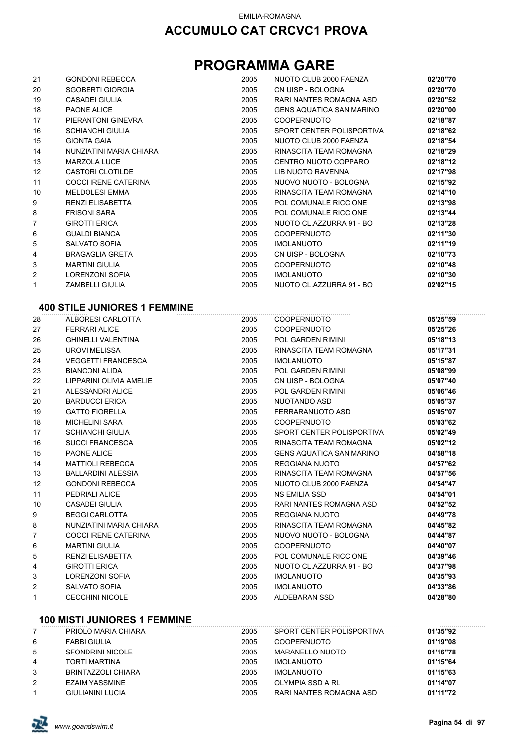## **PROGRAMMA GARE**

| 21             | <b>GONDONI REBECCA</b>      | 2005 | NUOTO CLUB 2000 FAENZA          | 02'20"70 |
|----------------|-----------------------------|------|---------------------------------|----------|
| 20             | <b>SGOBERTI GIORGIA</b>     | 2005 | CN UISP - BOLOGNA               | 02'20"70 |
| 19             | <b>CASADEI GIULIA</b>       | 2005 | RARI NANTES ROMAGNA ASD         | 02'20"52 |
| 18             | PAONE ALICE                 | 2005 | <b>GENS AQUATICA SAN MARINO</b> | 02'20"00 |
| 17             | PIERANTONI GINEVRA          | 2005 | <b>COOPERNUOTO</b>              | 02'18"87 |
| 16             | <b>SCHIANCHI GIULIA</b>     | 2005 | SPORT CENTER POLISPORTIVA       | 02'18"62 |
| 15             | <b>GIONTA GAIA</b>          | 2005 | NUOTO CLUB 2000 FAENZA          | 02'18"54 |
| 14             | NUNZIATINI MARIA CHIARA     | 2005 | RINASCITA TEAM ROMAGNA          | 02'18"29 |
| 13             | <b>MARZOLA LUCE</b>         | 2005 | CENTRO NUOTO COPPARO            | 02'18"12 |
| 12             | CASTORI CLOTILDE            | 2005 | LIB NUOTO RAVENNA               | 02'17"98 |
| 11             | <b>COCCI IRENE CATERINA</b> | 2005 | NUOVO NUOTO - BOLOGNA           | 02'15"92 |
| 10             | <b>MELDOLESI EMMA</b>       | 2005 | RINASCITA TEAM ROMAGNA          | 02'14"10 |
| 9              | <b>RENZI ELISABETTA</b>     | 2005 | POL COMUNALE RICCIONE           | 02'13"98 |
| 8              | <b>FRISONI SARA</b>         | 2005 | POL COMUNALE RICCIONE           | 02'13"44 |
| $\overline{7}$ | <b>GIROTTI ERICA</b>        | 2005 | NUOTO CL.AZZURRA 91 - BO        | 02'13"28 |
| 6              | <b>GUALDI BIANCA</b>        | 2005 | <b>COOPERNUOTO</b>              | 02'11"30 |
| 5              | SALVATO SOFIA               | 2005 | <b>IMOLANUOTO</b>               | 02'11"19 |
| 4              | <b>BRAGAGLIA GRETA</b>      | 2005 | CN UISP - BOLOGNA               | 02'10"73 |
| 3              | <b>MARTINI GIULIA</b>       | 2005 | <b>COOPERNUOTO</b>              | 02'10"48 |
| 2              | LORENZONI SOFIA             | 2005 | <b>IMOLANUOTO</b>               | 02'10"30 |
| $\mathbf{1}$   | <b>ZAMBELLI GIULIA</b>      | 2005 | NUOTO CL.AZZURRA 91 - BO        | 02'02"15 |

### **400 STILE JUNIORES 1 FEMMINE**

| 28 | ALBORESI CARLOTTA           | 2005 | <b>COOPERNUOTO</b>              | 05'25"59 |
|----|-----------------------------|------|---------------------------------|----------|
| 27 | <b>FERRARI ALICE</b>        | 2005 | <b>COOPERNUOTO</b>              | 05'25"26 |
| 26 | <b>GHINELLI VALENTINA</b>   | 2005 | POL GARDEN RIMINI               | 05'18"13 |
| 25 | <b>UROVI MELISSA</b>        | 2005 | RINASCITA TEAM ROMAGNA          | 05'17"31 |
| 24 | <b>VEGGETTI FRANCESCA</b>   | 2005 | <b>IMOLANUOTO</b>               | 05'15"87 |
| 23 | <b>BIANCONI ALIDA</b>       | 2005 | POL GARDEN RIMINI               | 05'08"99 |
| 22 | LIPPARINI OLIVIA AMELIE     | 2005 | CN UISP - BOLOGNA               | 05'07"40 |
| 21 | ALESSANDRI ALICE            | 2005 | POL GARDEN RIMINI               | 05'06"46 |
| 20 | <b>BARDUCCI ERICA</b>       | 2005 | NUOTANDO ASD                    | 05'05"37 |
| 19 | <b>GATTO FIORELLA</b>       | 2005 | FERRARANUOTO ASD                | 05'05"07 |
| 18 | <b>MICHELINI SARA</b>       | 2005 | <b>COOPERNUOTO</b>              | 05'03"62 |
| 17 | <b>SCHIANCHI GIULIA</b>     | 2005 | SPORT CENTER POLISPORTIVA       | 05'02"49 |
| 16 | <b>SUCCI FRANCESCA</b>      | 2005 | RINASCITA TEAM ROMAGNA          | 05'02"12 |
| 15 | <b>PAONE ALICE</b>          | 2005 | <b>GENS AQUATICA SAN MARINO</b> | 04'58"18 |
| 14 | <b>MATTIOLI REBECCA</b>     | 2005 | REGGIANA NUOTO                  | 04'57"62 |
| 13 | <b>BALLARDINI ALESSIA</b>   | 2005 | RINASCITA TEAM ROMAGNA          | 04'57"56 |
| 12 | <b>GONDONI REBECCA</b>      | 2005 | NUOTO CLUB 2000 FAENZA          | 04'54"47 |
| 11 | PEDRIALI ALICE              | 2005 | <b>NS EMILIA SSD</b>            | 04'54"01 |
| 10 | <b>CASADEI GIULIA</b>       | 2005 | RARI NANTES ROMAGNA ASD         | 04'52"52 |
| 9  | <b>BEGGI CARLOTTA</b>       | 2005 | REGGIANA NUOTO                  | 04'49"78 |
| 8  | NUNZIATINI MARIA CHIARA     | 2005 | RINASCITA TEAM ROMAGNA          | 04'45"82 |
| 7  | <b>COCCI IRENE CATERINA</b> | 2005 | NUOVO NUOTO - BOLOGNA           | 04'44"87 |
| 6  | <b>MARTINI GIULIA</b>       | 2005 | <b>COOPERNUOTO</b>              | 04'40"07 |
| 5  | <b>RENZI ELISABETTA</b>     | 2005 | POL COMUNALE RICCIONE           | 04'39"46 |
| 4  | <b>GIROTTI ERICA</b>        | 2005 | NUOTO CL.AZZURRA 91 - BO        | 04'37"98 |
| 3  | <b>LORENZONI SOFIA</b>      | 2005 | <b>IMOLANUOTO</b>               | 04'35"93 |
| 2  | <b>SALVATO SOFIA</b>        | 2005 | <b>IMOLANUOTO</b>               | 04'33"86 |
| 1  | <b>CECCHINI NICOLE</b>      | 2005 | ALDEBARAN SSD                   | 04'28"80 |
|    |                             |      |                                 |          |

#### **100 MISTI JUNIORES 1 FEMMINE**

|   | PRIOLO MARIA CHIARA     | 2005 | SPORT CENTER POLISPORTIVA | 01'35"92 |
|---|-------------------------|------|---------------------------|----------|
| 6 | <b>FABBI GIULIA</b>     | 2005 | <b>COOPERNUOTO</b>        | 01'19"08 |
| 5 | <b>SFONDRINI NICOLE</b> | 2005 | MARANELLO NUOTO           | 01'16"78 |
| 4 | <b>TORTI MARTINA</b>    | 2005 | <b>IMOLANUOTO</b>         | 01'15"64 |
| 3 | BRINTAZZOLI CHIARA      | 2005 | <b>IMOLANUOTO</b>         | 01'15"63 |
| 2 | <b>EZAIM YASSMINE</b>   | 2005 | OLYMPIA SSD A RL          | 01'14"07 |
|   | <b>GIULIANINI LUCIA</b> | 2005 | RARI NANTES ROMAGNA ASD   | 01'11"72 |

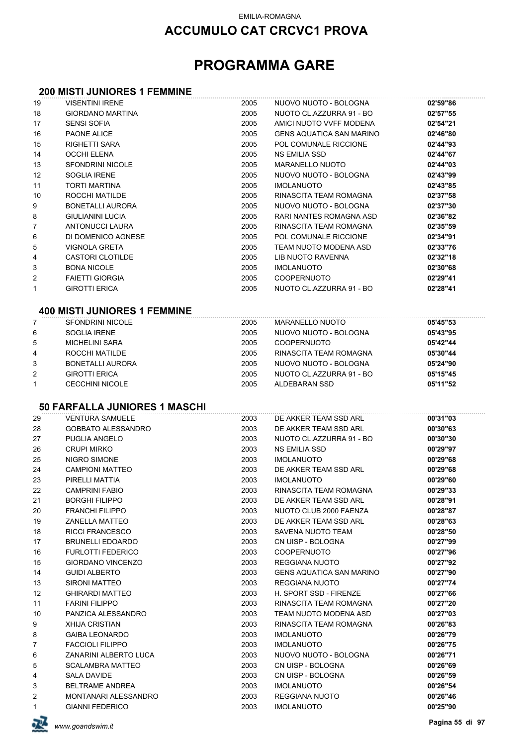## **PROGRAMMA GARE**

#### **200 MISTI JUNIORES 1 FEMMINE**

| 19     | <b>VISENTINI IRENE</b>                           | 2005         | NUOVO NUOTO - BOLOGNA                  | 02'59"86             |
|--------|--------------------------------------------------|--------------|----------------------------------------|----------------------|
| 18     | <b>GIORDANO MARTINA</b>                          | 2005         | NUOTO CL.AZZURRA 91 - BO               | 02'57"55             |
| 17     | <b>SENSI SOFIA</b>                               | 2005         | AMICI NUOTO VVFF MODENA                | 02'54"21             |
| 16     | PAONE ALICE                                      | 2005         | <b>GENS AQUATICA SAN MARINO</b>        | 02'46"80             |
| 15     | RIGHETTI SARA                                    | 2005         | POL COMUNALE RICCIONE                  | 02'44"93             |
| 14     | <b>OCCHI ELENA</b>                               | 2005         | <b>NS EMILIA SSD</b>                   | 02'44"67             |
| 13     | <b>SFONDRINI NICOLE</b>                          | 2005         | <b>MARANELLO NUOTO</b>                 | 02'44"03             |
| 12     | <b>SOGLIA IRENE</b>                              | 2005         | NUOVO NUOTO - BOLOGNA                  | 02'43"99             |
| 11     | <b>TORTI MARTINA</b>                             | 2005         | <b>IMOLANUOTO</b>                      | 02'43"85             |
| 10     | ROCCHI MATILDE                                   | 2005         | RINASCITA TEAM ROMAGNA                 | 02'37"58             |
| 9      | <b>BONETALLI AURORA</b>                          | 2005         | NUOVO NUOTO - BOLOGNA                  | 02'37"30             |
| 8      | <b>GIULIANINI LUCIA</b>                          | 2005         | <b>RARI NANTES ROMAGNA ASD</b>         | 02'36"82             |
| 7      | ANTONUCCI LAURA                                  | 2005         | RINASCITA TEAM ROMAGNA                 | 02'35"59             |
| 6      | DI DOMENICO AGNESE                               | 2005         | POL COMUNALE RICCIONE                  | 02'34"91             |
| 5      | <b>VIGNOLA GRETA</b>                             | 2005         | TEAM NUOTO MODENA ASD                  | 02'33"76             |
| 4      | CASTORI CLOTILDE                                 | 2005         | LIB NUOTO RAVENNA                      | 02'32"18             |
| 3      | <b>BONA NICOLE</b>                               | 2005         | <b>IMOLANUOTO</b>                      | 02'30"68             |
| 2      | <b>FAIETTI GIORGIA</b>                           | 2005         | <b>COOPERNUOTO</b>                     | 02'29"41             |
| 1      | <b>GIROTTI ERICA</b>                             | 2005         | NUOTO CL.AZZURRA 91 - BO               | 02'28"41             |
|        | <b>400 MISTI JUNIORES 1 FEMMINE</b>              |              |                                        |                      |
| 7      | <b>SFONDRINI NICOLE</b>                          | 2005         | <b>MARANELLO NUOTO</b>                 | 05'45"53             |
| 6      | <b>SOGLIA IRENE</b>                              | 2005         | NUOVO NUOTO - BOLOGNA                  | 05'43"95             |
| 5      | <b>MICHELINI SARA</b>                            | 2005         | <b>COOPERNUOTO</b>                     | 05'42"44             |
| 4      | ROCCHI MATILDE                                   | 2005         | RINASCITA TEAM ROMAGNA                 | 05'30"44             |
| 3      | <b>BONETALLI AURORA</b>                          | 2005         | NUOVO NUOTO - BOLOGNA                  | 05'24"90             |
| 2      | <b>GIROTTI ERICA</b>                             | 2005         | NUOTO CL.AZZURRA 91 - BO               | 05'15"45             |
| 1      | <b>CECCHINI NICOLE</b>                           | 2005         | ALDEBARAN SSD                          | 05'11"52             |
|        |                                                  |              |                                        |                      |
|        | 50 FARFALLA JUNIORES 1 MASCHI                    |              |                                        |                      |
| 29     | <b>VENTURA SAMUELE</b>                           | 2003         | DE AKKER TEAM SSD ARL                  | 00'31"03             |
| 28     | <b>GOBBATO ALESSANDRO</b>                        | 2003         | DE AKKER TEAM SSD ARL                  | 00'30"63             |
| 27     | PUGLIA ANGELO                                    | 2003         | NUOTO CL.AZZURRA 91 - BO               | 00'30"30             |
| 26     | <b>CRUPI MIRKO</b>                               | 2003         | NS EMILIA SSD                          | 00'29"97             |
| 25     | NIGRO SIMONE                                     | 2003         | <b>IMOLANUOTO</b>                      | 00'29"68             |
| 24     | <b>CAMPIONI MATTEO</b>                           | 2003         | DE AKKER TEAM SSD ARL                  | 00'29"68             |
| 23     | PIRELLI MATTIA                                   | 2003         | <b>IMOLANUOTO</b>                      | 00'29"60             |
| 22     | <b>CAMPRINI FABIO</b>                            | 2003         | RINASCITA TEAM ROMAGNA                 | 00'29"33             |
| 21     | <b>BORGHI FILIPPO</b>                            | 2003         | DE AKKER TEAM SSD ARL                  | 00'28"91             |
| 20     | <b>FRANCHI FILIPPO</b>                           | 2003         | NUOTO CLUB 2000 FAENZA                 | 00'28"87             |
| 19     | <b>ZANELLA MATTEO</b>                            | 2003         | DE AKKER TEAM SSD ARL                  | 00'28"63             |
| 18     | <b>RICCI FRANCESCO</b>                           | 2003         | SAVENA NUOTO TEAM                      | 00'28"50             |
| 17     | <b>BRUNELLI EDOARDO</b>                          | 2003         | CN UISP - BOLOGNA                      | 00'27"99             |
| 16     | <b>FURLOTTI FEDERICO</b>                         | 2003         | <b>COOPERNUOTO</b>                     | 00'27"96             |
| 15     | <b>GIORDANO VINCENZO</b>                         | 2003         | <b>REGGIANA NUOTO</b>                  | 00'27"92             |
| 14     | <b>GUIDI ALBERTO</b>                             | 2003         | <b>GENS AQUATICA SAN MARINO</b>        | 00'27"90             |
| 13     | <b>SIRONI MATTEO</b>                             | 2003         | REGGIANA NUOTO                         | 00'27"74             |
| 12     | <b>GHIRARDI MATTEO</b>                           | 2003         | H. SPORT SSD - FIRENZE                 | 00'27"66             |
| 11     | <b>FARINI FILIPPO</b>                            | 2003         | RINASCITA TEAM ROMAGNA                 | 00'27"20             |
| 10     | PANZICA ALESSANDRO                               | 2003         | TEAM NUOTO MODENA ASD                  | 00'27"03             |
| 9      | <b>XHIJA CRISTIAN</b>                            | 2003         | RINASCITA TEAM ROMAGNA                 | 00'26"83             |
| 8<br>7 | <b>GAIBA LEONARDO</b><br><b>FACCIOLI FILIPPO</b> | 2003<br>2003 | <b>IMOLANUOTO</b><br><b>IMOLANUOTO</b> | 00'26"79<br>00'26"75 |
| 6      | ZANARINI ALBERTO LUCA                            | 2003         | NUOVO NUOTO - BOLOGNA                  | 00'26"71             |
| 5      | <b>SCALAMBRA MATTEO</b>                          | 2003         | CN UISP - BOLOGNA                      | 00'26"69             |
| 4      | SALA DAVIDE                                      | 2003         | CN UISP - BOLOGNA                      | 00'26"59             |
| 3      | <b>BELTRAME ANDREA</b>                           | 2003         | <b>IMOLANUOTO</b>                      | 00'26"54             |
| 2      | MONTANARI ALESSANDRO                             | 2003         | REGGIANA NUOTO                         | 00'26"46             |
| 1      | <b>GIANNI FEDERICO</b>                           | 2003         | <b>IMOLANUOTO</b>                      | 00'25"90             |
|        |                                                  |              |                                        |                      |

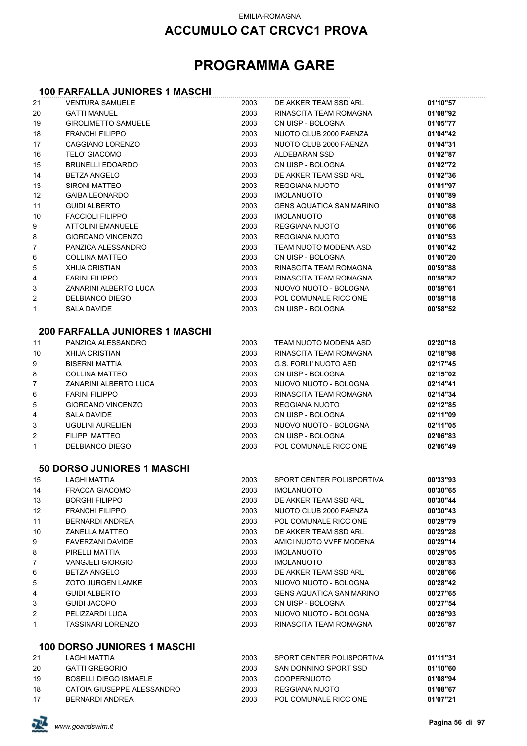## **ACCUMULO CAT CRCVC1 PROVA**

## **PROGRAMMA GARE**

#### **100 FARFALLA JUNIORES 1 MASCHI**

| 21       | <b>VENTURA SAMUELE</b>                         | 2003         | DE AKKER TEAM SSD ARL                      | 01'10"57             |
|----------|------------------------------------------------|--------------|--------------------------------------------|----------------------|
| 20       | <b>GATTI MANUEL</b>                            | 2003         | RINASCITA TEAM ROMAGNA                     | 01'08"92             |
| 19       | <b>GIROLIMETTO SAMUELE</b>                     | 2003         | CN UISP - BOLOGNA                          | 01'05"77             |
| 18       | <b>FRANCHI FILIPPO</b>                         | 2003         | NUOTO CLUB 2000 FAENZA                     | 01'04"42             |
| 17       | <b>CAGGIANO LORENZO</b>                        | 2003         | NUOTO CLUB 2000 FAENZA                     | 01'04"31             |
| 16       | <b>TELO' GIACOMO</b>                           | 2003         | <b>ALDEBARAN SSD</b>                       | 01'02"87             |
| 15       | <b>BRUNELLI EDOARDO</b>                        | 2003         | CN UISP - BOLOGNA                          | 01'02"72             |
| 14       | <b>BETZA ANGELO</b>                            | 2003         | DE AKKER TEAM SSD ARL                      | 01'02"36             |
| 13       | <b>SIRONI MATTEO</b>                           | 2003         | REGGIANA NUOTO                             | 01'01"97             |
| 12       | <b>GAIBA LEONARDO</b>                          | 2003         | <b>IMOLANUOTO</b>                          | 01'00"89             |
| 11       | <b>GUIDI ALBERTO</b>                           | 2003         | <b>GENS AQUATICA SAN MARINO</b>            | 01'00"88             |
| 10       | <b>FACCIOLI FILIPPO</b>                        | 2003         | <b>IMOLANUOTO</b>                          | 01'00"68             |
| 9        | ATTOLINI EMANUELE                              | 2003         | REGGIANA NUOTO                             | 01'00"66             |
| 8        | <b>GIORDANO VINCENZO</b>                       | 2003         | REGGIANA NUOTO                             | 01'00"53             |
| 7        | PANZICA ALESSANDRO                             | 2003         | TEAM NUOTO MODENA ASD                      | 01'00"42             |
| 6        | <b>COLLINA MATTEO</b>                          | 2003         | CN UISP - BOLOGNA                          | 01'00"20             |
| 5        | <b>XHIJA CRISTIAN</b>                          | 2003         | RINASCITA TEAM ROMAGNA                     | 00'59"88             |
| 4        | <b>FARINI FILIPPO</b>                          | 2003         | RINASCITA TEAM ROMAGNA                     | 00'59"82             |
| 3        | ZANARINI ALBERTO LUCA                          | 2003         | NUOVO NUOTO - BOLOGNA                      | 00'59"61             |
| 2        | DELBIANCO DIEGO                                | 2003         | POL COMUNALE RICCIONE                      | 00'59"18             |
| 1        | <b>SALA DAVIDE</b>                             | 2003         | CN UISP - BOLOGNA                          | 00'58"52             |
|          |                                                |              |                                            |                      |
|          | <b>200 FARFALLA JUNIORES 1 MASCHI</b>          |              |                                            |                      |
| 11       | PANZICA ALESSANDRO                             | 2003         | TEAM NUOTO MODENA ASD                      | 02'20"18             |
| 10       | <b>XHIJA CRISTIAN</b>                          | 2003         | RINASCITA TEAM ROMAGNA                     | 02'18"98             |
| 9        | <b>BISERNI MATTIA</b>                          | 2003         | <b>G.S. FORLI' NUOTO ASD</b>               | 02'17"45             |
| 8        | <b>COLLINA MATTEO</b>                          | 2003         | CN UISP - BOLOGNA                          | 02'15"02             |
| 7        | ZANARINI ALBERTO LUCA                          | 2003         | NUOVO NUOTO - BOLOGNA                      | 02'14"41             |
| 6        | <b>FARINI FILIPPO</b>                          | 2003         | RINASCITA TEAM ROMAGNA                     | 02'14"34             |
| 5        | <b>GIORDANO VINCENZO</b>                       | 2003         | REGGIANA NUOTO                             | 02'12"85             |
| 4        | SALA DAVIDE                                    | 2003         | CN UISP - BOLOGNA                          | 02'11"09             |
| 3        | UGULINI AURELIEN                               | 2003         | NUOVO NUOTO - BOLOGNA                      | 02'11"05             |
| 2        | <b>FILIPPI MATTEO</b>                          | 2003         | CN UISP - BOLOGNA                          | 02'06"83             |
| 1        | <b>DELBIANCO DIEGO</b>                         | 2003         | POL COMUNALE RICCIONE                      | 02'06"49             |
|          | <b>50 DORSO JUNIORES 1 MASCHI</b>              |              |                                            |                      |
|          | <b>LAGHI MATTIA</b>                            |              | SPORT CENTER POLISPORTIVA                  | 00'33"93             |
| 15       |                                                | 2003         |                                            |                      |
| 14       | <b>FRACCA GIACOMO</b><br><b>BORGHI FILIPPO</b> | 2003<br>2003 | <b>IMOLANUOTO</b><br>DE AKKER TEAM SSD ARL | 00'30"65<br>00'30"44 |
| 13<br>12 | <b>FRANCHI FILIPPO</b>                         | 2003         | NUOTO CLUB 2000 FAENZA                     | 00'30"43             |
| 11       | BERNARDI ANDREA                                | 2003         | POL COMUNALE RICCIONE                      | 00'29"79             |
| 10       | <b>ZANELLA MATTEO</b>                          | 2003         | DE AKKER TEAM SSD ARL                      | 00'29"28             |
| 9        | <b>FAVERZANI DAVIDE</b>                        | 2003         | AMICI NUOTO VVFF MODENA                    | 00'29"14             |
| 8        | PIRELLI MATTIA                                 | 2003         | <b>IMOLANUOTO</b>                          | 00'29"05             |
| 7        | <b>VANGJELI GIORGIO</b>                        | 2003         | <b>IMOLANUOTO</b>                          | 00'28"83             |
| 6        | <b>BETZA ANGELO</b>                            | 2003         | DE AKKER TEAM SSD ARL                      | 00'28"66             |
| 5        | <b>ZOTO JURGEN LAMKE</b>                       | 2003         | NUOVO NUOTO - BOLOGNA                      | 00'28"42             |
| 4        | <b>GUIDI ALBERTO</b>                           | 2003         | <b>GENS AQUATICA SAN MARINO</b>            | 00'27"65             |
| 3        | <b>GUIDI JACOPO</b>                            | 2003         | CN UISP - BOLOGNA                          | 00'27"54             |
| 2        | PELIZZARDI LUCA                                | 2003         | NUOVO NUOTO - BOLOGNA                      | 00'26"93             |
| 1        | <b>TASSINARI LORENZO</b>                       | 2003         | RINASCITA TEAM ROMAGNA                     | 00'26"87             |
|          |                                                |              |                                            |                      |
|          | <b>100 DORSO JUNIORES 1 MASCHI</b>             |              |                                            |                      |
| 21       | LAGHI MATTIA                                   | 2003         | SPORT CENTER POLISPORTIVA                  | 01'11"31             |
| 20       | <b>GATTI GREGORIO</b>                          | 2003         | SAN DONNINO SPORT SSD                      | 01'10"60             |
| 19       | <b>BOSELLI DIEGO ISMAELE</b>                   | 2003         | <b>COOPERNUOTO</b>                         | 01'08"94             |
| 18       | CATOIA GIUSEPPE ALESSANDRO                     | 2003         | REGGIANA NUOTO                             | 01'08"67             |
| 17       | <b>BERNARDI ANDREA</b>                         | 2003         | POL COMUNALE RICCIONE                      | 01'07"21             |

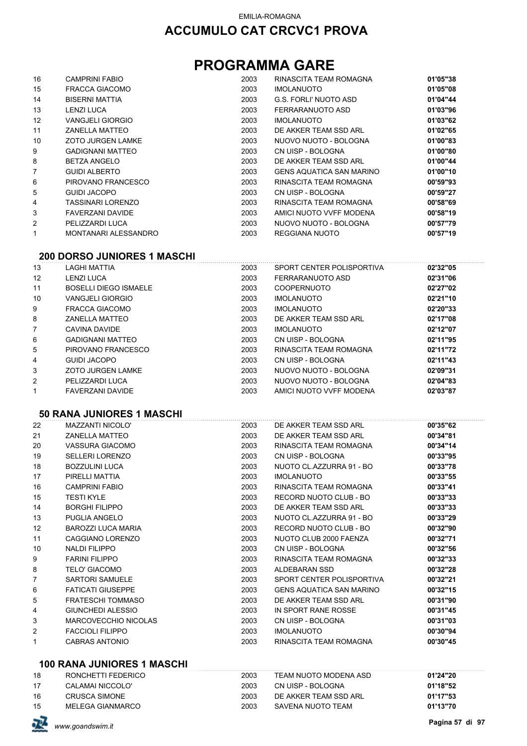## **PROGRAMMA GARE**

| 16                | <b>CAMPRINI FABIO</b>    | 2003 | RINASCITA TEAM ROMAGNA   | 01'05"38 |
|-------------------|--------------------------|------|--------------------------|----------|
| 15                | <b>FRACCA GIACOMO</b>    | 2003 | <b>IMOLANUOTO</b>        | 01'05"08 |
| 14                | <b>BISERNI MATTIA</b>    | 2003 | G.S. FORLI' NUOTO ASD    | 01'04"44 |
| 13                | <b>LENZI LUCA</b>        | 2003 | FERRARANUOTO ASD         | 01'03"96 |
| $12 \overline{ }$ | <b>VANGJELI GIORGIO</b>  | 2003 | <b>IMOLANUOTO</b>        | 01'03"62 |
| 11                | <b>ZANELLA MATTEO</b>    | 2003 | DE AKKER TEAM SSD ARL    | 01'02"65 |
| 10                | <b>ZOTO JURGEN LAMKE</b> | 2003 | NUOVO NUOTO - BOLOGNA    | 01'00"83 |
| 9                 | <b>GADIGNANI MATTEO</b>  | 2003 | CN UISP - BOLOGNA        | 01'00"80 |
| 8                 | <b>BETZA ANGELO</b>      | 2003 | DE AKKER TEAM SSD ARL    | 01'00"44 |
| 7                 | <b>GUIDI ALBERTO</b>     | 2003 | GENS AQUATICA SAN MARINO | 01'00"10 |
| 6                 | PIROVANO FRANCESCO       | 2003 | RINASCITA TEAM ROMAGNA   | 00'59"93 |
| 5                 | <b>GUIDI JACOPO</b>      | 2003 | CN UISP - BOLOGNA        | 00'59"27 |
| 4                 | <b>TASSINARI LORENZO</b> | 2003 | RINASCITA TEAM ROMAGNA   | 00'58"69 |
| 3                 | FAVERZANI DAVIDE         | 2003 | AMICI NUOTO VVFF MODENA  | 00'58"19 |
| 2                 | PELIZZARDI LUCA          | 2003 | NUOVO NUOTO - BOLOGNA    | 00'57"79 |
|                   | MONTANARI ALESSANDRO     | 2003 | REGGIANA NUOTO           | 00'57"19 |

#### **200 DORSO JUNIORES 1 MASCHI**

| 13                | LAGHI MATTIA                 | 2003 | SPORT CENTER POLISPORTIVA | 02'32"05 |
|-------------------|------------------------------|------|---------------------------|----------|
| $12 \overline{ }$ | <b>LENZI LUCA</b>            | 2003 | FERRARANUOTO ASD          | 02'31"06 |
| 11                | <b>BOSELLI DIEGO ISMAELE</b> | 2003 | <b>COOPERNUOTO</b>        | 02'27"02 |
| 10                | <b>VANGJELI GIORGIO</b>      | 2003 | <b>IMOLANUOTO</b>         | 02'21"10 |
| 9                 | FRACCA GIACOMO               | 2003 | <b>IMOLANUOTO</b>         | 02'20"33 |
| 8                 | <b>ZANELLA MATTEO</b>        | 2003 | DE AKKER TEAM SSD ARL     | 02'17"08 |
| $\overline{7}$    | CAVINA DAVIDE                | 2003 | <b>IMOLANUOTO</b>         | 02'12"07 |
| 6                 | <b>GADIGNANI MATTEO</b>      | 2003 | CN UISP - BOLOGNA         | 02'11"95 |
| 5                 | PIROVANO FRANCESCO           | 2003 | RINASCITA TEAM ROMAGNA    | 02'11"72 |
| 4                 | GUIDI JACOPO                 | 2003 | CN UISP - BOLOGNA         | 02'11"43 |
| 3                 | <b>ZOTO JURGEN LAMKE</b>     | 2003 | NUOVO NUOTO - BOLOGNA     | 02'09"31 |
| 2                 | PELIZZARDI LUCA              | 2003 | NUOVO NUOTO - BOLOGNA     | 02'04"83 |
|                   | <b>FAVERZANI DAVIDE</b>      | 2003 | AMICI NUOTO VVFF MODENA   | 02'03"87 |

#### **50 RANA JUNIORES 1 MASCHI**

| 22             | <b>MAZZANTI NICOLO'</b>  | 2003 | DE AKKER TEAM SSD ARL           | 00'35"62 |
|----------------|--------------------------|------|---------------------------------|----------|
| 21             | <b>ZANELLA MATTEO</b>    | 2003 | DE AKKER TEAM SSD ARL           | 00'34"81 |
| 20             | VASSURA GIACOMO          | 2003 | RINASCITA TEAM ROMAGNA          | 00'34"14 |
| 19             | <b>SELLERI LORENZO</b>   | 2003 | CN UISP - BOLOGNA               | 00'33"95 |
| 18             | <b>BOZZULINI LUCA</b>    | 2003 | NUOTO CL.AZZURRA 91 - BO        | 00'33"78 |
| 17             | PIRELLI MATTIA           | 2003 | <b>IMOLANUOTO</b>               | 00'33"55 |
| 16             | <b>CAMPRINI FABIO</b>    | 2003 | RINASCITA TEAM ROMAGNA          | 00'33"41 |
| 15             | <b>TESTI KYLE</b>        | 2003 | RECORD NUOTO CLUB - BO          | 00'33"33 |
| 14             | <b>BORGHI FILIPPO</b>    | 2003 | DE AKKER TEAM SSD ARL           | 00'33"33 |
| 13             | PUGLIA ANGELO            | 2003 | NUOTO CL.AZZURRA 91 - BO        | 00'33"29 |
| 12             | BAROZZI LUCA MARIA       | 2003 | RECORD NUOTO CLUB - BO          | 00'32"90 |
| 11             | CAGGIANO LORENZO         | 2003 | NUOTO CLUB 2000 FAENZA          | 00'32"71 |
| 10             | NALDI FILIPPO            | 2003 | CN UISP - BOLOGNA               | 00'32"56 |
| 9              | <b>FARINI FILIPPO</b>    | 2003 | RINASCITA TEAM ROMAGNA          | 00'32"33 |
| 8              | <b>TELO' GIACOMO</b>     | 2003 | ALDEBARAN SSD                   | 00'32"28 |
| $\overline{7}$ | <b>SARTORI SAMUELE</b>   | 2003 | SPORT CENTER POLISPORTIVA       | 00'32"21 |
| 6              | <b>FATICATI GIUSEPPE</b> | 2003 | <b>GENS AQUATICA SAN MARINO</b> | 00'32"15 |
| 5              | <b>FRATESCHI TOMMASO</b> | 2003 | DE AKKER TEAM SSD ARL           | 00'31"90 |
| 4              | <b>GIUNCHEDI ALESSIO</b> | 2003 | IN SPORT RANE ROSSE             | 00'31"45 |
| 3              | MARCOVECCHIO NICOLAS     | 2003 | CN UISP - BOLOGNA               | 00'31"03 |
| 2              | <b>FACCIOLI FILIPPO</b>  | 2003 | <b>IMOLANUOTO</b>               | 00'30"94 |
| 1              | <b>CABRAS ANTONIO</b>    | 2003 | RINASCITA TEAM ROMAGNA          | 00'30"45 |

#### **100 RANA JUNIORES 1 MASCHI**

| 18 | RONCHETTI FEDERICO   | 2003 | TEAM NUOTO MODENA ASD | 01'24"20 |
|----|----------------------|------|-----------------------|----------|
| 17 | CALAMAI NICCOLO'     | 2003 | CN UISP - BOLOGNA     | 01'18"52 |
| 16 | <b>CRUSCA SIMONE</b> | 2003 | DE AKKER TEAM SSD ARL | 01'17"53 |
| 15 | MELEGA GIANMARCO     | 2003 | SAVENA NUOTO TEAM     | 01'13"70 |

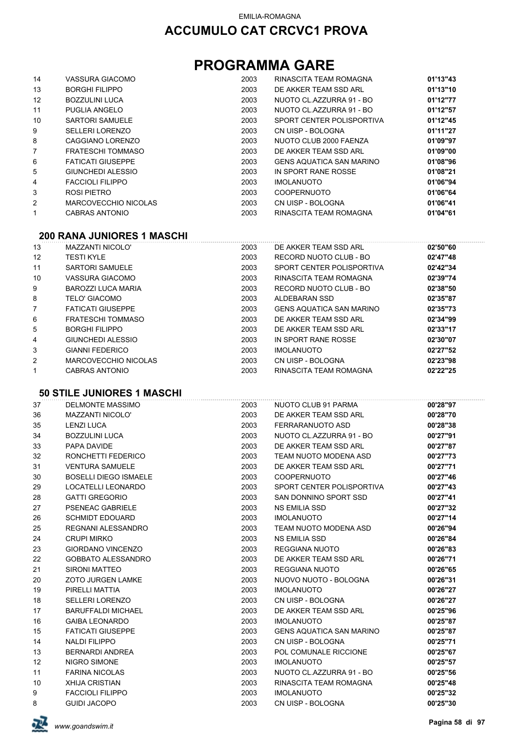## **PROGRAMMA GARE**

| 14                | VASSURA GIACOMO          | 2003 | RINASCITA TEAM ROMAGNA          | 01'13"43 |
|-------------------|--------------------------|------|---------------------------------|----------|
| 13                | <b>BORGHI FILIPPO</b>    | 2003 | DE AKKER TEAM SSD ARL           | 01'13"10 |
| $12 \overline{ }$ | <b>BOZZULINI LUCA</b>    | 2003 | NUOTO CL.AZZURRA 91 - BO        | 01'12"77 |
| 11                | PUGLIA ANGELO            | 2003 | NUOTO CL.AZZURRA 91 - BO        | 01'12"57 |
| 10                | SARTORI SAMUELE          | 2003 | SPORT CENTER POLISPORTIVA       | 01'12"45 |
| 9                 | SELLERI LORENZO          | 2003 | CN UISP - BOLOGNA               | 01'11"27 |
| 8                 | CAGGIANO LORENZO         | 2003 | NUOTO CLUB 2000 FAENZA          | 01'09"97 |
| $\overline{7}$    | <b>FRATESCHI TOMMASO</b> | 2003 | DE AKKER TEAM SSD ARL           | 01'09"00 |
| 6                 | <b>FATICATI GIUSEPPE</b> | 2003 | <b>GENS AQUATICA SAN MARINO</b> | 01'08"96 |
| 5                 | GIUNCHEDI ALESSIO        | 2003 | IN SPORT RANE ROSSE             | 01'08"21 |
| 4                 | <b>FACCIOLI FILIPPO</b>  | 2003 | <b>IMOLANUOTO</b>               | 01'06"94 |
| 3                 | ROSI PIETRO              | 2003 | <b>COOPERNUOTO</b>              | 01'06"64 |
| 2                 | MARCOVECCHIO NICOLAS     | 2003 | CN UISP - BOLOGNA               | 01'06"41 |
| 1                 | CABRAS ANTONIO           | 2003 | RINASCITA TEAM ROMAGNA          | 01'04"61 |
|                   |                          |      |                                 |          |

#### **200 RANA JUNIORES 1 MASCHI**

| 13                | MAZZANTI NICOLO'          | 2003 | DE AKKER TEAM SSD ARL           | 02'50"60 |
|-------------------|---------------------------|------|---------------------------------|----------|
| $12 \overline{ }$ | <b>TESTI KYLE</b>         | 2003 | RECORD NUOTO CLUB - BO          | 02'47"48 |
| 11                | <b>SARTORI SAMUELE</b>    | 2003 | SPORT CENTER POLISPORTIVA       | 02'42"34 |
| 10                | VASSURA GIACOMO           | 2003 | RINASCITA TEAM ROMAGNA          | 02'39"74 |
| 9                 | <b>BAROZZI LUCA MARIA</b> | 2003 | RECORD NUOTO CLUB - BO          | 02'38"50 |
| 8                 | TELO' GIACOMO             | 2003 | ALDEBARAN SSD                   | 02'35"87 |
| 7                 | <b>FATICATI GIUSEPPE</b>  | 2003 | <b>GENS AQUATICA SAN MARINO</b> | 02'35"73 |
| 6                 | FRATESCHI TOMMASO         | 2003 | DE AKKER TEAM SSD ARI           | 02'34"99 |
| 5                 | <b>BORGHI FILIPPO</b>     | 2003 | DE AKKER TEAM SSD ARL           | 02'33"17 |
| 4                 | GIUNCHEDI ALESSIO         | 2003 | IN SPORT RANE ROSSE             | 02'30"07 |
| 3                 | <b>GIANNI FEDERICO</b>    | 2003 | <b>IMOLANUOTO</b>               | 02'27"52 |
| 2                 | MARCOVECCHIO NICOLAS      | 2003 | CN UISP - BOLOGNA               | 02'23"98 |
|                   | CABRAS ANTONIO            | 2003 | RINASCITA TEAM ROMAGNA          | 02'22"25 |

#### **50 STILE JUNIORES 1 MASCHI**

| 37 | <b>DELMONTE MASSIMO</b>      | 2003 | NUOTO CLUB 91 PARMA             | 00'28"97 |
|----|------------------------------|------|---------------------------------|----------|
| 36 | <b>MAZZANTI NICOLO'</b>      | 2003 | DE AKKER TEAM SSD ARL           | 00'28"70 |
| 35 | <b>LENZI LUCA</b>            | 2003 | FERRARANUOTO ASD                | 00'28"38 |
| 34 | <b>BOZZULINI LUCA</b>        | 2003 | NUOTO CL.AZZURRA 91 - BO        | 00'27"91 |
| 33 | PAPA DAVIDE                  | 2003 | DE AKKER TEAM SSD ARL           | 00'27"87 |
| 32 | RONCHETTI FEDERICO           | 2003 | TEAM NUOTO MODENA ASD           | 00'27"73 |
| 31 | <b>VENTURA SAMUELE</b>       | 2003 | DE AKKER TEAM SSD ARL           | 00'27"71 |
| 30 | <b>BOSELLI DIEGO ISMAELE</b> | 2003 | <b>COOPERNUOTO</b>              | 00'27"46 |
| 29 | LOCATELLI LEONARDO           | 2003 | SPORT CENTER POLISPORTIVA       | 00'27"43 |
| 28 | <b>GATTI GREGORIO</b>        | 2003 | SAN DONNINO SPORT SSD           | 00'27"41 |
| 27 | <b>PSENEAC GABRIELE</b>      | 2003 | <b>NS EMILIA SSD</b>            | 00'27"32 |
| 26 | <b>SCHMIDT EDOUARD</b>       | 2003 | <b>IMOLANUOTO</b>               | 00'27"14 |
| 25 | REGNANI ALESSANDRO           | 2003 | TEAM NUOTO MODENA ASD           | 00'26"94 |
| 24 | <b>CRUPI MIRKO</b>           | 2003 | NS EMILIA SSD                   | 00'26"84 |
| 23 | <b>GIORDANO VINCENZO</b>     | 2003 | REGGIANA NUOTO                  | 00'26"83 |
| 22 | <b>GOBBATO ALESSANDRO</b>    | 2003 | DE AKKER TEAM SSD ARL           | 00'26"71 |
| 21 | SIRONI MATTEO                | 2003 | <b>REGGIANA NUOTO</b>           | 00'26"65 |
| 20 | <b>ZOTO JURGEN LAMKE</b>     | 2003 | NUOVO NUOTO - BOLOGNA           | 00'26"31 |
| 19 | PIRELLI MATTIA               | 2003 | <b>IMOLANUOTO</b>               | 00'26"27 |
| 18 | <b>SELLERI LORENZO</b>       | 2003 | CN UISP - BOLOGNA               | 00'26"27 |
| 17 | <b>BARUFFALDI MICHAEL</b>    | 2003 | DE AKKER TEAM SSD ARL           | 00'25"96 |
| 16 | <b>GAIBA LEONARDO</b>        | 2003 | <b>IMOLANUOTO</b>               | 00'25"87 |
| 15 | <b>FATICATI GIUSEPPE</b>     | 2003 | <b>GENS AQUATICA SAN MARINO</b> | 00'25"87 |
| 14 | NALDI FILIPPO                | 2003 | CN UISP - BOLOGNA               | 00'25"71 |
| 13 | <b>BERNARDI ANDREA</b>       | 2003 | POL COMUNALE RICCIONE           | 00'25"67 |
| 12 | <b>NIGRO SIMONE</b>          | 2003 | <b>IMOLANUOTO</b>               | 00'25"57 |
| 11 | <b>FARINA NICOLAS</b>        | 2003 | NUOTO CL.AZZURRA 91 - BO        | 00'25"56 |
| 10 | <b>XHIJA CRISTIAN</b>        | 2003 | RINASCITA TEAM ROMAGNA          | 00'25"48 |
| 9  | <b>FACCIOLI FILIPPO</b>      | 2003 | <b>IMOLANUOTO</b>               | 00'25"32 |
| 8  | <b>GUIDI JACOPO</b>          | 2003 | CN UISP - BOLOGNA               | 00'25"30 |

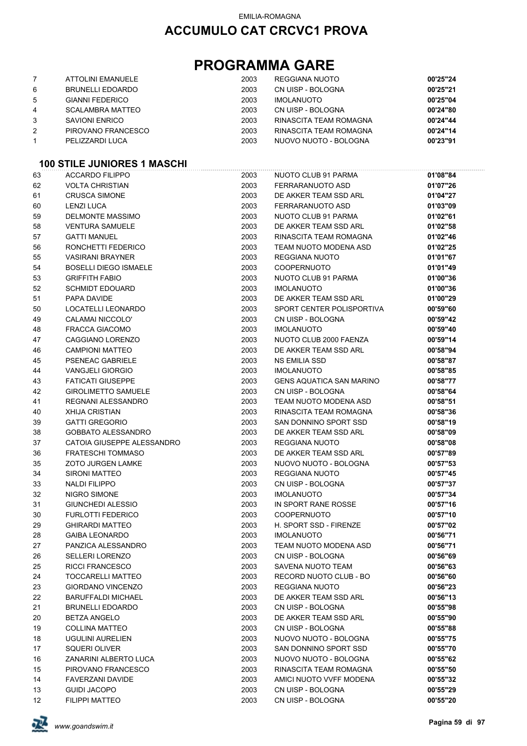## **PROGRAMMA GARE**

|                | ATTOLINI EMANUELE       | 2003 | REGGIANA NUOTO         | 00'25"24 |
|----------------|-------------------------|------|------------------------|----------|
| 6              | BRUNELLI EDOARDO        | 2003 | CN UISP - BOLOGNA      | 00'25"21 |
| 5              | <b>GIANNI FEDERICO</b>  | 2003 | <b>IMOLANUOTO</b>      | 00'25"04 |
| 4              | <b>SCALAMBRA MATTEO</b> | 2003 | CN UISP - BOLOGNA      | 00'24"80 |
| 3              | SAVIONI ENRICO          | 2003 | RINASCITA TEAM ROMAGNA | 00'24"44 |
| $\overline{2}$ | PIROVANO FRANCESCO      | 2003 | RINASCITA TEAM ROMAGNA | 00'24"14 |
|                | PELIZZARDI LUCA         | 2003 | NUOVO NUOTO - BOLOGNA  | 00'23"91 |

### **100 STILE JUNIORES 1 MASCHI**

| 63 | <b>ACCARDO FILIPPO</b>       | 2003 | NUOTO CLUB 91 PARMA             | 01'08"84 |
|----|------------------------------|------|---------------------------------|----------|
| 62 | <b>VOLTA CHRISTIAN</b>       | 2003 | FERRARANUOTO ASD                | 01'07"26 |
| 61 | <b>CRUSCA SIMONE</b>         | 2003 | DE AKKER TEAM SSD ARL           | 01'04"27 |
| 60 | <b>LENZI LUCA</b>            | 2003 | FERRARANUOTO ASD                | 01'03"09 |
| 59 | <b>DELMONTE MASSIMO</b>      | 2003 | NUOTO CLUB 91 PARMA             | 01'02"61 |
| 58 | <b>VENTURA SAMUELE</b>       | 2003 | DE AKKER TEAM SSD ARL           | 01'02"58 |
| 57 | <b>GATTI MANUEL</b>          | 2003 | RINASCITA TEAM ROMAGNA          | 01'02"46 |
| 56 | RONCHETTI FEDERICO           | 2003 | TEAM NUOTO MODENA ASD           | 01'02"25 |
| 55 | <b>VASIRANI BRAYNER</b>      | 2003 | <b>REGGIANA NUOTO</b>           | 01'01"67 |
| 54 | <b>BOSELLI DIEGO ISMAELE</b> | 2003 | <b>COOPERNUOTO</b>              | 01'01"49 |
| 53 | <b>GRIFFITH FABIO</b>        | 2003 | NUOTO CLUB 91 PARMA             | 01'00"36 |
| 52 | <b>SCHMIDT EDOUARD</b>       | 2003 | <b>IMOLANUOTO</b>               | 01'00"36 |
| 51 | PAPA DAVIDE                  | 2003 | DE AKKER TEAM SSD ARL           | 01'00"29 |
| 50 | LOCATELLI LEONARDO           | 2003 | SPORT CENTER POLISPORTIVA       | 00'59"60 |
| 49 | CALAMAI NICCOLO'             | 2003 | CN UISP - BOLOGNA               | 00'59"42 |
| 48 | FRACCA GIACOMO               | 2003 | <b>IMOLANUOTO</b>               | 00'59"40 |
| 47 | CAGGIANO LORENZO             | 2003 | NUOTO CLUB 2000 FAENZA          | 00'59"14 |
| 46 | <b>CAMPIONI MATTEO</b>       | 2003 | DE AKKER TEAM SSD ARL           | 00'58"94 |
| 45 | PSENEAC GABRIELE             | 2003 | NS EMILIA SSD                   | 00'58"87 |
| 44 | <b>VANGJELI GIORGIO</b>      | 2003 | <b>IMOLANUOTO</b>               | 00'58"85 |
| 43 | <b>FATICATI GIUSEPPE</b>     | 2003 | <b>GENS AQUATICA SAN MARINO</b> | 00'58"77 |
| 42 | <b>GIROLIMETTO SAMUELE</b>   | 2003 | CN UISP - BOLOGNA               | 00'58"64 |
| 41 | REGNANI ALESSANDRO           | 2003 | TEAM NUOTO MODENA ASD           | 00'58"51 |
| 40 | <b>XHIJA CRISTIAN</b>        | 2003 | RINASCITA TEAM ROMAGNA          | 00'58"36 |
| 39 | <b>GATTI GREGORIO</b>        | 2003 | SAN DONNINO SPORT SSD           | 00'58"19 |
| 38 | <b>GOBBATO ALESSANDRO</b>    | 2003 | DE AKKER TEAM SSD ARL           | 00'58"09 |
| 37 | CATOIA GIUSEPPE ALESSANDRO   | 2003 | <b>REGGIANA NUOTO</b>           | 00'58"08 |
| 36 | <b>FRATESCHI TOMMASO</b>     | 2003 | DE AKKER TEAM SSD ARL           | 00'57"89 |
| 35 | <b>ZOTO JURGEN LAMKE</b>     | 2003 | NUOVO NUOTO - BOLOGNA           | 00'57"53 |
| 34 | <b>SIRONI MATTEO</b>         | 2003 | REGGIANA NUOTO                  | 00'57"45 |
| 33 | <b>NALDI FILIPPO</b>         | 2003 | CN UISP - BOLOGNA               | 00'57"37 |
| 32 | NIGRO SIMONE                 | 2003 | <b>IMOLANUOTO</b>               | 00'57"34 |
| 31 | GIUNCHEDI ALESSIO            | 2003 | IN SPORT RANE ROSSE             | 00'57"16 |
| 30 | <b>FURLOTTI FEDERICO</b>     | 2003 | <b>COOPERNUOTO</b>              | 00'57"10 |
| 29 | <b>GHIRARDI MATTEO</b>       | 2003 | H. SPORT SSD - FIRENZE          | 00'57"02 |
| 28 | <b>GAIBA LEONARDO</b>        | 2003 | <b>IMOLANUOTO</b>               | 00'56"71 |
| 27 | PANZICA ALESSANDRO           | 2003 | TEAM NUOTO MODENA ASD           | 00'56"71 |
| 26 | <b>SELLERI LORENZO</b>       | 2003 | CN UISP - BOLOGNA               | 00'56"69 |
| 25 | RICCI FRANCESCO              | 2003 | SAVENA NUOTO TEAM               | 00'56"63 |
| 24 | TOCCARELLI MATTEO            | 2003 | RECORD NUOTO CLUB - BO          | 00'56"60 |
| 23 | <b>GIORDANO VINCENZO</b>     | 2003 | <b>REGGIANA NUOTO</b>           | 00'56"23 |
| 22 | <b>BARUFFALDI MICHAEL</b>    | 2003 | DE AKKER TEAM SSD ARL           | 00'56"13 |
| 21 | <b>BRUNELLI EDOARDO</b>      | 2003 | CN UISP - BOLOGNA               | 00'55"98 |
| 20 | <b>BETZA ANGELO</b>          | 2003 | DE AKKER TEAM SSD ARL           | 00'55"90 |
| 19 | <b>COLLINA MATTEO</b>        | 2003 | CN UISP - BOLOGNA               | 00'55"88 |
| 18 | <b>UGULINI AURELIEN</b>      | 2003 | NUOVO NUOTO - BOLOGNA           | 00'55"75 |
| 17 | SQUERI OLIVER                | 2003 | SAN DONNINO SPORT SSD           | 00'55"70 |
| 16 | ZANARINI ALBERTO LUCA        | 2003 | NUOVO NUOTO - BOLOGNA           | 00'55"62 |
| 15 | PIROVANO FRANCESCO           | 2003 | RINASCITA TEAM ROMAGNA          | 00'55"50 |
| 14 | <b>FAVERZANI DAVIDE</b>      | 2003 | AMICI NUOTO VVFF MODENA         | 00'55"32 |
| 13 | <b>GUIDI JACOPO</b>          | 2003 | CN UISP - BOLOGNA               | 00'55"29 |
| 12 | <b>FILIPPI MATTEO</b>        | 2003 | CN UISP - BOLOGNA               | 00'55"20 |

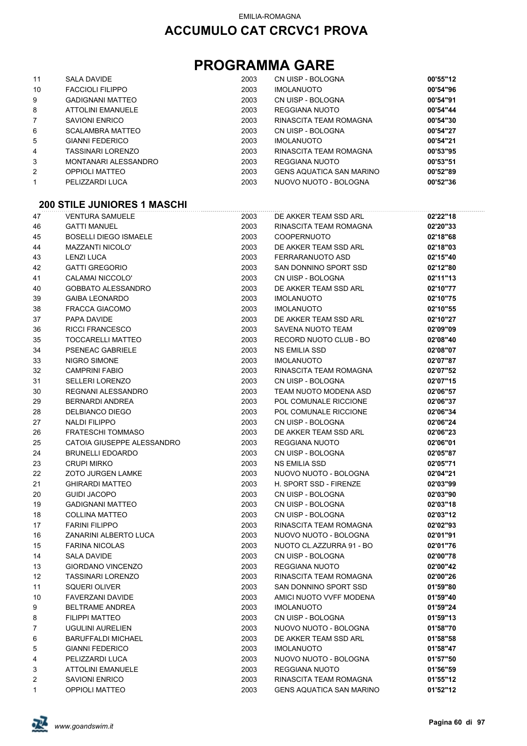## **PROGRAMMA GARE**

| 11 | SALA DAVIDE                        | 2003 | CN UISP - BOLOGNA        | 00'55"12 |
|----|------------------------------------|------|--------------------------|----------|
| 10 | <b>FACCIOLI FILIPPO</b>            | 2003 | <b>IMOLANUOTO</b>        | 00'54"96 |
| 9  | <b>GADIGNANI MATTEO</b>            | 2003 | CN UISP - BOLOGNA        | 00'54"91 |
| 8  | ATTOLINI EMANUELE                  | 2003 | REGGIANA NUOTO           | 00'54"44 |
| 7  | <b>SAVIONI ENRICO</b>              | 2003 | RINASCITA TEAM ROMAGNA   | 00'54"30 |
| 6  | SCALAMBRA MATTEO                   | 2003 | CN UISP - BOLOGNA        | 00'54"27 |
| 5  | <b>GIANNI FEDERICO</b>             | 2003 | <b>IMOLANUOTO</b>        | 00'54"21 |
| 4  | TASSINARI LORENZO                  | 2003 | RINASCITA TEAM ROMAGNA   | 00'53"95 |
| 3  | MONTANARI ALESSANDRO               | 2003 | REGGIANA NUOTO           | 00'53"51 |
| 2  | OPPIOLI MATTEO                     | 2003 | GENS AQUATICA SAN MARINO | 00'52"89 |
| 1  | PELIZZARDI LUCA                    | 2003 | NUOVO NUOTO - BOLOGNA    | 00'52"36 |
|    | <b>200 STILE JUNIORES 1 MASCHI</b> |      |                          |          |
| 47 | <b>VENTURA SAMUELE</b>             | 2003 | DE AKKER TEAM SSD ARL    | 02'22"18 |
| 46 | <b>GATTI MANUEL</b>                | 2003 | RINASCITA TEAM ROMAGNA   | 02'20"33 |

| 45<br><b>BOSELLI DIEGO ISMAELE</b><br>2003<br><b>COOPERNUOTO</b><br>02'18"68<br>44<br><b>MAZZANTI NICOLO'</b><br>2003<br>DE AKKER TEAM SSD ARL<br>02'18"03<br>2003<br>43<br><b>LENZI LUCA</b><br>FERRARANUOTO ASD<br>02'15"40<br><b>GATTI GREGORIO</b><br>2003<br>42<br>SAN DONNINO SPORT SSD<br>02'12"80<br>41<br>CALAMAI NICCOLO'<br>2003<br>CN UISP - BOLOGNA<br>02'11"13<br>02'10"77<br>40<br>GOBBATO ALESSANDRO<br>2003<br>DE AKKER TEAM SSD ARL<br>2003<br>02'10"75<br>39<br><b>GAIBA LEONARDO</b><br><b>IMOLANUOTO</b><br>38<br><b>FRACCA GIACOMO</b><br>2003<br><b>IMOLANUOTO</b><br>02'10"55<br>37<br>PAPA DAVIDE<br>2003<br>DE AKKER TEAM SSD ARL<br>02'10"27<br>2003<br>36<br><b>RICCI FRANCESCO</b><br>SAVENA NUOTO TEAM<br>02'09"09<br>2003<br>35<br>TOCCARELLI MATTEO<br>RECORD NUOTO CLUB - BO<br>02'08"40<br>34<br>2003<br>PSENEAC GABRIELE<br>NS EMILIA SSD<br>02'08"07<br>33<br>NIGRO SIMONE<br>2003<br><b>IMOLANUOTO</b><br>02'07"87<br>32<br><b>CAMPRINI FABIO</b><br>2003<br>RINASCITA TEAM ROMAGNA<br>02'07"52<br>31<br><b>SELLERI LORENZO</b><br>2003<br>CN UISP - BOLOGNA<br>02'07"15<br>30<br>REGNANI ALESSANDRO<br>2003<br>TEAM NUOTO MODENA ASD<br>02'06"57<br>29<br><b>BERNARDI ANDREA</b><br>2003<br>POL COMUNALE RICCIONE<br>02'06"37<br>28<br>DELBIANCO DIEGO<br>2003<br>POL COMUNALE RICCIONE<br>02'06"34<br>27<br><b>NALDI FILIPPO</b><br>2003<br>CN UISP - BOLOGNA<br>02'06"24<br>26<br><b>FRATESCHI TOMMASO</b><br>2003<br>DE AKKER TEAM SSD ARL<br>02'06"23<br>25<br>CATOIA GIUSEPPE ALESSANDRO<br>2003<br>REGGIANA NUOTO<br>02'06"01<br>2003<br>24<br><b>BRUNELLI EDOARDO</b><br>CN UISP - BOLOGNA<br>02'05"87<br>23<br>2003<br><b>CRUPI MIRKO</b><br><b>NS EMILIA SSD</b><br>02'05"71<br>22<br>2003<br><b>ZOTO JURGEN LAMKE</b><br>NUOVO NUOTO - BOLOGNA<br>02'04"21<br>21<br><b>GHIRARDI MATTEO</b><br>2003<br>H. SPORT SSD - FIRENZE<br>02'03"99<br>2003<br>20<br><b>GUIDI JACOPO</b><br>CN UISP - BOLOGNA<br>02'03"90<br>2003<br>19<br><b>GADIGNANI MATTEO</b><br>CN UISP - BOLOGNA<br>02'03"18<br>2003<br>18<br><b>COLLINA MATTEO</b><br>CN UISP - BOLOGNA<br>02'03"12<br>2003<br>17<br><b>FARINI FILIPPO</b><br>RINASCITA TEAM ROMAGNA<br>02'02"93<br>16<br>ZANARINI ALBERTO LUCA<br>2003<br>NUOVO NUOTO - BOLOGNA<br>02'01"91<br>2003<br>NUOTO CL.AZZURRA 91 - BO<br>15<br><b>FARINA NICOLAS</b><br>02'01"76<br>14<br><b>SALA DAVIDE</b><br>2003<br>CN UISP - BOLOGNA<br>02'00"78<br>13<br><b>GIORDANO VINCENZO</b><br>2003<br>REGGIANA NUOTO<br>02'00"42<br>12<br><b>TASSINARI LORENZO</b><br>2003<br>RINASCITA TEAM ROMAGNA<br>02'00"26<br>SAN DONNINO SPORT SSD<br>11<br><b>SQUERI OLIVER</b><br>2003<br>01'59"80<br>AMICI NUOTO VVFF MODENA<br>10<br><b>FAVERZANI DAVIDE</b><br>2003<br>01'59"40<br>9<br><b>BELTRAME ANDREA</b><br>2003<br><b>IMOLANUOTO</b><br>01'59"24<br>01'59"13<br><b>FILIPPI MATTEO</b><br>2003<br>CN UISP - BOLOGNA<br>8<br>7<br>01'58"70<br>UGULINI AURELIEN<br>2003<br>NUOVO NUOTO - BOLOGNA<br>2003<br>DE AKKER TEAM SSD ARL<br>6<br><b>BARUFFALDI MICHAEL</b><br>01'58"58<br><b>GIANNI FEDERICO</b><br>2003<br><b>IMOLANUOTO</b><br>5<br>01'58"47<br>PELIZZARDI LUCA<br>2003<br>NUOVO NUOTO - BOLOGNA<br>01'57"50<br>4<br>3<br><b>ATTOLINI EMANUELE</b><br>2003<br>REGGIANA NUOTO<br>01'56"59<br>2003<br>2<br><b>SAVIONI ENRICO</b><br>RINASCITA TEAM ROMAGNA<br>01'55"12<br><b>OPPIOLI MATTEO</b><br>2003<br><b>GENS AQUATICA SAN MARINO</b><br>01'52"12<br>1 | 46 | <b>GATTI MANUEL</b> | 2003 | RINASCITA TEAM ROMAGNA | 02'20"33 |
|-------------------------------------------------------------------------------------------------------------------------------------------------------------------------------------------------------------------------------------------------------------------------------------------------------------------------------------------------------------------------------------------------------------------------------------------------------------------------------------------------------------------------------------------------------------------------------------------------------------------------------------------------------------------------------------------------------------------------------------------------------------------------------------------------------------------------------------------------------------------------------------------------------------------------------------------------------------------------------------------------------------------------------------------------------------------------------------------------------------------------------------------------------------------------------------------------------------------------------------------------------------------------------------------------------------------------------------------------------------------------------------------------------------------------------------------------------------------------------------------------------------------------------------------------------------------------------------------------------------------------------------------------------------------------------------------------------------------------------------------------------------------------------------------------------------------------------------------------------------------------------------------------------------------------------------------------------------------------------------------------------------------------------------------------------------------------------------------------------------------------------------------------------------------------------------------------------------------------------------------------------------------------------------------------------------------------------------------------------------------------------------------------------------------------------------------------------------------------------------------------------------------------------------------------------------------------------------------------------------------------------------------------------------------------------------------------------------------------------------------------------------------------------------------------------------------------------------------------------------------------------------------------------------------------------------------------------------------------------------------------------------------------------------------------------------------------------------------------------------------------------------------------------------------------------------------------------------------------------------------------------------------------------------------------------------------------------------------------------------------------------------------------------------------------------------------|----|---------------------|------|------------------------|----------|
|                                                                                                                                                                                                                                                                                                                                                                                                                                                                                                                                                                                                                                                                                                                                                                                                                                                                                                                                                                                                                                                                                                                                                                                                                                                                                                                                                                                                                                                                                                                                                                                                                                                                                                                                                                                                                                                                                                                                                                                                                                                                                                                                                                                                                                                                                                                                                                                                                                                                                                                                                                                                                                                                                                                                                                                                                                                                                                                                                                                                                                                                                                                                                                                                                                                                                                                                                                                                                                           |    |                     |      |                        |          |
|                                                                                                                                                                                                                                                                                                                                                                                                                                                                                                                                                                                                                                                                                                                                                                                                                                                                                                                                                                                                                                                                                                                                                                                                                                                                                                                                                                                                                                                                                                                                                                                                                                                                                                                                                                                                                                                                                                                                                                                                                                                                                                                                                                                                                                                                                                                                                                                                                                                                                                                                                                                                                                                                                                                                                                                                                                                                                                                                                                                                                                                                                                                                                                                                                                                                                                                                                                                                                                           |    |                     |      |                        |          |
|                                                                                                                                                                                                                                                                                                                                                                                                                                                                                                                                                                                                                                                                                                                                                                                                                                                                                                                                                                                                                                                                                                                                                                                                                                                                                                                                                                                                                                                                                                                                                                                                                                                                                                                                                                                                                                                                                                                                                                                                                                                                                                                                                                                                                                                                                                                                                                                                                                                                                                                                                                                                                                                                                                                                                                                                                                                                                                                                                                                                                                                                                                                                                                                                                                                                                                                                                                                                                                           |    |                     |      |                        |          |
|                                                                                                                                                                                                                                                                                                                                                                                                                                                                                                                                                                                                                                                                                                                                                                                                                                                                                                                                                                                                                                                                                                                                                                                                                                                                                                                                                                                                                                                                                                                                                                                                                                                                                                                                                                                                                                                                                                                                                                                                                                                                                                                                                                                                                                                                                                                                                                                                                                                                                                                                                                                                                                                                                                                                                                                                                                                                                                                                                                                                                                                                                                                                                                                                                                                                                                                                                                                                                                           |    |                     |      |                        |          |
|                                                                                                                                                                                                                                                                                                                                                                                                                                                                                                                                                                                                                                                                                                                                                                                                                                                                                                                                                                                                                                                                                                                                                                                                                                                                                                                                                                                                                                                                                                                                                                                                                                                                                                                                                                                                                                                                                                                                                                                                                                                                                                                                                                                                                                                                                                                                                                                                                                                                                                                                                                                                                                                                                                                                                                                                                                                                                                                                                                                                                                                                                                                                                                                                                                                                                                                                                                                                                                           |    |                     |      |                        |          |
|                                                                                                                                                                                                                                                                                                                                                                                                                                                                                                                                                                                                                                                                                                                                                                                                                                                                                                                                                                                                                                                                                                                                                                                                                                                                                                                                                                                                                                                                                                                                                                                                                                                                                                                                                                                                                                                                                                                                                                                                                                                                                                                                                                                                                                                                                                                                                                                                                                                                                                                                                                                                                                                                                                                                                                                                                                                                                                                                                                                                                                                                                                                                                                                                                                                                                                                                                                                                                                           |    |                     |      |                        |          |
|                                                                                                                                                                                                                                                                                                                                                                                                                                                                                                                                                                                                                                                                                                                                                                                                                                                                                                                                                                                                                                                                                                                                                                                                                                                                                                                                                                                                                                                                                                                                                                                                                                                                                                                                                                                                                                                                                                                                                                                                                                                                                                                                                                                                                                                                                                                                                                                                                                                                                                                                                                                                                                                                                                                                                                                                                                                                                                                                                                                                                                                                                                                                                                                                                                                                                                                                                                                                                                           |    |                     |      |                        |          |
|                                                                                                                                                                                                                                                                                                                                                                                                                                                                                                                                                                                                                                                                                                                                                                                                                                                                                                                                                                                                                                                                                                                                                                                                                                                                                                                                                                                                                                                                                                                                                                                                                                                                                                                                                                                                                                                                                                                                                                                                                                                                                                                                                                                                                                                                                                                                                                                                                                                                                                                                                                                                                                                                                                                                                                                                                                                                                                                                                                                                                                                                                                                                                                                                                                                                                                                                                                                                                                           |    |                     |      |                        |          |
|                                                                                                                                                                                                                                                                                                                                                                                                                                                                                                                                                                                                                                                                                                                                                                                                                                                                                                                                                                                                                                                                                                                                                                                                                                                                                                                                                                                                                                                                                                                                                                                                                                                                                                                                                                                                                                                                                                                                                                                                                                                                                                                                                                                                                                                                                                                                                                                                                                                                                                                                                                                                                                                                                                                                                                                                                                                                                                                                                                                                                                                                                                                                                                                                                                                                                                                                                                                                                                           |    |                     |      |                        |          |
|                                                                                                                                                                                                                                                                                                                                                                                                                                                                                                                                                                                                                                                                                                                                                                                                                                                                                                                                                                                                                                                                                                                                                                                                                                                                                                                                                                                                                                                                                                                                                                                                                                                                                                                                                                                                                                                                                                                                                                                                                                                                                                                                                                                                                                                                                                                                                                                                                                                                                                                                                                                                                                                                                                                                                                                                                                                                                                                                                                                                                                                                                                                                                                                                                                                                                                                                                                                                                                           |    |                     |      |                        |          |
|                                                                                                                                                                                                                                                                                                                                                                                                                                                                                                                                                                                                                                                                                                                                                                                                                                                                                                                                                                                                                                                                                                                                                                                                                                                                                                                                                                                                                                                                                                                                                                                                                                                                                                                                                                                                                                                                                                                                                                                                                                                                                                                                                                                                                                                                                                                                                                                                                                                                                                                                                                                                                                                                                                                                                                                                                                                                                                                                                                                                                                                                                                                                                                                                                                                                                                                                                                                                                                           |    |                     |      |                        |          |
|                                                                                                                                                                                                                                                                                                                                                                                                                                                                                                                                                                                                                                                                                                                                                                                                                                                                                                                                                                                                                                                                                                                                                                                                                                                                                                                                                                                                                                                                                                                                                                                                                                                                                                                                                                                                                                                                                                                                                                                                                                                                                                                                                                                                                                                                                                                                                                                                                                                                                                                                                                                                                                                                                                                                                                                                                                                                                                                                                                                                                                                                                                                                                                                                                                                                                                                                                                                                                                           |    |                     |      |                        |          |
|                                                                                                                                                                                                                                                                                                                                                                                                                                                                                                                                                                                                                                                                                                                                                                                                                                                                                                                                                                                                                                                                                                                                                                                                                                                                                                                                                                                                                                                                                                                                                                                                                                                                                                                                                                                                                                                                                                                                                                                                                                                                                                                                                                                                                                                                                                                                                                                                                                                                                                                                                                                                                                                                                                                                                                                                                                                                                                                                                                                                                                                                                                                                                                                                                                                                                                                                                                                                                                           |    |                     |      |                        |          |
|                                                                                                                                                                                                                                                                                                                                                                                                                                                                                                                                                                                                                                                                                                                                                                                                                                                                                                                                                                                                                                                                                                                                                                                                                                                                                                                                                                                                                                                                                                                                                                                                                                                                                                                                                                                                                                                                                                                                                                                                                                                                                                                                                                                                                                                                                                                                                                                                                                                                                                                                                                                                                                                                                                                                                                                                                                                                                                                                                                                                                                                                                                                                                                                                                                                                                                                                                                                                                                           |    |                     |      |                        |          |
|                                                                                                                                                                                                                                                                                                                                                                                                                                                                                                                                                                                                                                                                                                                                                                                                                                                                                                                                                                                                                                                                                                                                                                                                                                                                                                                                                                                                                                                                                                                                                                                                                                                                                                                                                                                                                                                                                                                                                                                                                                                                                                                                                                                                                                                                                                                                                                                                                                                                                                                                                                                                                                                                                                                                                                                                                                                                                                                                                                                                                                                                                                                                                                                                                                                                                                                                                                                                                                           |    |                     |      |                        |          |
|                                                                                                                                                                                                                                                                                                                                                                                                                                                                                                                                                                                                                                                                                                                                                                                                                                                                                                                                                                                                                                                                                                                                                                                                                                                                                                                                                                                                                                                                                                                                                                                                                                                                                                                                                                                                                                                                                                                                                                                                                                                                                                                                                                                                                                                                                                                                                                                                                                                                                                                                                                                                                                                                                                                                                                                                                                                                                                                                                                                                                                                                                                                                                                                                                                                                                                                                                                                                                                           |    |                     |      |                        |          |
|                                                                                                                                                                                                                                                                                                                                                                                                                                                                                                                                                                                                                                                                                                                                                                                                                                                                                                                                                                                                                                                                                                                                                                                                                                                                                                                                                                                                                                                                                                                                                                                                                                                                                                                                                                                                                                                                                                                                                                                                                                                                                                                                                                                                                                                                                                                                                                                                                                                                                                                                                                                                                                                                                                                                                                                                                                                                                                                                                                                                                                                                                                                                                                                                                                                                                                                                                                                                                                           |    |                     |      |                        |          |
|                                                                                                                                                                                                                                                                                                                                                                                                                                                                                                                                                                                                                                                                                                                                                                                                                                                                                                                                                                                                                                                                                                                                                                                                                                                                                                                                                                                                                                                                                                                                                                                                                                                                                                                                                                                                                                                                                                                                                                                                                                                                                                                                                                                                                                                                                                                                                                                                                                                                                                                                                                                                                                                                                                                                                                                                                                                                                                                                                                                                                                                                                                                                                                                                                                                                                                                                                                                                                                           |    |                     |      |                        |          |
|                                                                                                                                                                                                                                                                                                                                                                                                                                                                                                                                                                                                                                                                                                                                                                                                                                                                                                                                                                                                                                                                                                                                                                                                                                                                                                                                                                                                                                                                                                                                                                                                                                                                                                                                                                                                                                                                                                                                                                                                                                                                                                                                                                                                                                                                                                                                                                                                                                                                                                                                                                                                                                                                                                                                                                                                                                                                                                                                                                                                                                                                                                                                                                                                                                                                                                                                                                                                                                           |    |                     |      |                        |          |
|                                                                                                                                                                                                                                                                                                                                                                                                                                                                                                                                                                                                                                                                                                                                                                                                                                                                                                                                                                                                                                                                                                                                                                                                                                                                                                                                                                                                                                                                                                                                                                                                                                                                                                                                                                                                                                                                                                                                                                                                                                                                                                                                                                                                                                                                                                                                                                                                                                                                                                                                                                                                                                                                                                                                                                                                                                                                                                                                                                                                                                                                                                                                                                                                                                                                                                                                                                                                                                           |    |                     |      |                        |          |
|                                                                                                                                                                                                                                                                                                                                                                                                                                                                                                                                                                                                                                                                                                                                                                                                                                                                                                                                                                                                                                                                                                                                                                                                                                                                                                                                                                                                                                                                                                                                                                                                                                                                                                                                                                                                                                                                                                                                                                                                                                                                                                                                                                                                                                                                                                                                                                                                                                                                                                                                                                                                                                                                                                                                                                                                                                                                                                                                                                                                                                                                                                                                                                                                                                                                                                                                                                                                                                           |    |                     |      |                        |          |
|                                                                                                                                                                                                                                                                                                                                                                                                                                                                                                                                                                                                                                                                                                                                                                                                                                                                                                                                                                                                                                                                                                                                                                                                                                                                                                                                                                                                                                                                                                                                                                                                                                                                                                                                                                                                                                                                                                                                                                                                                                                                                                                                                                                                                                                                                                                                                                                                                                                                                                                                                                                                                                                                                                                                                                                                                                                                                                                                                                                                                                                                                                                                                                                                                                                                                                                                                                                                                                           |    |                     |      |                        |          |
|                                                                                                                                                                                                                                                                                                                                                                                                                                                                                                                                                                                                                                                                                                                                                                                                                                                                                                                                                                                                                                                                                                                                                                                                                                                                                                                                                                                                                                                                                                                                                                                                                                                                                                                                                                                                                                                                                                                                                                                                                                                                                                                                                                                                                                                                                                                                                                                                                                                                                                                                                                                                                                                                                                                                                                                                                                                                                                                                                                                                                                                                                                                                                                                                                                                                                                                                                                                                                                           |    |                     |      |                        |          |
|                                                                                                                                                                                                                                                                                                                                                                                                                                                                                                                                                                                                                                                                                                                                                                                                                                                                                                                                                                                                                                                                                                                                                                                                                                                                                                                                                                                                                                                                                                                                                                                                                                                                                                                                                                                                                                                                                                                                                                                                                                                                                                                                                                                                                                                                                                                                                                                                                                                                                                                                                                                                                                                                                                                                                                                                                                                                                                                                                                                                                                                                                                                                                                                                                                                                                                                                                                                                                                           |    |                     |      |                        |          |
|                                                                                                                                                                                                                                                                                                                                                                                                                                                                                                                                                                                                                                                                                                                                                                                                                                                                                                                                                                                                                                                                                                                                                                                                                                                                                                                                                                                                                                                                                                                                                                                                                                                                                                                                                                                                                                                                                                                                                                                                                                                                                                                                                                                                                                                                                                                                                                                                                                                                                                                                                                                                                                                                                                                                                                                                                                                                                                                                                                                                                                                                                                                                                                                                                                                                                                                                                                                                                                           |    |                     |      |                        |          |
|                                                                                                                                                                                                                                                                                                                                                                                                                                                                                                                                                                                                                                                                                                                                                                                                                                                                                                                                                                                                                                                                                                                                                                                                                                                                                                                                                                                                                                                                                                                                                                                                                                                                                                                                                                                                                                                                                                                                                                                                                                                                                                                                                                                                                                                                                                                                                                                                                                                                                                                                                                                                                                                                                                                                                                                                                                                                                                                                                                                                                                                                                                                                                                                                                                                                                                                                                                                                                                           |    |                     |      |                        |          |
|                                                                                                                                                                                                                                                                                                                                                                                                                                                                                                                                                                                                                                                                                                                                                                                                                                                                                                                                                                                                                                                                                                                                                                                                                                                                                                                                                                                                                                                                                                                                                                                                                                                                                                                                                                                                                                                                                                                                                                                                                                                                                                                                                                                                                                                                                                                                                                                                                                                                                                                                                                                                                                                                                                                                                                                                                                                                                                                                                                                                                                                                                                                                                                                                                                                                                                                                                                                                                                           |    |                     |      |                        |          |
|                                                                                                                                                                                                                                                                                                                                                                                                                                                                                                                                                                                                                                                                                                                                                                                                                                                                                                                                                                                                                                                                                                                                                                                                                                                                                                                                                                                                                                                                                                                                                                                                                                                                                                                                                                                                                                                                                                                                                                                                                                                                                                                                                                                                                                                                                                                                                                                                                                                                                                                                                                                                                                                                                                                                                                                                                                                                                                                                                                                                                                                                                                                                                                                                                                                                                                                                                                                                                                           |    |                     |      |                        |          |
|                                                                                                                                                                                                                                                                                                                                                                                                                                                                                                                                                                                                                                                                                                                                                                                                                                                                                                                                                                                                                                                                                                                                                                                                                                                                                                                                                                                                                                                                                                                                                                                                                                                                                                                                                                                                                                                                                                                                                                                                                                                                                                                                                                                                                                                                                                                                                                                                                                                                                                                                                                                                                                                                                                                                                                                                                                                                                                                                                                                                                                                                                                                                                                                                                                                                                                                                                                                                                                           |    |                     |      |                        |          |
|                                                                                                                                                                                                                                                                                                                                                                                                                                                                                                                                                                                                                                                                                                                                                                                                                                                                                                                                                                                                                                                                                                                                                                                                                                                                                                                                                                                                                                                                                                                                                                                                                                                                                                                                                                                                                                                                                                                                                                                                                                                                                                                                                                                                                                                                                                                                                                                                                                                                                                                                                                                                                                                                                                                                                                                                                                                                                                                                                                                                                                                                                                                                                                                                                                                                                                                                                                                                                                           |    |                     |      |                        |          |
|                                                                                                                                                                                                                                                                                                                                                                                                                                                                                                                                                                                                                                                                                                                                                                                                                                                                                                                                                                                                                                                                                                                                                                                                                                                                                                                                                                                                                                                                                                                                                                                                                                                                                                                                                                                                                                                                                                                                                                                                                                                                                                                                                                                                                                                                                                                                                                                                                                                                                                                                                                                                                                                                                                                                                                                                                                                                                                                                                                                                                                                                                                                                                                                                                                                                                                                                                                                                                                           |    |                     |      |                        |          |
|                                                                                                                                                                                                                                                                                                                                                                                                                                                                                                                                                                                                                                                                                                                                                                                                                                                                                                                                                                                                                                                                                                                                                                                                                                                                                                                                                                                                                                                                                                                                                                                                                                                                                                                                                                                                                                                                                                                                                                                                                                                                                                                                                                                                                                                                                                                                                                                                                                                                                                                                                                                                                                                                                                                                                                                                                                                                                                                                                                                                                                                                                                                                                                                                                                                                                                                                                                                                                                           |    |                     |      |                        |          |
|                                                                                                                                                                                                                                                                                                                                                                                                                                                                                                                                                                                                                                                                                                                                                                                                                                                                                                                                                                                                                                                                                                                                                                                                                                                                                                                                                                                                                                                                                                                                                                                                                                                                                                                                                                                                                                                                                                                                                                                                                                                                                                                                                                                                                                                                                                                                                                                                                                                                                                                                                                                                                                                                                                                                                                                                                                                                                                                                                                                                                                                                                                                                                                                                                                                                                                                                                                                                                                           |    |                     |      |                        |          |
|                                                                                                                                                                                                                                                                                                                                                                                                                                                                                                                                                                                                                                                                                                                                                                                                                                                                                                                                                                                                                                                                                                                                                                                                                                                                                                                                                                                                                                                                                                                                                                                                                                                                                                                                                                                                                                                                                                                                                                                                                                                                                                                                                                                                                                                                                                                                                                                                                                                                                                                                                                                                                                                                                                                                                                                                                                                                                                                                                                                                                                                                                                                                                                                                                                                                                                                                                                                                                                           |    |                     |      |                        |          |
|                                                                                                                                                                                                                                                                                                                                                                                                                                                                                                                                                                                                                                                                                                                                                                                                                                                                                                                                                                                                                                                                                                                                                                                                                                                                                                                                                                                                                                                                                                                                                                                                                                                                                                                                                                                                                                                                                                                                                                                                                                                                                                                                                                                                                                                                                                                                                                                                                                                                                                                                                                                                                                                                                                                                                                                                                                                                                                                                                                                                                                                                                                                                                                                                                                                                                                                                                                                                                                           |    |                     |      |                        |          |
|                                                                                                                                                                                                                                                                                                                                                                                                                                                                                                                                                                                                                                                                                                                                                                                                                                                                                                                                                                                                                                                                                                                                                                                                                                                                                                                                                                                                                                                                                                                                                                                                                                                                                                                                                                                                                                                                                                                                                                                                                                                                                                                                                                                                                                                                                                                                                                                                                                                                                                                                                                                                                                                                                                                                                                                                                                                                                                                                                                                                                                                                                                                                                                                                                                                                                                                                                                                                                                           |    |                     |      |                        |          |
|                                                                                                                                                                                                                                                                                                                                                                                                                                                                                                                                                                                                                                                                                                                                                                                                                                                                                                                                                                                                                                                                                                                                                                                                                                                                                                                                                                                                                                                                                                                                                                                                                                                                                                                                                                                                                                                                                                                                                                                                                                                                                                                                                                                                                                                                                                                                                                                                                                                                                                                                                                                                                                                                                                                                                                                                                                                                                                                                                                                                                                                                                                                                                                                                                                                                                                                                                                                                                                           |    |                     |      |                        |          |
|                                                                                                                                                                                                                                                                                                                                                                                                                                                                                                                                                                                                                                                                                                                                                                                                                                                                                                                                                                                                                                                                                                                                                                                                                                                                                                                                                                                                                                                                                                                                                                                                                                                                                                                                                                                                                                                                                                                                                                                                                                                                                                                                                                                                                                                                                                                                                                                                                                                                                                                                                                                                                                                                                                                                                                                                                                                                                                                                                                                                                                                                                                                                                                                                                                                                                                                                                                                                                                           |    |                     |      |                        |          |
|                                                                                                                                                                                                                                                                                                                                                                                                                                                                                                                                                                                                                                                                                                                                                                                                                                                                                                                                                                                                                                                                                                                                                                                                                                                                                                                                                                                                                                                                                                                                                                                                                                                                                                                                                                                                                                                                                                                                                                                                                                                                                                                                                                                                                                                                                                                                                                                                                                                                                                                                                                                                                                                                                                                                                                                                                                                                                                                                                                                                                                                                                                                                                                                                                                                                                                                                                                                                                                           |    |                     |      |                        |          |
|                                                                                                                                                                                                                                                                                                                                                                                                                                                                                                                                                                                                                                                                                                                                                                                                                                                                                                                                                                                                                                                                                                                                                                                                                                                                                                                                                                                                                                                                                                                                                                                                                                                                                                                                                                                                                                                                                                                                                                                                                                                                                                                                                                                                                                                                                                                                                                                                                                                                                                                                                                                                                                                                                                                                                                                                                                                                                                                                                                                                                                                                                                                                                                                                                                                                                                                                                                                                                                           |    |                     |      |                        |          |
|                                                                                                                                                                                                                                                                                                                                                                                                                                                                                                                                                                                                                                                                                                                                                                                                                                                                                                                                                                                                                                                                                                                                                                                                                                                                                                                                                                                                                                                                                                                                                                                                                                                                                                                                                                                                                                                                                                                                                                                                                                                                                                                                                                                                                                                                                                                                                                                                                                                                                                                                                                                                                                                                                                                                                                                                                                                                                                                                                                                                                                                                                                                                                                                                                                                                                                                                                                                                                                           |    |                     |      |                        |          |
|                                                                                                                                                                                                                                                                                                                                                                                                                                                                                                                                                                                                                                                                                                                                                                                                                                                                                                                                                                                                                                                                                                                                                                                                                                                                                                                                                                                                                                                                                                                                                                                                                                                                                                                                                                                                                                                                                                                                                                                                                                                                                                                                                                                                                                                                                                                                                                                                                                                                                                                                                                                                                                                                                                                                                                                                                                                                                                                                                                                                                                                                                                                                                                                                                                                                                                                                                                                                                                           |    |                     |      |                        |          |
|                                                                                                                                                                                                                                                                                                                                                                                                                                                                                                                                                                                                                                                                                                                                                                                                                                                                                                                                                                                                                                                                                                                                                                                                                                                                                                                                                                                                                                                                                                                                                                                                                                                                                                                                                                                                                                                                                                                                                                                                                                                                                                                                                                                                                                                                                                                                                                                                                                                                                                                                                                                                                                                                                                                                                                                                                                                                                                                                                                                                                                                                                                                                                                                                                                                                                                                                                                                                                                           |    |                     |      |                        |          |
|                                                                                                                                                                                                                                                                                                                                                                                                                                                                                                                                                                                                                                                                                                                                                                                                                                                                                                                                                                                                                                                                                                                                                                                                                                                                                                                                                                                                                                                                                                                                                                                                                                                                                                                                                                                                                                                                                                                                                                                                                                                                                                                                                                                                                                                                                                                                                                                                                                                                                                                                                                                                                                                                                                                                                                                                                                                                                                                                                                                                                                                                                                                                                                                                                                                                                                                                                                                                                                           |    |                     |      |                        |          |
|                                                                                                                                                                                                                                                                                                                                                                                                                                                                                                                                                                                                                                                                                                                                                                                                                                                                                                                                                                                                                                                                                                                                                                                                                                                                                                                                                                                                                                                                                                                                                                                                                                                                                                                                                                                                                                                                                                                                                                                                                                                                                                                                                                                                                                                                                                                                                                                                                                                                                                                                                                                                                                                                                                                                                                                                                                                                                                                                                                                                                                                                                                                                                                                                                                                                                                                                                                                                                                           |    |                     |      |                        |          |

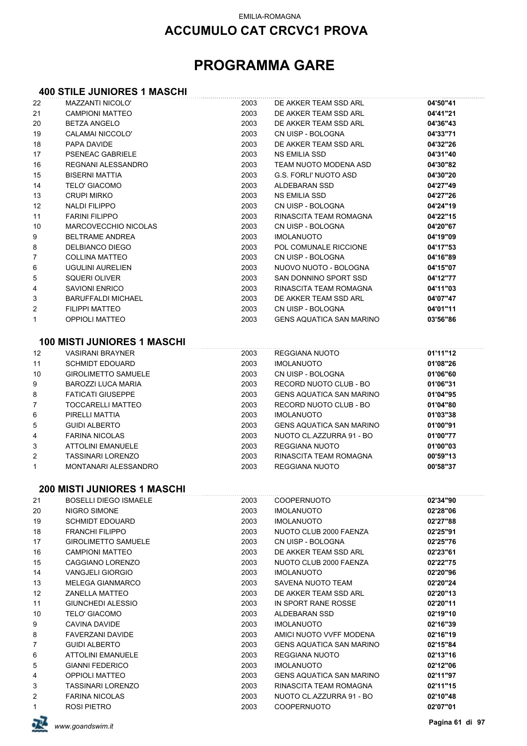## **PROGRAMMA GARE**

#### **400 STILE JUNIORES 1 MASCHI**

| 22             | <b>MAZZANTI NICOLO'</b>            | 2003 | DE AKKER TEAM SSD ARL           | 04'50"41 |
|----------------|------------------------------------|------|---------------------------------|----------|
| 21             | <b>CAMPIONI MATTEO</b>             | 2003 | DE AKKER TEAM SSD ARL           | 04'41"21 |
| 20             | <b>BETZA ANGELO</b>                | 2003 | DE AKKER TEAM SSD ARL           | 04'36"43 |
| 19             | CALAMAI NICCOLO'                   | 2003 | CN UISP - BOLOGNA               | 04'33"71 |
| 18             | PAPA DAVIDE                        | 2003 | DE AKKER TEAM SSD ARL           | 04'32"26 |
| 17             | <b>PSENEAC GABRIELE</b>            | 2003 | <b>NS EMILIA SSD</b>            | 04'31"40 |
| 16             | REGNANI ALESSANDRO                 | 2003 | TEAM NUOTO MODENA ASD           | 04'30"82 |
| 15             | <b>BISERNI MATTIA</b>              | 2003 | <b>G.S. FORLI' NUOTO ASD</b>    | 04'30"20 |
| 14             | <b>TELO' GIACOMO</b>               | 2003 | ALDEBARAN SSD                   | 04'27"49 |
| 13             | <b>CRUPI MIRKO</b>                 | 2003 | NS EMILIA SSD                   | 04'27"26 |
| 12             | <b>NALDI FILIPPO</b>               | 2003 | CN UISP - BOLOGNA               | 04'24"19 |
| 11             | <b>FARINI FILIPPO</b>              | 2003 | RINASCITA TEAM ROMAGNA          | 04'22"15 |
| 10             | <b>MARCOVECCHIO NICOLAS</b>        | 2003 | CN UISP - BOLOGNA               | 04'20"67 |
| 9              | <b>BELTRAME ANDREA</b>             | 2003 | <b>IMOLANUOTO</b>               | 04'19"09 |
| 8              | DELBIANCO DIEGO                    | 2003 | POL COMUNALE RICCIONE           | 04'17"53 |
| $\overline{7}$ | <b>COLLINA MATTEO</b>              | 2003 | CN UISP - BOLOGNA               | 04'16"89 |
| 6              | <b>UGULINI AURELIEN</b>            | 2003 | NUOVO NUOTO - BOLOGNA           | 04'15"07 |
| 5              | SQUERI OLIVER                      | 2003 | SAN DONNINO SPORT SSD           | 04'12"77 |
| 4              | <b>SAVIONI ENRICO</b>              | 2003 | RINASCITA TEAM ROMAGNA          | 04'11"03 |
| 3              | <b>BARUFFALDI MICHAEL</b>          | 2003 | DE AKKER TEAM SSD ARL           | 04'07"47 |
| 2              | <b>FILIPPI MATTEO</b>              | 2003 | CN UISP - BOLOGNA               | 04'01"11 |
| 1              | <b>OPPIOLI MATTEO</b>              | 2003 | <b>GENS AQUATICA SAN MARINO</b> | 03'56"86 |
|                | <b>100 MISTI JUNIORES 1 MASCHI</b> |      |                                 |          |
| 12             | <b>VASIRANI BRAYNER</b>            | 2003 | REGGIANA NUOTO                  | 01'11"12 |
| 11             | <b>SCHMIDT EDOUARD</b>             | 2003 | <b>IMOLANUOTO</b>               | 01'08"26 |
| 10             | <b>GIROLIMETTO SAMUELE</b>         | 2003 | CN UISP - BOLOGNA               | 01'06"60 |
| 9              | BAROZZI LUCA MARIA                 | 2003 | RECORD NUOTO CLUB - BO          | 01'06"31 |
| 8              | <b>FATICATI GIUSEPPE</b>           | 2003 | <b>GENS AQUATICA SAN MARINO</b> | 01'04"95 |
| 7              | TOCCARELLI MATTEO                  | 2003 | RECORD NUOTO CLUB - BO          | 01'04"80 |
| 6              | PIRELLI MATTIA                     | 2003 | <b>IMOLANUOTO</b>               | 01'03"38 |
| 5              | <b>GUIDI ALBERTO</b>               | 2003 | <b>GENS AQUATICA SAN MARINO</b> | 01'00"91 |
| 4              | <b>FARINA NICOLAS</b>              | 2003 | NUOTO CL.AZZURRA 91 - BO        | 01'00"77 |
| 3              | <b>ATTOLINI EMANUELE</b>           | 2003 | REGGIANA NUOTO                  | 01'00"03 |
| 2              | <b>TASSINARI LORENZO</b>           | 2003 | RINASCITA TEAM ROMAGNA          | 00'59"13 |
| 1              | MONTANARI ALESSANDRO               | 2003 | REGGIANA NUOTO                  | 00'58"37 |
|                | <b>200 MISTI JUNIORES 1 MASCHI</b> |      |                                 |          |
| 21             | <b>BOSELLI DIEGO ISMAELE</b>       | 2003 | COOPERNUOTO                     | 02'34"90 |
| 20             | NIGRO SIMONE                       | 2003 | <b>IMOLANUOTO</b>               | 02'28"06 |
| 19             | <b>SCHMIDT EDOUARD</b>             | 2003 | <b>IMOLANUOTO</b>               | 02'27"88 |
| 18             | <b>FRANCHI FILIPPO</b>             | 2003 | NUOTO CLUB 2000 FAENZA          | 02'25"91 |
| 17             | <b>GIROLIMETTO SAMUELE</b>         | 2003 | CN UISP - BOLOGNA               | 02'25"76 |
| 16             | <b>CAMPIONI MATTEO</b>             | 2003 | DE AKKER TEAM SSD ARL           | 02'23"61 |
| 15             | CAGGIANO LORENZO                   | 2003 | NUOTO CLUB 2000 FAENZA          | 02'22"75 |
| 14             | <b>VANGJELI GIORGIO</b>            | 2003 | <b>IMOLANUOTO</b>               | 02'20"96 |
| 13             | <b>MELEGA GIANMARCO</b>            | 2003 | <b>SAVENA NUOTO TEAM</b>        | 02'20"24 |
| 12             | <b>ZANELLA MATTEO</b>              | 2003 | DE AKKER TEAM SSD ARL           | 02'20"13 |
| 11             | GIUNCHEDI ALESSIO                  | 2003 | IN SPORT RANE ROSSE             | 02'20"11 |
| 10             | <b>TELO' GIACOMO</b>               | 2003 | ALDEBARAN SSD                   | 02'19"10 |
| 9              | CAVINA DAVIDE                      | 2003 | <b>IMOLANUOTO</b>               | 02'16"39 |
| 8              | FAVERZANI DAVIDE                   | 2003 | AMICI NUOTO VVFF MODENA         | 02'16"19 |
| 7              | <b>GUIDI ALBERTO</b>               | 2003 | GENS AQUATICA SAN MARINO        | 02'15"84 |
| 6              | <b>ATTOLINI EMANUELE</b>           | 2003 | REGGIANA NUOTO                  | 02'13"16 |
| 5              | <b>GIANNI FEDERICO</b>             | 2003 | <b>IMOLANUOTO</b>               | 02'12"06 |
| 4              | <b>OPPIOLI MATTEO</b>              | 2003 | <b>GENS AQUATICA SAN MARINO</b> | 02'11"97 |
| 3              | <b>TASSINARI LORENZO</b>           | 2003 | RINASCITA TEAM ROMAGNA          | 02'11"15 |
| 2              | <b>FARINA NICOLAS</b>              | 2003 | NUOTO CL.AZZURRA 91 - BO        | 02'10"48 |
| 1              | ROSI PIETRO                        | 2003 | <b>COOPERNUOTO</b>              | 02'07"01 |

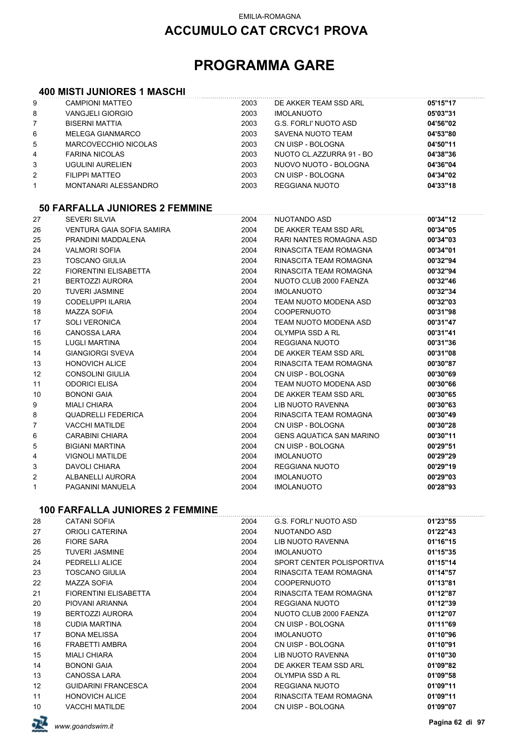## **ACCUMULO CAT CRCVC1 PROVA**

## **PROGRAMMA GARE**

#### **400 MISTI JUNIORES 1 MASCHI**

| 8<br>7 | <b>VANGJELI GIORGIO</b><br><b>BISERNI MATTIA</b> | 2003 | <b>IMOLANUOTO</b>        | 05'03"31 |
|--------|--------------------------------------------------|------|--------------------------|----------|
|        |                                                  |      |                          |          |
|        |                                                  | 2003 | G.S. FORLI' NUOTO ASD    | 04'56"02 |
| 6      | MELEGA GIANMARCO                                 | 2003 | SAVENA NUOTO TEAM        | 04'53"80 |
| 5      | MARCOVECCHIO NICOLAS                             | 2003 | CN UISP - BOLOGNA        | 04'50"11 |
| 4      | FARINA NICOLAS                                   | 2003 | NUOTO CL.AZZURRA 91 - BO | 04'38"36 |
| 3      | UGULINI AURELIEN                                 | 2003 | NUOVO NUOTO - BOLOGNA    | 04'36"04 |
| 2      | FILIPPI MATTEO                                   | 2003 | CN UISP - BOLOGNA        | 04'34"02 |
|        | MONTANARI ALESSANDRO                             | 2003 | REGGIANA NUOTO           | 04'33"18 |

#### **50 FARFALLA JUNIORES 2 FEMMINE**

| 27             | SEVERI SILVIA             | 2004 | NUOTANDO ASD                    | 00'34"12 |
|----------------|---------------------------|------|---------------------------------|----------|
| 26             | VENTURA GAIA SOFIA SAMIRA | 2004 | DE AKKER TEAM SSD ARL           | 00'34"05 |
| 25             | PRANDINI MADDALENA        | 2004 | RARI NANTES ROMAGNA ASD         | 00'34"03 |
| 24             | <b>VALMORI SOFIA</b>      | 2004 | RINASCITA TEAM ROMAGNA          | 00'34"01 |
| 23             | <b>TOSCANO GIULIA</b>     | 2004 | RINASCITA TEAM ROMAGNA          | 00'32"94 |
| 22             | FIORENTINI ELISABETTA     | 2004 | RINASCITA TEAM ROMAGNA          | 00'32"94 |
| 21             | <b>BERTOZZI AURORA</b>    | 2004 | NUOTO CLUB 2000 FAENZA          | 00'32"46 |
| 20             | <b>TUVERI JASMINE</b>     | 2004 | <b>IMOLANUOTO</b>               | 00'32"34 |
| 19             | <b>CODELUPPI ILARIA</b>   | 2004 | TEAM NUOTO MODENA ASD           | 00'32"03 |
| 18             | MAZZA SOFIA               | 2004 | COOPERNUOTO                     | 00'31"98 |
| 17             | <b>SOLI VERONICA</b>      | 2004 | TEAM NUOTO MODENA ASD           | 00'31"47 |
| 16             | <b>CANOSSA LARA</b>       | 2004 | OLYMPIA SSD A RL                | 00'31"41 |
| 15             | <b>LUGLI MARTINA</b>      | 2004 | <b>REGGIANA NUOTO</b>           | 00'31"36 |
| 14             | <b>GIANGIORGI SVEVA</b>   | 2004 | DE AKKER TEAM SSD ARL           | 00'31"08 |
| 13             | <b>HONOVICH ALICE</b>     | 2004 | RINASCITA TEAM ROMAGNA          | 00'30"87 |
| 12             | CONSOLINI GIULIA          | 2004 | CN UISP - BOLOGNA               | 00'30"69 |
| 11             | <b>ODORICI ELISA</b>      | 2004 | TEAM NUOTO MODENA ASD           | 00'30"66 |
| 10             | <b>BONONI GAIA</b>        | 2004 | DE AKKER TEAM SSD ARL           | 00'30"65 |
| 9              | MIALI CHIARA              | 2004 | LIB NUOTO RAVENNA               | 00'30"63 |
| 8              | QUADRELLI FEDERICA        | 2004 | RINASCITA TEAM ROMAGNA          | 00'30"49 |
| $\overline{7}$ | <b>VACCHI MATILDE</b>     | 2004 | CN UISP - BOLOGNA               | 00'30"28 |
| 6              | <b>CARABINI CHIARA</b>    | 2004 | <b>GENS AQUATICA SAN MARINO</b> | 00'30"11 |
| 5              | <b>BIGIANI MARTINA</b>    | 2004 | CN UISP - BOLOGNA               | 00'29"51 |
| 4              | <b>VIGNOLI MATILDE</b>    | 2004 | IMOLANUOTO                      | 00'29"29 |
| 3              | DAVOLI CHIARA             | 2004 | <b>REGGIANA NUOTO</b>           | 00'29"19 |
| $\overline{2}$ | ALBANELLI AURORA          | 2004 | <b>IMOLANUOTO</b>               | 00'29"03 |
| $\mathbf{1}$   | PAGANINI MANUELA          | 2004 | <b>IMOLANUOTO</b>               | 00'28"93 |
|                |                           |      |                                 |          |

### **100 FARFALLA JUNIORES 2 FEMMINE**

| 28 | <b>CATANI SOFIA</b>        | 2004 | G.S. FORLI' NUOTO ASD     | 01'23"55 |
|----|----------------------------|------|---------------------------|----------|
| 27 | ORIOLI CATERINA            | 2004 | NUOTANDO ASD              | 01'22"43 |
| 26 | <b>FIORE SARA</b>          | 2004 | LIB NUOTO RAVENNA         | 01'16"15 |
| 25 | TUVERI JASMINE             | 2004 | <b>IMOLANUOTO</b>         | 01'15"35 |
| 24 | PEDRELLI ALICE             | 2004 | SPORT CENTER POLISPORTIVA | 01'15"14 |
| 23 | TOSCANO GIULIA             | 2004 | RINASCITA TEAM ROMAGNA    | 01'14"57 |
| 22 | MAZZA SOFIA                | 2004 | <b>COOPERNUOTO</b>        | 01'13"81 |
| 21 | FIORENTINI ELISABETTA      | 2004 | RINASCITA TEAM ROMAGNA    | 01'12"87 |
| 20 | PIOVANI ARIANNA            | 2004 | REGGIANA NUOTO            | 01'12"39 |
| 19 | BERTOZZI AURORA            | 2004 | NUOTO CLUB 2000 FAENZA    | 01'12"07 |
| 18 | <b>CUDIA MARTINA</b>       | 2004 | CN UISP - BOLOGNA         | 01'11"69 |
| 17 | <b>BONA MELISSA</b>        | 2004 | <b>IMOLANUOTO</b>         | 01'10"96 |
| 16 | FRABETTI AMBRA             | 2004 | CN UISP - BOLOGNA         | 01'10"91 |
| 15 | <b>MIALI CHIARA</b>        | 2004 | LIB NUOTO RAVENNA         | 01'10"30 |
| 14 | <b>BONONI GAIA</b>         | 2004 | DE AKKER TEAM SSD ARL     | 01'09"82 |
| 13 | <b>CANOSSA LARA</b>        | 2004 | OLYMPIA SSD A RL          | 01'09"58 |
| 12 | <b>GUIDARINI FRANCESCA</b> | 2004 | REGGIANA NUOTO            | 01'09"11 |
| 11 | <b>HONOVICH ALICE</b>      | 2004 | RINASCITA TEAM ROMAGNA    | 01'09"11 |
| 10 | VACCHI MATILDE             | 2004 | CN UISP - BOLOGNA         | 01'09"07 |
|    |                            |      |                           |          |

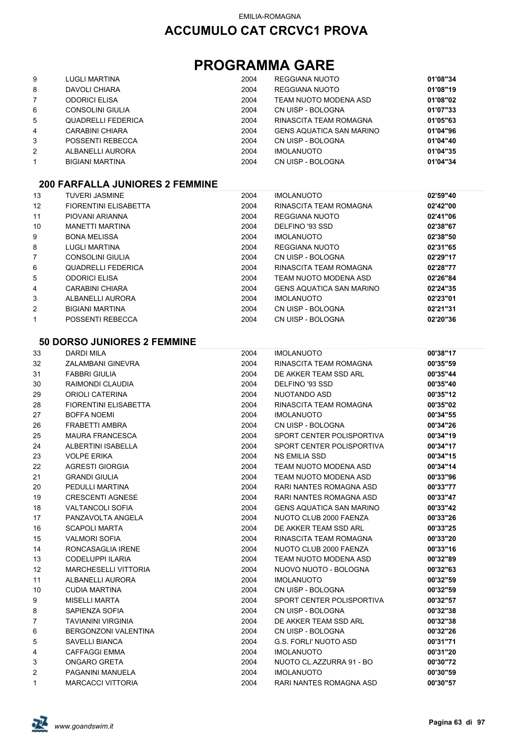## **PROGRAMMA GARE**

| 9              | <b>LUGLI MARTINA</b>      | 2004 | REGGIANA NUOTO                  | 01'08"34 |
|----------------|---------------------------|------|---------------------------------|----------|
| 8              | DAVOLI CHIARA             | 2004 | REGGIANA NUOTO                  | 01'08"19 |
| $\overline{7}$ | <b>ODORICI ELISA</b>      | 2004 | TEAM NUOTO MODENA ASD           | 01'08"02 |
| 6              | CONSOLINI GIULIA          | 2004 | CN UISP - BOLOGNA               | 01'07"33 |
| 5              | <b>QUADRELLI FEDERICA</b> | 2004 | RINASCITA TEAM ROMAGNA          | 01'05"63 |
| 4              | <b>CARABINI CHIARA</b>    | 2004 | <b>GENS AQUATICA SAN MARINO</b> | 01'04"96 |
| 3              | POSSENTI REBECCA          | 2004 | CN UISP - BOLOGNA               | 01'04"40 |
| $\overline{2}$ | ALBANELLI AURORA          | 2004 | <b>IMOLANUOTO</b>               | 01'04"35 |
| $\mathbf{1}$   | <b>BIGIANI MARTINA</b>    | 2004 | CN UISP - BOLOGNA               | 01'04"34 |

#### **200 FARFALLA JUNIORES 2 FEMMINE**

| 13 | <b>TUVERI JASMINE</b>        | 2004 | <b>IMOLANUOTO</b>               | 02'59"40 |
|----|------------------------------|------|---------------------------------|----------|
| 12 | <b>FIORENTINI ELISABETTA</b> | 2004 | RINASCITA TEAM ROMAGNA          | 02'42"00 |
| 11 | PIOVANI ARIANNA              | 2004 | REGGIANA NUOTO                  | 02'41"06 |
| 10 | <b>MANETTI MARTINA</b>       | 2004 | DELFINO '93 SSD                 | 02'38"67 |
| 9  | <b>BONA MELISSA</b>          | 2004 | <b>IMOLANUOTO</b>               | 02'38"50 |
| 8  | LUGLI MARTINA                | 2004 | REGGIANA NUOTO                  | 02'31"65 |
| 7  | CONSOLINI GIULIA             | 2004 | CN UISP - BOLOGNA               | 02'29"17 |
| 6  | <b>QUADRELLI FEDERICA</b>    | 2004 | RINASCITA TEAM ROMAGNA          | 02'28"77 |
| 5  | <b>ODORICI ELISA</b>         | 2004 | TEAM NUOTO MODENA ASD           | 02'26"84 |
| 4  | CARABINI CHIARA              | 2004 | <b>GENS AQUATICA SAN MARINO</b> | 02'24"35 |
| 3  | ALBANELLI AURORA             | 2004 | <b>IMOLANUOTO</b>               | 02'23"01 |
| 2  | <b>BIGIANI MARTINA</b>       | 2004 | CN UISP - BOLOGNA               | 02'21"31 |
| 1  | POSSENTI REBECCA             | 2004 | CN UISP - BOLOGNA               | 02'20"36 |

#### **50 DORSO JUNIORES 2 FEMMINE**

| 33 | <b>DARDI MILA</b>            | 2004 | <b>IMOLANUOTO</b>               | 00'38"17 |
|----|------------------------------|------|---------------------------------|----------|
| 32 | ZALAMBANI GINEVRA            | 2004 | RINASCITA TEAM ROMAGNA          | 00'35"59 |
| 31 | <b>FABBRI GIULIA</b>         | 2004 | DE AKKER TEAM SSD ARL           | 00'35"44 |
| 30 | RAIMONDI CLAUDIA             | 2004 | DELFINO '93 SSD                 | 00'35"40 |
| 29 | <b>ORIOLI CATERINA</b>       | 2004 | NUOTANDO ASD                    | 00'35"12 |
| 28 | <b>FIORENTINI ELISABETTA</b> | 2004 | RINASCITA TEAM ROMAGNA          | 00'35"02 |
| 27 | <b>BOFFA NOEMI</b>           | 2004 | <b>IMOLANUOTO</b>               | 00'34"55 |
| 26 | FRABETTI AMBRA               | 2004 | CN UISP - BOLOGNA               | 00'34"26 |
| 25 | <b>MAURA FRANCESCA</b>       | 2004 | SPORT CENTER POLISPORTIVA       | 00'34"19 |
| 24 | ALBERTINI ISABELLA           | 2004 | SPORT CENTER POLISPORTIVA       | 00'34"17 |
| 23 | <b>VOLPE ERIKA</b>           | 2004 | <b>NS EMILIA SSD</b>            | 00'34"15 |
| 22 | <b>AGRESTI GIORGIA</b>       | 2004 | TEAM NUOTO MODENA ASD           | 00'34"14 |
| 21 | <b>GRANDI GIULIA</b>         | 2004 | TEAM NUOTO MODENA ASD           | 00'33"96 |
| 20 | PEDULLI MARTINA              | 2004 | RARI NANTES ROMAGNA ASD         | 00'33"77 |
| 19 | <b>CRESCENTI AGNESE</b>      | 2004 | RARI NANTES ROMAGNA ASD         | 00'33"47 |
| 18 | <b>VALTANCOLI SOFIA</b>      | 2004 | <b>GENS AQUATICA SAN MARINO</b> | 00'33"42 |
| 17 | PANZAVOLTA ANGELA            | 2004 | NUOTO CLUB 2000 FAENZA          | 00'33"26 |
| 16 | <b>SCAPOLI MARTA</b>         | 2004 | DE AKKER TEAM SSD ARL           | 00'33"25 |
| 15 | <b>VALMORI SOFIA</b>         | 2004 | RINASCITA TEAM ROMAGNA          | 00'33"20 |
| 14 | RONCASAGLIA IRENE            | 2004 | NUOTO CLUB 2000 FAENZA          | 00'33"16 |
| 13 | <b>CODELUPPI ILARIA</b>      | 2004 | TEAM NUOTO MODENA ASD           | 00'32"89 |
| 12 | <b>MARCHESELLI VITTORIA</b>  | 2004 | NUOVO NUOTO - BOLOGNA           | 00'32"63 |
| 11 | ALBANELLI AURORA             | 2004 | <b>IMOLANUOTO</b>               | 00'32"59 |
| 10 | <b>CUDIA MARTINA</b>         | 2004 | CN UISP - BOLOGNA               | 00'32"59 |
| 9  | <b>MISELLI MARTA</b>         | 2004 | SPORT CENTER POLISPORTIVA       | 00'32"57 |
| 8  | SAPIENZA SOFIA               | 2004 | CN UISP - BOLOGNA               | 00'32"38 |
| 7  | <b>TAVIANINI VIRGINIA</b>    | 2004 | DE AKKER TEAM SSD ARL           | 00'32"38 |
| 6  | BERGONZONI VALENTINA         | 2004 | CN UISP - BOLOGNA               | 00'32"26 |
| 5  | <b>SAVELLI BIANCA</b>        | 2004 | <b>G.S. FORLI' NUOTO ASD</b>    | 00'31"71 |
| 4  | <b>CAFFAGGI EMMA</b>         | 2004 | <b>IMOLANUOTO</b>               | 00'31"20 |
| 3  | <b>ONGARO GRETA</b>          | 2004 | NUOTO CL.AZZURRA 91 - BO        | 00'30"72 |
| 2  | PAGANINI MANUELA             | 2004 | <b>IMOLANUOTO</b>               | 00'30"59 |
| 1  | <b>MARCACCI VITTORIA</b>     | 2004 | RARI NANTES ROMAGNA ASD         | 00'30"57 |
|    |                              |      |                                 |          |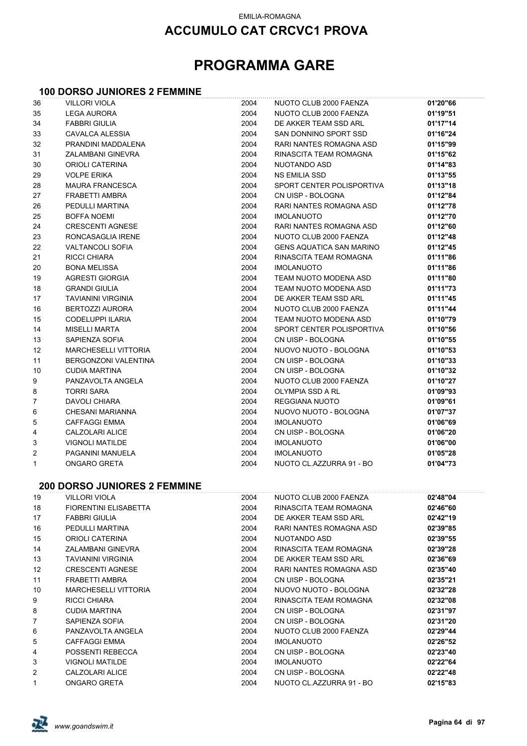## **ACCUMULO CAT CRCVC1 PROVA**

## **PROGRAMMA GARE**

#### **100 DORSO JUNIORES 2 FEMMINE**

| 36     | <b>VILLORI VIOLA</b>                                 | 2004         | NUOTO CLUB 2000 FAENZA                      | 01'20"66             |
|--------|------------------------------------------------------|--------------|---------------------------------------------|----------------------|
| 35     | <b>LEGA AURORA</b>                                   | 2004         | NUOTO CLUB 2000 FAENZA                      | 01'19"51             |
| 34     | <b>FABBRI GIULIA</b>                                 | 2004         | DE AKKER TEAM SSD ARL                       | 01'17"14             |
| 33     | CAVALCA ALESSIA                                      | 2004         | SAN DONNINO SPORT SSD                       | 01'16"24             |
| 32     | PRANDINI MADDALENA                                   | 2004         | RARI NANTES ROMAGNA ASD                     | 01'15"99             |
| 31     | ZALAMBANI GINEVRA                                    | 2004         | RINASCITA TEAM ROMAGNA                      | 01'15"62             |
| 30     | ORIOLI CATERINA                                      | 2004         | NUOTANDO ASD                                | 01'14"83             |
| 29     | <b>VOLPE ERIKA</b>                                   | 2004         | NS EMILIA SSD                               | 01'13"55             |
| 28     | <b>MAURA FRANCESCA</b>                               | 2004         | SPORT CENTER POLISPORTIVA                   | 01'13"18             |
| 27     | FRABETTI AMBRA                                       | 2004         | CN UISP - BOLOGNA                           | 01'12"84             |
| 26     | PEDULLI MARTINA                                      | 2004         | RARI NANTES ROMAGNA ASD                     | 01'12"78             |
| 25     | <b>BOFFA NOEMI</b>                                   | 2004         | <b>IMOLANUOTO</b>                           | 01'12"70             |
| 24     | <b>CRESCENTI AGNESE</b>                              | 2004         | RARI NANTES ROMAGNA ASD                     | 01'12"60             |
| 23     | RONCASAGLIA IRENE                                    | 2004         | NUOTO CLUB 2000 FAENZA                      | 01'12"48             |
| 22     | <b>VALTANCOLI SOFIA</b>                              | 2004         | <b>GENS AQUATICA SAN MARINO</b>             | 01'12"45             |
| 21     | RICCI CHIARA                                         | 2004         | RINASCITA TEAM ROMAGNA                      | 01'11"86             |
| 20     | <b>BONA MELISSA</b>                                  | 2004         | <b>IMOLANUOTO</b>                           | 01'11"86             |
| 19     | <b>AGRESTI GIORGIA</b>                               | 2004         | TEAM NUOTO MODENA ASD                       | 01'11"80             |
| 18     | <b>GRANDI GIULIA</b>                                 | 2004         | TEAM NUOTO MODENA ASD                       | 01'11"73             |
| 17     | <b>TAVIANINI VIRGINIA</b>                            | 2004         | DE AKKER TEAM SSD ARL                       | 01'11"45             |
| 16     | <b>BERTOZZI AURORA</b>                               | 2004         | NUOTO CLUB 2000 FAENZA                      | 01'11"44             |
| 15     | CODELUPPI ILARIA                                     | 2004         | TEAM NUOTO MODENA ASD                       | 01'10"79             |
| 14     | <b>MISELLI MARTA</b>                                 | 2004         | SPORT CENTER POLISPORTIVA                   | 01'10"56             |
| 13     | SAPIENZA SOFIA                                       | 2004         | CN UISP - BOLOGNA                           | 01'10"55             |
| 12     | <b>MARCHESELLI VITTORIA</b>                          | 2004         | NUOVO NUOTO - BOLOGNA                       | 01'10"53             |
| 11     | BERGONZONI VALENTINA                                 | 2004         | CN UISP - BOLOGNA                           | 01'10"33             |
| 10     | <b>CUDIA MARTINA</b>                                 | 2004         | CN UISP - BOLOGNA                           | 01'10"32             |
| 9      | PANZAVOLTA ANGELA                                    | 2004         | NUOTO CLUB 2000 FAENZA                      | 01'10"27             |
| 8      | <b>TORRI SARA</b>                                    | 2004         | OLYMPIA SSD A RL                            | 01'09"93             |
| 7      | DAVOLI CHIARA                                        | 2004         | REGGIANA NUOTO                              | 01'09"61             |
| 6      | CHESANI MARIANNA                                     | 2004         | NUOVO NUOTO - BOLOGNA                       | 01'07"37             |
| 5      | <b>CAFFAGGI EMMA</b>                                 | 2004         | <b>IMOLANUOTO</b>                           | 01'06"69             |
| 4      | CALZOLARI ALICE                                      | 2004         | CN UISP - BOLOGNA                           | 01'06"20             |
| 3      | <b>VIGNOLI MATILDE</b>                               | 2004         | <b>IMOLANUOTO</b>                           | 01'06"00             |
| 2      | PAGANINI MANUELA                                     | 2004         | <b>IMOLANUOTO</b>                           | 01'05"28             |
| 1      | ONGARO GRETA                                         | 2004         | NUOTO CL.AZZURRA 91 - BO                    | 01'04"73             |
|        | <b>200 DORSO JUNIORES 2 FEMMINE</b>                  |              |                                             |                      |
|        |                                                      |              |                                             |                      |
| 19     | <b>VILLORI VIOLA</b><br><b>FIORENTINI ELISABETTA</b> | 2004         | NUOTO CLUB 2000 FAENZA                      | 02'48"04             |
| 18     |                                                      | 2004         | RINASCITA TEAM ROMAGNA                      | 02'46"60             |
| 17     | <b>FABBRI GIULIA</b>                                 | 2004         | DE AKKER TEAM SSD ARL                       | 02'42"19             |
| 16     | PEDULLI MARTINA                                      | 2004         | RARI NANTES ROMAGNA ASD                     | 02'39"85             |
| 15     | ORIOLI CATERINA                                      | 2004         | NUOTANDO ASD<br>RINASCITA TEAM ROMAGNA      | 02'39"55             |
| 14     | ZALAMBANI GINEVRA                                    | 2004         |                                             | 02'39"28             |
| 13     | <b>TAVIANINI VIRGINIA</b>                            | 2004         | DE AKKER TEAM SSD ARL                       | 02'36"69             |
| 12     | <b>CRESCENTI AGNESE</b>                              | 2004         | RARI NANTES ROMAGNA ASD                     | 02'35"40             |
| 11     | FRABETTI AMBRA                                       | 2004         | CN UISP - BOLOGNA<br>NUOVO NUOTO - BOLOGNA  | 02'35"21             |
| 10     | <b>MARCHESELLI VITTORIA</b>                          | 2004         |                                             | 02'32"28             |
| 9      | RICCI CHIARA                                         | 2004         | RINASCITA TEAM ROMAGNA                      | 02'32"08             |
| 8      | CUDIA MARTINA                                        | 2004         | CN UISP - BOLOGNA                           | 02'31"97             |
| 7      | SAPIENZA SOFIA                                       | 2004         | CN UISP - BOLOGNA                           | 02'31"20             |
| 6      | PANZAVOLTA ANGELA<br><b>CAFFAGGI EMMA</b>            | 2004<br>2004 | NUOTO CLUB 2000 FAENZA<br><b>IMOLANUOTO</b> | 02'29"44             |
| 5<br>4 | POSSENTI REBECCA                                     | 2004         | CN UISP - BOLOGNA                           | 02'26"52<br>02'23"40 |
| 3      | <b>VIGNOLI MATILDE</b>                               | 2004         | <b>IMOLANUOTO</b>                           | 02'22"64             |
| 2      | CALZOLARI ALICE                                      | 2004         | CN UISP - BOLOGNA                           | 02'22"48             |
| 1      | ONGARO GRETA                                         | 2004         | NUOTO CL.AZZURRA 91 - BO                    | 02'15"83             |
|        |                                                      |              |                                             |                      |

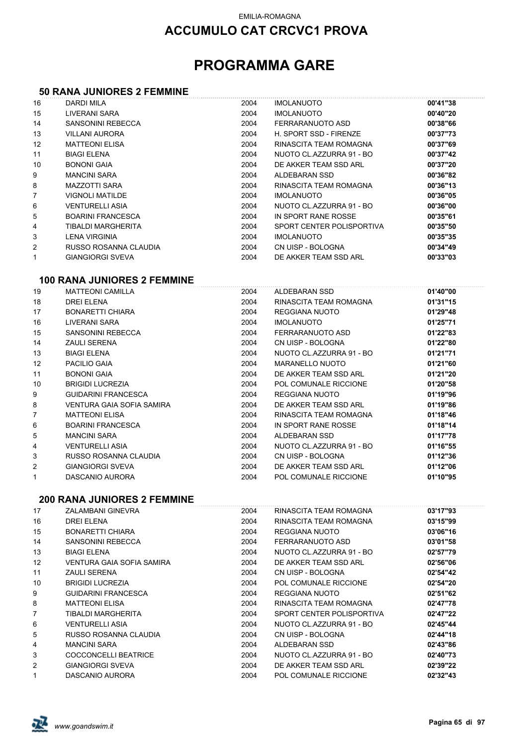## **ACCUMULO CAT CRCVC1 PROVA**

## **PROGRAMMA GARE**

#### **50 RANA JUNIORES 2 FEMMINE**

| 16             | <b>DARDI MILA</b>                  | 2004 | <b>IMOLANUOTO</b>         | 00'41"38 |
|----------------|------------------------------------|------|---------------------------|----------|
| 15             | LIVERANI SARA                      | 2004 | <b>IMOLANUOTO</b>         | 00'40"20 |
| 14             | SANSONINI REBECCA                  | 2004 | FERRARANUOTO ASD          | 00'38"66 |
| 13             | <b>VILLANI AURORA</b>              | 2004 | H. SPORT SSD - FIRENZE    | 00'37"73 |
| 12             | <b>MATTEONI ELISA</b>              | 2004 | RINASCITA TEAM ROMAGNA    | 00'37"69 |
| 11             | <b>BIAGI ELENA</b>                 | 2004 | NUOTO CL.AZZURRA 91 - BO  | 00'37"42 |
| 10             | <b>BONONI GAIA</b>                 | 2004 | DE AKKER TEAM SSD ARL     | 00'37"20 |
| 9              | <b>MANCINI SARA</b>                | 2004 | ALDEBARAN SSD             | 00'36"82 |
| 8              | <b>MAZZOTTI SARA</b>               | 2004 | RINASCITA TEAM ROMAGNA    | 00'36"13 |
| 7              | <b>VIGNOLI MATILDE</b>             | 2004 | <b>IMOLANUOTO</b>         | 00'36"05 |
| 6              | <b>VENTURELLI ASIA</b>             | 2004 | NUOTO CL.AZZURRA 91 - BO  | 00'36"00 |
| 5              | <b>BOARINI FRANCESCA</b>           | 2004 | IN SPORT RANE ROSSE       | 00'35"61 |
| 4              | TIBALDI MARGHERITA                 | 2004 | SPORT CENTER POLISPORTIVA | 00'35"50 |
| 3              | <b>LENA VIRGINIA</b>               | 2004 | <b>IMOLANUOTO</b>         | 00'35"35 |
| $\overline{2}$ | RUSSO ROSANNA CLAUDIA              | 2004 | CN UISP - BOLOGNA         | 00'34"49 |
| $\mathbf{1}$   | <b>GIANGIORGI SVEVA</b>            | 2004 | DE AKKER TEAM SSD ARL     | 00'33"03 |
|                | <b>100 RANA JUNIORES 2 FEMMINE</b> |      |                           |          |
| 19             | <b>MATTEONI CAMILLA</b>            | 2004 | ALDEBARAN SSD             | 01'40"00 |
| 18             | DREI ELENA                         | 2004 | RINASCITA TEAM ROMAGNA    | 01'31"15 |
| 17             | <b>BONARETTI CHIARA</b>            | 2004 | REGGIANA NUOTO            | 01'29"48 |
| 16             | <b>LIVERANI SARA</b>               | 2004 | <b>IMOLANUOTO</b>         | 01'25"71 |
| 15             | SANSONINI REBECCA                  | 2004 | FERRARANUOTO ASD          | 01'22"83 |
| 14             | <b>ZAULI SERENA</b>                | 2004 | CN UISP - BOLOGNA         | 01'22"80 |
| 13             | <b>BIAGI ELENA</b>                 | 2004 | NUOTO CL.AZZURRA 91 - BO  | 01'21"71 |
| 12             | PACILIO GAIA                       | 2004 | <b>MARANELLO NUOTO</b>    | 01'21"60 |
| 11             | <b>BONONI GAIA</b>                 | 2004 | DE AKKER TEAM SSD ARL     | 01'21"20 |
| 10             | <b>BRIGIDI LUCREZIA</b>            | 2004 | POL COMUNALE RICCIONE     | 01'20"58 |
| 9              | <b>GUIDARINI FRANCESCA</b>         | 2004 | REGGIANA NUOTO            | 01'19"96 |
| 8              | VENTURA GAIA SOFIA SAMIRA          | 2004 | DE AKKER TEAM SSD ARL     | 01'19"86 |
| 7              | <b>MATTEONI ELISA</b>              | 2004 | RINASCITA TEAM ROMAGNA    | 01'18"46 |
| 6              | <b>BOARINI FRANCESCA</b>           | 2004 | IN SPORT RANE ROSSE       | 01'18"14 |
| 5              | <b>MANCINI SARA</b>                | 2004 | ALDEBARAN SSD             | 01'17"78 |
| 4              | <b>VENTURELLI ASIA</b>             | 2004 | NUOTO CL.AZZURRA 91 - BO  | 01'16"55 |
| 3              | RUSSO ROSANNA CLAUDIA              | 2004 | CN UISP - BOLOGNA         | 01'12"36 |
| $\overline{2}$ | <b>GIANGIORGI SVEVA</b>            | 2004 | DE AKKER TEAM SSD ARL     | 01'12"06 |
| 1              | DASCANIO AURORA                    | 2004 | POL COMUNALE RICCIONE     | 01'10"95 |
|                |                                    |      |                           |          |
|                | <b>200 RANA JUNIORES 2 FEMMINE</b> |      |                           |          |
| 17             | ZALAMBANI GINEVRA                  | 2004 | RINASCITA TEAM ROMAGNA    | 03'17"93 |
| 16             | <b>DREI ELENA</b>                  | 2004 | RINASCITA TEAM ROMAGNA    | 03'15"99 |
| 15             | <b>BONARETTI CHIARA</b>            | 2004 | REGGIANA NUOTO            | 03'06"16 |
| 14             | SANSONINI REBECCA                  | 2004 | FERRARANUOTO ASD          | 03'01"58 |
| 13             | <b>BIAGI ELENA</b>                 | 2004 | NUOTO CL.AZZURRA 91 - BO  | 02'57"79 |
| 12             | <b>VENTURA GAIA SOFIA SAMIRA</b>   | 2004 | DE AKKER TEAM SSD ARL     | 02'56"06 |
| 11             | <b>ZAULI SERENA</b>                | 2004 | CN UISP - BOLOGNA         | 02'54"42 |
| 10             | <b>BRIGIDI LUCREZIA</b>            | 2004 | POL COMUNALE RICCIONE     | 02'54"20 |
| 9              | <b>GUIDARINI FRANCESCA</b>         | 2004 | REGGIANA NUOTO            | 02'51"62 |
| 8              | <b>MATTEONI ELISA</b>              | 2004 | RINASCITA TEAM ROMAGNA    | 02'47"78 |
| 7              | <b>TIBALDI MARGHERITA</b>          | 2004 | SPORT CENTER POLISPORTIVA | 02'47"22 |
| 6              | <b>VENTURELLI ASIA</b>             | 2004 | NUOTO CL.AZZURRA 91 - BO  | 02'45"44 |
| 5              | RUSSO ROSANNA CLAUDIA              | 2004 | CN UISP - BOLOGNA         | 02'44"18 |
| 4              | <b>MANCINI SARA</b>                | 2004 | ALDEBARAN SSD             | 02'43"86 |
| 3              | <b>COCCONCELLI BEATRICE</b>        | 2004 | NUOTO CL.AZZURRA 91 - BO  | 02'40"73 |
| 2              | <b>GIANGIORGI SVEVA</b>            | 2004 | DE AKKER TEAM SSD ARL     | 02'39"22 |
| 1              | DASCANIO AURORA                    | 2004 | POL COMUNALE RICCIONE     | 02'32"43 |

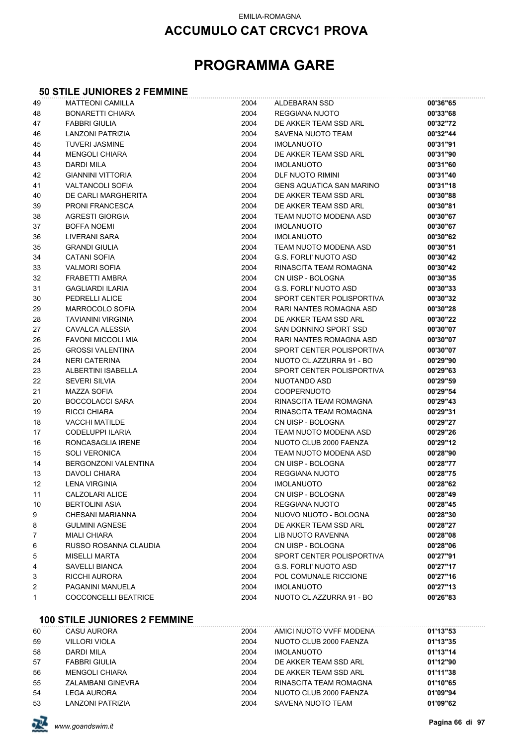## **PROGRAMMA GARE**

#### **50 STILE JUNIORES 2 FEMMINE**

| 49                | <b>MATTEONI CAMILLA</b>     | 2004 | ALDEBARAN SSD                   | 00'36"65 |
|-------------------|-----------------------------|------|---------------------------------|----------|
| 48                | <b>BONARETTI CHIARA</b>     | 2004 | REGGIANA NUOTO                  | 00'33"68 |
| 47                | <b>FABBRI GIULIA</b>        | 2004 | DE AKKER TEAM SSD ARL           | 00'32"72 |
| 46                | LANZONI PATRIZIA            | 2004 | SAVENA NUOTO TEAM               | 00'32"44 |
| 45                | <b>TUVERI JASMINE</b>       | 2004 | <b>IMOLANUOTO</b>               | 00'31"91 |
| 44                | <b>MENGOLI CHIARA</b>       | 2004 | DE AKKER TEAM SSD ARL           | 00'31"90 |
| 43                | <b>DARDI MILA</b>           | 2004 | <b>IMOLANUOTO</b>               | 00'31"60 |
| 42                | <b>GIANNINI VITTORIA</b>    | 2004 | DLF NUOTO RIMINI                | 00'31"40 |
| 41                | <b>VALTANCOLI SOFIA</b>     | 2004 | <b>GENS AQUATICA SAN MARINO</b> | 00'31"18 |
| 40                | DE CARLI MARGHERITA         | 2004 | DE AKKER TEAM SSD ARL           | 00'30"88 |
| 39                | <b>PRONI FRANCESCA</b>      | 2004 | DE AKKER TEAM SSD ARL           | 00'30"81 |
| 38                | <b>AGRESTI GIORGIA</b>      | 2004 | TEAM NUOTO MODENA ASD           | 00'30"67 |
| 37                | <b>BOFFA NOEMI</b>          | 2004 | <b>IMOLANUOTO</b>               | 00'30"67 |
| 36                | LIVERANI SARA               | 2004 | <b>IMOLANUOTO</b>               | 00'30"62 |
| 35                | <b>GRANDI GIULIA</b>        | 2004 | TEAM NUOTO MODENA ASD           | 00'30"51 |
| 34                | <b>CATANI SOFIA</b>         | 2004 | <b>G.S. FORLI' NUOTO ASD</b>    | 00'30"42 |
| 33                | <b>VALMORI SOFIA</b>        | 2004 | RINASCITA TEAM ROMAGNA          | 00'30"42 |
| 32                | FRABETTI AMBRA              | 2004 | CN UISP - BOLOGNA               | 00'30"35 |
| 31                | <b>GAGLIARDI ILARIA</b>     | 2004 | <b>G.S. FORLI' NUOTO ASD</b>    | 00'30"33 |
| 30                | PEDRELLI ALICE              | 2004 | SPORT CENTER POLISPORTIVA       | 00'30"32 |
| 29                | MARROCOLO SOFIA             | 2004 | RARI NANTES ROMAGNA ASD         | 00'30"28 |
| 28                | <b>TAVIANINI VIRGINIA</b>   | 2004 | DE AKKER TEAM SSD ARL           | 00'30"22 |
| 27                | CAVALCA ALESSIA             | 2004 | SAN DONNINO SPORT SSD           | 00'30"07 |
| 26                | <b>FAVONI MICCOLI MIA</b>   | 2004 | RARI NANTES ROMAGNA ASD         | 00'30"07 |
| 25                | <b>GROSSI VALENTINA</b>     | 2004 | SPORT CENTER POLISPORTIVA       | 00'30"07 |
| 24                | <b>NERI CATERINA</b>        | 2004 | NUOTO CL.AZZURRA 91 - BO        | 00'29"90 |
| 23                | ALBERTINI ISABELLA          | 2004 | SPORT CENTER POLISPORTIVA       | 00'29"63 |
| 22                | <b>SEVERI SILVIA</b>        | 2004 | NUOTANDO ASD                    | 00'29"59 |
| 21                | MAZZA SOFIA                 | 2004 | COOPERNUOTO                     | 00'29"54 |
| 20                | <b>BOCCOLACCI SARA</b>      | 2004 | RINASCITA TEAM ROMAGNA          | 00'29"43 |
| 19                | <b>RICCI CHIARA</b>         | 2004 | RINASCITA TEAM ROMAGNA          | 00'29"31 |
| 18                | <b>VACCHI MATILDE</b>       | 2004 | CN UISP - BOLOGNA               | 00'29"27 |
| 17                | CODELUPPI ILARIA            | 2004 | TEAM NUOTO MODENA ASD           | 00'29"26 |
| 16                | RONCASAGLIA IRENE           | 2004 | NUOTO CLUB 2000 FAENZA          | 00'29"12 |
| 15                | <b>SOLI VERONICA</b>        | 2004 | TEAM NUOTO MODENA ASD           | 00'28"90 |
| 14                | <b>BERGONZONI VALENTINA</b> | 2004 | CN UISP - BOLOGNA               | 00'28"77 |
| 13                | <b>DAVOLI CHIARA</b>        | 2004 | REGGIANA NUOTO                  | 00'28"75 |
| $12 \overline{ }$ | <b>LENA VIRGINIA</b>        | 2004 | <b>IMOLANUOTO</b>               | 00'28"62 |
| 11                | CALZOLARI ALICE             | 2004 | CN UISP - BOLOGNA               | 00'28"49 |
| 10                | <b>BERTOLINI ASIA</b>       | 2004 | REGGIANA NUOTO                  | 00'28"45 |
| 9                 | <b>CHESANI MARIANNA</b>     | 2004 | NUOVO NUOTO - BOLOGNA           | 00'28"30 |
| 8                 | <b>GULMINI AGNESE</b>       | 2004 | DE AKKER TEAM SSD ARL           | 00'28"27 |
| 7                 | <b>MIALI CHIARA</b>         | 2004 | <b>LIB NUOTO RAVENNA</b>        | 00'28"08 |
| 6                 | RUSSO ROSANNA CLAUDIA       | 2004 | CN UISP - BOLOGNA               | 00'28"06 |
| 5                 | <b>MISELLI MARTA</b>        | 2004 | SPORT CENTER POLISPORTIVA       | 00'27"91 |
| 4                 | SAVELLI BIANCA              | 2004 | <b>G.S. FORLI' NUOTO ASD</b>    | 00'27"17 |
| 3                 | RICCHI AURORA               | 2004 | POL COMUNALE RICCIONE           | 00'27"16 |
| 2                 | PAGANINI MANUELA            | 2004 | <b>IMOLANUOTO</b>               | 00'27"13 |
| 1                 | COCCONCELLI BEATRICE        | 2004 | NUOTO CL.AZZURRA 91 - BO        | 00'26"83 |
|                   |                             |      |                                 |          |

#### **100 STILE JUNIORES 2 FEMMINE**

| 60 | CASU AURORA           | 2004 | AMICI NUOTO VVFF MODENA | 01'13"53 |
|----|-----------------------|------|-------------------------|----------|
| 59 | <b>VILLORI VIOLA</b>  | 2004 | NUOTO CLUB 2000 FAENZA  | 01'13"35 |
| 58 | DARDI MILA            | 2004 | <b>IMOLANUOTO</b>       | 01'13"14 |
| 57 | <b>FABBRI GIULIA</b>  | 2004 | DE AKKER TEAM SSD ARL   | 01'12"90 |
| 56 | <b>MENGOLI CHIARA</b> | 2004 | DE AKKER TEAM SSD ARL   | 01'11"38 |
| 55 | ZALAMBANI GINEVRA     | 2004 | RINASCITA TEAM ROMAGNA  | 01'10"65 |
| 54 | LEGA AURORA           | 2004 | NUOTO CLUB 2000 FAENZA  | 01'09"94 |
| 53 | LANZONI PATRIZIA      | 2004 | SAVENA NUOTO TEAM       | 01'09"62 |

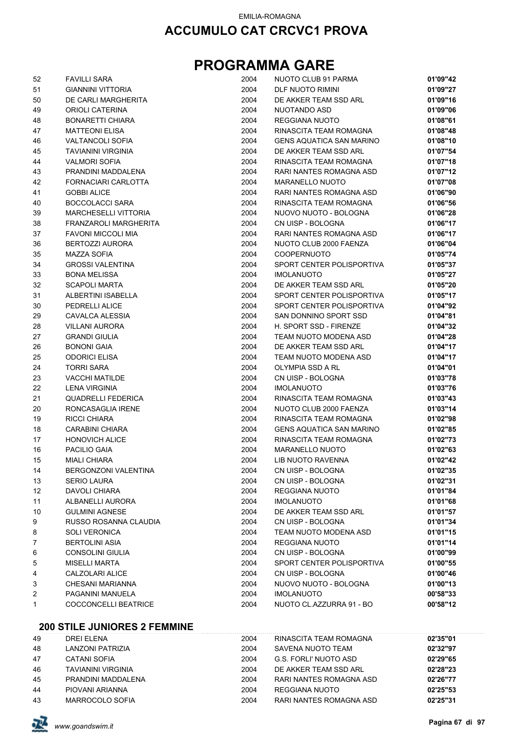## **PROGRAMMA GARE**

| 52 | <b>FAVILLI SARA</b>         | 2004 | NUOTO CLUB 91 PARMA             | 01'09"42 |
|----|-----------------------------|------|---------------------------------|----------|
| 51 | <b>GIANNINI VITTORIA</b>    | 2004 | DLF NUOTO RIMINI                | 01'09"27 |
| 50 | DE CARLI MARGHERITA         | 2004 | DE AKKER TEAM SSD ARL           | 01'09"16 |
| 49 | ORIOLI CATERINA             | 2004 | NUOTANDO ASD                    | 01'09"06 |
| 48 | <b>BONARETTI CHIARA</b>     | 2004 | REGGIANA NUOTO                  | 01'08"61 |
| 47 | <b>MATTEONI ELISA</b>       | 2004 | RINASCITA TEAM ROMAGNA          | 01'08"48 |
| 46 | <b>VALTANCOLI SOFIA</b>     | 2004 | <b>GENS AQUATICA SAN MARINO</b> | 01'08"10 |
| 45 | <b>TAVIANINI VIRGINIA</b>   | 2004 | DE AKKER TEAM SSD ARL           | 01'07"54 |
| 44 | <b>VALMORI SOFIA</b>        | 2004 | RINASCITA TEAM ROMAGNA          | 01'07"18 |
| 43 | PRANDINI MADDALENA          | 2004 | RARI NANTES ROMAGNA ASD         | 01'07"12 |
| 42 | FORNACIARI CARLOTTA         | 2004 | MARANELLO NUOTO                 | 01'07"08 |
| 41 | <b>GOBBI ALICE</b>          | 2004 | RARI NANTES ROMAGNA ASD         | 01'06"90 |
| 40 | <b>BOCCOLACCI SARA</b>      | 2004 | RINASCITA TEAM ROMAGNA          | 01'06"56 |
| 39 | <b>MARCHESELLI VITTORIA</b> | 2004 | NUOVO NUOTO - BOLOGNA           | 01'06"28 |
| 38 | FRANZAROLI MARGHERITA       | 2004 | CN UISP - BOLOGNA               | 01'06"17 |
| 37 | FAVONI MICCOLI MIA          | 2004 | RARI NANTES ROMAGNA ASD         | 01'06"17 |
| 36 | <b>BERTOZZI AURORA</b>      | 2004 | NUOTO CLUB 2000 FAENZA          | 01'06"04 |
| 35 | <b>MAZZA SOFIA</b>          | 2004 | <b>COOPERNUOTO</b>              | 01'05"74 |
| 34 | <b>GROSSI VALENTINA</b>     | 2004 | SPORT CENTER POLISPORTIVA       | 01'05"37 |
| 33 | <b>BONA MELISSA</b>         | 2004 | <b>IMOLANUOTO</b>               | 01'05"27 |
| 32 | <b>SCAPOLI MARTA</b>        | 2004 | DE AKKER TEAM SSD ARL           | 01'05"20 |
| 31 | ALBERTINI ISABELLA          | 2004 | SPORT CENTER POLISPORTIVA       | 01'05"17 |
| 30 | PEDRELLI ALICE              | 2004 | SPORT CENTER POLISPORTIVA       | 01'04"92 |
| 29 | CAVALCA ALESSIA             | 2004 | SAN DONNINO SPORT SSD           | 01'04"81 |
| 28 | <b>VILLANI AURORA</b>       | 2004 | H. SPORT SSD - FIRENZE          | 01'04"32 |
| 27 | <b>GRANDI GIULIA</b>        | 2004 | TEAM NUOTO MODENA ASD           | 01'04"28 |
| 26 | <b>BONONI GAIA</b>          | 2004 | DE AKKER TEAM SSD ARL           | 01'04"17 |
| 25 | <b>ODORICI ELISA</b>        | 2004 | TEAM NUOTO MODENA ASD           | 01'04"17 |
| 24 | <b>TORRI SARA</b>           | 2004 | OLYMPIA SSD A RL                | 01'04"01 |
| 23 | <b>VACCHI MATILDE</b>       | 2004 | CN UISP - BOLOGNA               | 01'03"78 |
| 22 | <b>LENA VIRGINIA</b>        | 2004 | <b>IMOLANUOTO</b>               | 01'03"76 |
| 21 | <b>QUADRELLI FEDERICA</b>   | 2004 | RINASCITA TEAM ROMAGNA          | 01'03"43 |
| 20 | RONCASAGLIA IRENE           | 2004 | NUOTO CLUB 2000 FAENZA          | 01'03"14 |
| 19 | <b>RICCI CHIARA</b>         | 2004 | RINASCITA TEAM ROMAGNA          | 01'02"98 |
| 18 | <b>CARABINI CHIARA</b>      | 2004 | <b>GENS AQUATICA SAN MARINO</b> | 01'02"85 |
| 17 | <b>HONOVICH ALICE</b>       | 2004 | RINASCITA TEAM ROMAGNA          | 01'02"73 |
| 16 | PACILIO GAIA                | 2004 | MARANELLO NUOTO                 | 01'02"63 |
| 15 | <b>MIALI CHIARA</b>         | 2004 | <b>LIB NUOTO RAVENNA</b>        | 01'02"42 |
| 14 | BERGONZONI VALENTINA        | 2004 | CN UISP - BOLOGNA               | 01'02"35 |
| 13 | <b>SERIO LAURA</b>          | 2004 | CN UISP - BOLOGNA               | 01'02"31 |
| 12 | DAVOLI CHIARA               | 2004 | REGGIANA NUOTO                  | 01'01"84 |
| 11 | ALBANELLI AURORA            | 2004 | <b>IMOLANUOTO</b>               | 01'01"68 |
| 10 | <b>GULMINI AGNESE</b>       | 2004 | DE AKKER TEAM SSD ARL           | 01'01"57 |
| 9  | RUSSO ROSANNA CLAUDIA       | 2004 | CN UISP - BOLOGNA               | 01'01"34 |
| 8  | <b>SOLI VERONICA</b>        | 2004 | TEAM NUOTO MODENA ASD           | 01'01"15 |
| 7  | <b>BERTOLINI ASIA</b>       | 2004 | REGGIANA NUOTO                  | 01'01"14 |
| 6  | <b>CONSOLINI GIULIA</b>     | 2004 | CN UISP - BOLOGNA               | 01'00"99 |
| 5  | <b>MISELLI MARTA</b>        | 2004 | SPORT CENTER POLISPORTIVA       | 01'00"55 |
| 4  | CALZOLARI ALICE             | 2004 | CN UISP - BOLOGNA               | 01'00"46 |
| 3  | CHESANI MARIANNA            | 2004 | NUOVO NUOTO - BOLOGNA           | 01'00"13 |
| 2  | PAGANINI MANUELA            | 2004 | <b>IMOLANUOTO</b>               | 00'58"33 |
| 1  | COCCONCELLI BEATRICE        | 2004 | NUOTO CL.AZZURRA 91 - BO        | 00'58"12 |

### **200 STILE JUNIORES 2 FEMMINE**

| 49 | DRFI FI FNA               | 2004 | RINASCITA TEAM ROMAGNA  | 02'35"01 |
|----|---------------------------|------|-------------------------|----------|
| 48 | LANZONI PATRIZIA          | 2004 | SAVENA NUOTO TEAM       | 02'32"97 |
| 47 | <b>CATANI SOFIA</b>       | 2004 | G.S. FORLI' NUOTO ASD   | 02'29"65 |
| 46 | <b>TAVIANINI VIRGINIA</b> | 2004 | DE AKKER TEAM SSD ARL   | 02'28"23 |
| 45 | PRANDINI MADDAI FNA       | 2004 | RARI NANTES ROMAGNA ASD | 02'26"77 |
| 44 | PIOVANI ARIANNA           | 2004 | REGGIANA NUOTO          | 02'25"53 |
| 43 | MARROCOLO SOFIA           | 2004 | RARI NANTES ROMAGNA ASD | 02'25"31 |

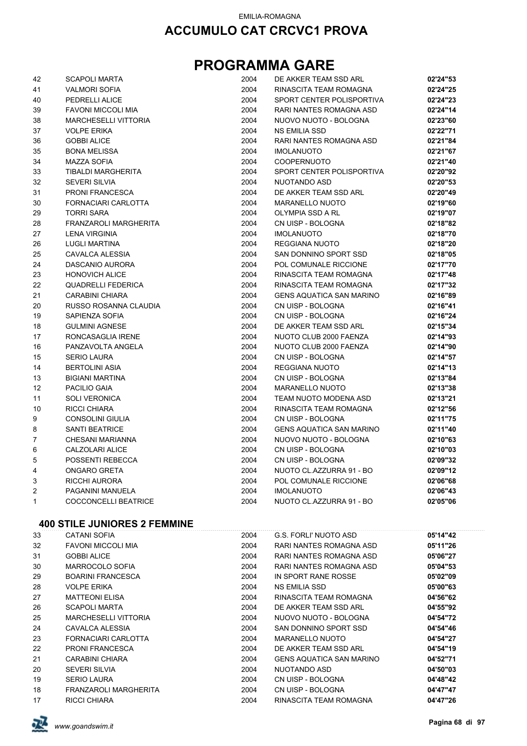## **PROGRAMMA GARE**

| 42                        | <b>SCAPOLI MARTA</b>        | 2004 | DE AKKER TEAM SSD ARL           | 02'24"53 |
|---------------------------|-----------------------------|------|---------------------------------|----------|
| 41                        | <b>VALMORI SOFIA</b>        | 2004 | RINASCITA TEAM ROMAGNA          | 02'24"25 |
| 40                        | PEDRELLI ALICE              | 2004 | SPORT CENTER POLISPORTIVA       | 02'24"23 |
| 39                        | <b>FAVONI MICCOLI MIA</b>   | 2004 | RARI NANTES ROMAGNA ASD         | 02'24"14 |
| 38                        | <b>MARCHESELLI VITTORIA</b> | 2004 | NUOVO NUOTO - BOLOGNA           | 02'23"60 |
| 37                        | <b>VOLPE ERIKA</b>          | 2004 | <b>NS EMILIA SSD</b>            | 02'22"71 |
| 36                        | <b>GOBBI ALICE</b>          | 2004 | RARI NANTES ROMAGNA ASD         | 02'21"84 |
| 35                        | <b>BONA MELISSA</b>         | 2004 | <b>IMOLANUOTO</b>               | 02'21"67 |
| 34                        | <b>MAZZA SOFIA</b>          | 2004 | <b>COOPERNUOTO</b>              | 02'21"40 |
| 33                        | TIBALDI MARGHERITA          | 2004 | SPORT CENTER POLISPORTIVA       | 02'20"92 |
| 32                        | <b>SEVERI SILVIA</b>        | 2004 | NUOTANDO ASD                    | 02'20"53 |
| 31                        | <b>PRONI FRANCESCA</b>      | 2004 | DE AKKER TEAM SSD ARL           | 02'20"49 |
| 30                        | FORNACIARI CARLOTTA         | 2004 | <b>MARANELLO NUOTO</b>          | 02'19"60 |
| 29                        | <b>TORRI SARA</b>           | 2004 | OLYMPIA SSD A RL                | 02'19"07 |
| 28                        | FRANZAROLI MARGHERITA       | 2004 | CN UISP - BOLOGNA               | 02'18"82 |
| 27                        | <b>LENA VIRGINIA</b>        | 2004 | <b>IMOLANUOTO</b>               | 02'18"70 |
| 26                        | <b>LUGLI MARTINA</b>        | 2004 | <b>REGGIANA NUOTO</b>           | 02'18"20 |
| 25                        | CAVALCA ALESSIA             | 2004 | SAN DONNINO SPORT SSD           | 02'18"05 |
| 24                        | DASCANIO AURORA             | 2004 | POL COMUNALE RICCIONE           | 02'17"70 |
| 23                        | <b>HONOVICH ALICE</b>       | 2004 | RINASCITA TEAM ROMAGNA          | 02'17"48 |
| 22                        | <b>QUADRELLI FEDERICA</b>   | 2004 | RINASCITA TEAM ROMAGNA          | 02'17"32 |
| 21                        | <b>CARABINI CHIARA</b>      | 2004 | <b>GENS AQUATICA SAN MARINO</b> | 02'16"89 |
| 20                        | RUSSO ROSANNA CLAUDIA       | 2004 | CN UISP - BOLOGNA               | 02'16"41 |
| 19                        | SAPIENZA SOFIA              | 2004 | CN UISP - BOLOGNA               | 02'16"24 |
| 18                        | <b>GULMINI AGNESE</b>       | 2004 | DE AKKER TEAM SSD ARL           | 02'15"34 |
| 17                        | RONCASAGLIA IRENE           | 2004 | NUOTO CLUB 2000 FAENZA          | 02'14"93 |
| 16                        | PANZAVOLTA ANGELA           | 2004 | NUOTO CLUB 2000 FAENZA          | 02'14"90 |
| 15                        | <b>SERIO LAURA</b>          | 2004 | CN UISP - BOLOGNA               | 02'14"57 |
| 14                        | <b>BERTOLINI ASIA</b>       | 2004 | REGGIANA NUOTO                  | 02'14"13 |
| 13                        | <b>BIGIANI MARTINA</b>      | 2004 | CN UISP - BOLOGNA               | 02'13"84 |
| 12                        | <b>PACILIO GAIA</b>         | 2004 | MARANELLO NUOTO                 | 02'13"38 |
| 11                        | <b>SOLI VERONICA</b>        | 2004 | TEAM NUOTO MODENA ASD           | 02'13"21 |
| 10                        | <b>RICCI CHIARA</b>         | 2004 | RINASCITA TEAM ROMAGNA          | 02'12"56 |
| 9                         | CONSOLINI GIULIA            | 2004 | CN UISP - BOLOGNA               | 02'11"75 |
| 8                         | <b>SANTI BEATRICE</b>       | 2004 | <b>GENS AQUATICA SAN MARINO</b> | 02'11"40 |
| $\overline{7}$            | CHESANI MARIANNA            | 2004 | NUOVO NUOTO - BOLOGNA           | 02'10"63 |
| 6                         | <b>CALZOLARI ALICE</b>      | 2004 | CN UISP - BOLOGNA               | 02'10"03 |
| 5                         | POSSENTI REBECCA            | 2004 | CN UISP - BOLOGNA               | 02'09"32 |
| 4                         | <b>ONGARO GRETA</b>         | 2004 | NUOTO CL.AZZURRA 91 - BO        | 02'09"12 |
| $\ensuremath{\mathsf{3}}$ | <b>RICCHI AURORA</b>        | 2004 | POL COMUNALE RICCIONE           | 02'06"68 |
| 2                         | PAGANINI MANUELA            | 2004 | <b>IMOLANUOTO</b>               | 02'06"43 |
| 1                         | <b>COCCONCELLI BEATRICE</b> | 2004 | NUOTO CL.AZZURRA 91 - BO        | 02'05"06 |
|                           |                             |      |                                 |          |

### **400 STILE JUNIORES 2 FEMMINE**

| 33 | CATANI SOFIA                | 2004 | G.S. FORLI' NUOTO ASD           | 05'14"42 |
|----|-----------------------------|------|---------------------------------|----------|
| 32 | <b>FAVONI MICCOLI MIA</b>   | 2004 | RARI NANTES ROMAGNA ASD         | 05'11"26 |
| 31 | <b>GOBBI ALICE</b>          | 2004 | RARI NANTES ROMAGNA ASD         | 05'06"27 |
| 30 | MARROCOLO SOFIA             | 2004 | RARI NANTES ROMAGNA ASD         | 05'04"53 |
| 29 | <b>BOARINI FRANCESCA</b>    | 2004 | IN SPORT RANE ROSSE             | 05'02"09 |
| 28 | <b>VOLPE ERIKA</b>          | 2004 | NS EMILIA SSD                   | 05'00"63 |
| 27 | <b>MATTEONI ELISA</b>       | 2004 | RINASCITA TEAM ROMAGNA          | 04'56"62 |
| 26 | <b>SCAPOLI MARTA</b>        | 2004 | DE AKKER TEAM SSD ARL           | 04'55"92 |
| 25 | <b>MARCHESELLI VITTORIA</b> | 2004 | NUOVO NUOTO - BOLOGNA           | 04'54"72 |
| 24 | CAVALCA ALESSIA             | 2004 | SAN DONNINO SPORT SSD           | 04'54"46 |
| 23 | FORNACIARI CARLOTTA         | 2004 | <b>MARANELLO NUOTO</b>          | 04'54"27 |
| 22 | <b>PRONI FRANCESCA</b>      | 2004 | DE AKKER TEAM SSD ARL           | 04'54"19 |
| 21 | CARABINI CHIARA             | 2004 | <b>GENS AQUATICA SAN MARINO</b> | 04'52"71 |
| 20 | <b>SEVERI SILVIA</b>        | 2004 | NUOTANDO ASD                    | 04'50"03 |
| 19 | <b>SERIO LAURA</b>          | 2004 | CN UISP - BOLOGNA               | 04'48"42 |
| 18 | FRANZAROLI MARGHERITA       | 2004 | CN UISP - BOLOGNA               | 04'47"47 |
| 17 | RICCI CHIARA                | 2004 | RINASCITA TEAM ROMAGNA          | 04'47"26 |

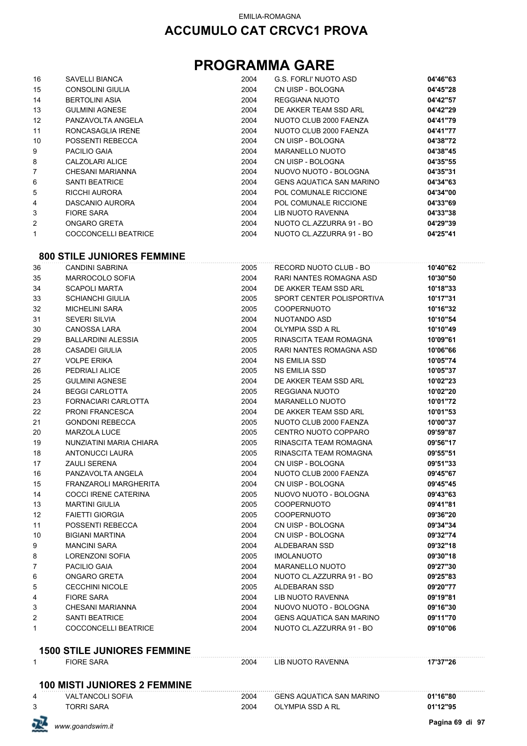## **PROGRAMMA GARE**

| 16                | <b>SAVELLI BIANCA</b> | 2004 | G.S. FORLI' NUOTO ASD           | 04'46"63 |
|-------------------|-----------------------|------|---------------------------------|----------|
| 15                | CONSOLINI GIULIA      | 2004 | CN UISP - BOLOGNA               | 04'45"28 |
| 14                | <b>BERTOLINI ASIA</b> | 2004 | REGGIANA NUOTO                  | 04'42"57 |
| 13                | <b>GULMINI AGNESE</b> | 2004 | DE AKKER TEAM SSD ARL           | 04'42"29 |
| $12 \overline{ }$ | PANZAVOLTA ANGELA     | 2004 | NUOTO CLUB 2000 FAENZA          | 04'41"79 |
| 11                | RONCASAGLIA IRENE     | 2004 | NUOTO CLUB 2000 FAENZA          | 04'41"77 |
| 10                | POSSENTI REBECCA      | 2004 | CN UISP - BOLOGNA               | 04'38"72 |
| 9                 | PACILIO GAIA          | 2004 | <b>MARANELLO NUOTO</b>          | 04'38"45 |
| 8                 | CALZOLARI ALICE       | 2004 | CN UISP - BOLOGNA               | 04'35"55 |
| $\overline{7}$    | CHESANI MARIANNA      | 2004 | NUOVO NUOTO - BOLOGNA           | 04'35"31 |
| 6                 | <b>SANTI BEATRICE</b> | 2004 | <b>GENS AQUATICA SAN MARINO</b> | 04'34"63 |
| 5                 | RICCHI AURORA         | 2004 | POL COMUNALE RICCIONE           | 04'34"00 |
| 4                 | DASCANIO AURORA       | 2004 | POL COMUNALE RICCIONE           | 04'33"69 |
| 3                 | <b>FIORE SARA</b>     | 2004 | LIB NUOTO RAVENNA               | 04'33"38 |
| 2                 | ONGARO GRETA          | 2004 | NUOTO CL.AZZURRA 91 - BO        | 04'29"39 |
| 1                 | COCCONCELLI BEATRICE  | 2004 | NUOTO CL.AZZURRA 91 - BO        | 04'25"41 |

#### **800 STILE JUNIORES FEMMINE**

| 36           | <b>CANDINI SABRINA</b>              | 2005 | RECORD NUOTO CLUB - BO          | 10'40"62 |
|--------------|-------------------------------------|------|---------------------------------|----------|
| 35           | MARROCOLO SOFIA                     | 2004 | RARI NANTES ROMAGNA ASD         | 10'30"50 |
| 34           | <b>SCAPOLI MARTA</b>                | 2004 | DE AKKER TEAM SSD ARL           | 10'18"33 |
| 33           | <b>SCHIANCHI GIULIA</b>             | 2005 | SPORT CENTER POLISPORTIVA       | 10'17"31 |
| 32           | <b>MICHELINI SARA</b>               | 2005 | <b>COOPERNUOTO</b>              | 10'16"32 |
| 31           | <b>SEVERI SILVIA</b>                | 2004 | NUOTANDO ASD                    | 10'10"54 |
| 30           | <b>CANOSSA LARA</b>                 | 2004 | <b>OLYMPIA SSD A RL</b>         | 10'10"49 |
| 29           | <b>BALLARDINI ALESSIA</b>           | 2005 | RINASCITA TEAM ROMAGNA          | 10'09"61 |
| 28           | <b>CASADEI GIULIA</b>               | 2005 | RARI NANTES ROMAGNA ASD         | 10'06"66 |
| 27           | <b>VOLPE ERIKA</b>                  | 2004 | <b>NS EMILIA SSD</b>            | 10'05"74 |
| 26           | PEDRIALI ALICE                      | 2005 | <b>NS EMILIA SSD</b>            | 10'05"37 |
| 25           | <b>GULMINI AGNESE</b>               | 2004 | DE AKKER TEAM SSD ARL           | 10'02"23 |
| 24           | <b>BEGGI CARLOTTA</b>               | 2005 | REGGIANA NUOTO                  | 10'02"20 |
| 23           | <b>FORNACIARI CARLOTTA</b>          | 2004 | <b>MARANELLO NUOTO</b>          | 10'01"72 |
| 22           | <b>PRONI FRANCESCA</b>              | 2004 | DE AKKER TEAM SSD ARL           | 10'01"53 |
| 21           | <b>GONDONI REBECCA</b>              | 2005 | NUOTO CLUB 2000 FAENZA          | 10'00"37 |
| 20           | <b>MARZOLA LUCE</b>                 | 2005 | CENTRO NUOTO COPPARO            | 09'59"87 |
| 19           | NUNZIATINI MARIA CHIARA             | 2005 | RINASCITA TEAM ROMAGNA          | 09'56"17 |
| 18           | <b>ANTONUCCI LAURA</b>              | 2005 | RINASCITA TEAM ROMAGNA          | 09'55"51 |
| 17           | <b>ZAULI SERENA</b>                 | 2004 | CN UISP - BOLOGNA               | 09'51"33 |
| 16           | PANZAVOLTA ANGELA                   | 2004 | NUOTO CLUB 2000 FAENZA          | 09'45"67 |
| 15           | FRANZAROLI MARGHERITA               | 2004 | CN UISP - BOLOGNA               | 09'45"45 |
| 14           | COCCI IRENE CATERINA                | 2005 | NUOVO NUOTO - BOLOGNA           | 09'43"63 |
| 13           | <b>MARTINI GIULIA</b>               | 2005 | <b>COOPERNUOTO</b>              | 09'41"81 |
| 12           | <b>FAIETTI GIORGIA</b>              | 2005 | <b>COOPERNUOTO</b>              | 09'36"20 |
| 11           | POSSENTI REBECCA                    | 2004 | CN UISP - BOLOGNA               | 09'34"34 |
| 10           | <b>BIGIANI MARTINA</b>              | 2004 | CN UISP - BOLOGNA               | 09'32"74 |
| 9            | <b>MANCINI SARA</b>                 | 2004 | ALDEBARAN SSD                   | 09'32"18 |
| 8            | <b>LORENZONI SOFIA</b>              | 2005 | <b>IMOLANUOTO</b>               | 09'30"18 |
| 7            | <b>PACILIO GAIA</b>                 | 2004 | <b>MARANELLO NUOTO</b>          | 09'27"30 |
| 6            | <b>ONGARO GRETA</b>                 | 2004 | NUOTO CL.AZZURRA 91 - BO        | 09'25"83 |
| 5            | <b>CECCHINI NICOLE</b>              | 2005 | ALDEBARAN SSD                   | 09'20"77 |
| 4            | <b>FIORE SARA</b>                   | 2004 | <b>LIB NUOTO RAVENNA</b>        | 09'19"81 |
| 3            | <b>CHESANI MARIANNA</b>             | 2004 | NUOVO NUOTO - BOLOGNA           | 09'16"30 |
| 2            | <b>SANTI BEATRICE</b>               | 2004 | <b>GENS AQUATICA SAN MARINO</b> | 09'11"70 |
| 1            | COCCONCELLI BEATRICE                | 2004 | NUOTO CL.AZZURRA 91 - BO        | 09'10"06 |
|              | <b>1500 STILE JUNIORES FEMMINE</b>  |      |                                 |          |
| $\mathbf{1}$ | <b>FIORE SARA</b>                   | 2004 | LIB NUOTO RAVENNA               | 17'37"26 |
|              | <b>100 MISTI JUNIORES 2 FEMMINE</b> |      |                                 |          |
| 4            | <b>VALTANCOLI SOFIA</b>             | 2004 | GENS AQUATICA SAN MARINO        | 01'16"80 |
| 3            | <b>TORRI SARA</b>                   | 2004 | <b>OLYMPIA SSD A RL</b>         | 01'12"95 |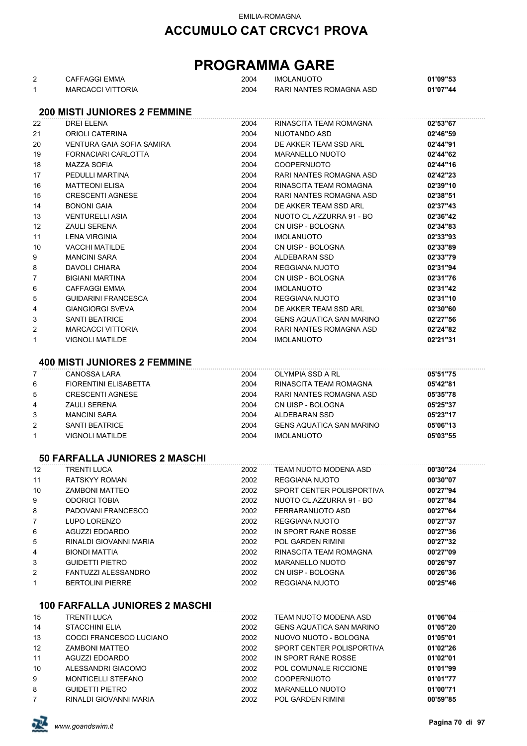# **PROGRAMMA GARE**

| 2              | <b>CAFFAGGI EMMA</b>                  | 2004 | <b>IMOLANUOTO</b>               | 01'09"53 |
|----------------|---------------------------------------|------|---------------------------------|----------|
| $\mathbf{1}$   | <b>MARCACCI VITTORIA</b>              | 2004 | RARI NANTES ROMAGNA ASD         | 01'07"44 |
|                |                                       |      |                                 |          |
|                | <b>200 MISTI JUNIORES 2 FEMMINE</b>   |      |                                 |          |
|                |                                       |      |                                 |          |
| 22             | <b>DREI ELENA</b>                     | 2004 | RINASCITA TEAM ROMAGNA          | 02'53"67 |
| 21             | ORIOLI CATERINA                       | 2004 | NUOTANDO ASD                    | 02'46"59 |
| 20             | VENTURA GAIA SOFIA SAMIRA             | 2004 | DE AKKER TEAM SSD ARL           | 02'44"91 |
| 19             | FORNACIARI CARLOTTA                   | 2004 | <b>MARANELLO NUOTO</b>          | 02'44"62 |
| 18             | <b>MAZZA SOFIA</b>                    | 2004 | <b>COOPERNUOTO</b>              | 02'44"16 |
| 17             | PEDULLI MARTINA                       | 2004 | RARI NANTES ROMAGNA ASD         | 02'42"23 |
| 16             | <b>MATTEONI ELISA</b>                 | 2004 | RINASCITA TEAM ROMAGNA          | 02'39"10 |
| 15             | <b>CRESCENTI AGNESE</b>               | 2004 | RARI NANTES ROMAGNA ASD         | 02'38"51 |
| 14             | <b>BONONI GAIA</b>                    | 2004 | DE AKKER TEAM SSD ARL           | 02'37"43 |
|                |                                       |      |                                 |          |
| 13             | <b>VENTURELLI ASIA</b>                | 2004 | NUOTO CL.AZZURRA 91 - BO        | 02'36"42 |
| 12             | <b>ZAULI SERENA</b>                   | 2004 | CN UISP - BOLOGNA               | 02'34"83 |
| 11             | <b>LENA VIRGINIA</b>                  | 2004 | <b>IMOLANUOTO</b>               | 02'33"93 |
| 10             | <b>VACCHI MATILDE</b>                 | 2004 | CN UISP - BOLOGNA               | 02'33"89 |
| 9              | <b>MANCINI SARA</b>                   | 2004 | ALDEBARAN SSD                   | 02'33"79 |
| 8              | DAVOLI CHIARA                         | 2004 | <b>REGGIANA NUOTO</b>           | 02'31"94 |
| 7              | <b>BIGIANI MARTINA</b>                | 2004 | CN UISP - BOLOGNA               | 02'31"76 |
| 6              | <b>CAFFAGGI EMMA</b>                  | 2004 | <b>IMOLANUOTO</b>               | 02'31"42 |
| 5              | <b>GUIDARINI FRANCESCA</b>            | 2004 | <b>REGGIANA NUOTO</b>           | 02'31"10 |
|                |                                       |      |                                 |          |
| 4              | <b>GIANGIORGI SVEVA</b>               | 2004 | DE AKKER TEAM SSD ARL           | 02'30"60 |
| 3              | <b>SANTI BEATRICE</b>                 | 2004 | <b>GENS AQUATICA SAN MARINO</b> | 02'27"56 |
| 2              | <b>MARCACCI VITTORIA</b>              | 2004 | RARI NANTES ROMAGNA ASD         | 02'24"82 |
| 1              | <b>VIGNOLI MATILDE</b>                | 2004 | <b>IMOLANUOTO</b>               | 02'21"31 |
|                |                                       |      |                                 |          |
|                | <b>400 MISTI JUNIORES 2 FEMMINE</b>   |      |                                 |          |
| 7              | <b>CANOSSA LARA</b>                   | 2004 | <b>OLYMPIA SSD A RL</b>         | 05'51"75 |
| 6              | <b>FIORENTINI ELISABETTA</b>          | 2004 | RINASCITA TEAM ROMAGNA          | 05'42"81 |
| 5              | <b>CRESCENTI AGNESE</b>               | 2004 | RARI NANTES ROMAGNA ASD         | 05'35"78 |
| 4              | <b>ZAULI SERENA</b>                   | 2004 | CN UISP - BOLOGNA               | 05'25"37 |
|                |                                       |      |                                 |          |
| 3              | <b>MANCINI SARA</b>                   | 2004 | ALDEBARAN SSD                   | 05'23"17 |
| $\overline{2}$ | <b>SANTI BEATRICE</b>                 | 2004 | <b>GENS AQUATICA SAN MARINO</b> | 05'06"13 |
| 1              | <b>VIGNOLI MATILDE</b>                | 2004 | <b>IMOLANUOTO</b>               | 05'03"55 |
|                |                                       |      |                                 |          |
|                | <b>50 FARFALLA JUNIORES 2 MASCHI</b>  |      |                                 |          |
| 12             | <b>TRENTI LUCA</b>                    | 2002 | TEAM NUOTO MODENA ASD           | 00'30"24 |
| 11             | <b>RATSKYY ROMAN</b>                  | 2002 | REGGIANA NUOTO                  | 00'30"07 |
| 10             | <b>ZAMBONI MATTEO</b>                 | 2002 | SPORT CENTER POLISPORTIVA       | 00'27"94 |
| 9              | <b>ODORICI TOBIA</b>                  | 2002 | NUOTO CL.AZZURRA 91 - BO        | 00'27"84 |
|                | PADOVANI FRANCESCO                    | 2002 | FERRARANUOTO ASD                | 00'27"64 |
| 8              |                                       |      |                                 |          |
| 7              | LUPO LORENZO                          | 2002 | <b>REGGIANA NUOTO</b>           | 00'27"37 |
| 6              | <b>AGUZZI EDOARDO</b>                 | 2002 | IN SPORT RANE ROSSE             | 00'27"36 |
| 5              | RINALDI GIOVANNI MARIA                | 2002 | <b>POL GARDEN RIMINI</b>        | 00'27"32 |
| 4              | <b>BIONDI MATTIA</b>                  | 2002 | RINASCITA TEAM ROMAGNA          | 00'27"09 |
| 3              | <b>GUIDETTI PIETRO</b>                | 2002 | <b>MARANELLO NUOTO</b>          | 00'26"97 |
| 2              | <b>FANTUZZI ALESSANDRO</b>            | 2002 | CN UISP - BOLOGNA               | 00'26"36 |
| 1              | <b>BERTOLINI PIERRE</b>               | 2002 | REGGIANA NUOTO                  | 00'25"46 |
|                |                                       |      |                                 |          |
|                | <b>100 FARFALLA JUNIORES 2 MASCHI</b> |      |                                 |          |
| 15             | TRENTI LUCA                           | 2002 | TEAM NUOTO MODENA ASD           | 01'06"04 |
| 14             | <b>STACCHINI ELIA</b>                 | 2002 | <b>GENS AQUATICA SAN MARINO</b> |          |
|                |                                       |      |                                 | 01'05"20 |
| 13             | COCCI FRANCESCO LUCIANO               | 2002 | NUOVO NUOTO - BOLOGNA           | 01'05"01 |
| 12             | <b>ZAMBONI MATTEO</b>                 | 2002 | SPORT CENTER POLISPORTIVA       | 01'02"26 |
| 11             | AGUZZI EDOARDO                        | 2002 | IN SPORT RANE ROSSE             | 01'02"01 |
| 10             | ALESSANDRI GIACOMO                    | 2002 | POL COMUNALE RICCIONE           | 01'01"99 |
| 9              | <b>MONTICELLI STEFANO</b>             | 2002 | <b>COOPERNUOTO</b>              | 01'01"77 |
| 8              | <b>GUIDETTI PIETRO</b>                | 2002 | <b>MARANELLO NUOTO</b>          | 01'00"71 |
| 7              | RINALDI GIOVANNI MARIA                | 2002 | POL GARDEN RIMINI               | 00'59"85 |

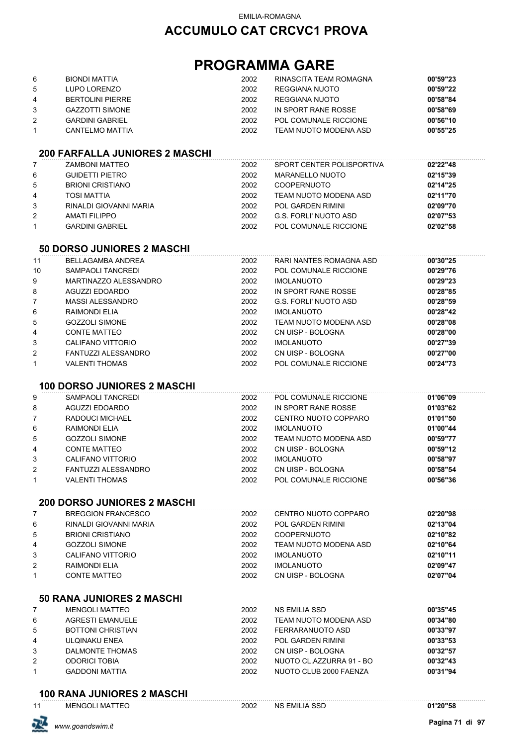## **PROGRAMMA GARE**

|              | <b>BIONDI MATTIA</b>                  | 2002 | RINASCITA TEAM ROMAGNA       | 00'59"23 |
|--------------|---------------------------------------|------|------------------------------|----------|
| 6            |                                       |      |                              |          |
| 5            | LUPO LORENZO                          | 2002 | <b>REGGIANA NUOTO</b>        | 00'59"22 |
| 4            | <b>BERTOLINI PIERRE</b>               | 2002 | REGGIANA NUOTO               | 00'58"84 |
| 3            | <b>GAZZOTTI SIMONE</b>                | 2002 | IN SPORT RANE ROSSE          | 00'58"69 |
| 2            | <b>GARDINI GABRIEL</b>                | 2002 | POL COMUNALE RICCIONE        | 00'56"10 |
| 1            | <b>CANTELMO MATTIA</b>                | 2002 | TEAM NUOTO MODENA ASD        | 00'55"25 |
|              |                                       |      |                              |          |
|              | <b>200 FARFALLA JUNIORES 2 MASCHI</b> |      |                              |          |
| 7            | <b>ZAMBONI MATTEO</b>                 | 2002 | SPORT CENTER POLISPORTIVA    | 02'22"48 |
| 6            | <b>GUIDETTI PIETRO</b>                | 2002 | <b>MARANELLO NUOTO</b>       | 02'15"39 |
| 5            | <b>BRIONI CRISTIANO</b>               | 2002 | <b>COOPERNUOTO</b>           | 02'14"25 |
| 4            | <b>TOSI MATTIA</b>                    | 2002 | TEAM NUOTO MODENA ASD        | 02'11"70 |
| 3            | RINALDI GIOVANNI MARIA                | 2002 | POL GARDEN RIMINI            | 02'09"70 |
| 2            | <b>AMATI FILIPPO</b>                  | 2002 | G.S. FORLI' NUOTO ASD        | 02'07"53 |
| $\mathbf{1}$ | <b>GARDINI GABRIEL</b>                | 2002 | POL COMUNALE RICCIONE        | 02'02"58 |
|              |                                       |      |                              |          |
|              | <b>50 DORSO JUNIORES 2 MASCHI</b>     |      |                              |          |
| 11           | <b>BELLAGAMBA ANDREA</b>              | 2002 | RARI NANTES ROMAGNA ASD      | 00'30"25 |
| 10           | SAMPAOLI TANCREDI                     | 2002 | POL COMUNALE RICCIONE        | 00'29"76 |
| 9            | MARTINAZZO ALESSANDRO                 | 2002 | <b>IMOLANUOTO</b>            | 00'29"23 |
| 8            | <b>AGUZZI EDOARDO</b>                 | 2002 | IN SPORT RANE ROSSE          | 00'28"85 |
| 7            | <b>MASSI ALESSANDRO</b>               | 2002 | <b>G.S. FORLI' NUOTO ASD</b> | 00'28"59 |
| 6            | RAIMONDI ELIA                         | 2002 | <b>IMOLANUOTO</b>            | 00'28"42 |
| 5            | <b>GOZZOLI SIMONE</b>                 | 2002 | TEAM NUOTO MODENA ASD        | 00'28"08 |
| 4            | <b>CONTE MATTEO</b>                   | 2002 | CN UISP - BOLOGNA            | 00'28"00 |
| 3            | CALIFANO VITTORIO                     | 2002 | <b>IMOLANUOTO</b>            | 00'27"39 |
| 2            | FANTUZZI ALESSANDRO                   | 2002 | CN UISP - BOLOGNA            | 00'27"00 |
| 1            | <b>VALENTI THOMAS</b>                 | 2002 | POL COMUNALE RICCIONE        | 00'24"73 |
|              |                                       |      |                              |          |
|              | <b>100 DORSO JUNIORES 2 MASCHI</b>    |      |                              |          |
| 9            | SAMPAOLI TANCREDI                     | 2002 | POL COMUNALE RICCIONE        | 01'06"09 |
| 8            | <b>AGUZZI EDOARDO</b>                 | 2002 | IN SPORT RANE ROSSE          | 01'03"62 |
| 7            | RADOUCI MICHAEL                       | 2002 | CENTRO NUOTO COPPARO         | 01'01"50 |
| 6            | <b>RAIMONDI ELIA</b>                  | 2002 | <b>IMOLANUOTO</b>            | 01'00"44 |
| 5            | <b>GOZZOLI SIMONE</b>                 | 2002 | <b>TEAM NUOTO MODENA ASD</b> | 00'59"77 |
|              |                                       |      |                              |          |
| 4            | <b>CONTE MATTEO</b>                   | 2002 | CN UISP - BOLOGNA            | 00'59"12 |
| 3            | CALIFANO VITTORIO                     | 2002 | <b>IMOLANUOTO</b>            | 00'58"97 |
| 2            | FANTUZZI ALESSANDRO                   | 2002 | CN UISP - BOLOGNA            | 00'58"54 |
| 1            | <b>VALENTI THOMAS</b>                 | 2002 | POL COMUNALE RICCIONE        | 00'56"36 |
|              | <b>200 DORSO JUNIORES 2 MASCHI</b>    |      |                              |          |
| 7            | <b>BREGGION FRANCESCO</b>             | 2002 | CENTRO NUOTO COPPARO         | 02'20"98 |
| 6            | RINALDI GIOVANNI MARIA                | 2002 | <b>POL GARDEN RIMINI</b>     | 02'13"04 |
| 5            | <b>BRIONI CRISTIANO</b>               | 2002 | <b>COOPERNUOTO</b>           | 02'10"82 |
|              |                                       |      |                              | 02'10"64 |
| 4            | <b>GOZZOLI SIMONE</b>                 | 2002 | TEAM NUOTO MODENA ASD        |          |
| 3            | CALIFANO VITTORIO                     | 2002 | <b>IMOLANUOTO</b>            | 02'10"11 |
| 2            | <b>RAIMONDI ELIA</b>                  | 2002 | <b>IMOLANUOTO</b>            | 02'09"47 |
| 1            | <b>CONTE MATTEO</b>                   | 2002 | CN UISP - BOLOGNA            | 02'07"04 |
|              | <b>50 RANA JUNIORES 2 MASCHI</b>      |      |                              |          |
| 7            | <b>MENGOLI MATTEO</b>                 | 2002 | NS EMILIA SSD                | 00'35"45 |
| 6            | <b>AGRESTI EMANUELE</b>               | 2002 | TEAM NUOTO MODENA ASD        | 00'34"80 |
| 5            | <b>BOTTONI CHRISTIAN</b>              | 2002 | FERRARANUOTO ASD             | 00'33"97 |
|              |                                       |      |                              |          |
| 4            | ULQINAKU ENEA                         | 2002 | <b>POL GARDEN RIMINI</b>     | 00'33"53 |
| 3            | DALMONTE THOMAS                       | 2002 | CN UISP - BOLOGNA            | 00'32"57 |
| 2            | <b>ODORICI TOBIA</b>                  | 2002 | NUOTO CL.AZZURRA 91 - BO     | 00'32"43 |
| 1            | <b>GADDONI MATTIA</b>                 | 2002 | NUOTO CLUB 2000 FAENZA       | 00'31"94 |
|              | <b>100 RANA JUNIORES 2 MASCHI</b>     |      |                              |          |
|              |                                       |      |                              |          |

MENGOLI MATTEO 2002 NS EMILIA SSD **01'20"58**

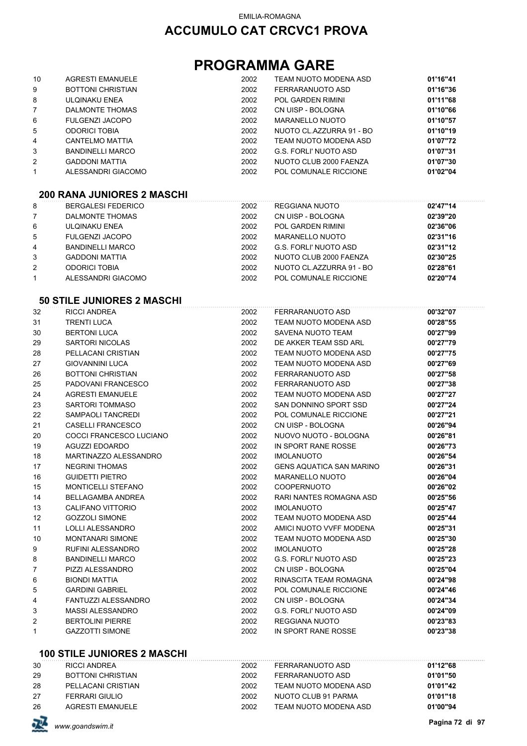# **PROGRAMMA GARE**

| 10             | <b>AGRESTI EMANUELE</b>  | 2002 | TEAM NUOTO MODENA ASD    | 01'16"41 |
|----------------|--------------------------|------|--------------------------|----------|
| 9              | <b>BOTTONI CHRISTIAN</b> | 2002 | FERRARANUOTO ASD         | 01'16"36 |
| 8              | ULQINAKU ENEA            | 2002 | POL GARDEN RIMINI        | 01'11"68 |
| $\overline{7}$ | DALMONTE THOMAS          | 2002 | CN UISP - BOLOGNA        | 01'10"66 |
| 6              | FULGENZI JACOPO          | 2002 | MARANELLO NUOTO          | 01'10"57 |
| 5              | <b>ODORICI TOBIA</b>     | 2002 | NUOTO CL.AZZURRA 91 - BO | 01'10"19 |
| 4              | CANTELMO MATTIA          | 2002 | TEAM NUOTO MODENA ASD    | 01'07"72 |
| 3              | <b>BANDINELLI MARCO</b>  | 2002 | G.S. FORLI' NUOTO ASD    | 01'07"31 |
| 2              | <b>GADDONI MATTIA</b>    | 2002 | NUOTO CLUB 2000 FAENZA   | 01'07"30 |
| 1              | ALESSANDRI GIACOMO       | 2002 | POL COMUNALE RICCIONE    | 01'02"04 |

#### **200 RANA JUNIORES 2 MASCHI**

| 8              | <b>BERGALESI FEDERICO</b> | 2002 | REGGIANA NUOTO           | 02'47"14 |
|----------------|---------------------------|------|--------------------------|----------|
| $\overline{7}$ | DALMONTE THOMAS           | 2002 | CN UISP - BOLOGNA        | 02'39"20 |
| 6              | ULQINAKU ENEA             | 2002 | POL GARDEN RIMINI        | 02'36"06 |
| 5              | <b>FULGENZI JACOPO</b>    | 2002 | <b>MARANELLO NUOTO</b>   | 02'31"16 |
| 4              | <b>BANDINELLI MARCO</b>   | 2002 | G.S. FORLI' NUOTO ASD    | 02'31"12 |
| 3              | <b>GADDONI MATTIA</b>     | 2002 | NUOTO CLUB 2000 FAENZA   | 02'30"25 |
| 2              | <b>ODORICI TOBIA</b>      | 2002 | NUOTO CL.AZZURRA 91 - BO | 02'28"61 |
|                | ALESSANDRI GIACOMO        | 2002 | POL COMUNALE RICCIONE    | 02'20"74 |
|                |                           |      |                          |          |

#### **50 STILE JUNIORES 2 MASCHI**

| 32           | <b>RICCI ANDREA</b>       | 2002 | FERRARANUOTO ASD                | 00'32"07 |
|--------------|---------------------------|------|---------------------------------|----------|
| 31           | <b>TRENTI LUCA</b>        | 2002 | TEAM NUOTO MODENA ASD           | 00'28"55 |
| 30           | <b>BERTONI LUCA</b>       | 2002 | SAVENA NUOTO TEAM               | 00'27"99 |
| 29           | <b>SARTORI NICOLAS</b>    | 2002 | DE AKKER TEAM SSD ARL           | 00'27"79 |
| 28           | PELLACANI CRISTIAN        | 2002 | TEAM NUOTO MODENA ASD           | 00'27"75 |
| 27           | <b>GIOVANNINI LUCA</b>    | 2002 | TEAM NUOTO MODENA ASD           | 00'27"69 |
| 26           | <b>BOTTONI CHRISTIAN</b>  | 2002 | FERRARANUOTO ASD                | 00'27"58 |
| 25           | PADOVANI FRANCESCO        | 2002 | FERRARANUOTO ASD                | 00'27"38 |
| 24           | <b>AGRESTI EMANUELE</b>   | 2002 | TEAM NUOTO MODENA ASD           | 00'27"27 |
| 23           | <b>SARTORI TOMMASO</b>    | 2002 | SAN DONNINO SPORT SSD           | 00'27"24 |
| 22           | SAMPAOLI TANCREDI         | 2002 | POL COMUNALE RICCIONE           | 00'27"21 |
| 21           | CASELLI FRANCESCO         | 2002 | CN UISP - BOLOGNA               | 00'26"94 |
| 20           | COCCI FRANCESCO LUCIANO   | 2002 | NUOVO NUOTO - BOLOGNA           | 00'26"81 |
| 19           | AGUZZI EDOARDO            | 2002 | IN SPORT RANE ROSSE             | 00'26"73 |
| 18           | MARTINAZZO ALESSANDRO     | 2002 | <b>IMOLANUOTO</b>               | 00'26"54 |
| 17           | <b>NEGRINI THOMAS</b>     | 2002 | <b>GENS AQUATICA SAN MARINO</b> | 00'26"31 |
| 16           | <b>GUIDETTI PIETRO</b>    | 2002 | <b>MARANELLO NUOTO</b>          | 00'26"04 |
| 15           | <b>MONTICELLI STEFANO</b> | 2002 | <b>COOPERNUOTO</b>              | 00'26"02 |
| 14           | <b>BELLAGAMBA ANDREA</b>  | 2002 | RARI NANTES ROMAGNA ASD         | 00'25"56 |
| 13           | CALIFANO VITTORIO         | 2002 | <b>IMOLANUOTO</b>               | 00'25"47 |
| 12           | <b>GOZZOLI SIMONE</b>     | 2002 | TEAM NUOTO MODENA ASD           | 00'25"44 |
| 11           | <b>LOLLI ALESSANDRO</b>   | 2002 | AMICI NUOTO VVFF MODENA         | 00'25"31 |
| 10           | <b>MONTANARI SIMONE</b>   | 2002 | TEAM NUOTO MODENA ASD           | 00'25"30 |
| 9            | <b>RUFINI ALESSANDRO</b>  | 2002 | <b>IMOLANUOTO</b>               | 00'25"28 |
| 8            | <b>BANDINELLI MARCO</b>   | 2002 | <b>G.S. FORLI' NUOTO ASD</b>    | 00'25"23 |
| 7            | PIZZI ALESSANDRO          | 2002 | CN UISP - BOLOGNA               | 00'25"04 |
| 6            | <b>BIONDI MATTIA</b>      | 2002 | RINASCITA TEAM ROMAGNA          | 00'24"98 |
| 5            | <b>GARDINI GABRIEL</b>    | 2002 | POL COMUNALE RICCIONE           | 00'24"46 |
| 4            | FANTUZZI ALESSANDRO       | 2002 | CN UISP - BOLOGNA               | 00'24"34 |
| 3            | <b>MASSI ALESSANDRO</b>   | 2002 | <b>G.S. FORLI' NUOTO ASD</b>    | 00'24"09 |
| 2            | <b>BERTOLINI PIERRE</b>   | 2002 | <b>REGGIANA NUOTO</b>           | 00'23"83 |
| $\mathbf{1}$ | <b>GAZZOTTI SIMONE</b>    | 2002 | IN SPORT RANE ROSSE             | 00'23"38 |

#### **100 STILE JUNIORES 2 MASCHI**

| 30 | RICCI ANDREA       | 2002 | FERRARANUOTO ASD      | 01'12"68 |
|----|--------------------|------|-----------------------|----------|
| 29 | BOTTONI CHRISTIAN  | 2002 | FERRARANUOTO ASD      | 01'01"50 |
| 28 | PELLACANI CRISTIAN | 2002 | TEAM NUOTO MODENA ASD | 01'01"42 |
| 27 | FERRARI GIULIO     | 2002 | NUOTO CLUB 91 PARMA   | 01'01"18 |
| 26 | AGRESTI EMANUELE   | 2002 | TEAM NUOTO MODENA ASD | 01'00"94 |

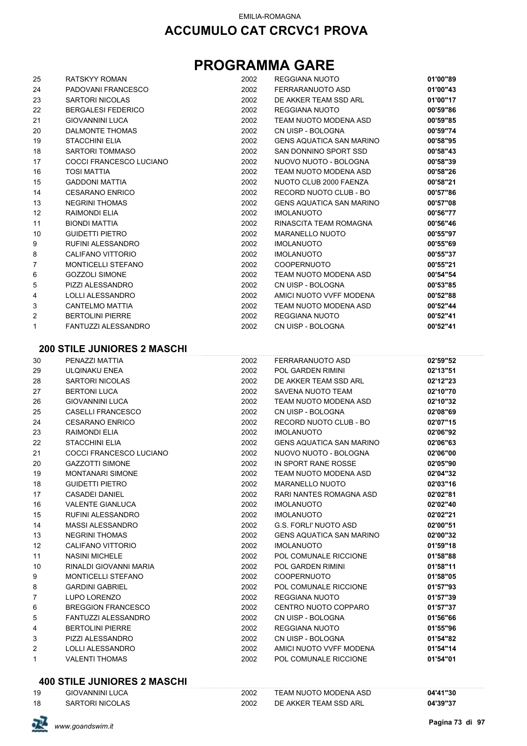# **PROGRAMMA GARE**

| 25 | RATSKYY ROMAN                      | 2002 | REGGIANA NUOTO                  | 01'00"89 |
|----|------------------------------------|------|---------------------------------|----------|
| 24 | PADOVANI FRANCESCO                 | 2002 | FERRARANUOTO ASD                | 01'00"43 |
| 23 | <b>SARTORI NICOLAS</b>             | 2002 | DE AKKER TEAM SSD ARL           | 01'00"17 |
| 22 | <b>BERGALESI FEDERICO</b>          | 2002 | REGGIANA NUOTO                  | 00'59"86 |
| 21 | <b>GIOVANNINI LUCA</b>             | 2002 | TEAM NUOTO MODENA ASD           | 00'59"85 |
| 20 | <b>DALMONTE THOMAS</b>             | 2002 | CN UISP - BOLOGNA               | 00'59"74 |
| 19 | <b>STACCHINI ELIA</b>              | 2002 | <b>GENS AQUATICA SAN MARINO</b> | 00'58"95 |
| 18 | <b>SARTORI TOMMASO</b>             | 2002 | SAN DONNINO SPORT SSD           | 00'58"43 |
| 17 | COCCI FRANCESCO LUCIANO            | 2002 | NUOVO NUOTO - BOLOGNA           | 00'58"39 |
| 16 | <b>TOSI MATTIA</b>                 | 2002 | TEAM NUOTO MODENA ASD           | 00'58"26 |
| 15 | <b>GADDONI MATTIA</b>              | 2002 | NUOTO CLUB 2000 FAENZA          | 00'58"21 |
| 14 | <b>CESARANO ENRICO</b>             | 2002 | RECORD NUOTO CLUB - BO          | 00'57"86 |
| 13 | <b>NEGRINI THOMAS</b>              | 2002 | <b>GENS AQUATICA SAN MARINO</b> | 00'57"08 |
| 12 | RAIMONDI ELIA                      | 2002 | <b>IMOLANUOTO</b>               | 00'56"77 |
| 11 | <b>BIONDI MATTIA</b>               | 2002 | RINASCITA TEAM ROMAGNA          | 00'56"46 |
| 10 | <b>GUIDETTI PIETRO</b>             | 2002 | <b>MARANELLO NUOTO</b>          | 00'55"97 |
| 9  | RUFINI ALESSANDRO                  | 2002 | <b>IMOLANUOTO</b>               | 00'55"69 |
| 8  | CALIFANO VITTORIO                  | 2002 | <b>IMOLANUOTO</b>               | 00'55"37 |
| 7  | <b>MONTICELLI STEFANO</b>          | 2002 | <b>COOPERNUOTO</b>              | 00'55"21 |
| 6  | <b>GOZZOLI SIMONE</b>              | 2002 | TEAM NUOTO MODENA ASD           | 00'54"54 |
| 5  | PIZZI ALESSANDRO                   | 2002 | CN UISP - BOLOGNA               | 00'53"85 |
| 4  | LOLLI ALESSANDRO                   | 2002 | AMICI NUOTO VVFF MODENA         | 00'52"88 |
| 3  | <b>CANTELMO MATTIA</b>             | 2002 | TEAM NUOTO MODENA ASD           | 00'52"44 |
| 2  | <b>BERTOLINI PIERRE</b>            | 2002 | REGGIANA NUOTO                  | 00'52"41 |
| 1  | <b>FANTUZZI ALESSANDRO</b>         | 2002 | CN UISP - BOLOGNA               | 00'52"41 |
|    |                                    |      |                                 |          |
|    | <b>200 STILE JUNIORES 2 MASCHI</b> |      |                                 |          |
| 30 | PENAZZI MATTIA                     | 2002 | FERRARANUOTO ASD                | 02'59"52 |
| 29 | ULQINAKU ENEA                      | 2002 | <b>POL GARDEN RIMINI</b>        | 02'13"51 |
| 28 | <b>SARTORI NICOLAS</b>             | 2002 | DE AKKER TEAM SSD ARL           | 02'12"23 |
| 27 | <b>BERTONI LUCA</b>                | 2002 | SAVENA NUOTO TEAM               | 02'10"70 |
| 26 | <b>GIOVANNINI LUCA</b>             | 2002 | TEAM NUOTO MODENA ASD           | 02'10"32 |
| 25 | <b>CASELLI FRANCESCO</b>           | 2002 | CN UISP - BOLOGNA               | 02'08"69 |
| 24 | <b>CESARANO ENRICO</b>             | 2002 | RECORD NUOTO CLUB - BO          | 02'07"15 |
| 23 | RAIMONDI ELIA                      | 2002 | <b>IMOLANUOTO</b>               | 02'06"92 |
| 22 | <b>STACCHINI ELIA</b>              | 2002 | <b>GENS AQUATICA SAN MARINO</b> | 02'06"63 |
| 21 | COCCI FRANCESCO LUCIANO            | 2002 | NUOVO NUOTO - BOLOGNA           | 02'06"00 |
| 20 | <b>GAZZOTTI SIMONE</b>             | 2002 | IN SPORT RANE ROSSE             | 02'05"90 |
| 19 | MONTANARI SIMONE                   | 2002 | TEAM NUOTO MODENA ASD           | 02'04"32 |
| 18 | <b>GUIDETTI PIETRO</b>             | 2002 | <b>MARANELLO NUOTO</b>          | 02'03"16 |
| 17 | <b>CASADEI DANIEL</b>              | 2002 | RARI NANTES ROMAGNA ASD         | 02'02"81 |
| 16 | <b>VALENTE GIANLUCA</b>            | 2002 | <b>IMOLANUOTO</b>               | 02'02"40 |
| 15 | RUFINI ALESSANDRO                  | 2002 | <b>IMOLANUOTO</b>               | 02'02"21 |
| 14 | <b>MASSI ALESSANDRO</b>            | 2002 | <b>G.S. FORLI' NUOTO ASD</b>    | 02'00"51 |
| 13 | <b>NEGRINI THOMAS</b>              | 2002 | <b>GENS AQUATICA SAN MARINO</b> | 02'00"32 |
| 12 | CALIFANO VITTORIO                  | 2002 | <b>IMOLANUOTO</b>               | 01'59"18 |
| 11 | <b>NASINI MICHELE</b>              | 2002 | POL COMUNALE RICCIONE           | 01'58"88 |
| 10 | RINALDI GIOVANNI MARIA             | 2002 | POL GARDEN RIMINI               | 01'58"11 |
| 9  | <b>MONTICELLI STEFANO</b>          | 2002 | <b>COOPERNUOTO</b>              | 01'58"05 |
| 8  | <b>GARDINI GABRIEL</b>             | 2002 | POL COMUNALE RICCIONE           | 01'57"93 |
| 7  | LUPO LORENZO                       | 2002 | REGGIANA NUOTO                  | 01'57"39 |
| 6  | <b>BREGGION FRANCESCO</b>          | 2002 | CENTRO NUOTO COPPARO            | 01'57"37 |
| 5  | FANTUZZI ALESSANDRO                | 2002 | CN UISP - BOLOGNA               | 01'56"66 |
| 4  | <b>BERTOLINI PIERRE</b>            | 2002 | REGGIANA NUOTO                  | 01'55"96 |
| 3  | PIZZI ALESSANDRO                   | 2002 | CN UISP - BOLOGNA               | 01'54"82 |
| 2  | LOLLI ALESSANDRO                   | 2002 | AMICI NUOTO VVFF MODENA         | 01'54"14 |

#### **400 STILE JUNIORES 2 MASCHI**

| 19 | <b>GIOVANNINI LUCA</b> | 2002 | TEAM NUOTO MODENA ASD | 04'41"30 |
|----|------------------------|------|-----------------------|----------|
| 18 | <b>SARTORI NICOLAS</b> | 2002 | DE AKKER TEAM SSD ARL | 04'39"37 |

VALENTI THOMAS 2002 POL COMUNALE RICCIONE **01'54"01**

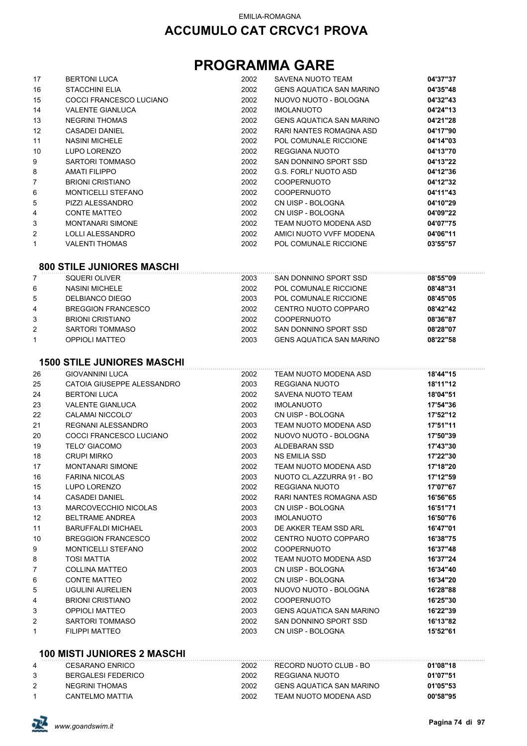# **PROGRAMMA GARE**

|              | <b>BERTONI LUCA</b>                             | 2002         | SAVENA NUOTO TEAM                             | 04'37"37             |
|--------------|-------------------------------------------------|--------------|-----------------------------------------------|----------------------|
| 16           | <b>STACCHINI ELIA</b>                           | 2002         | <b>GENS AQUATICA SAN MARINO</b>               | 04'35"48             |
| 15           | COCCI FRANCESCO LUCIANO                         | 2002         | NUOVO NUOTO - BOLOGNA                         | 04'32"43             |
| 14           | <b>VALENTE GIANLUCA</b>                         | 2002         | <b>IMOLANUOTO</b>                             | 04'24"13             |
| 13           | <b>NEGRINI THOMAS</b>                           | 2002         | <b>GENS AQUATICA SAN MARINO</b>               | 04'21"28             |
| 12           | <b>CASADEI DANIEL</b>                           | 2002         | <b>RARI NANTES ROMAGNA ASD</b>                | 04'17"90             |
| 11           | <b>NASINI MICHELE</b>                           | 2002         | POL COMUNALE RICCIONE                         | 04'14"03             |
| 10           | LUPO LORENZO                                    | 2002         | REGGIANA NUOTO                                | 04'13"70             |
| 9            | <b>SARTORI TOMMASO</b>                          | 2002         | SAN DONNINO SPORT SSD                         | 04'13"22             |
| 8            | <b>AMATI FILIPPO</b>                            | 2002         | <b>G.S. FORLI' NUOTO ASD</b>                  | 04'12"36             |
| 7            | <b>BRIONI CRISTIANO</b>                         | 2002         | COOPERNUOTO                                   | 04'12"32             |
| 6            | <b>MONTICELLI STEFANO</b>                       | 2002         | <b>COOPERNUOTO</b>                            | 04'11"43             |
| 5            | PIZZI ALESSANDRO                                | 2002         | CN UISP - BOLOGNA                             | 04'10"29             |
| 4            | <b>CONTE MATTEO</b>                             | 2002         | CN UISP - BOLOGNA                             | 04'09"22             |
| 3            | <b>MONTANARI SIMONE</b>                         | 2002         | TEAM NUOTO MODENA ASD                         | 04'07"75             |
| 2            | LOLLI ALESSANDRO                                | 2002         | AMICI NUOTO VVFF MODENA                       | 04'06"11             |
| 1            | <b>VALENTI THOMAS</b>                           | 2002         | POL COMUNALE RICCIONE                         | 03'55"57             |
|              |                                                 |              |                                               |                      |
|              | <b>800 STILE JUNIORES MASCHI</b>                |              |                                               |                      |
| 7            | <b>SQUERI OLIVER</b>                            | 2003         | SAN DONNINO SPORT SSD                         | 08'55"09             |
| 6            | <b>NASINI MICHELE</b>                           | 2002         | POL COMUNALE RICCIONE                         | 08'48"31             |
| 5            | <b>DELBIANCO DIEGO</b>                          | 2003         | POL COMUNALE RICCIONE                         | 08'45"05             |
| 4            | <b>BREGGION FRANCESCO</b>                       | 2002         | CENTRO NUOTO COPPARO                          | 08'42"42             |
| 3            | <b>BRIONI CRISTIANO</b>                         | 2002         | COOPERNUOTO                                   | 08'36"87             |
| 2            | <b>SARTORI TOMMASO</b>                          | 2002         | SAN DONNINO SPORT SSD                         | 08'28"07             |
| $\mathbf{1}$ | <b>OPPIOLI MATTEO</b>                           | 2003         | <b>GENS AQUATICA SAN MARINO</b>               | 08'22"58             |
|              | <b>1500 STILE JUNIORES MASCHI</b>               |              |                                               |                      |
|              |                                                 |              |                                               |                      |
|              | <b>GIOVANNINI LUCA</b>                          |              |                                               |                      |
| 26           | CATOIA GIUSEPPE ALESSANDRO                      | 2002         | TEAM NUOTO MODENA ASD                         | 18'44"15             |
| 25           |                                                 | 2003<br>2002 | <b>REGGIANA NUOTO</b><br>SAVENA NUOTO TEAM    | 18'11"12             |
| 24           | <b>BERTONI LUCA</b>                             |              |                                               | 18'04"51             |
| 23           | <b>VALENTE GIANLUCA</b>                         | 2002         | <b>IMOLANUOTO</b>                             | 17'54"36             |
| 22           | CALAMAI NICCOLO'                                | 2003         | CN UISP - BOLOGNA                             | 17'52"12             |
| 21           | REGNANI ALESSANDRO                              | 2003         | TEAM NUOTO MODENA ASD                         | 17'51"11             |
| 20           | COCCI FRANCESCO LUCIANO<br><b>TELO' GIACOMO</b> | 2002         | NUOVO NUOTO - BOLOGNA<br>ALDEBARAN SSD        | 17'50"39             |
| 19           |                                                 | 2003         |                                               | 17'43"30             |
| 18           | <b>CRUPI MIRKO</b><br><b>MONTANARI SIMONE</b>   | 2003         | <b>NS EMILIA SSD</b><br>TEAM NUOTO MODENA ASD | 17'22"30             |
| 17           |                                                 | 2002         |                                               | 17'18"20             |
| 16           | <b>FARINA NICOLAS</b>                           | 2003         | NUOTO CL.AZZURRA 91 - BO                      | 17'12"59             |
| 15           | LUPO LORENZO                                    | 2002         | REGGIANA NUOTO                                | 17'07"67             |
| 14           | <b>CASADEI DANIEL</b>                           | 2002         | RARI NANTES ROMAGNA ASD                       | 16'56"65             |
| 13           | MARCOVECCHIO NICOLAS                            | 2003         | CN UISP - BOLOGNA                             | 16'51"71             |
| 12           | <b>BELTRAME ANDREA</b>                          | 2003         | <b>IMOLANUOTO</b>                             | 16'50"76             |
| 11           | <b>BARUFFALDI MICHAEL</b>                       | 2003         | DE AKKER TEAM SSD ARL                         | 16'47"01             |
| 10           | <b>BREGGION FRANCESCO</b>                       | 2002         | CENTRO NUOTO COPPARO                          | 16'38"75             |
| 9            | <b>MONTICELLI STEFANO</b>                       | 2002         | <b>COOPERNUOTO</b>                            | 16'37"48             |
| 8            | <b>TOSI MATTIA</b>                              | 2002         | TEAM NUOTO MODENA ASD                         | 16'37"24             |
| 7            | COLLINA MATTEO                                  | 2003         | CN UISP - BOLOGNA                             | 16'34"40             |
| 6            | <b>CONTE MATTEO</b>                             | 2002         | CN UISP - BOLOGNA                             | 16'34"20             |
| 5            | <b>UGULINI AURELIEN</b>                         | 2003         | NUOVO NUOTO - BOLOGNA                         | 16'28"88             |
| 4            | <b>BRIONI CRISTIANO</b>                         | 2002         | <b>COOPERNUOTO</b>                            | 16'25"30             |
| 3            | <b>OPPIOLI MATTEO</b>                           | 2003         | <b>GENS AQUATICA SAN MARINO</b>               | 16'22"39             |
| 2<br>1       | SARTORI TOMMASO<br><b>FILIPPI MATTEO</b>        | 2002<br>2003 | SAN DONNINO SPORT SSD<br>CN UISP - BOLOGNA    | 16'13"82<br>15'52"61 |

#### **100 MISTI JUNIORES 2 MASCHI**

| 4 | CESARANO ENRICO    | 2002 | RECORD NUOTO CLUB - BO   | 01'08"18 |
|---|--------------------|------|--------------------------|----------|
|   | BERGALESI FEDERICO | 2002 | REGGIANA NUOTO           | 01'07"51 |
|   | NEGRINI THOMAS     | 2002 | GENS AQUATICA SAN MARINO | 01'05"53 |
|   | CANTEI MO MATTIA   | 2002 | TEAM NUOTO MODENA ASD    | 00'58"95 |

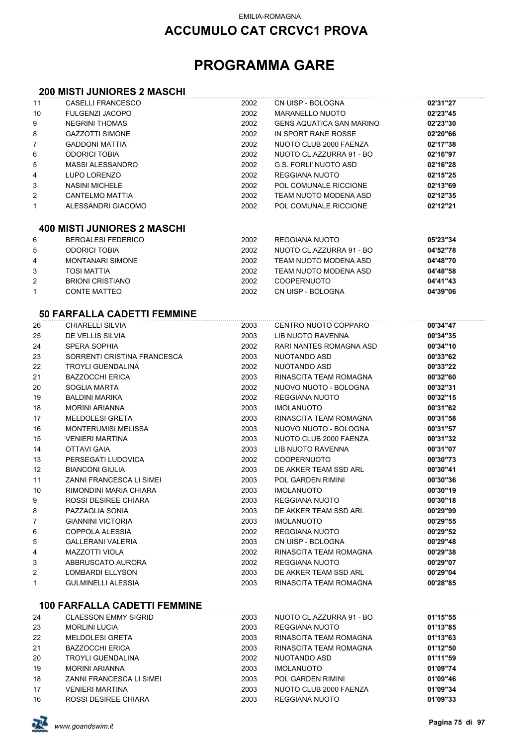## **ACCUMULO CAT CRCVC1 PROVA**

# **PROGRAMMA GARE**

#### **200 MISTI JUNIORES 2 MASCHI**

| 11       | CASELLI FRANCESCO                   | 2002         | CN UISP - BOLOGNA                          | 02'31"27             |
|----------|-------------------------------------|--------------|--------------------------------------------|----------------------|
| 10       | <b>FULGENZI JACOPO</b>              | 2002         | <b>MARANELLO NUOTO</b>                     | 02'23"45             |
| 9        | <b>NEGRINI THOMAS</b>               | 2002         | <b>GENS AQUATICA SAN MARINO</b>            | 02'23"30             |
| 8        | <b>GAZZOTTI SIMONE</b>              | 2002         | IN SPORT RANE ROSSE                        | 02'20"66             |
| 7        | <b>GADDONI MATTIA</b>               | 2002         | NUOTO CLUB 2000 FAENZA                     | 02'17"38             |
| 6        | <b>ODORICI TOBIA</b>                | 2002         | NUOTO CL.AZZURRA 91 - BO                   | 02'16"97             |
| 5        | <b>MASSI ALESSANDRO</b>             | 2002         | <b>G.S. FORLI' NUOTO ASD</b>               | 02'16"28             |
| 4        | LUPO LORENZO                        | 2002         | <b>REGGIANA NUOTO</b>                      | 02'15"25             |
| 3        | <b>NASINI MICHELE</b>               | 2002         | POL COMUNALE RICCIONE                      | 02'13"69             |
| 2        | <b>CANTELMO MATTIA</b>              | 2002         | TEAM NUOTO MODENA ASD                      | 02'12"35             |
| 1        | ALESSANDRI GIACOMO                  | 2002         | POL COMUNALE RICCIONE                      | 02'12"21             |
|          |                                     |              |                                            |                      |
|          | <b>400 MISTI JUNIORES 2 MASCHI</b>  |              |                                            |                      |
| 6        | <b>BERGALESI FEDERICO</b>           | 2002         | REGGIANA NUOTO                             | 05'23"34             |
| 5        | <b>ODORICI TOBIA</b>                | 2002         | NUOTO CL.AZZURRA 91 - BO                   | 04'52"78             |
| 4        | <b>MONTANARI SIMONE</b>             | 2002         | TEAM NUOTO MODENA ASD                      | 04'48"70             |
| 3        | <b>TOSI MATTIA</b>                  | 2002         | TEAM NUOTO MODENA ASD                      | 04'48"58             |
| 2        | <b>BRIONI CRISTIANO</b>             | 2002         | <b>COOPERNUOTO</b>                         | 04'41"43             |
| 1        | <b>CONTE MATTEO</b>                 | 2002         | CN UISP - BOLOGNA                          | 04'39"06             |
|          | <b>50 FARFALLA CADETTI FEMMINE</b>  |              |                                            |                      |
| 26       | CHIARELLI SILVIA                    | 2003         | CENTRO NUOTO COPPARO                       | 00'34"47             |
| 25       | DE VELLIS SILVIA                    | 2003         | LIB NUOTO RAVENNA                          | 00'34"35             |
| 24       | <b>SPERA SOPHIA</b>                 | 2002         | RARI NANTES ROMAGNA ASD                    | 00'34"10             |
| 23       | SORRENTI CRISTINA FRANCESCA         | 2003         | NUOTANDO ASD                               | 00'33"62             |
| 22       | <b>TROYLI GUENDALINA</b>            | 2002         | NUOTANDO ASD                               | 00'33"22             |
| 21       | <b>BAZZOCCHI ERICA</b>              | 2003         | RINASCITA TEAM ROMAGNA                     | 00'32"60             |
| 20       | SOGLIA MARTA                        | 2002         | NUOVO NUOTO - BOLOGNA                      | 00'32"31             |
| 19       | <b>BALDINI MARIKA</b>               | 2002         | <b>REGGIANA NUOTO</b>                      | 00'32"15             |
| 18       | <b>MORINI ARIANNA</b>               | 2003         | <b>IMOLANUOTO</b>                          | 00'31"62             |
| 17       | <b>MELDOLESI GRETA</b>              | 2003         | RINASCITA TEAM ROMAGNA                     | 00'31"58             |
| 16       | <b>MONTERUMISI MELISSA</b>          | 2003         | NUOVO NUOTO - BOLOGNA                      | 00'31"57             |
| 15       | <b>VENIERI MARTINA</b>              | 2003         | NUOTO CLUB 2000 FAENZA                     | 00'31"32             |
| 14       | <b>OTTAVI GAIA</b>                  | 2003         | <b>LIB NUOTO RAVENNA</b>                   | 00'31"07             |
| 13       | PERSEGATI LUDOVICA                  | 2002         | <b>COOPERNUOTO</b>                         | 00'30"73             |
| 12       | <b>BIANCONI GIULIA</b>              | 2003         | DE AKKER TEAM SSD ARL                      | 00'30"41             |
| 11       | ZANNI FRANCESCA LI SIMEI            | 2003         | <b>POL GARDEN RIMINI</b>                   | 00'30"36             |
| 10       | RIMONDINI MARIA CHIARA              | 2003         | <b>IMOLANUOTO</b>                          | 00'30"19             |
| 9        | ROSSI DESIREE CHIARA                | 2003         | <b>REGGIANA NUOTO</b>                      | 00'30"18             |
| 8        | PAZZAGLIA SONIA                     | 2003         | DE AKKER TEAM SSD ARL                      | 00'29"99             |
| 7        | <b>GIANNINI VICTORIA</b>            | 2003         | <b>IMOLANUOTO</b>                          | 00'29"55             |
| 6        | COPPOLA ALESSIA                     | 2002         | <b>REGGIANA NUOTO</b>                      | 00'29"52             |
| 5        | <b>GALLERANI VALERIA</b>            | 2003         | CN UISP - BOLOGNA                          | 00'29"48             |
| 4        | <b>MAZZOTTI VIOLA</b>               | 2002         | RINASCITA TEAM ROMAGNA                     | 00'29"38             |
| 3        | ABBRUSCATO AURORA                   | 2002         | <b>REGGIANA NUOTO</b>                      | 00'29"07             |
| 2        | <b>LOMBARDI ELLYSON</b>             | 2003         | DE AKKER TEAM SSD ARL                      | 00'29"04             |
| 1        | <b>GULMINELLI ALESSIA</b>           | 2003         | RINASCITA TEAM ROMAGNA                     | 00'28"85             |
|          | <b>100 FARFALLA CADETTI FEMMINE</b> |              |                                            |                      |
|          | <b>CLAESSON EMMY SIGRID</b>         |              |                                            |                      |
| 24<br>23 | <b>MORLINI LUCIA</b>                | 2003<br>2003 | NUOTO CL.AZZURRA 91 - BO<br>REGGIANA NUOTO | 01'15"55<br>01'13"85 |
| 22       | <b>MELDOLESI GRETA</b>              | 2003         | RINASCITA TEAM ROMAGNA                     | 01'13"63             |
| 21       | <b>BAZZOCCHI ERICA</b>              | 2003         | RINASCITA TEAM ROMAGNA                     | 01'12"50             |
| 20       | <b>TROYLI GUENDALINA</b>            | 2002         | NUOTANDO ASD                               | 01'11"59             |
| 19       | <b>MORINI ARIANNA</b>               | 2003         | <b>IMOLANUOTO</b>                          | 01'09"74             |
| 18       | ZANNI FRANCESCA LI SIMEI            | 2003         | POL GARDEN RIMINI                          | 01'09"46             |
| 17       | <b>VENIERI MARTINA</b>              | 2003         | NUOTO CLUB 2000 FAENZA                     | 01'09"34             |
| 16       | ROSSI DESIREE CHIARA                | 2003         | REGGIANA NUOTO                             | 01'09"33             |
|          |                                     |              |                                            |                      |

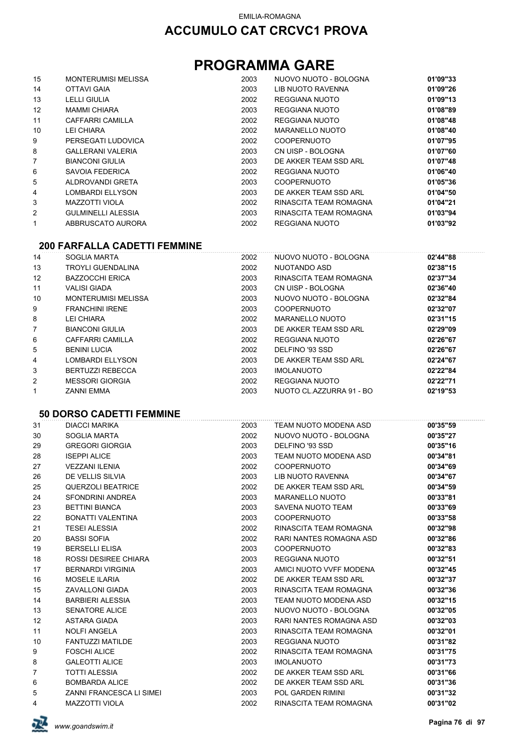# **PROGRAMMA GARE**

| 15                | <b>MONTERUMISI MELISSA</b> | 2003 | NUOVO NUOTO - BOLOGNA  | 01'09"33 |
|-------------------|----------------------------|------|------------------------|----------|
| 14                | OTTAVI GAIA                | 2003 | LIB NUOTO RAVENNA      | 01'09"26 |
| 13                | <b>LELLI GIULIA</b>        | 2002 | REGGIANA NUOTO         | 01'09"13 |
| $12 \overline{ }$ | <b>MAMMI CHIARA</b>        | 2003 | REGGIANA NUOTO         | 01'08"89 |
| 11                | CAFFARRI CAMILLA           | 2002 | REGGIANA NUOTO         | 01'08"48 |
| 10                | LEI CHIARA                 | 2002 | MARANELLO NUOTO        | 01'08"40 |
| 9                 | PERSEGATI LUDOVICA         | 2002 | <b>COOPERNUOTO</b>     | 01'07"95 |
| 8                 | GALLERANI VALERIA          | 2003 | CN UISP - BOLOGNA      | 01'07"60 |
| 7                 | <b>BIANCONI GIULIA</b>     | 2003 | DE AKKER TEAM SSD ARL  | 01'07"48 |
| 6                 | SAVOIA FEDERICA            | 2002 | REGGIANA NUOTO         | 01'06"40 |
| 5                 | ALDROVANDI GRETA           | 2003 | <b>COOPERNUOTO</b>     | 01'05"36 |
| 4                 | <b>LOMBARDI ELLYSON</b>    | 2003 | DE AKKER TEAM SSD ARL  | 01'04"50 |
| 3                 | <b>MAZZOTTI VIOLA</b>      | 2002 | RINASCITA TEAM ROMAGNA | 01'04"21 |
| 2                 | GULMINELLI ALESSIA         | 2003 | RINASCITA TEAM ROMAGNA | 01'03"94 |
| 1                 | ABBRUSCATO AURORA          | 2002 | REGGIANA NUOTO         | 01'03"92 |

#### **200 FARFALLA CADETTI FEMMINE**

| 14                | SOGLIA MARTA               | 2002 | NUOVO NUOTO - BOLOGNA    | 02'44"88 |
|-------------------|----------------------------|------|--------------------------|----------|
| 13                | <b>TROYLI GUENDALINA</b>   | 2002 | NUOTANDO ASD             | 02'38"15 |
| $12 \overline{ }$ | <b>BAZZOCCHI ERICA</b>     | 2003 | RINASCITA TEAM ROMAGNA   | 02'37"34 |
| 11                | <b>VALISI GIADA</b>        | 2003 | CN UISP - BOLOGNA        | 02'36"40 |
| 10                | <b>MONTERUMISI MELISSA</b> | 2003 | NUOVO NUOTO - BOLOGNA    | 02'32"84 |
| 9                 | <b>FRANCHINI IRENE</b>     | 2003 | <b>COOPERNUOTO</b>       | 02'32"07 |
| 8                 | LEI CHIARA                 | 2002 | MARANELLO NUOTO          | 02'31"15 |
| $\overline{7}$    | <b>BIANCONI GIULIA</b>     | 2003 | DE AKKER TEAM SSD ARL    | 02'29"09 |
| 6                 | CAFFARRI CAMILLA           | 2002 | REGGIANA NUOTO           | 02'26"67 |
| 5                 | <b>BENINI LUCIA</b>        | 2002 | DELFINO '93 SSD          | 02'26"67 |
| 4                 | LOMBARDI ELLYSON           | 2003 | DE AKKER TEAM SSD ARL    | 02'24"67 |
| 3                 | <b>BERTUZZI REBECCA</b>    | 2003 | <b>IMOLANUOTO</b>        | 02'22"84 |
| 2                 | <b>MESSORI GIORGIA</b>     | 2002 | REGGIANA NUOTO           | 02'22"71 |
|                   | <b>ZANNI EMMA</b>          | 2003 | NUOTO CL.AZZURRA 91 - BO | 02'19"53 |

#### **50 DORSO CADETTI FEMMINE**

| 31 | <b>DIACCI MARIKA</b>            | 2003 | TEAM NUOTO MODENA ASD   | 00'35"59 |
|----|---------------------------------|------|-------------------------|----------|
| 30 | SOGLIA MARTA                    | 2002 | NUOVO NUOTO - BOLOGNA   | 00'35"27 |
| 29 | <b>GREGORI GIORGIA</b>          | 2003 | DELFINO '93 SSD         | 00'35"16 |
| 28 | <b>ISEPPI ALICE</b>             | 2003 | TEAM NUOTO MODENA ASD   | 00'34"81 |
| 27 | <b>VEZZANI ILENIA</b>           | 2002 | <b>COOPERNUOTO</b>      | 00'34"69 |
| 26 | DE VELLIS SILVIA                | 2003 | LIB NUOTO RAVENNA       | 00'34"67 |
| 25 | QUERZOLI BEATRICE               | 2002 | DE AKKER TEAM SSD ARL   | 00'34"59 |
| 24 | <b>SFONDRINI ANDREA</b>         | 2003 | <b>MARANELLO NUOTO</b>  | 00'33"81 |
| 23 | <b>BETTINI BIANCA</b>           | 2003 | SAVENA NUOTO TEAM       | 00'33"69 |
| 22 | BONATTI VALENTINA               | 2003 | <b>COOPERNUOTO</b>      | 00'33"58 |
| 21 | <b>TESEI ALESSIA</b>            | 2002 | RINASCITA TEAM ROMAGNA  | 00'32"98 |
| 20 | <b>BASSI SOFIA</b>              | 2002 | RARI NANTES ROMAGNA ASD | 00'32"86 |
| 19 | <b>BERSELLI ELISA</b>           | 2003 | <b>COOPERNUOTO</b>      | 00'32"83 |
| 18 | <b>ROSSI DESIREE CHIARA</b>     | 2003 | REGGIANA NUOTO          | 00'32"51 |
| 17 | <b>BERNARDI VIRGINIA</b>        | 2003 | AMICI NUOTO VVFF MODENA | 00'32"45 |
| 16 | <b>MOSELE ILARIA</b>            | 2002 | DE AKKER TEAM SSD ARL   | 00'32"37 |
| 15 | ZAVALLONI GIADA                 | 2003 | RINASCITA TEAM ROMAGNA  | 00'32"36 |
| 14 | <b>BARBIERI ALESSIA</b>         | 2003 | TEAM NUOTO MODENA ASD   | 00'32"15 |
| 13 | <b>SENATORE ALICE</b>           | 2003 | NUOVO NUOTO - BOLOGNA   | 00'32"05 |
| 12 | ASTARA GIADA                    | 2003 | RARI NANTES ROMAGNA ASD | 00'32"03 |
| 11 | <b>NOLFI ANGELA</b>             | 2003 | RINASCITA TEAM ROMAGNA  | 00'32"01 |
| 10 | <b>FANTUZZI MATILDE</b>         | 2003 | REGGIANA NUOTO          | 00'31"82 |
| 9  | <b>FOSCHI ALICE</b>             | 2002 | RINASCITA TEAM ROMAGNA  | 00'31"75 |
| 8  | <b>GALEOTTI ALICE</b>           | 2003 | <b>IMOLANUOTO</b>       | 00'31"73 |
| 7  | <b>TOTTI ALESSIA</b>            | 2002 | DE AKKER TEAM SSD ARL   | 00'31"66 |
| 6  | <b>BOMBARDA ALICE</b>           | 2002 | DE AKKER TEAM SSD ARL   | 00'31"36 |
| 5  | <b>ZANNI FRANCESCA LI SIMEI</b> | 2003 | POL GARDEN RIMINI       | 00'31"32 |
| 4  | <b>MAZZOTTI VIOLA</b>           | 2002 | RINASCITA TEAM ROMAGNA  | 00'31"02 |

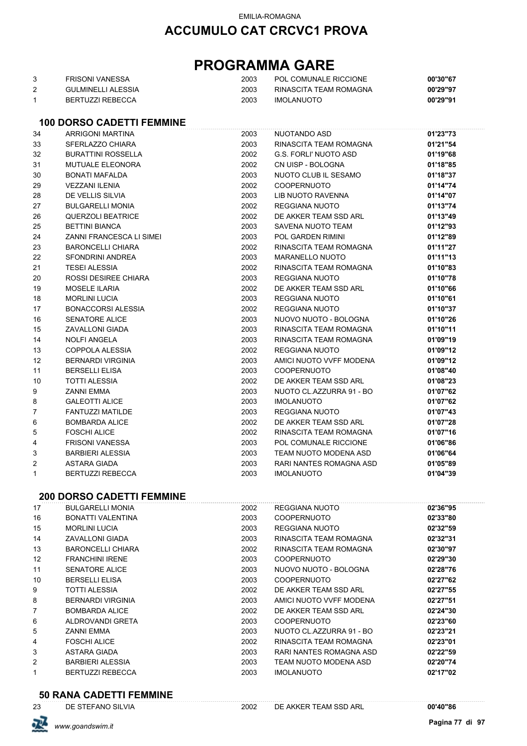# **PROGRAMMA GARE**

| FRISONI VANESSA       | 2003 | POL COMUNALE RICCIONE  | 00'30"67 |
|-----------------------|------|------------------------|----------|
| GUI MINFI I LAI FSSIA | 2003 | RINASCITA TEAM ROMAGNA | 00'29"97 |
| BERTUZZI REBECCA      | 2003 | <b>IMOLANUOTO</b>      | 00'29"91 |

#### **100 DORSO CADETTI FEMMINE**

| 34             | <b>ARRIGONI MARTINA</b>         | 2003 | NUOTANDO ASD             | 01'23"73 |
|----------------|---------------------------------|------|--------------------------|----------|
| 33             | SFERLAZZO CHIARA                | 2003 | RINASCITA TEAM ROMAGNA   | 01'21"54 |
| 32             | BURATTINI ROSSELLA              | 2002 | G.S. FORLI' NUOTO ASD    | 01'19"68 |
| 31             | <b>MUTUALE ELEONORA</b>         | 2002 | CN UISP - BOLOGNA        | 01'18"85 |
| 30             | <b>BONATI MAFALDA</b>           | 2003 | NUOTO CLUB IL SESAMO     | 01'18"37 |
| 29             | <b>VEZZANI ILENIA</b>           | 2002 | <b>COOPERNUOTO</b>       | 01'14"74 |
| 28             | DE VELLIS SILVIA                | 2003 | LIB NUOTO RAVENNA        | 01'14"07 |
| 27             | <b>BULGARELLI MONIA</b>         | 2002 | <b>REGGIANA NUOTO</b>    | 01'13"74 |
| 26             | <b>QUERZOLI BEATRICE</b>        | 2002 | DE AKKER TEAM SSD ARL    | 01'13"49 |
| 25             | <b>BETTINI BIANCA</b>           | 2003 | SAVENA NUOTO TEAM        | 01'12"93 |
| 24             | <b>ZANNI FRANCESCA LI SIMEI</b> | 2003 | <b>POL GARDEN RIMINI</b> | 01'12"89 |
| 23             | <b>BARONCELLI CHIARA</b>        | 2002 | RINASCITA TEAM ROMAGNA   | 01'11"27 |
| 22             | <b>SFONDRINI ANDREA</b>         | 2003 | <b>MARANELLO NUOTO</b>   | 01'11"13 |
| 21             | <b>TESEI ALESSIA</b>            | 2002 | RINASCITA TEAM ROMAGNA   | 01'10"83 |
| 20             | ROSSI DESIREE CHIARA            | 2003 | <b>REGGIANA NUOTO</b>    | 01'10"78 |
| 19             | <b>MOSELE ILARIA</b>            | 2002 | DE AKKER TEAM SSD ARL    | 01'10"66 |
| 18             | <b>MORLINI LUCIA</b>            | 2003 | <b>REGGIANA NUOTO</b>    | 01'10"61 |
| 17             | <b>BONACCORSI ALESSIA</b>       | 2002 | <b>REGGIANA NUOTO</b>    | 01'10"37 |
| 16             | <b>SENATORE ALICE</b>           | 2003 | NUOVO NUOTO - BOLOGNA    | 01'10"26 |
| 15             | <b>ZAVALLONI GIADA</b>          | 2003 | RINASCITA TEAM ROMAGNA   | 01'10"11 |
| 14             | <b>NOLFI ANGELA</b>             | 2003 | RINASCITA TEAM ROMAGNA   | 01'09"19 |
| 13             | <b>COPPOLA ALESSIA</b>          | 2002 | <b>REGGIANA NUOTO</b>    | 01'09"12 |
| 12             | <b>BERNARDI VIRGINIA</b>        | 2003 | AMICI NUOTO VVFF MODENA  | 01'09"12 |
| 11             | <b>BERSELLI ELISA</b>           | 2003 | <b>COOPERNUOTO</b>       | 01'08"40 |
| 10             | <b>TOTTI ALESSIA</b>            | 2002 | DE AKKER TEAM SSD ARL    | 01'08"23 |
| 9              | <b>ZANNI EMMA</b>               | 2003 | NUOTO CL.AZZURRA 91 - BO | 01'07"62 |
| 8              | <b>GALEOTTI ALICE</b>           | 2003 | <b>IMOLANUOTO</b>        | 01'07"62 |
| $\overline{7}$ | <b>FANTUZZI MATILDE</b>         | 2003 | REGGIANA NUOTO           | 01'07"43 |
| 6              | <b>BOMBARDA ALICE</b>           | 2002 | DE AKKER TEAM SSD ARL    | 01'07"28 |
| 5              | <b>FOSCHI ALICE</b>             | 2002 | RINASCITA TEAM ROMAGNA   | 01'07"16 |
| 4              | <b>FRISONI VANESSA</b>          | 2003 | POL COMUNALE RICCIONE    | 01'06"86 |
| 3              | <b>BARBIERI ALESSIA</b>         | 2003 | TEAM NUOTO MODENA ASD    | 01'06"64 |
| $\overline{2}$ | ASTARA GIADA                    | 2003 | RARI NANTES ROMAGNA ASD  | 01'05"89 |
| 1              | <b>BERTUZZI REBECCA</b>         | 2003 | <b>IMOLANUOTO</b>        | 01'04"39 |
|                |                                 |      |                          |          |

#### **200 DORSO CADETTI FEMMINE**

| 17             | <b>BULGARELLI MONIA</b>  | 2002 | REGGIANA NUOTO           | 02'36"95 |
|----------------|--------------------------|------|--------------------------|----------|
| 16             | BONATTI VALENTINA        | 2003 | <b>COOPERNUOTO</b>       | 02'33"80 |
| 15             | <b>MORLINI LUCIA</b>     | 2003 | REGGIANA NUOTO           | 02'32"59 |
| 14             | ZAVALLONI GIADA          | 2003 | RINASCITA TEAM ROMAGNA   | 02'32"31 |
| 13             | <b>BARONCELLI CHIARA</b> | 2002 | RINASCITA TEAM ROMAGNA   | 02'30"97 |
| 12             | <b>FRANCHINI IRENE</b>   | 2003 | <b>COOPERNUOTO</b>       | 02'29"30 |
| 11             | SENATORE ALICE           | 2003 | NUOVO NUOTO - BOLOGNA    | 02'28"76 |
| 10             | <b>BERSELLI ELISA</b>    | 2003 | <b>COOPERNUOTO</b>       | 02'27"62 |
| 9              | <b>TOTTI ALESSIA</b>     | 2002 | DE AKKER TEAM SSD ARL    | 02'27"55 |
| 8              | <b>BERNARDI VIRGINIA</b> | 2003 | AMICI NUOTO VVFF MODENA  | 02'27"51 |
| 7              | <b>BOMBARDA ALICE</b>    | 2002 | DE AKKER TEAM SSD ARL    | 02'24"30 |
| 6              | ALDROVANDI GRETA         | 2003 | <b>COOPERNUOTO</b>       | 02'23"60 |
| 5              | <b>ZANNI EMMA</b>        | 2003 | NUOTO CL.AZZURRA 91 - BO | 02'23"21 |
| 4              | <b>FOSCHI ALICE</b>      | 2002 | RINASCITA TEAM ROMAGNA   | 02'23"01 |
| 3              | ASTARA GIADA             | 2003 | RARI NANTES ROMAGNA ASD  | 02'22"59 |
| $\overline{2}$ | <b>BARBIERI ALESSIA</b>  | 2003 | TEAM NUOTO MODENA ASD    | 02'20"74 |
| 1              | <b>BERTUZZI REBECCA</b>  | 2003 | <b>IMOLANUOTO</b>        | 02'17"02 |
|                |                          |      |                          |          |

#### **50 RANA CADETTI FEMMINE**

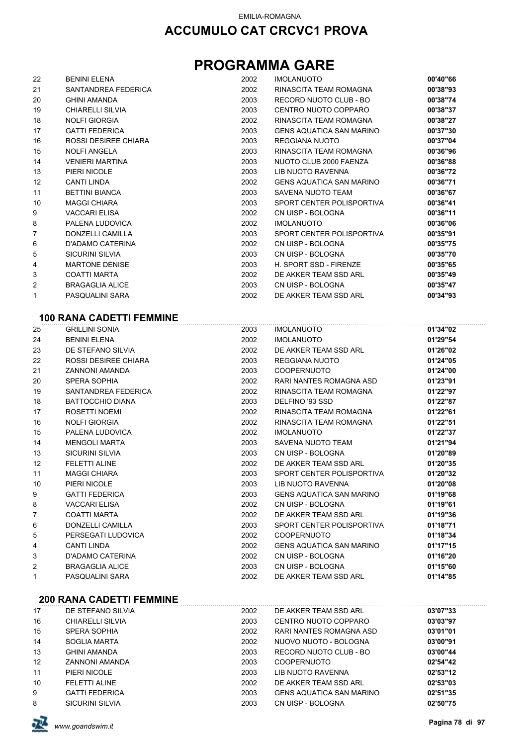# **PROGRAMMA GARE**

| 22 | <b>BENINI ELENA</b>         | 2002 | <b>IMOLANUOTO</b>               | 00'40"66 |
|----|-----------------------------|------|---------------------------------|----------|
| 21 | SANTANDREA FEDERICA         | 2002 | RINASCITA TEAM ROMAGNA          | 00'38"93 |
| 20 | <b>GHINI AMANDA</b>         | 2003 | RECORD NUOTO CLUB - BO          | 00'38"74 |
| 19 | <b>CHIARELLI SILVIA</b>     | 2003 | CENTRO NUOTO COPPARO            | 00'38"37 |
| 18 | <b>NOLFI GIORGIA</b>        | 2002 | RINASCITA TEAM ROMAGNA          | 00'38"27 |
| 17 | <b>GATTI FEDERICA</b>       | 2003 | <b>GENS AQUATICA SAN MARINO</b> | 00'37"30 |
| 16 | <b>ROSSI DESIREE CHIARA</b> | 2003 | <b>REGGIANA NUOTO</b>           | 00'37"04 |
| 15 | <b>NOLFI ANGELA</b>         | 2003 | RINASCITA TEAM ROMAGNA          | 00'36"96 |
| 14 | <b>VENIERI MARTINA</b>      | 2003 | NUOTO CLUB 2000 FAENZA          | 00'36"88 |
| 13 | PIERI NICOLE                | 2003 | LIB NUOTO RAVENNA               | 00'36"72 |
| 12 | <b>CANTI LINDA</b>          | 2002 | <b>GENS AQUATICA SAN MARINO</b> | 00'36"71 |
| 11 | <b>BETTINI BIANCA</b>       | 2003 | SAVENA NUOTO TEAM               | 00'36"67 |
| 10 | <b>MAGGI CHIARA</b>         | 2003 | SPORT CENTER POLISPORTIVA       | 00'36"41 |
| 9  | <b>VACCARI ELISA</b>        | 2002 | CN UISP - BOLOGNA               | 00'36"11 |
| 8  | PALENA LUDOVICA             | 2002 | <b>IMOLANUOTO</b>               | 00'36"06 |
| 7  | <b>DONZELLI CAMILLA</b>     | 2003 | SPORT CENTER POLISPORTIVA       | 00'35"91 |
| 6  | D'ADAMO CATERINA            | 2002 | CN UISP - BOLOGNA               | 00'35"75 |
| 5  | <b>SICURINI SILVIA</b>      | 2003 | CN UISP - BOLOGNA               | 00'35"70 |
| 4  | <b>MARTONE DENISE</b>       | 2003 | H. SPORT SSD - FIRENZE          | 00'35"65 |
| 3  | <b>COATTI MARTA</b>         | 2002 | DE AKKER TEAM SSD ARL           | 00'35"49 |
| 2  | <b>BRAGAGLIA ALICE</b>      | 2003 | CN UISP - BOLOGNA               | 00'35"47 |
| 1  | PASQUALINI SARA             | 2002 | DE AKKER TEAM SSD ARL           | 00'34"93 |
|    |                             |      |                                 |          |

### **100 RANA CADETTI FEMMINE**

| 25 | <b>GRILLINI SONIA</b>   | 2003 | <b>IMOLANUOTO</b>               | 01'34"02 |
|----|-------------------------|------|---------------------------------|----------|
| 24 | <b>BENINI ELENA</b>     | 2002 | <b>IMOLANUOTO</b>               | 01'29"54 |
| 23 | DE STEFANO SILVIA       | 2002 | DE AKKER TEAM SSD ARL           | 01'26"02 |
| 22 | ROSSI DESIREE CHIARA    | 2003 | REGGIANA NUOTO                  | 01'24"05 |
| 21 | ZANNONI AMANDA          | 2003 | <b>COOPERNUOTO</b>              | 01'24"00 |
| 20 | SPERA SOPHIA            | 2002 | RARI NANTES ROMAGNA ASD         | 01'23"91 |
| 19 | SANTANDREA FEDERICA     | 2002 | RINASCITA TEAM ROMAGNA          | 01'22"97 |
| 18 | <b>BATTOCCHIO DIANA</b> | 2003 | DELFINO '93 SSD                 | 01'22"87 |
| 17 | ROSETTI NOEMI           | 2002 | RINASCITA TEAM ROMAGNA          | 01'22"61 |
| 16 | <b>NOLFI GIORGIA</b>    | 2002 | RINASCITA TEAM ROMAGNA          | 01'22"51 |
| 15 | PALENA LUDOVICA         | 2002 | <b>IMOLANUOTO</b>               | 01'22"37 |
| 14 | <b>MENGOLI MARTA</b>    | 2003 | SAVENA NUOTO TEAM               | 01'21"94 |
| 13 | <b>SICURINI SILVIA</b>  | 2003 | CN UISP - BOLOGNA               | 01'20"89 |
| 12 | <b>FELETTI ALINE</b>    | 2002 | DE AKKER TEAM SSD ARL           | 01'20"35 |
| 11 | <b>MAGGI CHIARA</b>     | 2003 | SPORT CENTER POLISPORTIVA       | 01'20"32 |
| 10 | PIERI NICOLE            | 2003 | <b>LIB NUOTO RAVENNA</b>        | 01'20"08 |
| 9  | <b>GATTI FEDERICA</b>   | 2003 | <b>GENS AQUATICA SAN MARINO</b> | 01'19"68 |
| 8  | <b>VACCARI ELISA</b>    | 2002 | CN UISP - BOLOGNA               | 01'19"61 |
| 7  | <b>COATTI MARTA</b>     | 2002 | DE AKKER TEAM SSD ARL           | 01'19"36 |
| 6  | <b>DONZELLI CAMILLA</b> | 2003 | SPORT CENTER POLISPORTIVA       | 01'18"71 |
| 5  | PERSEGATI LUDOVICA      | 2002 | <b>COOPERNUOTO</b>              | 01'18"34 |
| 4  | <b>CANTI LINDA</b>      | 2002 | <b>GENS AQUATICA SAN MARINO</b> | 01'17"15 |
| 3  | D'ADAMO CATERINA        | 2002 | CN UISP - BOLOGNA               | 01'16"20 |
| 2  | <b>BRAGAGLIA ALICE</b>  | 2003 | CN UISP - BOLOGNA               | 01'15"60 |
| 1  | PASQUALINI SARA         | 2002 | DE AKKER TEAM SSD ARL           | 01'14"85 |
|    |                         |      |                                 |          |

### **200 RANA CADETTI FEMMINE**

| DE STEFANO SILVIA      | 2002 | DE AKKER TEAM SSD ARL           | 03'07"33 |
|------------------------|------|---------------------------------|----------|
| CHIARELLI SILVIA       | 2003 | CENTRO NUOTO COPPARO            | 03'03"97 |
| SPERA SOPHIA           | 2002 | RARI NANTES ROMAGNA ASD         | 03'01"01 |
| SOGLIA MARTA           | 2002 | NUOVO NUOTO - BOLOGNA           | 03'00"91 |
| <b>GHINI AMANDA</b>    | 2003 | RECORD NUOTO CLUB - BO          | 03'00"44 |
| ZANNONI AMANDA         | 2003 | <b>COOPERNUOTO</b>              | 02'54"42 |
| PIERI NICOLE           | 2003 | LIB NUOTO RAVENNA               | 02'53"12 |
| <b>FELETTI ALINE</b>   | 2002 | DE AKKER TEAM SSD ARL           | 02'53"03 |
| <b>GATTI FEDERICA</b>  | 2003 | <b>GENS AQUATICA SAN MARINO</b> | 02'51"35 |
| <b>SICURINI SILVIA</b> | 2003 | CN UISP - BOLOGNA               | 02'50"75 |
|                        |      |                                 |          |

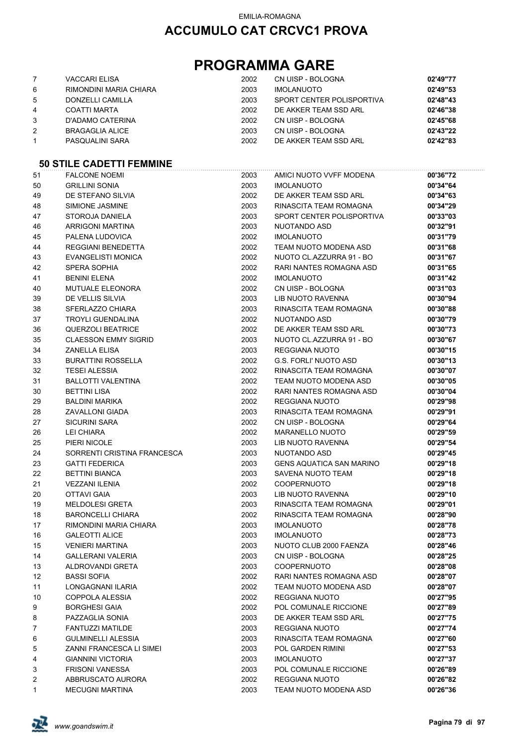# **PROGRAMMA GARE**

|                | <b>VACCARI ELISA</b>   | 2002 | CN UISP - BOLOGNA         | 02'49"77 |
|----------------|------------------------|------|---------------------------|----------|
| 6              | RIMONDINI MARIA CHIARA | 2003 | <b>IMOLANUOTO</b>         | 02'49"53 |
| 5              | DONZELLI CAMILLA       | 2003 | SPORT CENTER POLISPORTIVA | 02'48"43 |
| 4              | <b>COATTI MARTA</b>    | 2002 | DE AKKER TEAM SSD ARL     | 02'46"38 |
| 3              | D'ADAMO CATERINA       | 2002 | CN UISP - BOLOGNA         | 02'45"68 |
| $\overline{2}$ | <b>BRAGAGLIA ALICE</b> | 2003 | CN UISP - BOLOGNA         | 02'43"22 |
|                | PASQUALINI SARA        | 2002 | DE AKKER TEAM SSD ARL     | 02'42"83 |

### **50 STILE CADETTI FEMMINE**

| 51             | <b>FALCONE NOEMI</b>        | 2003 | AMICI NUOTO VVFF MODENA         | 00'36"72 |
|----------------|-----------------------------|------|---------------------------------|----------|
| 50             | <b>GRILLINI SONIA</b>       | 2003 | <b>IMOLANUOTO</b>               | 00'34"64 |
| 49             | DE STEFANO SILVIA           | 2002 | DE AKKER TEAM SSD ARL           | 00'34"63 |
| 48             | SIMIONE JASMINE             | 2003 | RINASCITA TEAM ROMAGNA          | 00'34"29 |
| 47             | STOROJA DANIELA             | 2003 | SPORT CENTER POLISPORTIVA       | 00'33"03 |
| 46             | ARRIGONI MARTINA            | 2003 | NUOTANDO ASD                    | 00'32"91 |
| 45             | PALENA LUDOVICA             | 2002 | <b>IMOLANUOTO</b>               | 00'31"79 |
| 44             | <b>REGGIANI BENEDETTA</b>   | 2002 | TEAM NUOTO MODENA ASD           | 00'31"68 |
| 43             | EVANGELISTI MONICA          | 2002 | NUOTO CL.AZZURRA 91 - BO        | 00'31"67 |
| 42             | <b>SPERA SOPHIA</b>         | 2002 | RARI NANTES ROMAGNA ASD         | 00'31"65 |
| 41             | <b>BENINI ELENA</b>         | 2002 | <b>IMOLANUOTO</b>               | 00'31"42 |
| 40             | <b>MUTUALE ELEONORA</b>     | 2002 | CN UISP - BOLOGNA               | 00'31"03 |
| 39             | DE VELLIS SILVIA            | 2003 | LIB NUOTO RAVENNA               | 00'30"94 |
| 38             | SFERLAZZO CHIARA            | 2003 | RINASCITA TEAM ROMAGNA          | 00'30"88 |
| 37             | TROYLI GUENDALINA           | 2002 | NUOTANDO ASD                    | 00'30"79 |
| 36             | <b>QUERZOLI BEATRICE</b>    | 2002 | DE AKKER TEAM SSD ARL           | 00'30"73 |
| 35             | <b>CLAESSON EMMY SIGRID</b> | 2003 | NUOTO CL.AZZURRA 91 - BO        | 00'30"67 |
| 34             | <b>ZANELLA ELISA</b>        | 2003 | REGGIANA NUOTO                  | 00'30"15 |
| 33             | <b>BURATTINI ROSSELLA</b>   | 2002 | <b>G.S. FORLI' NUOTO ASD</b>    | 00'30"13 |
| 32             | <b>TESEI ALESSIA</b>        | 2002 | RINASCITA TEAM ROMAGNA          | 00'30"07 |
| 31             | <b>BALLOTTI VALENTINA</b>   | 2002 | TEAM NUOTO MODENA ASD           | 00'30"05 |
| 30             | <b>BETTINI LISA</b>         | 2002 | RARI NANTES ROMAGNA ASD         | 00'30"04 |
| 29             | <b>BALDINI MARIKA</b>       | 2002 | REGGIANA NUOTO                  | 00'29"98 |
| 28             | ZAVALLONI GIADA             | 2003 | RINASCITA TEAM ROMAGNA          | 00'29"91 |
| 27             | <b>SICURINI SARA</b>        | 2002 | CN UISP - BOLOGNA               | 00'29"64 |
| 26             | <b>LEI CHIARA</b>           | 2002 | <b>MARANELLO NUOTO</b>          | 00'29"59 |
| 25             | PIERI NICOLE                | 2003 | LIB NUOTO RAVENNA               | 00'29"54 |
| 24             | SORRENTI CRISTINA FRANCESCA | 2003 | NUOTANDO ASD                    | 00'29"45 |
| 23             | <b>GATTI FEDERICA</b>       | 2003 | <b>GENS AQUATICA SAN MARINO</b> | 00'29"18 |
| 22             | <b>BETTINI BIANCA</b>       | 2003 | SAVENA NUOTO TEAM               | 00'29"18 |
| 21             | <b>VEZZANI ILENIA</b>       | 2002 | COOPERNUOTO                     | 00'29"18 |
| 20             | <b>OTTAVI GAIA</b>          | 2003 | LIB NUOTO RAVENNA               | 00'29"10 |
| 19             | <b>MELDOLESI GRETA</b>      | 2003 | RINASCITA TEAM ROMAGNA          | 00'29"01 |
| 18             | <b>BARONCELLI CHIARA</b>    | 2002 | RINASCITA TEAM ROMAGNA          | 00'28"90 |
| 17             | RIMONDINI MARIA CHIARA      | 2003 | <b>IMOLANUOTO</b>               | 00'28"78 |
| 16             | <b>GALEOTTI ALICE</b>       | 2003 | <b>IMOLANUOTO</b>               | 00'28"73 |
| 15             | <b>VENIERI MARTINA</b>      | 2003 | NUOTO CLUB 2000 FAENZA          | 00'28"46 |
| 14             | <b>GALLERANI VALERIA</b>    | 2003 | CN UISP - BOLOGNA               | 00'28"25 |
| 13             | ALDROVANDI GRETA            | 2003 | COOPERNUOTO                     | 00'28"08 |
| 12             | <b>BASSI SOFIA</b>          | 2002 | RARI NANTES ROMAGNA ASD         | 00'28"07 |
| 11             | LONGAGNANI ILARIA           | 2002 | TEAM NUOTO MODENA ASD           | 00'28"07 |
| 10             | COPPOLA ALESSIA             | 2002 | REGGIANA NUOTO                  | 00'27"95 |
| 9              | <b>BORGHESI GAIA</b>        | 2002 | POL COMUNALE RICCIONE           | 00'27"89 |
| 8              | PAZZAGLIA SONIA             | 2003 | DE AKKER TEAM SSD ARL           | 00'27"75 |
| 7              | FANTUZZI MATILDE            | 2003 | REGGIANA NUOTO                  | 00'27"74 |
| 6              | <b>GULMINELLI ALESSIA</b>   | 2003 | RINASCITA TEAM ROMAGNA          | 00'27"60 |
| 5              | ZANNI FRANCESCA LI SIMEI    | 2003 | POL GARDEN RIMINI               | 00'27"53 |
| 4              | <b>GIANNINI VICTORIA</b>    | 2003 | <b>IMOLANUOTO</b>               | 00'27"37 |
| 3              | <b>FRISONI VANESSA</b>      | 2003 | POL COMUNALE RICCIONE           | 00'26"89 |
| $\overline{2}$ | ABBRUSCATO AURORA           | 2002 | REGGIANA NUOTO                  | 00'26"82 |
| 1              | <b>MECUGNI MARTINA</b>      | 2003 | TEAM NUOTO MODENA ASD           | 00'26"36 |

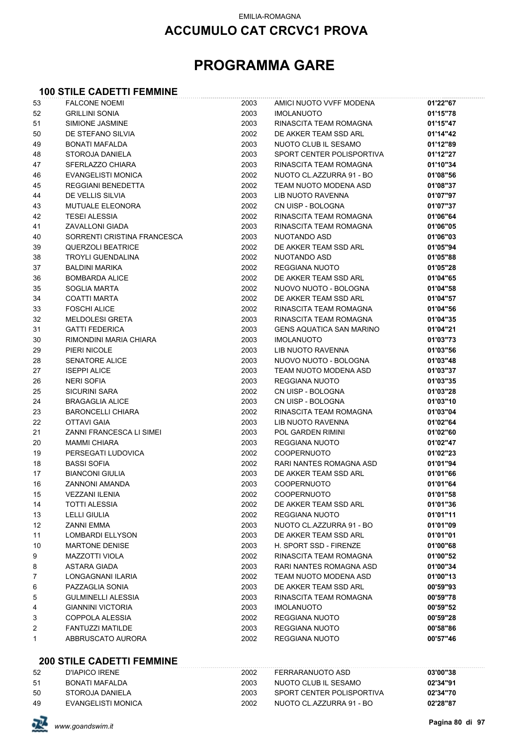## **ACCUMULO CAT CRCVC1 PROVA**

# **PROGRAMMA GARE**

#### **100 STILE CADETTI FEMMINE**

| 53 | <b>FALCONE NOEMI</b>        | 2003 | AMICI NUOTO VVFF MODENA         | 01'22"67 |
|----|-----------------------------|------|---------------------------------|----------|
| 52 | <b>GRILLINI SONIA</b>       | 2003 | <b>IMOLANUOTO</b>               | 01'15"78 |
| 51 | SIMIONE JASMINE             | 2003 | RINASCITA TEAM ROMAGNA          | 01'15"47 |
| 50 | DE STEFANO SILVIA           | 2002 | DE AKKER TEAM SSD ARL           | 01'14"42 |
| 49 | <b>BONATI MAFALDA</b>       | 2003 | NUOTO CLUB IL SESAMO            | 01'12"89 |
| 48 | STOROJA DANIELA             | 2003 | SPORT CENTER POLISPORTIVA       | 01'12"27 |
| 47 | SFERLAZZO CHIARA            | 2003 | RINASCITA TEAM ROMAGNA          | 01'10"34 |
| 46 | EVANGELISTI MONICA          | 2002 | NUOTO CL.AZZURRA 91 - BO        | 01'08"56 |
| 45 | <b>REGGIANI BENEDETTA</b>   | 2002 | TEAM NUOTO MODENA ASD           | 01'08"37 |
| 44 | DE VELLIS SILVIA            | 2003 | LIB NUOTO RAVENNA               | 01'07"97 |
| 43 | MUTUALE ELEONORA            | 2002 | CN UISP - BOLOGNA               | 01'07"37 |
| 42 | <b>TESEI ALESSIA</b>        | 2002 | RINASCITA TEAM ROMAGNA          | 01'06"64 |
| 41 | ZAVALLONI GIADA             | 2003 | RINASCITA TEAM ROMAGNA          | 01'06"05 |
| 40 | SORRENTI CRISTINA FRANCESCA | 2003 | NUOTANDO ASD                    | 01'06"03 |
| 39 | <b>QUERZOLI BEATRICE</b>    | 2002 | DE AKKER TEAM SSD ARL           | 01'05"94 |
| 38 | <b>TROYLI GUENDALINA</b>    | 2002 | NUOTANDO ASD                    | 01'05"88 |
| 37 | <b>BALDINI MARIKA</b>       | 2002 | REGGIANA NUOTO                  | 01'05"28 |
| 36 | <b>BOMBARDA ALICE</b>       | 2002 | DE AKKER TEAM SSD ARL           | 01'04"65 |
| 35 | <b>SOGLIA MARTA</b>         | 2002 | NUOVO NUOTO - BOLOGNA           | 01'04"58 |
| 34 | <b>COATTI MARTA</b>         | 2002 | DE AKKER TEAM SSD ARL           | 01'04"57 |
| 33 | <b>FOSCHI ALICE</b>         | 2002 | RINASCITA TEAM ROMAGNA          | 01'04"56 |
| 32 | <b>MELDOLESI GRETA</b>      | 2003 | RINASCITA TEAM ROMAGNA          | 01'04"35 |
| 31 | <b>GATTI FEDERICA</b>       | 2003 | <b>GENS AQUATICA SAN MARINO</b> | 01'04"21 |
| 30 | RIMONDINI MARIA CHIARA      | 2003 | <b>IMOLANUOTO</b>               | 01'03"73 |
| 29 | PIERI NICOLE                | 2003 | LIB NUOTO RAVENNA               | 01'03"56 |
| 28 | <b>SENATORE ALICE</b>       | 2003 | NUOVO NUOTO - BOLOGNA           | 01'03"48 |
| 27 | <b>ISEPPI ALICE</b>         | 2003 | TEAM NUOTO MODENA ASD           | 01'03"37 |
| 26 | <b>NERI SOFIA</b>           | 2003 | <b>REGGIANA NUOTO</b>           | 01'03"35 |
| 25 | <b>SICURINI SARA</b>        | 2002 | CN UISP - BOLOGNA               | 01'03"28 |
| 24 | <b>BRAGAGLIA ALICE</b>      | 2003 | CN UISP - BOLOGNA               | 01'03"10 |
| 23 | <b>BARONCELLI CHIARA</b>    | 2002 | RINASCITA TEAM ROMAGNA          | 01'03"04 |
| 22 | <b>OTTAVI GAIA</b>          | 2003 | LIB NUOTO RAVENNA               | 01'02"64 |
| 21 | ZANNI FRANCESCA LI SIMEI    | 2003 | POL GARDEN RIMINI               | 01'02"60 |
| 20 | <b>MAMMI CHIARA</b>         | 2003 | <b>REGGIANA NUOTO</b>           | 01'02"47 |
| 19 | PERSEGATI LUDOVICA          | 2002 | <b>COOPERNUOTO</b>              | 01'02"23 |
| 18 | <b>BASSI SOFIA</b>          | 2002 | RARI NANTES ROMAGNA ASD         | 01'01"94 |
| 17 | <b>BIANCONI GIULIA</b>      | 2003 | DE AKKER TEAM SSD ARL           | 01'01"66 |
| 16 | ZANNONI AMANDA              | 2003 | <b>COOPERNUOTO</b>              | 01'01"64 |
| 15 | <b>VEZZANI ILENIA</b>       | 2002 | COOPERNUOTO                     | 01'01"58 |
| 14 | <b>TOTTI ALESSIA</b>        | 2002 | DE AKKER TEAM SSD ARL           | 01'01"36 |
| 13 | <b>LELLI GIULIA</b>         | 2002 | REGGIANA NUOTO                  | 01'01"11 |
| 12 | <b>ZANNI EMMA</b>           | 2003 | NUOTO CL.AZZURRA 91 - BO        | 01'01"09 |
| 11 | <b>LOMBARDI ELLYSON</b>     | 2003 | DE AKKER TEAM SSD ARL           | 01'01"01 |
| 10 | <b>MARTONE DENISE</b>       | 2003 | H. SPORT SSD - FIRENZE          | 01'00"68 |
| 9  | <b>MAZZOTTI VIOLA</b>       | 2002 | RINASCITA TEAM ROMAGNA          | 01'00"52 |
| 8  | <b>ASTARA GIADA</b>         | 2003 | RARI NANTES ROMAGNA ASD         | 01'00"34 |
| 7  | LONGAGNANI ILARIA           | 2002 | TEAM NUOTO MODENA ASD           | 01'00"13 |
| 6  | PAZZAGLIA SONIA             | 2003 | DE AKKER TEAM SSD ARL           | 00'59"93 |
| 5  | <b>GULMINELLI ALESSIA</b>   | 2003 | RINASCITA TEAM ROMAGNA          | 00'59"78 |
| 4  | <b>GIANNINI VICTORIA</b>    | 2003 | <b>IMOLANUOTO</b>               | 00'59"52 |
| 3  | COPPOLA ALESSIA             | 2002 | REGGIANA NUOTO                  | 00'59"28 |
|    | <b>FANTUZZI MATILDE</b>     | 2003 | REGGIANA NUOTO                  | 00'58"86 |
| 2  | ABBRUSCATO AURORA           | 2002 | REGGIANA NUOTO                  | 00'57"46 |
| 1  |                             |      |                                 |          |

#### **200 STILE CADETTI FEMMINE**

| 52 | D'IAPICO IRFNE     | 2002 | FFRRARANUOTO ASD          | 03'00"38 |
|----|--------------------|------|---------------------------|----------|
| 51 | BONATI MAFALDA     | 2003 | NUOTO CLUB IL SESAMO      | 02'34"91 |
| 50 | STOROJA DANIFI A   | 2003 | SPORT CENTER POLISPORTIVA | 02'34"70 |
| 49 | EVANGELISTI MONICA | 2002 | NUOTO CL.AZZURRA 91 - BO  | 02'28"87 |

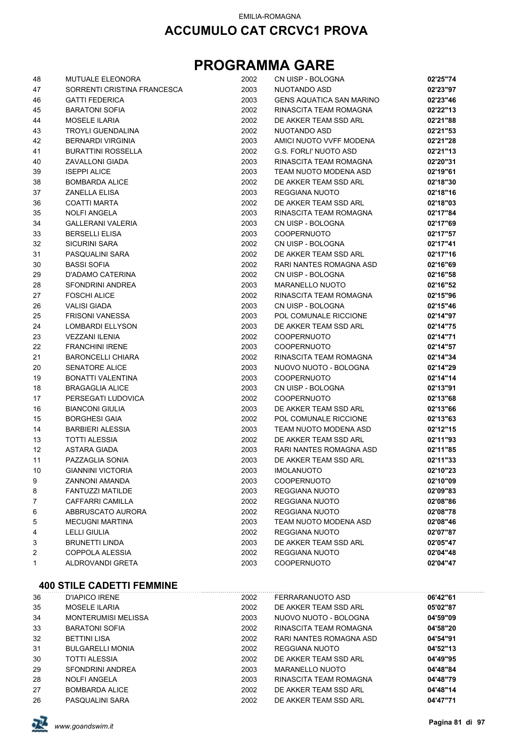# **PROGRAMMA GARE**

| 48 | <b>MUTUALE ELEONORA</b>     | 2002 | CN UISP - BOLOGNA               | 02'25"74 |
|----|-----------------------------|------|---------------------------------|----------|
| 47 | SORRENTI CRISTINA FRANCESCA | 2003 | NUOTANDO ASD                    | 02'23"97 |
| 46 | <b>GATTI FEDERICA</b>       | 2003 | <b>GENS AQUATICA SAN MARINO</b> | 02'23"46 |
| 45 | <b>BARATONI SOFIA</b>       | 2002 | RINASCITA TEAM ROMAGNA          | 02'22"13 |
| 44 | <b>MOSELE ILARIA</b>        | 2002 | DE AKKER TEAM SSD ARL           | 02'21"88 |
| 43 | TROYLI GUENDALINA           | 2002 | NUOTANDO ASD                    | 02'21"53 |
| 42 | <b>BERNARDI VIRGINIA</b>    | 2003 | AMICI NUOTO VVFF MODENA         | 02'21"28 |
| 41 | <b>BURATTINI ROSSELLA</b>   | 2002 | <b>G.S. FORLI' NUOTO ASD</b>    | 02'21"13 |
| 40 | ZAVALLONI GIADA             | 2003 | RINASCITA TEAM ROMAGNA          | 02'20"31 |
| 39 | <b>ISEPPI ALICE</b>         | 2003 | TEAM NUOTO MODENA ASD           | 02'19"61 |
| 38 | <b>BOMBARDA ALICE</b>       | 2002 | DE AKKER TEAM SSD ARL           | 02'18"30 |
| 37 | <b>ZANELLA ELISA</b>        | 2003 | REGGIANA NUOTO                  | 02'18"16 |
| 36 | <b>COATTI MARTA</b>         | 2002 | DE AKKER TEAM SSD ARL           | 02'18"03 |
| 35 | <b>NOLFI ANGELA</b>         | 2003 | RINASCITA TEAM ROMAGNA          | 02'17"84 |
| 34 | <b>GALLERANI VALERIA</b>    | 2003 | CN UISP - BOLOGNA               | 02'17"69 |
| 33 | <b>BERSELLI ELISA</b>       | 2003 | <b>COOPERNUOTO</b>              | 02'17"57 |
| 32 | <b>SICURINI SARA</b>        | 2002 | CN UISP - BOLOGNA               | 02'17"41 |
| 31 | PASQUALINI SARA             | 2002 | DE AKKER TEAM SSD ARL           | 02'17"16 |
| 30 | <b>BASSI SOFIA</b>          | 2002 | RARI NANTES ROMAGNA ASD         | 02'16"69 |
| 29 | D'ADAMO CATERINA            | 2002 | CN UISP - BOLOGNA               | 02'16"58 |
| 28 | SFONDRINI ANDREA            | 2003 | <b>MARANELLO NUOTO</b>          | 02'16"52 |
| 27 | <b>FOSCHI ALICE</b>         | 2002 | RINASCITA TEAM ROMAGNA          | 02'15"96 |
| 26 | <b>VALISI GIADA</b>         | 2003 | CN UISP - BOLOGNA               | 02'15"46 |
| 25 | <b>FRISONI VANESSA</b>      | 2003 | POL COMUNALE RICCIONE           | 02'14"97 |
| 24 | LOMBARDI ELLYSON            | 2003 | DE AKKER TEAM SSD ARL           | 02'14"75 |
| 23 | <b>VEZZANI ILENIA</b>       | 2002 | <b>COOPERNUOTO</b>              | 02'14"71 |
| 22 | <b>FRANCHINI IRENE</b>      | 2003 | <b>COOPERNUOTO</b>              | 02'14"57 |
| 21 | <b>BARONCELLI CHIARA</b>    | 2002 | RINASCITA TEAM ROMAGNA          | 02'14"34 |
| 20 | <b>SENATORE ALICE</b>       | 2003 | NUOVO NUOTO - BOLOGNA           | 02'14"29 |
| 19 | BONATTI VALENTINA           | 2003 | <b>COOPERNUOTO</b>              | 02'14"14 |
| 18 | <b>BRAGAGLIA ALICE</b>      | 2003 | CN UISP - BOLOGNA               | 02'13"91 |
| 17 | PERSEGATI LUDOVICA          | 2002 | <b>COOPERNUOTO</b>              | 02'13"68 |
| 16 | <b>BIANCONI GIULIA</b>      | 2003 | DE AKKER TEAM SSD ARL           | 02'13"66 |
| 15 | <b>BORGHESI GAIA</b>        | 2002 | POL COMUNALE RICCIONE           | 02'13"63 |
| 14 | <b>BARBIERI ALESSIA</b>     | 2003 | TEAM NUOTO MODENA ASD           | 02'12"15 |
| 13 | <b>TOTTI ALESSIA</b>        | 2002 | DE AKKER TEAM SSD ARL           | 02'11"93 |
| 12 | ASTARA GIADA                | 2003 | RARI NANTES ROMAGNA ASD         | 02'11"85 |
| 11 | PAZZAGLIA SONIA             | 2003 | DE AKKER TEAM SSD ARL           | 02'11"33 |
| 10 | <b>GIANNINI VICTORIA</b>    | 2003 | <b>IMOLANUOTO</b>               | 02'10"23 |
| 9  | ZANNONI AMANDA              | 2003 | <b>COOPERNUOTO</b>              | 02'10"09 |
| 8  | <b>FANTUZZI MATILDE</b>     | 2003 | <b>REGGIANA NUOTO</b>           | 02'09"83 |
| 7  | <b>CAFFARRI CAMILLA</b>     | 2002 | <b>REGGIANA NUOTO</b>           | 02'08"86 |
| 6  | ABBRUSCATO AURORA           | 2002 | <b>REGGIANA NUOTO</b>           | 02'08"78 |
| 5  | <b>MECUGNI MARTINA</b>      | 2003 | TEAM NUOTO MODENA ASD           | 02'08"46 |
| 4  | <b>LELLI GIULIA</b>         | 2002 | REGGIANA NUOTO                  | 02'07"87 |
| 3  | <b>BRUNETTI LINDA</b>       | 2003 | DE AKKER TEAM SSD ARL           | 02'05"47 |
| 2  | COPPOLA ALESSIA             | 2002 | <b>REGGIANA NUOTO</b>           | 02'04"48 |
| 1  | ALDROVANDI GRETA            | 2003 | <b>COOPERNUOTO</b>              | 02'04"47 |

#### **400 STILE CADETTI FEMMINE**

| 36 | D'IAPICO IRENE             | 2002 | FERRARANUOTO ASD        | 06'42"61 |  |
|----|----------------------------|------|-------------------------|----------|--|
| 35 | <b>MOSELE ILARIA</b>       | 2002 | DE AKKER TEAM SSD ARL   | 05'02"87 |  |
| 34 | <b>MONTERUMISI MELISSA</b> | 2003 | NUOVO NUOTO - BOLOGNA   | 04'59"09 |  |
| 33 | <b>BARATONI SOFIA</b>      | 2002 | RINASCITA TEAM ROMAGNA  | 04'58"20 |  |
| 32 | <b>BETTINI LISA</b>        | 2002 | RARI NANTES ROMAGNA ASD | 04'54"91 |  |
| 31 | <b>BULGARELLI MONIA</b>    | 2002 | REGGIANA NUOTO          | 04'52"13 |  |
| 30 | <b>TOTTI ALESSIA</b>       | 2002 | DE AKKER TEAM SSD ARL   | 04'49"95 |  |
| 29 | SFONDRINI ANDREA           | 2003 | MARANELLO NUOTO         | 04'48"84 |  |
| 28 | <b>NOLFI ANGELA</b>        | 2003 | RINASCITA TEAM ROMAGNA  | 04'48"79 |  |
| 27 | <b>BOMBARDA ALICE</b>      | 2002 | DE AKKER TEAM SSD ARL   | 04'48"14 |  |
| 26 | PASQUALINI SARA            | 2002 | DE AKKER TEAM SSD ARL   | 04'47"71 |  |

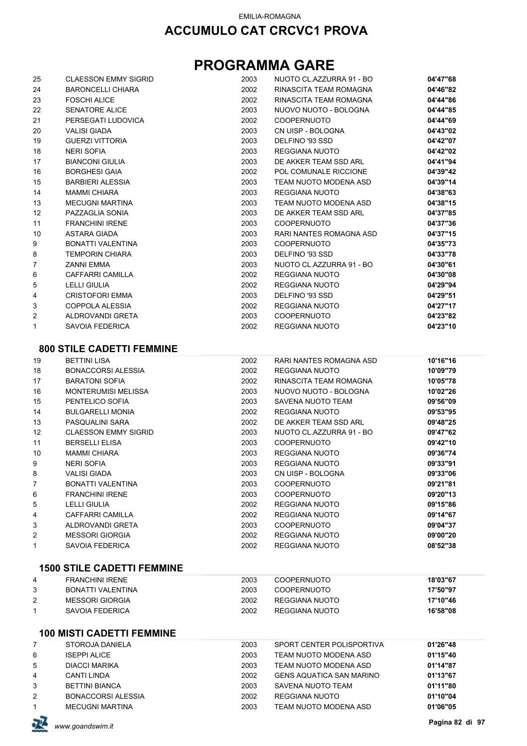| 25             | <b>CLAESSON EMMY SIGRID</b>       | 2003 | NUOTO CL.AZZURRA 91 - BO        | 04'47"68             |
|----------------|-----------------------------------|------|---------------------------------|----------------------|
| 24             | BARONCELLI CHIARA                 | 2002 | RINASCITA TEAM ROMAGNA          | 04'46"82             |
| 23             | <b>FOSCHI ALICE</b>               | 2002 | RINASCITA TEAM ROMAGNA          | 04'44"86             |
| 22             | <b>SENATORE ALICE</b>             | 2003 | NUOVO NUOTO - BOLOGNA           | 04'44"85             |
| 21             | PERSEGATI LUDOVICA                | 2002 | <b>COOPERNUOTO</b>              | 04'44"69             |
| 20             | <b>VALISI GIADA</b>               | 2003 | CN UISP - BOLOGNA               | 04'43"02             |
| 19             | <b>GUERZI VITTORIA</b>            | 2003 | DELFINO '93 SSD                 | 04'42"07             |
| 18             | <b>NERI SOFIA</b>                 | 2003 | REGGIANA NUOTO                  | 04'42"02             |
| 17             | <b>BIANCONI GIULIA</b>            | 2003 | DE AKKER TEAM SSD ARL           | 04'41"94             |
| 16             | <b>BORGHESI GAIA</b>              | 2002 | POL COMUNALE RICCIONE           | 04'39"42             |
| 15             | <b>BARBIERI ALESSIA</b>           | 2003 | TEAM NUOTO MODENA ASD           | 04'39"14             |
| 14             | <b>MAMMI CHIARA</b>               | 2003 | REGGIANA NUOTO                  | 04'38"63             |
| 13             | <b>MECUGNI MARTINA</b>            | 2003 | TEAM NUOTO MODENA ASD           | 04'38"15             |
| 12             | PAZZAGLIA SONIA                   | 2003 | DE AKKER TEAM SSD ARL           | 04'37"85             |
| 11             | <b>FRANCHINI IRENE</b>            | 2003 | <b>COOPERNUOTO</b>              | 04'37"36             |
| 10             | ASTARA GIADA                      | 2003 | RARI NANTES ROMAGNA ASD         | 04'37"15             |
| 9              | BONATTI VALENTINA                 | 2003 | <b>COOPERNUOTO</b>              | 04'35"73             |
| 8              | <b>TEMPORIN CHIARA</b>            | 2003 | DELFINO '93 SSD                 | 04'33"78             |
| $\overline{7}$ | ZANNI EMMA                        | 2003 | NUOTO CL.AZZURRA 91 - BO        | 04'30"61             |
| 6              | CAFFARRI CAMILLA                  | 2002 | <b>REGGIANA NUOTO</b>           | 04'30"08             |
| 5              | <b>LELLI GIULIA</b>               | 2002 | <b>REGGIANA NUOTO</b>           | 04'29"94             |
| 4              | <b>CRISTOFORI EMMA</b>            | 2003 | DELFINO '93 SSD                 | 04'29"51             |
| 3              | COPPOLA ALESSIA                   | 2002 | <b>REGGIANA NUOTO</b>           | 04'27"17             |
| 2              | ALDROVANDI GRETA                  | 2003 | <b>COOPERNUOTO</b>              | 04'23"82             |
| 1              | <b>SAVOIA FEDERICA</b>            | 2002 | <b>REGGIANA NUOTO</b>           | 04'23"10             |
|                |                                   |      |                                 |                      |
|                | <b>800 STILE CADETTI FEMMINE</b>  |      |                                 |                      |
| 19             | <b>BETTINI LISA</b>               | 2002 | RARI NANTES ROMAGNA ASD         | 10'16"16             |
| 18             | <b>BONACCORSI ALESSIA</b>         | 2002 | REGGIANA NUOTO                  | 10'09"79             |
| 17             | <b>BARATONI SOFIA</b>             | 2002 | RINASCITA TEAM ROMAGNA          | 10'05"78             |
| 16             | <b>MONTERUMISI MELISSA</b>        | 2003 | NUOVO NUOTO - BOLOGNA           | 10'02"26             |
| 15             | PENTELICO SOFIA                   | 2003 | SAVENA NUOTO TEAM               | 09'56"09             |
| 14             | <b>BULGARELLI MONIA</b>           | 2002 | REGGIANA NUOTO                  | 09'53"95             |
| 13             | PASQUALINI SARA                   | 2002 | DE AKKER TEAM SSD ARL           | 09'48"25             |
| 12             | <b>CLAESSON EMMY SIGRID</b>       | 2003 | NUOTO CL.AZZURRA 91 - BO        | 09'47"62             |
| 11             | <b>BERSELLI ELISA</b>             | 2003 | <b>COOPERNUOTO</b>              | 09'42"10             |
| 10             | <b>MAMMI CHIARA</b>               | 2003 | REGGIANA NUOTO                  | 09'36"74             |
| 9              | <b>NERI SOFIA</b>                 | 2003 | <b>REGGIANA NUOTO</b>           | 09'33"91             |
| 8              | VALISI GIADA                      | 2003 | CN UISP - BOLOGNA               | 09'33"06             |
| 7              | BONATTI VALENTINA                 | 2003 | <b>COOPERNUOTO</b>              | 09'21"81             |
| 6              | <b>FRANCHINI IRENE</b>            | 2003 | <b>COOPERNUOTO</b>              | 09'20"13             |
| 5              | <b>LELLI GIULIA</b>               | 2002 | <b>REGGIANA NUOTO</b>           | 09'15"86             |
| 4              | CAFFARRI CAMILLA                  | 2002 | REGGIANA NUOTO                  | 09'14"67             |
|                | ALDROVANDI GRETA                  | 2003 | <b>COOPERNUOTO</b>              |                      |
| 3<br>2         | <b>MESSORI GIORGIA</b>            | 2002 | <b>REGGIANA NUOTO</b>           | 09'04"37<br>09'00"20 |
| 1              | <b>SAVOIA FEDERICA</b>            | 2002 | REGGIANA NUOTO                  | 08'52"38             |
|                |                                   |      |                                 |                      |
|                | <b>1500 STILE CADETTI FEMMINE</b> |      |                                 |                      |
| 4              | <b>FRANCHINI IRENE</b>            | 2003 | <b>COOPERNUOTO</b>              | 18'03"67             |
|                |                                   | 2003 |                                 |                      |
| 3              | BONATTI VALENTINA                 |      | <b>COOPERNUOTO</b>              | 17'50"97             |
| 2              | <b>MESSORI GIORGIA</b>            | 2002 | REGGIANA NUOTO                  | 17'10"46             |
| 1              | <b>SAVOIA FEDERICA</b>            | 2002 | REGGIANA NUOTO                  | 16'58"08             |
|                | <b>100 MISTI CADETTI FEMMINE</b>  |      |                                 |                      |
| 7              | STOROJA DANIELA                   | 2003 | SPORT CENTER POLISPORTIVA       | 01'26"48             |
| 6              | <b>ISEPPI ALICE</b>               | 2003 | TEAM NUOTO MODENA ASD           | 01'15"40             |
| 5              | <b>DIACCI MARIKA</b>              | 2003 | TEAM NUOTO MODENA ASD           | 01'14"87             |
| 4              | <b>CANTI LINDA</b>                | 2002 | <b>GENS AQUATICA SAN MARINO</b> | 01'13"67             |
| 3              | <b>BETTINI BIANCA</b>             | 2003 | SAVENA NUOTO TEAM               | 01'11"80             |
| 2              | <b>BONACCORSI ALESSIA</b>         | 2002 | REGGIANA NUOTO                  | 01'10"04             |
| 1              | <b>MECUGNI MARTINA</b>            | 2003 | TEAM NUOTO MODENA ASD           | 01'06"05             |

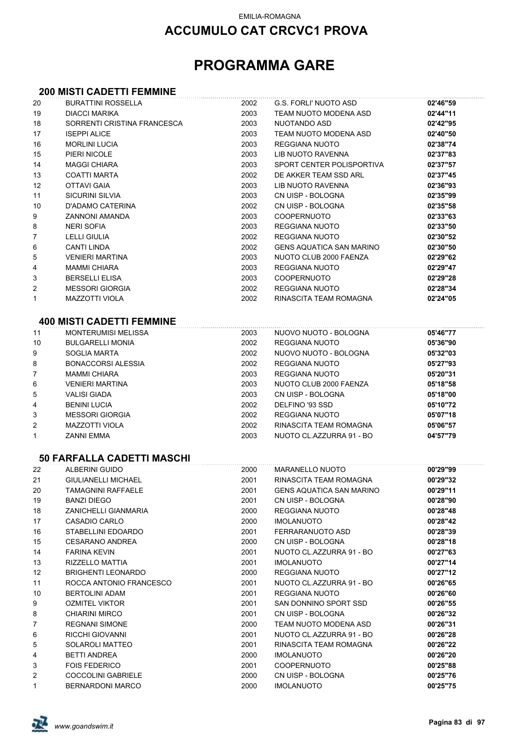# **PROGRAMMA GARE**

# **200 MISTI CADETTI FEMMINE**

| 20 | <b>BURATTINI ROSSELLA</b>         | 2002 | <b>G.S. FORLI' NUOTO ASD</b>    | 02'46"59 |
|----|-----------------------------------|------|---------------------------------|----------|
| 19 | <b>DIACCI MARIKA</b>              | 2003 | TEAM NUOTO MODENA ASD           | 02'44"11 |
| 18 | SORRENTI CRISTINA FRANCESCA       | 2003 | NUOTANDO ASD                    | 02'42"95 |
| 17 | <b>ISEPPI ALICE</b>               | 2003 | TEAM NUOTO MODENA ASD           | 02'40"50 |
| 16 | <b>MORLINI LUCIA</b>              | 2003 | REGGIANA NUOTO                  | 02'38"74 |
| 15 | PIERI NICOLE                      | 2003 | <b>LIB NUOTO RAVENNA</b>        | 02'37"83 |
| 14 | <b>MAGGI CHIARA</b>               | 2003 | SPORT CENTER POLISPORTIVA       | 02'37"57 |
| 13 | <b>COATTI MARTA</b>               | 2002 | DE AKKER TEAM SSD ARL           | 02'37"45 |
| 12 | <b>OTTAVI GAIA</b>                | 2003 | LIB NUOTO RAVENNA               | 02'36"93 |
| 11 | <b>SICURINI SILVIA</b>            | 2003 | CN UISP - BOLOGNA               | 02'35"99 |
| 10 | D'ADAMO CATERINA                  | 2002 | CN UISP - BOLOGNA               | 02'35"58 |
| 9  | <b>ZANNONI AMANDA</b>             | 2003 | <b>COOPERNUOTO</b>              | 02'33"63 |
| 8  | <b>NERI SOFIA</b>                 | 2003 | REGGIANA NUOTO                  | 02'33"50 |
| 7  | LELLI GIULIA                      | 2002 | REGGIANA NUOTO                  | 02'30"52 |
| 6  | <b>CANTI LINDA</b>                | 2002 | <b>GENS AQUATICA SAN MARINO</b> | 02'30"50 |
| 5  | <b>VENIERI MARTINA</b>            | 2003 | NUOTO CLUB 2000 FAENZA          | 02'29"62 |
| 4  | <b>MAMMI CHIARA</b>               | 2003 | REGGIANA NUOTO                  | 02'29"47 |
| 3  | <b>BERSELLI ELISA</b>             | 2003 | <b>COOPERNUOTO</b>              | 02'29"28 |
| 2  | <b>MESSORI GIORGIA</b>            | 2002 | REGGIANA NUOTO                  | 02'28"34 |
| 1  | <b>MAZZOTTI VIOLA</b>             | 2002 | RINASCITA TEAM ROMAGNA          | 02'24"05 |
|    |                                   |      |                                 |          |
|    | <b>400 MISTI CADETTI FEMMINE</b>  |      |                                 |          |
| 11 | <b>MONTERUMISI MELISSA</b>        | 2003 | NUOVO NUOTO - BOLOGNA           | 05'46"77 |
| 10 | <b>BULGARELLI MONIA</b>           | 2002 | REGGIANA NUOTO                  | 05'36"90 |
| 9  | SOGLIA MARTA                      | 2002 | NUOVO NUOTO - BOLOGNA           | 05'32"03 |
| 8  | <b>BONACCORSI ALESSIA</b>         | 2002 | REGGIANA NUOTO                  | 05'27"93 |
| 7  | <b>MAMMI CHIARA</b>               | 2003 | REGGIANA NUOTO                  | 05'20"31 |
| 6  | <b>VENIERI MARTINA</b>            | 2003 | NUOTO CLUB 2000 FAENZA          | 05'18"58 |
| 5  | <b>VALISI GIADA</b>               | 2003 | CN UISP - BOLOGNA               | 05'18"00 |
| 4  | <b>BENINI LUCIA</b>               | 2002 | DELFINO '93 SSD                 | 05'10"72 |
| 3  | <b>MESSORI GIORGIA</b>            | 2002 | REGGIANA NUOTO                  | 05'07"18 |
| 2  | <b>MAZZOTTI VIOLA</b>             | 2002 | RINASCITA TEAM ROMAGNA          | 05'06"57 |
| 1  | <b>ZANNI EMMA</b>                 | 2003 | NUOTO CL.AZZURRA 91 - BO        | 04'57"79 |
|    |                                   |      |                                 |          |
|    | <b>50 FARFALLA CADETTI MASCHI</b> |      |                                 |          |
| 22 | <b>ALBERINI GUIDO</b>             | 2000 | <b>MARANELLO NUOTO</b>          | 00'29"99 |
| 21 | <b>GIULIANELLI MICHAEL</b>        | 2001 | RINASCITA TEAM ROMAGNA          | 00'29"32 |
| 20 | TAMAGNINI RAFFAELE                | 2001 | GENS AQUATICA SAN MARINO        | 00'29"11 |
| 19 | BANZI DIEGO                       | 2001 | CN UISP - BOLOGNA               | 00'28"90 |
| 18 | ZANICHELLI GIANMARIA              | 2000 | REGGIANA NUOTO                  | 00'28"48 |
| 17 | <b>CASADIO CARLO</b>              | 2000 | <b>IMOLANUOTO</b>               | 00'28"42 |
| 16 | STABELLINI EDOARDO                | 2001 | FERRARANUOTO ASD                | 00'28"39 |
| 15 | <b>CESARANO ANDREA</b>            | 2000 | CN UISP - BOLOGNA               | 00'28"18 |
| 14 | <b>FARINA KEVIN</b>               | 2001 | NUOTO CL.AZZURRA 91 - BO        | 00'27"63 |
| 13 | RIZZELLO MATTIA                   | 2001 | <b>IMOLANUOTO</b>               | 00'27"14 |
| 12 | <b>BRIGHENTI LEONARDO</b>         | 2000 | <b>REGGIANA NUOTO</b>           | 00'27"12 |
| 11 | ROCCA ANTONIO FRANCESCO           | 2001 | NUOTO CL.AZZURRA 91 - BO        | 00'26"65 |
| 10 | <b>BERTOLINI ADAM</b>             | 2001 | REGGIANA NUOTO                  | 00'26"60 |
| 9  | <b>OZMITEL VIKTOR</b>             | 2001 | SAN DONNINO SPORT SSD           | 00'26"55 |
| 8  | <b>CHIARINI MIRCO</b>             | 2001 | CN UISP - BOLOGNA               | 00'26"32 |
| 7  | <b>REGNANI SIMONE</b>             | 2000 | TEAM NUOTO MODENA ASD           | 00'26"31 |
| 6  | RICCHI GIOVANNI                   | 2001 | NUOTO CL.AZZURRA 91 - BO        | 00'26"28 |
| 5  | SOLAROLI MATTEO                   | 2001 | RINASCITA TEAM ROMAGNA          | 00'26"22 |
| 4  | BETTI ANDREA                      | 2000 | <b>IMOLANUOTO</b>               | 00'26"20 |
| 3  | <b>FOIS FEDERICO</b>              | 2001 | <b>COOPERNUOTO</b>              | 00'25"88 |
| 2  | <b>COCCOLINI GABRIELE</b>         | 2000 | CN UISP - BOLOGNA               | 00'25"76 |
| 1  | <b>BERNARDONI MARCO</b>           | 2000 | <b>IMOLANUOTO</b>               | 00'25"75 |
|    |                                   |      |                                 |          |

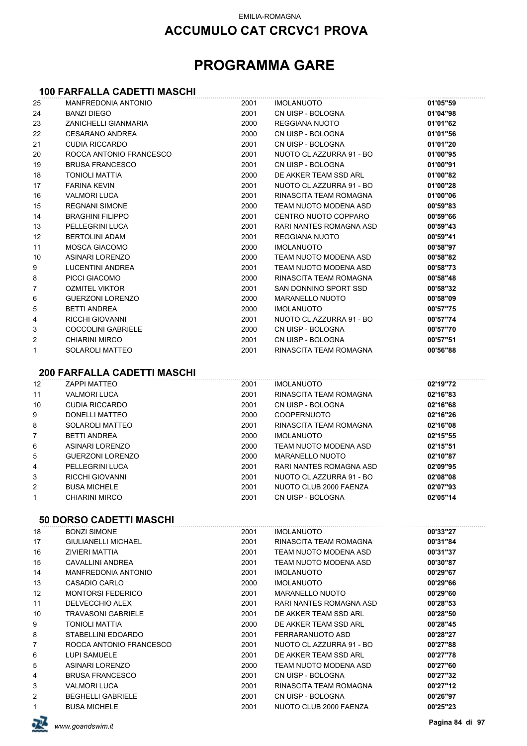## **ACCUMULO CAT CRCVC1 PROVA**

# **PROGRAMMA GARE**

#### **100 FARFALLA CADETTI MASCHI**

| 25           | <b>MANFREDONIA ANTONIO</b>                     | 2001         | <b>IMOLANUOTO</b>                                 | 01'05"59             |
|--------------|------------------------------------------------|--------------|---------------------------------------------------|----------------------|
| 24           | <b>BANZI DIEGO</b>                             | 2001         | CN UISP - BOLOGNA                                 | 01'04"98             |
| 23           | ZANICHELLI GIANMARIA                           | 2000         | REGGIANA NUOTO                                    | 01'01"62             |
| 22           | <b>CESARANO ANDREA</b>                         | 2000         | CN UISP - BOLOGNA                                 | 01'01"56             |
| 21           | <b>CUDIA RICCARDO</b>                          | 2001         | CN UISP - BOLOGNA                                 | 01'01"20             |
| 20           | ROCCA ANTONIO FRANCESCO                        | 2001         | NUOTO CL.AZZURRA 91 - BO                          | 01'00"95             |
| 19           | <b>BRUSA FRANCESCO</b>                         | 2001         | CN UISP - BOLOGNA                                 | 01'00"91             |
| 18           | <b>TONIOLI MATTIA</b>                          | 2000         | DE AKKER TEAM SSD ARL                             | 01'00"82             |
| 17           | <b>FARINA KEVIN</b>                            | 2001         | NUOTO CL.AZZURRA 91 - BO                          | 01'00"28             |
| 16           | <b>VALMORI LUCA</b>                            | 2001         | RINASCITA TEAM ROMAGNA                            | 01'00"06             |
| 15           | <b>REGNANI SIMONE</b>                          | 2000         | TEAM NUOTO MODENA ASD                             | 00'59"83             |
| 14           | <b>BRAGHINI FILIPPO</b>                        | 2001         | CENTRO NUOTO COPPARO                              | 00'59"66             |
| 13           | PELLEGRINI LUCA                                | 2001<br>2001 | RARI NANTES ROMAGNA ASD                           | 00'59"43             |
| 12           | <b>BERTOLINI ADAM</b>                          | 2000         | REGGIANA NUOTO                                    | 00'59"41             |
| 11<br>10     | <b>MOSCA GIACOMO</b><br><b>ASINARI LORENZO</b> | 2000         | <b>IMOLANUOTO</b><br>TEAM NUOTO MODENA ASD        | 00'58"97<br>00'58"82 |
| 9            | LUCENTINI ANDREA                               | 2001         | TEAM NUOTO MODENA ASD                             | 00'58"73             |
| 8            | PICCI GIACOMO                                  | 2000         | RINASCITA TEAM ROMAGNA                            | 00'58"48             |
| 7            | <b>OZMITEL VIKTOR</b>                          | 2001         | SAN DONNINO SPORT SSD                             | 00'58"32             |
| 6            | <b>GUERZONI LORENZO</b>                        | 2000         | <b>MARANELLO NUOTO</b>                            | 00'58"09             |
| 5            | <b>BETTI ANDREA</b>                            | 2000         | <b>IMOLANUOTO</b>                                 | 00'57"75             |
| 4            | RICCHI GIOVANNI                                | 2001         | NUOTO CL.AZZURRA 91 - BO                          | 00'57"74             |
| 3            | <b>COCCOLINI GABRIELE</b>                      | 2000         | CN UISP - BOLOGNA                                 | 00'57"70             |
| 2            | <b>CHIARINI MIRCO</b>                          | 2001         | CN UISP - BOLOGNA                                 | 00'57"51             |
| 1            | <b>SOLAROLI MATTEO</b>                         | 2001         | RINASCITA TEAM ROMAGNA                            | 00'56"88             |
|              |                                                |              |                                                   |                      |
|              | <b>200 FARFALLA CADETTI MASCHI</b>             |              |                                                   |                      |
| 12           | <b>ZAPPI MATTEO</b>                            | 2001         | <b>IMOLANUOTO</b>                                 | 02'19"72             |
| 11           | <b>VALMORI LUCA</b>                            | 2001         | RINASCITA TEAM ROMAGNA                            | 02'16"83             |
| 10           | <b>CUDIA RICCARDO</b>                          | 2001         | CN UISP - BOLOGNA                                 | 02'16"68             |
| 9            | DONELLI MATTEO                                 | 2000         | <b>COOPERNUOTO</b>                                | 02'16"26             |
| 8            | <b>SOLAROLI MATTEO</b>                         | 2001         | RINASCITA TEAM ROMAGNA                            | 02'16"08             |
| 7            | <b>BETTI ANDREA</b>                            | 2000         | <b>IMOLANUOTO</b>                                 | 02'15"55             |
| 6            | <b>ASINARI LORENZO</b>                         | 2000         | TEAM NUOTO MODENA ASD                             | 02'15"51             |
| 5            | <b>GUERZONI LORENZO</b>                        | 2000         | MARANELLO NUOTO                                   | 02'10"87             |
| 4            | PELLEGRINI LUCA                                | 2001         | RARI NANTES ROMAGNA ASD                           | 02'09"95             |
| 3            | RICCHI GIOVANNI                                | 2001         | NUOTO CL.AZZURRA 91 - BO                          | 02'08"08             |
| 2            | <b>BUSA MICHELE</b>                            | 2001         | NUOTO CLUB 2000 FAENZA                            | 02'07"93             |
| $\mathbf{1}$ | <b>CHIARINI MIRCO</b>                          | 2001         | CN UISP - BOLOGNA                                 | 02'05"14             |
|              |                                                |              |                                                   |                      |
|              | <b>50 DORSO CADETTI MASCHI</b>                 |              |                                                   |                      |
| 18           | <b>BONZI SIMONE</b>                            | 2001         | <b>IMOLANUOTO</b>                                 | 00'33"27             |
| 17           | <b>GIULIANELLI MICHAEL</b>                     | 2001         | RINASCITA TEAM ROMAGNA                            | 00'31"84             |
| 16           | <b>ZIVIERI MATTIA</b>                          | 2001         | TEAM NUOTO MODENA ASD                             | 00'31"37             |
| 15           | CAVALLINI ANDREA                               | 2001         | TEAM NUOTO MODENA ASD                             | 00'30"87             |
| 14           | <b>MANFREDONIA ANTONIO</b>                     | 2001         | <b>IMOLANUOTO</b>                                 | 00'29"67             |
| 13           | CASADIO CARLO                                  | 2000         | <b>IMOLANUOTO</b>                                 | 00'29"66             |
| 12           | <b>MONTORSI FEDERICO</b>                       | 2001         | <b>MARANELLO NUOTO</b>                            | 00'29"60             |
| 11           | DELVECCHIO ALEX                                | 2001         | RARI NANTES ROMAGNA ASD                           | 00'28"53             |
| 10           | <b>TRAVASONI GABRIELE</b>                      | 2001         | DE AKKER TEAM SSD ARL                             | 00'28"50             |
| 9            | <b>TONIOLI MATTIA</b>                          | 2000         | DE AKKER TEAM SSD ARL                             | 00'28"45             |
| 8            | STABELLINI EDOARDO                             | 2001         | FERRARANUOTO ASD                                  | 00'28"27             |
| 7            | ROCCA ANTONIO FRANCESCO                        | 2001         | NUOTO CL.AZZURRA 91 - BO<br>DE AKKER TEAM SSD ARL | 00'27"88             |
| 6<br>5       | LUPI SAMUELE<br><b>ASINARI LORENZO</b>         | 2001<br>2000 | TEAM NUOTO MODENA ASD                             | 00'27"78<br>00'27"60 |
| 4            | <b>BRUSA FRANCESCO</b>                         | 2001         | CN UISP - BOLOGNA                                 | 00'27"32             |
| 3            | <b>VALMORI LUCA</b>                            | 2001         | RINASCITA TEAM ROMAGNA                            | 00'27"12             |
| 2            | <b>BEGHELLI GABRIELE</b>                       | 2001         | CN UISP - BOLOGNA                                 | 00'26"97             |
| 1            | <b>BUSA MICHELE</b>                            | 2001         | NUOTO CLUB 2000 FAENZA                            | 00'25"23             |
|              |                                                |              |                                                   |                      |

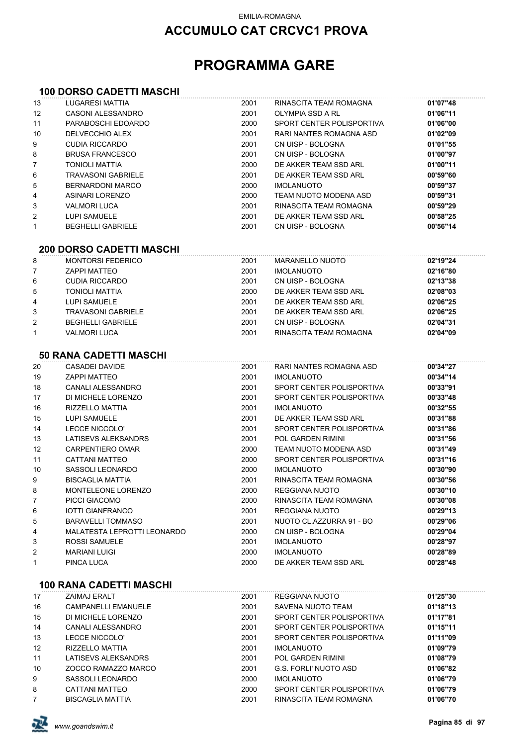## **ACCUMULO CAT CRCVC1 PROVA**

# **PROGRAMMA GARE**

#### **100 DORSO CADETTI MASCHI**

| 13             | LUGARESI MATTIA                 | 2001 | RINASCITA TEAM ROMAGNA    | 01'07"48 |
|----------------|---------------------------------|------|---------------------------|----------|
| 12             | CASONI ALESSANDRO               | 2001 | OLYMPIA SSD A RL          | 01'06"11 |
| 11             | PARABOSCHI EDOARDO              | 2000 | SPORT CENTER POLISPORTIVA | 01'06"00 |
| 10             | DELVECCHIO ALEX                 | 2001 | RARI NANTES ROMAGNA ASD   | 01'02"09 |
| 9              | <b>CUDIA RICCARDO</b>           | 2001 | CN UISP - BOLOGNA         | 01'01"55 |
| 8              | <b>BRUSA FRANCESCO</b>          | 2001 | CN UISP - BOLOGNA         | 01'00"97 |
| $\overline{7}$ | <b>TONIOLI MATTIA</b>           | 2000 | DE AKKER TEAM SSD ARL     | 01'00"11 |
| 6              | <b>TRAVASONI GABRIELE</b>       | 2001 | DE AKKER TEAM SSD ARL     | 00'59"60 |
| 5              | <b>BERNARDONI MARCO</b>         | 2000 | <b>IMOLANUOTO</b>         | 00'59"37 |
| 4              | <b>ASINARI LORENZO</b>          | 2000 | TEAM NUOTO MODENA ASD     | 00'59"31 |
| 3              | <b>VALMORI LUCA</b>             | 2001 | RINASCITA TEAM ROMAGNA    | 00'59"29 |
| 2              | LUPI SAMUELE                    | 2001 | DE AKKER TEAM SSD ARL     | 00'58"25 |
| 1              | <b>BEGHELLI GABRIELE</b>        | 2001 | CN UISP - BOLOGNA         | 00'56"14 |
|                | <b>200 DORSO CADETTI MASCHI</b> |      |                           |          |
| 8              | <b>MONTORSI FEDERICO</b>        | 2001 | <b>MARANELLO NUOTO</b>    | 02'19"24 |
| 7              | <b>ZAPPI MATTEO</b>             | 2001 | <b>IMOLANUOTO</b>         | 02'16"80 |
| 6              | <b>CUDIA RICCARDO</b>           | 2001 | CN UISP - BOLOGNA         | 02'13"38 |
| 5              | <b>TONIOLI MATTIA</b>           | 2000 | DE AKKER TEAM SSD ARL     | 02'08"03 |
| 4              | LUPI SAMUELE                    | 2001 | DE AKKER TEAM SSD ARL     | 02'06"25 |
| 3              | <b>TRAVASONI GABRIELE</b>       | 2001 | DE AKKER TEAM SSD ARL     | 02'06"25 |
| 2              | <b>BEGHELLI GABRIELE</b>        | 2001 | CN UISP - BOLOGNA         | 02'04"31 |
| 1              | <b>VALMORI LUCA</b>             | 2001 | RINASCITA TEAM ROMAGNA    | 02'04"09 |
|                |                                 |      |                           |          |
|                | <b>50 RANA CADETTI MASCHI</b>   |      |                           |          |
| 20             | <b>CASADEI DAVIDE</b>           | 2001 | RARI NANTES ROMAGNA ASD   | 00'34"27 |
| 19             | <b>ZAPPI MATTEO</b>             | 2001 | <b>IMOLANUOTO</b>         | 00'34"14 |
| 18             | CANALI ALESSANDRO               | 2001 | SPORT CENTER POLISPORTIVA | 00'33"91 |
| 17             | DI MICHELE LORENZO              | 2001 | SPORT CENTER POLISPORTIVA | 00'33"48 |
| 16             | RIZZELLO MATTIA                 | 2001 | <b>IMOLANUOTO</b>         | 00'32"55 |
| 15             | LUPI SAMUELE                    | 2001 | DE AKKER TEAM SSD ARL     | 00'31"88 |
| 14             | LECCE NICCOLO'                  | 2001 | SPORT CENTER POLISPORTIVA | 00'31"86 |
| 13             | LATISEVS ALEKSANDRS             | 2001 | POL GARDEN RIMINI         | 00'31"56 |
| 12             | <b>CARPENTIERO OMAR</b>         | 2000 | TEAM NUOTO MODENA ASD     | 00'31"49 |
| 11             | CATTANI MATTEO                  | 2000 | SPORT CENTER POLISPORTIVA | 00'31"16 |
| 10             | SASSOLI LEONARDO                | 2000 | <b>IMOLANUOTO</b>         | 00'30"90 |
| 9              | <b>BISCAGLIA MATTIA</b>         | 2001 | RINASCITA TEAM ROMAGNA    | 00'30"56 |
| 8              | MONTELEONE LORENZO              | 2000 | REGGIANA NUOTO            | 00'30"10 |
| 7              | PICCI GIACOMO                   | 2000 | RINASCITA TEAM ROMAGNA    | 00'30"08 |
| 6              | <b>IOTTI GIANFRANCO</b>         | 2001 | <b>REGGIANA NUOTO</b>     | 00'29"13 |
| 5              | <b>BARAVELLI TOMMASO</b>        | 2001 | NUOTO CL.AZZURRA 91 - BO  | 00'29"06 |
| 4              | MALATESTA LEPROTTI LEONARDO     | 2000 | CN UISP - BOLOGNA         | 00'29"04 |
| 3              | <b>ROSSI SAMUELE</b>            | 2001 | <b>IMOLANUOTO</b>         | 00'28"97 |
| 2              | <b>MARIANI LUIGI</b>            | 2000 | <b>IMOLANUOTO</b>         | 00'28"89 |
| 1              | PINCA LUCA                      | 2000 | DE AKKER TEAM SSD ARL     | 00'28"48 |
|                | <b>100 RANA CADETTI MASCHI</b>  |      |                           |          |
| 17             | ZAIMAJ ERALT                    | 2001 | REGGIANA NUOTO            | 01'25"30 |
| 16             | CAMPANELLI EMANLIELE            | 2001 | SAVENA NHOTO TEAM         | 04'18"13 |

| 16             | <b>CAMPANELLI EMANUELE</b> | 2001 | SAVENA NUOTO TEAM         | 01'18"13 |
|----------------|----------------------------|------|---------------------------|----------|
| 15             | DI MICHELE LORENZO         | 2001 | SPORT CENTER POLISPORTIVA | 01'17"81 |
| 14             | CANALI ALESSANDRO          | 2001 | SPORT CENTER POLISPORTIVA | 01'15"11 |
| 13             | LECCE NICCOLO'             | 2001 | SPORT CENTER POLISPORTIVA | 01'11"09 |
| 12             | RIZZELLO MATTIA            | 2001 | <b>IMOLANUOTO</b>         | 01'09"79 |
| 11             | LATISEVS ALEKSANDRS        | 2001 | POL GARDEN RIMINI         | 01'08"79 |
| 10             | ZOCCO RAMAZZO MARCO        | 2001 | G.S. FORLI' NUOTO ASD     | 01'06"82 |
| 9              | SASSOLI LEONARDO           | 2000 | <b>IMOLANUOTO</b>         | 01'06"79 |
| 8              | CATTANI MATTEO             | 2000 | SPORT CENTER POLISPORTIVA | 01'06"79 |
| $\overline{7}$ | <b>BISCAGLIA MATTIA</b>    | 2001 | RINASCITA TEAM ROMAGNA    | 01'06"70 |
|                |                            |      |                           |          |

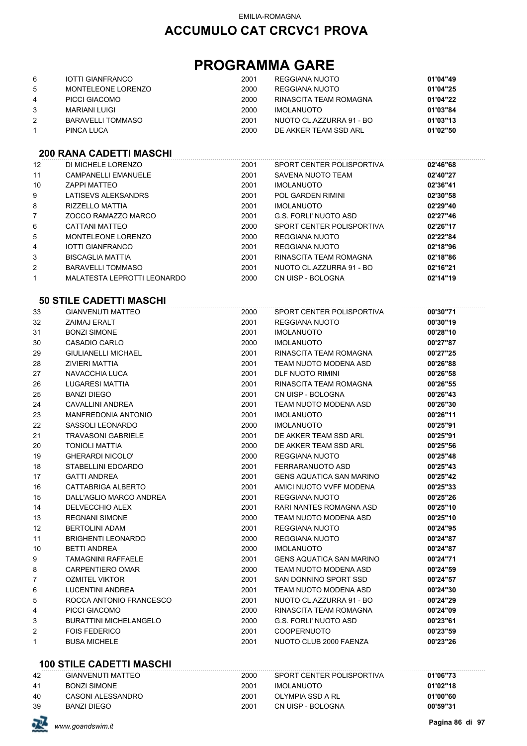# **PROGRAMMA GARE**

| 6 | IOTTI GIANFRANCO   | 2001 | REGGIANA NUOTO           | 01'04"49 |
|---|--------------------|------|--------------------------|----------|
| 5 | MONTELEONE LORENZO | 2000 | REGGIANA NUOTO           | 01'04"25 |
| 4 | PICCI GIACOMO      | 2000 | RINASCITA TEAM ROMAGNA   | 01'04"22 |
| 3 | MARIANI LUIGI      | 2000 | <b>IMOLANUOTO</b>        | 01'03"84 |
|   | BARAVELLI TOMMASO  | 2001 | NUOTO CL.AZZURRA 91 - BO | 01'03"13 |
|   | PINCA LUCA         | 2000 | DE AKKER TEAM SSD ARL    | 01'02"50 |

### **200 RANA CADETTI MASCHI**

| 12 | DI MICHELE LORENZO          | 2001 | SPORT CENTER POLISPORTIVA | 02'46"68 |
|----|-----------------------------|------|---------------------------|----------|
| 11 | <b>CAMPANELLI EMANUELE</b>  | 2001 | SAVENA NUOTO TEAM         | 02'40"27 |
| 10 | <b>ZAPPI MATTEO</b>         | 2001 | <b>IMOLANUOTO</b>         | 02'36"41 |
| 9  | LATISEVS ALEKSANDRS         | 2001 | <b>POL GARDEN RIMINI</b>  | 02'30"58 |
| 8  | <b>RIZZELLO MATTIA</b>      | 2001 | <b>IMOLANUOTO</b>         | 02'29"40 |
|    | ZOCCO RAMAZZO MARCO         | 2001 | G.S. FORLI' NUOTO ASD     | 02'27"46 |
| 6  | CATTANI MATTEO              | 2000 | SPORT CENTER POLISPORTIVA | 02'26"17 |
| 5  | MONTELEONE LORENZO          | 2000 | REGGIANA NUOTO            | 02'22"84 |
| 4  | <b>IOTTI GIANFRANCO</b>     | 2001 | REGGIANA NUOTO            | 02'18"96 |
| 3  | BISCAGLIA MATTIA            | 2001 | RINASCITA TEAM ROMAGNA    | 02'18"86 |
| 2  | <b>BARAVELLI TOMMASO</b>    | 2001 | NUOTO CL.AZZURRA 91 - BO  | 02'16"21 |
|    | MALATESTA LEPROTTI LEONARDO | 2000 | CN UISP - BOLOGNA         | 02'14"19 |

#### **50 STILE CADETTI MASCHI**

| 33           | <b>GIANVENUTI MATTEO</b>      | 2000 | SPORT CENTER POLISPORTIVA       | 00'30"71 |
|--------------|-------------------------------|------|---------------------------------|----------|
| 32           | <b>ZAIMAJ ERALT</b>           | 2001 | <b>REGGIANA NUOTO</b>           | 00'30"19 |
| 31           | <b>BONZI SIMONE</b>           | 2001 | <b>IMOLANUOTO</b>               | 00'28"10 |
| 30           | CASADIO CARLO                 | 2000 | <b>IMOLANUOTO</b>               | 00'27"87 |
| 29           | <b>GIULIANELLI MICHAEL</b>    | 2001 | RINASCITA TEAM ROMAGNA          | 00'27"25 |
| 28           | <b>ZIVIERI MATTIA</b>         | 2001 | TEAM NUOTO MODENA ASD           | 00'26"88 |
| 27           | NAVACCHIA LUCA                | 2001 | <b>DLF NUOTO RIMINI</b>         | 00'26"58 |
| 26           | <b>LUGARESI MATTIA</b>        | 2001 | RINASCITA TEAM ROMAGNA          | 00'26"55 |
| 25           | <b>BANZI DIEGO</b>            | 2001 | CN UISP - BOLOGNA               | 00'26"43 |
| 24           | CAVALLINI ANDREA              | 2001 | TEAM NUOTO MODENA ASD           | 00'26"30 |
| 23           | <b>MANFREDONIA ANTONIO</b>    | 2001 | <b>IMOLANUOTO</b>               | 00'26"11 |
| 22           | SASSOLI LEONARDO              | 2000 | <b>IMOLANUOTO</b>               | 00'25"91 |
| 21           | <b>TRAVASONI GABRIELE</b>     | 2001 | DE AKKER TEAM SSD ARL           | 00'25"91 |
| 20           | <b>TONIOLI MATTIA</b>         | 2000 | DE AKKER TEAM SSD ARL           | 00'25"56 |
| 19           | <b>GHERARDI NICOLO'</b>       | 2000 | <b>REGGIANA NUOTO</b>           | 00'25"48 |
| 18           | STABELLINI EDOARDO            | 2001 | FERRARANUOTO ASD                | 00'25"43 |
| 17           | <b>GATTI ANDREA</b>           | 2001 | <b>GENS AQUATICA SAN MARINO</b> | 00'25"42 |
| 16           | CATTABRIGA ALBERTO            | 2001 | AMICI NUOTO VVFF MODENA         | 00'25"33 |
| 15           | DALL'AGLIO MARCO ANDREA       | 2001 | <b>REGGIANA NUOTO</b>           | 00'25"26 |
| 14           | <b>DELVECCHIO ALEX</b>        | 2001 | RARI NANTES ROMAGNA ASD         | 00'25"10 |
| 13           | <b>REGNANI SIMONE</b>         | 2000 | TEAM NUOTO MODENA ASD           | 00'25"10 |
| 12           | <b>BERTOLINI ADAM</b>         | 2001 | <b>REGGIANA NUOTO</b>           | 00'24"95 |
| 11           | <b>BRIGHENTI LEONARDO</b>     | 2000 | <b>REGGIANA NUOTO</b>           | 00'24"87 |
| 10           | <b>BETTI ANDREA</b>           | 2000 | <b>IMOLANUOTO</b>               | 00'24"87 |
| 9            | <b>TAMAGNINI RAFFAELE</b>     | 2001 | <b>GENS AQUATICA SAN MARINO</b> | 00'24"71 |
| 8            | <b>CARPENTIERO OMAR</b>       | 2000 | TEAM NUOTO MODENA ASD           | 00'24"59 |
| 7            | <b>OZMITEL VIKTOR</b>         | 2001 | SAN DONNINO SPORT SSD           | 00'24"57 |
| 6            | <b>LUCENTINI ANDREA</b>       | 2001 | TEAM NUOTO MODENA ASD           | 00'24"30 |
| 5            | ROCCA ANTONIO FRANCESCO       | 2001 | NUOTO CL.AZZURRA 91 - BO        | 00'24"29 |
| 4            | PICCI GIACOMO                 | 2000 | RINASCITA TEAM ROMAGNA          | 00'24"09 |
| 3            | <b>BURATTINI MICHELANGELO</b> | 2000 | <b>G.S. FORLI' NUOTO ASD</b>    | 00'23"61 |
| 2            | <b>FOIS FEDERICO</b>          | 2001 | <b>COOPERNUOTO</b>              | 00'23"59 |
| $\mathbf{1}$ | <b>BUSA MICHELE</b>           | 2001 | NUOTO CLUB 2000 FAENZA          | 00'23"26 |

#### **100 STILE CADETTI MASCHI**

| 42 | GIANVENUTI MATTEO | 2000 | SPORT CENTER POLISPORTIVA | 01'06"73 |
|----|-------------------|------|---------------------------|----------|
| 41 | BONZI SIMONE      | 2001 | IMOLANUOTO                | 01'02"18 |
| 40 | CASONI ALESSANDRO | 2001 | OLYMPIA SSD A RL          | 01'00"60 |
| 39 | BANZI DIEGO       | 2001 | CN UISP - BOLOGNA         | 00'59"31 |

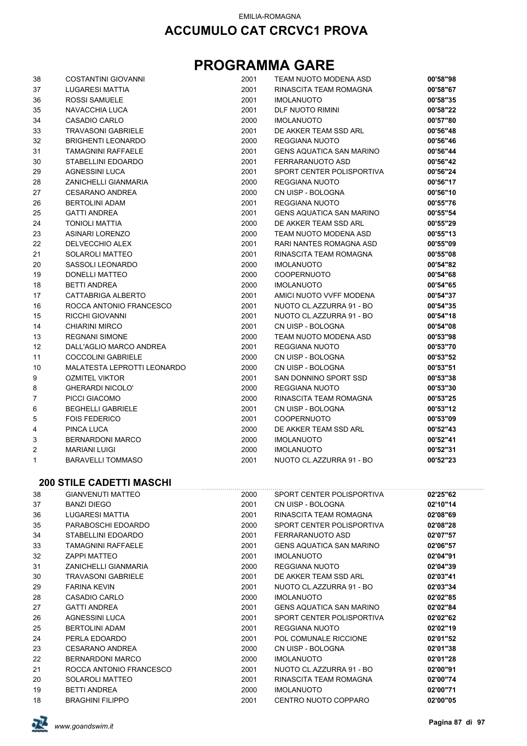| 38 | <b>COSTANTINI GIOVANNI</b>      | 2001 | TEAM NUOTO MODENA ASD           | 00'58"98 |
|----|---------------------------------|------|---------------------------------|----------|
| 37 | LUGARESI MATTIA                 | 2001 | RINASCITA TEAM ROMAGNA          | 00'58"67 |
| 36 | <b>ROSSI SAMUELE</b>            | 2001 | <b>IMOLANUOTO</b>               | 00'58"35 |
| 35 | NAVACCHIA LUCA                  | 2001 | <b>DLF NUOTO RIMINI</b>         | 00'58"22 |
| 34 | CASADIO CARLO                   | 2000 | <b>IMOLANUOTO</b>               | 00'57"80 |
| 33 | <b>TRAVASONI GABRIELE</b>       | 2001 | DE AKKER TEAM SSD ARL           | 00'56"48 |
| 32 | <b>BRIGHENTI LEONARDO</b>       | 2000 | REGGIANA NUOTO                  | 00'56"46 |
| 31 | <b>TAMAGNINI RAFFAELE</b>       | 2001 | <b>GENS AQUATICA SAN MARINO</b> | 00'56"44 |
| 30 | STABELLINI EDOARDO              | 2001 | FERRARANUOTO ASD                | 00'56"42 |
| 29 | AGNESSINI LUCA                  | 2001 | SPORT CENTER POLISPORTIVA       | 00'56"24 |
| 28 | ZANICHELLI GIANMARIA            | 2000 | REGGIANA NUOTO                  | 00'56"17 |
| 27 | <b>CESARANO ANDREA</b>          | 2000 | CN UISP - BOLOGNA               | 00'56"10 |
| 26 | <b>BERTOLINI ADAM</b>           | 2001 | REGGIANA NUOTO                  | 00'55"76 |
| 25 | <b>GATTI ANDREA</b>             | 2001 | <b>GENS AQUATICA SAN MARINO</b> | 00'55"54 |
| 24 | <b>TONIOLI MATTIA</b>           | 2000 | DE AKKER TEAM SSD ARL           | 00'55"29 |
| 23 | ASINARI LORENZO                 | 2000 | TEAM NUOTO MODENA ASD           | 00'55"13 |
| 22 | DELVECCHIO ALEX                 | 2001 | RARI NANTES ROMAGNA ASD         | 00'55"09 |
| 21 | <b>SOLAROLI MATTEO</b>          | 2001 | RINASCITA TEAM ROMAGNA          | 00'55"08 |
| 20 | SASSOLI LEONARDO                | 2000 | <b>IMOLANUOTO</b>               | 00'54"82 |
| 19 | DONELLI MATTEO                  | 2000 | <b>COOPERNUOTO</b>              | 00'54"68 |
| 18 | <b>BETTI ANDREA</b>             | 2000 | <b>IMOLANUOTO</b>               | 00'54"65 |
| 17 | CATTABRIGA ALBERTO              | 2001 | AMICI NUOTO VVFF MODENA         | 00'54"37 |
| 16 | ROCCA ANTONIO FRANCESCO         | 2001 | NUOTO CL.AZZURRA 91 - BO        | 00'54"35 |
| 15 | RICCHI GIOVANNI                 | 2001 | NUOTO CL.AZZURRA 91 - BO        | 00'54"18 |
| 14 | <b>CHIARINI MIRCO</b>           | 2001 | CN UISP - BOLOGNA               | 00'54"08 |
| 13 | <b>REGNANI SIMONE</b>           | 2000 | TEAM NUOTO MODENA ASD           | 00'53"98 |
| 12 | DALL'AGLIO MARCO ANDREA         | 2001 | REGGIANA NUOTO                  | 00'53"70 |
| 11 | <b>COCCOLINI GABRIELE</b>       | 2000 | CN UISP - BOLOGNA               | 00'53"52 |
| 10 | MALATESTA LEPROTTI LEONARDO     | 2000 | CN UISP - BOLOGNA               | 00'53"51 |
| 9  | <b>OZMITEL VIKTOR</b>           | 2001 | SAN DONNINO SPORT SSD           | 00'53"38 |
| 8  | <b>GHERARDI NICOLO'</b>         | 2000 | REGGIANA NUOTO                  | 00'53"30 |
| 7  | PICCI GIACOMO                   | 2000 | RINASCITA TEAM ROMAGNA          | 00'53"25 |
| 6  | <b>BEGHELLI GABRIELE</b>        | 2001 | CN UISP - BOLOGNA               | 00'53"12 |
| 5  | <b>FOIS FEDERICO</b>            | 2001 | <b>COOPERNUOTO</b>              | 00'53"09 |
| 4  | PINCA LUCA                      | 2000 | DE AKKER TEAM SSD ARL           | 00'52"43 |
| 3  | <b>BERNARDONI MARCO</b>         | 2000 | <b>IMOLANUOTO</b>               | 00'52"41 |
| 2  | <b>MARIANI LUIGI</b>            | 2000 | <b>IMOLANUOTO</b>               | 00'52"31 |
| 1  | <b>BARAVELLI TOMMASO</b>        | 2001 | NUOTO CL.AZZURRA 91 - BO        | 00'52"23 |
|    | <b>200 STILE CADETTI MASCHI</b> |      |                                 |          |
| 38 | <b>GIANVENUTI MATTEO</b>        | 2000 | SPORT CENTER POLISPORTIVA       | 02'25"62 |
| 37 | <b>BANZI DIEGO</b>              | 2001 | CN UISP - BOLOGNA               | 02'10"14 |
| 36 | LUGARESI MATTIA                 | 2001 | RINASCITA TEAM ROMAGNA          | 02'08"69 |
| 35 | PARABOSCHI EDOARDO              | 2000 | SPORT CENTER POLISPORTIVA       | 02'08"28 |
| 34 | STABELLINI EDOARDO              | 2001 | FERRARANUOTO ASD                | 02'07"57 |
| 33 | <b>TAMAGNINI RAFFAELE</b>       | 2001 | <b>GENS AQUATICA SAN MARINO</b> | 02'06"57 |
| 32 | <b>ZAPPI MATTEO</b>             | 2001 | <b>IMOLANUOTO</b>               | 02'04"91 |
| 31 | <b>ZANICHELLI GIANMARIA</b>     | 2000 | <b>REGGIANA NUOTO</b>           | 02'04"39 |
| 30 | <b>TRAVASONI GABRIELE</b>       | 2001 | DE AKKER TEAM SSD ARL           | 02'03"41 |
| 29 | <b>FARINA KEVIN</b>             | 2001 | NUOTO CL.AZZURRA 91 - BO        | 02'03"34 |
| 28 | CASADIO CARLO                   | 2000 | <b>IMOLANUOTO</b>               | 02'02"85 |
| 27 | <b>GATTI ANDREA</b>             | 2001 | <b>GENS AQUATICA SAN MARINO</b> | 02'02"84 |
| 26 | <b>AGNESSINI LUCA</b>           | 2001 | SPORT CENTER POLISPORTIVA       | 02'02"62 |
| 25 | <b>BERTOLINI ADAM</b>           | 2001 | <b>REGGIANA NUOTO</b>           | 02'02"19 |
| 24 | PERLA EDOARDO                   | 2001 | POL COMUNALE RICCIONE           | 02'01"52 |
| 23 | <b>CESARANO ANDREA</b>          | 2000 | CN UISP - BOLOGNA               | 02'01"38 |
| 22 | <b>BERNARDONI MARCO</b>         | 2000 | <b>IMOLANUOTO</b>               | 02'01"28 |
| 21 | ROCCA ANTONIO FRANCESCO         | 2001 | NUOTO CL.AZZURRA 91 - BO        | 02'00"91 |
| 20 | <b>SOLAROLI MATTEO</b>          | 2001 | RINASCITA TEAM ROMAGNA          | 02'00"74 |
| 19 | <b>BETTI ANDREA</b>             | 2000 | <b>IMOLANUOTO</b>               | 02'00"71 |
| 18 | <b>BRAGHINI FILIPPO</b>         | 2001 | CENTRO NUOTO COPPARO            | 02'00"05 |

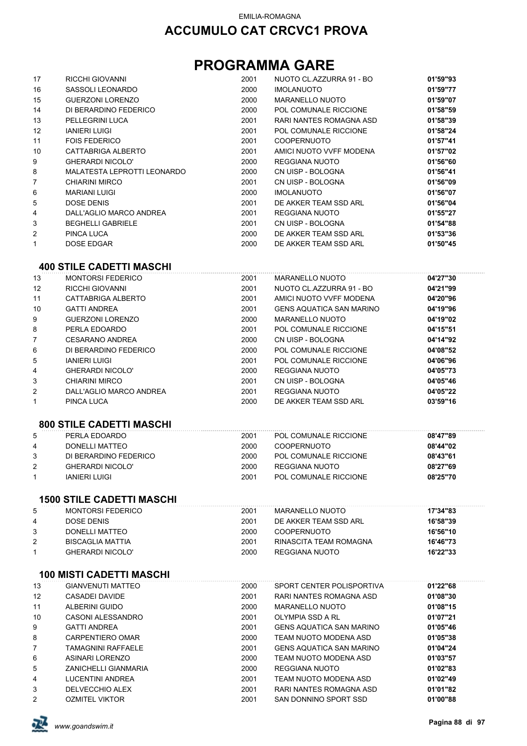# **PROGRAMMA GARE**

| 17           | RICCHI GIOVANNI                 | 2001 | NUOTO CL.AZZURRA 91 - BO        | 01'59"93 |
|--------------|---------------------------------|------|---------------------------------|----------|
| 16           | SASSOLI LEONARDO                | 2000 | <b>IMOLANUOTO</b>               | 01'59"77 |
| 15           | <b>GUERZONI LORENZO</b>         | 2000 | <b>MARANELLO NUOTO</b>          | 01'59"07 |
| 14           | DI BERARDINO FEDERICO           | 2000 | POL COMUNALE RICCIONE           | 01'58"59 |
| 13           | PELLEGRINI LUCA                 | 2001 | RARI NANTES ROMAGNA ASD         | 01'58"39 |
| 12           | <b>IANIERI LUIGI</b>            | 2001 | POL COMUNALE RICCIONE           | 01'58"24 |
| 11           | <b>FOIS FEDERICO</b>            | 2001 | <b>COOPERNUOTO</b>              | 01'57"41 |
| 10           | CATTABRIGA ALBERTO              | 2001 | AMICI NUOTO VVFF MODENA         | 01'57"02 |
| 9            | <b>GHERARDI NICOLO'</b>         | 2000 | <b>REGGIANA NUOTO</b>           | 01'56"60 |
| 8            | MALATESTA LEPROTTI LEONARDO     | 2000 | CN UISP - BOLOGNA               | 01'56"41 |
| 7            | <b>CHIARINI MIRCO</b>           | 2001 | CN UISP - BOLOGNA               | 01'56"09 |
| 6            | <b>MARIANI LUIGI</b>            | 2000 | <b>IMOLANUOTO</b>               | 01'56"07 |
| 5            | <b>DOSE DENIS</b>               | 2001 | DE AKKER TEAM SSD ARL           | 01'56"04 |
| 4            | DALL'AGLIO MARCO ANDREA         | 2001 | REGGIANA NUOTO                  | 01'55"27 |
| 3            | <b>BEGHELLI GABRIELE</b>        | 2001 | CN UISP - BOLOGNA               | 01'54"88 |
| 2            | <b>PINCA LUCA</b>               | 2000 | DE AKKER TEAM SSD ARL           | 01'53"36 |
| $\mathbf{1}$ | <b>DOSE EDGAR</b>               | 2000 | DE AKKER TEAM SSD ARL           | 01'50"45 |
|              | <b>400 STILE CADETTI MASCHI</b> |      |                                 |          |
|              |                                 |      |                                 |          |
| 13           | <b>MONTORSI FEDERICO</b>        | 2001 | <b>MARANELLO NUOTO</b>          | 04'27"30 |
| 12           | <b>RICCHI GIOVANNI</b>          | 2001 | NUOTO CL.AZZURRA 91 - BO        | 04'21"99 |
| 11           | CATTABRIGA ALBERTO              | 2001 | AMICI NUOTO VVFF MODENA         | 04'20"96 |
| 10           | <b>GATTI ANDREA</b>             | 2001 | <b>GENS AQUATICA SAN MARINO</b> | 04'19"96 |
| 9            | <b>GUERZONI LORENZO</b>         | 2000 | <b>MARANELLO NUOTO</b>          | 04'19"02 |
| 8            | PERLA EDOARDO                   | 2001 | POL COMUNALE RICCIONE           | 04'15"51 |
| 7            | <b>CESARANO ANDREA</b>          | 2000 | CN UISP - BOLOGNA               | 04'14"92 |
| 6            | DI BERARDINO FEDERICO           | 2000 | POL COMUNALE RICCIONE           | 04'08"52 |
| 5            | <b>IANIERI LUIGI</b>            | 2001 | POL COMUNALE RICCIONE           | 04'06"96 |
| 4            | <b>GHERARDI NICOLO'</b>         | 2000 | <b>REGGIANA NUOTO</b>           | 04'05"73 |
| 3            | <b>CHIARINI MIRCO</b>           | 2001 | CN UISP - BOLOGNA               | 04'05"46 |
| 2            | DALL'AGLIO MARCO ANDREA         | 2001 | <b>REGGIANA NUOTO</b>           | 04'05"22 |

# **800 STILE CADETTI MASCHI**

|    | <u> 888 - 898 - 898 - 898 - 898 - 898 - 898 - 898 - 898 - 898 - 898 - 898 - 898 - 898 - 898 - 898 - 89</u> |      |                       |          |
|----|------------------------------------------------------------------------------------------------------------|------|-----------------------|----------|
| -5 | PERLA EDOARDO                                                                                              | 2001 | POL COMUNALE RICCIONE | 08'47"89 |
| 4  | DONELLI MATTEO                                                                                             | 2000 | <b>COOPERNUOTO</b>    | 08'44"02 |
| 3  | DI BERARDINO FEDERICO                                                                                      | 2000 | POL COMUNALE RICCIONE | 08'43"61 |
| 2  | <b>GHERARDI NICOLO'</b>                                                                                    | 2000 | REGGIANA NUOTO        | 08'27"69 |
|    | IANIERI LUIGI                                                                                              | 2001 | POL COMUNALE RICCIONE | 08'25"70 |
|    |                                                                                                            |      |                       |          |

PINCA LUCA 2000 DE AKKER TEAM SSD ARL **03'59"16**

### **1500 STILE CADETTI MASCHI**

| 5 | MONTORSI FEDERICO        | 2001 | MARANELLO NUOTO        | 17'34"83 |
|---|--------------------------|------|------------------------|----------|
| 4 | DOSE DENIS               | 2001 | DE AKKER TEAM SSD ARL  | 16'58"39 |
|   | DONELLI MATTEO           | 2000 | <b>COOPERNUOTO</b>     | 16'56"10 |
| 2 | <b>BISCAGI IA MATTIA</b> | 2001 | RINASCITA TEAM ROMAGNA | 16'46"73 |
|   | <b>GHERARDI NICOLO'</b>  | 2000 | REGGIANA NUOTO         | 16'22"33 |
|   |                          |      |                        |          |

#### **100 MISTI CADETTI MASCHI**

| 13             | GIANVENUTI MATTEO       | 2000 | SPORT CENTER POLISPORTIVA       | 01'22"68 |  |
|----------------|-------------------------|------|---------------------------------|----------|--|
| 12             | CASADEI DAVIDE          | 2001 | RARI NANTES ROMAGNA ASD         | 01'08"30 |  |
| 11             | ALBERINI GUIDO          | 2000 | <b>MARANELLO NUOTO</b>          | 01'08"15 |  |
| 10             | CASONI ALESSANDRO       | 2001 | OLYMPIA SSD A RL                | 01'07"21 |  |
| 9              | <b>GATTI ANDREA</b>     | 2001 | <b>GENS AQUATICA SAN MARINO</b> | 01'05"46 |  |
| 8              | CARPENTIERO OMAR        | 2000 | TEAM NUOTO MODENA ASD           | 01'05"38 |  |
| $\overline{7}$ | TAMAGNINI RAFFAELE      | 2001 | <b>GENS AQUATICA SAN MARINO</b> | 01'04"24 |  |
| 6              | ASINARI LORENZO         | 2000 | TEAM NUOTO MODENA ASD           | 01'03"57 |  |
| 5              | ZANICHELLI GIANMARIA    | 2000 | REGGIANA NUOTO                  | 01'02"83 |  |
| 4              | <b>LUCENTINI ANDREA</b> | 2001 | TEAM NUOTO MODENA ASD           | 01'02"49 |  |
| 3              | DELVECCHIO ALEX         | 2001 | RARI NANTES ROMAGNA ASD         | 01'01"82 |  |
| 2              | <b>OZMITEL VIKTOR</b>   | 2001 | SAN DONNINO SPORT SSD           | 01'00"88 |  |

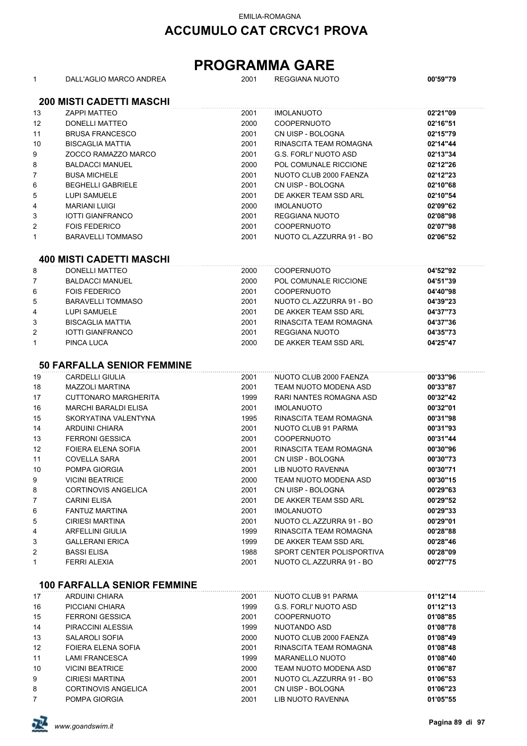## **ACCUMULO CAT CRCVC1 PROVA**

| $\mathbf{1}$            | DALL'AGLIO MARCO ANDREA            | 2001 | <b>REGGIANA NUOTO</b>        | 00'59"79 |  |  |  |  |
|-------------------------|------------------------------------|------|------------------------------|----------|--|--|--|--|
|                         | <b>200 MISTI CADETTI MASCHI</b>    |      |                              |          |  |  |  |  |
| 13                      | <b>ZAPPI MATTEO</b>                | 2001 | <b>IMOLANUOTO</b>            | 02'21"09 |  |  |  |  |
| 12                      | <b>DONELLI MATTEO</b>              | 2000 | <b>COOPERNUOTO</b>           | 02'16"51 |  |  |  |  |
| 11                      | <b>BRUSA FRANCESCO</b>             | 2001 | CN UISP - BOLOGNA            | 02'15"79 |  |  |  |  |
| 10                      | <b>BISCAGLIA MATTIA</b>            | 2001 | RINASCITA TEAM ROMAGNA       | 02'14"44 |  |  |  |  |
| 9                       | ZOCCO RAMAZZO MARCO                | 2001 | <b>G.S. FORLI' NUOTO ASD</b> | 02'13"34 |  |  |  |  |
| 8                       | <b>BALDACCI MANUEL</b>             | 2000 | POL COMUNALE RICCIONE        | 02'12"26 |  |  |  |  |
| $\overline{7}$          | <b>BUSA MICHELE</b>                | 2001 | NUOTO CLUB 2000 FAENZA       | 02'12"23 |  |  |  |  |
| 6                       | <b>BEGHELLI GABRIELE</b>           | 2001 | CN UISP - BOLOGNA            | 02'10"68 |  |  |  |  |
| 5                       | <b>LUPI SAMUELE</b>                | 2001 | DE AKKER TEAM SSD ARL        | 02'10"54 |  |  |  |  |
| 4                       | <b>MARIANI LUIGI</b>               | 2000 | <b>IMOLANUOTO</b>            | 02'09"62 |  |  |  |  |
| 3                       | <b>IOTTI GIANFRANCO</b>            | 2001 | REGGIANA NUOTO               | 02'08"98 |  |  |  |  |
| $\overline{\mathbf{c}}$ | <b>FOIS FEDERICO</b>               | 2001 | <b>COOPERNUOTO</b>           | 02'07"98 |  |  |  |  |
| 1                       | <b>BARAVELLI TOMMASO</b>           | 2001 | NUOTO CL.AZZURRA 91 - BO     | 02'06"52 |  |  |  |  |
|                         | <b>400 MISTI CADETTI MASCHI</b>    |      |                              |          |  |  |  |  |
| 8                       | <b>DONELLI MATTEO</b>              | 2000 | <b>COOPERNUOTO</b>           | 04'52"92 |  |  |  |  |
| 7                       | <b>BALDACCI MANUEL</b>             | 2000 | POL COMUNALE RICCIONE        | 04'51"39 |  |  |  |  |
| 6                       | <b>FOIS FEDERICO</b>               | 2001 | <b>COOPERNUOTO</b>           | 04'40"98 |  |  |  |  |
| 5                       | <b>BARAVELLI TOMMASO</b>           | 2001 | NUOTO CL.AZZURRA 91 - BO     | 04'39"23 |  |  |  |  |
| 4                       | <b>LUPI SAMUELE</b>                | 2001 | DE AKKER TEAM SSD ARL        | 04'37"73 |  |  |  |  |
| 3                       | <b>BISCAGLIA MATTIA</b>            | 2001 | RINASCITA TEAM ROMAGNA       | 04'37"36 |  |  |  |  |
| $\overline{c}$          | <b>IOTTI GIANFRANCO</b>            | 2001 | REGGIANA NUOTO               | 04'35"73 |  |  |  |  |
| 1                       | PINCA LUCA                         | 2000 | DE AKKER TEAM SSD ARL        | 04'25"47 |  |  |  |  |
|                         |                                    |      |                              |          |  |  |  |  |
|                         | <b>50 FARFALLA SENIOR FEMMINE</b>  |      |                              |          |  |  |  |  |
| 19                      | <b>CARDELLI GIULIA</b>             | 2001 | NUOTO CLUB 2000 FAENZA       | 00'33"96 |  |  |  |  |
| 18                      | <b>MAZZOLI MARTINA</b>             | 2001 | TEAM NUOTO MODENA ASD        | 00'33"87 |  |  |  |  |
| 17                      | <b>CUTTONARO MARGHERITA</b>        | 1999 | RARI NANTES ROMAGNA ASD      | 00'32"42 |  |  |  |  |
| 16                      | <b>MARCHI BARALDI ELISA</b>        | 2001 | <b>IMOLANUOTO</b>            | 00'32"01 |  |  |  |  |
| 15                      | SKORYATINA VALENTYNA               | 1995 | RINASCITA TEAM ROMAGNA       | 00'31"98 |  |  |  |  |
| 14                      | <b>ARDUINI CHIARA</b>              | 2001 | NUOTO CLUB 91 PARMA          | 00'31"93 |  |  |  |  |
| 13                      | <b>FERRONI GESSICA</b>             | 2001 | <b>COOPERNUOTO</b>           | 00'31"44 |  |  |  |  |
| 12                      | FOIERA ELENA SOFIA                 | 2001 | RINASCITA TEAM ROMAGNA       | 00'30"96 |  |  |  |  |
| 11                      | <b>COVELLA SARA</b>                | 2001 | CN UISP - BOLOGNA            | 00'30"73 |  |  |  |  |
| 10                      | POMPA GIORGIA                      | 2001 | LIB NUOTO RAVENNA            | 00'30"71 |  |  |  |  |
| 9                       | <b>VICINI BEATRICE</b>             | 2000 | TEAM NUOTO MODENA ASD        | 00'30"15 |  |  |  |  |
| 8                       | <b>CORTINOVIS ANGELICA</b>         | 2001 | CN UISP - BOLOGNA            | 00'29"63 |  |  |  |  |
| 7                       | <b>CARINI ELISA</b>                | 2001 | DE AKKER TEAM SSD ARL        | 00'29"52 |  |  |  |  |
| 6                       | FANTUZ MARTINA                     | 2001 | <b>IMOLANUOTO</b>            | 00'29"33 |  |  |  |  |
| 5                       | <b>CIRIESI MARTINA</b>             | 2001 | NUOTO CL.AZZURRA 91 - BO     | 00'29"01 |  |  |  |  |
| 4                       | ARFELLINI GIULIA                   | 1999 | RINASCITA TEAM ROMAGNA       | 00'28"88 |  |  |  |  |
| 3                       | <b>GALLERANI ERICA</b>             | 1999 | DE AKKER TEAM SSD ARL        | 00'28"46 |  |  |  |  |
| 2                       | <b>BASSI ELISA</b>                 | 1988 | SPORT CENTER POLISPORTIVA    | 00'28"09 |  |  |  |  |
| $\mathbf{1}$            | FERRI ALEXIA                       | 2001 | NUOTO CL.AZZURRA 91 - BO     | 00'27"75 |  |  |  |  |
|                         | <b>100 FARFALLA SENIOR FEMMINE</b> |      |                              |          |  |  |  |  |
| 17                      | ARDUINI CHIARA                     | 2001 | NUOTO CLUB 91 PARMA          | 01'12"14 |  |  |  |  |
| 16                      | PICCIANI CHIARA                    | 1999 | G.S. FORLI' NUOTO ASD        | 01'12"13 |  |  |  |  |
| 15                      | <b>FERRONI GESSICA</b>             | 2001 | <b>COOPERNUOTO</b>           | 01'08"85 |  |  |  |  |
| 14                      | PIRACCINI ALESSIA                  | 1999 | NUOTANDO ASD                 | 01'08"78 |  |  |  |  |
| 13                      | SALAROLI SOFIA                     | 2000 | NUOTO CLUB 2000 FAENZA       | 01'08"49 |  |  |  |  |
|                         | FOIERA ELENA SOFIA                 | 2001 | RINASCITA TEAM ROMAGNA       | 01'08"48 |  |  |  |  |
| 12                      | LAMI FRANCESCA                     | 1999 | <b>MARANELLO NUOTO</b>       |          |  |  |  |  |
| 11                      |                                    |      |                              | 01'08"40 |  |  |  |  |
| 10                      | <b>VICINI BEATRICE</b>             | 2000 | TEAM NUOTO MODENA ASD        | 01'06"87 |  |  |  |  |
| 9                       | <b>CIRIESI MARTINA</b>             | 2001 | NUOTO CL.AZZURRA 91 - BO     | 01'06"53 |  |  |  |  |
| 8                       | <b>CORTINOVIS ANGELICA</b>         | 2001 | CN UISP - BOLOGNA            | 01'06"23 |  |  |  |  |
| 7                       | POMPA GIORGIA                      | 2001 | LIB NUOTO RAVENNA            | 01'05"55 |  |  |  |  |

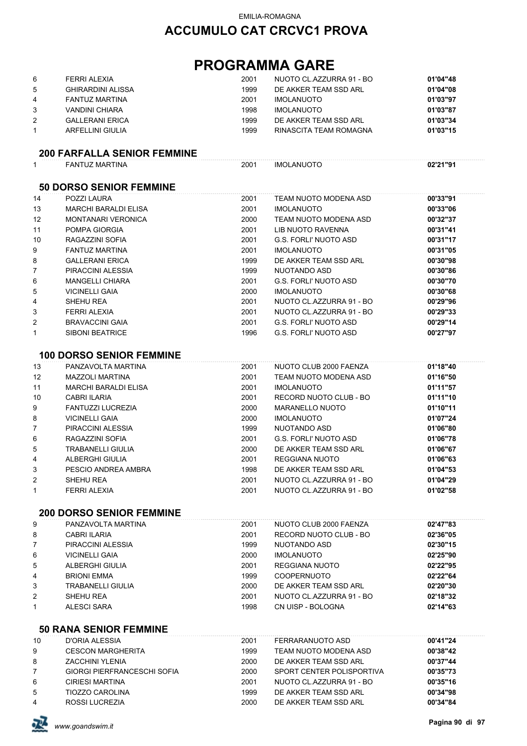# **ACCUMULO CAT CRCVC1 PROVA**

# **PROGRAMMA GARE**

| 6 | FERRI ALEXIA           | 2001 | NUOTO CL.AZZURRA 91 - BO | 01'04"48 |
|---|------------------------|------|--------------------------|----------|
| 5 | GHIRARDINI ALISSA      | 1999 | DE AKKER TEAM SSD ARL    | 01'04"08 |
| 4 | FANTUZ MARTINA         | 2001 | <b>IMOLANUOTO</b>        | 01'03"97 |
|   | VANDINI CHIARA         | 1998 | IMOLANUOTO               | 01'03"87 |
|   | <b>GALLERANI ERICA</b> | 1999 | DE AKKER TEAM SSD ARL    | 01'03"34 |
|   | ARFELLINI GIULIA       | 1999 | RINASCITA TEAM ROMAGNA   | 01'03"15 |

### **200 FARFALLA SENIOR FEMMINE**

| $\mathbf{1}$   | <b>FANTUZ MARTINA</b>           | 2001 | <b>IMOLANUOTO</b>            | 02'21"91 |
|----------------|---------------------------------|------|------------------------------|----------|
|                | <b>50 DORSO SENIOR FEMMINE</b>  |      |                              |          |
| 14             | POZZI LAURA                     | 2001 | TEAM NUOTO MODENA ASD        | 00'33"91 |
| 13             | <b>MARCHI BARALDI ELISA</b>     | 2001 | <b>IMOLANUOTO</b>            | 00'33"06 |
| 12             | <b>MONTANARI VERONICA</b>       | 2000 | TEAM NUOTO MODENA ASD        | 00'32"37 |
| 11             | POMPA GIORGIA                   | 2001 | LIB NUOTO RAVENNA            | 00'31"41 |
| 10             | RAGAZZINI SOFIA                 | 2001 | <b>G.S. FORLI' NUOTO ASD</b> | 00'31"17 |
| 9              | <b>FANTUZ MARTINA</b>           | 2001 | <b>IMOLANUOTO</b>            | 00'31"05 |
| 8              | <b>GALLERANI ERICA</b>          | 1999 | DE AKKER TEAM SSD ARL        | 00'30"98 |
| 7              | PIRACCINI ALESSIA               | 1999 | NUOTANDO ASD                 | 00'30"86 |
| 6              | <b>MANGELLI CHIARA</b>          | 2001 | <b>G.S. FORLI' NUOTO ASD</b> | 00'30"70 |
| 5              | <b>VICINELLI GAIA</b>           | 2000 | <b>IMOLANUOTO</b>            | 00'30"68 |
| 4              | SHEHU REA                       | 2001 | NUOTO CL.AZZURRA 91 - BO     | 00'29"96 |
| 3              | FERRI ALEXIA                    | 2001 | NUOTO CL.AZZURRA 91 - BO     | 00'29"33 |
| $\overline{2}$ | <b>BRAVACCINI GAIA</b>          | 2001 | <b>G.S. FORLI' NUOTO ASD</b> | 00'29"14 |
| $\mathbf{1}$   | <b>SIBONI BEATRICE</b>          | 1996 | <b>G.S. FORLI' NUOTO ASD</b> | 00'27"97 |
|                | <b>100 DORSO SENIOR FEMMINE</b> |      |                              |          |
| 13             | PANZAVOLTA MARTINA              | 2001 | NUOTO CLUB 2000 FAENZA       | 01'18"40 |
| 12             | <b>MAZZOLI MARTINA</b>          | 2001 | TEAM NUOTO MODENA ASD        | 01'16"50 |
| 11             | <b>MARCHI BARALDI ELISA</b>     | 2001 | <b>IMOLANUOTO</b>            | 01'11"57 |
| 10             | <b>CABRI ILARIA</b>             | 2001 | RECORD NUOTO CLUB - BO       | 01'11"10 |
| 9              | <b>FANTUZZI LUCREZIA</b>        | 2000 | MARANELLO NUOTO              | 01'10"11 |
| 8              | <b>VICINELLI GAIA</b>           | 2000 | <b>IMOLANUOTO</b>            | 01'07"24 |
| $\overline{7}$ | PIRACCINI ALESSIA               | 1999 | NUOTANDO ASD                 | 01'06"80 |
| 6              | RAGAZZINI SOFIA                 | 2001 | <b>G.S. FORLI' NUOTO ASD</b> | 01'06"78 |

| 5. | TRABANELLI GIULIA   | 2000 | DE AKKER TEAM SSD ARL    | 01'06"67 |
|----|---------------------|------|--------------------------|----------|
| 4  | ALBERGHI GIULIA     | 2001 | REGGIANA NUOTO           | 01'06"63 |
|    | PESCIO ANDREA AMBRA | 1998 | DE AKKER TEAM SSD ARL    | 01'04"53 |
| 2  | SHEHU REA           | 2001 | NUOTO CL.AZZURRA 91 - BO | 01'04"29 |
|    | FERRI ALEXIA        | 2001 | NUOTO CL.AZZURRA 91 - BO | 01'02"58 |

#### **200 DORSO SENIOR FEMMINE**

| 9              | PANZAVOLTA MARTINA    | 2001 | NUOTO CLUB 2000 FAENZA   | 02'47"83 |
|----------------|-----------------------|------|--------------------------|----------|
| 8              | CABRI ILARIA          | 2001 | RECORD NUOTO CLUB - BO   | 02'36"05 |
| $\overline{7}$ | PIRACCINI ALESSIA     | 1999 | NUOTANDO ASD             | 02'30"15 |
| 6              | <b>VICINELLI GAIA</b> | 2000 | <b>IMOLANUOTO</b>        | 02'25"90 |
| 5              | ALBERGHI GIULIA       | 2001 | REGGIANA NUOTO           | 02'22"95 |
| 4              | <b>BRIONI EMMA</b>    | 1999 | <b>COOPERNUOTO</b>       | 02'22"64 |
| 3              | TRABANELLI GIULIA     | 2000 | DE AKKER TEAM SSD ARL    | 02'20"30 |
| 2              | SHEHU REA             | 2001 | NUOTO CL.AZZURRA 91 - BO | 02'18"32 |
| $\mathbf{1}$   | ALESCI SARA           | 1998 | CN UISP - BOLOGNA        | 02'14"63 |
|                |                       |      |                          |          |

### **50 RANA SENIOR FEMMINE**

| 10 | D'ORIA ALESSIA                     | 2001 | FERRARANUOTO ASD          | 00'41"24 |
|----|------------------------------------|------|---------------------------|----------|
| 9  | <b>CESCON MARGHERITA</b>           | 1999 | TEAM NUOTO MODENA ASD     | 00'38"42 |
| 8  | <b>ZACCHINI YLENIA</b>             | 2000 | DE AKKER TEAM SSD ARL     | 00'37"44 |
|    | <b>GIORGI PIERFRANCESCHI SOFIA</b> | 2000 | SPORT CENTER POLISPORTIVA | 00'35"73 |
| 6  | <b>CIRIESI MARTINA</b>             | 2001 | NUOTO CL.AZZURRA 91 - BO  | 00'35"16 |
| 5  | <b>TIOZZO CAROLINA</b>             | 1999 | DE AKKER TEAM SSD ARL     | 00'34"98 |
| 4  | ROSSI LUCREZIA                     | 2000 | DE AKKER TEAM SSD ARL     | 00'34"84 |
|    |                                    |      |                           |          |

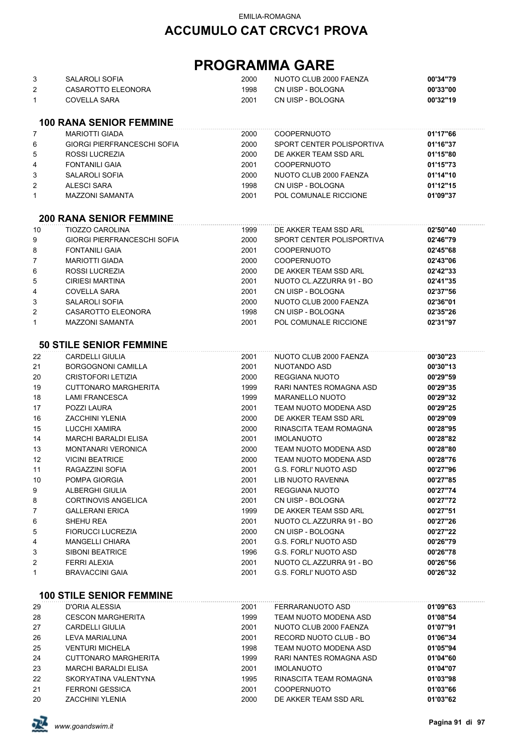| 3<br>2<br>1    | SALAROLI SOFIA<br>CASAROTTO ELEONORA<br><b>COVELLA SARA</b> | 2000<br>1998<br>2001 | NUOTO CLUB 2000 FAENZA<br>CN UISP - BOLOGNA<br>CN UISP - BOLOGNA | 00'34"79<br>00'33"00<br>00'32"19 |
|----------------|-------------------------------------------------------------|----------------------|------------------------------------------------------------------|----------------------------------|
|                | <b>100 RANA SENIOR FEMMINE</b>                              |                      |                                                                  |                                  |
| 7              | <b>MARIOTTI GIADA</b>                                       | 2000                 | <b>COOPERNUOTO</b>                                               | 01'17"66                         |
| 6              | <b>GIORGI PIERFRANCESCHI SOFIA</b>                          | 2000                 | SPORT CENTER POLISPORTIVA                                        | 01'16"37                         |
| 5              | ROSSI LUCREZIA                                              | 2000                 | DE AKKER TEAM SSD ARL                                            | 01'15"80                         |
| 4              | <b>FONTANILI GAIA</b>                                       | 2001                 | <b>COOPERNUOTO</b>                                               | 01'15"73                         |
| 3              | SALAROLI SOFIA                                              | 2000                 | NUOTO CLUB 2000 FAENZA                                           | 01'14"10                         |
| $\overline{2}$ | <b>ALESCI SARA</b>                                          | 1998                 | CN UISP - BOLOGNA                                                | 01'12"15                         |
| 1              | <b>MAZZONI SAMANTA</b>                                      | 2001                 | POL COMUNALE RICCIONE                                            | 01'09"37                         |
|                | <b>200 RANA SENIOR FEMMINE</b>                              |                      |                                                                  |                                  |
| 10             | <b>TIOZZO CAROLINA</b>                                      | 1999                 | DE AKKER TEAM SSD ARL                                            | 02'50"40                         |
| 9              | <b>GIORGI PIERFRANCESCHI SOFIA</b>                          | 2000                 | SPORT CENTER POLISPORTIVA                                        | 02'46"79                         |
| 8              | <b>FONTANILI GAIA</b>                                       | 2001                 | <b>COOPERNUOTO</b>                                               | 02'45"68                         |
| 7              | <b>MARIOTTI GIADA</b>                                       | 2000                 | <b>COOPERNUOTO</b>                                               | 02'43"06                         |
| 6              | <b>ROSSI LUCREZIA</b>                                       | 2000                 | DE AKKER TEAM SSD ARL                                            | 02'42"33                         |
| 5              | <b>CIRIESI MARTINA</b>                                      | 2001                 | NUOTO CL.AZZURRA 91 - BO                                         | 02'41"35                         |
| 4              | <b>COVELLA SARA</b>                                         | 2001                 | CN UISP - BOLOGNA                                                | 02'37"56                         |
| 3              | SALAROLI SOFIA                                              | 2000                 | NUOTO CLUB 2000 FAENZA                                           | 02'36"01                         |
| $\overline{2}$ | CASAROTTO ELEONORA                                          | 1998                 | CN UISP - BOLOGNA                                                | 02'35"26                         |
| $\mathbf{1}$   | <b>MAZZONI SAMANTA</b>                                      | 2001                 | POL COMUNALE RICCIONE                                            | 02'31"97                         |
|                |                                                             |                      |                                                                  |                                  |
|                | <b>50 STILE SENIOR FEMMINE</b>                              |                      |                                                                  |                                  |
| 22             | <b>CARDELLI GIULIA</b>                                      | 2001                 | NUOTO CLUB 2000 FAENZA                                           | 00'30"23                         |
| 21             | <b>BORGOGNONI CAMILLA</b>                                   | 2001                 | NUOTANDO ASD                                                     | 00'30"13                         |
| 20             | CRISTOFORI LETIZIA                                          | 2000                 | REGGIANA NUOTO                                                   | 00'29"59                         |
| 19             | CUTTONARO MARGHERITA                                        | 1999                 | RARI NANTES ROMAGNA ASD                                          | 00'29"35                         |
| 18             | <b>LAMI FRANCESCA</b>                                       | 1999                 | <b>MARANELLO NUOTO</b>                                           | 00'29"32                         |
| 17             | POZZI LAURA                                                 | 2001                 | TEAM NUOTO MODENA ASD                                            | 00'29"25                         |
| 16             | <b>ZACCHINI YLENIA</b>                                      | 2000                 | DE AKKER TEAM SSD ARL                                            | 00'29"09                         |
| 15             | LUCCHI XAMIRA                                               | 2000                 | RINASCITA TEAM ROMAGNA                                           | 00'28"95                         |
| 14             | <b>MARCHI BARALDI ELISA</b>                                 | 2001                 | <b>IMOLANUOTO</b>                                                | 00'28"82                         |
| 13             | <b>MONTANARI VERONICA</b>                                   | 2000                 | TEAM NUOTO MODENA ASD                                            | 00'28"80                         |
| 12             | <b>VICINI BEATRICE</b>                                      | 2000                 | TEAM NUOTO MODENA ASD                                            | 00'28"76                         |
| 11             | RAGAZZINI SOFIA                                             | 2001                 | <b>G.S. FORLI' NUOTO ASD</b>                                     | 00'27"96                         |
| 10             | POMPA GIORGIA                                               | 2001                 | LIB NUOTO RAVENNA                                                | 00'27"85                         |
| 9              | ALBERGHI GIULIA                                             | 2001                 | REGGIANA NUOTO                                                   | 00'27"74                         |
| 8              | <b>CORTINOVIS ANGELICA</b>                                  | 2001                 | CN UISP - BOLOGNA                                                | 00'27"72                         |
| 7              | <b>GALLERANI ERICA</b>                                      | 1999                 | DE AKKER TEAM SSD ARL                                            | 00'27"51                         |
| 6              | SHEHU REA                                                   | 2001                 | NUOTO CL.AZZURRA 91 - BO                                         | 00'27"26                         |
| 5              | <b>FIORUCCI LUCREZIA</b>                                    | 2000                 | CN UISP - BOLOGNA                                                | 00'27"22                         |
| 4              | <b>MANGELLI CHIARA</b>                                      | 2001                 | <b>G.S. FORLI' NUOTO ASD</b>                                     | 00'26"79                         |
| 3              | <b>SIBONI BEATRICE</b>                                      | 1996                 | <b>G.S. FORLI' NUOTO ASD</b>                                     | 00'26"78                         |
| 2              | <b>FERRI ALEXIA</b>                                         | 2001                 | NUOTO CL.AZZURRA 91 - BO                                         | 00'26"56                         |
| 1              | <b>BRAVACCINI GAIA</b>                                      | 2001                 | <b>G.S. FORLI' NUOTO ASD</b>                                     | 00'26"32                         |
|                | <b>100 STILE SENIOR FEMMINE</b>                             |                      |                                                                  |                                  |
| 29             | D'ORIA ALESSIA                                              | 2001                 | FERRARANUOTO ASD                                                 | 01'09"63                         |
| 28             | <b>CESCON MARGHERITA</b>                                    | 1999                 | TEAM NUOTO MODENA ASD                                            | 01'08"54                         |
| 27             | CARDELLI GIULIA                                             | 2001                 | NUOTO CLUB 2000 FAENZA                                           | 01'07"91                         |
| 26             | LEVA MARIALUNA                                              | 2001                 | RECORD NUOTO CLUB - BO                                           | 01'06"34                         |
| 25             | <b>VENTURI MICHELA</b>                                      | 1998                 | TEAM NUOTO MODENA ASD                                            | 01'05"94                         |
| 24             | <b>CUTTONARO MARGHERITA</b>                                 | 1999                 | RARI NANTES ROMAGNA ASD                                          | 01'04"60                         |
| 23             | <b>MARCHI BARALDI ELISA</b>                                 | 2001                 | <b>IMOLANUOTO</b>                                                | 01'04"07                         |
| 22             | SKORYATINA VALENTYNA                                        | 1995                 | RINASCITA TEAM ROMAGNA                                           | 01'03"98                         |
| 21             | <b>FERRONI GESSICA</b>                                      | 2001                 | COOPERNUOTO                                                      | 01'03"66                         |
| 20             | <b>ZACCHINI YLENIA</b>                                      | 2000                 | DE AKKER TEAM SSD ARL                                            | 01'03"62                         |

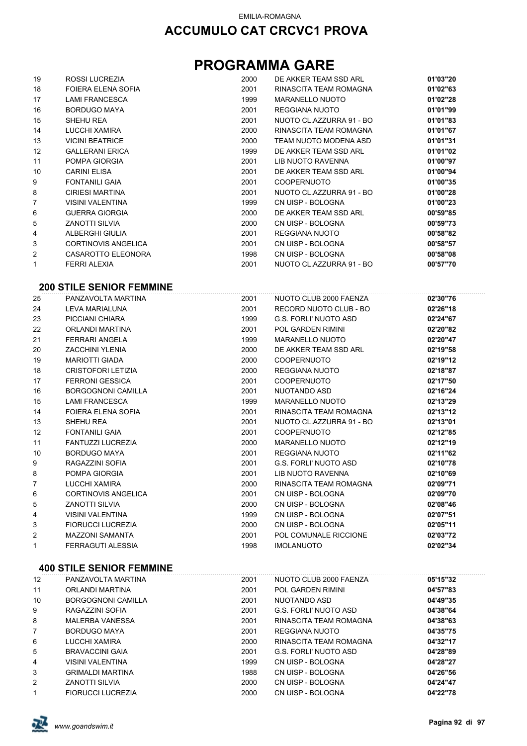# **PROGRAMMA GARE**

| 19 | ROSSI LUCREZIA             | 2000 | DE AKKER TEAM SSD ARL    | 01'03"20 |
|----|----------------------------|------|--------------------------|----------|
| 18 | FOIERA ELENA SOFIA         | 2001 | RINASCITA TEAM ROMAGNA   | 01'02"63 |
| 17 | <b>LAMI FRANCESCA</b>      | 1999 | MARANELLO NUOTO          | 01'02"28 |
| 16 | <b>BORDUGO MAYA</b>        | 2001 | REGGIANA NUOTO           | 01'01"99 |
| 15 | SHEHU REA                  | 2001 | NUOTO CL.AZZURRA 91 - BO | 01'01"83 |
| 14 | LUCCHI XAMIRA              | 2000 | RINASCITA TEAM ROMAGNA   | 01'01"67 |
| 13 | <b>VICINI BEATRICE</b>     | 2000 | TEAM NUOTO MODENA ASD    | 01'01"31 |
| 12 | <b>GALLERANI ERICA</b>     | 1999 | DE AKKER TEAM SSD ARL    | 01'01"02 |
| 11 | POMPA GIORGIA              | 2001 | LIB NUOTO RAVENNA        | 01'00"97 |
| 10 | <b>CARINI ELISA</b>        | 2001 | DE AKKER TEAM SSD ARL    | 01'00"94 |
| 9  | <b>FONTANILI GAIA</b>      | 2001 | <b>COOPERNUOTO</b>       | 01'00"35 |
| 8  | <b>CIRIESI MARTINA</b>     | 2001 | NUOTO CL.AZZURRA 91 - BO | 01'00"28 |
| 7  | <b>VISINI VALENTINA</b>    | 1999 | CN UISP - BOLOGNA        | 01'00"23 |
| 6  | <b>GUERRA GIORGIA</b>      | 2000 | DE AKKER TEAM SSD ARL    | 00'59"85 |
| 5  | <b>ZANOTTI SILVIA</b>      | 2000 | CN UISP - BOLOGNA        | 00'59"73 |
| 4  | ALBERGHI GIULIA            | 2001 | REGGIANA NUOTO           | 00'58"82 |
| 3  | <b>CORTINOVIS ANGELICA</b> | 2001 | CN UISP - BOLOGNA        | 00'58"57 |
| 2  | CASAROTTO ELEONORA         | 1998 | CN UISP - BOLOGNA        | 00'58"08 |
| 1  | FERRI ALEXIA               | 2001 | NUOTO CL.AZZURRA 91 - BO | 00'57"70 |

#### **200 STILE SENIOR FEMMINE**

| 25             | PANZAVOLTA MARTINA         | 2001 | NUOTO CLUB 2000 FAENZA   | 02'30"76 |
|----------------|----------------------------|------|--------------------------|----------|
| 24             | LEVA MARIALUNA             | 2001 | RECORD NUOTO CLUB - BO   | 02'26"18 |
| 23             | PICCIANI CHIARA            | 1999 | G.S. FORLI' NUOTO ASD    | 02'24"67 |
| 22             | ORLANDI MARTINA            | 2001 | <b>POL GARDEN RIMINI</b> | 02'20"82 |
| 21             | <b>FERRARI ANGELA</b>      | 1999 | MARANELLO NUOTO          | 02'20"47 |
| 20             | <b>ZACCHINI YLENIA</b>     | 2000 | DE AKKER TEAM SSD ARL    | 02'19"58 |
| 19             | <b>MARIOTTI GIADA</b>      | 2000 | <b>COOPERNUOTO</b>       | 02'19"12 |
| 18             | <b>CRISTOFORI LETIZIA</b>  | 2000 | <b>REGGIANA NUOTO</b>    | 02'18"87 |
| 17             | <b>FERRONI GESSICA</b>     | 2001 | <b>COOPERNUOTO</b>       | 02'17"50 |
| 16             | <b>BORGOGNONI CAMILLA</b>  | 2001 | NUOTANDO ASD             | 02'16"24 |
| 15             | <b>LAMI FRANCESCA</b>      | 1999 | MARANELLO NUOTO          | 02'13"29 |
| 14             | FOIERA ELENA SOFIA         | 2001 | RINASCITA TEAM ROMAGNA   | 02'13"12 |
| 13             | SHEHU REA                  | 2001 | NUOTO CL.AZZURRA 91 - BO | 02'13"01 |
| 12             | <b>FONTANILI GAIA</b>      | 2001 | <b>COOPERNUOTO</b>       | 02'12"85 |
| 11             | FANTUZZI LUCREZIA          | 2000 | <b>MARANELLO NUOTO</b>   | 02'12"19 |
| 10             | <b>BORDUGO MAYA</b>        | 2001 | REGGIANA NUOTO           | 02'11"62 |
| 9              | RAGAZZINI SOFIA            | 2001 | G.S. FORLI' NUOTO ASD    | 02'10"78 |
| 8              | POMPA GIORGIA              | 2001 | LIB NUOTO RAVENNA        | 02'10"69 |
| $\overline{7}$ | LUCCHI XAMIRA              | 2000 | RINASCITA TEAM ROMAGNA   | 02'09"71 |
| 6              | <b>CORTINOVIS ANGELICA</b> | 2001 | CN UISP - BOLOGNA        | 02'09"70 |
| 5              | ZANOTTI SILVIA             | 2000 | CN UISP - BOLOGNA        | 02'08"46 |
| 4              | <b>VISINI VALENTINA</b>    | 1999 | CN UISP - BOLOGNA        | 02'07"51 |
| 3              | <b>FIORUCCI LUCREZIA</b>   | 2000 | CN UISP - BOLOGNA        | 02'05"11 |
| 2              | <b>MAZZONI SAMANTA</b>     | 2001 | POL COMUNALE RICCIONE    | 02'03"72 |
| 1              | FERRAGUTI ALESSIA          | 1998 | <b>IMOLANUOTO</b>        | 02'02"34 |

#### **400 STILE SENIOR FEMMINE**

| 12             | PANZAVOLTA MARTINA       | 2001 | NUOTO CLUB 2000 FAENZA | 05'15"32 |
|----------------|--------------------------|------|------------------------|----------|
|                |                          |      |                        |          |
| 11             | ORLANDI MARTINA          | 2001 | POL GARDEN RIMINI      | 04'57"83 |
| 10             | BORGOGNONI CAMILLA       | 2001 | NUOTANDO ASD           | 04'49"35 |
| 9              | RAGAZZINI SOFIA          | 2001 | G.S. FORLI' NUOTO ASD  | 04'38"64 |
| 8              | <b>MALERBA VANESSA</b>   | 2001 | RINASCITA TEAM ROMAGNA | 04'38"63 |
| $\overline{7}$ | BORDUGO MAYA             | 2001 | REGGIANA NUOTO         | 04'35"75 |
| 6              | LUCCHI XAMIRA            | 2000 | RINASCITA TEAM ROMAGNA | 04'32"17 |
| 5              | <b>BRAVACCINI GAIA</b>   | 2001 | G.S. FORLI' NUOTO ASD  | 04'28"89 |
| 4              | VISINI VALENTINA         | 1999 | CN UISP - BOLOGNA      | 04'28"27 |
| 3              | <b>GRIMALDI MARTINA</b>  | 1988 | CN UISP - BOLOGNA      | 04'26"56 |
| 2              | <b>ZANOTTI SILVIA</b>    | 2000 | CN UISP - BOLOGNA      | 04'24"47 |
| 1              | <b>FIORUCCI LUCREZIA</b> | 2000 | CN UISP - BOLOGNA      | 04'22"78 |

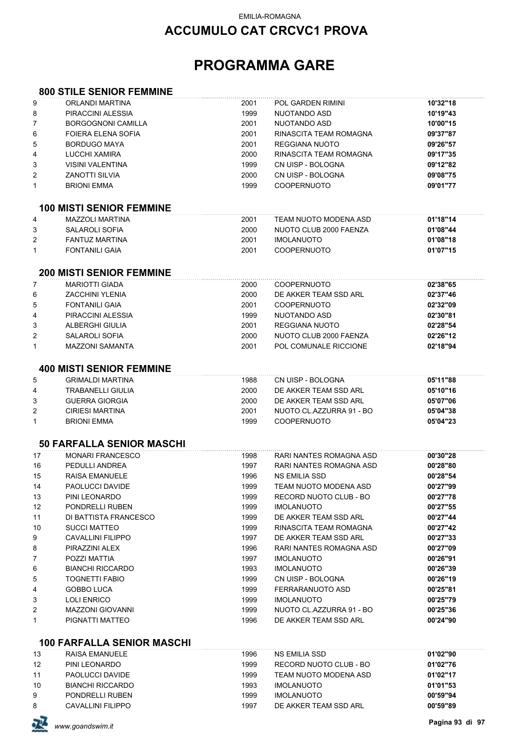## **ACCUMULO CAT CRCVC1 PROVA**

# **PROGRAMMA GARE**

#### **800 STILE SENIOR FEMMINE**

| 9            | ORLANDI MARTINA                   | 2001 | POL GARDEN RIMINI        | 10'32"18 |
|--------------|-----------------------------------|------|--------------------------|----------|
| 8            | PIRACCINI ALESSIA                 | 1999 | NUOTANDO ASD             | 10'19"43 |
| 7            | <b>BORGOGNONI CAMILLA</b>         | 2001 | NUOTANDO ASD             | 10'00"15 |
| 6            | FOIERA ELENA SOFIA                | 2001 | RINASCITA TEAM ROMAGNA   | 09'37"87 |
| 5            | <b>BORDUGO MAYA</b>               | 2001 | <b>REGGIANA NUOTO</b>    | 09'26"57 |
| 4            | LUCCHI XAMIRA                     | 2000 | RINASCITA TEAM ROMAGNA   | 09'17"35 |
| 3            | <b>VISINI VALENTINA</b>           | 1999 | CN UISP - BOLOGNA        | 09'12"82 |
| 2            | <b>ZANOTTI SILVIA</b>             | 2000 | CN UISP - BOLOGNA        | 09'08"75 |
| $\mathbf{1}$ | <b>BRIONI EMMA</b>                | 1999 | <b>COOPERNUOTO</b>       | 09'01"77 |
|              | <b>100 MISTI SENIOR FEMMINE</b>   |      |                          |          |
| 4            | <b>MAZZOLI MARTINA</b>            | 2001 | TEAM NUOTO MODENA ASD    | 01'18"14 |
| 3            | <b>SALAROLI SOFIA</b>             | 2000 | NUOTO CLUB 2000 FAENZA   | 01'08"44 |
| 2            | <b>FANTUZ MARTINA</b>             | 2001 | <b>IMOLANUOTO</b>        | 01'08"18 |
| 1            | <b>FONTANILI GAIA</b>             | 2001 | <b>COOPERNUOTO</b>       | 01'07"15 |
|              | <b>200 MISTI SENIOR FEMMINE</b>   |      |                          |          |
| 7            | <b>MARIOTTI GIADA</b>             | 2000 | <b>COOPERNUOTO</b>       | 02'38"65 |
| 6            | <b>ZACCHINI YLENIA</b>            | 2000 | DE AKKER TEAM SSD ARL    | 02'37"46 |
| 5            | <b>FONTANILI GAIA</b>             | 2001 | <b>COOPERNUOTO</b>       | 02'32"09 |
| 4            | PIRACCINI ALESSIA                 | 1999 | NUOTANDO ASD             | 02'30"81 |
| 3            | ALBERGHI GIULIA                   | 2001 | REGGIANA NUOTO           | 02'28"54 |
| 2            | <b>SALAROLI SOFIA</b>             | 2000 | NUOTO CLUB 2000 FAENZA   | 02'26"12 |
| 1            | <b>MAZZONI SAMANTA</b>            | 2001 | POL COMUNALE RICCIONE    | 02'18"94 |
|              |                                   |      |                          |          |
|              | <b>400 MISTI SENIOR FEMMINE</b>   |      |                          |          |
| 5            | <b>GRIMALDI MARTINA</b>           | 1988 | CN UISP - BOLOGNA        | 05'11"88 |
| 4            | <b>TRABANELLI GIULIA</b>          | 2000 | DE AKKER TEAM SSD ARL    | 05'10"16 |
| 3            | <b>GUERRA GIORGIA</b>             | 2000 | DE AKKER TEAM SSD ARL    | 05'07"06 |
| 2            | <b>CIRIESI MARTINA</b>            | 2001 | NUOTO CL.AZZURRA 91 - BO | 05'04"38 |
| 1            | <b>BRIONI EMMA</b>                | 1999 | <b>COOPERNUOTO</b>       | 05'04"23 |
|              | <b>50 FARFALLA SENIOR MASCHI</b>  |      |                          |          |
| 17           | <b>MONARI FRANCESCO</b>           | 1998 | RARI NANTES ROMAGNA ASD  | 00'30"28 |
| 16           | PEDULLI ANDREA                    | 1997 | RARI NANTES ROMAGNA ASD  | 00'28"80 |
| 15           | RAISA EMANUELE                    | 1996 | <b>NS EMILIA SSD</b>     | 00'28"54 |
| 14           | PAOLUCCI DAVIDE                   | 1999 | TEAM NUOTO MODENA ASD    | 00'27"99 |
| 13           | PINI LEONARDO                     | 1999 | RECORD NUOTO CLUB - BO   | 00'27"78 |
| 12           | PONDRELLI RUBEN                   | 1999 | <b>IMOLANUOTO</b>        | 00'27"55 |
| 11           | DI BATTISTA FRANCESCO             | 1999 | DE AKKER TEAM SSD ARL    | 00'27"44 |
| 10           | <b>SUCCI MATTEO</b>               | 1999 | RINASCITA TEAM ROMAGNA   | 00'27"42 |
| 9            | <b>CAVALLINI FILIPPO</b>          | 1997 | DE AKKER TEAM SSD ARL    | 00'27"33 |
| 8            | PIRAZZINI ALEX                    | 1996 | RARI NANTES ROMAGNA ASD  | 00'27"09 |
| 7            | POZZI MATTIA                      | 1997 | <b>IMOLANUOTO</b>        | 00'26"91 |
| 6            | <b>BIANCHI RICCARDO</b>           | 1993 | <b>IMOLANUOTO</b>        | 00'26"39 |
| 5            | <b>TOGNETTI FABIO</b>             | 1999 | CN UISP - BOLOGNA        | 00'26"19 |
| 4            | GOBBO LUCA                        | 1999 | FERRARANUOTO ASD         | 00'25"81 |
| 3            | <b>LOLI ENRICO</b>                | 1999 | <b>IMOLANUOTO</b>        | 00'25"79 |
| 2            | <b>MAZZONI GIOVANNI</b>           | 1999 | NUOTO CL.AZZURRA 91 - BO | 00'25"36 |
| 1            | PIGNATTI MATTEO                   | 1996 | DE AKKER TEAM SSD ARL    | 00'24"90 |
|              | <b>100 FARFALLA SENIOR MASCHI</b> |      |                          |          |
| 13           | RAISA EMANUELE                    | 1996 | NS EMILIA SSD            | 01'02"90 |
| 12           | PINI LEONARDO                     | 1999 | RECORD NUOTO CLUB - BO   | 01'02"76 |
| 11           | PAOLUCCI DAVIDE                   | 1999 | TEAM NUOTO MODENA ASD    | 01'02"17 |
| 10           | <b>BIANCHI RICCARDO</b>           | 1993 | <b>IMOLANUOTO</b>        | 01'01"53 |
| 9            | PONDRELLI RUBEN                   | 1999 | <b>IMOLANUOTO</b>        | 00'59"94 |
| 8            | <b>CAVALLINI FILIPPO</b>          | 1997 | DE AKKER TEAM SSD ARL    | 00'59"89 |

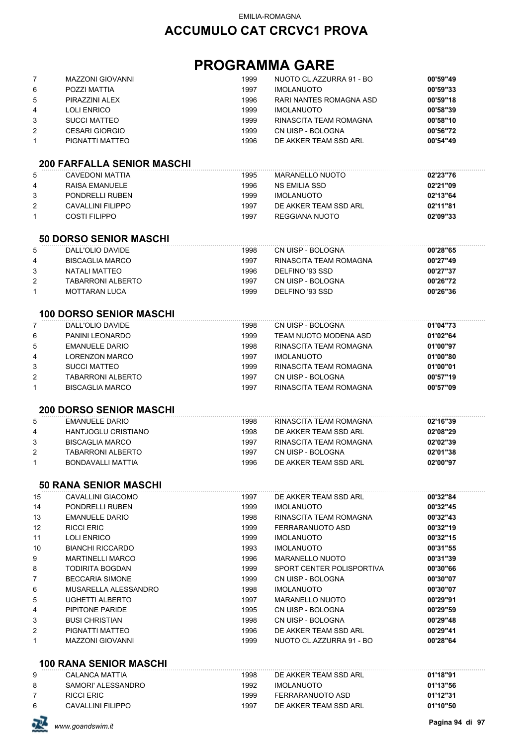| 7<br>6<br>5<br>4 | <b>MAZZONI GIOVANNI</b><br>POZZI MATTIA<br>PIRAZZINI ALEX<br><b>LOLI ENRICO</b> | 1999<br>1997<br>1996<br>1999 | NUOTO CL.AZZURRA 91 - BO<br><b>IMOLANUOTO</b><br>RARI NANTES ROMAGNA ASD<br><b>IMOLANUOTO</b> | 00'59"49<br>00'59"33<br>00'59"18<br>00'58"39 |
|------------------|---------------------------------------------------------------------------------|------------------------------|-----------------------------------------------------------------------------------------------|----------------------------------------------|
| 3                | <b>SUCCI MATTEO</b>                                                             | 1999                         | RINASCITA TEAM ROMAGNA                                                                        | 00'58"10                                     |
| 2                | <b>CESARI GIORGIO</b>                                                           | 1999                         | CN UISP - BOLOGNA                                                                             | 00'56"72                                     |
| $\mathbf{1}$     | PIGNATTI MATTEO                                                                 | 1996                         | DE AKKER TEAM SSD ARL                                                                         | 00'54"49                                     |
|                  | <b>200 FARFALLA SENIOR MASCHI</b>                                               |                              |                                                                                               |                                              |
| 5                | <b>CAVEDONI MATTIA</b>                                                          | 1995                         | <b>MARANELLO NUOTO</b>                                                                        | 02'23"76                                     |
| 4                | <b>RAISA EMANUELE</b>                                                           | 1996                         | <b>NS EMILIA SSD</b>                                                                          | 02'21"09                                     |
| 3                | PONDRELLI RUBEN                                                                 | 1999                         | <b>IMOLANUOTO</b>                                                                             | 02'13"64                                     |
| 2                | <b>CAVALLINI FILIPPO</b>                                                        | 1997                         | DE AKKER TEAM SSD ARL                                                                         | 02'11"81                                     |
| 1                | <b>COSTI FILIPPO</b>                                                            | 1997                         | REGGIANA NUOTO                                                                                | 02'09"33                                     |
|                  | <b>50 DORSO SENIOR MASCHI</b>                                                   |                              |                                                                                               |                                              |
| 5                | DALL'OLIO DAVIDE                                                                | 1998                         | CN UISP - BOLOGNA                                                                             | 00'28"65                                     |
| 4                | <b>BISCAGLIA MARCO</b>                                                          | 1997                         | RINASCITA TEAM ROMAGNA                                                                        | 00'27"49                                     |
| 3                | NATALI MATTEO                                                                   | 1996                         | DELFINO '93 SSD                                                                               | 00'27"37                                     |
| 2                | <b>TABARRONI ALBERTO</b>                                                        | 1997                         | CN UISP - BOLOGNA                                                                             | 00'26"72                                     |
| $\mathbf{1}$     | <b>MOTTARAN LUCA</b>                                                            | 1999                         | DELFINO '93 SSD                                                                               | 00'26"36                                     |
|                  | <b>100 DORSO SENIOR MASCHI</b>                                                  |                              |                                                                                               |                                              |
| 7                | DALL'OLIO DAVIDE                                                                | 1998                         | CN UISP - BOLOGNA                                                                             | 01'04"73                                     |
| 6                | PANINI LEONARDO                                                                 | 1999                         | TEAM NUOTO MODENA ASD                                                                         | 01'02"64                                     |
| 5                | <b>EMANUELE DARIO</b>                                                           | 1998                         | RINASCITA TEAM ROMAGNA                                                                        | 01'00"97                                     |
| 4<br>3           | <b>LORENZON MARCO</b><br><b>SUCCI MATTEO</b>                                    | 1997<br>1999                 | <b>IMOLANUOTO</b><br>RINASCITA TEAM ROMAGNA                                                   | 01'00"80                                     |
| 2                | <b>TABARRONI ALBERTO</b>                                                        | 1997                         | CN UISP - BOLOGNA                                                                             | 01'00"01<br>00'57"19                         |
| $\mathbf{1}$     | <b>BISCAGLIA MARCO</b>                                                          | 1997                         | RINASCITA TEAM ROMAGNA                                                                        | 00'57"09                                     |
|                  | <b>200 DORSO SENIOR MASCHI</b>                                                  |                              |                                                                                               |                                              |
| 5                | <b>EMANUELE DARIO</b>                                                           | 1998                         | RINASCITA TEAM ROMAGNA                                                                        | 02'16"39                                     |
| 4                | <b>HANTJOGLU CRISTIANO</b>                                                      | 1998                         | DE AKKER TEAM SSD ARL                                                                         | 02'08"29                                     |
| 3                | <b>BISCAGLIA MARCO</b>                                                          | 1997                         | RINASCITA TEAM ROMAGNA                                                                        | 02'02"39                                     |
| $\overline{2}$   | <b>TABARRONI ALBERTO</b>                                                        | 1997                         | CN UISP - BOLOGNA                                                                             | 02'01"38                                     |
| $\mathbf{1}$     | <b>BONDAVALLI MATTIA</b>                                                        | 1996                         | DE AKKER TEAM SSD ARL                                                                         | 02'00"97                                     |
|                  | <b>50 RANA SENIOR MASCHI</b>                                                    |                              |                                                                                               |                                              |
| 15               | <b>CAVALLINI GIACOMO</b>                                                        | 1997                         | DE AKKER TEAM SSD ARL                                                                         | 00'32"84                                     |
| 14               | PONDRELLI RUBEN                                                                 | 1999                         | <b>IMOLANUOTO</b>                                                                             | 00'32"45                                     |
| 13               | <b>EMANUELE DARIO</b>                                                           | 1998                         | RINASCITA TEAM ROMAGNA                                                                        | 00'32"43                                     |
| 12               | <b>RICCI ERIC</b>                                                               | 1999                         | FERRARANUOTO ASD                                                                              | 00'32"19                                     |
| 11               | LOLI ENRICO                                                                     | 1999                         | <b>IMOLANUOTO</b>                                                                             | 00'32"15                                     |
| 10               | <b>BIANCHI RICCARDO</b>                                                         | 1993                         | <b>IMOLANUOTO</b>                                                                             | 00'31"55                                     |
| 9                | <b>MARTINELLI MARCO</b>                                                         | 1996                         | <b>MARANELLO NUOTO</b>                                                                        | 00'31"39                                     |
| 8                | <b>TODIRITA BOGDAN</b>                                                          | 1999                         | SPORT CENTER POLISPORTIVA                                                                     | 00'30"66                                     |
| 7                | <b>BECCARIA SIMONE</b>                                                          | 1999                         | CN UISP - BOLOGNA                                                                             | 00'30"07                                     |
| 6                | MUSARELLA ALESSANDRO                                                            | 1998                         | <b>IMOLANUOTO</b>                                                                             | 00'30"07                                     |
| 5                | <b>UGHETTI ALBERTO</b>                                                          | 1997                         | <b>MARANELLO NUOTO</b>                                                                        | 00'29"91                                     |
| 4                | PIPITONE PARIDE                                                                 | 1995                         | CN UISP - BOLOGNA                                                                             | 00'29"59                                     |
| 3<br>2           | <b>BUSI CHRISTIAN</b><br>PIGNATTI MATTEO                                        | 1998<br>1996                 | CN UISP - BOLOGNA<br>DE AKKER TEAM SSD ARL                                                    | 00'29"48<br>00'29"41                         |
| 1                | <b>MAZZONI GIOVANNI</b>                                                         | 1999                         | NUOTO CL.AZZURRA 91 - BO                                                                      | 00'28"64                                     |
|                  |                                                                                 |                              |                                                                                               |                                              |
|                  | <b>100 RANA SENIOR MASCHI</b>                                                   |                              | DE AKKER TEAM SSD ARL                                                                         |                                              |
| 9                | <b>CALANCA MATTIA</b>                                                           | 1998                         |                                                                                               | 01'18"91                                     |

| <b>UALAINUA MATTIA</b> | ເສສດ | LE ANNER TEAM SOLLARL | UI 10 JI |
|------------------------|------|-----------------------|----------|
| SAMORI' ALESSANDRO     | 1992 | <b>IMOLANUOTO</b>     | 01'13"56 |
| RICCI ERIC             | 1999 | FERRARANUOTO ASD      | 01'12"31 |
| CAVALLINI FILIPPO      | 1997 | DE AKKER TEAM SSD ARL | 01'10"50 |
|                        |      |                       |          |

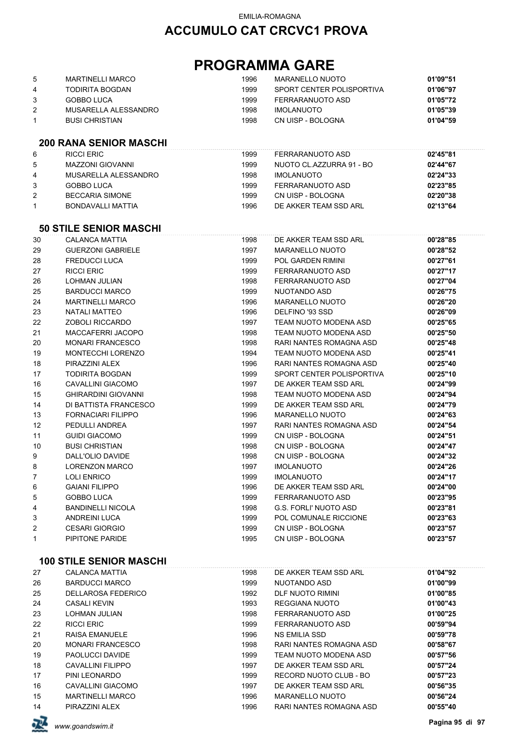## **ACCUMULO CAT CRCVC1 PROVA**

# **PROGRAMMA GARE**

| 5<br>4<br>3<br>$\overline{2}$<br>1<br>6 | <b>MARTINELLI MARCO</b><br><b>TODIRITA BOGDAN</b><br><b>GOBBO LUCA</b><br>MUSARELLA ALESSANDRO<br><b>BUSI CHRISTIAN</b><br><b>200 RANA SENIOR MASCHI</b><br><b>RICCI ERIC</b> | 1996<br>1999<br>1999<br>1998<br>1998<br>1999 | <b>MARANELLO NUOTO</b><br>SPORT CENTER POLISPORTIVA<br>FERRARANUOTO ASD<br><b>IMOLANUOTO</b><br>CN UISP - BOLOGNA<br>FERRARANUOTO ASD | 01'09"51<br>01'06"97<br>01'05"72<br>01'05"39<br>01'04"59<br>02'45"81 |
|-----------------------------------------|-------------------------------------------------------------------------------------------------------------------------------------------------------------------------------|----------------------------------------------|---------------------------------------------------------------------------------------------------------------------------------------|----------------------------------------------------------------------|
| 5                                       | <b>MAZZONI GIOVANNI</b>                                                                                                                                                       | 1999                                         | NUOTO CL.AZZURRA 91 - BO                                                                                                              | 02'44"67                                                             |
| 4                                       | MUSARELLA ALESSANDRO                                                                                                                                                          | 1998                                         | <b>IMOLANUOTO</b>                                                                                                                     | 02'24"33                                                             |
| 3                                       | <b>GOBBO LUCA</b>                                                                                                                                                             | 1999                                         | FERRARANUOTO ASD                                                                                                                      | 02'23"85                                                             |
| 2                                       | <b>BECCARIA SIMONE</b>                                                                                                                                                        | 1999                                         | CN UISP - BOLOGNA                                                                                                                     | 02'20"38                                                             |
| $\mathbf{1}$                            | BONDAVALLI MATTIA                                                                                                                                                             | 1996                                         | DE AKKER TEAM SSD ARL                                                                                                                 | 02'13"64                                                             |
|                                         | <b>50 STILE SENIOR MASCHI</b>                                                                                                                                                 |                                              |                                                                                                                                       |                                                                      |
| 30                                      | <b>CALANCA MATTIA</b>                                                                                                                                                         | 1998                                         | DE AKKER TEAM SSD ARL                                                                                                                 | 00'28"85                                                             |
| 29                                      | <b>GUERZONI GABRIELE</b>                                                                                                                                                      | 1997                                         | <b>MARANELLO NUOTO</b>                                                                                                                | 00'28"52                                                             |
| 28                                      | <b>FREDUCCI LUCA</b>                                                                                                                                                          | 1999                                         | <b>POL GARDEN RIMINI</b>                                                                                                              | 00'27"61                                                             |
| 27                                      | <b>RICCI ERIC</b>                                                                                                                                                             | 1999                                         | FERRARANUOTO ASD                                                                                                                      | 00'27"17                                                             |
| 26                                      | LOHMAN JULIAN                                                                                                                                                                 | 1998                                         | FERRARANUOTO ASD                                                                                                                      | 00'27"04                                                             |
| 25                                      | <b>BARDUCCI MARCO</b>                                                                                                                                                         | 1999                                         | NUOTANDO ASD                                                                                                                          | 00'26"75                                                             |
| 24                                      | <b>MARTINELLI MARCO</b>                                                                                                                                                       | 1996                                         | <b>MARANELLO NUOTO</b>                                                                                                                | 00'26"20                                                             |
| 23                                      | <b>NATALI MATTEO</b>                                                                                                                                                          | 1996                                         | DELFINO '93 SSD                                                                                                                       | 00'26"09                                                             |
| 22                                      | ZOBOLI RICCARDO                                                                                                                                                               | 1997                                         | TEAM NUOTO MODENA ASD                                                                                                                 | 00'25"65                                                             |
| 21                                      | MACCAFERRI JACOPO                                                                                                                                                             | 1998                                         | TEAM NUOTO MODENA ASD                                                                                                                 | 00'25"50                                                             |
| 20                                      | <b>MONARI FRANCESCO</b>                                                                                                                                                       | 1998                                         | RARI NANTES ROMAGNA ASD                                                                                                               | 00'25"48                                                             |
| 19                                      | MONTECCHI LORENZO                                                                                                                                                             | 1994                                         | TEAM NUOTO MODENA ASD                                                                                                                 | 00'25"41                                                             |
| 18                                      | PIRAZZINI ALEX                                                                                                                                                                | 1996                                         | RARI NANTES ROMAGNA ASD                                                                                                               | 00'25"40                                                             |
| 17                                      | <b>TODIRITA BOGDAN</b>                                                                                                                                                        | 1999                                         | SPORT CENTER POLISPORTIVA                                                                                                             | 00'25"10                                                             |
| 16                                      | <b>CAVALLINI GIACOMO</b>                                                                                                                                                      | 1997                                         | DE AKKER TEAM SSD ARL                                                                                                                 | 00'24"99                                                             |
| 15                                      | <b>GHIRARDINI GIOVANNI</b>                                                                                                                                                    | 1998                                         | TEAM NUOTO MODENA ASD                                                                                                                 | 00'24"94                                                             |
| 14                                      | DI BATTISTA FRANCESCO                                                                                                                                                         | 1999                                         | DE AKKER TEAM SSD ARL                                                                                                                 | 00'24"79                                                             |
| 13                                      | <b>FORNACIARI FILIPPO</b>                                                                                                                                                     | 1996                                         | <b>MARANELLO NUOTO</b>                                                                                                                | 00'24"63                                                             |
| 12                                      | PEDULLI ANDREA                                                                                                                                                                | 1997                                         | RARI NANTES ROMAGNA ASD                                                                                                               | 00'24"54                                                             |
| 11                                      | <b>GUIDI GIACOMO</b>                                                                                                                                                          | 1999                                         | CN UISP - BOLOGNA                                                                                                                     | 00'24"51                                                             |
| 10                                      | <b>BUSI CHRISTIAN</b>                                                                                                                                                         | 1998                                         | CN UISP - BOLOGNA                                                                                                                     | 00'24"47                                                             |
| 9                                       | DALL'OLIO DAVIDE                                                                                                                                                              | 1998                                         | CN UISP - BOLOGNA                                                                                                                     | 00'24"32                                                             |
| 8                                       | LORENZON MARCO                                                                                                                                                                | 1997                                         | <b>IMOLANUOTO</b>                                                                                                                     | 00'24"26                                                             |
| 7                                       | <b>LOLI ENRICO</b>                                                                                                                                                            | 1999                                         | <b>IMOLANUOTO</b>                                                                                                                     | 00'24"17                                                             |
| 6                                       | <b>GAIANI FILIPPO</b>                                                                                                                                                         | 1996                                         | DE AKKER TEAM SSD ARL                                                                                                                 | 00'24"00                                                             |
| 5                                       | <b>GOBBO LUCA</b>                                                                                                                                                             | 1999                                         | <b>FERRARANUOTO ASD</b>                                                                                                               | 00'23"95                                                             |
| 4                                       | <b>BANDINELLI NICOLA</b>                                                                                                                                                      | 1998                                         | <b>G.S. FORLI' NUOTO ASD</b>                                                                                                          | 00'23"81                                                             |
| 3                                       | <b>ANDREINI LUCA</b>                                                                                                                                                          | 1999                                         | POL COMUNALE RICCIONE                                                                                                                 | 00'23"63                                                             |
| 2                                       | <b>CESARI GIORGIO</b>                                                                                                                                                         | 1999                                         | CN UISP - BOLOGNA                                                                                                                     | 00'23"57                                                             |
| 1                                       | PIPITONE PARIDE                                                                                                                                                               | 1995                                         | CN UISP - BOLOGNA                                                                                                                     | 00'23"57                                                             |

#### **100 STILE SENIOR MASCHI**

| 27 | <b>CALANCA MATTIA</b>     | 1998 | DE AKKER TEAM SSD ARL   | 01'04"92 |
|----|---------------------------|------|-------------------------|----------|
| 26 | BARDUCCI MARCO            | 1999 | NUOTANDO ASD            | 01'00"99 |
| 25 | <b>DELLAROSA FEDERICO</b> | 1992 | DLF NUOTO RIMINI        | 01'00"85 |
| 24 | <b>CASALI KEVIN</b>       | 1993 | REGGIANA NUOTO          | 01'00"43 |
| 23 | LOHMAN JULIAN             | 1998 | FERRARANUOTO ASD        | 01'00"25 |
| 22 | RICCI ERIC                | 1999 | FERRARANUOTO ASD        | 00'59"94 |
| 21 | RAISA EMANUELE            | 1996 | NS EMILIA SSD           | 00'59"78 |
| 20 | <b>MONARI FRANCESCO</b>   | 1998 | RARI NANTES ROMAGNA ASD | 00'58"67 |
| 19 | PAOLUCCI DAVIDE           | 1999 | TEAM NUOTO MODENA ASD   | 00'57"56 |
| 18 | CAVALLINI FILIPPO         | 1997 | DE AKKER TEAM SSD ARL   | 00'57"24 |
| 17 | PINI LEONARDO             | 1999 | RECORD NUOTO CLUB - BO  | 00'57"23 |
| 16 | CAVALLINI GIACOMO         | 1997 | DE AKKER TEAM SSD ARL   | 00'56"35 |
| 15 | <b>MARTINELLI MARCO</b>   | 1996 | MARANELLO NUOTO         | 00'56"24 |
| 14 | PIRAZZINI ALEX            | 1996 | RARI NANTES ROMAGNA ASD | 00'55"40 |

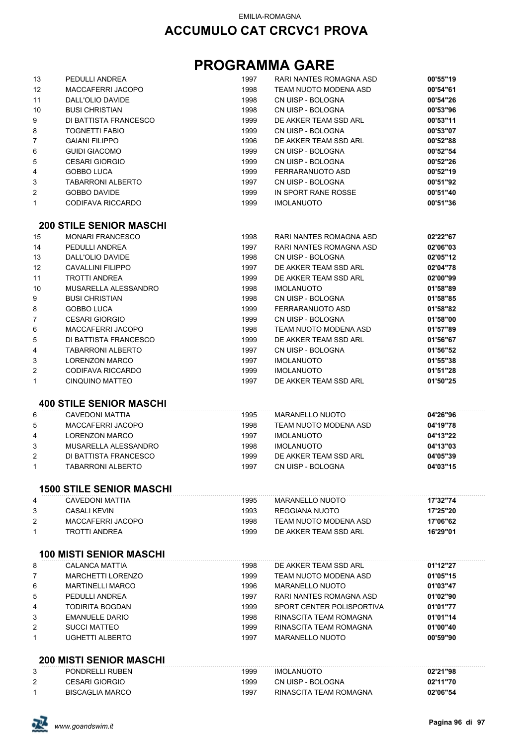# **PROGRAMMA GARE**

| 13                | PEDULLI ANDREA           | 1997 | RARI NANTES ROMAGNA ASD | 00'55"19 |
|-------------------|--------------------------|------|-------------------------|----------|
| $12 \overline{ }$ | MACCAFERRI JACOPO        | 1998 | TEAM NUOTO MODENA ASD   | 00'54"61 |
| 11                | DALL'OLIO DAVIDE         | 1998 | CN UISP - BOLOGNA       | 00'54"26 |
| 10                | <b>BUSI CHRISTIAN</b>    | 1998 | CN UISP - BOLOGNA       | 00'53"96 |
| 9                 | DI BATTISTA FRANCESCO    | 1999 | DE AKKER TEAM SSD ARL   | 00'53"11 |
| 8                 | <b>TOGNETTI FABIO</b>    | 1999 | CN UISP - BOLOGNA       | 00'53"07 |
| $\overline{7}$    | <b>GAIANI FILIPPO</b>    | 1996 | DE AKKER TEAM SSD ARL   | 00'52"88 |
| 6                 | GUIDI GIACOMO            | 1999 | CN UISP - BOLOGNA       | 00'52"54 |
| 5                 | <b>CESARI GIORGIO</b>    | 1999 | CN UISP - BOLOGNA       | 00'52"26 |
| 4                 | <b>GOBBO LUCA</b>        | 1999 | FERRARANUOTO ASD        | 00'52"19 |
| 3                 | <b>TABARRONI ALBERTO</b> | 1997 | CN UISP - BOLOGNA       | 00'51"92 |
| $\overline{2}$    | <b>GOBBO DAVIDE</b>      | 1999 | IN SPORT RANE ROSSE     | 00'51"40 |
| $\mathbf{1}$      | CODIFAVA RICCARDO        | 1999 | <b>IMOLANUOTO</b>       | 00'51"36 |
|                   |                          |      |                         |          |

#### **200 STILE SENIOR MASCHI**

| 15 | <b>MONARI FRANCESCO</b> | 1998 | RARI NANTES ROMAGNA ASD | 02'22"67 |
|----|-------------------------|------|-------------------------|----------|
| 14 | PEDULLI ANDREA          | 1997 | RARI NANTES ROMAGNA ASD | 02'06"03 |
| 13 | DALL'OLIO DAVIDE        | 1998 | CN UISP - BOLOGNA       | 02'05"12 |
| 12 | CAVALLINI FILIPPO       | 1997 | DE AKKER TEAM SSD ARL   | 02'04"78 |
| 11 | TROTTI ANDREA           | 1999 | DE AKKER TEAM SSD ARL   | 02'00"99 |
| 10 | MUSARELLA ALESSANDRO    | 1998 | <b>IMOLANUOTO</b>       | 01'58"89 |
| 9  | <b>BUSI CHRISTIAN</b>   | 1998 | CN UISP - BOLOGNA       | 01'58"85 |
| 8  | GOBBO LUCA              | 1999 | FERRARANUOTO ASD        | 01'58"82 |
| 7  | <b>CESARI GIORGIO</b>   | 1999 | CN UISP - BOLOGNA       | 01'58"00 |
| 6  | MACCAFERRI JACOPO       | 1998 | TEAM NUOTO MODENA ASD   | 01'57"89 |
| 5  | DI BATTISTA FRANCESCO   | 1999 | DE AKKER TEAM SSD ARL   | 01'56"67 |
| 4  | TABARRONI ALBERTO       | 1997 | CN UISP - BOLOGNA       | 01'56"52 |
| 3  | <b>LORENZON MARCO</b>   | 1997 | <b>IMOLANUOTO</b>       | 01'55"38 |
| 2  | CODIFAVA RICCARDO       | 1999 | <b>IMOLANUOTO</b>       | 01'51"28 |
|    | CINQUINO MATTEO         | 1997 | DE AKKER TEAM SSD ARL   | 01'50"25 |

#### **400 STILE SENIOR MASCHI**

| 6 | CAVEDONI MATTIA       | 1995 | MARANELLO NUOTO       | 04'26"96 |
|---|-----------------------|------|-----------------------|----------|
| 5 | MACCAFERRI JACOPO     | 1998 | TEAM NUOTO MODENA ASD | 04'19"78 |
| 4 | LORENZON MARCO        | 1997 | <b>IMOLANUOTO</b>     | 04'13"22 |
| 3 | MUSARELLA ALESSANDRO  | 1998 | <b>IMOLANUOTO</b>     | 04'13"03 |
| 2 | DI BATTISTA FRANCESCO | 1999 | DE AKKER TEAM SSD ARI | 04'05"39 |
|   | TABARRONI ALBERTO     | 1997 | CN UISP - BOLOGNA     | 04'03"15 |

#### **1500 STILE SENIOR MASCHI**

| 4 | CAVEDONI MATTIA   | 1995 | MARANELLO NUOTO       | 17'32"74 |
|---|-------------------|------|-----------------------|----------|
|   | CASALI KEVIN      | 1993 | REGGIANA NUOTO        | 17'25"20 |
|   | MACCAFERRI JACOPO | 1998 | TEAM NUOTO MODENA ASD | 17'06"62 |
|   | TROTTI ANDREA     | 1999 | DE AKKER TEAM SSD ARI | 16'29"01 |

#### **100 MISTI SENIOR MASCHI**

| 8 | CALANCA MATTIA           | 1998 | DE AKKER TEAM SSD ARL     | 01'12"27 |
|---|--------------------------|------|---------------------------|----------|
|   | <b>MARCHETTI LORENZO</b> | 1999 | TEAM NUOTO MODENA ASD     | 01'05"15 |
| 6 | <b>MARTINELLI MARCO</b>  | 1996 | MARANELLO NUOTO           | 01'03"47 |
| 5 | PEDULLI ANDREA           | 1997 | RARI NANTES ROMAGNA ASD   | 01'02"90 |
| 4 | TODIRITA BOGDAN          | 1999 | SPORT CENTER POLISPORTIVA | 01'01"77 |
| 3 | <b>EMANUELE DARIO</b>    | 1998 | RINASCITA TEAM ROMAGNA    | 01'01"14 |
| 2 | <b>SUCCI MATTEO</b>      | 1999 | RINASCITA TEAM ROMAGNA    | 01'00"40 |
| 1 | UGHETTI ALBERTO          | 1997 | MARANELLO NUOTO           | 00'59"90 |

#### **200 MISTI SENIOR MASCHI**

| PONDRELLI RUBEN        | 1999 | <b>IMOLANUOTO</b>      | 02'21"98 |
|------------------------|------|------------------------|----------|
| <b>CESARI GIORGIO</b>  | 1999 | CN UISP - BOLOGNA      | 02'11"70 |
| <b>BISCAGLIA MARCO</b> | 1997 | RINASCITA TEAM ROMAGNA | 02'06"54 |